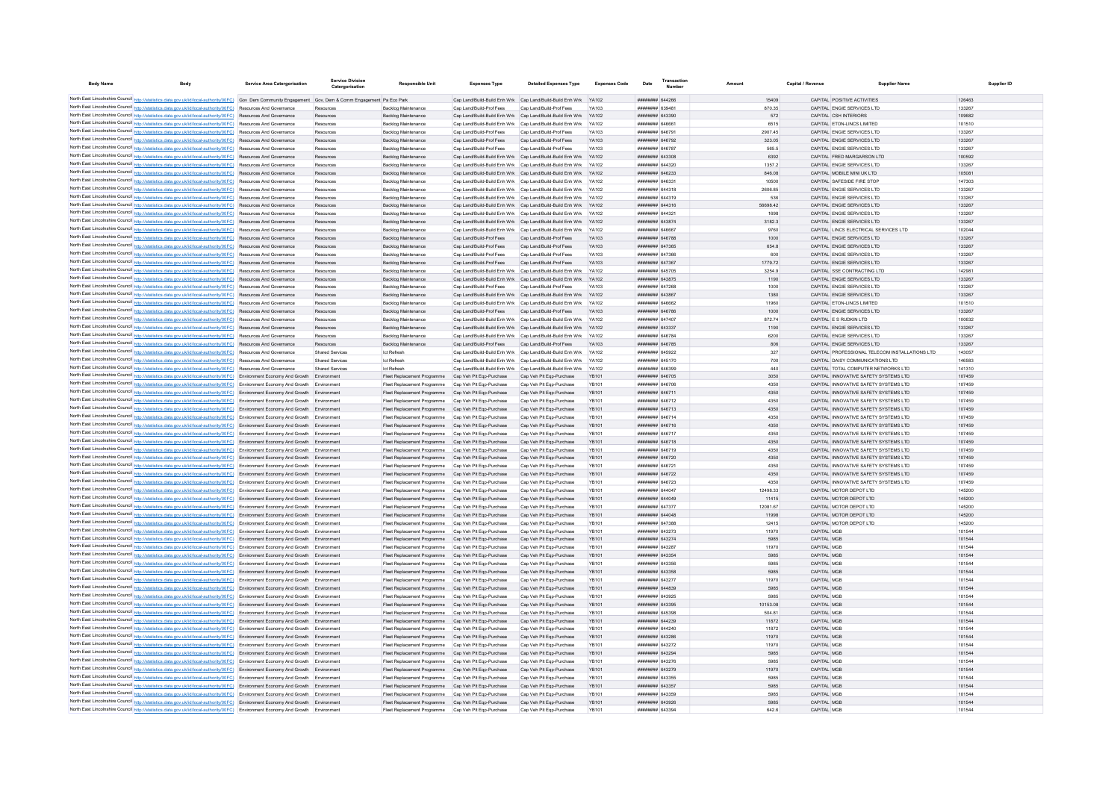| <b>Body Name</b> |                                                                                                                                                                                                                                                                               | Service Area Catergorisation    | Service Divisioi<br>Catergorisation | Responsible Uni                                                                                              | <b>Expenses Type</b>     | <b>Detailed Expenses Type</b>                                                               | <b>Expenses Code</b> | Date                                     | <b>Transaction</b><br>Number | Amoun           | Capital / Revenue |                                                                                | <b>Supplier Nam</b>                            | Supplier ID      |
|------------------|-------------------------------------------------------------------------------------------------------------------------------------------------------------------------------------------------------------------------------------------------------------------------------|---------------------------------|-------------------------------------|--------------------------------------------------------------------------------------------------------------|--------------------------|---------------------------------------------------------------------------------------------|----------------------|------------------------------------------|------------------------------|-----------------|-------------------|--------------------------------------------------------------------------------|------------------------------------------------|------------------|
|                  |                                                                                                                                                                                                                                                                               |                                 |                                     |                                                                                                              |                          |                                                                                             |                      |                                          |                              |                 |                   |                                                                                |                                                |                  |
|                  | North East Lincolnshire Council http://statistics.data.gov.uk/id/local-authority/00FC) Gov Dem Community Engagement Gov, Dem & Comm Engagement Pa Eco Park<br>North East Lincolnshire Council http://statistics.data.gov.uk/id/local-authority/00FC) Resources And Governance |                                 |                                     | Backlog Maintenance                                                                                          | Can Land/Build-Prof Fees | Can Land/Build-Build Enh Wrk Can Land/Build-Build Enh Wrk YA102<br>Can Land/Build-Prof Fees | YA103                | ######## 644266<br>######## 639481       |                              | 15409<br>870.35 |                   | CAPITAL POSITIVE ACTIVITIES<br>CAPITAL ENGIE SERVICES LTD                      |                                                | 126463<br>133267 |
|                  | North East Lincolnshire Council http://statistics.data.gov.uk/id/local-authority/00FC) Resources And Governance                                                                                                                                                               |                                 | Resources<br>Resources              | Backlog Maintenance                                                                                          |                          | Cap Land/Build-Build Enh Wrk Cap Land/Build-Build Enh Wrk YA102                             |                      | ######## 643390                          |                              | 572             |                   | CAPITAL CSH INTERIORS                                                          |                                                | 109682           |
|                  | North East Lincolnshire Council http://statistics.data.gov.uk/id/local-authority/00FC) Resources And Governance                                                                                                                                                               |                                 | Resources                           | Backlog Maintenance                                                                                          |                          | Cap Land/Build-Build Enh Wrk Cap Land/Build-Build Enh Wrk YA102                             |                      | ######## 64666                           |                              | 6515            |                   | CAPITAL ETON-LINCS LIMITED                                                     |                                                | 101510           |
|                  | North East Lincolnshire Council http://statistics.data.gov.uk/id/local-authority/00FC) Resources And Governance                                                                                                                                                               |                                 | Resources                           | <b>Backlog Maintenance</b>                                                                                   | Cap Land/Build-Prof Fees | Cap Land/Build-Prof Fees                                                                    | YA103                | ######## 646791                          |                              | 2907.45         |                   | CAPITAL ENGIE SERVICES LTD                                                     |                                                | 133267           |
|                  | North East Lincolnshire Council http://statistics.data.gov.uk/id/local-authority/00FC) Resources And Governance                                                                                                                                                               |                                 | Resources                           | <b>Backlog Maintenance</b>                                                                                   | Cap Land/Build-Prof Fees | Cap Land/Build-Prof Fees                                                                    | YA103                | ####### 646792                           |                              | 323.05          |                   | CAPITAL ENGIE SERVICES LTD                                                     |                                                | 133267           |
|                  | North East Lincolnshire Council http://statistics.data.gov.uk/id/local-authority/00FC) Resources And Governance                                                                                                                                                               |                                 | Resources                           | <b>Backlog Maintenance</b>                                                                                   | Cap Land/Build-Prof Fees | Cap Land/Build-Prof Fees                                                                    | YA103                | ######## 646787                          |                              | 565.5           |                   | CAPITAL ENGIE SERVICES LTD                                                     |                                                | 133267           |
|                  | North East Lincolnshire Council http://statistics.data.gov.uk/id/local-authority/00FC) Resources And Governance                                                                                                                                                               |                                 | Resources                           | Backlog Maintenance                                                                                          |                          | Cap Land/Build-Build Enh Wrk Cap Land/Build-Build Enh Wrk YA102                             |                      | ######## 643308                          |                              | 6392            |                   | CAPITAL FRED MARGARSON LTD                                                     |                                                | 100592           |
|                  | North East Lincolnshire Council http://statistics.data.gov.uk/id/local-authority/00FC) Resources And Governance                                                                                                                                                               |                                 | Resources                           | Backlog Maintenance                                                                                          |                          | Cap Land/Build-Build Enh Wrk Cap Land/Build-Build Enh Wrk YA102                             |                      | ######## 644320                          |                              | 1357.2          |                   | CAPITAL ENGIE SERVICES LTD                                                     |                                                | 133267           |
|                  | North East Lincolnshire Council http://statistics.data.gov.uk/id/local-authority/00FC) Resources And Governance                                                                                                                                                               |                                 | Resources                           | Backlog Maintenance                                                                                          |                          | Cap Land/Build-Build Enh Wrk Cap Land/Build-Build Enh Wrk YA102                             |                      | ######## 646233                          |                              | 846.08          |                   | CAPITAL MOBILE MINI UK I TD                                                    |                                                | 105081           |
|                  | North East Lincolnshire Council http://statistics.data.gov.uk/id/local-authority/00FC)                                                                                                                                                                                        | Resources And Governance        | Resources                           | Backlog Maintenance                                                                                          |                          | Cap Land/Build-Build Enh Wrk Cap Land/Build-Build Enh Wrk                                   |                      | ######## 646331                          |                              | 10500           |                   | CAPITAL SAFESIDE FIRE STOP                                                     |                                                | 147303           |
|                  | North East Lincolnshire Council http://statistics.data.gov.uk/id/local-authority/00FC)                                                                                                                                                                                        | <b>Resources And Governance</b> |                                     | <b>Backlog Maintenance</b>                                                                                   |                          | Cap Land/Build-Build Enh Wrk Cap Land/Build-Build Enh Wrk YA102                             |                      | ####### 644318                           |                              | 2606.85         |                   | CAPITAL ENGIE SERVICES LTD                                                     |                                                | 133267           |
|                  | North East Lincolnshire Council http://statistics.data.gov.uk/id/local-authority/00FC) Resources And Governance                                                                                                                                                               |                                 | Resources                           | <b>Backlog Maintenance</b>                                                                                   |                          | Cap Land/Build-Build Enh Wrk Cap Land/Build-Build Enh Wrk YA102                             |                      | <b>HHHHHHH</b> 644319                    |                              | 536             |                   | CAPITAL ENGIE SERVICES LTD                                                     |                                                | 133267           |
|                  | North East Lincolnshire Council http://statistics.data.gov.uk/id/local-authority/00FC) Resources And Governance                                                                                                                                                               |                                 | Resources                           | Backlog Maintenance                                                                                          |                          | Can Land/Build-Build Enh Wrk Can Land/Build-Build Enh Wrk YA102                             |                      | ######## 644316                          |                              | 56698.42        |                   | CAPITAL ENGIF SERVICES LTD.                                                    |                                                | 133267           |
|                  | North East Lincolnshire Council http://statistics.data.gov.uk/id/local-authority/00FC) Resources And Governance                                                                                                                                                               |                                 | Resources                           | Backlog Maintenance                                                                                          |                          | Cap Land/Build-Build Enh Wrk Cap Land/Build-Build Enh Wrk YA102                             |                      | <b>иннинин</b> 644321                    |                              | 1698            |                   | CAPITAL ENGIE SERVICES LTD                                                     |                                                | 133267           |
|                  | North East Lincolnshire Council http://statistics.data.gov.uk/id/local-authority/00FC) Resources And Governance                                                                                                                                                               |                                 | Resources                           | Backlog Maintenance                                                                                          |                          | Cap Land/Build-Build Enh Wrk Cap Land/Build-Build Enh Wrk YA102                             |                      | ####### 643874                           |                              | 3182.3          |                   | CAPITAL ENGIE SERVICES LTD                                                     |                                                | 133267           |
|                  | North East Lincolnshire Council http://statistics.data.gov.uk/id/local-authority/00FC) Resources And Governance                                                                                                                                                               |                                 | Resources<br>Resources              | Backlog Maintenance<br><b>Backlog Maintenance</b>                                                            | Cap Land/Build-Prof Fees | Cap Land/Build-Build Enh Wrk Cap Land/Build-Build Enh Wrk YA102<br>Cap Land/Build-Prof Fees | YA103                | ######## 646667<br>######## 646788       |                              | 9760<br>1000    |                   | CAPITAL LINCS ELECTRICAL SERVICES LTD<br>CAPITAL ENGIE SERVICES LTD            |                                                | 10204<br>133267  |
|                  | North East Lincolnshire Council http://statistics.data.gov.uk/id/local-authority/00FC) Resources And Governance<br>North East Lincolnshire Council http://statistics.data.gov.uk/id/local-authority/00FC) Resources And Governance                                            |                                 | Resources                           | <b>Backlog Maintenance</b>                                                                                   | Cap Land/Build-Prof Fees | Cap Land/Build-Prof Fees                                                                    | YA103                | ######## 647365                          |                              | 654.8           |                   | CAPITAL ENGIE SERVICES LTD                                                     |                                                | 133267           |
|                  | North East Lincolnshire Council http://statistics.data.gov.uk/id/local-authority/00FC) Resources And Governance                                                                                                                                                               |                                 | Resources                           | <b>Backlog Maintenance</b>                                                                                   | Cap Land/Build-Prof Fees | Cap Land/Build-Prof Fees                                                                    | YA103                | ######## 647366                          |                              | 600             |                   | CAPITAL ENGIE SERVICES LTD                                                     |                                                | 133267           |
|                  | North East Lincolnshire Council http://statistics.data.gov.uk/id/local-authority/00FC) Resources And Governance                                                                                                                                                               |                                 | Resources                           | <b>Backlog Maintenance</b>                                                                                   | Cap Land/Build-Prof Fees | Cap Land/Build-Prof Fees                                                                    | YA103                | ######## 647367                          |                              | 1779.72         |                   | CAPITAL ENGIE SERVICES LTD                                                     |                                                | 133267           |
|                  | North East Lincolnshire Council http://statistics.data.gov.uk/id/local-authority/00FC) Resources And Governance                                                                                                                                                               |                                 | Resources                           | Backlog Maintenance                                                                                          |                          | Cap Land/Build-Build Enh Wrk Cap Land/Build-Build Enh Wrk YA102                             |                      | ######## 645705                          |                              | 3254.9          |                   | CAPITAL SSE CONTRACTING LTD                                                    |                                                | 142981           |
|                  | North East Lincolnshire Council http://statistics.data.gov.uk/id/local-authority/00FC)                                                                                                                                                                                        | Resources And Governance        | Resources                           | <b>Backlog Maintenance</b>                                                                                   |                          | Cap Land/Build-Build Enh Wrk Cap Land/Build-Build Enh Wrk YA102                             |                      | ######## 643875                          |                              | 1190            |                   | CAPITAL ENGIE SERVICES LTD                                                     |                                                | 133267           |
|                  | North East Lincolnshire Council http://statistics.data.gov.uk/id/local-authority/00FC)                                                                                                                                                                                        | Resources And Governance        | Resources                           | Backlog Maintenance                                                                                          | Cap Land/Build-Prof Fees | Cap Land/Build-Prof Fees                                                                    | YA103                | ####### 647268                           |                              | 1000            |                   | CAPITAL ENGIE SERVICES LTD                                                     |                                                | 133267           |
|                  | North East Lincolnshire Council http://statistics.data.gov.uk/id/local-authority/00FC)                                                                                                                                                                                        | Resources And Governance        | Resources                           | <b>Backlog Maintenance</b>                                                                                   |                          | Cap Land/Build-Build Enh Wrk Cap Land/Build-Build Enh Wrk                                   | YA102                | ######## 643867                          |                              | 1380            |                   | CAPITAL ENGIE SERVICES LTD                                                     |                                                | 133267           |
|                  | North East Lincolnshire Council http://statistics.data.gov.uk/id/local-authority/00FC) Resources And Governance                                                                                                                                                               |                                 | Resources                           | Backlog Maintenance                                                                                          |                          | Cap Land/Build-Build Enh Wrk Cap Land/Build-Build Enh Wrk YA102                             |                      | CAAAA BARBHHHH                           |                              | 11960           |                   | CAPITAL FTON-LINCS LIMITED                                                     |                                                | 101510           |
|                  | North East Lincolnshire Council http://statistics.data.gov.uk/id/local-authority/00FC) Resources And Governance                                                                                                                                                               |                                 | Resources                           | Backlog Maintenance                                                                                          | Can Land/Build-Prof Fees | Can Land/Build-Prof Fees                                                                    | YA103                | ####### 646786                           |                              | 1000            |                   | CAPITAL ENGIF SERVICES LTD.                                                    |                                                | 133267           |
|                  | North East Lincolnshire Council http://statistics.data.gov.uk/id/local-authority/00FC) Resources And Governance                                                                                                                                                               |                                 | Resources                           | <b>Backlon Maintenance</b>                                                                                   |                          | Can Land/Build-Build Enh Wrk Can Land/Build-Build Enh Wrk YA102                             |                      | ######## 647407                          |                              | 87274           |                   | CAPITAL F S RUDKIN LTD                                                         |                                                | 100632           |
|                  | North East Lincolnshire Council http://statistics.data.gov.uk/id/local-authority/00FC) Resources And Governance                                                                                                                                                               |                                 | Resources                           | Backlog Maintenance                                                                                          |                          | Cap Land/Build-Build Enh Wrk Cap Land/Build-Build Enh Wrk YA102                             |                      | ######## 643337                          |                              | 1190            |                   | CAPITAL ENGIE SERVICES LTD                                                     |                                                | 133267           |
|                  | North East Lincolnshire Council http://statistics.data.gov.uk/id/local-authority/00FC) Resources And Governance                                                                                                                                                               |                                 | Resources                           | Backlog Maintenance                                                                                          |                          | Cap Land/Build-Build Enh Wrk Cap Land/Build-Build Enh Wrk YA102                             |                      | ######## 646784                          |                              | 6200            |                   | CAPITAL ENGIE SERVICES LTD                                                     |                                                | 133267           |
|                  | North East Lincolnshire Council http://statistics.data.gov.uk/id/local-authority/00FC) Resources And Governance                                                                                                                                                               |                                 | Resources                           | Backlog Maintenance                                                                                          |                          | Cap Land/Build-Prof Fees Cap Land/Build-Prof Fees YA103                                     |                      | ######## 646785                          |                              | 806             |                   | CAPITAL ENGIE SERVICES LTD                                                     |                                                | 133267           |
|                  | North East Lincolnshire Council http://statistics.data.gov.uk/id/local-authority/00FC) Resources And Governance                                                                                                                                                               |                                 | <b>Shared Services</b>              | Ict Refresh                                                                                                  |                          | Cap Land/Build-Build Enh Wrk Cap Land/Build-Build Enh Wrk YA102                             |                      | ######## 645922                          |                              | 327             |                   |                                                                                | CAPITAL PROFESSIONAL TELECOM INSTALLATIONS LTD | 143057           |
|                  | North East Lincolnshire Council http://statistics.data.gov.uk/id/local-authority/00FC) Resources And Governance                                                                                                                                                               |                                 | Shared Services                     | Ict Refresh                                                                                                  |                          | Cap Land/Build-Build Enh Wrk Cap Land/Build-Build Enh Wrk YA102                             |                      | ######## 645170                          |                              | 700             |                   | CAPITAL DAISY COMMUNICATIONS LTD.                                              |                                                | 146583           |
|                  | North East Lincolnshire Council http://statistics.data.gov.uk/id/local-authority/00FC) Resources And Governance                                                                                                                                                               |                                 | Shared Services                     | Ict Refresh                                                                                                  |                          | Can Land/Build-Build Enh Wrk Can Land/Build-Build Enh Wrk YA102                             |                      | RESPAR HEEEEEE                           |                              | 440             |                   | CAPITAL TOTAL COMPLITER NETWORKS LTD.                                          |                                                | 141310           |
|                  | North East Lincolnshire Council http://statistics.data.gov.uk/id/local-authority/00FC) Environment Economy And Growth Environment                                                                                                                                             |                                 |                                     | Fleet Replacement Programme Cap Veh Plt Ego-Purchase                                                         |                          | Cap Veh Plt Egp-Purchase                                                                    | <b>YR101</b>         | ######## 646705                          |                              | 3050            |                   | CAPITAL INNOVATIVE SAFETY SYSTEMS LTD                                          |                                                | 107459           |
|                  | North East Lincolnshire Council http://statistics.data.gov.uk/id/local-authority/00FC) Environment Economy And Growth Environment                                                                                                                                             |                                 |                                     | Fleet Replacement Programme                                                                                  | Cap Veh Pit Ego-Purchase | Cap Veh Plt Ego-Purchase                                                                    | YB101                | ####### 646706                           |                              | 4350            |                   | CAPITAL INNOVATIVE SAFETY SYSTEMS LTD                                          |                                                | 107459           |
|                  | North East Lincolnshire Council http://statistics.data.gov.uk/id/local-authority/00FC) Environment Economy And Growth Environment                                                                                                                                             |                                 |                                     | Fleet Replacement Programme Cap Veh Pit Ego-Purchase                                                         |                          | Cap Veh Plt Egp-Purchase                                                                    | <b>YB101</b>         | ######## 646711                          |                              | 4350            |                   | CAPITAL INNOVATIVE SAFETY SYSTEMS LTD                                          |                                                | 107459           |
|                  | North East Lincolnshire Council http://statistics.data.gov.uk/id/local-authority/00FC) Environment Economy And Growth Environment                                                                                                                                             |                                 |                                     | Fleet Replacement Programme                                                                                  | Cap Veh Plt Eqp-Purchase | Cap Veh Plt Eqp-Purchase                                                                    | YB101                | ######## 646712                          |                              | 4350            |                   | CAPITAL INNOVATIVE SAFETY SYSTEMS LTD                                          |                                                | 107459           |
|                  | North East Lincolnshire Council http://statistics.data.gov.uk/id/local-authority/00FC) Environment Economy And Growth Environment<br>North East Lincolnshire Council http://statistics.data.gov.uk/id/local-authority/00FC) Environment Economy And Growth Environment        |                                 |                                     | Fleet Replacement Programme Cap Veh Plt Eqp-Purchase                                                         |                          | Cap Veh Plt Eqp-Purchase                                                                    | YB101                | ######## 646713<br><b>HHHHHHH</b> 646714 |                              | 4350            |                   | CAPITAL INNOVATIVE SAFETY SYSTEMS LTD<br>CAPITAL INNOVATIVE SAFETY SYSTEMS LTD |                                                | 107459           |
|                  | North East Lincolnshire Council http://statistics.data.gov.uk/id/local-authority/00FC) Environment Economy And Growth Environment                                                                                                                                             |                                 |                                     | Fleet Replacement Programme<br>Fleet Renlacement Programme Can Veh Pit Fon-Purchase                          | Cap Veh Pit Eqp-Purchase | Cap Veh Plt Eqp-Purchase<br>Can Veh Plt Enn-Purchase                                        | YB101<br>YR101       | ####### 646716                           |                              | 4350<br>4350    |                   | CAPITAL INNOVATIVE SAFETY SYSTEMS LTD                                          |                                                | 107459<br>107459 |
|                  | North East Lincolnshire Council http://statistics.data.gov.uk/id/local-authority/00FC) Environment Economy And Growth Environment                                                                                                                                             |                                 |                                     | Fleet Replacement Programme Cap Veh Pit Ego-Purchase                                                         |                          | Cap Veh Plt Egp-Purchase                                                                    | YR101                | ######## 646717                          |                              | 4350            |                   | CAPITAL INNOVATIVE SAFETY SYSTEMS ITD                                          |                                                | 107459           |
|                  | North East Lincolnshire Council http://statistics.data.gov.uk/id/local-authority/00FC) Environment Economy And Growth Environment                                                                                                                                             |                                 |                                     | Fleet Replacement Programme Cap Veh Plt Ego-Purchase                                                         |                          | Cap Veh Plt Egp-Purchase                                                                    | <b>YR101</b>         | ######## 646718                          |                              | 4350            |                   | CAPITAL INNOVATIVE SAFETY SYSTEMS LTD                                          |                                                | 107459           |
|                  | North East Lincolnshire Council http://statistics.data.gov.uk/id/local-authority/00FC) Environment Economy And Growth Environment                                                                                                                                             |                                 |                                     | Fleet Replacement Programme                                                                                  | Cap Veh Plt Ego-Purchase | Cap Veh Plt Ego-Purchase                                                                    | YB101                | ######## 646719                          |                              | 4350            |                   | CAPITAL INNOVATIVE SAFETY SYSTEMS LTD                                          |                                                | 107459           |
|                  | North East Lincolnshire Council http://statistics.data.gov.uk/id/local-authority/00FC) Environment Economy And Growth Environment                                                                                                                                             |                                 |                                     | Fleet Replacement Programme Cap Veh Plt Eqp-Purchase                                                         |                          | Cap Veh Plt Eqp-Purchase                                                                    | YB101                | ######## 646720                          |                              | 4350            |                   | CAPITAL INNOVATIVE SAFETY SYSTEMS LTD                                          |                                                | 107459           |
|                  | North East Lincolnshire Council http://statistics.data.gov.uk/id/local-authority/00FC) Environment Economy And Growth Environment                                                                                                                                             |                                 |                                     | Fleet Replacement Programme                                                                                  | Cap Veh Pit Eqp-Purchase | Cap Veh Plt Eqp-Purchase                                                                    | YB101                | ######## 646721                          |                              | 4350            |                   | CAPITAL INNOVATIVE SAFETY SYSTEMS LTD                                          |                                                | 107459           |
|                  | North East Lincolnshire Council http://statistics.data.gov.uk/id/local-authority/00FC) Environment Economy And Growth Environment                                                                                                                                             |                                 |                                     | Fleet Replacement Programme Cap Veh Plt Ego-Purchase                                                         |                          | Cap Veh Plt Eqp-Purchase                                                                    | <b>YR101</b>         | ######## 646722                          |                              | 4350            |                   | CAPITAL INNOVATIVE SAFETY SYSTEMS LTD                                          |                                                | 107459           |
|                  | North East Lincolnshire Council http://statistics.data.gov.uk/id/local-authority/00FC) Environment Economy And Growth Environment                                                                                                                                             |                                 |                                     | Fleet Replacement Programme Cap Veh Plt Ego-Purchase                                                         |                          | Cap Veh Plt Egp-Purchase                                                                    | YR101                | ######## 646723                          |                              | 4350            |                   | CAPITAL INNOVATIVE SAFETY SYSTEMS LTD                                          |                                                | 107459           |
|                  | North East Lincolnshire Council http://statistics.data.gov.uk/id/local-authority/00FC) Environment Economy And Growth Environment                                                                                                                                             |                                 |                                     | Fleet Replacement Programme                                                                                  | Cap Veh Pit Ego-Purchase | Cap Veh Plt Eqp-Purchase                                                                    | YB101                | ####### 644047                           |                              | 12498.33        |                   | CAPITAL MOTOR DEPOT LTD                                                        |                                                | 145200           |
|                  | North East Lincolnshire Council http://statistics.data.gov.uk/id/local-authority/00FC) Environment Economy And Growth Environment                                                                                                                                             |                                 |                                     | Fleet Replacement Programme                                                                                  | Cap Veh Plt Ego-Purchase | Cap Veh Plt Eqp-Purchase                                                                    | YB101                | ######## 644049                          |                              | 11415           |                   | CAPITAL MOTOR DEPOT LTD                                                        |                                                | 145200           |
|                  | North East Lincolnshire Council http://statistics.data.gov.uk/id/local-authority/00FC) Environment Economy And Growth Environment                                                                                                                                             |                                 |                                     | Fleet Replacement Programme                                                                                  | Cap Veh Plt Eqp-Purchase | Cap Veh Plt Eqp-Purchase                                                                    | YB101                | <b>########</b> 647377                   |                              | 12081.67        |                   | CAPITAL MOTOR DEPOT LTD                                                        |                                                | 145200           |
|                  | North East Lincolnshire Council http://statistics.data.gov.uk/id/local-authority/00FC) Environment Economy And Growth Environment                                                                                                                                             |                                 |                                     | Fleet Replacement Programme Cap Veh Plt Eqp-Purchase                                                         |                          | Cap Veh Plt Eqp-Purchase                                                                    | <b>YB101</b>         | REDES MERINER                            |                              | 11998           |                   | CAPITAL MOTOR DEPOT LTD                                                        |                                                | 145200           |
|                  | North East Lincolnshire Council http://statistics.data.gov.uk/id/local-authority/00FC) Environment Economy And Growth Environment                                                                                                                                             |                                 |                                     | Fleet Replacement Programme Cap Veh Plt Ego-Purchase                                                         |                          | Cap Veh Plt Eqp-Purchase                                                                    | YR101                | ######## 647388                          |                              | 12415           |                   | CAPITAL MOTOR DEPOT LTD                                                        |                                                | 145200           |
|                  | North East Lincolnshire Council http://statistics.data.gov.uk/id/local-authority/00FC) Environment Economy And Growth Environment                                                                                                                                             |                                 |                                     | Fleet Replacement Programme Cap Veh Plt Ego-Purchase                                                         |                          | Cap Veh Plt Egp-Purchase                                                                    | YB101                | ######## 643273                          |                              | 11970           |                   | CAPITAL MGB                                                                    |                                                | 101544           |
|                  | North East Lincolnshire Council http://statistics.data.gov.uk/id/local-authority/00FC) Environment Economy And Growth Environment                                                                                                                                             |                                 |                                     | Fleet Replacement Programme Cap Veh Plt Eqp-Purchase                                                         |                          | Cap Veh Plt Eqp-Purchase                                                                    | <b>YB101</b>         | ######## 643274                          |                              | 5985            |                   | CAPITAL MGB                                                                    |                                                | 101544           |
|                  | North East Lincolnshire Council http://statistics.data.gov.uk/id/local-authority/00FC) Environment Economy And Growth Environment                                                                                                                                             |                                 |                                     | Fleet Replacement Programme Cap Veh Plt Eqp-Purchase                                                         |                          | Cap Veh Plt Egp-Purchase                                                                    | <b>YB101</b>         | ######## 643287                          |                              | 11970           |                   | CAPITAL MGB                                                                    |                                                | 101544           |
|                  | North East Lincolnshire Council http://statistics.data.gov.uk/id/local-authority/00FC) Environment Economy And Growth Environment                                                                                                                                             |                                 |                                     | Fleet Replacement Programme Cap Veh Pit Ego-Purchase                                                         |                          | Cap Veh Plt Egp-Purchase                                                                    | <b>YB101</b>         | ######## 643354                          |                              | 5985            |                   | CAPITAL MGB                                                                    |                                                | 101544           |
|                  | North East Lincolnshire Council http://statistics.data.gov.uk/id/local-authority/00FC) Environment Economy And Growth Environment                                                                                                                                             |                                 |                                     | Fleet Replacement Programme Cap Veh Plt Eqp-Purchase                                                         |                          | Cap Veh Plt Egp-Purchase                                                                    | YB101                | ######## 643356                          |                              | 5985            |                   | CAPITAL MGB                                                                    |                                                | 101544           |
|                  | North East Lincolnshire Council http://statistics.data.gov.uk/id/local-authority/00FC) Environment Economy And Growth Environment                                                                                                                                             |                                 |                                     | Fleet Replacement Programme Cap Veh Plt Eqp-Purchase                                                         |                          | Cap Veh Plt Eqp-Purchase                                                                    | YR101                | ######## 643358                          |                              | 5985            |                   | CAPITAL MGB                                                                    |                                                | 101544           |
|                  | North East Lincolnshire Council http://statistics.data.gov.uk/id/local-authority/00FC) Environment Economy And Growth Environment<br>North East Lincolnshire Council http://statistics.data.gov.uk/id/local-authority/00FC) Environment Economy And Growth Environment        |                                 |                                     | Fleet Replacement Programme Cap Veh Plt Ego-Purchase<br>Fleet Replacement Programme Cap Veh Plt Ego-Purchase |                          | Cap Veh Plt Egp-Purchase<br>Cap Veh Plt Egp-Purchase                                        | YR101<br>YR101       | ######## 643277<br>######## 644839       |                              | 11970<br>5985   |                   | CAPITAL MGB<br>CAPITAL MGB                                                     |                                                | 101544<br>101544 |
|                  |                                                                                                                                                                                                                                                                               |                                 |                                     | Fleet Replacement Programme Cap Veh Plt Ego-Purchase                                                         |                          | Cap Veh Plt Egp-Purchase                                                                    | YR101                | ######## 643925                          |                              | 5985            |                   | CAPITAL MGB                                                                    |                                                | 101544           |
|                  | North East Lincolnshire Council http://statistics.data.gov.uk/id/local-authority/00FC) Environment Economy And Growth Environment<br>North East Lincolnshire Council http://statistics.data.gov.uk/id/local-authority/00FC) Environment Economy And Growth Environment        |                                 |                                     | Fleet Replacement Programme Cap Veh Pit Ego-Purchase                                                         |                          | Cap Veh Plt Egp-Purchase                                                                    | <b>YB101</b>         | ######## 643395                          |                              | 10153.08        |                   | CAPITAL MGB                                                                    |                                                | 101544           |
|                  | North East Lincolnshire Council http://statistics.data.gov.uk/id/local-authority/00FC) Environment Economy And Growth Environment                                                                                                                                             |                                 |                                     | Fleet Replacement Programme                                                                                  | Cap Veh Plt Eqp-Purchase | Cap Veh Plt Eqp-Purchase                                                                    | YB101                | ######## 645398                          |                              | 504.81          |                   | CAPITAL MGB                                                                    |                                                | 101544           |
|                  | North East Lincolnshire Council http://statistics.data.gov.uk/id/local-authority/00FC) Environment Economy And Growth Environment                                                                                                                                             |                                 |                                     | Fleet Replacement Programme                                                                                  | Cap Veh Plt Eqp-Purchase | Cap Veh Plt Eqp-Purchase                                                                    | <b>YB101</b>         | ######## 644239                          |                              | 11872           |                   | CAPITAL MGB                                                                    |                                                | 101544           |
|                  | North East Lincolnshire Council http://statistics.data.gov.uk/id/local-authority/00FC) Environment Economy And Growth Environment                                                                                                                                             |                                 |                                     | Fleet Replacement Programme Cap Veh Plt Ego-Purchase                                                         |                          | Cap Veh Plt Egp-Purchase                                                                    | YR101                | ######## 644240                          |                              | 11872           |                   | CAPITAL MGB                                                                    |                                                | 101544           |
|                  | North East Lincolnshire Council http://statistics.data.gov.uk/id/local-authority/00FC) Environment Economy And Growth Environment                                                                                                                                             |                                 |                                     | Fleet Replacement Programme Cap Veh Plt Ego-Purchase                                                         |                          | Cap Veh Plt Egp-Purchase                                                                    | YB101                | ######## 643286                          |                              | 11970           |                   | CAPITAL MGB                                                                    |                                                | 101544           |
|                  | North East Lincolnshire Council http://statistics.data.gov.uk/id/local-authority/00FC) Environment Economy And Growth Environment                                                                                                                                             |                                 |                                     | Fleet Replacement Programme Cap Veh Pit Ego-Purchase                                                         |                          | Cap Veh Plt Egp-Purchase                                                                    | YB101                | ######## 643272                          |                              | 11970           |                   | CAPITAL MGB                                                                    |                                                | 101544           |
|                  | North East Lincolnshire Council http://statistics.data.gov.uk/id/local-authority/00FC) Environment Economy And Growth Environment                                                                                                                                             |                                 |                                     | Fleet Replacement Programme Cap Veh Plt Eqp-Purchase                                                         |                          | Cap Veh Plt Eqp-Purchase                                                                    | YB101                | ######## 643294                          |                              | 5985            |                   | CAPITAL MGB                                                                    |                                                | 101544           |
|                  | North East Lincolnshire Council http://statistics.data.gov.uk/id/local-authority/00FC) Environment Economy And Growth Environment                                                                                                                                             |                                 |                                     | Fleet Replacement Programme Cap Veh Plt Eqp-Purchase                                                         |                          | Cap Veh Plt Eqp-Purchase                                                                    | YB101                | ######## 643276                          |                              | 5985            |                   | CAPITAL MGB                                                                    |                                                | 101544           |
|                  | North East Lincolnshire Council http://statistics.data.gov.uk/id/local-authority/00FC) Environment Economy And Growth Environment                                                                                                                                             |                                 |                                     | Fleet Replacement Programme Cap Veh Plt Eqp-Purchase                                                         |                          | Cap Veh Plt Eqp-Purchase                                                                    | YB101                | ######## 643279                          |                              | 11970           |                   | CAPITAL MGB                                                                    |                                                | 101544           |
|                  | North East Lincolnshire Council http://statistics.data.gov.uk/id/local-authority/00FC) Environment Economy And Growth Environment                                                                                                                                             |                                 |                                     | Fleet Replacement Programme Cap Veh Plt Eqp-Purchase                                                         |                          | Cap Veh Plt Eqp-Purchase                                                                    | YR101                | ######## 643355                          |                              | 5985            |                   | CAPITAL MGB                                                                    |                                                | 101544           |
|                  | North East Lincolnshire Council http://statistics.data.gov.uk/id/local-authority/00FC) Environment Economy And Growth Environment                                                                                                                                             |                                 |                                     | Fleet Replacement Programme Cap Veh Plt Ego-Purchase                                                         |                          | Cap Veh Plt Egp-Purchase                                                                    | YR101                | ######## 643357                          |                              | 5985            |                   | CAPITAL MGB                                                                    |                                                | 101544           |
|                  | North East Lincolnshire Council http://statistics.data.gov.uk/id/local-authority/00FC) Environment Economy And Growth Environment                                                                                                                                             |                                 |                                     | Fleet Replacement Programme Cap Veh Plt Ego-Purchase                                                         |                          | Cap Veh Plt Egp-Purchase                                                                    | YR101                | ######## 643359                          |                              | 5985            |                   | CAPITAL MGB                                                                    |                                                | 101544           |
|                  | North East Lincolnshire Council http://statistics.data.gov.uk/id/local-authority/00FC) Environment Economy And Growth Environment                                                                                                                                             |                                 |                                     | Fleet Replacement Programme Cap Veh Pit Ego-Purchase                                                         |                          | Cap Veh Plt Egp-Purchase                                                                    | <b>YB101</b>         | ######## 643926                          |                              | 5985            |                   | CAPITAL MGB                                                                    |                                                | 101544           |
|                  | North East Lincolnshire Council http://statistics.data.gov.uk/id/local-authority/00FC) Environment Economy And Growth Environmen                                                                                                                                              |                                 |                                     | Fleet Replacement Programme                                                                                  | Cap Veh Plt Ego-Purchase | Cap Veh Plt Egp-Purchase                                                                    | YR101                | ********* 643394                         |                              | 642.6           |                   | CAPITAL MGE                                                                    |                                                | 101544           |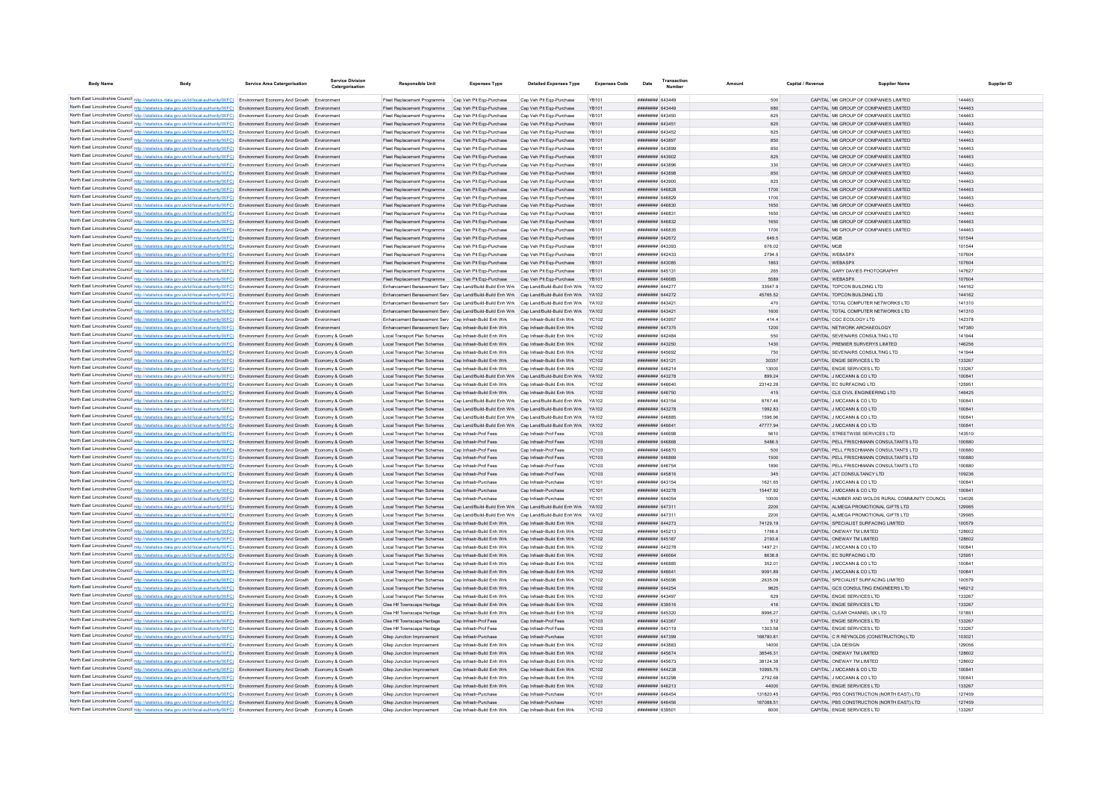| <b>Body Name</b>                                                                                                                                                                                                                                                                 | Body                                                                                  | <b>Service Area Catergorisation</b> | Service Division<br>Catergorisation | <b>Responsible Unit</b>                                                                                                                             | <b>Expenses Type</b>                           | <b>Detailed Expenses Type</b>                        | <b>Expenses Code</b>  | Date                                     | Transaction<br>Number | Amount            | Capital / Revenue | <b>Supplier Name</b>                                                                   | Supplier ID      |  |
|----------------------------------------------------------------------------------------------------------------------------------------------------------------------------------------------------------------------------------------------------------------------------------|---------------------------------------------------------------------------------------|-------------------------------------|-------------------------------------|-----------------------------------------------------------------------------------------------------------------------------------------------------|------------------------------------------------|------------------------------------------------------|-----------------------|------------------------------------------|-----------------------|-------------------|-------------------|----------------------------------------------------------------------------------------|------------------|--|
|                                                                                                                                                                                                                                                                                  |                                                                                       |                                     |                                     |                                                                                                                                                     |                                                |                                                      |                       |                                          |                       |                   |                   |                                                                                        |                  |  |
| North East Lincolnshire Council http://statistics.data.gov.uk/id/local-authority/00FC) Environment Economy And Growth Environment                                                                                                                                                |                                                                                       |                                     |                                     | Fleet Replacement Programme Cap Veh Plt Ego-Purchase                                                                                                |                                                | Cap Veh Plt Egp-Purchase                             | <b>YR101</b>          | ######## 643449                          |                       | 500               |                   | CAPITAL M6 GROUP OF COMPANIES LIMITED                                                  | 144463           |  |
| North East Lincolnshire Council http://statistics.data.gov.uk/id/local-authority/00FC) Environment Economy And Growth Environment                                                                                                                                                |                                                                                       |                                     |                                     | Fleet Renlacement Programme Can Veh Pit Fon-Purchase                                                                                                |                                                | Cap Veh Plt Egp-Purchase                             | YR101                 | ######## 643449                          |                       | 680               |                   | CAPITAL M6 GROUP OF COMPANIES LIMITED                                                  | 144463           |  |
| North East Lincolnshire Council http://statistics.data.gov.uk/id/local-authority/00FC) Environment Economy And Growth Environment                                                                                                                                                |                                                                                       |                                     |                                     | Fleet Renlacement Programme Can Veh Pit Fon-Purchase                                                                                                |                                                | Cap Veh Plt Egp-Purchase                             | <b>YR101</b>          | ######## 643450                          |                       | 825               |                   | CAPITAL M6 GROUP OF COMPANIES LIMITED                                                  | 144463           |  |
| North East Lincolnshire Council http://statistics.data.gov.uk/id/local-authority/00FC) Environment Economy And Growth Environment                                                                                                                                                |                                                                                       |                                     |                                     | Fleet Replacement Programme Cap Veh Plt Ego-Purchase<br>Fleet Replacement Programme Cap Veh Pit Ego-Purchase                                        |                                                | Cap Veh Plt Egp-Purchase                             | <b>YB101</b>          | ######## 643451<br>######## 643452       |                       | 825               |                   | CAPITAL M6 GROUP OF COMPANIES LIMITED<br>CAPITAL M6 GROUP OF COMPANIES LIMITED         | 144463<br>144463 |  |
| North East Lincolnshire Council http://statistics.data.gov.uk/id/local-authority/00FC) Environment Economy And Growth Environment                                                                                                                                                |                                                                                       |                                     |                                     | Fleet Replacement Programme Cap Veh Plt Ego-Purchase                                                                                                |                                                | Cap Veh Plt Egp-Purchase                             | <b>YB101</b>          | ######## 643897                          |                       | 825               |                   | CAPITAL M6 GROUP OF COMPANIES LIMITED                                                  | 144463           |  |
| North East Lincolnshire Council http://statistics.data.gov.uk/id/local-authority/00FC) Environment Economy And Growth Environment<br>North East Lincolnshire Council http://statistics.data.gov.uk/id/local-authority/00FC) Environment Economy And Growth Environment           |                                                                                       |                                     |                                     | Fleet Replacement Programme Cap Veh Plt Eqp-Purchase                                                                                                |                                                | Cap Veh Plt Ego-Purchase<br>Cap Veh Plt Eqp-Purchase | YB101<br>YB101        | ######## 643899                          |                       | 850<br>850        |                   | CAPITAL M6 GROUP OF COMPANIES LIMITED                                                  | 144463           |  |
| North East Lincolnshire Council http://statistics.data.gov.uk/id/local-authority/00FC) Environment Economy And Growth Environment                                                                                                                                                |                                                                                       |                                     |                                     | Fleet Replacement Programme Cap Veh Plt Eqp-Purchase                                                                                                |                                                | Cap Veh Plt Eqp-Purchase                             | <b>YB101</b>          | ######## 643902                          |                       | 825               |                   | CAPITAL M6 GROUP OF COMPANIES LIMITED                                                  | 144463           |  |
| North East Lincolnshire Council http://statistics.data.gov.uk/id/local-authority/00FC) Environment Economy And Growth Environment                                                                                                                                                |                                                                                       |                                     |                                     | Fleet Replacement Programme Cap Veh Plt Eqp-Purchase                                                                                                |                                                | Cap Veh Plt Eqp-Purchase                             | YB101                 | ######## 643896                          |                       | 330               |                   | CAPITAL M6 GROUP OF COMPANIES LIMITED                                                  | 144463           |  |
| North East Lincolnshire Council http://statistics.data.gov.uk/id/local-authority/00FC) Environment Economy And Growth Environment                                                                                                                                                |                                                                                       |                                     |                                     | Fleet Replacement Programme Cap Veh Plt Ego-Purchase                                                                                                |                                                | Cap Veh Plt Egp-Purchase                             | <b>YB101</b>          | ######## 643898                          |                       | 850               |                   | CAPITAL M6 GROUP OF COMPANIES LIMITED                                                  | 144463           |  |
| North East Lincolnshire Council http://statistics.data.gov.uk/id/local-authority/00FC) Environment Economy And Growth Environment                                                                                                                                                |                                                                                       |                                     |                                     | Fleet Replacement Programme Cap Veh Pit Ego-Purchase                                                                                                |                                                | Cap Veh Plt Egp-Purchase                             | YR101                 | ######## 643900                          |                       | 825               |                   | CAPITAL M6 GROUP OF COMPANIES LIMITED                                                  | 144463           |  |
| North East Lincolnshire Council http://statistics.data.gov.uk/id/local-authority/00FC) Environment Economy And Growth Environment                                                                                                                                                |                                                                                       |                                     |                                     | Fleet Replacement Programme Cap Veh Plt Ego-Purchase                                                                                                |                                                | Cap Veh Plt Egp-Purchase                             | <b>YB101</b>          | ######## 646828                          |                       | 1700              |                   | CAPITAL M6 GROUP OF COMPANIES LIMITED                                                  | 144463           |  |
| North East Lincolnshire Council http://statistics.data.gov.uk/id/local-authority/00FC) Environment Economy And Growth Environment                                                                                                                                                |                                                                                       |                                     |                                     | Fleet Replacement Programme                                                                                                                         | Cap Veh Plt Ego-Purchase                       | Cap Veh Plt Ego-Purchase                             | <b>YB101</b>          | ######## 646829                          |                       | 1700              |                   | CAPITAL M6 GROUP OF COMPANIES LIMITED                                                  | 144463           |  |
| North East Lincolnshire Council http://statistics.data.gov.uk/id/local-authority/00FC) Environment Economy And Growth Environment                                                                                                                                                |                                                                                       |                                     |                                     | Fleet Replacement Programme Cap Veh Plt Eqp-Purchase                                                                                                |                                                | Cap Veh Plt Eqp-Purchase                             | <b>YB101</b>          | CESSAD BREERER                           |                       | 1650              |                   | CAPITAL M6 GROUP OF COMPANIES LIMITED                                                  | 144463           |  |
| North East Lincolnshire Council http://statistics.data.gov.uk/id/local-authority/00FC) Environment Economy And Growth Environment                                                                                                                                                |                                                                                       |                                     |                                     | Fleet Replacement Programme Cap Veh Plt Ego-Purchase                                                                                                |                                                | Cap Veh Plt Egp-Purchase                             | YR101                 | ######## 646831                          |                       | 1650              |                   | CAPITAL M6 GROUP OF COMPANIES LIMITED                                                  | 144463           |  |
| North East Lincolnshire Council http://statistics.data.gov.uk/id/local-authority/00FC) Environment Economy And Growth Environment                                                                                                                                                |                                                                                       |                                     |                                     | Fleet Replacement Programme Cap Veh Plt Ego-Purchase                                                                                                |                                                | Cap Veh Plt Egp-Purchase                             | <b>YR101</b>          | ######## 646832                          |                       | 1650              |                   | CAPITAL M6 GROUP OF COMPANIES LIMITED                                                  | 144463           |  |
| North East Lincolnshire Council http://statistics.data.gov.uk/id/local-authority/00FC) Environment Economy And Growth Environment                                                                                                                                                |                                                                                       |                                     |                                     | Fleet Replacement Programme Cap Veh Plt Ego-Purchase                                                                                                |                                                | Cap Veh Plt Egp-Purchase                             | YR101                 | HHHHHHH 646835                           |                       | 1700              |                   | CAPITAL M6 GROUP OF COMPANIES LIMITED                                                  | 144463           |  |
| North East Lincolnshire Council http://statistics.data.gov.uk/id/local-authority/00FC) Environment Economy And Growth Environment                                                                                                                                                |                                                                                       |                                     |                                     | Fleet Replacement Programme Cap Veh Plt Ego-Purchase                                                                                                |                                                | Cap Veh Plt Eqp-Purchase                             | <b>YB101</b>          | ######## 642672                          |                       | 649.5             | CAPITAL MGB       |                                                                                        | 101544           |  |
| North East Lincolnshire Council http://statistics.data.gov.uk/id/local-authority/00FC) Environment Economy And Growth Environment                                                                                                                                                |                                                                                       |                                     |                                     | Fleet Replacement Programme Cap Veh Pit Ego-Purchase                                                                                                |                                                | Cap Veh Plt Eqp-Purchase                             | <b>YB101</b>          | ######## 643393                          |                       | 676.02            | CAPITAL MGB       |                                                                                        | 101544           |  |
| North East Lincolnshire Council http://statistics.data.gov.uk/id/local-authority/00FC) Environment Economy And Growth Environment                                                                                                                                                |                                                                                       |                                     |                                     | Fleet Replacement Programme Cap Veh Plt Eqp-Purchase                                                                                                |                                                | Cap Veh Plt Eqp-Purchase                             | <b>YB101</b>          | ######## 642433                          |                       | 2794.5            |                   | CAPITAL WEBASPX                                                                        | 107604           |  |
| North East Lincolnshire Council http://statistics.data.gov.uk/id/local-authority/00FC) Environment Economy And Growth Environment                                                                                                                                                |                                                                                       |                                     |                                     | Fleet Replacement Programme Cap Veh Plt Eqp-Purchase                                                                                                |                                                | Cap Veh Plt Eqp-Purchase                             | <b>YR101</b>          | ######## 643085                          |                       | 1863              |                   | CAPITAL WEBASPX                                                                        | 107604           |  |
| North East Lincolnshire Council http://statistics.data.gov.uk/id/local-authority/00FC) Environment Economy And Growth Environment                                                                                                                                                |                                                                                       |                                     |                                     | Fleet Replacement Programme Cap Veh Plt Eqp-Purchase                                                                                                |                                                | Cap Veh Plt Eqp-Purchase                             | YR101                 | ######## 645131                          |                       | 265               |                   | CAPITAL GARY DAVIES PHOTOGRAPHY                                                        | 147627           |  |
| North East Lincolnshire Council http://statistics.data.gov.uk/id/local-authority/00FC) Environment Economy And Growth Environment                                                                                                                                                |                                                                                       |                                     |                                     | Fleet Replacement Programme Cap Veh Plt Ego-Purchase                                                                                                |                                                | Cap Veh Plt Egp-Purchase                             | <b>YB101</b>          | ######## 646685                          |                       | 5589              |                   | CAPITAL WEBASPX                                                                        | 107604           |  |
| North East Lincolnshire Council http://statistics.data.gov.uk/id/local-authority/00FC) Environment Economy And Growth Environment                                                                                                                                                |                                                                                       |                                     |                                     | Enhancement Bereavement Serv Cap Land/Build-Build Enh Wrk                                                                                           |                                                | Cap Land/Build-Build Enh Wrk YA102                   |                       | ######## 644277                          |                       | 33547.9           |                   | CAPITAL TOPCON BUILDING LTD                                                            | 144162           |  |
| North East Lincolnshire Council http://sta                                                                                                                                                                                                                                       | stics.data.gov.uk/id/local-authority/00FC) Environment Economy And Growth Environment |                                     |                                     | Enhancement Bereavement Serv Cap Land/Build-Build Enh Wrk Cap Land/Build-Build Enh Wrk YA102                                                        |                                                |                                                      |                       | ######## 644272                          |                       | 45765.52          |                   | CAPITAL TOPCON BUILDING LTD                                                            | 144162           |  |
| North East Lincolnshire Council http://statistics.data.gov.uk/id/local-authority/00FC) Environment Economy And Growth Environment                                                                                                                                                |                                                                                       |                                     |                                     | Enhancement Bereavement Serv Cap Land/Build-Build Enh Wrk                                                                                           |                                                | Cap Land/Build-Build Enh Wrk                         |                       | ######## 643421                          |                       | 470               |                   | CAPITAL TOTAL COMPUTER NETWORKS LTD                                                    | 141310           |  |
| North East Lincolnshire Council http://statistics.data.gov.uk/id/local-authority/00FC) Environment Economy And Growth Environment                                                                                                                                                |                                                                                       |                                     |                                     | Enhancement Bereavement Serv Cap Land/Build-Build Enh Wrk Cap Land/Build-Build Enh Wrk YA102                                                        |                                                |                                                      |                       | <b>######## 643421</b>                   |                       | 1600              |                   | CAPITAL TOTAL COMPUTER NETWORKS LTD                                                    | 141310           |  |
| North East Lincolnshire Council http://statistics.data.gov.uk/id/local-authority/00FC) Environment Economy And Growth Environment                                                                                                                                                |                                                                                       |                                     |                                     | Enhancement Bereavement Serv Can Infrastr-Build Enh Wrk                                                                                             |                                                | Can Infrastr-Build Fnh Wrk                           | YC102                 | <b><i>HHHHHHH 643057</i></b>             |                       | 414.4             |                   | CAPITAL CGC ECOLOGY LTD                                                                | 142378           |  |
| North East Lincolnshire Council http://statistics.data.gov.uk/id/local-authority/00FC) Environment Economy And Growth Environment                                                                                                                                                |                                                                                       |                                     |                                     | Enhancement Bereavement Serv Can Infrastr-Build Enh Wrk                                                                                             |                                                | Can Infrastr-Build Enh Wrk                           | YC102                 | <b>######## 647375</b>                   |                       | 1200              |                   | CAPITAL NETWORK ARCHAEOLOGY                                                            | 147380           |  |
| North East Lincolnshire Council http://statistics.data.gov.uk/id/local-authority/00FC) Environment Economy And Growth Economy & Growth                                                                                                                                           |                                                                                       |                                     |                                     | Local Transport Plan Schemes Cap Infrastr-Build Enh Wrk                                                                                             |                                                | Cap Infrastr-Build Enh Wrk                           | <b>YC102</b>          | нининин 642484                           |                       | 550               |                   | CAPITAL SEVENAIRS CONSULTING LTD                                                       | 141944           |  |
| North East Lincolnshire Council http://statistics.data.gov.uk/id/local-authority/00FC) Environment Economy And Growth Economy & Growth                                                                                                                                           |                                                                                       |                                     |                                     | Local Transport Plan Schemes Cap Infrastr-Build Enh Wrk                                                                                             |                                                | Cap Infrastr-Build Enh Wrk                           | <b>YC102</b>          | <b>иннинин</b> 643250                    |                       | 1430              |                   | CAPITAL PREMIER SURVERYS LIMITED                                                       | 146256           |  |
| North East Lincolnshire Council http://statistics.data.gov.uk/id/local-authority/00FC) Environment Economy And Growth Economy & Growth                                                                                                                                           |                                                                                       |                                     |                                     | Local Transport Plan Schemes Cap Infrastr-Build Enh Wrk                                                                                             |                                                | Cap Infrastr-Build Enh Wrk                           | <b>YC102</b>          | ######## 645692                          |                       | 750               |                   | CAPITAL SEVENAIRS CONSULTING LTD                                                       | 141944           |  |
| North East Lincolnshire Council http://statistics.data.gov.uk/id/local-authority/00FC) Environment Economy And Growth Economy & Growth                                                                                                                                           |                                                                                       |                                     |                                     | Local Transport Plan Schemes Cap Infrastr-Build Enh Wrk                                                                                             |                                                | Cap Infrastr-Build Enh Wrk                           | <b>YC102</b>          | ######## 643121                          |                       | 30357             |                   | CAPITAL ENGIE SERVICES LTD                                                             | 133267           |  |
| North East Lincolnshire Council http://statistics.data.gov.uk/id/local-authority/00FC) Environment Economy And Growth Economy & Growth                                                                                                                                           |                                                                                       |                                     |                                     | Local Transport Plan Schemes Cap Infrastr-Build Enh Wrk                                                                                             |                                                | Cap Infrastr-Build Enh Wrk                           | <b>YC102</b>          | ######## 646214                          |                       | 13000             |                   | CAPITAL ENGIE SERVICES LTD                                                             | 133267           |  |
| North East Lincolnshire Council http://statistics.data.gov.uk/id/local-authority/00FC) Environment Economy And Growth Economy & Growth                                                                                                                                           |                                                                                       |                                     |                                     | Local Transport Plan Schemes Cap Land/Build-Build Enh Wrk Cap Land/Build-Build Enh Wrk YA102                                                        |                                                |                                                      |                       | ######## 643278                          |                       | 899.24            |                   | CAPITAL J MCCANN & CO LTD                                                              | 100841           |  |
| North East Lincolnshire Council http://statistics.data.gov.uk/id/local-authority/00FC) Environment Economy And Growth Economy & Growth                                                                                                                                           |                                                                                       |                                     |                                     | Local Transport Plan Schemes Cap Infrastr-Build Enh Wrk                                                                                             |                                                | Cap Infrastr-Build Enh Wrk                           | <b>YC102</b>          | ######## 646640                          |                       | 23142.28          |                   | CAPITAL EC SURFACING LTD                                                               | 125951           |  |
| North East Lincolnshire Council http://statistics.data.gov.uk/id/local-authority/00FC) Environment Economy And Growth Economy & Growth                                                                                                                                           |                                                                                       |                                     |                                     | Local Transport Plan Schemes Cap Infrastr-Build Enh Wrk                                                                                             |                                                | Cap Infrastr-Build Enh Wrk                           | YC102                 | ######## 646750                          |                       | 415               |                   | CAPITAL CLS CIVIL ENGINEERING LTD                                                      | 146425           |  |
| North East Lincolnshire Council http://statistics.data.gov.uk/id/local-authority/00FC) Environment Economy And Growth Economy & Growth                                                                                                                                           |                                                                                       |                                     |                                     | Local Transport Plan Schemes                                                                                                                        | Cap Land/Build-Build Enh Wrk                   | Cap Land/Build-Build Enh Wrk                         | YA102                 | ######## 643154                          |                       | 8767.46           |                   | CAPITAL J MCCANN & CO LTD                                                              | 100841           |  |
| North East Lincolnshire Council http://statistics.data.gov.uk/id/local-authority/00FC) Environment Economy And Growth Economy & Growth                                                                                                                                           |                                                                                       |                                     |                                     | Local Transport Plan Schemes Cap Land/Build-Build Enh Wrk Cap Land/Build-Build Enh Wrk                                                              |                                                |                                                      | YA102                 | ######## 643278                          |                       | 1992.83           |                   | CAPITAL J MCCANN & CO LTD                                                              | 100841           |  |
| North East Lincolnshire Council http://statistics.data.gov.uk/id/local-authority/00FC) Environment Economy And Growth Economy & Growth                                                                                                                                           |                                                                                       |                                     |                                     | Local Transport Plan Schemes                                                                                                                        | Cap Land/Build-Build Enh Wrk                   | Cap Land/Build-Build Enh Wrk                         | YA102                 | ######## 646885<br><b>HHHHHHH GAGGA1</b> |                       | 1596.96           |                   | CAPITAL J MCCANN & CO LTD                                                              | 100841<br>100841 |  |
| North East Lincolnshire Council http://statistics.data.gov.uk/id/local-authority/00FC) Environment Economy And Growth Economy & Growth<br>North East Lincolnshire Council http://statistics.data.gov.uk/id/local-authority/00FC) Environment Economy And Growth Economy & Growth |                                                                                       |                                     |                                     | Local Transport Plan Schemes Cap Land/Build-Build Enh Wrk Cap Land/Build-Build Enh Wrk YA102<br>Local Transport Plan Schemes Can Infrastr-Prof Fees |                                                | Can Infrastr-Prof Fees                               | YC103                 | RPADA BERREER                            |                       | 47777.94<br>5610  |                   | CAPITAL J MCCANN & CO LTD<br>CAPITAL STREETWISE SERVICES LTD                           | 143510           |  |
| North East Lincolnshire Council http://statistics.data.gov.uk/id/local-authority/00FC) Environment Economy And Growth Economy & Growth                                                                                                                                           |                                                                                       |                                     |                                     | Local Transport Plan Schemes Cap Infrastr-Prof Fees                                                                                                 |                                                | Can Infrastr-Prof Fees                               | YC103                 | ######## 646868                          |                       | 5486.5            |                   | CAPITAL PELL FRISCHMANN CONSULTANTS LTD.                                               | 100880           |  |
| North East Lincolnshire Council http://statistics.data.gov.uk/id/local-authority/00FC) Environment Economy And Growth Economy & Growth                                                                                                                                           |                                                                                       |                                     |                                     | Local Transport Plan Schemes Cap Infrastr-Prof Fees                                                                                                 |                                                | Can Infrastr-Prof Fees                               | <b>YC103</b>          | ####### 646870                           |                       | 500               |                   | CAPITAL PELL FRISCHMANN CONSULTANTS LTD                                                | 100880           |  |
| North East Lincolnshire Council http://statistics.data.gov.uk/id/local-authority/00FC) Environment Economy And Growth Economy & Growth                                                                                                                                           |                                                                                       |                                     |                                     | Local Transport Plan Schemes Cap Infrastr-Prof Fees                                                                                                 |                                                | Cap Infrastr-Prof Fees                               | <b>YC103</b>          | ######## 646869                          |                       | 1500              |                   | CAPITAL PELL FRISCHMANN CONSULTANTS LTD                                                | 100880           |  |
| North East Lincolnshire Council http://statistics.data.gov.uk/id/local-authority/00FC) Environment Economy And Growth Economy & Growth                                                                                                                                           |                                                                                       |                                     |                                     | Local Transport Plan Schemes Cap Infrastr-Prof Fees                                                                                                 |                                                | Cap Infrastr-Prof Fees                               | <b>YC103</b>          | ######## 646754                          |                       | 1890              |                   | CAPITAL PELL FRISCHMANN CONSULTANTS LTD                                                | 100880           |  |
| North East Lincolnshire Council http://statistics.data.gov.uk/id/local-authority/00FC) Environment Economy And Growth Economy & Growth                                                                                                                                           |                                                                                       |                                     |                                     | Local Transport Plan Schemes Cap Infrastr-Prof Fees                                                                                                 |                                                | Cap Infrastr-Prof Fees                               | <b>YC103</b>          | ######## 645816                          |                       | 345               |                   | CAPITAL JCT CONSULTANCY LTD                                                            | 109236           |  |
| North East Lincolnshire Council http://statistics.data.gov.uk/id/local-authority/00FC) Environment Economy And Growth Economy & Growth                                                                                                                                           |                                                                                       |                                     |                                     | Local Transport Plan Schemes                                                                                                                        | Can Infrastr-Purchase                          | Can Infrastr-Purchase                                | YC101                 | ######## 643154                          |                       | 1621 65           |                   | CAPITAL J MCCANN & CO LTD                                                              | 100841           |  |
| North East Lincolnshire Council http://statistics.data.gov.uk/id/local-authority/00FC) Environment Economy And Growth Economy & Growth                                                                                                                                           |                                                                                       |                                     |                                     | Local Transport Plan Schemes Cap Infrastr-Purchase                                                                                                  |                                                | Cap Infrastr-Purchase                                | <b>YC101</b>          | ######## 643278                          |                       | 15447.92          |                   | CAPITAL J MCCANN & CO LTD                                                              | 100841           |  |
| North East Lincolnshire Council http://statistics.data.gov.uk/id/local-authority/00FC) Environment Economy And Growth Economy & Growth                                                                                                                                           |                                                                                       |                                     |                                     | Local Transport Plan Schemes                                                                                                                        | Cap Infrastr-Purchase                          | Cap Infrastr-Purchase                                | YC101                 | ######## 644054                          |                       | 10000             |                   | CAPITAL HUMBER AND WOLDS RURAL COMMUNITY COUNCIL                                       | 134026           |  |
| North East Lincolnshire Council http://statistics.data.gov.uk/id/local-authority/00FC) Environment Economy And Growth Economy & Growth                                                                                                                                           |                                                                                       |                                     |                                     | Local Transport Plan Schemes                                                                                                                        | Cap Land/Build-Build Enh Wrk                   | Cap Land/Build-Build Enh Wrk                         | <b>YA102</b>          | ######## 647311                          |                       | 2200              |                   | CAPITAL ALMEGA PROMOTIONAL GIFTS LTD                                                   | 129985           |  |
| North East Lincolnshire Council http://statistics.data.gov.uk/id/local-authority/00FC) Environment Economy And Growth Economy & Growth                                                                                                                                           |                                                                                       |                                     |                                     | Local Transport Plan Schemes                                                                                                                        | Cap Land/Build-Build Enh Wrk                   | Cap Land/Build-Build Enh Wrk                         | YA102                 | ######## 647311                          |                       | 2200              |                   | CAPITAL ALMEGA PROMOTIONAL GIFTS LTD                                                   | 129985           |  |
| North East Lincolnshire Council http://statistics.data.gov.uk/id/local-authority/00FC) Environment Economy And Growth Economy & Growth                                                                                                                                           |                                                                                       |                                     |                                     | Local Transport Plan Schemes                                                                                                                        | Cap Infrastr-Build Enh Wrk                     | Cap Infrastr-Build Enh Wrk                           | <b>YC102</b>          | ######## 644273                          |                       | 74129.19          |                   | CAPITAL SPECIALIST SURFACING LIMITED                                                   | 100579           |  |
| North East Lincolnshire Council http://statistics.data.gov.uk/id/local-authority/00FC) Environment Economy And Growth Economy & Growth                                                                                                                                           |                                                                                       |                                     |                                     | Local Transport Plan Schemes Can Infrastr-Build Enh Wrk                                                                                             |                                                | Can Infrastr-Build Enh Wrk                           | YC102                 | ######## 645213                          |                       | 1766.6            |                   | CAPITAL ONEWAY TM LIMITED                                                              | 128602           |  |
| North East Lincolnshire Council http://statistics.data.gov.uk/id/local-authority/00FC) Environment Economy And Growth Economy & Growth                                                                                                                                           |                                                                                       |                                     |                                     | Local Transport Plan Schemes Cap Infrastr-Build Enh Wrk                                                                                             |                                                | Cap Infrastr-Build Enh Wrk                           | <b>YC102</b>          | ######## 645187                          |                       | 2193.6            |                   | CAPITAL ONEWAY TM LIMITED                                                              | 128602           |  |
| North East Lincolnshire Council http://statistics.data.gov.uk/id/local-authority/00FC) Environment Economy And Growth Economy & Growth                                                                                                                                           |                                                                                       |                                     |                                     | Local Transport Plan Schemes Cap Infrastr-Build Enh Wrk                                                                                             |                                                | Cap Infrastr-Build Enh Wrk                           | <b>YC102</b>          | ######## 643278                          |                       | 1497.21           |                   | CAPITAL J MCCANN & CO LTD                                                              | 100841           |  |
| North East Lincolnshire Council http://statistics.data.gov.uk/id/local-authority/00FC) Environment Economy And Growth Economy & Growth                                                                                                                                           |                                                                                       |                                     |                                     | Local Transport Plan Schemes Cap Infrastr-Build Enh Wrk                                                                                             |                                                | Cap Infrastr-Build Enh Wrk                           | YC102                 | ####### 646664                           |                       | 8638.8            |                   | CAPITAL FC SURFACING LTD                                                               | 125951           |  |
| North East Lincolnshire Council http://statistics.data.gov.uk/id/local-authority/00FC) Environment Economy And Growth Economy & Growth                                                                                                                                           |                                                                                       |                                     |                                     | Local Transport Plan Schemes Cap Infrastr-Build Enh Wrk                                                                                             |                                                | Cap Infrastr-Build Enh Wrk                           | <b>YC102</b>          | ######## 646885                          |                       | 352.01            |                   | CAPITAL J MCCANN & CO LTD                                                              | 100841           |  |
| North East Lincolnshire Council http://statistics.data.gov.uk/id/local-authority/00FC) Environment Economy And Growth Economy & Growth                                                                                                                                           |                                                                                       |                                     |                                     | Local Transport Plan Schemes Cap Infrastr-Build Enh Wrk                                                                                             |                                                | Cap Infrastr-Build Enh Wrk                           | <b>YC102</b>          | ######## 646641                          |                       | 9091.89           |                   | CAPITAL J MCCANN & CO LTD                                                              | 100841           |  |
| North East Lincolnshire Council http://statistics.data.gov.uk/id/local-authority/00FC) Environment Economy And Growth Economy & Growth                                                                                                                                           |                                                                                       |                                     |                                     | Local Transport Plan Schemes                                                                                                                        | Cap Infrastr-Build Enh Wrk                     | Cap Infrastr-Build Enh Wrk                           | <b>YC102</b>          | ####### 645696                           |                       | 2635.09           |                   | CAPITAL SPECIALIST SURFACING LIMITED                                                   | 100579           |  |
| North East Lincolnshire Council http://statistics.data.gov.uk/id/local-authority/00FC) Environment Economy And Growth Economy & Growth                                                                                                                                           |                                                                                       |                                     |                                     | Local Transport Plan Schemes Cap Infrastr-Build Enh Wrk                                                                                             |                                                | Can Infrastr-Build Fnh Wrk                           | YC102                 | <b>######## 644254</b>                   |                       | 9825              |                   | CAPITAL GCS CONSULTING ENGINEERS LTD.                                                  | 146212           |  |
| North East Lincolnshire Council http://statistics.data.gov.uk/id/local-authority/00FC) Environment Economy And Growth Economy & Growth                                                                                                                                           |                                                                                       |                                     |                                     | Local Transport Plan Schemes Cap Infrastr-Build Enh Wrk                                                                                             |                                                | Can Infrastr-Build Fnh Wrk                           | YC102                 | ######## 643497                          |                       | 629               |                   | CAPITAL ENGIF SERVICES LTD                                                             | 133267           |  |
| North East Lincolnshire Council http://statistics.data.gov.uk/id/local-authority/00FC) Environment Economy And Growth Economy & Growth                                                                                                                                           |                                                                                       |                                     |                                     | Clee Hif Townscape Heritage Cap Infrastr-Build Enh Wrk                                                                                              |                                                | Cap Infrastr-Build Enh Wrk                           | <b>YC102</b>          | ######## 639516                          |                       | 416               |                   | CAPITAL ENGIE SERVICES LTD                                                             | 133267           |  |
| North East Lincolnshire Council http://statistics.data.gov.uk/id/local-authority/00FC) Environment Economy And Growth Economy & Growth                                                                                                                                           |                                                                                       |                                     |                                     | Clee Hif Townscape Heritage                                                                                                                         | Cap Infrastr-Build Enh Wrk                     | Cap Infrastr-Build Enh Wrk                           | <b>YC102</b>          | ######## 645320                          |                       | 8996.27           |                   | CAPITAL CLEAR CHANNEL UK LTD                                                           | 101851           |  |
| North East Lincolnshire Council http://statistics.data.gov.uk/id/local-authority/00FC) Environment Economy And Growth Economy & Growth                                                                                                                                           |                                                                                       |                                     |                                     | Clee Hif Townscape Heritage                                                                                                                         | Cap Infrastr-Prof Fees                         | Cap Infrastr-Prof Fees                               | YC103                 | ######## 643367                          |                       | 512               |                   | CAPITAL ENGIE SERVICES LTD                                                             | 133267           |  |
| North East Lincolnshire Council http://statistics.data.gov.uk/id/local-authority/00FC) Environment Economy And Growth                                                                                                                                                            |                                                                                       |                                     | Economy & Growt                     | Clee Hif Townscape Heritage                                                                                                                         | Cap Infrastr-Prof Fees                         | Cap Infrastr-Prof Fees                               | <b>YC103</b>          | ######## 643119                          |                       | 1303.58           |                   | CAPITAL ENGIE SERVICES LTD                                                             | 133267           |  |
| North East Lincolnshire Council http://statistics.data.gov.uk/id/local-authority/00FC) Environment Economy And Growth Economy & Growth                                                                                                                                           |                                                                                       |                                     |                                     | Gliep Junction Improvement                                                                                                                          | Can Infrastr-Purchase                          | Can Infrastr-Purchase                                | YC101                 | ######## 647399                          |                       | 168780.81         |                   | CAPITAL C R REYNOLDS (CONSTRUCTION) LTD                                                | 103021           |  |
| North East Lincolnshire Council http://statistics.data.gov.uk/id/local-authority/00FC) Environment Economy And Growth Economy & Growth                                                                                                                                           |                                                                                       |                                     |                                     | Gliep Junction Improvement                                                                                                                          | Cap Infrastr-Build Enh Wrk                     | Cap Infrastr-Build Enh Wrk                           | YC102                 | ####### 643883                           |                       | 14000             |                   | CAPITAL LDA DESIGN                                                                     | 129056           |  |
| North East Lincolnshire Council http://statistics.data.gov.uk/id/local-authority/00FC) Environment Economy And Growth Economy & Growth                                                                                                                                           |                                                                                       |                                     |                                     | Gliep Junction Improvement                                                                                                                          | Cap Infrastr-Build Enh Wrk                     | Cap Infrastr-Build Enh Wrk                           | <b>YC102</b>          | ######## 645674                          |                       | 38546.31          |                   | CAPITAL ONEWAY TM LIMITED                                                              | 128602           |  |
| North East Lincolnshire Council http://statistics.data.gov.uk/id/local-authority/00FC) Environment Economy And Growth Economy & Growth                                                                                                                                           |                                                                                       |                                     |                                     | Gliep Junction Improvement                                                                                                                          | Cap Infrastr-Build Enh Wrk                     | Cap Infrastr-Build Enh Wrk                           | YC102                 | ######## 645673                          |                       | 38124.38          |                   | CAPITAL ONEWAY TM LIMITED                                                              | 128602           |  |
| North East Lincolnshire Council http://statistics.data.gov.uk/id/local-authority/00FC) Environment Economy And Growth Economy & Growth                                                                                                                                           |                                                                                       |                                     |                                     | Gliep Junction Improvement                                                                                                                          | Cap Infrastr-Build Enh Wrk                     | Cap Infrastr-Build Enh Wrk                           | <b>YC102</b>          | ######## 644238                          |                       | 10995.75          |                   | CAPITAL J MCCANN & CO LTD                                                              | 100841           |  |
| North East Lincolnshire Council http://statistics.data.gov.uk/id/local-authority/00FC) Environment Economy And Growth Economy & Growth                                                                                                                                           |                                                                                       |                                     |                                     | Gliep Junction Improvement                                                                                                                          | Cap Infrastr-Build Enh Wrk                     | Cap Infrastr-Build Enh Wrk                           | YC102                 | ######## 643298                          |                       | 2792.68           |                   | CAPITAL J MCCANN & CO LTD                                                              | 100841<br>133267 |  |
| North East Lincolnshire Council http://statistics.data.gov.uk/id/local-authority/00FC) Environment Economy And Growth Economy & Growth                                                                                                                                           |                                                                                       |                                     |                                     | Gliep Junction Improvement                                                                                                                          | Cap Infrastr-Build Enh Wrk                     | Cap Infrastr-Build Enh Wrk                           | YC102                 | ####### 646213<br>####### 646454         |                       | 44000<br>13182045 |                   | CAPITAL ENGIE SERVICES LTD                                                             | 127459           |  |
| North East Lincolnshire Council http://statistics.data.gov.uk/id/local-authority/00FC) Environment Economy And Growth Economy & Growth<br>North East Lincolnshire Council http://statistics.data.gov.uk/id/local-authority/00FC) Environment Economy And Growth Economy & Growth |                                                                                       |                                     |                                     | Gliep Junction Improvement<br>Glien Junction Improvement                                                                                            | Cap Infrastr-Purchase<br>Can Infrastr-Purchase | Cap Infrastr-Purchase<br>Can Infrastr-Purchase       | <b>YC101</b><br>YC101 | ####### 646456                           |                       | 167088.51         |                   | CAPITAL PBS CONSTRUCTION (NORTH EAST) LTD<br>CAPITAL PBS CONSTRUCTION (NORTH FAST) LTD | 127459           |  |
| North East Lincolnshire Council http://statistics.data.gov.uk/id/local-authority/00FC) Environment Economy And Growth Economy & Growth                                                                                                                                           |                                                                                       |                                     |                                     | Gliep Junction Improvement                                                                                                                          | Cap Infrastr-Build Enh Wrk                     | Cap Infrastr-Build Enh Wrk                           | <b>YC102</b>          | ######## 639501                          |                       | 6000              |                   | CAPITAL ENGIE SERVICES LTD                                                             | 133267           |  |
|                                                                                                                                                                                                                                                                                  |                                                                                       |                                     |                                     |                                                                                                                                                     |                                                |                                                      |                       |                                          |                       |                   |                   |                                                                                        |                  |  |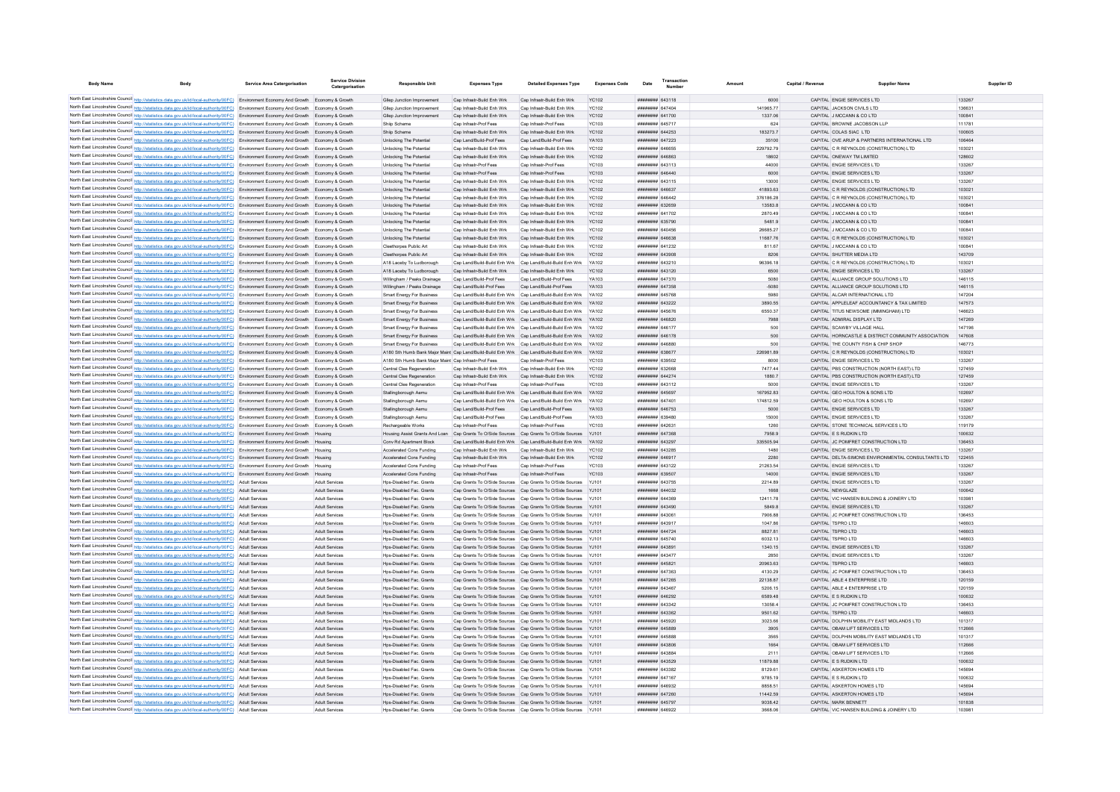| <b>Body Name</b>                                                                                                                                                                                                                                                                 | <b>Service Area Catergorisation</b> | <b>Service Division</b><br>Catergorisation | Responsible Unit                                         | <b>Expenses Type</b>                                     | <b>Detailed Expenses Type</b>                                                                                                                                     | <b>Expenses Code</b>  | <b>Transaction</b><br>Date<br>Number    |                    | Capital / Revenue | <b>Supplier Nam</b>                                                            |                  |
|----------------------------------------------------------------------------------------------------------------------------------------------------------------------------------------------------------------------------------------------------------------------------------|-------------------------------------|--------------------------------------------|----------------------------------------------------------|----------------------------------------------------------|-------------------------------------------------------------------------------------------------------------------------------------------------------------------|-----------------------|-----------------------------------------|--------------------|-------------------|--------------------------------------------------------------------------------|------------------|
|                                                                                                                                                                                                                                                                                  |                                     |                                            |                                                          |                                                          |                                                                                                                                                                   |                       |                                         |                    |                   | CAPITAL ENGIF SERVICES LTD                                                     |                  |
| North East Lincolnshire Council http://statistics.data.gov.uk/id/local-authority/00FC) Environment Economy And Growth Economy & Growth<br>North East Lincolnshire Council http://statistics.data.gov.uk/id/local-authority/00FC) Environment Economy And Growth Economy & Growth |                                     |                                            | Glien Junction Improvement<br>Gliep Junction Improvement | Can Infrastr-Build Enh Wrk<br>Cap Infrastr-Build Enh Wrk | Can Infrastr-Build Enh Wrk<br>Cap Infrastr-Build Enh Wrk                                                                                                          | YC102<br><b>YC102</b> | ######## 643118<br>######## 647404      | 6000<br>141965.77  |                   | CAPITAL JACKSON CIVILS LTD                                                     | 133267<br>136631 |
| North East Lincolnshire Council http://statistics.data.gov.uk/id/local-authority/00FC) Environment Economy And Growth Economy & Growth                                                                                                                                           |                                     |                                            | Gliep Junction Improvement                               | Cap Infrastr-Build Enh Wrk                               | Cap Infrastr-Build Enh Wrk                                                                                                                                        | <b>YC102</b>          | ######## 641700                         | 1337.06            |                   | CAPITAL J MCCANN & CO LTD                                                      | 100841           |
| North East Lincolnshire Council http://statistics.data.gov.uk/id/local-authority/00FC) Environment Economy And Growth Economy & Growth                                                                                                                                           |                                     |                                            | Shiip Scheme                                             | Cap Infrastr-Prof Fees                                   | Cap Infrastr-Prof Fees                                                                                                                                            | YC103                 | ####### 645717                          | 624                |                   | CAPITAL BROWNE JACOBSON LLP                                                    | 111781           |
| North East Lincolnshire Council http://statistics.data.gov.uk/id/local-authority/00FC) Environment Economy And Growth Economy & Growth                                                                                                                                           |                                     |                                            | Shiip Scheme                                             | Cap Infrastr-Build Enh Wrk                               | Cap Infrastr-Build Enh Wrk                                                                                                                                        | YC102                 | ####### 644253                          | 183273.7           |                   | CAPITAL COLAS SIAC LTD                                                         | 100605           |
| North East Lincolnshire Council http://statistics.data.gov.uk/id/local-authority/00FC) Environment Economy And Growth Economy & Growth                                                                                                                                           |                                     |                                            | Unlocking The Potential                                  | Cap Land/Build-Prof Fees                                 | Cap Land/Build-Prof Fees                                                                                                                                          | YA103                 | ####### 647223                          | 35100              |                   | CAPITAL OVE ARUP & PARTNERS INTERNATIONAL LTD                                  | 106464           |
| North East Lincolnshire Council http://statistics.data.gov.uk/id/local-authority/00FC) Environment Economy And Growth Economy & Growth                                                                                                                                           |                                     |                                            | Unlocking The Potential                                  | Cap Infrastr-Build Enh Wrk                               | Cap Infrastr-Build Enh Wrk                                                                                                                                        | YC102                 | ####### 646655                          | 229792.79          |                   | CAPITAL C R REYNOLDS (CONSTRUCTION) LTD                                        | 103021           |
| North East Lincolnshire Council http://statistics.data.gov.uk/id/local-authority/00FC) Environment Economy And Growth Economy & Growth                                                                                                                                           |                                     |                                            | Unlocking The Potential                                  | Cap Infrastr-Build Enh Wrk                               | Cap Infrastr-Build Enh Wrk                                                                                                                                        | <b>YC102</b>          | ######## 646863                         | 18602              |                   | CAPITAL ONEWAY TM LIMITED                                                      | 128602           |
| North East Lincolnshire Council http://statistics.data.gov.uk/id/local-authority/00FC) Environment Economy And Growth Economy & Growth                                                                                                                                           |                                     |                                            | Unlocking The Potential                                  | Cap Infrastr-Prof Fees                                   | Cap Infrastr-Prof Fees                                                                                                                                            | <b>YC103</b>          | ######## 643113                         | 44000              |                   | CAPITAL ENGIE SERVICES LTD                                                     | 133267           |
| North East Lincolnshire Council http://statistics.data.gov.uk/id/local-authority/00FC) Environment Economy And Growth Economy & Growth                                                                                                                                           |                                     |                                            | Unlocking The Potential                                  | Cap Infrastr-Prof Fees                                   | Cap Infrastr-Prof Fees                                                                                                                                            | <b>YC103</b>          | ######## 646440                         | 6000               |                   | CAPITAL ENGIE SERVICES LTD                                                     | 133267           |
| North East Lincolnshire Council http://statistics.data.gov.uk/id/local-authority/00FC) Environment Economy And Growth Economy & Growth                                                                                                                                           |                                     |                                            | Unlocking The Potential                                  | Cap Infrastr-Build Enh Wrk                               | Cap Infrastr-Build Enh Wrk                                                                                                                                        | YC102                 | ####### 643115                          | 13000              |                   | CAPITAL ENGIE SERVICES LTD                                                     | 133267           |
| North East Lincolnshire Council http://statistics.data.gov.uk/id/local-authority/00FC) Environment Economy And Growth Economy & Growth                                                                                                                                           |                                     |                                            | Unlocking The Potential                                  | Cap Infrastr-Build Enh Wrk                               | Cap Infrastr-Build Enh Wrk                                                                                                                                        | YC102                 | ####### 646637                          | 4189363            |                   | CAPITAL C R REYNOLDS (CONSTRUCTION) LTD                                        | 103021           |
| North East Lincolnshire Council http://statistics.data.gov.uk/id/local-authority/00FC) Environment Economy And Growth Economy & Growth                                                                                                                                           |                                     |                                            | Unlocking The Potential                                  | Can Infrastr-Build Enh Wrk                               | Cap Infrastr-Build Enh Wrk                                                                                                                                        | YC102                 | CAAAA BRBBBBBB                          | 376186.28          |                   | CAPITAL C R REYNOLDS (CONSTRUCTION) LTD                                        | 103021           |
| North East Lincolnshire Council http://statistics.data.gov.uk/id/local-authority/00FC) Environment Economy And Growth Economy & Growth                                                                                                                                           |                                     |                                            | Unlocking The Potential                                  | Can Infrastr-Build Enh Wrk<br>Cap Infrastr-Build Enh Wrk | Can Infrastr-Build Enh Wrk<br>Cap Infrastr-Build Enh Wrk                                                                                                          | YC102<br>YC102        | ####### 632659<br><b>иннинин</b> 641702 | 135838<br>2870.49  |                   | CAPITAL J MCCANN & CO LTD<br>CAPITAL J MCCANN & CO LTD                         | 100841<br>100841 |
| North East Lincolnshire Council http://statistics.data.gov.uk/id/local-authority/00FC) Environment Economy And Growth Economy & Growth                                                                                                                                           |                                     |                                            | Unlocking The Potential<br>Unlocking The Potential       | Cap Infrastr-Build Enh Wrk                               | Cap Infrastr-Build Enh Wrk                                                                                                                                        | <b>YC102</b>          | ######## 635790                         | 5481.9             |                   | CAPITAL J MCCANN & CO LTD                                                      | 100841           |
| North East Lincolnshire Council http://statistics.data.gov.uk/id/local-authority/00FC) Environment Economy And Growth Economy & Growth<br>North East Lincolnshire Council http://statistics.data.gov.uk/id/local-authority/00FC) Environment Economy And Growth Economy & Growth |                                     |                                            | Unlocking The Potential                                  | Cap Infrastr-Build Enh Wrk                               | Cap Infrastr-Build Enh Wrk                                                                                                                                        | <b>YC102</b>          | ####### 640456                          | 26685.27           |                   | CAPITAL J MCCANN & CO LTD                                                      | 10084            |
| North East Lincolnshire Council http://statistics.data.gov.uk/id/local-authority/00FC) Environment Economy And Growth Economy & Growth                                                                                                                                           |                                     |                                            | Unlocking The Potential                                  | Cap Infrastr-Build Enh Wrk                               | Cap Infrastr-Build Enh Wrk                                                                                                                                        | <b>YC102</b>          | ######## 646638                         | 11687.76           |                   | CAPITAL C R REYNOLDS (CONSTRUCTION) LTD                                        | 103021           |
| North East Lincolnshire Council http://statistics.data.gov.uk/id/local-authority/00FC) Environment Economy And Growth Economy & Growth                                                                                                                                           |                                     |                                            | Cleethorpes Public Art                                   | Cap Infrastr-Build Enh Wrk                               | Cap Infrastr-Build Enh Wrk                                                                                                                                        | <b>YC102</b>          | ######## 641232                         | 811.67             |                   | CAPITAL J MCCANN & CO LTD                                                      | 100841           |
| North East Lincolnshire Council http://statistics.data.gov.uk/id/local-authority/00FC) Environment Economy And Growth Economy & Growth                                                                                                                                           |                                     |                                            | Cleethorpes Public Art                                   | Cap Infrastr-Build Enh Wrk                               | Cap Infrastr-Build Enh Wrk                                                                                                                                        | YC102                 | ######## 643908                         | 8206               |                   | CAPITAL SHUTTER MEDIA LTD                                                      | 143709           |
| North East Lincolnshire Council http://statistics.data.gov.uk/id/local-authority/00FC) Environment Economy And Growth Economy & Growth                                                                                                                                           |                                     |                                            | A18 Laceby To Ludborough                                 |                                                          | Cap Land/Build-Build Enh Wrk Cap Land/Build-Build Enh Wrk YA102                                                                                                   |                       | ######## 643210                         | 96396.18           |                   | CAPITAL C R REYNOLDS (CONSTRUCTION) LTD                                        | 103021           |
| North East Lincolnshire Council http://statistics.data.gov.uk/id/local-authority/00FC) Environment Economy And Growth Economy & Growth                                                                                                                                           |                                     |                                            | A18 Laceby To Ludborough                                 | Cap Infrastr-Build Enh Wrk                               | Cap Infrastr-Build Enh Wrk                                                                                                                                        | <b>YC102</b>          | ######## 643120                         | 6500               |                   | CAPITAL ENGIE SERVICES LTD                                                     | 133267           |
| North East Lincolnshire Council http://statistics.data.gov.uk/id/local-authority/00FC) Environment Economy And Growth Economy & Growth                                                                                                                                           |                                     |                                            | Willingham / Peaks Drainage                              | Cap Land/Build-Prof Fees                                 | Cap Land/Build-Prof Fees                                                                                                                                          | YA103                 | ######## 647370                         | 5080               |                   | CAPITAL ALLIANCE GROUP SOLUTIONS LTD                                           | 146115           |
| North East Lincolnshire Council http://statistics.data.gov.uk/id/local-authority/00FC) Environment Economy And Growth Economy & Growth                                                                                                                                           |                                     |                                            | Willingham / Peaks Drainage                              | Cap Land/Build-Prof Fees                                 | Cap Land/Build-Prof Fees                                                                                                                                          | YA103                 | ####### 647358                          | $-5080$            |                   | CAPITAL ALLIANCE GROUP SOLUTIONS LTD                                           | 146115           |
| North East Lincolnshire Council http://statistics.data.gov.uk/id/local-authority/00FC) Environment Economy And Growth Economy & Growth                                                                                                                                           |                                     |                                            | <b>Smart Energy For Busines:</b>                         | Cap Land/Build-Build Enh Wrk                             | Cap Land/Build-Build Enh Wrk                                                                                                                                      | <b>YA102</b>          | ####### 645768                          | 5980               |                   | CAPITAL ALCAR INTERNATIONAL LTD                                                | 147204           |
| North East Lincolnshire Council http://statistics.data.gov.uk/id/local-authority/00FC) Environment Economy And Growth Economy & Growth                                                                                                                                           |                                     |                                            | <b>Smart Energy For Business</b>                         |                                                          | Cap Land/Build-Build Enh Wrk Cap Land/Build-Build Enh Wrk YA102                                                                                                   |                       | ######## 643222                         | 3890.55            |                   | CAPITAL APPLELEAF ACCOUNTANCY & TAX LIMITED                                    | 147573           |
| North East Lincolnshire Council http://statistics.data.gov.uk/id/local-authority/00FC) Environment Economy And Growth Economy & Growth                                                                                                                                           |                                     |                                            | <b>Smart Energy For Business</b>                         |                                                          | Cap Land/Build-Build Enh Wrk Cap Land/Build-Build Enh Wrk YA102                                                                                                   |                       | ######## 645676                         | 6550.37            |                   | CAPITAL TITUS NEWSOME (IMMINGHAM) LTD                                          | 146623           |
| North East Lincolnshire Council http://statistics.data.gov.uk/id/local-authority/00FC) Environment Economy And Growth Economy & Growth                                                                                                                                           |                                     |                                            | Smart Energy For Business                                |                                                          | Cap Land/Build-Build Enh Wrk Cap Land/Build-Build Enh Wrk YA102                                                                                                   |                       | ######## 646820                         | 7988               |                   | CAPITAL ADMIRAL DISPLAY LTD                                                    | 147269           |
| North East Lincolnshire Council http://statistics.data.gov.uk/id/local-authority/00FC) Environment Economy And Growth Economy & Growth                                                                                                                                           |                                     |                                            | <b>Smart Energy For Business</b>                         |                                                          | Cap Land/Build-Build Enh Wrk Cap Land/Build-Build Enh Wrk YA102                                                                                                   |                       | ######## 646177                         | 500                |                   | CAPITAL SCAWBY VILLAGE HALL                                                    | 147196           |
| North East Lincolnshire Council http://statistics.data.gov.uk/id/local-authority/00FC) Environment Economy And Growth Economy & Growth                                                                                                                                           |                                     |                                            | <b>Smart Energy For Business</b>                         |                                                          | Cap Land/Build-Build Enh Wrk Cap Land/Build-Build Enh Wrk YA102                                                                                                   |                       | ######## 646178                         | 500                |                   | CAPITAL HORNCASTLE & DISTRICT COMMUNITY ASSOCIATION                            | 147608           |
| North East Lincolnshire Council http://statistics.data.gov.uk/id/local-authority/00FC) Environment Economy And Growth Economy & Growth<br>North East Lincolnshire Council http://statistics.data.gov.uk/id/local-authority/00FC) Environment Economy And Growth Economy & Growth |                                     |                                            | <b>Smart Energy For Business</b>                         |                                                          | Cap Land/Build-Build Enh Wrk Cap Land/Build-Build Enh Wrk YA102<br>A180 Sth Humb Bank Major Maint Cap Land/Build-Build Enh Wrk Cap Land/Build-Build Enh Wrk YA102 |                       | ####### 646880<br>######## 638677       | 500<br>226981.89   |                   | CAPITAL THE COUNTY FISH & CHIP SHOP<br>CAPITAL C R REYNOLDS (CONSTRUCTION) LTD | 146773<br>103021 |
| North East Lincolnshire Council http://statistics.data.gov.uk/id/local-authority/00FC) Environment Economy And Growth Economy & Growth                                                                                                                                           |                                     |                                            | A180 Sth Humb Bank Major Maint Can Infrastr-Prof Fees    |                                                          | Can Infrastr-Prof Fees                                                                                                                                            | YC103                 | ######## 639502                         | 8000               |                   | CAPITAL ENGIF SERVICES LTD.                                                    | 133267           |
| North East Lincolnshire Council http://statistics.data.gov.uk/id/local-authority/00FC) Environment Economy And Growth Economy & Growth                                                                                                                                           |                                     |                                            | Central Clee Regeneration                                | Can Infrastr-Build Enh Wrk                               | Can Infrastr-Build Fnh Wrk                                                                                                                                        | YC102                 | ######## 632668                         | 747744             |                   | CAPITAL PRS CONSTRUCTION (NORTH FAST) LTD                                      | 127459           |
| North East Lincolnshire Council http://statistics.data.gov.uk/id/local-authority/00FC) Environment Economy And Growth Economy & Growth                                                                                                                                           |                                     |                                            | Central Clee Regeneration                                | Cap Infrastr-Build Enh Wrk                               | Cap Infrastr-Build Enh Wrk                                                                                                                                        | YC102                 | ######## 644274                         | 1880.7             |                   | CAPITAL PBS CONSTRUCTION (NORTH EAST) LTD                                      | 127459           |
| North East Lincolnshire Council http://statistics.data.gov.uk/id/local-authority/00FC) Environment Economy And Growth Economy & Growth                                                                                                                                           |                                     |                                            | Central Clee Regeneration                                | Cap Infrastr-Prof Fees                                   | Cap Infrastr-Prof Fees                                                                                                                                            | YC103                 | ######## 643112                         | 5000               |                   | CAPITAL ENGIE SERVICES LTD                                                     | 133267           |
| North East Lincolnshire Council http://statistics.data.gov.uk/id/local-authority/00FC) Environment Economy And Growth Economy & Growth                                                                                                                                           |                                     |                                            | Stallingborough Aemu                                     |                                                          | Cap Land/Build-Build Enh Wrk Cap Land/Build-Build Enh Wrk                                                                                                         | <b>YA102</b>          | ######## 645697                         | 167952.83          |                   | CAPITAL GEO HOULTON & SONS LTD                                                 | 102697           |
| North East Lincolnshire Council http://statistics.data.gov.uk/id/local-authority/00FC) Environment Economy And Growth                                                                                                                                                            |                                     | Economy & Growt                            | Stallingborough Aemu                                     |                                                          | Cap Land/Build-Build Enh Wrk Cap Land/Build-Build Enh Wrk                                                                                                         | YA102                 | ######## 647401                         | 174812.59          |                   | CAPITAL GEO HOULTON & SONS LTD                                                 | 102697           |
| North East Lincolnshire Council http://statistics.data.gov.uk/id/local-authority/00FC) Environment Economy And Growth Economy & Growth                                                                                                                                           |                                     |                                            | Stallingborough Aemu                                     | Cap Land/Build-Prof Fees                                 | Cap Land/Build-Prof Fees                                                                                                                                          | YA103                 | ######## 646753                         | 5000               |                   | CAPITAL ENGIF SERVICES LTD.                                                    | 133267           |
| North East Lincolnshire Council http://statistics.data.gov.uk/id/local-authority/00FC) Environment Economy And Growth Economy & Growth                                                                                                                                           |                                     |                                            | Stallinghorough Aemu                                     | Can Land/Build-Prof Fees                                 | Can Land/Build-Prof Fees                                                                                                                                          | YA103                 | CRAPER BREERE                           | 15000              |                   | CAPITAL ENGIF SERVICES LTD.                                                    | 133267           |
| North East Lincolnshire Council http://statistics.data.gov.uk/id/local-authority/00FC) Environment Economy And Growth Economy & Growth                                                                                                                                           |                                     |                                            | Rechargeable Works                                       | Cap Infrastr-Prof Fees                                   | Cap Infrastr-Prof Fees                                                                                                                                            | <b>YC103</b>          | ######## 642631                         | 1260               |                   | CAPITAL STONE TECHNICAL SERVICES LTD                                           | 119179           |
| North East Lincolnshire Council http://statistics.data.gov.uk/id/local-authority/00FC) Environment Economy And Growth Housing                                                                                                                                                    |                                     |                                            |                                                          |                                                          | Housing Assist Grants And Loan Cap Grants To O/Side Sources Cap Grants To O/Side Sources YJ101                                                                    |                       | ######## 647368                         | 7958.9             |                   | CAPITAL E S RUDKIN LTD                                                         | 100632           |
| North East Lincolnshire Council http://statistics.data.gov.uk/id/local-authority/00FC) Environment Economy And Growth Housing                                                                                                                                                    |                                     |                                            | Conv Rd Apartment Block                                  |                                                          | Cap Land/Build-Build Enh Wrk Cap Land/Build-Build Enh Wrk YA102                                                                                                   |                       | ######## 643297                         | 335505.94          |                   | CAPITAL JC POMFRET CONSTRUCTION LTD                                            | 136453           |
| North East Lincolnshire Council http://statistics.data.gov.uk/id/local-authority/00FC) Environment Economy And Growth Housing                                                                                                                                                    |                                     |                                            | Accelerated Cons Funding                                 | Cap Infrastr-Build Enh Wrk                               | Cap Infrastr-Build Enh Wrk                                                                                                                                        | YC102                 | ####### 643285                          | 1480               |                   | CAPITAL ENGIE SERVICES LTD                                                     | 133267           |
| North East Lincolnshire Council http://statistics.data.gov.uk/id/local-authority/00FC) Environment Economy And Growth Housing                                                                                                                                                    |                                     |                                            | Accelerated Cons Funding                                 | Cap Infrastr-Build Enh Wrk                               | Cap Infrastr-Build Enh Wrk                                                                                                                                        | <b>YC102</b>          | ######## 646917                         | 2280               |                   | CAPITAL DELTA-SIMONS ENVIRONMENTAL CONSULTANTS LTD                             | 122455           |
| North East Lincolnshire Council http://statistics.data.gov.uk/id/local-authority/00FC) Environment Economy And Growth Housing                                                                                                                                                    |                                     |                                            | Accelerated Cons Funding                                 | Cap Infrastr-Prof Fees                                   | Cap Infrastr-Prof Fees                                                                                                                                            | YC103                 | <b>иннинин</b> 643122                   | 21263.54           |                   | CAPITAL ENGIE SERVICES LTD                                                     | 133267           |
| North East Lincolnshire Council http://statistics.data.gov.uk/id/local-authority/00FC) Environment Economy And Growth Housing<br>North East Lincolnshire Council http://statistics.data.gov.uk/id/local-authority/00FC) Adult Services                                           |                                     | Adult Services                             | Accelerated Cons Funding<br>Hps-Disabled Fac. Grants     | Cap Infrastr-Prof Fees                                   | Cap Infrastr-Prof Fees<br>Cap Grants To O/Side Sources Cap Grants To O/Side Sources YJ101                                                                         | <b>YC103</b>          | ######## 639507<br>####### 643755       | 14000<br>2214.89   |                   | CAPITAL ENGIE SERVICES LTD<br>CAPITAL ENGIE SERVICES LTD                       | 133267<br>133267 |
| North East Lincolnshire Council http://statistics.data.gov.uk/id/local-authority/00FC) Adult Services                                                                                                                                                                            |                                     | <b>Adult Services</b>                      | Hps-Disabled Fac. Grants                                 |                                                          | Cap Grants To O/Side Sources Cap Grants To O/Side Sources YJ101                                                                                                   |                       | ######## 644032                         | 1668               |                   | CAPITAL NEWGLAZE                                                               | 100642           |
| North East Lincolnshire Council http://statistics.data.gov.uk/id/local-authority/00FC) Adult Services                                                                                                                                                                            |                                     | Adult Services                             | Hps-Disabled Fac. Grants                                 |                                                          | Cap Grants To O/Side Sources Cap Grants To O/Side Sources YJ101                                                                                                   |                       | ####### 644369                          | 12411.78           |                   | CAPITAL VIC HANSEN BUILDING & JOINERY LTD                                      | 103981           |
| North East Lincolnshire Council http://statistics.data.gov.uk/id/local-authority/00FC) Adult Services                                                                                                                                                                            |                                     | Adult Services                             | Hps-Disabled Fac. Grants                                 |                                                          | Cap Grants To O/Side Sources Cap Grants To O/Side Sources YJ101                                                                                                   |                       | ####### 643490                          | 5849.8             |                   | CAPITAL ENGIE SERVICES LTD                                                     | 133267           |
| North East Lincolnshire Council http://statistics.data.gov.uk/id/local-authority/00FC) Adult Services                                                                                                                                                                            |                                     | Adult Services                             | Hns-Disabled Fac Grants                                  |                                                          | Can Grants To O/Side Sources Can Grants To O/Side Sources Y-1101                                                                                                  |                       | ######## 643061                         | 790688             |                   | CAPITAL JC POMERET CONSTRUCTION LTD                                            | 136453           |
| North East Lincolnshire Council http://statistics.data.gov.uk/id/local-authority/00FC) Adult Services                                                                                                                                                                            |                                     | <b>Adult Services</b>                      | Hns-Disabled Fac Grants                                  |                                                          | Can Grants To O/Side Sources Can Grants To O/Side Sources Y-1101                                                                                                  |                       | ######## 643917                         | 104786             |                   | CAPITAL TSPRO LTD                                                              | 146603           |
| North East Lincolnshire Council http://statistics.data.gov.uk/id/local-authority/00FC) Adult Services                                                                                                                                                                            |                                     | Adult Services                             | Hos-Disabled Fac. Grants                                 |                                                          | Cap Grants To O/Side Sources Cap Grants To O/Side Sources YJ101                                                                                                   |                       | ######## 644724                         | 8827.81            |                   | CAPITAL TSPRO LTD                                                              | 146603           |
| North East Lincolnshire Council http://statistics.data.gov.uk/id/local-authority/00FC) Adult Services                                                                                                                                                                            |                                     | Adult Services                             | Hos-Disabled Fac. Grants                                 |                                                          | Cap Grants To O/Side Sources Cap Grants To O/Side Sources YJ101                                                                                                   |                       | ####### 645740                          | 6032.13            |                   | CAPITAL TSPRO LTD                                                              | 146603           |
| North East Lincolnshire Council http://statistics.data.gov.uk/id/local-authority/00FC) Adult Services                                                                                                                                                                            |                                     | Adult Services                             | Hos-Disabled Fac. Grants                                 |                                                          | Cap Grants To O/Side Sources Cap Grants To O/Side Sources YJ101                                                                                                   |                       | ######## 643891                         | 1340.15            |                   | CAPITAL ENGIE SERVICES LTD                                                     | 133267           |
| North East Lincolnshire Council http://statistics.data.gov.uk/id/local-authority/00FC) Adult Services                                                                                                                                                                            |                                     | Adult Services                             | Hos-Disabled Fac. Grants                                 |                                                          | Cap Grants To O/Side Sources Cap Grants To O/Side Sources YJ101                                                                                                   |                       | ####### 643477                          | 2850               |                   | CAPITAL ENGIE SERVICES LTD                                                     | 133267           |
| North East Lincolnshire Council http://statistics.data.gov.uk/id/local-authority/00FC) Adult Services                                                                                                                                                                            |                                     | Adult Services                             | Hos-Disabled Fac. Grants                                 |                                                          | Cap Grants To O/Side Sources Cap Grants To O/Side Sources YJ101                                                                                                   |                       | ######## 645821                         | 20963.63           |                   | CAPITAL TSPRO LTD                                                              | 146603           |
| North East Lincolnshire Council http://statistics.data.gov.uk/id/local-authority/00FC) Adult Services                                                                                                                                                                            |                                     | Adult Services                             | Hos-Disabled Fac. Grants                                 |                                                          | Cap Grants To O/Side Sources Cap Grants To O/Side Sources YJ101                                                                                                   |                       | <b>EACTES MARGARET</b>                  | 4130.29            |                   | CAPITAL JC POMFRET CONSTRUCTION LTD                                            | 136453           |
| North East Lincolnshire Council http://statistics.data.gov.uk/id/local-authority/00FC) Adult Services                                                                                                                                                                            |                                     | Adult Services                             | Hos-Disabled Fac. Grants                                 |                                                          | Cap Grants To O/Side Sources Cap Grants To O/Side Sources YJ101                                                                                                   |                       | ######## 647265                         | 22138.87           |                   | CAPITAL ABLE 4 ENTERPRISE LTD                                                  | 120159           |
| North East Lincolnshire Council http://statistics.data.gov.uk/id/local-authority/00FC) Adult Services                                                                                                                                                                            |                                     | Adult Services                             | Hos-Disabled Fac. Grants                                 |                                                          | Cap Grants To O/Side Sources Cap Grants To O/Side Sources YJ101                                                                                                   |                       | ####### 643467                          | 5206.15            |                   | CAPITAL ABLE 4 ENTERPRISE LTD                                                  | 120159           |
| North East Lincolnshire Council http://statistics.data.gov.uk/id/local-authority/00FC) Adult Services                                                                                                                                                                            |                                     | Adult Services                             | Hos-Disabled Fac. Grants                                 |                                                          | Cap Grants To O/Side Sources Cap Grants To O/Side Sources YJ101                                                                                                   |                       | ####### 646292                          | 6589.48            |                   | CAPITAL E S RUDKIN LTD                                                         | 100632           |
| North East Lincolnshire Council http://statistics.data.gov.uk/id/local-authority/00FC)                                                                                                                                                                                           | Adult Services                      | Adult Service                              | Hps-Disabled Fac. Grants                                 |                                                          | Cap Grants To O/Side Sources Cap Grants To O/Side Sources                                                                                                         |                       | ####### 643342<br><b>иннинин</b> 643362 | 13058.4            |                   | CAPITAL JC POMFRET CONSTRUCTION LTD<br>CAPITAL TSPRO LTD                       | 136453<br>146603 |
| North East Lincolnshire Council http://statistics.data.gov.uk/id/local-authority/00FC) Adult Services<br>North East Lincolnshire Council http://statistics.data.gov.uk/id/local-authority/00FC) Adult Services                                                                   |                                     | Adult Services<br>Adult Services           | Hos-Disabled Fac. Grants<br>Hos-Disabled Fac. Grants     |                                                          | Cap Grants To O/Side Sources Cap Grants To O/Side Sources YJ101<br>Cap Grants To O/Side Sources Cap Grants To O/Side Sources YJ101                                |                       | ####### 645920                          | 9501.62<br>3023.66 |                   | CAPITAL DOLPHIN MOBILITY EAST MIDLANDS LTD                                     | 101317           |
| North East Lincolnshire Council http://statistics.data.gov.uk/id/local-authority/00FC) Adult Services                                                                                                                                                                            |                                     | Adult Services                             | Hos-Disabled Fac. Grants                                 |                                                          | Cap Grants To O/Side Sources Cap Grants To O/Side Sources YJ101                                                                                                   |                       | ######## 645889                         | 3905               |                   | CAPITAL OBAM LIFT SERVICES LTD                                                 | 112666           |
| North East Lincolnshire Council http://statistics.data.gov.uk/id/local-authority/00FC) Adult Services                                                                                                                                                                            |                                     | Adult Services                             | Hos-Disabled Fac. Grants                                 |                                                          | Cap Grants To O/Side Sources Cap Grants To O/Side Sources YJ101                                                                                                   |                       | ######## 645888                         | 3565               |                   | CAPITAL DOLPHIN MOBILITY EAST MIDLANDS LTD                                     | 101317           |
| North East Lincolnshire Council http://statistics.data.gov.uk/id/local-authority/00FC) Adult Services                                                                                                                                                                            |                                     | Adult Services                             | Hps-Disabled Fac. Grants                                 |                                                          | Cap Grants To O/Side Sources Cap Grants To O/Side Sources YJ101                                                                                                   |                       | ######## 643806                         | 1664               |                   | CAPITAL OBAM LIFT SERVICES LTD                                                 | 112666           |
| North East Lincolnshire Council http://statistics.data.gov.uk/id/local-authority/00FC) Adult Services                                                                                                                                                                            |                                     | Adult Services                             | Hps-Disabled Fac. Grants                                 |                                                          | Cap Grants To O/Side Sources Cap Grants To O/Side Sources YJ101                                                                                                   |                       | ######## 643884                         | 2111               |                   | CAPITAL OBAM LIFT SERVICES LTD                                                 | 112666           |
| North East Lincolnshire Council http://statistics.data.gov.uk/id/local-authority/00FC) Adult Services                                                                                                                                                                            |                                     | Adult Services                             | Hps-Disabled Fac. Grants                                 |                                                          | Cap Grants To O/Side Sources Cap Grants To O/Side Sources YJ101                                                                                                   |                       | ####### 643529                          | 11879.88           |                   | CAPITAL E S RUDKIN LTD                                                         | 100632           |
| North East Lincolnshire Council http://statistics.data.gov.uk/id/local-authority/00FC) Adult Services                                                                                                                                                                            |                                     | Adult Services                             | Hps-Disabled Fac. Grants                                 |                                                          | Cap Grants To O/Side Sources Cap Grants To O/Side Sources YJ101                                                                                                   |                       | <b>иннинин</b> 643382                   | 8129.61            |                   | CAPITAL ASKERTON HOMES LTD                                                     | 145694           |
| North East Lincolnshire Council http://statistics.data.gov.uk/id/local-authority/00FC) Adult Services                                                                                                                                                                            |                                     | Adult Services                             | Hns-Disabled Fac Grants                                  |                                                          | Cap Grants To O/Side Sources Cap Grants To O/Side Sources YJ101                                                                                                   |                       | <b>######## 647167</b>                  | 9785.19            |                   | CAPITAL F.S.RUDKIN I TD.                                                       | 100632           |
| North East Lincolnshire Council http://statistics.data.gov.uk/id/local-authority/00FC) Adult Services                                                                                                                                                                            |                                     | Adult Services                             | Hos-Disabled Fac. Grants                                 |                                                          | Cap Grants To O/Side Sources Cap Grants To O/Side Sources YJ101                                                                                                   |                       | CEPADA BREEZER                          | 8858.51            |                   | CAPITAL ASKERTON HOMES LTD                                                     | 145694           |
| North East Lincolnshire Council http://statistics.data.gov.uk/id/local-authority/00FC) Adult Services                                                                                                                                                                            |                                     | Adult Services                             | Hos-Disabled Fac. Grants                                 |                                                          | Cap Grants To O/Side Sources Cap Grants To O/Side Sources YJ101                                                                                                   |                       | ####### 647260                          | 11442.59           |                   | CAPITAL ASKERTON HOMES LTD                                                     | 145694           |
| North East Lincolnshire Council http://statistics.data.gov.uk/id/local-authority/00FC) Adult Services                                                                                                                                                                            |                                     | Adult Services                             | Hos-Disabled Fac. Grants                                 |                                                          | Cap Grants To O/Side Sources Cap Grants To O/Side Sources YJ101                                                                                                   |                       | ######## 645797                         | 9038.42            |                   | CAPITAL MARK BENNETT                                                           | 101838           |
| North East Lincolnshire Council http://statistics.data.gov.uk/id/local-authority/00FC) Adult Services                                                                                                                                                                            |                                     | Adult Services                             | Hos-Disabled Fac. Grants                                 |                                                          | Cap Grants To O/Side Sources Cap Grants To O/Side Sources YJ101                                                                                                   |                       | CCPADA BREEZER                          | 3668.06            |                   | CAPITAL VIC HANSEN BUILDING & JOINERY LTD                                      | 103981           |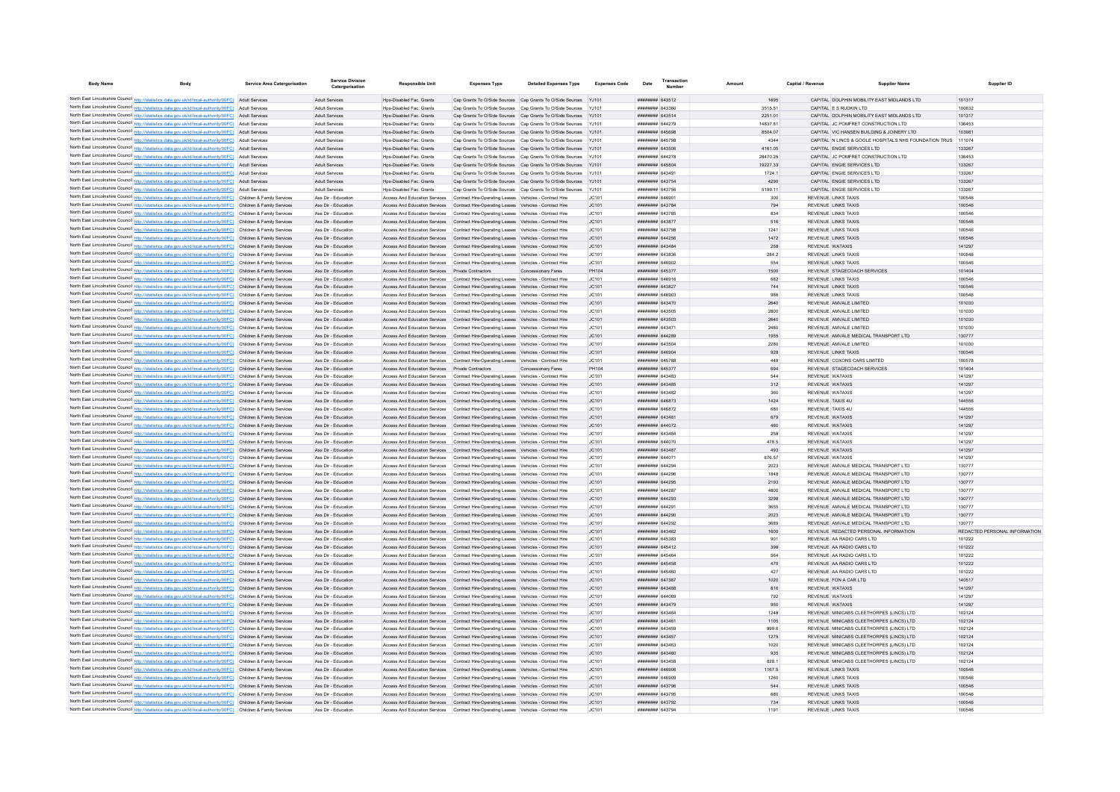| <b>Body Name</b> | <b>Body</b>                                                                                                                                                                                                                            | <b>Service Area Catergorisation</b> | <b>Service Division</b><br>Catergorisation | <b>Responsible Unit</b>                                        | <b>Expenses Type</b>                                                                                                                                                             | <b>Detailed Expenses Type</b> | <b>Expenses Code</b> | Date                                      | Transactio<br>Number | Amount         | Capital / Revenue | Supplier Name                                                                |                  | Supplier ID                   |
|------------------|----------------------------------------------------------------------------------------------------------------------------------------------------------------------------------------------------------------------------------------|-------------------------------------|--------------------------------------------|----------------------------------------------------------------|----------------------------------------------------------------------------------------------------------------------------------------------------------------------------------|-------------------------------|----------------------|-------------------------------------------|----------------------|----------------|-------------------|------------------------------------------------------------------------------|------------------|-------------------------------|
|                  | North East Lincolnshire Council http://statistics.data.gov.uk/id/local-authority/00FC) Adult Services                                                                                                                                  |                                     | Adult Services                             | Hps-Disabled Fac. Grants                                       | Cap Grants To O/Side Sources Cap Grants To O/Side Sources YJ101                                                                                                                  |                               |                      | ######## 643512                           |                      | 1695           |                   | CAPITAL DOLPHIN MOBILITY EAST MIDLANDS LTD                                   | 101317           |                               |
|                  | North East Lincolnshire Council http://statistics.data.gov.uk/id/local-authority/00FC) Adult Services                                                                                                                                  |                                     | Adult Services                             | Hns-Disabled Fac Grants                                        | Can Grants To O/Side Sources Can Grants To O/Side Sources Y.1101                                                                                                                 |                               |                      | ######## 643360                           |                      | 3515.51        |                   | CAPITAL F S RUDKIN LTD                                                       | 100632           |                               |
|                  | North East Lincolnshire Council http://statistics.data.gov.uk/id/local-authority/00FC) Adult Services                                                                                                                                  |                                     | Adult Services                             | Hns-Disabled Fac Grants                                        | Can Grants To O/Side Sources Can Grants To O/Side Sources Y-1101                                                                                                                 |                               |                      | ######## 643514                           |                      | 2251.01        |                   | CAPITAL DOLPHIN MOBILITY FAST MIDLANDS LTD                                   | 101317           |                               |
|                  | North East Lincolnshire Council http://statistics.data.gov.uk/id/local-authority/00FC) Adult Services                                                                                                                                  |                                     | Adult Services                             | Hos-Disabled Fac. Grants                                       | Cap Grants To O/Side Sources Cap Grants To O/Side Sources YJ101                                                                                                                  |                               |                      | ######## 644279                           |                      | 14837.81       |                   | CAPITAL JC POMFRET CONSTRUCTION LTD                                          | 136453           |                               |
|                  | North East Lincolnshire Council http://statistics.data.gov.uk/id/local-authority/00FC) Adult Services                                                                                                                                  |                                     | Adult Services                             | Hps-Disabled Fac. Grants                                       | Cap Grants To O/Side Sources Cap Grants To O/Side Sources YJ101                                                                                                                  |                               |                      | ######## 645698                           |                      | 8504.07        |                   | CAPITAL VIC HANSEN BUILDING & JOINERY LTD                                    | 103981           |                               |
|                  | North East Lincolnshire Council http://statistics.data.gov.uk/id/local-authority/00FC) Adult Services                                                                                                                                  |                                     | Adult Services                             | Hos-Disabled Fac. Grants                                       | Cap Grants To O/Side Sources Cap Grants To O/Side Sources YJ101                                                                                                                  |                               |                      | ######## 645798                           |                      | 4344           |                   | CAPITAL N LINCS & GOOLE HOSPITALS NHS FOUNDATION TRUS 111074                 |                  |                               |
|                  | North East Lincolnshire Council http://statistics.data.gov.uk/id/local-authority/00FC) Adult Services                                                                                                                                  |                                     | Adult Services                             | Hps-Disabled Fac. Grants                                       | Cap Grants To O/Side Sources Cap Grants To O/Side Sources YJ101                                                                                                                  |                               |                      | ######## 643506                           |                      | 4161.05        |                   | CAPITAL ENGIE SERVICES LTD                                                   | 133267           |                               |
|                  | North East Lincolnshire Council http://statistics.data.gov.uk/id/local-authority/00FC) Adult Services                                                                                                                                  |                                     | Adult Services                             | Hos-Disabled Fac. Grants                                       | Cap Grants To O/Side Sources Cap Grants To O/Side Sources YJ101                                                                                                                  |                               |                      | ######## 644278                           |                      | 28470.25       |                   | CAPITAL JC POMFRET CONSTRUCTION LTD                                          | 136453           |                               |
|                  | North East Lincolnshire Council http://statistics.data.gov.uk/id/local-authority/00FC) Adult Services                                                                                                                                  |                                     | Adult Services                             | Hos-Disabled Fac. Grants                                       | Cap Grants To O/Side Sources Cap Grants To O/Side Sources YJ101                                                                                                                  |                               |                      | ######## 645804                           |                      | 19227.33       |                   | CAPITAL ENGIE SERVICES LTD                                                   | 133267           |                               |
|                  | North East Lincolnshire Council http://statistics.data.gov.uk/id/local-authority/00FC) Adult Services<br>North East Lincolnshire Council http://statistics.data.gov.uk/id/local-authority/00FC) Adult Services                         |                                     | Adult Services<br>Adult Services           | Hos-Disabled Fac. Grants<br>Hps-Disabled Fac. Grants           | Cap Grants To O/Side Sources Cap Grants To O/Side Sources YJ101<br>Cap Grants To O/Side Sources Cap Grants To O/Side Sources YJ101                                               |                               |                      | ######## 643491<br><b>######## 643754</b> |                      | 1724.1<br>4290 |                   | CAPITAL ENGIE SERVICES LTD<br>CAPITAL ENGIE SERVICES LTD                     | 133267<br>133267 |                               |
|                  | North East Lincolnshire Council http://statistics.data.gov.uk/id/local-authority/00FC)                                                                                                                                                 | Adult Services                      | Adult Services                             | Hos-Disabled Fac. Grants                                       | Cap Grants To O/Side Sources Cap Grants To O/Side Sources                                                                                                                        |                               |                      | ######## 643756                           |                      | 5189.11        |                   | CAPITAL ENGIE SERVICES LTD                                                   | 133267           |                               |
|                  | North East Lincolnshire Council http://statistics.data.gov.uk/id/local-authority/00FC) Children & Family Services                                                                                                                      |                                     | Ass Dir - Education                        | Access And Education Services                                  | Contract Hire-Operating Leases Vehicles - Contract Hire                                                                                                                          |                               | JC101                | ####### 64690                             |                      | 300            |                   | <b>REVENUE LINKS TAXIS</b>                                                   | 100546           |                               |
|                  | North East Lincolnshire Council http://statistics.data.gov.uk/id/local-authority/00FC) Children & Family Services                                                                                                                      |                                     | Ass Dir - Education                        | Access And Education Services                                  | Contract Hire-Operating Leases Vehicles - Contract Hire                                                                                                                          |                               | JC101                | <b>########</b> 643784                    |                      | 794            |                   | REVENUE LINKS TAXIS                                                          | 100546           |                               |
|                  | North East Lincolnshire Council http://statistics.data.gov.uk/id/local-authority/00FC) Children & Family Services                                                                                                                      |                                     | Ass Dir - Education                        |                                                                | Access And Education Services  Contract Hire-Operating Leases  Vehicles - Contract Hire                                                                                          |                               | IC101                | ######## 643785                           |                      | 834            |                   | REVENUE LINKS TAXIS                                                          | 100546           |                               |
|                  | North East Lincolnshire Council http://statistics.data.gov.uk/id/local-authority/00FC) Children & Family Services                                                                                                                      |                                     | Ass Dir - Education                        |                                                                | Access And Education Services Contract Hire-Operation Leases Vehicles - Contract Hire                                                                                            |                               | JC101                | <b>######## 643877</b>                    |                      | 516            |                   | REVENUE LINKS TAXIS                                                          | 100546           |                               |
|                  | North East Lincolnshire Council http://statistics.data.gov.uk/id/local-authority/00FC) Children & Family Services                                                                                                                      |                                     | Ass Dir - Education                        |                                                                | Access And Education Services Contract Hire-Operating Leases Vehicles - Contract Hire                                                                                            |                               | JC101                | ######## 643798                           |                      | 1241           |                   | <b>REVENUE LINKS TAXIS</b>                                                   | 100546           |                               |
|                  | North East Lincolnshire Council http://statistics.data.gov.uk/id/local-authority/00FC) Children & Family Services                                                                                                                      |                                     | Ass Dir - Education                        |                                                                | Access And Education Services  Contract Hire-Operating Leases  Vehicles - Contract Hire                                                                                          |                               | JC101                | ######## 644256                           |                      | 1472           |                   | REVENUE LINKS TAXIS                                                          | 100546           |                               |
|                  | North East Lincolnshire Council http://statistics.data.gov.uk/id/local-authority/00FC) Children & Family Services                                                                                                                      |                                     | Ass Dir - Education                        |                                                                | Access And Education Services  Contract Hire-Operating Leases  Vehicles - Contract Hire                                                                                          |                               | JC101                | ######## 643484                           |                      | 258            |                   | REVENUE WATAXIS                                                              | 141297           |                               |
|                  | North East Lincolnshire Council http://statistics.data.gov.uk/id/local-authority/00FC) Children & Family Services<br>North East Lincolnshire Council http://statistics.data.gov.uk/id/local-authority/00FC) Children & Family Services |                                     | Ass Dir - Education<br>Ass Dir - Education |                                                                | Access And Education Services Contract Hire-Operating Leases Vehicles - Contract Hire<br>Access And Education Services Contract Hire-Operating Leases Vehicles - Contract Hire   |                               | JC101<br>JC101       | ######## 643836<br>coean samurate         |                      | 284.2<br>554   |                   | REVENUE LINKS TAXIS<br>REVENUE LINKS TAXIS                                   | 100546<br>100546 |                               |
|                  | North East Lincolnshire Council http://statistics.data.gov.uk/id/local-authority/00FC) Children & Family Services                                                                                                                      |                                     | Ass Dir - Education                        | Access And Education Services  Private Contractors             |                                                                                                                                                                                  | Concessionary Fares           | PH104                | ######## 645377                           |                      | 1500           |                   | REVENUE STAGECOACH SERVICES                                                  | 101404           |                               |
|                  | North East Lincolnshire Council http://statistics.data.gov.uk/id/local-authority/00FC) Children & Family Services                                                                                                                      |                                     | Ass Dir - Education                        |                                                                | Access And Education Services  Contract Hire-Operating Leases  Vehicles - Contract Hire                                                                                          |                               | JC101                | ######## 646916                           |                      | 682            |                   | <b>REVENUE LINKS TAXIS</b>                                                   | 100546           |                               |
|                  | North East Lincolnshire Council http://statistics.data.gov.uk/id/local-authority/00FC) Children & Family Services                                                                                                                      |                                     | Ass Dir - Education                        |                                                                | Access And Education Services Contract Hire-Operating Leases Vehicles - Contract Hire                                                                                            |                               | JC101                | ######## 643827                           |                      | 744            |                   | REVENUE LINKS TAXIS                                                          | 100546           |                               |
|                  | North East Lincolnshire Council http://statistics.data.gov.uk/id/local-authority/00FC) Children & Family Services                                                                                                                      |                                     | Ass Dir - Education                        |                                                                | Access And Education Services Contract Hire-Operating Leases Vehicles - Contract Hire                                                                                            |                               | JC101                | ######## 646903                           |                      | 986            |                   | REVENUE LINKS TAXIS                                                          | 100546           |                               |
|                  | North East Lincolnshire Council http://statistics.data.gov.uk/id/local-authority/00FC) Children & Family Services                                                                                                                      |                                     | Ass Dir - Education                        | Access And Education Services                                  | Contract Hire-Operating Leases Vehicles - Contract Hire                                                                                                                          |                               | JC101                | ######## 643470                           |                      | 2640           |                   | REVENUE AMVALE LIMITED                                                       | 101030           |                               |
|                  | North East Lincolnshire Council http://statistics.data.gov.uk/id/local-authority/00FC) Children & Family Services                                                                                                                      |                                     | Ass Dir - Education                        |                                                                | Access And Education Services  Contract Hire-Operating Leases  Vehicles - Contract Hire                                                                                          |                               | JC101                | ####### 643505                            |                      | 2800           |                   | REVENUE AMVALE LIMITED                                                       | 101030           |                               |
|                  | North East Lincolnshire Council http://statistics.data.gov.uk/id/local-authority/00FC) Children & Family Services                                                                                                                      |                                     | Ass Dir - Education                        |                                                                | Access And Education Services Contract Hire-Operating Leases Vehicles - Contract Hire                                                                                            |                               | JC101                | ######## 643503                           |                      | 2640           |                   | REVENUE AMVALE LIMITED                                                       | 101030           |                               |
|                  | North East Lincolnshire Council http://statistics.data.gov.uk/id/local-authority/00FC) Children & Family Services                                                                                                                      |                                     | Ass Dir - Education                        |                                                                | Access And Education Services Contract Hire-Operation Leases Vehicles - Contract Hire                                                                                            |                               | IC101                | ####### 643471                            |                      | 2480           |                   | REVENUE AMVALE LIMITED                                                       | 101030           |                               |
|                  | North East Lincolnshire Council http://statistics.data.gov.uk/id/local-authority/00FC) Children & Family Services                                                                                                                      |                                     | Ass Dir - Education                        |                                                                | Access And Education Services Contract Hire-Operating Leases Vehicles - Contract Hire                                                                                            |                               | JC101                | ######## 644289                           |                      | 1955           |                   | REVENUE AMVALE MEDICAL TRANSPORT LTD                                         | 130777           |                               |
|                  | North East Lincolnshire Council http://statistics.data.gov.uk/id/local-authority/00FC) Children & Family Services                                                                                                                      |                                     | Ass Dir - Education<br>Ass Dir - Education |                                                                | Access And Education Services  Contract Hire-Operating Leases  Vehicles - Contract Hire<br>Access And Education Services Contract Hire-Operating Leases Vehicles - Contract Hire |                               | JC101<br>JC101       | ######## 643504<br>######## 646904        |                      | 2280<br>928    |                   | REVENUE AMVALE LIMITED<br><b>REVENUE LINKS TAXIS</b>                         | 101030<br>100546 |                               |
|                  | North East Lincolnshire Council http://statistics.data.gov.uk/id/local-authority/00FC) Children & Family Services<br>North East Lincolnshire Council http://statistics.data.gov.uk/id/local-authority/00FC) Children & Family Services |                                     | Ass Dir - Education                        |                                                                | Access And Education Services  Contract Hire-Operating Leases  Vehicles - Contract Hire                                                                                          |                               | JC101                | ####### 645788                            |                      | 448            |                   | REVENUE COXONS CARS LIMITED                                                  | 100578           |                               |
|                  | North East Lincolnshire Council http://statistics.data.gov.uk/id/local-authority/00FC) Children & Family Services                                                                                                                      |                                     | Ass Dir - Education                        | Access And Education Services Private Contractors              |                                                                                                                                                                                  | Concessionary Fares           | PH104                | ######## 645377                           |                      | 694            |                   | REVENUE STAGECOACH SERVICES                                                  | 101404           |                               |
|                  | North East Lincolnshire Council http://statistics.data.gov.uk/id/local-authority/00FC) Children & Family Services                                                                                                                      |                                     | Ass Dir - Education                        |                                                                | Access And Education Services  Contract Hire-Operating Leases  Vehicles - Contract Hire                                                                                          |                               | JC101                | ERbEDA BRREER                             |                      | 544            |                   | REVENUE WATAXIS                                                              | 141297           |                               |
|                  | North East Lincolnshire Council http://statistics.data.gov.uk/id/local-authority/00FC) Children & Family Services                                                                                                                      |                                     | Ass Dir - Education                        |                                                                | Access And Education Services Contract Hire-Operating Leases Vehicles - Contract Hire                                                                                            |                               | JC101                | ######## 643485                           |                      | 312            |                   | REVENUE WATAXIS                                                              | 141297           |                               |
|                  | North East Lincolnshire Council http://statistics.data.gov.uk/id/local-authority/00FC) Children & Family Services                                                                                                                      |                                     | Ass Dir - Education                        |                                                                | Access And Education Services  Contract Hire-Operating Leases  Vehicles - Contract Hire                                                                                          |                               | JC101                | ######## 643482                           |                      | 360            |                   | <b>REVENUE WATAXIS</b>                                                       | 141297           |                               |
|                  | North East Lincolnshire Council http://statistics.data.gov.uk/id/local-authority/00FC) Children & Family Services                                                                                                                      |                                     | Ass Dir - Education                        |                                                                | Access And Education Services Contract Hire-Operating Leases Vehicles - Contract Hire                                                                                            |                               | JC101                | ######## 646873                           |                      | 1424           |                   | REVENUE TAXIS 4U                                                             | 144556           |                               |
|                  | North East Lincolnshire Council http://statistics.data.gov.uk/id/local-authority/00FC) Children & Family Services                                                                                                                      |                                     | Ass Dir - Education                        | Access And Education Services                                  | Contract Hire-Operating Leases Vehicles - Contract Hire                                                                                                                          |                               | JC101                | ######## 646872                           |                      | 680            |                   | REVENUE TAXIS 4U                                                             | 144556           |                               |
|                  | North East Lincolnshire Council http://statistics.data.gov.uk/id/local-authority/00FC) Children & Family Services                                                                                                                      |                                     | Ass Dir - Education                        | Access And Education Services                                  | Contract Hire-Operating Leases Vehicles - Contract Hire                                                                                                                          |                               | JC101                | ######## 643481                           |                      | 679            |                   | REVENUE WATAXIS                                                              | 141297           |                               |
|                  | North East Lincolnshire Council http://statistics.data.gov.uk/id/local-authority/00FC) Children & Family Services                                                                                                                      |                                     | Ass Dir - Education                        |                                                                | Access And Education Services Contract Hire-Operating Leases Vehicles - Contract Hire                                                                                            |                               | JC101                | $HHHHHHHH$ $644072$                       |                      | 460            |                   | <b>REVENUE WATAXIS</b>                                                       | 141297           |                               |
|                  | North East Lincolnshire Council http://statistics.data.gov.uk/id/local-authority/00FC) Children & Family Services<br>North East Lincolnshire Council http://statistics.data.gov.uk/id/local-authority/00FC) Children & Family Services |                                     | Ass Dir - Education<br>Ass Dir - Education |                                                                | Access And Education Services Contract Hire-Operation Leases Vehicles - Contract Hire<br>Access And Education Services Contract Hire-Operation Leases Vehicles - Contract Hire   |                               | IC101<br>IC.101      | HHHHHHH 643484<br><b>########</b> 644070  |                      | 258<br>478.5   |                   | REVENUE WATAXIS<br>REVENUE WATAXIS                                           | 141297<br>141297 |                               |
|                  | North East Lincolnshire Council http://statistics.data.gov.uk/id/local-authority/00FC) Children & Family Services                                                                                                                      |                                     | Ass Dir - Education                        |                                                                | Access And Education Services Contract Hire-Operating Leases Vehicles - Contract Hire                                                                                            |                               | JC101                | ######## 643487                           |                      | 493            |                   | REVENUE WATAXIS                                                              | 141297           |                               |
|                  | North East Lincolnshire Council http://statistics.data.gov.uk/id/local-authority/00FC) Children & Family Services                                                                                                                      |                                     | Ass Dir - Education                        |                                                                | Access And Education Services  Contract Hire-Operating Leases  Vehicles - Contract Hire                                                                                          |                               | JC101                | ######## 644071                           |                      | 676.57         |                   | <b>REVENUE WATAXIS</b>                                                       | 141297           |                               |
|                  | North East Lincolnshire Council http://statistics.data.gov.uk/id/local-authority/00FC) Children & Family Services                                                                                                                      |                                     | Ass Dir - Education                        |                                                                | Access And Education Services  Contract Hire-Operating Leases  Vehicles - Contract Hire                                                                                          |                               | JC101                | ######## 644294                           |                      | 2023           |                   | REVENUE AMVALE MEDICAL TRANSPORT LTD                                         | 130777           |                               |
|                  | North East Lincolnshire Council http://statistics.data.gov.uk/id/local-authority/00FC) Children & Family Services                                                                                                                      |                                     | Ass Dir - Education                        |                                                                | Access And Education Services  Contract Hire-Operating Leases  Vehicles - Contract Hire                                                                                          |                               | JC101                | ######## 644296                           |                      | 1848           |                   | REVENUE AMVALE MEDICAL TRANSPORT LTD                                         | 130777           |                               |
|                  | North East Lincolnshire Council http://statistics.data.gov.uk/id/local-authority/00FC) Children & Family Services                                                                                                                      |                                     | Ass Dir - Education                        |                                                                | Access And Education Services Contract Hire-Operating Leases Vehicles - Contract Hire                                                                                            |                               | JC101                | ######## 644295                           |                      | 2193           |                   | REVENUE AMVALE MEDICAL TRANSPORT LTD.                                        | 130777           |                               |
|                  | North East Lincolnshire Council http://statistics.data.gov.uk/id/local-authority/00FC) Children & Family Services                                                                                                                      |                                     | Ass Dir - Education                        |                                                                | Access And Education Services  Contract Hire-Operating Leases  Vehicles - Contract Hire                                                                                          |                               | JC101                | ####### 644287                            |                      | 4800           |                   | REVENUE AMVALE MEDICAL TRANSPORT LTD                                         | 130777           |                               |
|                  | North East Lincolnshire Council http://statistics.data.gov.uk/id/local-authority/00FC) Children & Family Services                                                                                                                      |                                     | Ass Dir - Education                        |                                                                | Access And Education Services Contract Hire-Operating Leases Vehicles - Contract Hire                                                                                            |                               | JC101                | ######## 644293                           |                      | 3298           |                   | REVENUE AMVALE MEDICAL TRANSPORT LTD                                         | 130777           |                               |
|                  | North East Lincolnshire Council http://statistics.data.gov.uk/id/local-authority/00FC) Children & Family Services                                                                                                                      |                                     | Ass Dir - Education                        | Access And Education Services                                  | Contract Hire-Operating Leases Vehicles - Contract Hire                                                                                                                          |                               | JC101                | ####### 64429                             |                      | 3655           |                   | REVENUE AMVALE MEDICAL TRANSPORT LTD                                         | 130777           |                               |
|                  | North East Lincolnshire Council http://statistics.data.gov.uk/id/local-authority/00FC) Children & Family Services<br>North East Lincolnshire Council http://statistics.data.gov.uk/id/local-authority/00FC) Children & Family Services |                                     | Ass Dir - Education<br>Ass Dir - Education | Access And Education Services<br>Access And Education Services | Contract Hire-Operating Leases Vehicles - Contract Hire<br>Contract Hire-Operating Leases Vehicles - Contract Hire                                                               |                               | JC101<br>JC101       | ######## 644290<br>######## 644292        |                      | 2023<br>3689   |                   | REVENUE AMVALE MEDICAL TRANSPORT LTD<br>REVENUE AMVALE MEDICAL TRANSPORT LTD | 130777<br>130777 |                               |
|                  | North East Lincolnshire Council http://statistics.data.gov.uk/id/local-authority/00FC) Children & Family Services                                                                                                                      |                                     | Ass Dir - Education                        |                                                                | Access And Education Services Contract Hire-Operating Leases Vehicles - Contract Hire                                                                                            |                               | JC101                | <b>иннинин 643462</b>                     |                      | 1600           |                   | REVENUE REDACTED PERSONAL INFORMATION                                        |                  | REDACTED PERSONAL INFORMATION |
|                  | North East Lincolnshire Council http://statistics.data.gov.uk/id/local-authority/00FC) Children & Family Services                                                                                                                      |                                     | Ass Dir - Education                        |                                                                | Access And Education Services  Contract Hire-Operating Leases  Vehicles - Contract Hire                                                                                          |                               | JC101                | ######## 645383                           |                      | 901            |                   | REVENUE AA RADIO CARS LTD                                                    | 101222           |                               |
|                  | North East Lincolnshire Council http://statistics.data.gov.uk/id/local-authority/00FC) Children & Family Services                                                                                                                      |                                     | Ass Dir - Education                        |                                                                | Access And Education Services Contract Hire-Operating Leases Vehicles - Contract Hire                                                                                            |                               | JC101                | ######## 645412                           |                      | 396            |                   | REVENUE AA RADIO CARS LTD                                                    | 101222           |                               |
|                  | North East Lincolnshire Council http://statistics.data.gov.uk/id/local-authority/00FC) Children & Family Services                                                                                                                      |                                     | Ass Dir - Education                        |                                                                | Access And Education Services Contract Hire-Operating Leases Vehicles - Contract Hire                                                                                            |                               | JC101                | ######## 645464                           |                      | 564            |                   | REVENUE AA RADIO CARS ITD                                                    | 101222           |                               |
|                  | North East Lincolnshire Council http://statistics.data.gov.uk/id/local-authority/00FC) Children & Family Services                                                                                                                      |                                     | Ass Dir - Education                        |                                                                | Access And Education Services  Contract Hire-Operating Leases  Vehicles - Contract Hire                                                                                          |                               | JC101                | ######## 645458                           |                      | 470            |                   | REVENUE AA RADIO CARS LTD                                                    | 101222           |                               |
|                  | North East Lincolnshire Council http://statistics.data.gov.uk/id/local-authority/00FC) Children & Family Services                                                                                                                      |                                     | Ass Dir - Education                        |                                                                | Access And Education Services  Contract Hire-Operating Leases  Vehicles - Contract Hire                                                                                          |                               | JC101                | ######## 645460                           |                      | 427            |                   | REVENUE AA RADIO CARS LTD                                                    | 101222           |                               |
|                  | North East Lincolnshire Council http://statistics.data.gov.uk/id/local-authority/00FC) Children & Family Services                                                                                                                      |                                     | Ass Dir - Education                        |                                                                | Access And Education Services Contract Hire-Operating Leases Vehicles - Contract Hire                                                                                            |                               | JC101                | ######## 647387                           |                      | 1020           |                   | REVENUE FON A CAR LTD                                                        | 140517           |                               |
|                  | North East Lincolnshire Council http://statistics.data.gov.uk/id/local-authority/00FC) Children & Family Services                                                                                                                      |                                     | Ass Dir - Education                        |                                                                | Access And Education Services Contract Hire-Operating Leases Vehicles - Contract Hire                                                                                            |                               | IC.101               | ######## 643488                           |                      | 816            |                   | REVENUE WATAXIS                                                              | 141297           |                               |
|                  | North East Lincolnshire Council http://statistics.data.gov.uk/id/local-authority/00FC) Children & Family Services                                                                                                                      |                                     | Ass Dir - Education                        |                                                                | Access And Education Services Contract Hire-Operating Leases Vehicles - Contract Hire                                                                                            |                               | JC101                | ######## 644069                           |                      | 792            |                   | REVENUE WATAXIS                                                              | 141297           |                               |
|                  | North East Lincolnshire Council http://statistics.data.gov.uk/id/local-authority/00FC) Children & Family Services<br>North East Lincolnshire Council http://statistics.data.gov.uk/id/local-authority/00FC) Children & Family Services |                                     | Ass Dir - Education<br>Ass Dir - Education |                                                                | Access And Education Services Contract Hire-Operating Leases Vehicles - Contract Hire<br>Access And Education Services  Contract Hire-Operating Leases  Vehicles - Contract Hire |                               | JC101<br>JC101       | ######## 643479<br>######## 643464        |                      | 950<br>1248    |                   | REVENUE WATAXIS<br>REVENUE MINICABS CLEETHORPES (LINCS) LTD                  | 141297<br>102124 |                               |
|                  | North East Lincolnshire Council http://statistics.data.gov.uk/id/local-authority/00FC) Children & Family Services                                                                                                                      |                                     | Ass Dir - Education                        |                                                                | Access And Education Services  Contract Hire-Operating Leases  Vehicles - Contract Hire                                                                                          |                               | JC101                | ######## 643461                           |                      | 1105           |                   | REVENUE MINICABS CLEETHORPES (LINCS) LTD                                     | 102124           |                               |
|                  | North East Lincolnshire Council http://statistics.data.gov.uk/id/local-authority/00FC) Children & Family Services                                                                                                                      |                                     | Ass Dir - Education                        | Access And Education Services                                  | Contract Hire-Operating Leases Vehicles - Contract Hire                                                                                                                          |                               | JC101                | ######## 643459                           |                      | 999.6          |                   | REVENUE MINICABS CLEETHORPES (LINCS) LTD                                     | 102124           |                               |
|                  | North East Lincolnshire Council http://statistics.data.gov.uk/id/local-authority/00FC) Children & Family Services                                                                                                                      |                                     | Ass Dir - Education                        |                                                                | Access And Education Services Contract Hire-Operating Leases Vehicles - Contract Hire                                                                                            |                               | JC101                | <b><i><u>HHHHHHH</u></i></b> 643457       |                      | 1275           |                   | REVENUE MINICABS CLEETHORPES (LINCS) LTD                                     | 102124           |                               |
|                  | North East Lincolnshire Council http://statistics.data.gov.uk/id/local-authority/00FC) Children & Family Services                                                                                                                      |                                     | Ass Dir - Education                        |                                                                | Access And Education Services  Contract Hire-Operating Leases  Vehicles - Contract Hire                                                                                          |                               | JC101                | EALESA BREERER                            |                      | 1020           |                   | REVENUE MINICARS CLEETHORPES (LINCS) LTD                                     | 102124           |                               |
|                  | North East Lincolnshire Council http://statistics.data.gov.uk/id/local-authority/00FC) Children & Family Services                                                                                                                      |                                     | Ass Dir - Education                        |                                                                | Access And Education Services Contract Hire-Operating Leases Vehicles - Contract Hire                                                                                            |                               | JC101                | ######## 643460                           |                      | 935            |                   | REVENUE MINICABS CLEETHORPES (LINCS) LTD                                     | 102124           |                               |
|                  | North East Lincolnshire Council http://statistics.data.gov.uk/id/local-authority/00FC) Children & Family Services                                                                                                                      |                                     | Ass Dir - Education                        |                                                                | Access And Education Services Contract Hire-Operating Leases Vehicles - Contract Hire                                                                                            |                               | JC101                | ######## 643458                           |                      | 828.1          |                   | REVENUE MINICABS CLEETHORPES (LINCS) LTD                                     | 102124           |                               |
|                  | North East Lincolnshire Council http://statistics.data.gov.uk/id/local-authority/00FC) Children & Family Services                                                                                                                      |                                     | Ass Dir - Education                        |                                                                | Access And Education Services Contract Hire-Operating Leases Vehicles - Contract Hire                                                                                            |                               | JC101                | ######## 646906                           |                      | 1167.5         |                   | <b>REVENUE LINKS TAXIS</b>                                                   | 100546           |                               |
|                  | North East Lincolnshire Council http://statistics.data.gov.uk/id/local-authority/00FC) Children & Family Services                                                                                                                      |                                     | Ass Dir - Education                        |                                                                | Access And Education Services Contract Hire-Operating Leases Vehicles - Contract Hire                                                                                            |                               | JC101                | ######## 646909                           |                      | 1260           |                   | REVENUE LINKS TAXIS                                                          | 100546           |                               |
|                  | North East Lincolnshire Council http://statistics.data.gov.uk/id/local-authority/00FC) Children & Family Services                                                                                                                      |                                     | Ass Dir - Education                        |                                                                | Access And Education Services Contract Hire-Operating Leases Vehicles - Contract Hire                                                                                            |                               | JC101                | ######## 643796<br>####### 643795         |                      | 544<br>680     |                   | REVENUE LINKS TAXIS                                                          | 100546<br>100546 |                               |
|                  | North East Lincolnshire Council http://statistics.data.gov.uk/id/local-authority/00FC) Children & Family Services<br>North East Lincolnshire Council http://statistics.data.gov.uk/id/local-authority/00FC) Children & Family Services |                                     | Ass Dir - Education<br>Ass Dir - Education |                                                                | Access And Education Services Contract Hire-Operating Leases Vehicles - Contract Hire<br>Access And Education Services Contract Hire-Operation Leases Vehicles - Contract Hire   |                               | JC101<br>JC101       | ######## 643792                           |                      | 734            |                   | <b>REVENUE LINKS TAXIS</b><br>REVENUE LINKS TAXIS                            | 100546           |                               |
|                  | North East Lincolnshire Council http://statistics.data.gov.uk/id/local-authority/00FC) Children & Family Services                                                                                                                      |                                     | Ass Dir - Education                        |                                                                | Access And Education Services Contract Hire-Operating Leases Vehicles - Contract Hire                                                                                            |                               | JC101                | ######## 643794                           |                      | 1191           |                   | <b>REVENUE LINKS TAXIS</b>                                                   | 100546           |                               |
|                  |                                                                                                                                                                                                                                        |                                     |                                            |                                                                |                                                                                                                                                                                  |                               |                      |                                           |                      |                |                   |                                                                              |                  |                               |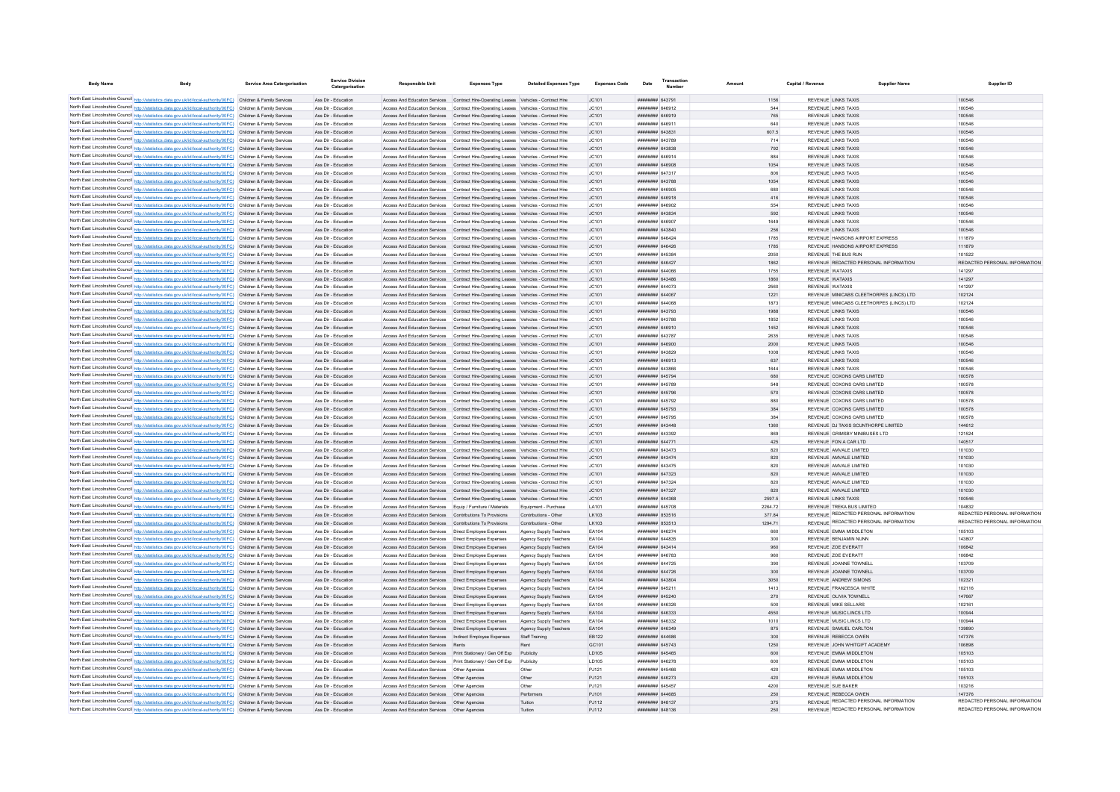| <b>Body Name</b>                                                                                                                                                                                                                       | <b>Service Area Catergorisation</b> | <b>Service Division</b><br>Catergorisation | Responsible Uni                                                                                                                                                                    | <b>Expenses Type</b>                                                                    | <b>Detailed Expenses Type</b>            | <b>Expenses Code</b> | Date                               | <b>Transactio</b><br>Number |             | Capital / Revenue | <b>Supplier Nam</b>                                      |                               |
|----------------------------------------------------------------------------------------------------------------------------------------------------------------------------------------------------------------------------------------|-------------------------------------|--------------------------------------------|------------------------------------------------------------------------------------------------------------------------------------------------------------------------------------|-----------------------------------------------------------------------------------------|------------------------------------------|----------------------|------------------------------------|-----------------------------|-------------|-------------------|----------------------------------------------------------|-------------------------------|
|                                                                                                                                                                                                                                        |                                     |                                            |                                                                                                                                                                                    |                                                                                         |                                          |                      |                                    |                             |             |                   |                                                          |                               |
| North East Lincolnshire Council http://statistics.data.gov.uk/id/local-authority/00FC) Children & Family Services<br>North East Lincolnshire Council http://statistics.data.gov.uk/id/local-authority/00FC) Children & Family Services |                                     | Ass Dir - Education<br>Ass Dir - Education | Access And Education Services  Contract Hire-Operating Leases  Vehicles - Contract Hire<br>Access And Education Services  Contract Hire-Operating Leases  Vehicles - Contract Hire |                                                                                         |                                          | IC101                | ######## 643791<br>######## 646912 |                             | 1156        |                   | REVENUE LINKS TAXIS<br>REVENUE LINKS TAXIS               | 100546<br>100546              |
| North East Lincolnshire Council http://statistics.data.gov.uk/id/local-authority/00FC) Children & Family Services                                                                                                                      |                                     | Ass Dir - Education                        | Access And Education Services Contract Hire-Operating Leases Vehicles - Contract Hire                                                                                              |                                                                                         |                                          | JC101<br>JC101       | ######## 646919                    |                             | 544<br>765  |                   | <b>REVENUE LINKS TAXIS</b>                               | 100546                        |
| North East Lincolnshire Council http://statistics.data.gov.uk/id/local-authority/00FC) Children & Family Services                                                                                                                      |                                     | Ass Dir - Education                        | Access And Education Services  Contract Hire-Operating Leases  Vehicles - Contract Hire                                                                                            |                                                                                         |                                          | JC101                | ######## 646911                    |                             | 640         |                   | REVENUE LINKS TAXIS                                      | 100546                        |
| North East Lincolnshire Council http://statistics.data.gov.uk/id/local-authority/00FC) Children & Family Services                                                                                                                      |                                     | Ass Dir - Education                        | Access And Education Services Contract Hire-Operating Leases Vehicles - Contract Hire                                                                                              |                                                                                         |                                          | JC101                | ######## 64383                     |                             | 607.5       |                   | REVENUE LINKS TAXIS                                      | 100546                        |
| North East Lincolnshire Council http://statistics.data.gov.uk/id/local-authority/00FC) Children & Family Services                                                                                                                      |                                     | Ass Dir - Education                        | Access And Education Services Contract Hire-Operating Leases Vehicles - Contract Hire                                                                                              |                                                                                         |                                          | JC101                | ######## 643789                    |                             | 714         |                   | REVENUE LINKS TAXIS                                      | 100546                        |
| North East Lincolnshire Council http://statistics.data.gov.uk/id/local-authority/00FC) Children & Family Services                                                                                                                      |                                     | Ass Dir - Education                        | Access And Education Services  Contract Hire-Operating Leases  Vehicles - Contract Hire                                                                                            |                                                                                         |                                          | JC101                | ######## 643838                    |                             | 792         |                   | REVENUE LINKS TAXIS                                      | 100546                        |
| North East Lincolnshire Council http://statistics.data.gov.uk/id/local-authority/00FC) Children & Family Services                                                                                                                      |                                     | Ass Dir - Education                        | Access And Education Services  Contract Hire-Operating Leases  Vehicles - Contract Hire                                                                                            |                                                                                         |                                          | JC101                | ######## 646914                    |                             | 884         |                   | REVENUE LINKS TAXIS                                      | 100546                        |
| North East Lincolnshire Council http://statistics.data.gov.uk/id/local-authority/00FC) Children & Family Services                                                                                                                      |                                     | Ass Dir - Education                        | Access And Education Services  Contract Hire-Operating Leases  Vehicles - Contract Hire                                                                                            |                                                                                         |                                          | JC101                | ######## 646908                    |                             | 1054        |                   | REVENUE LINKS TAXIS                                      | 100546                        |
| North East Lincolnshire Council http://statistics.data.gov.uk/id/local-authority/00FC) Children & Family Services                                                                                                                      |                                     | Ass Dir - Education                        |                                                                                                                                                                                    | Access And Education Services  Contract Hire-Operating Leases  Vehicles - Contract Hire |                                          | JC101                | ######## 647317                    |                             | 806         |                   | REVENUE LINKS TAXIS                                      | 100546                        |
| North East Lincolnshire Council http://statistics.data.gov.uk/id/local-authority/00FC) Children & Family Services                                                                                                                      |                                     | Ass Dir - Education                        |                                                                                                                                                                                    | Access And Education Services Contract Hire-Operating Leases Vehicles - Contract Hire   |                                          | JC101                | ######## 643788                    |                             | 1054        |                   | REVENUE LINKS TAXIS                                      | 100546                        |
| North East Lincolnshire Council http://statistics.data.gov.uk/id/local-authority/00FC) Children & Family Services                                                                                                                      |                                     | Ass Dir - Education                        | Access And Education Services  Contract Hire-Operating Leases  Vehicles - Contract Hire                                                                                            |                                                                                         |                                          | JC101                | ####### 646905                     |                             | 680         |                   | REVENUE LINKS TAXIS                                      | 100546                        |
| North East Lincolnshire Council http://statistics.data.gov.uk/id/local-authority/00FC) Children & Family Services                                                                                                                      |                                     | Ass Dir - Education                        | Access And Education Services  Contract Hire-Operating Leases  Vehicles - Contract Hire                                                                                            |                                                                                         |                                          | JC101                | ####### 646918                     |                             | 416         |                   | REVENUE LINKS TAXIS                                      | 100546                        |
| North East Lincolnshire Council http://statistics.data.gov.uk/id/local-authority/00FC) Children & Family Services                                                                                                                      |                                     | Ass Dir - Education                        | Access And Education Services Contract Hire-Operation Leases Vehicles - Contract Hire                                                                                              |                                                                                         |                                          | IC.101               | ######## 646902                    |                             | 554         |                   | REVENUE LINKS TAXIS                                      | 100546                        |
| North East Lincolnshire Council http://statistics.data.gov.uk/id/local-authority/00FC) Children & Family Services                                                                                                                      |                                     | Ass Dir - Education                        | Access And Education Services Contract Hire-Operating Leases Vehicles - Contract Hire                                                                                              |                                                                                         |                                          | JC101                | ######## 643834<br>######## 646907 |                             | 592         |                   | <b>REVENUE LINKS TAXIS</b>                               | 100546                        |
| North East Lincolnshire Council http://statistics.data.gov.uk/id/local-authority/00FC) Children & Family Services<br>North East Lincolnshire Council http://statistics.data.gov.uk/id/local-authority/00FC) Children & Family Services |                                     | Ass Dir - Education<br>Ass Dir - Education | Access And Education Services Contract Hire-Operating Leases Vehicles - Contract Hire<br>Access And Education Services Contract Hire-Operating Leases Vehicles - Contract Hire     |                                                                                         |                                          | JC101<br>JC101       | ######## 643840                    |                             | 1649<br>256 |                   | <b>REVENUE LINKS TAXIS</b><br><b>REVENUE LINKS TAXIS</b> | 100546<br>100546              |
| North East Lincolnshire Council http://statistics.data.gov.uk/id/local-authority/00FC) Children & Family Services                                                                                                                      |                                     | Ass Dir - Education                        | Access And Education Services Contract Hire-Operating Leases Vehicles - Contract Hire                                                                                              |                                                                                         |                                          | JC101                | ######## 646424                    |                             | 1785        |                   | REVENUE HANSONS AIRPORT EXPRESS                          | 111879                        |
| North East Lincolnshire Council http://statistics.data.gov.uk/id/local-authority/00FC) Children & Family Services                                                                                                                      |                                     | Ass Dir - Education                        | Access And Education Services Contract Hire-Operating Leases Vehicles - Contract Hire                                                                                              |                                                                                         |                                          | JC101                | ######## 646426                    |                             | 1785        |                   | REVENUE HANSONS AIRPORT EXPRESS                          | 111879                        |
| North East Lincolnshire Council http://statistics.data.gov.uk/id/local-authority/00FC) Children & Family Services                                                                                                                      |                                     | Ass Dir - Education                        | Access And Education Services Contract Hire-Operating Leases Vehicles - Contract Hire                                                                                              |                                                                                         |                                          | JC101                | ######## 645384                    |                             | 2050        |                   | REVENUE THE BUS RUN                                      | 101522                        |
| North East Lincolnshire Council http://statistics.data.gov.uk/id/local-authority/00FC) Children & Family Services                                                                                                                      |                                     | Ass Dir - Education                        | Access And Education Services Contract Hire-Operating Leases Vehicles - Contract Hire                                                                                              |                                                                                         |                                          | JC101                | ######## 646427                    |                             | 1862        |                   | REVENUE REDACTED PERSONAL INFORMATION                    | REDACTED PERSONAL INFORMATION |
| North East Lincolnshire Council http://statistics.data.gov.uk/id/local-authority/00FC) Children & Family Services                                                                                                                      |                                     | Ass Dir - Education                        | Access And Education Services Contract Hire-Operating Leases Vehicles - Contract Hire                                                                                              |                                                                                         |                                          | JC101                | ######## 644066                    |                             | 1755        |                   | <b>REVENUE WATAXIS</b>                                   | 141297                        |
| North East Lincolnshire Council http://statistics.data.gov.uk/id/local-authority/00FC) Children & Family Services                                                                                                                      |                                     | Ass Dir - Education                        | Access And Education Services Contract Hire-Operating Leases Vehicles - Contract Hire                                                                                              |                                                                                         |                                          | JC101                | ######## 643486                    |                             | 1860        |                   | REVENUE WATAXIS                                          | 141297                        |
| North East Lincolnshire Council http://statistics.data.gov.uk/id/local-authority/00FC) Children & Family Services                                                                                                                      |                                     | Ass Dir - Education                        | Access And Education Services                                                                                                                                                      | Contract Hire-Operating Leases Vehicles - Contract Hire                                 |                                          | JC101                | ######## 644073                    |                             | 2560        |                   | REVENUE WATAXIS                                          | 141297                        |
| North East Lincolnshire Council http://statistics.data.gov.uk/id/local-authority/00FC) Children & Family Services                                                                                                                      |                                     | Ass Dir - Education                        |                                                                                                                                                                                    | Access And Education Services  Contract Hire-Operating Leases  Vehicles - Contract Hire |                                          | JC101                | ######## 644067                    |                             | 1221        |                   | REVENUE MINICABS CLEETHORPES (LINCS) LTD                 | 102124                        |
| North East Lincolnshire Council http://statistics.data.gov.uk/id/local-authority/00FC) Children & Family Services                                                                                                                      |                                     | Ass Dir - Education                        | Access And Education Services Contract Hire-Operating Leases Vehicles - Contract Hire                                                                                              |                                                                                         |                                          | JC101                | <b><i>HUBBRER GAAGS</i></b>        |                             | 1873        |                   | REVENUE MINICABS CLEETHORPES (LINCS) LTD                 | 102124                        |
| North East Lincolnshire Council http://statistics.data.gov.uk/id/local-authority/00FC) Children & Family Services                                                                                                                      |                                     | Ass Dir - Education                        | Access And Education Services Contract Hire-Operating Leases Vehicles - Contract Hire                                                                                              |                                                                                         |                                          | JC101                | ######## 643793                    |                             | 1988        |                   | REVENUE LINKS TAXIS                                      | 100546                        |
| North East Lincolnshire Council http://statistics.data.gov.uk/id/local-authority/00FC) Children & Family Services                                                                                                                      |                                     | Ass Dir - Education                        | Access And Education Services Contract Hire-Operating Leases Vehicles - Contract Hire                                                                                              |                                                                                         |                                          | IC.101               | ####### 643786                     |                             | 1852        |                   | REVENUE LINKS TAXIS                                      | 100546                        |
| North East Lincolnshire Council http://statistics.data.gov.uk/id/local-authority/00FC) Children & Family Services                                                                                                                      |                                     | Ass Dir - Education                        | Access And Education Services Contract Hire-Operating Leases Vehicles - Contract Hire                                                                                              |                                                                                         |                                          | JC101                | ######## 646910                    |                             | 1452        |                   | <b>REVENUE LINKS TAXIS</b>                               | 100546                        |
| North East Lincolnshire Council http://statistics.data.gov.uk/id/local-authority/00FC) Children & Family Services                                                                                                                      |                                     | Ass Dir - Education                        | Access And Education Services  Contract Hire-Operating Leases  Vehicles - Contract Hire                                                                                            |                                                                                         |                                          | JC101                | ######## 643787                    |                             | 2635        |                   | REVENUE LINKS TAXIS                                      | 100546                        |
| North East Lincolnshire Council http://statistics.data.gov.uk/id/local-authority/00FC) Children & Family Services                                                                                                                      |                                     | Ass Dir - Education                        | Access And Education Services  Contract Hire-Operating Leases  Vehicles - Contract Hire                                                                                            |                                                                                         |                                          | JC101                | ######## 646900                    |                             | 2000        |                   | <b>REVENUE LINKS TAXIS</b>                               | 100546                        |
| North East Lincolnshire Council http://statistics.data.gov.uk/id/local-authority/00FC) Children & Family Services<br>North East Lincolnshire Council http://statistics.data.gov.uk/id/local-authority/00FC) Children & Family Services |                                     | Ass Dir - Education<br>Ass Dir - Education | Access And Education Services  Contract Hire-Operating Leases  Vehicles - Contract Hire<br>Access And Education Services Contract Hire-Operating Leases Vehicles - Contract Hire   |                                                                                         |                                          | JC101<br>JC101       | ######## 643829<br>######## 646913 |                             | 1008<br>637 |                   | REVENUE LINKS TAXIS<br><b>REVENUE LINKS TAXIS</b>        | 100546<br>100546              |
| North East Lincolnshire Council http://statistics.data.gov.uk/id/local-authority/00FC) Children & Family Services                                                                                                                      |                                     | Ass Dir - Education                        | Access And Education Services Contract Hire-Operating Leases Vehicles - Contract Hire                                                                                              |                                                                                         |                                          | JC101                | ####### 643866                     |                             | 1644        |                   | REVENUE LINKS TAXIS                                      | 100546                        |
| North East Lincolnshire Council http://statistics.data.gov.uk/id/local-authority/00FC) Children & Family Services                                                                                                                      |                                     | Ass Dir - Education                        | Access And Education Services Contract Hire-Operating Leases Vehicles - Contract Hire                                                                                              |                                                                                         |                                          | JC101                | ######## 645794                    |                             | 680         |                   | REVENUE COXONS CARS LIMITED                              | 100578                        |
| North East Lincolnshire Council http://statistics.data.gov.uk/id/local-authority/00FC) Children & Family Services                                                                                                                      |                                     | Ass Dir - Education                        |                                                                                                                                                                                    | Access And Education Services  Contract Hire-Operating Leases  Vehicles - Contract Hire |                                          | JC101                | ####### 645789                     |                             | 548         |                   | REVENUE COXONS CARS LIMITED                              | 100578                        |
| North East Lincolnshire Council http://statistics.data.gov.uk/id/local-authority/00FC) Children & Family Services                                                                                                                      |                                     | Ass Dir - Education                        | Access And Education Services Contract Hire-Operating Leases Vehicles - Contract Hire                                                                                              |                                                                                         |                                          | JC101                | ######## 645796                    |                             | 570         |                   | REVENUE COXONS CARS LIMITED                              | 100578                        |
| North East Lincolnshire Council http://statistics.data.gov.uk/id/local-authority/00FC) Children & Family Services                                                                                                                      |                                     | Ass Dir - Education                        | Access And Education Services                                                                                                                                                      | Contract Hire-Operating Leases Vehicles - Contract Hire                                 |                                          | JC101                | ######## 645792                    |                             | 880         |                   | REVENUE COXONS CARS LIMITED                              | 100578                        |
| North East Lincolnshire Council http://statistics.data.gov.uk/id/local-authority/00FC) Children & Family Services                                                                                                                      |                                     | Ass Dir - Education                        | Access And Education Services Contract Hire-Operating Leases Vehicles - Contract Hire                                                                                              |                                                                                         |                                          | JC101                | ######## 645793                    |                             | 384         |                   | REVENUE COXONS CARS LIMITED                              | 100578                        |
| North East Lincolnshire Council http://statistics.data.gov.uk/id/local-authority/00FC) Children & Family Services                                                                                                                      |                                     | Ass Dir - Education                        | Access And Education Services Contract Hire-Operating Leases Vehicles - Contract Hire                                                                                              |                                                                                         |                                          | JC101                | ######## 645795                    |                             | 384         |                   | REVENUE COXONS CARS LIMITED                              | 100578                        |
| North East Lincolnshire Council http://statistics.data.gov.uk/id/local-authority/00FC) Children & Family Services                                                                                                                      |                                     | Ass Dir - Education                        | Access And Education Services Contract Hire-Operating Leases Vehicles - Contract Hire                                                                                              |                                                                                         |                                          | IC101                | <i><b>HHHHHHH</b></i> 643448       |                             | 1360        |                   | REVENUE DJ TAXIS SCUNTHORPE LIMITED                      | 144612                        |
| North East Lincolnshire Council http://statistics.data.gov.uk/id/local-authority/00FC) Children & Family Services                                                                                                                      |                                     | Ass Dir - Education                        | Access And Education Services  Contract Hire-Operating Leases  Vehicles - Contract Hire                                                                                            |                                                                                         |                                          | JC101                | ######## 643392                    |                             | 869         |                   | REVENUE GRIMSBY MINIBUSES LTD                            | 121524                        |
| North East Lincolnshire Council http://statistics.data.gov.uk/id/local-authority/00FC) Children & Family Services                                                                                                                      |                                     | Ass Dir - Education                        | Access And Education Services Contract Hire-Operating Leases Vehicles - Contract Hire                                                                                              |                                                                                         |                                          | JC101                | ######## 644771                    |                             | 425         |                   | REVENUE FON A CAR LTD                                    | 140517                        |
| North East Lincolnshire Council http://statistics.data.gov.uk/id/local-authority/00FC) Children & Family Services                                                                                                                      |                                     | Ass Dir - Education                        | Access And Education Services  Contract Hire-Operating Leases  Vehicles - Contract Hire                                                                                            |                                                                                         |                                          | JC101                | ######## 643473                    |                             | 820         |                   | REVENUE AMVALE LIMITED                                   | 101030                        |
| North East Lincolnshire Council http://statistics.data.gov.uk/id/local-authority/00FC) Children & Family Services                                                                                                                      |                                     | Ass Dir - Education                        | Access And Education Services Contract Hire-Operating Leases Vehicles - Contract Hire                                                                                              |                                                                                         |                                          | JC101                | ######## 643474                    |                             | 820         |                   | REVENUE AMVALE LIMITED                                   | 101030                        |
| North East Lincolnshire Council http://statistics.data.gov.uk/id/local-authority/00FC) Children & Family Services                                                                                                                      |                                     | Ass Dir - Education                        | Access And Education Services  Contract Hire-Operating Leases  Vehicles - Contract Hire                                                                                            |                                                                                         |                                          | JC101                | ######## 643475                    |                             | 820         |                   | REVENUE AMVALE LIMITED                                   | 101030                        |
| North East Lincolnshire Council http://statistics.data.gov.uk/id/local-authority/00FC) Children & Family Services                                                                                                                      |                                     | Ass Dir - Education                        | Access And Education Services Contract Hire-Operating Leases Vehicles - Contract Hire                                                                                              |                                                                                         |                                          | JC101                | ######## 647323                    |                             | 820         |                   | REVENUE AMVALE LIMITED                                   | 101030                        |
| North East Lincolnshire Council http://statistics.data.gov.uk/id/local-authority/00FC) Children & Family Services                                                                                                                      |                                     | Ass Dir - Education                        | Access And Education Services Contract Hire-Operating Leases Vehicles - Contract Hire                                                                                              |                                                                                         |                                          | JC101<br>JC101       | ######## 647324<br>######## 647327 |                             | 820<br>820  |                   | REVENUE AMVALE LIMITED<br>REVENUE AMVALE LIMITED         | 101030<br>101030              |
| North East Lincolnshire Council http://statistics.data.gov.uk/id/local-authority/00FC) Children & Family Services                                                                                                                      |                                     | Ass Dir - Education<br>Ass Dir - Education | Access And Education Services Contract Hire-Operating Leases Vehicles - Contract Hire<br>Access And Education Services Contract Hire-Operating Leases Vehicles - Contract Hire     |                                                                                         |                                          | JC101                | ######## 644368                    |                             | 2597.5      |                   | REVENUE LINKS TAXIS                                      | 100546                        |
| North East Lincolnshire Council http://statistics.data.gov.uk/id/local-authority/00FC) Children & Family Services<br>North East Lincolnshire Council http://statistics.data.gov.uk/id/local-authority/00FC) Children & Family Services |                                     | Ass Dir - Education                        | Access And Education Services Equip / Furniture / Materials                                                                                                                        |                                                                                         | Equipment - Purchase                     | LA101                | ######## 645708                    |                             | 2264.72     |                   | REVENUE TREKA BUS LIMITED                                | 104832                        |
| North East Lincolnshire Council http://statistics.data.gov.uk/id/local-authority/00FC) Children & Family Services                                                                                                                      |                                     | Ass Dir - Education                        | Access And Education Services Contributions To Provisions                                                                                                                          |                                                                                         | Contributions - Other                    | LK103                | ######## 853516                    |                             | 377.84      |                   | REVENUE REDACTED PERSONAL INFORMATION                    | REDACTED PERSONAL INFORMATION |
| North East Lincolnshire Council http://statistics.data.gov.uk/id/local-authority/00FC) Children & Family Services                                                                                                                      |                                     | Ass Dir - Education                        | Access And Education Services Contributions To Provisions                                                                                                                          |                                                                                         | Contributions - Other                    | LK103                | ######## 853513                    |                             | 1294.71     |                   | REVENUE REDACTED PERSONAL INFORMATION                    | REDACTED PERSONAL INFORMATION |
| North East Lincolnshire Council http://statistics.data.gov.uk/id/local-authority/00FC) Children & Family Services                                                                                                                      |                                     | Ass Dir - Education                        | Access And Education Services   Direct Employee Expenses                                                                                                                           |                                                                                         | Agency Supply Teachers                   | EA104                | ######## 646274                    |                             | 660         |                   | REVENUE EMMA MIDDLETON                                   | 105103                        |
| North East Lincolnshire Council http://statistics.data.gov.uk/id/local-authority/00FC) Children & Family Services                                                                                                                      |                                     | Ass Dir - Education                        | Access And Education Services   Direct Employee Expenses                                                                                                                           |                                                                                         | Agency Supply Teachers                   | EA104                | ######## 644835                    |                             | 300         |                   | REVENUE BENJAMIN NUNN                                    | 143807                        |
| North East Lincolnshire Council http://statistics.data.gov.uk/id/local-authority/00FC) Children & Family Services                                                                                                                      |                                     | Ass Dir - Education                        | Access And Education Services  Direct Employee Expenses                                                                                                                            |                                                                                         | Agency Supply Teachers                   | EA104                | ######## 643414                    |                             | 960         |                   | REVENUE ZOE EVERATT                                      | 106842                        |
| North East Lincolnshire Council http://statistics.data.gov.uk/id/local-authority/00FC) Children & Family Services                                                                                                                      |                                     | Ass Dir - Education                        | Access And Education Services  Direct Employee Expenses                                                                                                                            |                                                                                         | Agency Supply Teachers                   | EA104                | ######## 646783                    |                             | 960         |                   | REVENUE ZOE EVERATT                                      | 106842                        |
| North East Lincolnshire Council http://statistics.data.gov.uk/id/local-authority/00FC) Children & Family Services                                                                                                                      |                                     | Ass Dir - Education                        | Access And Education Services   Direct Employee Expenses                                                                                                                           |                                                                                         | Agency Supply Teachers                   | EA104                | ####### 644725                     |                             | 390         |                   | REVENUE JOANNE TOWNELL                                   | 103709                        |
| North East Lincolnshire Council http://statistics.data.gov.uk/id/local-authority/00FC) Children & Family Services                                                                                                                      |                                     | Ass Dir - Education                        | Access And Education Services   Direct Employee Expenses                                                                                                                           |                                                                                         | Agency Supply Teachers                   | EA104                | ######## 644726                    |                             | 300         |                   | REVENUE JOANNE TOWNELL                                   | 103709                        |
| North East Lincolnshire Council http://statistics.data.gov.uk/id/local-authority/00FC) Children & Family Services                                                                                                                      |                                     | Ass Dir - Education                        | Access And Education Services  Direct Employee Expenses                                                                                                                            |                                                                                         | Agency Supply Teachers                   | FA104                | ######## 643804                    |                             | 3050        |                   | REVENUE ANDREW SIMONS                                    | 102321                        |
| North East Lincolnshire Council http://statistics.data.gov.uk/id/local-authority/00FC) Children & Family Services                                                                                                                      |                                     | Ass Dir - Education                        | Access And Education Services   Direct Employee Expenses                                                                                                                           |                                                                                         | Agency Supply Teachers                   | EA104                | ######## 645211                    |                             | 1413        |                   | REVENUE FRANCESCA WHITE                                  | 102116                        |
| North East Lincolnshire Council http://statistics.data.gov.uk/id/local-authority/00FC) Children & Family Services                                                                                                                      |                                     | Ass Dir - Education                        | Access And Education Services  Direct Employee Expenses                                                                                                                            |                                                                                         | Agency Supply Teachers                   | EA104                | ######## 645240                    |                             | 270         |                   | REVENUE OLIVIA TOWNELL                                   | 147667                        |
| North East Lincolnshire Council http://statistics.data.gov.uk/id/local-authority/00FC) Children & Family Services                                                                                                                      |                                     | Ass Dir - Education                        | Access And Education Services   Direct Employee Expenses                                                                                                                           |                                                                                         | Agency Supply Teachers                   | EA104                | ######## 646326                    |                             | 500         |                   | REVENUE MIKE SELLARS                                     | 102161                        |
| North East Lincolnshire Council http://statistics.data.gov.uk/id/local-authority/00FC) Children & Family Services                                                                                                                      |                                     | Ass Dir - Education                        | Access And Education Services  Direct Employee Expenses                                                                                                                            |                                                                                         | Agency Supply Teachers                   | EA104                | ######## 646333                    |                             | 4550        |                   | REVENUE MUSIC LINCS LTD                                  | 100944                        |
| North East Lincolnshire Council http://statistics.data.gov.uk/id/local-authority/00FC) Children & Family Services                                                                                                                      |                                     | Ass Dir - Education                        | Access And Education Services   Direct Employee Expenses                                                                                                                           |                                                                                         | Agency Supply Teachers                   | EA104                | ######## 646332<br>CACODA BREEZER  |                             | 1010        |                   | REVENUE MUSIC LINCS LTD<br>REVENUE SAMUEL CARLTON        | 100944<br>139890              |
| North East Lincolnshire Council http://statistics.data.gov.uk/id/local-authority/00FC) Children & Family Services<br>North East Lincolnshire Council http://statistics.data.gov.uk/id/local-authority/00FC) Children & Family Services |                                     | Ass Dir - Education<br>Ass Dir - Education | Access And Education Services  Direct Employee Expenses<br>Access And Education Services  Indirect Employee Expenses                                                               |                                                                                         | Agency Supply Teachers<br>Staff Training | EA104<br>EB122       | ######## 644686                    |                             | 875<br>300  |                   | REVENUE REBECCA OWEN                                     | 147376                        |
| North East Lincolnshire Council http://statistics.data.gov.uk/id/local-authority/00FC) Children & Family Services                                                                                                                      |                                     | Ass Dir - Education                        | Access And Education Services Rents                                                                                                                                                |                                                                                         | Rent                                     | GC101                | ######## 645743                    |                             | 1250        |                   | REVENUE JOHN WHITGIFT ACADEMY                            | 106898                        |
| North East Lincolnshire Council http://statistics.data.gov.uk/id/local-authority/00FC) Children & Family Services                                                                                                                      |                                     | Ass Dir - Education                        | Access And Education Services Print Stationery / Gen Off Exp                                                                                                                       |                                                                                         | Publicity                                | LD105                | ######## 645465                    |                             | 600         |                   | REVENUE EMMA MIDDLETON                                   | 105103                        |
| North East Lincolnshire Council http://statistics.data.gov.uk/id/local-authority/00FC) Children & Family Services                                                                                                                      |                                     | Ass Dir - Education                        | Access And Education Services    Print Stationery / Gen Off Exp                                                                                                                    |                                                                                         | Publicity                                | LD105                | ######## 646278                    |                             | 600         |                   | REVENUE EMMA MIDDLETON                                   | 105103                        |
| North East Lincolnshire Council http://statistics.data.gov.uk/id/local-authority/00FC) Children & Family Services                                                                                                                      |                                     | Ass Dir - Education                        | Access And Education Services   Other Agencies                                                                                                                                     |                                                                                         | Other                                    | PJ121                | ######## 645466                    |                             | 420         |                   | REVENUE EMMA MIDDLETON                                   | 105103                        |
| North East Lincolnshire Council http://statistics.data.gov.uk/id/local-authority/00FC) Children & Family Services                                                                                                                      |                                     | Ass Dir - Education                        | Access And Education Services   Other Agencies                                                                                                                                     |                                                                                         | Other                                    | PJ121                | ######## 646273                    |                             | 420         |                   | REVENUE EMMA MIDDLETON                                   | 105103                        |
| North East Lincolnshire Council http://statistics.data.gov.uk/id/local-authority/00FC) Children & Family Services                                                                                                                      |                                     | Ass Dir - Education                        | Access And Education Services Other Agencies                                                                                                                                       |                                                                                         | Other                                    | P.I121               | ######## 645457                    |                             | 4200        |                   | <b>REVENUE SUE BAKER</b>                                 | 103216                        |
| North East Lincolnshire Council http://statistics.data.gov.uk/id/local-authority/00FC) Children & Family Services                                                                                                                      |                                     | Ass Dir - Education                        | Access And Education Services Other Agencies                                                                                                                                       |                                                                                         | Performers                               | P.I101               | ######## 644685                    |                             | 250         |                   | REVENUE REBECCA OWEN                                     | 147376                        |
| North East Lincolnshire Council http://statistics.data.gov.uk/id/local-authority/00FC) Children & Family Services                                                                                                                      |                                     | Ass Dir - Education                        | Access And Education Services   Other Agencies                                                                                                                                     |                                                                                         | Tuition                                  | PJ112                | ####### 848137                     |                             | 375         |                   | REVENUE REDACTED PERSONAL INFORMATION                    | REDACTED PERSONAL INFORMATION |
| North East Lincolnshire Council http://statistics.data.gov.uk/id/local-authority/00FC) Children & Family Services                                                                                                                      |                                     | Ass Dir - Education                        | Access And Education Services   Other Agencies                                                                                                                                     |                                                                                         |                                          | PJ112                | ######## 848136                    |                             | 250         |                   | REVENUE REDACTED PERSONAL INFORMATION                    | REDACTED PERSONAL INFORMATION |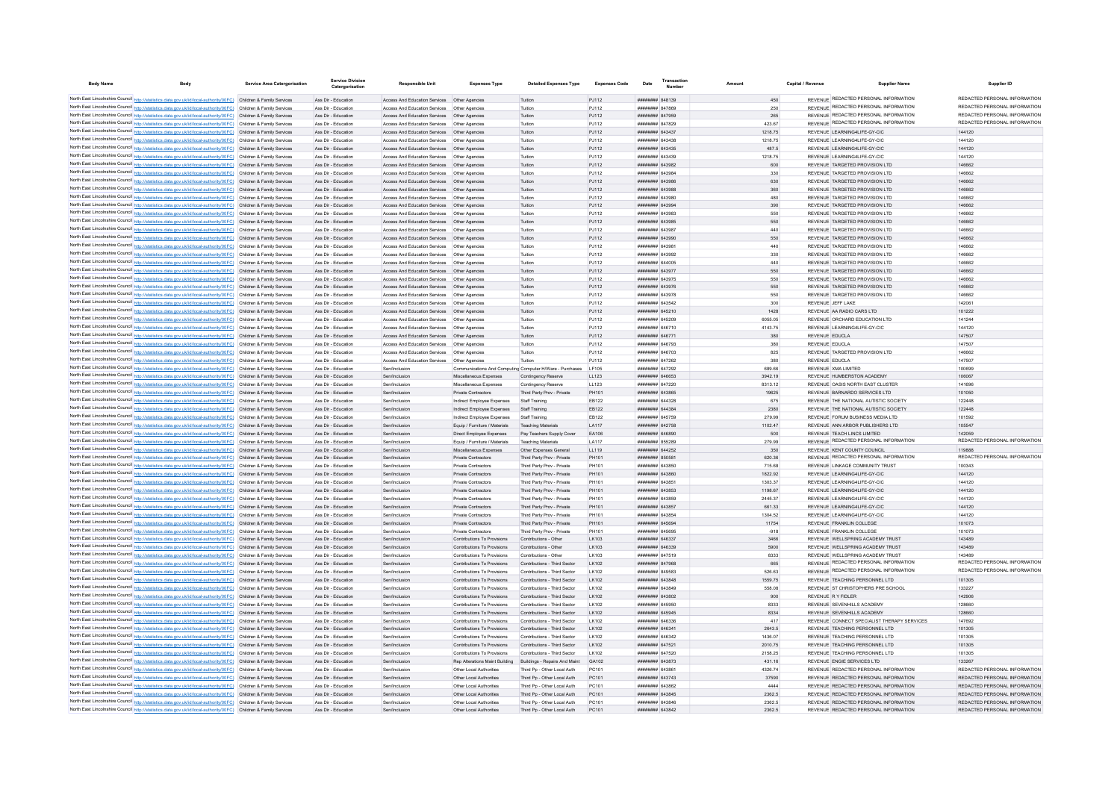| <b>Body Name</b>                                                                                                                                                                                                                       | <b>Service Area Catergorisation</b> | <b>Service Division</b><br>Catergorisation | <b>Responsible Uni</b>                                                                           | <b>Expenses Type</b>                                         | <b>Detailed Expenses Type</b>                   | <b>Expenses Code</b> | Date                                      | Transaction<br>Number | Amount        | Capital / Revenue |                                  | <b>Supplier Name</b>                        | Supplier ID                             |
|----------------------------------------------------------------------------------------------------------------------------------------------------------------------------------------------------------------------------------------|-------------------------------------|--------------------------------------------|--------------------------------------------------------------------------------------------------|--------------------------------------------------------------|-------------------------------------------------|----------------------|-------------------------------------------|-----------------------|---------------|-------------------|----------------------------------|---------------------------------------------|-----------------------------------------|
|                                                                                                                                                                                                                                        |                                     |                                            |                                                                                                  |                                                              |                                                 |                      |                                           |                       |               |                   |                                  | REVENUE REDACTED PERSONAL INFORMATION       | REDACTED PERSONAL INFORMATION           |
| North East Lincolnshire Council http://statistics.data.gov.uk/id/local-authority/00FC) Children & Family Services<br>North East Lincolnshire Council http://statistics.data.gov.uk/id/local-authority/00FC) Children & Family Services |                                     | Ass Dir - Education<br>Ass Dir - Education | Access And Education Services  Other Agencies<br>Access And Education Services Other Agencies    |                                                              | Tuition                                         | PJ112                | ####### 848139<br>######## 847869         |                       | 450           |                   |                                  | REVENUE REDACTED PERSONAL INFORMATION       | REDACTED PERSONAL INFORMATION           |
| North East Lincolnshire Council http://statistics.data.gov.uk/id/local-authority/00FC) Children & Family Services                                                                                                                      |                                     |                                            |                                                                                                  |                                                              | Tuition<br>Tuition                              | PJ112                | ######## 847959                           |                       | 250           |                   |                                  | REVENUE REDACTED PERSONAL INFORMATION       | REDACTED PERSONAL INFORMATION           |
| North East Lincolnshire Council http://statistics.data.gov.uk/id/local-authority/00FC) Children & Family Services                                                                                                                      |                                     | Ass Dir - Education<br>Ass Dir - Education | Access And Education Services   Other Agencies<br>Access And Education Services   Other Agencies |                                                              | Tuition                                         | PJ112<br>PJ112       | ######## 847829                           |                       | 265<br>423.67 |                   |                                  | REVENUE REDACTED PERSONAL INFORMATION       | REDACTED PERSONAL INFORMATION           |
| North East Lincolnshire Council http://statistics.data.gov.uk/id/local-authority/00FC) Children & Family Services                                                                                                                      |                                     | Ass Dir - Education                        | Access And Education Services   Other Agencies                                                   |                                                              | Tuition                                         | PJ112                | ######## 643437                           |                       | 1218.75       |                   | REVENUE LEARNING4LIFE-GY-CIC     |                                             | 144120                                  |
| North East Lincolnshire Council http://statistics.data.gov.uk/id/local-authority/00FC) Children & Family Services                                                                                                                      |                                     | Ass Dir - Education                        | Access And Education Services   Other Agencies                                                   |                                                              | Tuition                                         | PJ112                | ####### 643438                            |                       | 1218.75       |                   | REVENUE LEARNING4LIFE-GY-CIC     |                                             | 144120                                  |
| North East Lincolnshire Council http://statistics.data.gov.uk/id/local-authority/00FC) Children & Family Services                                                                                                                      |                                     | Ass Dir - Education                        | Access And Education Services   Other Agencies                                                   |                                                              | Tuition                                         | PJ112                | ####### 643435                            |                       | 487.5         |                   | REVENUE LEARNING4LIFE-GY-CIC     |                                             | 144120                                  |
| North East Lincolnshire Council http://statistics.data.gov.uk/id/local-authority/00FC) Children & Family Services                                                                                                                      |                                     | Ass Dir - Education                        | Access And Education Services   Other Agencies                                                   |                                                              | Tuition                                         | PJ112                | ######## 643439                           |                       | 1218.75       |                   | REVENUE LEARNING4LIFE-GY-CIC     |                                             | 144120                                  |
| North East Lincolnshire Council http://statistics.data.gov.uk/id/local-authority/00FC) Children & Family Services                                                                                                                      |                                     | Ass Dir - Education                        | Access And Education Services   Other Agencies                                                   |                                                              | Tuition                                         | PJ112                | ######## 643982                           |                       | 600           |                   | REVENUE TARGETED PROVISION LTD   |                                             | 146662                                  |
| North East Lincolnshire Council http://statistics.data.gov.uk/id/local-authority/00FC) Children & Family Services                                                                                                                      |                                     | Ass Dir - Education                        | Access And Education Services   Other Agencies                                                   |                                                              | Tuition                                         | PJ112                | ######## 643984                           |                       | 330           |                   | REVENUE TARGETED PROVISION LTD   |                                             | 146662                                  |
| North East Lincolnshire Council http://statistics.data.gov.uk/id/local-authority/00FC) Children & Family Services                                                                                                                      |                                     | Ass Dir - Education                        | Access And Education Services   Other Agencies                                                   |                                                              | Tuition                                         | PJ112                | ######## 643986                           |                       | 630           |                   | REVENUE TARGETED PROVISION LTD   |                                             | 146662                                  |
| North East Lincolnshire Council http://statistics.data.gov.uk/id/local-authority/00FC) Children & Family Services                                                                                                                      |                                     | Ass Dir - Education                        | Access And Education Services   Other Agencies                                                   |                                                              | Tuition                                         | PJ112                | ######## 643988                           |                       | 360           |                   | REVENUE TARGETED PROVISION LTD   |                                             | 146662                                  |
| North East Lincolnshire Council http://statistics.data.gov.uk/id/local-authority/00FC) Children & Family Services                                                                                                                      |                                     | Ass Dir - Education                        | Access And Education Services                                                                    | Other Agencie                                                | Tuition                                         | PJ112                | ####### 643980                            |                       | 480           |                   | REVENUE TARGETED PROVISION LTD   |                                             | 146662                                  |
| North East Lincolnshire Council http://statistics.data.gov.uk/id/local-authority/00FC) Children & Family Services                                                                                                                      |                                     | Ass Dir - Education                        | Access And Education Services   Other Agencies                                                   |                                                              | Tuition                                         | PJ112                | ######## 643994                           |                       | 390           |                   | REVENUE TARGETED PROVISION LTD   |                                             | 146662                                  |
| North East Lincolnshire Council http://statistics.data.gov.uk/id/local-authority/00FC) Children & Family Services                                                                                                                      |                                     | Ass Dir - Education                        | Access And Education Services Other Agencies                                                     |                                                              | Tuition                                         | P.I112               | ######## 643983                           |                       | 550           |                   | REVENUE TARGETED PROVISION LTD   |                                             | 146662                                  |
| North East Lincolnshire Council http://statistics.data.gov.uk/id/local-authority/00FC) Children & Family Services                                                                                                                      |                                     | Ass Dir - Education                        | Access And Education Services Other Agencies                                                     |                                                              | Tuition                                         | PJ112                | ######## 643985                           |                       | 550           |                   | REVENUE TARGETED PROVISION I TD  |                                             | 146662                                  |
| North East Lincolnshire Council http://statistics.data.gov.uk/id/local-authority/00FC) Children & Family Services                                                                                                                      |                                     | Ass Dir - Education                        |                                                                                                  |                                                              | Tuition                                         | PJ112                | ######## 643987                           |                       | 440           |                   | REVENUE TARGETED PROVISION LTD   |                                             | 146662                                  |
| North East Lincolnshire Council http://statistics.data.gov.uk/id/local-authority/00FC) Children & Family Services                                                                                                                      |                                     | Ass Dir - Education                        | Access And Education Services   Other Agencies                                                   |                                                              | Tuition                                         | PJ112                | ######## 643990                           |                       | 550           |                   | REVENUE TARGETED PROVISION LTD   |                                             | 146662                                  |
| North East Lincolnshire Council http://statistics.data.gov.uk/id/local-authority/00FC) Children & Family Services                                                                                                                      |                                     | Ass Dir - Education                        | Access And Education Services   Other Agencies                                                   |                                                              | Tuition                                         | PJ112                | ######## 643981                           |                       | 440           |                   | REVENUE TARGETED PROVISION LTD   |                                             | 146662                                  |
| North East Lincolnshire Council http://statistics.data.gov.uk/id/local-authority/00FC) Children & Family Services                                                                                                                      |                                     | Ass Dir - Education                        | Access And Education Services   Other Agencies                                                   |                                                              | Tuition                                         | PJ112                | ######## 643992                           |                       | 330           |                   | REVENUE TARGETED PROVISION LTD   |                                             | 146662                                  |
| North East Lincolnshire Council http://statistics.data.gov.uk/id/local-authority/00FC) Children & Family Services                                                                                                                      |                                     | Ass Dir - Education                        |                                                                                                  |                                                              | Tuition                                         | P.I112               | ######## 644005                           |                       | 440           |                   | REVENUE TARGETED PROVISION LTD   |                                             | 146662                                  |
| North East Lincolnshire Council http://statistics.data.gov.uk/id/local-authority/00FC) Children & Family Services                                                                                                                      |                                     | Ass Dir - Education                        | Access And Education Services   Other Agencies                                                   |                                                              | Tuition                                         | PJ112                | <b>######## 643977</b>                    |                       | 550           |                   | REVENUE TARGETED PROVISION LTD   |                                             | 146662                                  |
| North East Lincolnshire Council http://statistics.data.gov.uk/id/local-authority/00FC) Children & Family Services                                                                                                                      |                                     | Ass Dir - Education                        | Access And Education Services   Other Agencies                                                   |                                                              | Tuition                                         | PJ112                | ######## 643975                           |                       | 550           |                   | REVENUE TARGETED PROVISION LTD   |                                             | 146662                                  |
| North East Lincolnshire Council http://statistics.data.gov.uk/id/local-authority/00FC) Children & Family Services                                                                                                                      |                                     | Ass Dir - Education                        | Access And Education Services   Other Agencies                                                   |                                                              | Tuition                                         | PJ112                | ######## 643976                           |                       | 550           |                   | REVENUE TARGETED PROVISION LTD   |                                             | 146662                                  |
| North East Lincolnshire Council http://statistics.data.gov.uk/id/local-authority/00FC) Children & Family Services                                                                                                                      |                                     | Ass Dir - Education                        | Access And Education Services                                                                    | Other Agencies                                               | Tuition                                         | PJ112                | ######## 643978                           |                       | 550           |                   | REVENUE TARGETED PROVISION LTD   |                                             | 146662                                  |
| North East Lincolnshire Council http://statistics.data.gov.uk/id/local-authority/00FC) Children & Family Services                                                                                                                      |                                     | Ass Dir - Education                        | Access And Education Services                                                                    | Other Agencie                                                | Tuition                                         | PJ112                | ######## 643542                           |                       | 300           |                   | REVENUE JEFF LAKE                |                                             | 142061                                  |
| North East Lincolnshire Council http://statistics.data.gov.uk/id/local-authority/00FC) Children & Family Services                                                                                                                      |                                     | Ass Dir - Education                        | Access And Education Services   Other Agencies                                                   |                                                              | Tuition                                         | PJ112                | ######## 645210                           |                       | 1428          |                   | REVENUE AA RADIO CARS LTD        |                                             | 101222                                  |
| North East Lincolnshire Council http://statistics.data.gov.uk/id/local-authority/00FC) Children & Family Services                                                                                                                      |                                     | Ass Dir - Education                        | Access And Education Services                                                                    | Other Agencies                                               | Tuition                                         | PJ112                | ######## 645209                           |                       | 6055.05       |                   | REVENUE ORCHARD EDUCATION LTD    |                                             | 141244                                  |
| North East Lincolnshire Council http://statistics.data.gov.uk/id/local-authority/00FC) Children & Family Services                                                                                                                      |                                     | Ass Dir - Education                        | Access And Education Services   Other Agencies                                                   |                                                              | Tuition                                         | PJ112                | ####### 646710                            |                       | 4143.75       |                   | REVENUE LEARNING4LIFE-GY-CIC     |                                             | 144120                                  |
| North East Lincolnshire Council http://statistics.data.gov.uk/id/local-authority/00FC) Children & Family Services                                                                                                                      |                                     | Ass Dir - Education                        | Access And Education Services  Other Agencies                                                    |                                                              | Tuition                                         | PJ112                | ####### 646771                            |                       | 380           |                   | REVENUE EDUCLA                   |                                             | 147507                                  |
| North East Lincolnshire Council http://statistics.data.gov.uk/id/local-authority/00FC) Children & Family Services                                                                                                                      |                                     | Ass Dir - Education                        | Access And Education Services   Other Agencies                                                   |                                                              | Tuition                                         | PJ112                | ######## 646793                           |                       | 380           |                   | REVENUE EDUCLA                   |                                             | 147507                                  |
| North East Lincolnshire Council http://statistics.data.gov.uk/id/local-authority/00FC) Children & Family Services                                                                                                                      |                                     | Ass Dir - Education                        | Access And Education Services   Other Agencies                                                   |                                                              | Tuition                                         | PJ112                | ######## 646703                           |                       | 825           |                   | REVENUE TARGETED PROVISION LTD   |                                             | 146662                                  |
| North East Lincolnshire Council http://statistics.data.gov.uk/id/local-authority/00FC) Children & Family Services                                                                                                                      |                                     | Ass Dir - Education                        |                                                                                                  |                                                              | Tuition                                         | PJ112                | <b>иннинин</b> 647262                     |                       | 380           |                   | REVENUE EDUCLA                   |                                             | 147507                                  |
| North East Lincolnshire Council http://statistics.data.gov.uk/id/local-authority/00FC) Children & Family Services                                                                                                                      |                                     | Ass Dir - Education                        | Sen/Inclusion                                                                                    | Communications And Computing Computer H/Ware - Purchases     |                                                 | LF105                | ######## 647292                           |                       | 689.66        |                   | REVENUE XMA LIMITED              |                                             | 100699                                  |
| North East Lincolnshire Council http://statistics.data.gov.uk/id/local-authority/00FC) Children & Family Services                                                                                                                      |                                     | Ass Dir - Education                        | Sen/Inclusion                                                                                    | Miscellaneous Expenses                                       | Contingency Reserve                             | LL123                | ######## 646653                           |                       | 3942.19       |                   | REVENUE HUMBERSTON ACADEMY       |                                             | 106067                                  |
| North East Lincolnshire Council http://statistics.data.gov.uk/id/local-authority/00FC) Children & Family Services                                                                                                                      |                                     | Ass Dir - Education                        | Sen/Inclusion                                                                                    | Miscellaneous Expenses                                       | Contingency Reserve                             | LL123                | ######## 647220                           |                       | 8313.12       |                   | REVENUE OASIS NORTH EAST CLUSTER |                                             | 141696                                  |
| North East Lincolnshire Council http://statistics.data.gov.uk/id/local-authority/00FC) Children & Family Services                                                                                                                      |                                     | Ass Dir - Education                        | Sen/Inclusion                                                                                    | Private Contractors                                          | Third Party Prov - Private                      | PH101                | ######## 643865                           |                       | 19625         |                   | REVENUE BARNARDO SERVICES LTD    |                                             | 101050                                  |
| North East Lincolnshire Council http://statistics.data.gov.uk/id/local-authority/00FC) Children & Family Services                                                                                                                      |                                     | Ass Dir - Education                        | Sen/Inclusion                                                                                    | Indirect Employee Expenses                                   | Staff Training                                  | EB122                | ######## 644328                           |                       | 675           |                   |                                  | REVENUE THE NATIONAL AUTISTIC SOCIETY       | 122448                                  |
| North East Lincolnshire Council http://statistics.data.gov.uk/id/local-authority/00FC) Children & Family Services                                                                                                                      |                                     | Ass Dir - Education                        | Sen/Inclusion                                                                                    | Indirect Employee Expenses                                   | Staff Training                                  | EB122                | ######## 644384                           |                       | 2380          |                   |                                  | REVENUE THE NATIONAL AUTISTIC SOCIETY       | 122448                                  |
| North East Lincolnshire Council http://statistics.data.gov.uk/id/local-authority/00FC) Children & Family Services                                                                                                                      |                                     | Ass Dir - Education                        | Sen/Inclusion                                                                                    | Indirect Employee Expenses                                   | Staff Training                                  | EB122                | ######## 645759                           |                       | 279.99        |                   | REVENUE FORUM BUSINESS MEDIA LTD |                                             | 101592                                  |
| North East Lincolnshire Council http://statistics.data.gov.uk/id/local-authority/00FC) Children & Family Services                                                                                                                      |                                     | Ass Dir - Education                        | Sen/Inclusion                                                                                    | Equip / Fumiture / Materials                                 | <b>Teaching Materials</b>                       | <b>LA117</b>         | <b>######## 642758</b><br>######## 646890 |                       | 1102.47       |                   | REVENUE TEACH LINCS LIMITED      | REVENUE ANN ARBOR PUBLISHERS LTD.           | 105547                                  |
| North East Lincolnshire Council http://statistics.data.gov.uk/id/local-authority/00FC) Children & Family Services<br>North East Lincolnshire Council http://statistics.data.gov.uk/id/local-authority/00FC) Children & Family Services |                                     | Ass Dir - Education<br>Ass Dir - Education | Sen/Inclusion<br>Sen/Inclusion                                                                   | Direct Employee Expenses                                     | Pay Teachers Supply Cover<br>Teaching Materials | EA106<br>LA117       | ######## 855289                           |                       | 500<br>279.99 |                   |                                  | REVENUE REDACTED PERSONAL INFORMATION       | 142059<br>REDACTED PERSONAL INFORMATION |
| North East Lincolnshire Council http://statistics.data.gov.uk/id/local-authority/00FC) Children & Family Services                                                                                                                      |                                     | Ass Dir - Education                        | Sen/Inclusion                                                                                    | Equip / Furniture / Materials<br>Miscellaneous Expenses      | Other Expenses General                          | LL119                | ######## 644252                           |                       | 350           |                   | REVENUE KENT COUNTY COUNCIL      |                                             | 119888                                  |
| North East Lincolnshire Council http://statistics.data.gov.uk/id/local-authority/00FC) Children & Family Services                                                                                                                      |                                     | Ass Dir - Education                        | Sen/Inclusion                                                                                    | Private Contractors                                          | Third Party Prov - Private                      | PH101                | ######## 850581                           |                       | 620.36        |                   |                                  | REVENUE REDACTED PERSONAL INFORMATION       | REDACTED PERSONAL INFORMATION           |
| North East Lincolnshire Council http://statistics.data.gov.uk/id/local-authority/00FC) Children & Family Services                                                                                                                      |                                     | Ass Dir - Education                        | Sen/Inclusion                                                                                    | Private Contractors                                          | Third Party Prov - Private                      | PH101                | ######## 643850                           |                       | 715.68        |                   | REVENUE LINKAGE COMMUNITY TRUST  |                                             | 100343                                  |
| North East Lincolnshire Council http://statistics.data.gov.uk/id/local-authority/00FC) Children & Family Services                                                                                                                      |                                     | Ass Dir - Education                        | Sen/Inclusion                                                                                    | Private Contractors                                          | Third Party Prov - Private                      | PH101                | ######## 643860                           |                       | 1822.92       |                   | REVENUE LEARNING4LIFE-GY-CIC     |                                             | 144120                                  |
| North East Lincolnshire Council http://statistics.data.gov.uk/id/local-authority/00FC) Children & Family Services                                                                                                                      |                                     | Ass Dir - Education                        | Sen/Inclusion                                                                                    | Private Contractors                                          | Third Party Prov - Private                      | PH101                | ######## 643851                           |                       | 1303.37       |                   | REVENUE LEARNING4LIFE-GY-CIC     |                                             | 144120                                  |
| North East Lincolnshire Council http://statistics.data.gov.uk/id/local-authority/00FC) Children & Family Services                                                                                                                      |                                     | Ass Dir - Education                        | Sen/Inclusion                                                                                    | Private Contractors                                          | Third Party Prov - Private                      | PH101                | ######## 643853                           |                       | 1198.67       |                   | REVENUE LEARNING4LIFE-GY-CIC     |                                             | 144120                                  |
| North East Lincolnshire Council http://statistics.data.gov.uk/id/local-authority/00FC) Children & Family Services                                                                                                                      |                                     | Ass Dir - Education                        | Sen/Inclusion                                                                                    | Private Contractors                                          | Third Party Prov - Private                      | PH101                | ######## 643859                           |                       | 2445.37       |                   | REVENUE LEARNING4LIFE-GY-CIC     |                                             | 144120                                  |
| North East Lincolnshire Council http://statistics.data.gov.uk/id/local-authority/00FC) Children & Family Services                                                                                                                      |                                     | Ass Dir - Education                        | Sen/Inclusion                                                                                    | Private Contractors                                          | Third Party Prov - Private                      | PH101                | ####### 643857                            |                       | 661.33        |                   | REVENUE LEARNING4LIFE-GY-CIC     |                                             | 144120                                  |
| North East Lincolnshire Council http://statistics.data.gov.uk/id/local-authority/00FC) Children & Family Services                                                                                                                      |                                     | Ass Dir - Education                        | Sen/Inclusion                                                                                    | Private Contractors                                          | Third Party Prov - Private                      | PH101                | ######## 643854                           |                       | 1304.52       |                   | REVENUE LEARNING4LIFE-GY-CIO     |                                             | 144120                                  |
| North East Lincolnshire Council http://statistics.data.gov.uk/id/local-authority/00FC) Children & Family Services                                                                                                                      |                                     | Ass Dir - Education                        | Sen/Inclusion                                                                                    | <b>Private Contractors</b>                                   | Third Party Prov - Private                      | PH101                | ######## 645694                           |                       | 11754         |                   | REVENUE FRANKLIN COLLEGE         |                                             | 101073                                  |
| North East Lincolnshire Council http://statistics.data.gov.uk/id/local-authority/00FC) Children & Family Services                                                                                                                      |                                     | Ass Dir - Education                        | Sen/Inclusion                                                                                    | Private Contractors                                          | Third Party Prov - Private                      | PH101                | ######## 645695                           |                       | $-918$        |                   | REVENUE FRANKLIN COLLEGE         |                                             | 101073                                  |
| North East Lincolnshire Council http://statistics.data.gov.uk/id/local-authority/00FC) Children & Family Services                                                                                                                      |                                     | Ass Dir - Education                        | Sen/Inclusion                                                                                    | Contributions To Provisions                                  | Contributions - Other                           | LK103                | ######## 646337                           |                       | 3466          |                   |                                  | REVENUE WELLSPRING ACADEMY TRUST            | 143489                                  |
| North East Lincolnshire Council http://statistics.data.gov.uk/id/local-authority/00FC) Children & Family Services                                                                                                                      |                                     | Ass Dir - Education                        | Sen/Inclusion                                                                                    | Contributions To Provisions                                  | Contributions - Other                           | I K103               | ######## 646339                           |                       | 5900          |                   |                                  | REVENUE WELLSPRING ACADEMY TRUST            | 143489                                  |
| North East Lincolnshire Council http://statistics.data.gov.uk/id/local-authority/00FC) Children & Family Services                                                                                                                      |                                     | Ass Dir - Education                        | Sen/Inclusion                                                                                    | Contributions To Provisions                                  | Contributions - Other                           | LK103                | ######## 647519                           |                       | 8333          |                   |                                  | REVENUE WELLSPRING ACADEMY TRUST            | 143489                                  |
| North East Lincolnshire Council http://statistics.data.gov.uk/id/local-authority/00FC) Children & Family Services                                                                                                                      |                                     | Ass Dir - Education                        | Sen/Inclusion                                                                                    | Contributions To Provisions                                  | Contributions - Third Sector                    | LK102                | ######## 847968                           |                       | 665           |                   |                                  | REVENUE REDACTED PERSONAL INFORMATION       | REDACTED PERSONAL INFORMATION           |
| North East Lincolnshire Council http://statistics.data.gov.uk/id/local-authority/00FC) Children & Family Services                                                                                                                      |                                     | Ass Dir - Education                        | Sen/Inclusion                                                                                    | Contributions To Provisions                                  | Contributions - Third Sector                    | LK102                | ######## 849583                           |                       | 526.63        |                   |                                  | REVENUE REDACTED PERSONAL INFORMATION       | REDACTED PERSONAL INFORMATION           |
| North East Lincolnshire Council http://statistics.data.gov.uk/id/local-authority/00FC) Children & Family Services                                                                                                                      |                                     | Ass Dir - Education                        | Sen/Inclusion                                                                                    | Contributions To Provisions                                  | Contributions - Third Sector                    | 1 K102               | ######## 643848                           |                       | 1559.75       |                   | REVENUE TEACHING PERSONNEL LTD   |                                             | 101305                                  |
| North East Lincolnshire Council http://statistics.data.gov.uk/id/local-authority/00FC) Children & Family Services                                                                                                                      |                                     | Ass Dir - Education                        | Sen/Inclusion                                                                                    | Contributions To Provisions                                  | Contributions - Third Sector                    | LK102                | ######## 643849                           |                       | 558.08        |                   |                                  | REVENUE ST CHRISTOPHERS PRE SCHOOL          | 133227                                  |
| North East Lincolnshire Council http://statistics.data.gov.uk/id/local-authority/00FC) Children & Family Services                                                                                                                      |                                     | Ass Dir - Education                        | Sen/Inclusion                                                                                    | Contributions To Provisions                                  | Contributions - Third Sector                    | LK102                | ######## 643802                           |                       | 900           |                   | REVENUE R Y FIDLER               |                                             | 142906                                  |
| North East Lincolnshire Council http://statistics.data.gov.uk/id/local-authority/00FC) Children & Family Services                                                                                                                      |                                     | Ass Dir - Education                        | Sen/Inclusion                                                                                    | Contributions To Provisions                                  | Contributions - Third Sector                    | LK102                | ####### 645950                            |                       | 8333          |                   | REVENUE SEVENHILLS ACADEMY       |                                             | 128660                                  |
| North East Lincolnshire Council http://statistics.data.gov.uk/id/local-authority/00FC) Children & Family Services                                                                                                                      |                                     | Ass Dir - Education                        | Sen/Inclusion                                                                                    | Contributions To Provisions                                  | Contributions - Third Sector                    | LK102                | ####### 645945                            |                       | 8334          |                   | REVENUE SEVENHILLS ACADEMY       |                                             | 128660                                  |
| North East Lincolnshire Council http://statistics.data.gov.uk/id/local-authority/00FC) Children & Family Services                                                                                                                      |                                     | Ass Dir - Education                        | Sen/Inclusio                                                                                     | Contributions To Provisions                                  | Contributions - Third Sector                    | LK102                | ######## 646336                           |                       | 417           |                   |                                  | REVENUE CONNECT SPECIALIST THERAPY SERVICES | 147692                                  |
| North East Lincolnshire Council http://statistics.data.gov.uk/id/local-authority/00FC) Children & Family Services                                                                                                                      |                                     | Ass Dir - Education                        | Sen/Inclusion                                                                                    | Contributions To Provisions                                  | Contributions - Third Sector                    | LK102                | ######## 646341                           |                       | 2643.5        |                   | REVENUE TEACHING PERSONNEL LTD   |                                             | 101305                                  |
| North East Lincolnshire Council http://statistics.data.gov.uk/id/local-authority/00FC) Children & Family Services                                                                                                                      |                                     | Ass Dir - Education                        | Sen/Inclusion                                                                                    | Contributions To Provisions                                  | Contributions - Third Sector                    | LK102                | ######## 646342                           |                       | 1436.07       |                   | REVENUE TEACHING PERSONNEL LTD   |                                             | 101305                                  |
| North East Lincolnshire Council http://statistics.data.gov.uk/id/local-authority/00FC) Children & Family Services                                                                                                                      |                                     | Ass Dir - Education                        | Sen/Inclusion                                                                                    | Contributions To Provisions                                  | Contributions - Third Sector                    | LK102                | ######## 647521                           |                       | 2010.75       |                   | REVENUE TEACHING PERSONNEL LTD   |                                             | 101305                                  |
| North East Lincolnshire Council http://statistics.data.gov.uk/id/local-authority/00FC) Children & Family Services                                                                                                                      |                                     | Ass Dir - Education                        | Sen/Inclusion                                                                                    | Contributions To Provisions                                  | Contributions - Third Sector                    | LK102                | ######## 647520                           |                       | 2158.25       |                   | REVENUE TEACHING PERSONNEL LTD   |                                             | 101305                                  |
| North East Lincolnshire Council http://statistics.data.gov.uk/id/local-authority/00FC) Children & Family Services                                                                                                                      |                                     | Ass Dir - Education                        | Sen/Inclusion                                                                                    | Rep Alterations Maint Building Buildings - Repairs And Maint |                                                 | GA102                | ######## 643873                           |                       | 431.16        |                   | REVENUE ENGIE SERVICES LTD       |                                             | 133267                                  |
| North East Lincolnshire Council http://statistics.data.gov.uk/id/local-authority/00FC) Children & Family Services                                                                                                                      |                                     | Ass Dir - Education                        | Sen/Inclusion                                                                                    | Other Local Authorities                                      | Third Pp - Other Local Auth                     | PC101                | ####### 643861                            |                       | 4326.74       |                   |                                  | REVENUE REDACTED PERSONAL INFORMATION       | REDACTED PERSONAL INFORMATION           |
| North East Lincolnshire Council http://statistics.data.gov.uk/id/local-authority/00FC) Children & Family Services                                                                                                                      |                                     | Ass Dir - Education                        | Sen/Inclusion                                                                                    | Other Local Authorities                                      | Third Pp - Other Local Auth                     | PC101                | ######## 643743                           |                       | 37590         |                   |                                  | REVENUE REDACTED PERSONAL INFORMATION       | REDACTED PERSONAL INFORMATION           |
| North East Lincolnshire Council http://statistics.data.gov.uk/id/local-authority/00FC) Children & Family Services                                                                                                                      |                                     | Ass Dir - Education                        | Sen/Inclusion                                                                                    | Other Local Authorities                                      | Third Pp - Other Local Auth                     | PC101                | ######## 643862                           |                       | 4444          |                   |                                  | REVENUE REDACTED PERSONAL INFORMATION       | REDACTED PERSONAL INFORMATION           |
| North East Lincolnshire Council http://statistics.data.gov.uk/id/local-authority/00FC) Children & Family Services                                                                                                                      |                                     | Ass Dir - Education                        | Sen/Inclusion                                                                                    | Other Local Authorities                                      | Third Po - Other Local Auth                     | PC101                | <b>######## 643845</b>                    |                       | 2362.5        |                   |                                  | REVENUE REDACTED PERSONAL INFORMATION       | REDACTED PERSONAL INFORMATION           |
| North East Lincolnshire Council http://statistics.data.gov.uk/id/local-authority/00FC) Children & Family Services                                                                                                                      |                                     | Ass Dir - Education                        | Sen/Inclusion                                                                                    | Other Local Authorities                                      | Third Pp - Other Local Auth                     | PC101                | <b>######## 643846</b>                    |                       | 2362.5        |                   |                                  | REVENUE REDACTED PERSONAL INFORMATION       | REDACTED PERSONAL INFORMATION           |
| North East Lincolnshire Council http://statistics.data.gov.uk/id/local-authority/00FC) Children & Family Services                                                                                                                      |                                     | Ass Dir - Education                        | Sen/Inclusion                                                                                    | Other Local Authorities                                      | Third Pp - Other Local Auth                     | PC101                | ######## 643842                           |                       | 2362.5        |                   |                                  | REVENUE REDACTED PERSONAL INFORMATION       | REDACTED PERSONAL INFORMATION           |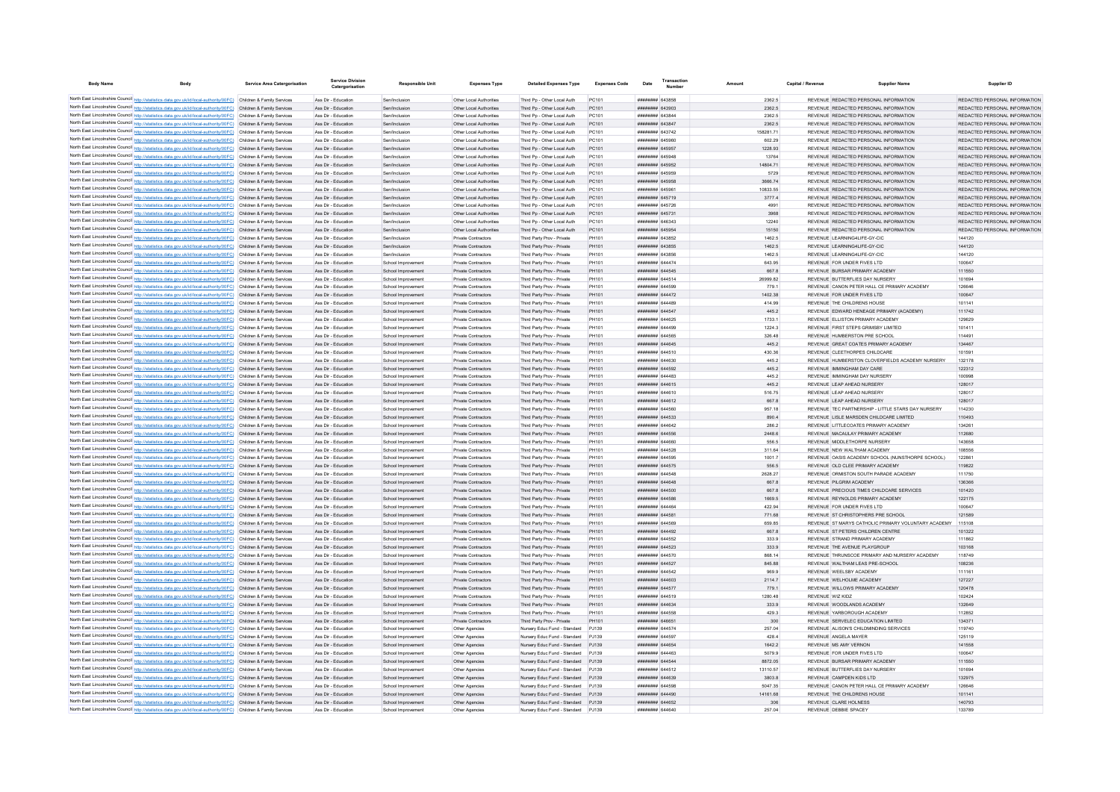| <b>Body Name</b> | <b>Body</b>                                                                                                                                                                                                                            | <b>Service Area Catergorisation</b> | <b>Service Divisio</b><br>Catergorisation  | <b>Responsible Unit</b>                  | <b>Expenses Type</b>                               | <b>Detailed Expenses Type</b>                                            | <b>Expenses Code</b> | Date                               | Transactio | Amount            | Capital / Revenue | <b>Supplier Name</b>                                                                            | Supplier ID                                                    |
|------------------|----------------------------------------------------------------------------------------------------------------------------------------------------------------------------------------------------------------------------------------|-------------------------------------|--------------------------------------------|------------------------------------------|----------------------------------------------------|--------------------------------------------------------------------------|----------------------|------------------------------------|------------|-------------------|-------------------|-------------------------------------------------------------------------------------------------|----------------------------------------------------------------|
|                  | North East Lincolnshire Council http://statistics.data.gov.uk/id/local-authority/00FC) Children & Family Services                                                                                                                      |                                     | Ass Dir - Education                        | Sen/Inclusion                            | Other Local Authorities                            | Third Po - Other Local Auth                                              | PC101                | ####### 643858                     |            | 2362.5            |                   | REVENUE REDACTED PERSONAL INFORMATION                                                           | REDACTED PERSONAL INFORMATION                                  |
|                  | North East Lincolnshire Council http://statistics.data.gov.uk/id/local-authority/00FC) Children & Family Services                                                                                                                      |                                     | Ass Dir - Education                        | Sen/Inclusion                            | Other Local Authorities                            | Third Pp - Other Local Auth                                              | PC101                | ######## 643903                    |            | 2362.5            |                   | REVENUE REDACTED PERSONAL INFORMATION                                                           | REDACTED PERSONAL INFORMATION                                  |
|                  | North East Lincolnshire Council http://statistics.data.gov.uk/id/local-authority/00FC) Children & Family Services                                                                                                                      |                                     | Ass Dir - Education                        | Sen/Inclusion                            | Other Local Authorities                            | Third Pp - Other Local Auth                                              | PC101                | ######## 643844                    |            | 2362.5            |                   | REVENUE REDACTED PERSONAL INFORMATION                                                           | REDACTED PERSONAL INFORMATION                                  |
|                  | North East Lincolnshire Council http://statistics.data.gov.uk/id/local-authority/00FC) Children & Family Services                                                                                                                      |                                     | Ass Dir - Education                        | Sen/Inclusion                            | Other Local Authorities                            | Third Pp - Other Local Auth                                              | PC101                | <b>######## 643847</b>             |            | 2362.5            |                   | REVENUE REDACTED PERSONAL INFORMATION                                                           | REDACTED PERSONAL INFORMATION                                  |
|                  | North East Lincolnshire Council http://statistics.data.gov.uk/id/local-authority/00FC) Children & Family Services                                                                                                                      |                                     | Ass Dir - Education                        | Sen/Inclusion                            | Other Local Authorities                            | Third Pp - Other Local Auth                                              | PC101                | ######## 643742                    |            | 158281.71         |                   | REVENUE REDACTED PERSONAL INFORMATION                                                           | REDACTED PERSONAL INFORMATION                                  |
|                  | North East Lincolnshire Council http://statistics.data.gov.uk/id/local-authority/00FC) Children & Family Services                                                                                                                      |                                     | Ass Dir - Education<br>Ass Dir - Education | Sen/Inclusion<br>Sen/Inclusion           | Other Local Authorities<br>Other Local Authorities | Third Pp - Other Local Auth                                              | PC101                | ######## 645960<br>######## 645957 |            | 602.29<br>1228.93 |                   | REVENUE REDACTED PERSONAL INFORMATION<br>REVENUE REDACTED PERSONAL INFORMATION                  | REDACTED PERSONAL INFORMATION<br>REDACTED PERSONAL INFORMATION |
|                  | North East Lincolnshire Council http://statistics.data.gov.uk/id/local-authority/00FC) Children & Family Services<br>North East Lincolnshire Council http://statistics.data.gov.uk/id/local-authority/00FC) Children & Family Services |                                     | Ass Dir - Education                        | Sen/Inclusion                            | Other Local Authorities                            | Third Pp - Other Local Auth<br>Third Pp - Other Local Auth               | PC101<br>PC101       | ######## 645948                    |            | 13764             |                   | REVENUE REDACTED PERSONAL INFORMATION                                                           | REDACTED PERSONAL INFORMATION                                  |
|                  | North East Lincolnshire Council http://statistics.data.gov.uk/id/local-authority/00FC) Children & Family Services                                                                                                                      |                                     | Ass Dir - Education                        | Sen/Inclusion                            | Other Local Authorities                            | Third Pp - Other Local Auth                                              | PC101                | ####### 645952                     |            | 14804.71          |                   | REVENUE REDACTED PERSONAL INFORMATION                                                           | REDACTED PERSONAL INFORMATION                                  |
|                  | North East Lincolnshire Council http://statistics.data.gov.uk/id/local-authority/00FC) Children & Family Services                                                                                                                      |                                     | Ass Dir - Education                        | Sen/Inclusion                            | Other Local Authorities                            | Third Pp - Other Local Auth                                              | PC101                | ####### 645959                     |            | 5729              |                   | REVENUE REDACTED PERSONAL INFORMATION                                                           | REDACTED PERSONAL INFORMATION                                  |
|                  | North East Lincolnshire Council http://statistics.data.gov.uk/id/local-authority/00FC) Children & Family Services                                                                                                                      |                                     | Ass Dir - Education                        | Sen/Inclusion                            | Other Local Authorities                            | Third Pp - Other Local Auth                                              | PC101                | ######## 645958                    |            | 3666.74           |                   | REVENUE REDACTED PERSONAL INFORMATION                                                           | REDACTED PERSONAL INFORMATION                                  |
|                  | North East Lincolnshire Council http://statistics.data.gov.uk/id/local-authority/00FC) Children & Family Services                                                                                                                      |                                     | Ass Dir - Education                        | Sen/Inclusion                            | Other Local Authorities                            | Third Pp - Other Local Auth                                              | PC101                | ####### 64596*                     |            | 10833.55          |                   | REVENUE REDACTED PERSONAL INFORMATION                                                           | REDACTED PERSONAL INFORMATION                                  |
|                  | North East Lincolnshire Council http://statistics.data.gov.uk/id/local-authority/00FC) Children & Family Services                                                                                                                      |                                     | Ass Dir - Education                        | Sen/Inclusion                            | Other Local Authorities                            | Third Pp - Other Local Auth                                              | PC101                | ######## 645719                    |            | 3777.4            |                   | REVENUE REDACTED PERSONAL INFORMATION                                                           | REDACTED PERSONAL INFORMATION                                  |
|                  | North East Lincolnshire Council http://statistics.data.gov.uk/id/local-authority/00FC) Children & Family Services                                                                                                                      |                                     | Ass Dir - Education<br>Ass Dir - Education | Sen/Inclusio<br>Sen/Inclusion            | Other Local Authorities<br>Other Local Authorities | Third Pp - Other Local Auth                                              | PC101<br>PC101       | ######## 645726<br>######## 645731 |            | 4991              |                   | REVENUE REDACTED PERSONAL INFORMATION<br>REVENUE REDACTED PERSONAL INFORMATION                  | REDACTED PERSONAL INFORMATION<br>REDACTED PERSONAL INFORMATION |
|                  | North East Lincolnshire Council http://statistics.data.gov.uk/id/local-authority/00FC) Children & Family Services<br>North East Lincolnshire Council http://statistics.data.gov.uk/id/local-authority/00FC) Children & Family Services |                                     | Ass Dir - Education                        | Sen/Inclusion                            | Other Local Authorities                            | Third Pp - Other Local Auth<br>Third Pp - Other Local Auth               | PC101                | ELERA BREERER                      |            | 3968<br>12240     |                   | REVENUE REDACTED PERSONAL INFORMATION                                                           | REDACTED PERSONAL INFORMATION                                  |
|                  | North East Lincolnshire Council http://statistics.data.gov.uk/id/local-authority/00FC) Children & Family Services                                                                                                                      |                                     | Ass Dir - Education                        | Sen/Inclusion                            | Other Local Authorities                            | Third Pp - Other Local Auth                                              | PC101                | ######## 645954                    |            | 15150             |                   | REVENUE REDACTED PERSONAL INFORMATION                                                           | REDACTED PERSONAL INFORMATION                                  |
|                  | North East Lincolnshire Council http://statistics.data.gov.uk/id/local-authority/00FC) Children & Family Services                                                                                                                      |                                     | Ass Dir - Education                        | Sen/Inclusion                            | Private Contractors                                | Third Party Prov - Private                                               | PH101                | ######## 643852                    |            | 1462.5            |                   | REVENUE LEARNING4LIFE-GY-CIC                                                                    | 144120                                                         |
|                  | North East Lincolnshire Council http://statistics.data.gov.uk/id/local-authority/00FC) Children & Family Services                                                                                                                      |                                     | Ass Dir - Education                        | Sen/Inclusion                            | Private Contractors                                | Third Party Prov - Private                                               | PH101                | ######## 643855                    |            | 1462.5            |                   | REVENUE LEARNING4LIFE-GY-CIC                                                                    | 144120                                                         |
|                  | North East Lincolnshire Council http://statistics.data.gov.uk/id/local-authority/00FC) Children & Family Services                                                                                                                      |                                     | Ass Dir - Education                        | Sen/Inclusion                            | Private Contractors                                | Third Party Prov - Private                                               | PH101                | ######## 643856                    |            | 1462.5            |                   | REVENUE LEARNING4LIFE-GY-CIC                                                                    | 144120                                                         |
|                  | North East Lincolnshire Council http://statistics.data.gov.uk/id/local-authority/00FC) Children & Family Services                                                                                                                      |                                     | Ass Dir - Education                        | School Improvement                       | Private Contractors                                | Third Party Prov - Private                                               | PH101                | ####### 644474                     |            | 643.95            |                   | REVENUE FOR UNDER FIVES LTD.                                                                    | 100647                                                         |
|                  | North East Lincolnshire Council http://statistics.data.gov.uk/id/local-authority/00FC) Children & Family Services<br>North East Lincolnshire Council http://statistics.data.gov.uk/id/local-authority/00FC) Children & Family Services |                                     | Ass Dir - Education<br>Ass Dir - Education | School Improvement<br>School Improvement | Private Contractors<br>Private Contractors         | Third Party Prov - Private                                               | PH101<br>PH101       | ####### 644545<br>######## 644514  |            | 667.8<br>2699982  |                   | REVENUE BURSAR PRIMARY ACADEMY<br>REVENUE BUTTERELIES DAY NURSERY                               | 111550<br>101694                                               |
|                  | North East Lincolnshire Council http://statistics.data.gov.uk/id/local-authority/00FC) Children & Family Services                                                                                                                      |                                     | Ass Dir - Education                        | School Improvement                       | Private Contractors                                | Third Party Prov - Private<br>Third Party Prov - Private                 | PH101                | <b>####### 644599</b>              |            | 779.1             |                   | REVENUE CANON PETER HALL CE PRIMARY ACADEMY                                                     | 126646                                                         |
|                  | North East Lincolnshire Council http://statistics.data.gov.uk/id/local-authority/00FC) Children & Family Services                                                                                                                      |                                     | Ass Dir - Education                        | School Improvement                       | Private Contractors                                | Third Party Prov - Private                                               | PH101                | ######## 644472                    |            | 1402.38           |                   | REVENUE FOR UNDER FIVES LTD                                                                     | 100647                                                         |
|                  | North East Lincolnshire Council http://statistics.data.gov.uk/id/local-authority/00FC) Children & Family Services                                                                                                                      |                                     | Ass Dir - Education                        | School Improvement                       | Private Contractor                                 | Third Party Prov - Private                                               | PH101                | ######## 644489                    |            | 414.99            |                   | REVENUE THE CHILDRENS HOUSE                                                                     | 101141                                                         |
|                  | North East Lincolnshire Council http://statistics.data.gov.uk/id/local-authority/00FC) Children & Family Services                                                                                                                      |                                     | Ass Dir - Education                        | School Improvement                       | Private Contractors                                | Third Party Prov - Private                                               | PH101                | ######## 644547                    |            | 445.2             |                   | REVENUE EDWARD HENEAGE PRIMARY (ACADEMY)                                                        | 111742                                                         |
|                  | North East Lincolnshire Council http://statistics.data.gov.uk/id/local-authority/00FC) Children & Family Services                                                                                                                      |                                     | Ass Dir - Education                        | School Improvement                       | Private Contractors                                | Third Party Prov - Private                                               | PH101                | ####### 644625                     |            | 1733.1            |                   | REVENUE ELLISTON PRIMARY ACADEMY                                                                | 129629                                                         |
|                  | North East Lincolnshire Council http://statistics.data.gov.uk/id/local-authority/00FC) Children & Family Services                                                                                                                      |                                     | Ass Dir - Education                        | School Improvement                       | Private Contractors                                | Third Party Prov - Private                                               | PH101                | ######## 644499                    |            | 1224.3            |                   | REVENUE FIRST STEPS GRIMSBY LIMITED.                                                            | 101411                                                         |
|                  | North East Lincolnshire Council http://statistics.data.gov.uk/id/local-authority/00FC) Children & Family Services                                                                                                                      |                                     | Ass Dir - Education                        | School Improvement                       | Private Contractors                                | Third Party Prov - Private                                               | PH101<br>PH101       | ####### 644565<br>####### 644645   |            | 326.48            |                   | REVENUE HUMBERSTON PRE SCHOOL<br>REVENUE GREAT COATES PRIMARY ACADEMY                           | 114491<br>134467                                               |
|                  | North East Lincolnshire Council http://statistics.data.gov.uk/id/local-authority/00FC) Children & Family Services<br>North East Lincolnshire Council http://statistics.data.gov.uk/id/local-authority/00FC) Children & Family Services |                                     | Ass Dir - Education<br>Ass Dir - Education | School Improvement<br>School Improvement | Private Contractors<br>Private Contractors         | Third Party Prov - Private<br>Third Party Prov - Private                 | PH101                | ######## 644510                    |            | 445.2<br>430.36   |                   | REVENUE CLEETHORPES CHILDCARE                                                                   | 101591                                                         |
|                  | North East Lincolnshire Council http://statistics.data.gov.uk/id/local-authority/00FC) Children & Family Services                                                                                                                      |                                     | Ass Dir - Education                        | School Improvement                       | Private Contractors                                | Third Party Prov - Private                                               | PH101                | ######## 644630                    |            | 445.2             |                   | REVENUE HUMBERSTON CLOVERFIELDS ACADEMY NURSERY                                                 | 132178                                                         |
|                  | North East Lincolnshire Council http://statistics.data.gov.uk/id/local-authority/00FC) Children & Family Services                                                                                                                      |                                     | Ass Dir - Education                        | School Improvement                       | Private Contractors                                | Third Party Prov - Private                                               | PH101                | ######## 644592                    |            | 445.2             |                   | REVENUE IMMINGHAM DAY CARE                                                                      | 122312                                                         |
|                  | North East Lincolnshire Council http://statistics.data.gov.uk/id/local-authority/00FC) Children & Family Services                                                                                                                      |                                     | Ass Dir - Education                        | School Improvement                       | Private Contractors                                | Third Party Prov - Private                                               | PH101                | ######## 644483                    |            | 445.2             |                   | REVENUE IMMINGHAM DAY NURSERY                                                                   | 100998                                                         |
|                  | North East Lincolnshire Council http://statistics.data.gov.uk/id/local-authority/00FC) Children & Family Services                                                                                                                      |                                     | Ass Dir - Education                        | School Improvement                       | Private Contractors                                | Third Party Prov - Private                                               | PH101                | ####### 644615                     |            | 445.2             |                   | REVENUE LEAP AHEAD NURSERY                                                                      | 128017                                                         |
|                  | North East Lincolnshire Council http://statistics.data.gov.uk/id/local-authority/00FC) Children & Family Services                                                                                                                      |                                     | Ass Dir - Education                        | School Improvement                       | Private Contractors                                | Third Party Prov - Private                                               | PH101                | ######## 644610                    |            | 516.75            |                   | REVENUE LEAP AHEAD NURSERY                                                                      | 128017                                                         |
|                  | North East Lincolnshire Council http://statistics.data.gov.uk/id/local-authority/00FC) Children & Family Services<br>North East Lincolnshire Council http://statistics.data.gov.uk/id/local-authority/00FC) Children & Family Services |                                     | Ass Dir - Education<br>Ass Dir - Education | School Improvement<br>School Improvement | Private Contractors<br>Private Contractors         | Third Party Prov - Private<br>Third Party Prov - Private                 | PH101<br>PH101       | ######## 644612<br>######## 644560 |            | 667.8<br>957.18   |                   | REVENUE LEAP AHEAD NURSERY<br>REVENUE TEC PARTNERSHIP - LITTLE STARS DAY NURSERY                | 128017<br>114230                                               |
|                  | North East Lincolnshire Council http://statistics.data.gov.uk/id/local-authority/00FC) Children & Family Services                                                                                                                      |                                     | Ass Dir - Education                        | School Improvement                       | Private Contractors                                | Third Party Prov - Private                                               | PH101                | ####### 644533                     |            | 890.4             |                   | REVENUE LISLE MARSDEN CHILDCARE LIMITED                                                         | 110493                                                         |
|                  | North East Lincolnshire Council http://statistics.data.gov.uk/id/local-authority/00FC) Children & Family Services                                                                                                                      |                                     | Ass Dir - Education                        | School Improvement                       | Private Contractors                                | Third Party Prov - Private                                               | PH101                | <b>иннинин</b> 644642              |            | 286.2             |                   | REVENUE LITTLECOATES PRIMARY ACADEMY                                                            | 134261                                                         |
|                  | North East Lincolnshire Council http://statistics.data.gov.uk/id/local-authority/00FC) Children & Family Services                                                                                                                      |                                     | Ass Dir - Education                        | School Improvement                       | Private Contractors                                | Third Party Prov - Private                                               | PH101                | ######## 644556                    |            | 2448.6            |                   | REVENUE MACAULAY PRIMARY ACADEMY                                                                | 112680                                                         |
|                  | North East Lincolnshire Council http://statistics.data.gov.uk/id/local-authority/00FC) Children & Family Services                                                                                                                      |                                     | Ass Dir - Education                        | School Improvement                       | Private Contractors                                | Third Party Prov - Private                                               | PH101                | ######## 644660                    |            | 556.5             |                   | REVENUE MIDDLETHORPE NURSERY                                                                    | 143658                                                         |
|                  | North East Lincolnshire Council http://statistics.data.gov.uk/id/local-authority/00FC) Children & Family Services                                                                                                                      |                                     | Ass Dir - Education                        | School Improvement                       | Private Contractors                                | Third Party Prov - Private                                               | PH101                | ######## 644528                    |            | 311.64            |                   | REVENUE NEW WALTHAM ACADEMY                                                                     | 108556                                                         |
|                  | North East Lincolnshire Council http://statistics.data.gov.uk/id/local-authority/00FC) Children & Family Services                                                                                                                      |                                     | Ass Dir - Education                        | School Improvement                       | Private Contractors                                | Third Party Prov - Private                                               | PH101                | ######## 644595                    |            | 1001.7            |                   | REVENUE OASIS ACADEMY SCHOOL (NUNSTHORPE SCHOOL)                                                | 122861                                                         |
|                  | North East Lincolnshire Council http://statistics.data.gov.uk/id/local-authority/00FC) Children & Family Services<br>North East Lincolnshire Council http://statistics.data.gov.uk/id/local-authority/00FC) Children & Family Services |                                     | Ass Dir - Education<br>Ass Dir - Education | School Improvement<br>School Improvement | Private Contractors<br>Private Contractors         | Third Party Prov - Private<br>Third Party Prov - Private                 | PH101<br>PH101       | ######## 644575<br>####### 644548  |            | 556.5<br>2628.27  |                   | REVENUE OLD CLEE PRIMARY ACADEMY<br>REVENUE ORMISTON SOUTH PARADE ACADEMY                       | 119822<br>111750                                               |
|                  | North East Lincolnshire Council http://statistics.data.gov.uk/id/local-authority/00FC) Children & Family Services                                                                                                                      |                                     | Ass Dir - Education                        | School Improvement                       | Private Contractors                                | Third Party Prov - Private                                               | PH101                | ######## 644648                    |            | 6678              |                   | REVENUE PILGRIM ACADEMY                                                                         | 136366                                                         |
|                  | North East Lincolnshire Council http://statistics.data.gov.uk/id/local-authority/00FC) Children & Family Services                                                                                                                      |                                     | Ass Dir - Education                        | School Improvement                       | Private Contractors                                | Third Party Prov - Private                                               | PH101                | ######## 644500                    |            | 667.8             |                   | REVENUE PRECIOUS TIMES CHILDCARE SERVICES                                                       | 101420                                                         |
|                  | North East Lincolnshire Council http://statistics.data.gov.uk/id/local-authority/00FC) Children & Family Services                                                                                                                      |                                     | Ass Dir - Education                        | School Improvement                       | Private Contractors                                | Third Party Prov - Private                                               | PH101                | ######## 644586                    |            | 1669.5            |                   | REVENUE REYNOLDS PRIMARY ACADEMY                                                                | 122175                                                         |
|                  | North East Lincolnshire Council http://statistics.data.gov.uk/id/local-authority/00FC) Children & Family Services                                                                                                                      |                                     | Ass Dir - Education                        | School Improvement                       | <b>Private Contractors</b>                         | Third Party Prov - Private                                               | PH101                | ####### 644464                     |            | 422.94            |                   | REVENUE FOR UNDER FIVES LTD                                                                     | 100647                                                         |
|                  | North East Lincolnshire Council http://statistics.data.gov.uk/id/local-authority/00FC) Children & Family Services                                                                                                                      |                                     | Ass Dir - Education                        | School Improvement                       | Private Contractors                                | Third Party Prov - Private                                               | PH101                | ######## 644581                    |            | 771.68            |                   | REVENUE ST CHRISTOPHERS PRE SCHOOL                                                              | 121589                                                         |
|                  | North East Lincolnshire Council http://statistics.data.gov.uk/id/local-authority/00FC) Children & Family Services<br>North East Lincolnshire Council http://statistics.data.gov.uk/id/local-authority/00FC) Children & Family Services |                                     | Ass Dir - Education<br>Ass Dir - Education | School Improvement                       | Private Contractors<br>Private Contractors         | Third Party Prov - Private                                               | PH101                | ####### 644569<br>######## 644492  |            | 659.85            |                   | REVENUE ST MARYS CATHOLIC PRIMARY VOLUNTARY ACADEMY 115108<br>REVENUE ST PETERS CHILDREN CENTRE | 101322                                                         |
|                  | North East Lincolnshire Council http://statistics.data.gov.uk/id/local-authority/00FC) Children & Family Services                                                                                                                      |                                     | Ass Dir - Education                        | School Improvement<br>School Improvement | Private Contractors                                | Third Party Prov - Private<br>Third Party Prov - Private                 | PH101<br>PH101       | ####### 644552                     |            | 667.8<br>333.9    |                   | REVENUE STRAND PRIMARY ACADEMY                                                                  | 111862                                                         |
|                  | North East Lincolnshire Council http://statistics.data.gov.uk/id/local-authority/00FC) Children & Family Services                                                                                                                      |                                     | Ass Dir - Education                        | School Improvement                       | Private Contractors                                | Third Party Prov - Private                                               | PH101                | ######## 644523                    |            | 333.9             |                   | REVENUE THE AVENUE PLAYGROUP                                                                    | 103168                                                         |
|                  | North East Lincolnshire Council http://statistics.data.gov.uk/id/local-authority/00FC) Children & Family Services                                                                                                                      |                                     | Ass Dir - Education                        | School Improvement                       | Private Contractors                                | Third Party Prov - Private                                               | PH101                | ######## 644570                    |            | 868.14            |                   | REVENUE THRUNSCOE PRIMARY AND NURSERY ACADEMY                                                   | 118749                                                         |
|                  | North East Lincolnshire Council http://statistics.data.gov.uk/id/local-authority/00FC) Children & Family Services                                                                                                                      |                                     | Ass Dir - Education                        | School Improvement                       | Private Contractors                                | Third Party Prov - Private                                               | PH101                | ######## 644527                    |            | 845.88            |                   | REVENUE WALTHAM LEAS PRE-SCHOOL                                                                 | 108236                                                         |
|                  | North East Lincolnshire Council http://statistics.data.gov.uk/id/local-authority/00FC) Children & Family Services                                                                                                                      |                                     | Ass Dir - Education                        | School Improvement                       | Private Contractors                                | Third Party Prov - Private                                               | PH101                | ####### 644542                     |            | 969.9             |                   | REVENUE WEELSBY ACADEMY                                                                         | 111161                                                         |
|                  | North East Lincolnshire Council http://statistics.data.gov.uk/id/local-authority/00FC) Children & Family Services                                                                                                                      |                                     | Ass Dir - Education                        | School Improvement                       | Private Contractors                                | Third Party Prov - Private                                               | PH101                | ######## 644603                    |            | 2114.7            |                   | REVENUE WELHOLME ACADEMY                                                                        | 127227                                                         |
|                  | North East Lincolnshire Council http://statistics.data.gov.uk/id/local-authority/00FC) Children & Family Services                                                                                                                      |                                     | Ass Dir - Education<br>Ass Dir - Education | School Improvement                       | Private Contractors                                | Third Party Prov - Private                                               | PH101                | ######## 644577<br>######## 644519 |            | 779.1<br>1280.48  |                   | REVENUE WILLOWS PRIMARY ACADEMY<br>REVENUE WIZ KIDZ                                             | 120478<br>102424                                               |
|                  | North East Lincolnshire Council http://statistics.data.gov.uk/id/local-authority/00FC) Children & Family Services<br>North East Lincolnshire Council http://statistics.data.gov.uk/id/local-authority/00FC) Children & Family Services |                                     | Ass Dir - Education                        | School Improvement<br>School Improvement | Private Contractors<br>Private Contractors         | Third Party Prov - Private<br>Third Party Prov - Private                 | PH101<br>PH101       | ######## 644634                    |            | 333.9             |                   | REVENUE WOODLANDS ACADEMY                                                                       | 132649                                                         |
|                  | North East Lincolnshire Council http://statistics.data.gov.uk/id/local-authority/00FC) Children & Family Services                                                                                                                      |                                     | Ass Dir - Education                        | School Improvement                       | Private Contractors                                | Third Party Prov - Private                                               | PH101                | ######## 644558                    |            | 429.3             |                   | REVENUE YARBOROUGH ACADEMY                                                                      | 112852                                                         |
|                  | North East Lincolnshire Council http://statistics.data.gov.uk/id/local-authority/00FC) Children & Family Services                                                                                                                      |                                     | Ass Dir - Education                        | School Improvement                       | Private Contractors                                | Third Party Prov - Private                                               | PH101                | ####### 646651                     |            | 300               |                   | REVENUE SERVELEC EDUCATION LIMITED                                                              | 134371                                                         |
|                  | North East Lincolnshire Council http://statistics.data.gov.uk/id/local-authority/00FC) Children & Family Services                                                                                                                      |                                     | Ass Dir - Education                        | School Improvement                       | Other Agencies                                     | Nursery Educ Fund - Standard PJ139                                       |                      | <b>####### 644574</b>              |            | 257.04            |                   | REVENUE ALISON'S CHILDMINDING SERVICES                                                          | 119740                                                         |
|                  | North East Lincolnshire Council http://statistics.data.gov.uk/id/local-authority/00FC) Children & Family Services                                                                                                                      |                                     | Ass Dir - Education                        | School Improvement                       | Other Agencies                                     | Nursery Educ Fund - Standard PJ139                                       |                      | ######## 644597                    |            | 428.4             |                   | REVENUE ANGELA MAYER                                                                            | 125119                                                         |
|                  | North East Lincolnshire Council http://statistics.data.gov.uk/id/local-authority/00FC) Children & Family Services                                                                                                                      |                                     | Ass Dir - Education                        | School Improvement                       | Other Agencies                                     | Nursery Educ Fund - Standard PJ139                                       |                      | ######## 644654                    |            | 1642.2            |                   | REVENUE MS AMY VERNON                                                                           | 141558                                                         |
|                  | North East Lincolnshire Council http://statistics.data.gov.uk/id/local-authority/00FC) Children & Family Services<br>North East Lincolnshire Council http://statistics.data.gov.uk/id/local-authority/00FC) Children & Family Services |                                     | Ass Dir - Education<br>Ass Dir - Education | School Improvement<br>School Improvement | Other Agencies<br>Other Agencies                   | Nursery Educ Fund - Standard PJ139<br>Nursery Educ Fund - Standard PJ139 |                      | ######## 644463<br>######## 644544 |            | 5079.9<br>8872.05 |                   | REVENUE FOR UNDER FIVES LTD<br>REVENUE BURSAR PRIMARY ACADEMY                                   | 100647<br>111550                                               |
|                  | North East Lincolnshire Council http://statistics.data.gov.uk/id/local-authority/00FC) Children & Family Services                                                                                                                      |                                     | Ass Dir - Education                        | School Improvement                       | Other Agencies                                     | Nursery Educ Fund - Standard PJ139                                       |                      | ####### 644512                     |            | 13110.57          |                   | REVENUE BUTTERFLIES DAY NURSERY                                                                 | 101694                                                         |
|                  | North East Lincolnshire Council http://statistics.data.gov.uk/id/local-authority/00FC) Children & Family Services                                                                                                                      |                                     | Ass Dir - Education                        | School Improvement                       | Other Agencies                                     | Nursery Educ Fund - Standard PJ139                                       |                      | ######## 644639                    |            | 3803.8            |                   | REVENUE CAMPDEN KIDS LTD                                                                        | 132975                                                         |
|                  | North East Lincolnshire Council http://statistics.data.gov.uk/id/local-authority/00FC) Children & Family Services                                                                                                                      |                                     | Ass Dir - Education                        | School Improvement                       | Other Agencies                                     | Nursery Educ Fund - Standard P.I139                                      |                      | ######## 644598                    |            | 504735            |                   | REVENUE CANON PETER HALL CE PRIMARY ACADEMY                                                     | 126646                                                         |
|                  | North East Lincolnshire Council http://statistics.data.gov.uk/id/local-authority/00FC) Children & Family Services                                                                                                                      |                                     | Ass Dir - Education                        | School Improvement                       | Other Agencies                                     | Nursery Educ Fund - Standard PJ139                                       |                      | ######## 644490                    |            | 14161 68          |                   | REVENUE THE CHILDRENS HOUSE                                                                     | 101141                                                         |
|                  | North East Lincolnshire Council http://statistics.data.gov.uk/id/local-authority/00FC) Children & Family Services                                                                                                                      |                                     | Ass Dir - Education                        | School Improvement                       | Other Agencies                                     | Nursery Educ Fund - Standard PJ139                                       |                      | ######## 644652                    |            | 306               |                   | REVENUE CLARE HOLNESS                                                                           | 140793                                                         |
|                  | North East Lincolnshire Council http://statistics.data.gov.uk/id/local-authority/00FC) Children & Family Services                                                                                                                      |                                     | Ass Dir - Education                        | School Improvement                       | Other Agencies                                     | Nursery Educ Fund - Standard PJ139                                       |                      | ######## 644640                    |            | 257.04            |                   | REVENUE DEBBIE SPACEY                                                                           | 133789                                                         |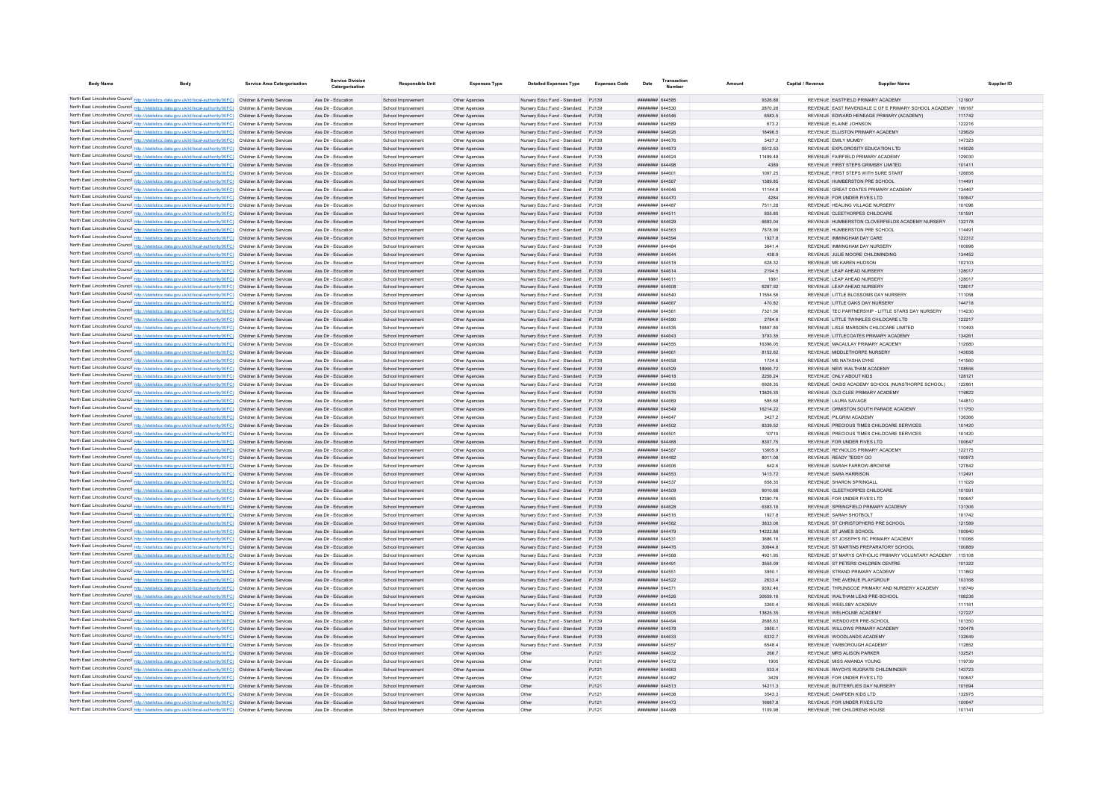| <b>Body Name</b> |                                                                                                                                                                                                                                        | <b>Service Area Catergorisation</b> | <b>Service Division</b><br>Catergorisation | <b>Responsible Unit</b>                  | <b>Expenses Type</b>             | <b>Detailed Expenses Type</b>                                            | <b>Expenses Code</b> | Date                               | Transactio<br>Number | Amoun               | Capital / Revenue |                                                                        | <b>Supplier Nam</b>                                         | Supplier ID      |  |
|------------------|----------------------------------------------------------------------------------------------------------------------------------------------------------------------------------------------------------------------------------------|-------------------------------------|--------------------------------------------|------------------------------------------|----------------------------------|--------------------------------------------------------------------------|----------------------|------------------------------------|----------------------|---------------------|-------------------|------------------------------------------------------------------------|-------------------------------------------------------------|------------------|--|
|                  |                                                                                                                                                                                                                                        |                                     |                                            |                                          |                                  |                                                                          |                      |                                    |                      |                     |                   |                                                                        |                                                             |                  |  |
|                  | North East Lincolnshire Council http://statistics.data.gov.uk/id/local-authority/00FC) Children & Family Services<br>North East Lincolnshire Council http://statistics.data.gov.uk/id/local-authority/00FC) Children & Family Services |                                     | Ass Dir - Education                        | School Improvement                       | Other Agencies                   | Nursery Educ Fund - Standard PJ139                                       |                      | ####### 644585                     |                      | 9326.88             |                   | REVENUE EASTFIELD PRIMARY ACADEMY                                      |                                                             | 121907           |  |
|                  |                                                                                                                                                                                                                                        |                                     | Ass Dir - Education                        | School Improvement                       | Other Anencies                   | Nursery Educ Fund - Standard P.I139                                      |                      | ######## 644530                    |                      | 2870 28             |                   |                                                                        | REVENUE FAST RAVENDALE C OF E PRIMARY SCHOOL ACADEMY 109167 |                  |  |
|                  | North East Lincolnshire Council http://statistics.data.gov.uk/id/local-authority/00FC) Children & Family Services                                                                                                                      |                                     | Ass Dir - Education                        | School Improvement                       | Other Agencies                   | Nursery Educ Fund - Standard P.J139                                      |                      | ######## 644546                    |                      | 6583.5              |                   | REVENUE EDWARD HENEAGE PRIMARY (ACADEMY)                               |                                                             | 111742           |  |
|                  | North East Lincolnshire Council http://statistics.data.gov.uk/id/local-authority/00FC) Children & Family Services                                                                                                                      |                                     | Ass Dir - Education<br>Ass Dir - Education | School Improvement                       | Other Agencies                   | Nursery Educ Fund - Standard PJ139                                       |                      | ######## 644589<br>######## 644626 |                      | 673.2<br>18496.5    |                   | REVENUE ELAINE JOHNSON<br>REVENUE ELLISTON PRIMARY ACADEMY             |                                                             | 122216<br>129629 |  |
|                  | North East Lincolnshire Council http://statistics.data.gov.uk/id/local-authority/00FC) Children & Family Services                                                                                                                      |                                     |                                            | School Improvement                       | Other Agencies                   | Nursery Educ Fund - Standard PJ139                                       |                      |                                    |                      |                     |                   |                                                                        |                                                             |                  |  |
|                  | North East Lincolnshire Council http://statistics.data.gov.uk/id/local-authority/00FC) Children & Family Services                                                                                                                      |                                     | Ass Dir - Education                        | School Improvement                       | Other Agencies                   | Nursery Educ Fund - Standard PJ139                                       |                      | ####### 644676                     |                      | 3427.2              |                   | REVENUE EMILY MUMBY                                                    |                                                             | 147323           |  |
|                  | North East Lincolnshire Council http://statistics.data.gov.uk/id/local-authority/00FC) Children & Family Services<br>North East Lincolnshire Council http://statistics.data.gov.uk/id/local-authority/00FC) Children & Family Services |                                     | Ass Dir - Education<br>Ass Dir - Education | School Improvement<br>School Improvement | Other Agencies<br>Other Agencies | Nursery Educ Fund - Standard PJ139<br>Nursery Educ Fund - Standard PJ139 |                      | ####### 644673<br>######## 644624  |                      | 5512.53<br>11499.48 |                   | REVENUE EXPLOROSITY EDUCATION LTD<br>REVENUE FAIRFIELD PRIMARY ACADEMY |                                                             | 145026<br>129030 |  |
|                  | North East Lincolnshire Council http://statistics.data.gov.uk/id/local-authority/00FC) Children & Family Services                                                                                                                      |                                     | Ass Dir - Education                        | School Improvement                       | Other Agencies                   | Nursery Educ Fund - Standard PJ139                                       |                      | ######## 644498                    |                      | 4389                |                   | REVENUE FIRST STEPS GRIMSBY LIMITED                                    |                                                             | 101411           |  |
|                  | North East Lincolnshire Council http://statistics.data.gov.uk/id/local-authority/00FC) Children & Family Services                                                                                                                      |                                     | Ass Dir - Education                        |                                          |                                  | Nursery Educ Fund - Standard PJ139                                       |                      | ######## 644601                    |                      | 1097.25             |                   | REVENUE FIRST STEPS WITH SURE START                                    |                                                             | 126658           |  |
|                  | North East Lincolnshire Council http://statistics.data.gov.uk/id/local-authority/00FC) Children & Family Services                                                                                                                      |                                     | Ass Dir - Education                        | School Improvement<br>School Improvement | Other Agencies<br>Other Agencies | Nursery Educ Fund - Standard PJ139                                       |                      | ######## 644567                    |                      | 1389.85             |                   | REVENUE HUMBERSTON PRE SCHOOL                                          |                                                             | 114491           |  |
|                  | North East Lincolnshire Council http://statistics.data.gov.uk/id/local-authority/00FC) Children & Family Services                                                                                                                      |                                     | Ass Dir - Education                        | School Improvement                       | Other Agencie                    | Nursery Educ Fund - Standard                                             | PJ139                | ######## 644646                    |                      | 11144.8             |                   | REVENUE GREAT COATES PRIMARY ACADEMY                                   |                                                             | 134467           |  |
|                  | North East Lincolnshire Council http://statistics.data.gov.uk/id/local-authority/00FC) Children & Family Services                                                                                                                      |                                     | Ass Dir - Education                        | School Improvement                       | Other Agencies                   | Nursery Educ Fund - Standard PJ139                                       |                      | ######## 644470                    |                      | 4284                |                   | REVENUE FOR UNDER FIVES LTD                                            |                                                             | 100647           |  |
|                  | North East Lincolnshire Council http://statistics.data.gov.uk/id/local-authority/00FC) Children & Family Services                                                                                                                      |                                     | Ass Dir - Education                        | School Improvement                       | Other Agencies                   | Nursery Educ Fund - Standard PJ139                                       |                      | ######## 644487                    |                      | 7511.28             |                   | REVENUE HEALING VILLAGE NURSERY                                        |                                                             | 101096           |  |
|                  | North East Lincolnshire Council http://statistics.data.gov.uk/id/local-authority/00FC) Children & Family Services                                                                                                                      |                                     | Ass Dir - Education                        | School Improvement                       | Other Agencies                   | Nursery Educ Fund - Standard PJ139                                       |                      | ######## 644511                    |                      | 855.85              |                   | REVENUE CLEETHORPES CHILDCARE                                          |                                                             | 101591           |  |
|                  | North East Lincolnshire Council http://statistics.data.gov.uk/id/local-authority/00FC) Children & Family Services                                                                                                                      |                                     | Ass Dir - Education                        | School Improvement                       | Other Agencies                   | Nursery Educ Fund - Standard PJ139                                       |                      | ######## 644629                    |                      | 6683.04             |                   |                                                                        | REVENUE HUMBERSTON CLOVERFIELDS ACADEMY NURSERY             | 132178           |  |
|                  | North East Lincolnshire Council http://statistics.data.gov.uk/id/local-authority/00FC) Children & Family Services                                                                                                                      |                                     | Ass Dir - Education                        | School Improvement                       | Other Agencies                   | Nursery Educ Fund - Standard PJ139                                       |                      | ####### 644563                     |                      | 7878.99             |                   | REVENUE HUMBERSTON PRE SCHOOL                                          |                                                             | 114491           |  |
|                  | North East Lincolnshire Council http://statistics.data.gov.uk/id/local-authority/00FC) Children & Family Services                                                                                                                      |                                     | Ass Dir - Education                        | School Improvement                       | Other Agencies                   | Nursery Educ Fund - Standard PJ139                                       |                      | ####### 644594                     |                      | 1927.8              |                   | REVENUE IMMINGHAM DAY CARE                                             |                                                             | 122312           |  |
|                  | North East Lincolnshire Council http://statistics.data.gov.uk/id/local-authority/00FC) Children & Family Services                                                                                                                      |                                     | Ass Dir - Education                        | School Improvement                       | Other Agencies                   | Nursery Educ Fund - Standard PJ139                                       |                      | ####### 644484                     |                      | 3641.4              |                   | REVENUE IMMINGHAM DAY NURSERY                                          |                                                             | 100998           |  |
|                  | North East Lincolnshire Council http://statistics.data.gov.uk/id/local-authority/00FC) Children & Family Services                                                                                                                      |                                     | Ass Dir - Education                        | School Improvement                       | Other Agencies                   | Nursery Educ Fund - Standard PJ139                                       |                      | ######## 644644                    |                      | 438.9               |                   | REVENUE JULIE MOORE CHILDMINDING                                       |                                                             | 134452           |  |
|                  | North East Lincolnshire Council http://statistics.data.gov.uk/id/local-authority/00FC) Children & Family Services                                                                                                                      |                                     | Ass Dir - Education                        | School Improvement                       | Other Agencies                   | Nursery Educ Fund - Standard P.I139                                      |                      | ######## 644518                    |                      | 628 32              |                   | REVENUE MS KAREN HUDSON                                                |                                                             | 102103           |  |
|                  | North East Lincolnshire Council http://statistics.data.gov.uk/id/local-authority/00FC) Children & Family Services                                                                                                                      |                                     | Ass Dir - Education                        | School Improvement                       | Other Agencies                   | Nursery Educ Fund - Standard PJ139                                       |                      | ####### 644614                     |                      | 2194.5              |                   | REVENUE LEAP AHEAD NURSERY                                             |                                                             | 128017           |  |
|                  | North East Lincolnshire Council http://statistics.data.gov.uk/id/local-authority/00FC) Children & Family Services                                                                                                                      |                                     | Ass Dir - Education                        | School Improvement                       | Other Agencies                   | Nursery Educ Fund - Standard PJ139                                       |                      | ####### 644611                     |                      | 1881                |                   | REVENUE LEAP AHEAD NURSERY                                             |                                                             | 128017           |  |
|                  | North East Lincolnshire Council http://statistics.data.gov.uk/id/local-authority/00FC)                                                                                                                                                 | Children & Family Services          | Ass Dir - Education                        | School Improvement                       | Other Agencies                   | Nursery Educ Fund - Standard                                             |                      | ######## 644608                    |                      | 6287.92             |                   | REVENUE LEAP AHEAD NURSERY                                             |                                                             | 128017           |  |
|                  | North East Lincolnshire Council http://statistics.data.gov.uk/id/local-authority/00FC)                                                                                                                                                 | Children & Family Services          | Ass Dir - Education                        | School Improvemen                        | Other Agencie                    | Nursery Educ Fund - Standard PJ139                                       |                      | ####### 644540                     |                      | 11554.56            |                   | REVENUE LITTLE BLOSSOMS DAY NURSERY                                    |                                                             | 111058           |  |
|                  | North East Lincolnshire Council http://statistics.data.gov.uk/id/local-authority/00FC) Children & Family Services                                                                                                                      |                                     | Ass Dir - Education                        | School Improvement                       | Other Agencies                   | Nursery Educ Fund - Standard PJ139                                       |                      | ######## 644667                    |                      | 470.82              |                   | REVENUE LITTLE OAKS DAY NURSERY                                        |                                                             | 144718           |  |
|                  | North East Lincolnshire Council http://statistics.data.gov.uk/id/local-authority/00FC) Children & Family Services                                                                                                                      |                                     | Ass Dir - Education                        | School Improvement                       | Other Agencies                   | Nursery Educ Fund - Standard PJ139                                       |                      | ######## 644561                    |                      | 7321 56             |                   |                                                                        | REVENUE TEC PARTNERSHIP - LITTLE STARS DAY NURSERY          | 114230           |  |
|                  | North East Lincolnshire Council http://statistics.data.gov.uk/id/local-authority/00FC) Children & Family Services                                                                                                                      |                                     | Ass Dir - Education                        | School Improvement                       | Other Agencies                   | Nursery Educ Fund - Standard PJ139                                       |                      | ######## 644590                    |                      | 2784.6              |                   | REVENUE LITTLE TWINKLES CHILDCARE LTD                                  |                                                             | 122217           |  |
|                  | North East Lincolnshire Council http://statistics.data.gov.uk/id/local-authority/00FC) Children & Family Services                                                                                                                      |                                     | Ass Dir - Education                        | School Improvement                       | Other Agencies                   | Nursery Educ Fund - Standard PJ139                                       |                      | ####### 644535                     |                      | 16897.89            |                   | REVENUE LISLE MARSDEN CHILDCARE LIMITED                                |                                                             | 110493           |  |
|                  | North East Lincolnshire Council http://statistics.data.gov.uk/id/local-authority/00FC) Children & Family Services                                                                                                                      |                                     | Ass Dir - Education                        | School Improvement                       | Other Agencies                   | Nursery Educ Fund - Standard PJ139                                       |                      | ######## 644643                    |                      | 3793.35             |                   | REVENUE LITTLECOATES PRIMARY ACADEMY                                   |                                                             | 134261           |  |
|                  | North East Lincolnshire Council http://statistics.data.gov.uk/id/local-authority/00FC) Children & Family Services                                                                                                                      |                                     | Ass Dir - Education                        | School Improvement                       | Other Agencies                   | Nursery Educ Fund - Standard PJ139                                       |                      | ####### 644555                     |                      | 16396.05            |                   | REVENUE MACAULAY PRIMARY ACADEMY                                       |                                                             | 112680           |  |
|                  | North East Lincolnshire Council http://statistics.data.gov.uk/id/local-authority/00FC) Children & Family Services                                                                                                                      |                                     | Ass Dir - Education                        | School Improvement                       | Other Agencies                   | Nursery Educ Fund - Standard PJ139                                       |                      | ####### 644661                     |                      | 8152.62             |                   | REVENUE MIDDLETHORPE NURSERY                                           |                                                             | 143658           |  |
|                  | North East Lincolnshire Council http://statistics.data.gov.uk/id/local-authority/00FC) Children & Family Services                                                                                                                      |                                     | Ass Dir - Education                        | School Improvement                       | Other Agencies                   | Nursery Educ Fund - Standard PJ139                                       |                      | ####### 644658                     |                      | 1734.6              |                   | REVENUE MS NATASHA DYKE                                                |                                                             | 141560           |  |
|                  | North East Lincolnshire Council http://statistics.data.gov.uk/id/local-authority/00FC) Children & Family Services                                                                                                                      |                                     | Ass Dir - Education                        | School Improvement                       | Other Agencies                   | Nursery Educ Fund - Standard PJ139                                       |                      | ######## 644529                    |                      | 18906.72            |                   | REVENUE NEW WALTHAM ACADEMY                                            |                                                             | 108556           |  |
|                  | North East Lincolnshire Council http://statistics.data.gov.uk/id/local-authority/00FC) Children & Family Services                                                                                                                      |                                     | Ass Dir - Education                        | School Improvement                       | Other Agencies                   | Nursery Educ Fund - Standard PJ139                                       |                      | ####### 644618                     |                      | 2256.24             |                   | REVENUE ONLY ABOUT KIDS                                                |                                                             | 128121           |  |
|                  | North East Lincolnshire Council http://statistics.data.gov.uk/id/local-authority/00FC) Children & Family Services                                                                                                                      |                                     | Ass Dir - Education                        | School Improvement                       | Other Agencies                   | Nursery Educ Fund - Standard PJ139                                       |                      | ####### 644596                     |                      | 6928.35             |                   |                                                                        | REVENUE OASIS ACADEMY SCHOOL (NUNSTHORPE SCHOOL)            | 122861           |  |
|                  | North East Lincolnshire Council http://statistics.data.gov.uk/id/local-authority/00FC) Children & Family Services                                                                                                                      |                                     | Ass Dir - Education                        | School Improvement                       | Other Agencies                   | Nursery Educ Fund - Standard PJ139                                       |                      | ######## 644576                    |                      | 13825.35            |                   | REVENUE OLD CLEE PRIMARY ACADEMY                                       |                                                             | 119822           |  |
|                  | North East Lincolnshire Council http://statistics.data.gov.uk/id/local-authority/00FC) Children & Family Services                                                                                                                      |                                     | Ass Dir - Education                        | School Improvement                       | Other Agencie                    | Nursery Educ Fund - Standard                                             |                      | ####### 644669                     |                      | 595.68              |                   | REVENUE LAURA SAVAGE                                                   |                                                             | 144810           |  |
|                  | North East Lincolnshire Council http://statistics.data.gov.uk/id/local-authority/00FC) Children & Family Services                                                                                                                      |                                     | Ass Dir - Education                        | School Improvement                       | Other Agencies                   | Nursery Educ Fund - Standard PJ139                                       |                      | ######## 644549                    |                      | 16214.22            |                   | REVENUE ORMISTON SOUTH PARADE ACADEMY                                  |                                                             | 111750           |  |
|                  | North East Lincolnshire Council http://statistics.data.gov.uk/id/local-authority/00FC) Children & Family Services                                                                                                                      |                                     | Ass Dir - Education                        | School Improvement                       | Other Agencies                   | Nursery Educ Fund - Standard PJ139                                       |                      | ######## 644647                    |                      | 3427.2              |                   | REVENUE PILGRIM ACADEMY                                                |                                                             | 136366           |  |
|                  | North East Lincolnshire Council http://statistics.data.gov.uk/id/local-authority/00FC) Children & Family Services                                                                                                                      |                                     | Ass Dir - Education                        | School Improvement                       | Other Agencies                   | Nursery Educ Fund - Standard PJ139                                       |                      | ######## 644502                    |                      | 8339.52             |                   | REVENUE PRECIOUS TIMES CHILDCARE SERVICES                              |                                                             | 101420           |  |
|                  | North East Lincolnshire Council http://statistics.data.gov.uk/id/local-authority/00FC) Children & Family Services                                                                                                                      |                                     | Ass Dir - Education                        | School Improvement                       | Other Agencies                   | Nursery Educ Fund - Standard PJ139                                       |                      | ####### 644501                     |                      | 10710               |                   | REVENUE PRECIOUS TIMES CHILDCARE SERVICES                              |                                                             | 101420           |  |
|                  | North East Lincolnshire Council http://statistics.data.gov.uk/id/local-authority/00FC) Children & Family Services                                                                                                                      |                                     | Ass Dir - Education                        | School Improvement                       | Other Agencies                   | Nursery Educ Fund - Standard PJ139                                       |                      | ######## 644468                    |                      | 8307.75             |                   | REVENUE FOR UNDER FIVES LTD                                            |                                                             | 100647           |  |
|                  | North East Lincolnshire Council http://statistics.data.gov.uk/id/local-authority/00FC) Children & Family Services                                                                                                                      |                                     | Ass Dir - Education                        | School Improvement                       | Other Agencies                   | Nursery Educ Fund - Standard PJ139                                       |                      | ####### 644587                     |                      | 13605.9             |                   | REVENUE REYNOLDS PRIMARY ACADEMY                                       |                                                             | 122175           |  |
|                  | North East Lincolnshire Council http://statistics.data.gov.uk/id/local-authority/00FC) Children & Family Services                                                                                                                      |                                     | Ass Dir - Education                        | School Improvement                       | Other Agencies                   | Nursery Educ Fund - Standard PJ139                                       |                      | ######## 644482                    |                      | 8011.08             |                   | REVENUE READY TEDDY GO                                                 |                                                             | 100973           |  |
|                  | North East Lincolnshire Council http://statistics.data.gov.uk/id/local-authority/00FC) Children & Family Services                                                                                                                      |                                     | Ass Dir - Education                        | School Improvement                       | Other Agencies                   | Nursery Educ Fund - Standard PJ139                                       |                      | ROALAS BREEZE                      |                      | 642.6               |                   | REVENUE SARAH FARROW-BROWNE                                            |                                                             | 127842           |  |
|                  | North East Lincolnshire Council http://statistics.data.gov.uk/id/local-authority/00FC) Children & Family Services                                                                                                                      |                                     | Ass Dir - Education                        | School Improvement                       | Other Agencies                   | Nursery Educ Fund - Standard P.J139                                      |                      | ######## 644553                    |                      | 1413.72             |                   | REVENUE SARA HARRISON                                                  |                                                             | 112491           |  |
|                  | North East Lincolnshire Council http://statistics.data.gov.uk/id/local-authority/00FC) Children & Family Services                                                                                                                      |                                     | Ass Dir - Education                        | School Improvement                       | Other Agencies                   | Nursery Educ Fund - Standard PJ139                                       |                      | ######## 644537                    |                      | 658.35              |                   | REVENUE SHARON SPRINGALI                                               |                                                             | 111029           |  |
|                  | North East Lincolnshire Council http://statistics.data.gov.uk/id/local-authority/00FC) Children & Family Services                                                                                                                      |                                     | Ass Dir - Education                        | School Improvement                       | Other Agencies                   | Nursery Educ Fund - Standard                                             | PJ139                | ######## 644509                    |                      | 9010.68             |                   | REVENUE CLEETHORPES CHILDCARE                                          |                                                             | 101591           |  |
|                  | North East Lincolnshire Council http://statistics.data.gov.uk/id/local-authority/00FC) Children & Family Services                                                                                                                      |                                     | Ass Dir - Education                        | School Improvement                       | Other Agencie                    | Nursery Educ Fund - Standard PJ139                                       |                      | ####### 644465                     |                      | 12380.76            |                   | REVENUE FOR UNDER FIVES LTD                                            |                                                             | 100647           |  |
|                  | North East Lincolnshire Council http://statistics.data.gov.uk/id/local-authority/00FC) Children & Family Services                                                                                                                      |                                     | Ass Dir - Education                        | School Improvement                       | Other Agencies                   | Nursery Educ Fund - Standard PJ139                                       |                      | ######## 644628                    |                      | 6383.16             |                   | REVENUE SPRINGFIELD PRIMARY ACADEMY                                    |                                                             | 131306           |  |
|                  | North East Lincolnshire Council http://statistics.data.gov.uk/id/local-authority/00FC) Children & Family Services                                                                                                                      |                                     | Ass Dir - Education                        | School Improvement                       | Other Agencies                   | Nursery Educ Fund - Standard P.I139                                      |                      | ######## 644516                    |                      | 1927 8              |                   | REVENUE SARAH SHOTBOLT                                                 |                                                             | 101742           |  |
|                  | North East Lincolnshire Council http://statistics.data.gov.uk/id/local-authority/00FC) Children & Family Services                                                                                                                      |                                     | Ass Dir - Education                        | School Improvement                       | Other Agencies                   | Nursery Educ Fund - Standard P.J139                                      |                      | ######## 644582                    |                      | 3833.06             |                   | REVENUE ST CHRISTOPHERS PRE SCHOOL                                     |                                                             | 121589           |  |
|                  | North East Lincolnshire Council http://statistics.data.gov.uk/id/local-authority/00FC) Children & Family Services                                                                                                                      |                                     | Ass Dir - Education                        | School Improvement                       | Other Agencies                   | Nursery Educ Fund - Standard PJ139                                       |                      | ######## 644479                    |                      | 14222.88            |                   | REVENUE ST JAMES SCHOOL                                                |                                                             | 100940           |  |
|                  | North East Lincolnshire Council http://statistics.data.gov.uk/id/local-authority/00FC) Children & Family Services                                                                                                                      |                                     | Ass Dir - Education                        | School Improvement                       | Other Agencies                   | Nursery Educ Fund - Standard PJ139                                       |                      | ####### 644531                     |                      | 3686.16             |                   | REVENUE ST JOSEPH'S RC PRIMARY ACADEMY                                 |                                                             | 110066           |  |
|                  | North East Lincolnshire Council http://statistics.data.gov.uk/id/local-authority/00FC) Children & Family Services                                                                                                                      |                                     | Ass Dir - Education                        | School Improvement                       | Other Agencies                   | Nursery Educ Fund - Standard PJ139                                       |                      | ######## 644476                    |                      | 30844.8             |                   | REVENUE ST MARTINS PREPARATORY SCHOOL                                  |                                                             | 100889           |  |
|                  | North East Lincolnshire Council http://statistics.data.gov.uk/id/local-authority/00FC) Children & Family Services                                                                                                                      |                                     | Ass Dir - Education                        | School Improvement                       | Other Agencies                   | Nursery Educ Fund - Standard PJ139                                       |                      | ######## 644568                    |                      | 4921.95             |                   |                                                                        | REVENUE ST MARYS CATHOLIC PRIMARY VOLUNTARY ACADEMY 115108  |                  |  |
|                  | North East Lincolnshire Council http://statistics.data.gov.uk/id/local-authority/00FC) Children & Family Services                                                                                                                      |                                     | Ass Dir - Education                        | School Improvement                       | Other Agencies                   | Nursery Educ Fund - Standard PJ139                                       |                      | ######## 644491                    |                      | 3555.09             |                   | REVENUE ST PETERS CHILDREN CENTRE                                      |                                                             | 101322           |  |
|                  | North East Lincolnshire Council http://statistics.data.gov.uk/id/local-authority/00FC) Children & Family Services                                                                                                                      |                                     | Ass Dir - Education                        | School Improvement                       | Other Agencies                   | Nursery Educ Fund - Standard PJ139                                       |                      | ######## 644551                    |                      | 3950.1              |                   | REVENUE STRAND PRIMARY ACADEMY                                         |                                                             | 111862           |  |
|                  | North East Lincolnshire Council http://statistics.data.gov.uk/id/local-authority/00FC) Children & Family Services                                                                                                                      |                                     | Ass Dir - Education                        | School Improvement                       | Other Agencies                   | Nursery Educ Fund - Standard PJ139                                       |                      | ######## 644522                    |                      | 2633.4              |                   | REVENUE THE AVENUE PLAYGROUP                                           |                                                             | 103168           |  |
|                  | North East Lincolnshire Council http://statistics.data.gov.uk/id/local-authority/00FC) Children & Family Services                                                                                                                      |                                     | Ass Dir - Education                        | School Improvement                       | Other Agencies                   | Nursery Educ Fund - Standard                                             |                      | ####### 64457*                     |                      | 9392.46             |                   |                                                                        | REVENUE THRUNSCOE PRIMARY AND NURSERY ACADEMY               | 118749           |  |
|                  | North East Lincolnshire Council http://statistics.data.gov.uk/id/local-authority/00FC)                                                                                                                                                 | Children & Family Services          | Ass Dir - Education                        | School Improvement                       | Other Agencies                   | Nursery Educ Fund - Standard PJ139                                       |                      | ######## 644526                    |                      | 30659.16            |                   | REVENUE WALTHAM LEAS PRE-SCHOOL                                        |                                                             | 108236           |  |
|                  | North East Lincolnshire Council http://statistics.data.gov.uk/id/local-authority/00FC)                                                                                                                                                 | Children & Family Services          | Ass Dir - Education                        | School Improvement                       | Other Agencie                    | Nursery Educ Fund - Standard                                             | PJ139                | ####### 644543                     |                      | 3260.4              |                   | REVENUE WEELSBY ACADEMY                                                |                                                             | 111161           |  |
|                  | North East Lincolnshire Council http://statistics.data.gov.uk/id/local-authority/00FC) Children & Family Services                                                                                                                      |                                     | Ass Dir - Education                        | School Improvement                       | Other Agencies                   | Nursery Educ Fund - Standard PJ139                                       |                      | ####### 644605                     |                      | 13825.35            |                   | REVENUE WELHOLME ACADEMY                                               |                                                             | 127227           |  |
|                  | North East Lincolnshire Council http://statistics.data.gov.uk/id/local-authority/00FC) Children & Family Services                                                                                                                      |                                     | Ass Dir - Education                        | School Improvement                       | Other Agencies                   | Nursery Educ Fund - Standard PJ139                                       |                      | ######## 644494                    |                      | 2688.63             |                   | REVENUE WENDOVER PRE-SCHOOL                                            |                                                             | 101350           |  |
|                  | North East Lincolnshire Council http://statistics.data.gov.uk/id/local-authority/00FC) Children & Family Services                                                                                                                      |                                     | Ass Dir - Education                        | School Improvement                       | Other Agencies                   | Nursery Educ Fund - Standard PJ139                                       |                      | ######## 644578                    |                      | 3950.1              |                   | REVENUE WILLOWS PRIMARY ACADEMY                                        |                                                             | 120478           |  |
|                  | North East Lincolnshire Council http://statistics.data.gov.uk/id/local-authority/00FC) Children & Family Services                                                                                                                      |                                     | Ass Dir - Education                        | School Improvement                       | Other Agencies                   | Nursery Educ Fund - Standard PJ139                                       |                      | ######## 644633                    |                      | 6332.7              |                   | REVENUE WOODLANDS ACADEMY                                              |                                                             | 132649           |  |
|                  | North East Lincolnshire Council http://statistics.data.gov.uk/id/local-authority/00FC) Children & Family Services                                                                                                                      |                                     | Ass Dir - Education                        | School Improvement                       | Other Agencies                   | Nursery Educ Fund - Standard PJ139                                       |                      | ####### 644557                     |                      | 6548.4              |                   | REVENUE YARBOROUGH ACADEMY                                             |                                                             | 112852           |  |
|                  | North East Lincolnshire Council http://statistics.data.gov.uk/id/local-authority/00FC) Children & Family Services                                                                                                                      |                                     | Ass Dir - Education                        | School Improvement                       | Other Agencies                   | Other                                                                    | PJ121                | ####### 644632                     |                      | 266.7               |                   | REVENUE MRS ALISON PARKER                                              |                                                             | 132521           |  |
|                  | North East Lincolnshire Council http://statistics.data.gov.uk/id/local-authority/00FC) Children & Family Services                                                                                                                      |                                     | Ass Dir - Education                        | School Improvement                       | Other Agencies                   | Other                                                                    | PJ121                | <b>######## 644572</b>             |                      | 1905                |                   | REVENUE MISS AMANDA YOUNG                                              |                                                             | 119739           |  |
|                  | North East Lincolnshire Council http://statistics.data.gov.uk/id/local-authority/00FC) Children & Family Services                                                                                                                      |                                     | Ass Dir - Education                        | School Improvement                       | Other Agencies                   | Other                                                                    | PJ121                | ######## 644663                    |                      | 533.4               |                   | REVENUE RAYCH'S RUGRATS CHILDMINDER                                    |                                                             | 143723           |  |
|                  | North East Lincolnshire Council http://statistics.data.gov.uk/id/local-authority/00FC) Children & Family Services                                                                                                                      |                                     | Ass Dir - Education                        | School Improvement                       | Other Agencies                   | Other                                                                    | P.1121               | ######## 644462                    |                      | 3429                |                   | REVENUE FOR UNDER FIVES LTD                                            |                                                             | 100647           |  |
|                  | North East Lincolnshire Council http://statistics.data.gov.uk/id/local-authority/00FC) Children & Family Services                                                                                                                      |                                     | Ass Dir - Education                        | School Improvement                       | Other Agencies                   | Other                                                                    | PJ121                | ######## 644513                    |                      | 14211.3             |                   | REVENUE BUTTERFLIES DAY NURSERY                                        |                                                             | 101694           |  |
|                  | North East Lincolnshire Council http://statistics.data.gov.uk/id/local-authority/00FC) Children & Family Services                                                                                                                      |                                     | Ass Dir - Education                        | School Improvement                       | Other Agencies                   | Other                                                                    | PJ121                | ######## 644638                    |                      | 3543.3              |                   | REVENUE CAMPDEN KIDS LTD                                               |                                                             | 132975           |  |
|                  | North East Lincolnshire Council http://statistics.data.gov.uk/id/local-authority/00FC) Children & Family Services                                                                                                                      |                                     | Ass Dir - Education                        | School Improvement                       | Other Agencies                   | Other                                                                    | PJ121                | ######## 644473<br>######## 644488 |                      | 16687.8<br>1109.98  |                   | REVENUE FOR UNDER FIVES LTD                                            |                                                             | 100647<br>101141 |  |
|                  | North East Lincolnshire Council http://statistics.data.gov.uk/id/local-authority/00FC) Children & Family Services                                                                                                                      |                                     | Ass Dir - Education                        | School Improvement                       | Other Agencies                   | Other                                                                    | PJ121                |                                    |                      |                     |                   | REVENUE THE CHILDRENS HOUSE                                            |                                                             |                  |  |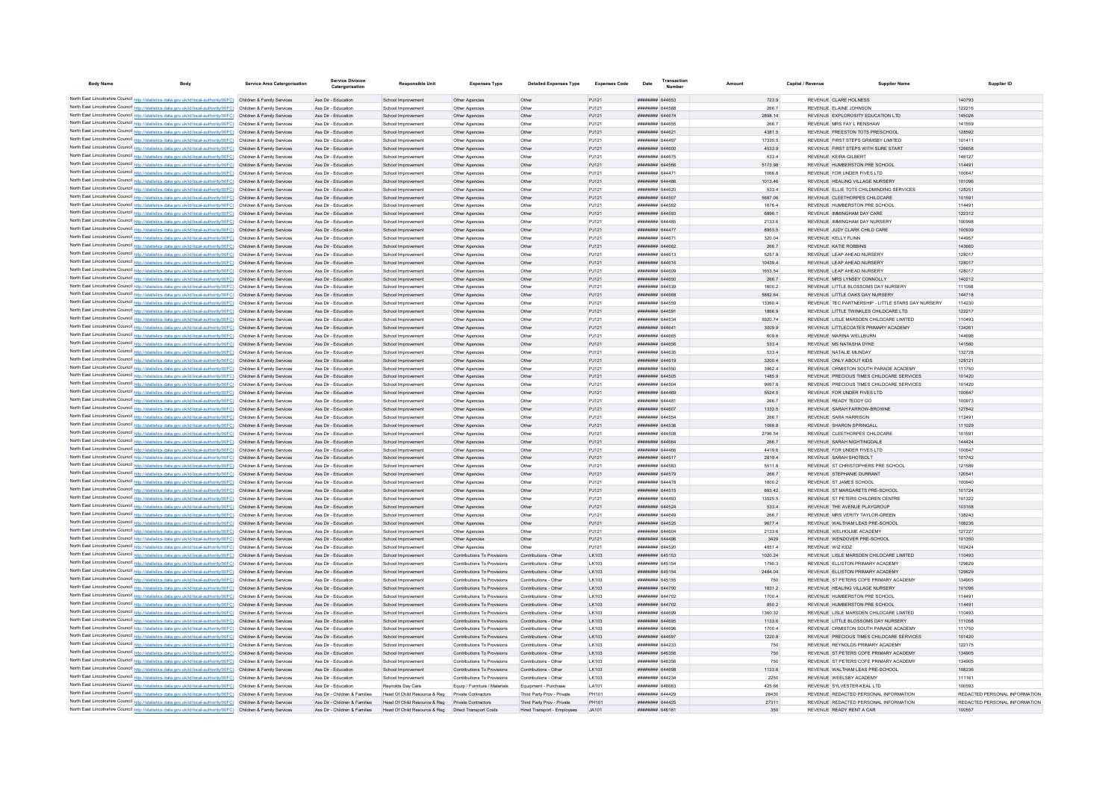| <b>Body Name</b> | <b>Body</b>                                                                                                                                                                                                                            | <b>Service Area Catergorisation</b> | <b>Service Division</b><br>Catergorisation | <b>Responsible Unit</b>                          | <b>Expenses Type</b>                                       | <b>Detailed Expenses Type</b>                  | <b>Expenses Code</b> | Date                                     | Transactio<br><b>Number</b> |                  | Capital / Revenue |                                                             | Supplier Name                                                                | Supplier ID                   |
|------------------|----------------------------------------------------------------------------------------------------------------------------------------------------------------------------------------------------------------------------------------|-------------------------------------|--------------------------------------------|--------------------------------------------------|------------------------------------------------------------|------------------------------------------------|----------------------|------------------------------------------|-----------------------------|------------------|-------------------|-------------------------------------------------------------|------------------------------------------------------------------------------|-------------------------------|
|                  |                                                                                                                                                                                                                                        |                                     |                                            |                                                  |                                                            |                                                |                      |                                          |                             |                  |                   |                                                             |                                                                              |                               |
|                  | North East Lincolnshire Council http://statistics.data.gov.uk/id/local-authority/00FC) Children & Family Services<br>North East Lincolnshire Council http://statistics.data.gov.uk/id/local-authority/00FC) Children & Family Services |                                     | Ass Dir - Education<br>Ass Dir - Education | School Improvement<br>School Improvement         | Other Agencies                                             | Other                                          | PJ121                | ####### 644653<br>######## 644588        |                             | 723.9            |                   | REVENUE CLARE HOLNESS<br>REVENUE ELAINE JOHNSON             |                                                                              | 140793<br>122216              |
|                  | North East Lincolnshire Council http://statistics.data.gov.uk/id/local-authority/00FC) Children & Family Services                                                                                                                      |                                     | Ass Dir - Education                        | School Improvement                               | Other Agencies<br>Other Agencies                           | Other<br>Other                                 | PJ121<br>PJ121       | <b>######## 644674</b>                   |                             | 266.7<br>2898.14 |                   | REVENUE EXPLOROSITY EDUCATION LTD.                          |                                                                              | 145026                        |
|                  | North East Lincolnshire Council http://statistics.data.gov.uk/id/local-authority/00FC) Children & Family Services                                                                                                                      |                                     | Ass Dir - Education                        | School Improvement                               | Other Agencies                                             | Other                                          | PJ121                | ####### 644655                           |                             | 266.7            |                   | REVENUE MRS FAY L RENSHAW                                   |                                                                              | 141559                        |
|                  | North East Lincolnshire Council http://statistics.data.gov.uk/id/local-authority/00FC) Children & Family Services                                                                                                                      |                                     | Ass Dir - Education                        | School Improvement                               | Other Agencies                                             | Other                                          | PJ121                | ######## 644621                          |                             | 4381.5           |                   | REVENUE FREESTON TOTS PRESCHOOL                             |                                                                              | 128592                        |
|                  | North East Lincolnshire Council http://statistics.data.gov.uk/id/local-authority/00FC) Children & Family Services                                                                                                                      |                                     | Ass Dir - Education                        | School Improvement                               | Other Agencies                                             | Other                                          | PJ121                | ######## 644497                          |                             | 17335.5          |                   | REVENUE FIRST STEPS GRIMSBY LIMITED                         |                                                                              | 101411                        |
|                  | North East Lincolnshire Council http://statistics.data.gov.uk/id/local-authority/00FC) Children & Family Services                                                                                                                      |                                     | Ass Dir - Education                        | School Improvement                               | Other Agencies                                             | Other                                          | PJ121                | ######## 644600                          |                             | 4533.9           |                   | REVENUE FIRST STEPS WITH SURE START                         |                                                                              | 126658                        |
|                  | North East Lincolnshire Council http://statistics.data.gov.uk/id/local-authority/00FC) Children & Family Services                                                                                                                      |                                     | Ass Dir - Education                        | School Improvement                               | Other Agencies                                             | Other                                          | PJ121                | ####### 644675                           |                             | 533.4            |                   | REVENUE KEIRA GILBERT                                       |                                                                              | 146127                        |
|                  | North East Lincolnshire Council http://statistics.data.gov.uk/id/local-authority/00FC) Children & Family Services                                                                                                                      |                                     | Ass Dir - Education                        | School Improvement                               | Other Agencies                                             | Other                                          | PJ121                | ######## 644566                          |                             | 5173.98          |                   | REVENUE HUMBERSTON PRE SCHOOL                               |                                                                              | 114491                        |
|                  | North East Lincolnshire Council http://statistics.data.gov.uk/id/local-authority/00FC) Children & Family Services                                                                                                                      |                                     | Ass Dir - Education                        | School Improvement                               | Other Agencies                                             | Other                                          | PJ121                | ######## 644471                          |                             | 1066.8           |                   | REVENUE FOR UNDER FIVES LTD                                 |                                                                              | 100647                        |
|                  | North East Lincolnshire Council http://statistics.data.gov.uk/id/local-authority/00FC) Children & Family Services                                                                                                                      |                                     | Ass Dir - Education                        | School Improvement                               | Other Agencies                                             | Other                                          | PJ121                | ######## 644486                          |                             | 1013.46          |                   | REVENUE HEALING VILLAGE NURSERY                             |                                                                              | 101096                        |
|                  | North East Lincolnshire Council http://statistics.data.gov.uk/id/local-authority/00FC) Children & Family Services                                                                                                                      |                                     | Ass Dir - Education                        | School Improvement                               | Other Agencies                                             | Othe                                           | PJ121                | ######## 644620                          |                             | 533.4            |                   |                                                             | REVENUE ELLIE TOTS CHILDMINDING SERVICES                                     | 128251                        |
|                  | North East Lincolnshire Council http://statistics.data.gov.uk/id/local-authority/00FC) Children & Family Services                                                                                                                      |                                     | Ass Dir - Education                        | School Improvement                               | Other Agencies                                             | Other                                          | PJ121                | ####### 644507                           |                             | 5687.06          |                   | REVENUE CLEETHORPES CHILDCARE                               |                                                                              | 101591                        |
|                  | North East Lincolnshire Council http://statistics.data.gov.uk/id/local-authority/00FC) Children & Family Services                                                                                                                      |                                     | Ass Dir - Education                        | School Improvement                               | Other Agencies                                             | Other                                          | PJ121                | HHHHHHH 644562                           |                             | 1676.4           |                   | REVENUE HUMBERSTON PRE SCHOOL                               |                                                                              | 114491                        |
|                  | North East Lincolnshire Council http://statistics.data.gov.uk/id/local-authority/00FC) Children & Family Services                                                                                                                      |                                     | Ass Dir - Education                        | School Improvement                               | Other Agencies                                             | Other<br>Other                                 | PJ121                | ######## 644593<br><b>HEEREER 644485</b> |                             | 68961            |                   | REVENUE IMMINGHAM DAY CARE<br>REVENUE IMMINGHAM DAY NURSERY |                                                                              | 122312                        |
|                  | North East Lincolnshire Council http://statistics.data.gov.uk/id/local-authority/00FC) Children & Family Services<br>North East Lincolnshire Council http://statistics.data.gov.uk/id/local-authority/00FC) Children & Family Services |                                     | Ass Dir - Education<br>Ass Dir - Education | School Improvement<br>School Improvement         | Other Anencies<br>Other Agencies                           | Other                                          | P.1121<br>PJ121      | ######## 644477                          |                             | 2133.6<br>8953.5 |                   | REVENUE JUDY CLARK CHILD CARE                               |                                                                              | 100998<br>100939              |
|                  | North East Lincolnshire Council http://statistics.data.gov.uk/id/local-authority/00FC) Children & Family Services                                                                                                                      |                                     | Ass Dir - Education                        | School Improvement                               | Other Agencies                                             | Othe                                           | PJ121                | ######## 644671                          |                             | 320.04           |                   | REVENUE KELLY FLINN                                         |                                                                              | 144957                        |
|                  | North East Lincolnshire Council http://statistics.data.gov.uk/id/local-authority/00FC) Children & Family Services                                                                                                                      |                                     | Ass Dir - Education                        | School Improvement                               | Other Agencies                                             | Other                                          | PJ121                | ######## 644662                          |                             | 266.7            |                   | REVENUE KATIE ROBBINS                                       |                                                                              | 143660                        |
|                  | North East Lincolnshire Council http://statistics.data.gov.uk/id/local-authority/00FC) Children & Family Services                                                                                                                      |                                     | Ass Dir - Education                        | School Improvement                               | Other Agencies                                             | Other                                          | PJ121                | ####### 644613                           |                             | 5257.8           |                   | REVENUE I FAP AHEAD NURSERY                                 |                                                                              | 128017                        |
|                  | North East Lincolnshire Council http://statistics.data.gov.uk/id/local-authority/00FC) Children & Family Services                                                                                                                      |                                     | Ass Dir - Education                        | School Improvement                               | Other Agencies                                             | Other                                          | PJ121                | ######## 644616                          |                             | 104394           |                   | REVENUE LEAP AHEAD NURSERY                                  |                                                                              | 128017                        |
|                  | North East Lincolnshire Council http://statistics.data.gov.uk/id/local-authority/00FC) Children & Family Services                                                                                                                      |                                     | Ass Dir - Education                        | School Improvement                               | Other Agencies                                             | Other                                          | PJ121                | ######## 644609                          |                             | 1653 54          |                   | REVENUE LEAP AHEAD NURSERY                                  |                                                                              | 128017                        |
|                  | North East Lincolnshire Council http://statistics.data.gov.uk/id/local-authority/00FC) Children & Family Services                                                                                                                      |                                     | Ass Dir - Education                        | School Improvement                               | Other Agencies                                             | Other                                          | PJ121                | ######## 644650                          |                             | 266.7            |                   | REVENUE MRS LYNSEY CONNOLLY                                 |                                                                              | 140212                        |
|                  | North East Lincolnshire Council http://statistics.data.gov.uk/id/local-authority/00FC) Children & Family Services                                                                                                                      |                                     | Ass Dir - Education                        | School Improvement                               | Other Agencies                                             | Other                                          | PJ121                | ####### 644539                           |                             | 1600.2           |                   |                                                             | REVENUE LITTLE BLOSSOMS DAY NURSERY                                          | 111058                        |
|                  | North East Lincolnshire Council http://statistics.data.gov.uk/id/local-authority/00FC) Children & Family Services                                                                                                                      |                                     | Ass Dir - Education                        | School Improvement                               | Other Agencies                                             | Other                                          | PJ121                | ######## 644668                          |                             | 5882.64          |                   | REVENUE LITTLE OAKS DAY NURSERY                             |                                                                              | 144718                        |
|                  | North East Lincolnshire Council http://statistics.data.gov.uk/id/local-authority/00FC) Children & Family Services                                                                                                                      |                                     | Ass Dir - Education                        | School Improvement                               | Other Agencies                                             | Other                                          | PJ121                | ####### 644559                           |                             | 13360.4          |                   |                                                             | REVENUE TEC PARTNERSHIP - LITTLE STARS DAY NURSERY                           | 114230                        |
|                  | North East Lincolnshire Council http://statistics.data.gov.uk/id/local-authority/00FC) Children & Family Services                                                                                                                      |                                     | Ass Dir - Education                        | School Improvement                               | Other Agencies                                             | Other                                          | PJ121                | ######## 644591                          |                             | 1866.9           |                   |                                                             | REVENUE LITTLE TWINKLES CHILDCARE LTD                                        | 122217                        |
|                  | North East Lincolnshire Council http://statistics.data.gov.uk/id/local-authority/00FC) Children & Family Services                                                                                                                      |                                     | Ass Dir - Education                        | School Improvement                               | Other Agencies                                             | Other                                          | PJ121                | ######## 644534                          |                             | 5920.74          |                   |                                                             | REVENUE LISLE MARSDEN CHILDCARE LIMITED                                      | 110493                        |
|                  | North East Lincolnshire Council http://statistics.data.gov.uk/id/local-authority/00FC) Children & Family Services                                                                                                                      |                                     | Ass Dir - Education                        | School Improvement                               | Other Agencies                                             | Other                                          | PJ121                | ######## 644641                          |                             | 3009.9           |                   |                                                             | REVENUE LITTLECOATES PRIMARY ACADEMY                                         | 134261                        |
|                  | North East Lincolnshire Council http://statistics.data.gov.uk/id/local-authority/00FC) Children & Family Services                                                                                                                      |                                     | Ass Dir - Education                        | School Improvement                               | Other Agencies                                             | Other                                          | PJ121                | ######## 644665                          |                             | 609.6            |                   | REVENUE MARINA WELLBURN                                     |                                                                              | 144696                        |
|                  | North East Lincolnshire Council http://statistics.data.gov.uk/id/local-authority/00FC) Children & Family Services                                                                                                                      |                                     | Ass Dir - Education                        | School Improvement                               | Other Agencies                                             | Other                                          | PJ121                | ######## 644656                          |                             | 533.4            |                   | REVENUE MS NATASHA DYKE                                     |                                                                              | 141560                        |
|                  | North East Lincolnshire Council http://statistics.data.gov.uk/id/local-authority/00FC) Children & Family Services<br>North East Lincolnshire Council http://statistics.data.gov.uk/id/local-authority/00FC) Children & Family Services |                                     | Ass Dir - Education<br>Ass Dir - Education | School Improvement<br>School Improvement         | Other Agencies                                             | Other<br>Other                                 | PJ121<br>PJ121       | ####### 644635<br>####### 644619         |                             | 533.4<br>3200.4  |                   | REVENUE NATALIE MUNDAY<br>REVENUE ONLY ABOUT KIDS           |                                                                              | 132728<br>128121              |
|                  | North East Lincolnshire Council http://statistics.data.gov.uk/id/local-authority/00FC) Children & Family Services                                                                                                                      |                                     | Ass Dir - Education                        | School Improvement                               | Other Agencies<br>Other Agencies                           | Other                                          | PJ121                | ####### 644550                           |                             | 3962.4           |                   |                                                             | REVENUE ORMISTON SOUTH PARADE ACADEMY                                        | 111750                        |
|                  | North East Lincolnshire Council http://statistics.data.gov.uk/id/local-authority/00FC) Children & Family Services                                                                                                                      |                                     | Ass Dir - Education                        | School Improvement                               | Other Agencies                                             | Other                                          | PJ121                | ######## 644505                          |                             | 1485.9           |                   |                                                             | REVENUE PRECIOUS TIMES CHILDCARE SERVICES                                    | 101420                        |
|                  | North East Lincolnshire Council http://statistics.data.gov.uk/id/local-authority/00FC) Children & Family Services                                                                                                                      |                                     | Ass Dir - Education                        | School Improvement                               | Other Agencies                                             | Other                                          | PJ121                | ######## 644504                          |                             | 90678            |                   |                                                             | REVENUE PRECIOUS TIMES CHILDCARE SERVICES                                    | 101420                        |
|                  | North East Lincolnshire Council http://statistics.data.gov.uk/id/local-authority/00FC) Children & Family Services                                                                                                                      |                                     | Ass Dir - Education                        | School Improvement                               | Other Agencies                                             | Other                                          | PJ121                | HHHHHHH 644469                           |                             | 5524.5           |                   | REVENUE FOR UNDER FIVES LTD                                 |                                                                              | 100647                        |
|                  | North East Lincolnshire Council http://statistics.data.gov.uk/id/local-authority/00FC) Children & Family Services                                                                                                                      |                                     | Ass Dir - Education                        | School Improvement                               | Other Agencies                                             | Other                                          | PJ121                | ####### 64448*                           |                             | 266.7            |                   | REVENUE READY TEDDY GO                                      |                                                                              | 100973                        |
|                  | North East Lincolnshire Council http://statistics.data.gov.uk/id/local-authority/00FC) Children & Family Services                                                                                                                      |                                     | Ass Dir - Education                        | School Improvement                               | Other Agencies                                             | Other                                          | PJ121                | ######## 644607                          |                             | 1333.5           |                   | REVENUE SARAH FARROW-BROWNE                                 |                                                                              | 127842                        |
|                  | North East Lincolnshire Council http://statistics.data.gov.uk/id/local-authority/00FC) Children & Family Services                                                                                                                      |                                     | Ass Dir - Education                        | School Improvement                               | Other Agencies                                             | Other                                          | PJ121                | ####### 644554                           |                             | 266.7            |                   | REVENUE SARA HARRISON                                       |                                                                              | 112491                        |
|                  | North East Lincolnshire Council http://statistics.data.gov.uk/id/local-authority/00FC) Children & Family Services                                                                                                                      |                                     | Ass Dir - Education                        | School Improvement                               | Other Agencies                                             | Other                                          | PJ121                | ######## 644536                          |                             | 1066.8           |                   | REVENUE SHARON SPRINGALL                                    |                                                                              | 111029                        |
|                  | North East Lincolnshire Council http://statistics.data.gov.uk/id/local-authority/00FC) Children & Family Services                                                                                                                      |                                     | Ass Dir - Education                        | School Improvement                               | Other Agencies                                             | Other                                          | PJ121                | ####### 644508                           |                             | 2796.54          |                   | REVENUE CLEETHORPES CHILDCARE                               |                                                                              | 101591                        |
|                  | North East Lincolnshire Council http://statistics.data.gov.uk/id/local-authority/00FC) Children & Family Services                                                                                                                      |                                     | Ass Dir - Education                        | School Improvement                               | Other Agencies                                             | Other                                          | PJ121                | ######## 644664                          |                             | 266.7            |                   | REVENUE SARAH NIGHTINGDALE                                  |                                                                              | 144424                        |
|                  | North East Lincolnshire Council http://statistics.data.gov.uk/id/local-authority/00FC) Children & Family Services                                                                                                                      |                                     | Ass Dir - Education                        | School Improvement                               | Other Agencies                                             | Other                                          | PJ121                | ######## 644466                          |                             | 4419.6           |                   | REVENUE FOR UNDER FIVES LTD                                 |                                                                              | 100647                        |
|                  | North East Lincolnshire Council http://statistics.data.gov.uk/id/local-authority/00FC) Children & Family Services                                                                                                                      |                                     | Ass Dir - Education                        | School Improvement                               | Other Agencies                                             | Othe                                           | PJ121                | ####### 644517                           |                             | 2819.4           |                   | REVENUE SARAH SHOTBOLT                                      |                                                                              | 101742                        |
|                  | North East Lincolnshire Council http://statistics.data.gov.uk/id/local-authority/00FC) Children & Family Services                                                                                                                      |                                     | Ass Dir - Education                        | School Improvement                               | Other Agencies                                             | Othe                                           | PJ121                | ####### 644583                           |                             | 5511.8           |                   |                                                             | REVENUE ST CHRISTOPHERS PRE SCHOOL                                           | 121589                        |
|                  | North East Lincolnshire Council http://statistics.data.gov.uk/id/local-authority/00FC) Children & Family Services                                                                                                                      |                                     | Ass Dir - Education                        | School Improvement                               | Other Agencies                                             | Other                                          | PJ121                | ######## 644579                          |                             | 266.7            |                   | REVENUE STEPHANIE DURRANT                                   |                                                                              | 120541                        |
|                  | North East Lincolnshire Council http://statistics.data.gov.uk/id/local-authority/00FC) Children & Family Services<br>North East Lincolnshire Council http://statistics.data.gov.uk/id/local-authority/00FC) Children & Family Services |                                     | Ass Dir - Education<br>Ass Dir - Education | School Improvement<br>School Improvement         | Other Agencies                                             | Other<br>Other                                 | PJ121<br>PJ121       | ####### 644478<br>######## 644515        |                             | 1600.2<br>693.42 |                   | REVENUE ST JAMES SCHOOL<br>REVENUE ST MARGARETS PRE-SCHOOL  |                                                                              | 100940<br>101724              |
|                  | North East Lincolnshire Council http://statistics.data.gov.uk/id/local-authority/00FC) Children & Family Services                                                                                                                      |                                     | Ass Dir - Education                        | School Improvement                               | Other Agencies<br>Other Agencies                           | Other                                          | PJ121                | ####### 644493                           |                             | 13525.5          |                   | REVENUE ST PETERS CHILDREN CENTRE                           |                                                                              | 101322                        |
|                  | North East Lincolnshire Council http://statistics.data.gov.uk/id/local-authority/00FC) Children & Family Services                                                                                                                      |                                     | Ass Dir - Education                        | School Improvement                               | Other Agencies                                             | Other                                          | PJ121                | ######## 644524                          |                             | 533.4            |                   | REVENUE THE AVENUE PLAYGROUP                                |                                                                              | 103168                        |
|                  | North East Lincolnshire Council http://statistics.data.gov.uk/id/local-authority/00FC) Children & Family Services                                                                                                                      |                                     | Ass Dir - Education                        | School Improvement                               | Other Agencies                                             | Other                                          | PJ121                | <b>HUMHHHH GAAGAC</b>                    |                             | 266.7            |                   | REVENUE MRS VERITY TAYI OR-GREEN                            |                                                                              | 138243                        |
|                  | North East Lincolnshire Council http://statistics.data.gov.uk/id/local-authority/00FC) Children & Family Services                                                                                                                      |                                     | Ass Dir - Education                        | School Improvement                               | Other Agencies                                             | Other                                          | PJ121                | <b><i><u>HHHHHHH</u></i></b> 644525      |                             | 9677.4           |                   | REVENUE WAI THAM LEAS PRE-SCHOOL                            |                                                                              | 108236                        |
|                  | North East Lincolnshire Council http://statistics.data.gov.uk/id/local-authority/00FC) Children & Family Services                                                                                                                      |                                     | Ass Dir - Education                        | School Improvement                               | Other Anencies                                             | Other                                          | P.1121               | ####### 644604                           |                             | 2133.6           |                   | REVENUE WELHOLME ACADEMY                                    |                                                                              | 127227                        |
|                  | North East Lincolnshire Council http://statistics.data.gov.uk/id/local-authority/00FC) Children & Family Services                                                                                                                      |                                     | Ass Dir - Education                        | School Improvement                               | Other Agencies                                             | Other                                          | PJ121                | ######## 644496                          |                             | 3429             |                   | REVENUE WENDOVER PRE-SCHOOL                                 |                                                                              | 101350                        |
|                  | North East Lincolnshire Council http://statistics.data.gov.uk/id/local-authority/00FC) Children & Family Services                                                                                                                      |                                     | Ass Dir - Education                        | School Improvement                               | Other Agencies                                             | Other                                          | PJ121                | ####### 644520                           |                             | 4851.4           |                   | REVENUE WIZ KIDZ                                            |                                                                              | 102424                        |
|                  | North East Lincolnshire Council http://statistics.data.gov.uk/id/local-authority/00FC) Children & Family Services                                                                                                                      |                                     | Ass Dir - Education                        | School Improvement                               | Contributions To Provisions                                | Contributions - Other                          | LK103                | ######## 645153                          |                             | 1020.24          |                   |                                                             | REVENUE LISLE MARSDEN CHILDCARE LIMITED                                      | 110493                        |
|                  | North East Lincolnshire Council http://statistics.data.gov.uk/id/local-authority/00FC) Children & Family Services                                                                                                                      |                                     | Ass Dir - Education                        | School Improvement                               | Contributions To Provisions                                | Contributions - Other                          | LK103                | ####### 645154                           |                             | 1790.3           |                   | REVENUE ELLISTON PRIMARY ACADEMY                            |                                                                              | 129629                        |
|                  | North East Lincolnshire Council http://statistics.data.gov.uk/id/local-authority/00FC) Children & Family Services                                                                                                                      |                                     | Ass Dir - Education                        | School Improvement                               | Contributions To Provisions                                | Contributions - Other                          | LK103                | ####### 645154                           |                             | 2484.04          |                   | REVENUE ELLISTON PRIMARY ACADEMY                            |                                                                              | 129629                        |
|                  | North East Lincolnshire Council http://statistics.data.gov.uk/id/local-authority/00FC) Children & Family Services                                                                                                                      |                                     | Ass Dir - Education                        | School Improvement                               | Contributions To Provisions                                | Contributions - Other                          | LK103                | ######## 645155                          |                             | 750              |                   |                                                             | REVENUE ST PETERS COFF PRIMARY ACADEMY                                       | 134905                        |
|                  | North East Lincolnshire Council http://statistics.data.gov.uk/id/local-authority/00FC) Children & Family Services                                                                                                                      |                                     | Ass Dir - Education                        | School Improvement                               | Contributions To Provisions                                | Contributions - Other                          | LK103                | ######## 644700                          |                             | 1831.2           |                   | REVENUE HEALING VILLAGE NURSERY                             |                                                                              | 101096                        |
|                  | North East Lincolnshire Council http://statistics.data.gov.uk/id/local-authority/00FC) Children & Family Services                                                                                                                      |                                     | Ass Dir - Education                        | School Improvement                               | Contributions To Provisions                                | Contributions - Other                          | LK103                | ######## 644702                          |                             | 1700.4           |                   | REVENUE HUMBERSTON PRE SCHOOL                               |                                                                              | 114491                        |
|                  | North East Lincolnshire Council http://statistics.data.gov.uk/id/local-authority/00FC) Children & Family Services                                                                                                                      |                                     | Ass Dir - Education                        | School Improvement                               | Contributions To Provisions                                | Contributions - Other                          | LK103                | ######## 644702                          |                             | 850.2            |                   | REVENUE HUMBERSTON PRE SCHOOL                               |                                                                              | 114491                        |
|                  | North East Lincolnshire Council http://statistics.data.gov.uk/id/local-authority/00FC) Children & Family Services<br>North East Lincolnshire Council http://statistics.data.gov.uk/id/local-authority/00FC) Children & Family Services |                                     | Ass Dir - Education                        | School Improvement                               | Contributions To Provisions                                | Contributions - Other                          | LK103                | ####### 644699                           |                             | 1360.32          |                   |                                                             | REVENUE LISLE MARSDEN CHILDCARE LIMITED                                      | 110493                        |
|                  | North East Lincolnshire Council http://statistics.data.gov.uk/id/local-authority/00FC) Children & Family Services                                                                                                                      |                                     | Ass Dir - Education<br>Ass Dir - Education | School Improvement<br>School Improvement         | Contributions To Provisions<br>Contributions To Provisions | Contributions - Other<br>Contributions - Other | LK103<br>LK103       | ######## 644695<br>####### 644696        |                             | 1133.6<br>1700.4 |                   |                                                             | REVENUE LITTLE BLOSSOMS DAY NURSERY<br>REVENUE ORMISTON SOUTH PARADE ACADEMY | 111058<br>111750              |
|                  | North East Lincolnshire Council http://statistics.data.gov.uk/id/local-authority/00FC) Children & Family Services                                                                                                                      |                                     | Ass Dir - Education                        | School Improvement                               | Contributions To Provisions                                | Contributions - Other                          | LK103                | ######## 644697                          |                             | 1220.8           |                   |                                                             | REVENUE PRECIOUS TIMES CHILDCARE SERVICES                                    | 101420                        |
|                  | North East Lincolnshire Council http://statistics.data.gov.uk/id/local-authority/00FC) Children & Family Services                                                                                                                      |                                     | Ass Dir - Education                        | School Improvement                               | Contributions To Provisions                                | Contributions - Other                          | LK103                | ######## 644233                          |                             | 750              |                   | REVENUE REYNOLDS PRIMARY ACADEMY                            |                                                                              | 122175                        |
|                  | North East Lincolnshire Council http://statistics.data.gov.uk/id/local-authority/00FC) Children & Family Services                                                                                                                      |                                     | Ass Dir - Education                        | School Improvement                               | Contributions To Provisions                                | Contributions - Other                          | LK103                | ######## 646356                          |                             | 750              |                   |                                                             | REVENUE ST PETERS COFE PRIMARY ACADEMY                                       | 134905                        |
|                  | North East Lincolnshire Council http://statistics.data.gov.uk/id/local-authority/00FC) Children & Family Services                                                                                                                      |                                     | Ass Dir - Education                        | School Improvement                               | Contributions To Provisions                                | Contributions - Other                          | LK103                | ######## 646356                          |                             | 750              |                   |                                                             | REVENUE ST PETERS COFE PRIMARY ACADEMY                                       | 134905                        |
|                  | North East Lincolnshire Council http://statistics.data.gov.uk/id/local-authority/00FC) Children & Family Services                                                                                                                      |                                     | Ass Dir - Education                        | School Improvement                               | Contributions To Provisions                                | Contributions - Other                          | LK103                | ######## 644698                          |                             | 1133.6           |                   | REVENUE WALTHAM LEAS PRE-SCHOOL                             |                                                                              | 108236                        |
|                  | North East Lincolnshire Council http://statistics.data.gov.uk/id/local-authority/00FC) Children & Family Services                                                                                                                      |                                     | Ass Dir - Education                        | School Improvement                               | Contributions To Provisions                                | Contributions - Other                          | LK103                | <b><i><u>HHHHHHH</u></i></b> 644234      |                             | 2250             |                   | REVENUE WEELSBY ACADEMY                                     |                                                                              | 111161                        |
|                  | North East Lincolnshire Council http://statistics.data.gov.uk/id/local-authority/00FC) Children & Family Services                                                                                                                      |                                     | Ass Dir - Education                        | Revnolds Day Care                                | Equip / Furniture / Materials                              | Equipment - Purchase                           | <b>LA101</b>         | Eaaaaa saasaa                            |                             | 425.66           |                   | REVENUE SYLVESTER-KEALLTD                                   |                                                                              | 100593                        |
|                  | North East Lincolnshire Council http://statistics.data.gov.uk/id/local-authority/00FC) Children & Family Services                                                                                                                      |                                     | Ass Dir - Children & Families              | Head Of Child Resource & Reg                     | Private Contractors                                        | Third Party Prov - Private                     | PH101                | ######## 644429                          |                             | 26430            |                   |                                                             | REVENUE REDACTED PERSONAL INFORMATION                                        | REDACTED PERSONAL INFORMATION |
|                  | North East Lincolnshire Council http://statistics.data.gov.uk/id/local-authority/00FC) Children & Family Services                                                                                                                      |                                     | Ass Dir - Children & Families              | Head Of Child Resource & Reg Private Contractors |                                                            | Third Party Prov - Private                     | PH101                | ####### 644425                           |                             | 27311            |                   |                                                             | REVENUE REDACTED PERSONAL INFORMATION                                        | REDACTED PERSONAL INFORMATION |
|                  | North East Lincolnshire Council http://statistics.data.gov.uk/id/local-authority/00FC) Children & Family Services                                                                                                                      |                                     | Ass Dir - Children & Families              | Head Of Child Resource & Reg                     | <b>Direct Transport Costs</b>                              | Hired Transport - Employees                    | JA101                | ######## 64618*                          |                             | 350              |                   | REVENUE READY RENT A CAR                                    |                                                                              |                               |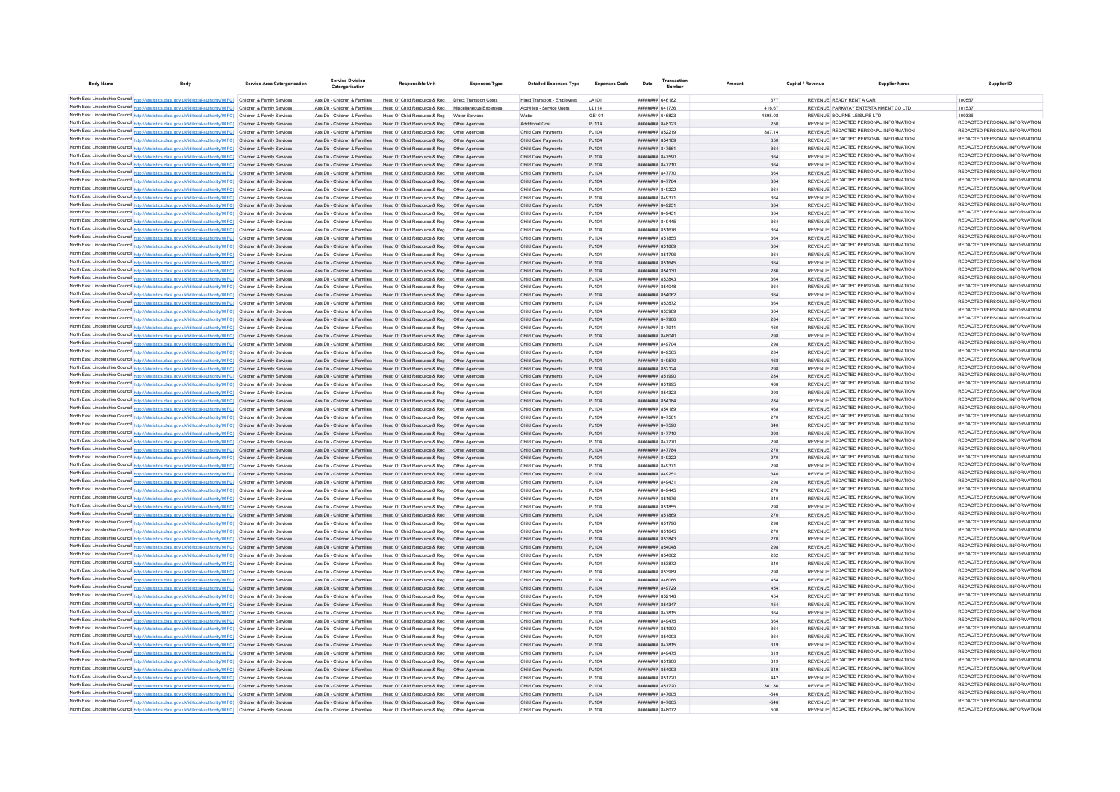| <b>Body Name</b>                                                                                                                                                                                                                       | Body | <b>Service Area Catergorisation</b> | Service Division<br>Catergorisation                            | <b>Responsible Unit</b>                                                                                                    | <b>Expenses Type</b> | <b>Detailed Expenses Type</b>              | <b>Expenses Code</b> | Date                               | Transaction |            | Capital / Revenue | <b>Supplier Name</b>                                                           | Supplier ID                                                    |
|----------------------------------------------------------------------------------------------------------------------------------------------------------------------------------------------------------------------------------------|------|-------------------------------------|----------------------------------------------------------------|----------------------------------------------------------------------------------------------------------------------------|----------------------|--------------------------------------------|----------------------|------------------------------------|-------------|------------|-------------------|--------------------------------------------------------------------------------|----------------------------------------------------------------|
| North East Lincolnshire Council http://statistics.data.gov.uk/id/local-authority/00FC) Children & Family Services                                                                                                                      |      |                                     | Ass Dir - Children & Families                                  | Head Of Child Resource & Reg   Direct Transport Costs                                                                      |                      | Hired Transport - Employees                | JA101                | carassaure states                  |             | 677        |                   | REVENUE READY RENT A CAR                                                       | 100557                                                         |
| North East Lincolnshire Council http://statistics.data.gov.uk/id/local-authority/00FC) Children & Family Services                                                                                                                      |      |                                     | Ass Dir - Children & Families                                  | Head Of Child Resource & Reg Miscellaneous Expenses                                                                        |                      | Activities - Service Users                 | LL114                | ######## 641736                    |             | 416.67     |                   | REVENUE PARKWAY ENTERTAINMENT CO LTD                                           | 101537                                                         |
| North East Lincolnshire Council http://statistics.data.gov.uk/id/local-authority/00FC) Children & Family Services                                                                                                                      |      |                                     | Ass Dir - Children & Families                                  | Head Of Child Resource & Reg. Water Services                                                                               |                      | Water                                      | GF101                | ######## 646823                    |             | 4398.08    |                   | REVENUE BOURNE LEISURE LTD                                                     | 109336                                                         |
| North East Lincolnshire Council http://statistics.data.gov.uk/id/local-authority/00FC) Children & Family Services                                                                                                                      |      |                                     |                                                                | Ass Dir - Children & Families Head Of Child Resource & Reg Other Agencies                                                  |                      | Additional Cost                            | PJ114                | ######## 848123                    |             | 250        |                   | REVENUE REDACTED PERSONAL INFORMATION                                          | REDACTED PERSONAL INFORMATION                                  |
| North East Lincolnshire Council http://statistics.data.gov.uk/id/local-authority/00FC) Children & Family Services                                                                                                                      |      |                                     | Ass Dir - Children & Families                                  | Head Of Child Resource & Reg   Other Agencies                                                                              |                      | Child Care Payments                        | PJ104                | ######## 852219                    |             | 887.14     |                   | REVENUE REDACTED PERSONAL INFORMATION<br>REVENUE REDACTED PERSONAL INFORMATION | REDACTED PERSONAL INFORMATION<br>REDACTED PERSONAL INFORMATION |
| North East Lincolnshire Council http://statistics.data.gov.uk/id/local-authority/00FC) Children & Family Services<br>North East Lincolnshire Council http://statistics.data.gov.uk/id/local-authority/00FC) Children & Family Services |      |                                     | Ass Dir - Children & Families                                  | Ass Dir - Children & Families Head Of Child Resource & Reg Other Agencies<br>Head Of Child Resource & Reg   Other Agencies |                      | Child Care Payments<br>Child Care Payments | PJ104<br>PJ104       | ######## 854189<br>######## 847561 |             | 350<br>364 |                   | REVENUE REDACTED PERSONAL INFORMATION                                          | REDACTED PERSONAL INFORMATION                                  |
| North East Lincolnshire Council http://statistics.data.gov.uk/id/local-authority/00FC) Children & Family Services                                                                                                                      |      |                                     | Ass Dir - Children & Families                                  | Head Of Child Resource & Reg   Other Agencies                                                                              |                      | Child Care Payments                        | PJ104                | ######## 847590                    |             | 364        |                   | REVENUE REDACTED PERSONAL INFORMATION                                          | REDACTED PERSONAL INFORMATION                                  |
| North East Lincolnshire Council http://statistics.data.gov.uk/id/local-authority/00FC) Children & Family Services                                                                                                                      |      |                                     |                                                                | Ass Dir - Children & Families Head Of Child Resource & Reg Other Agencies                                                  |                      | Child Care Payments                        | PJ104                | ######## 847710                    |             | 364        |                   | REVENUE REDACTED PERSONAL INFORMATION                                          | REDACTED PERSONAL INFORMATION                                  |
| North East Lincolnshire Council http://statistics.data.gov.uk/id/local-authority/00FC) Children & Family Services                                                                                                                      |      |                                     | Ass Dir - Children & Families                                  | Head Of Child Resource & Reg   Other Agencies                                                                              |                      | Child Care Payments                        | PJ104                | ######## 847770                    |             | 364        |                   | REVENUE REDACTED PERSONAL INFORMATION                                          | REDACTED PERSONAL INFORMATION                                  |
| North East Lincolnshire Council http://statistics.data.gov.uk/id/local-authority/00FC) Children & Family Services                                                                                                                      |      |                                     | Ass Dir - Children & Families                                  | Head Of Child Resource & Reg   Other Agencies                                                                              |                      | Child Care Payments                        | PJ104                | ######## 847784                    |             | 364        |                   | REVENUE REDACTED PERSONAL INFORMATION                                          | REDACTED PERSONAL INFORMATION                                  |
| North East Lincolnshire Council http://statistics.data.gov.uk/id/local-authority/00FC) Children & Family Services                                                                                                                      |      |                                     | Ass Dir - Children & Families                                  | Head Of Child Resource & Reg                                                                                               |                      | Child Care Payments                        | PJ104                | ######## 849222                    |             | 364        |                   | REVENUE REDACTED PERSONAL INFORMATION                                          | REDACTED PERSONAL INFORMATION<br>REDACTED PERSONAL INFORMATION |
| North East Lincolnshire Council http://statistics.data.gov.uk/id/local-authority/00FC) Children & Family Services                                                                                                                      |      |                                     | Ass Dir - Children & Families                                  | Head Of Child Resource & Reg   Other Agencies                                                                              |                      | Child Care Payments                        | PJ104                | ######## 849371                    |             | 364        |                   | REVENUE REDACTED PERSONAL INFORMATION<br>REVENUE REDACTED PERSONAL INFORMATION | REDACTED PERSONAL INFORMATION                                  |
| North East Lincolnshire Council http://statistics.data.gov.uk/id/local-authority/00FC) Children & Family Services<br>North East Lincolnshire Council http://statistics.data.gov.uk/id/local-authority/00FC) Children & Family Services |      |                                     | Ass Dir - Children & Families<br>Ass Dir - Children & Families | Head Of Child Resource & Reg   Other Agencies<br>Head Of Child Resource & Reg. Other Agencies                              |                      | Child Care Payments<br>Child Care Payments | PJ104<br>P.1104      | ######## 849251<br>HHHHHHH R49431  |             | 364<br>364 |                   | REVENUE REDACTED PERSONAL INFORMATION                                          | REDACTED PERSONAL INFORMATION                                  |
| North East Lincolnshire Council http://statistics.data.gov.uk/id/local-authority/00FC) Children & Family Services                                                                                                                      |      |                                     | Ass Dir - Children & Families                                  | Head Of Child Resource & Reg. Other Agencies                                                                               |                      | Child Care Payments                        | PJ104                | ######## 849445                    |             | 364        |                   | REVENUE REDACTED PERSONAL INFORMATION                                          | REDACTED PERSONAL INFORMATION                                  |
| North East Lincolnshire Council http://statistics.data.gov.uk/id/local-authority/00FC) Children & Family Services                                                                                                                      |      |                                     | Ass Dir - Children & Families                                  | Head Of Child Resource & Reg   Other Agencies                                                                              |                      | Child Care Payments                        | PJ104                | ####### 851676                     |             | 364        |                   | REVENUE REDACTED PERSONAL INFORMATION                                          | REDACTED PERSONAL INFORMATION                                  |
| North East Lincolnshire Council http://statistics.data.gov.uk/id/local-authority/00FC) Children & Family Services                                                                                                                      |      |                                     | Ass Dir - Children & Families                                  | Head Of Child Resource & Reg   Other Agencies                                                                              |                      | Child Care Payments                        | PJ104                | ######## 851855                    |             | 364        |                   | REVENUE REDACTED PERSONAL INFORMATION                                          | REDACTED PERSONAL INFORMATION                                  |
| North East Lincolnshire Council http://statistics.data.gov.uk/id/local-authority/00FC) Children & Family Services                                                                                                                      |      |                                     |                                                                | Ass Dir - Children & Families Head Of Child Resource & Reg Other Agencies                                                  |                      | Child Care Payments                        | PJ104                | ######## 851869                    |             | 364        |                   | REVENUE REDACTED PERSONAL INFORMATION                                          | REDACTED PERSONAL INFORMATION                                  |
| North East Lincolnshire Council http://statistics.data.gov.uk/id/local-authority/00FC) Children & Family Services                                                                                                                      |      |                                     | Ass Dir - Children & Families                                  | Head Of Child Resource & Reg   Other Agencies                                                                              |                      | Child Care Payments                        | PJ104                | ######## 851796                    |             | 364        |                   | REVENUE REDACTED PERSONAL INFORMATION<br>REVENUE REDACTED PERSONAL INFORMATION | REDACTED PERSONAL INFORMATION<br>REDACTED PERSONAL INFORMATION |
| North East Lincolnshire Council http://statistics.data.gov.uk/id/local-authority/00FC) Children & Family Services                                                                                                                      |      |                                     | Ass Dir - Children & Families                                  | Head Of Child Resource & Reg   Other Agencies                                                                              |                      | Child Care Payments                        | PJ104                | ####### 851645                     |             | 364        |                   | REVENUE REDACTED PERSONAL INFORMATION                                          | REDACTED PERSONAL INFORMATION                                  |
| North East Lincolnshire Council http://statistics.data.gov.uk/id/local-authority/00FC) Children & Family Services<br>North East Lincolnshire Council http://statistics.data.gov.uk/id/local-authority/00FC) Children & Family Services |      |                                     | Ass Dir - Children & Families<br>Ass Dir - Children & Families | Head Of Child Resource & Reg  Other Agencies<br>Head Of Child Resource & Reg   Other Agencies                              |                      | Child Care Payments<br>Child Care Payments | PJ104<br>PJ104       | ######## 854130<br>####### 853843  |             | 286<br>364 |                   | REVENUE REDACTED PERSONAL INFORMATION                                          | REDACTED PERSONAL INFORMATION                                  |
| North East Lincolnshire Council http://statistics.data.gov.uk/id/local-authority/00FC) Children & Family Services                                                                                                                      |      |                                     | Ass Dir - Children & Families                                  |                                                                                                                            |                      | Child Care Payments                        | PJ104                | ######## 854048                    |             | 364        |                   | REVENUE REDACTED PERSONAL INFORMATION                                          | REDACTED PERSONAL INFORMATION                                  |
| North East Lincolnshire Council http://statistics.data.gov.uk/id/local-authority/00FC) Children & Family Services                                                                                                                      |      |                                     | Ass Dir - Children & Families                                  | Head Of Child Resource & Reg   Other Agencies                                                                              |                      | Child Care Payments                        | PJ104                | ######## 854062                    |             | 364        |                   | REVENUE REDACTED PERSONAL INFORMATION                                          | REDACTED PERSONAL INFORMATION                                  |
| North East Lincolnshire Council http://statistics.data.gov.uk/id/local-authority/00FC) Children & Family Services                                                                                                                      |      |                                     | Ass Dir - Children & Families                                  | Head Of Child Resource & Reg                                                                                               | Other Agencies       | Child Care Payments                        | PJ104                | ######## 853872                    |             | 364        |                   | REVENUE REDACTED PERSONAL INFORMATION                                          | REDACTED PERSONAL INFORMATION                                  |
| North East Lincolnshire Council http://statistics.data.gov.uk/id/local-authority/00FC) Children & Family Services                                                                                                                      |      |                                     | Ass Dir - Children & Families                                  | Head Of Child Resource & Reg   Other Agencies                                                                              |                      | Child Care Payments                        | PJ104                | ######## 853989                    |             | 364        |                   | REVENUE REDACTED PERSONAL INFORMATION                                          | REDACTED PERSONAL INFORMATION                                  |
| North East Lincolnshire Council http://statistics.data.gov.uk/id/local-authority/00FC) Children & Family Services                                                                                                                      |      |                                     | Ass Dir - Children & Families                                  | Head Of Child Resource & Reg  Other Agencies                                                                               |                      | Child Care Payments                        | PJ104                | ######## 847906                    |             | 284        |                   | REVENUE REDACTED PERSONAL INFORMATION                                          | REDACTED PERSONAL INFORMATION<br>REDACTED PERSONAL INFORMATION |
| North East Lincolnshire Council http://statistics.data.gov.uk/id/local-authority/00FC) Children & Family Services                                                                                                                      |      |                                     | Ass Dir - Children & Families                                  | Head Of Child Resource & Reg. Other Agencies<br>Ass Dir - Children & Families Head Of Child Resource & Reg Other Agencies  |                      | Child Care Payments                        | P.1104               | ######## 847911<br>####### 848040  |             | 460        |                   | REVENUE REDACTED PERSONAL INFORMATION<br>REVENUE REDACTED PERSONAL INFORMATION | REDACTED PERSONAL INFORMATION                                  |
| North East Lincolnshire Council http://statistics.data.gov.uk/id/local-authority/00FC) Children & Family Services<br>North East Lincolnshire Council http://statistics.data.gov.uk/id/local-authority/00FC) Children & Family Services |      |                                     |                                                                | Ass Dir - Children & Families Head Of Child Resource & Reg Other Agencies                                                  |                      | Child Care Payments<br>Child Care Payments | PJ104<br>PJ104       | ####### 849704                     |             | 298<br>298 |                   | REVENUE REDACTED PERSONAL INFORMATION                                          | REDACTED PERSONAL INFORMATION                                  |
| North East Lincolnshire Council http://statistics.data.gov.uk/id/local-authority/00FC) Children & Family Services                                                                                                                      |      |                                     | Ass Dir - Children & Families                                  | Head Of Child Resource & Reg   Other Agencies                                                                              |                      | Child Care Payments                        | PJ104                | ######## 849565                    |             | 284        |                   | REVENUE REDACTED PERSONAL INFORMATION                                          | REDACTED PERSONAL INFORMATION                                  |
| North East Lincolnshire Council http://statistics.data.gov.uk/id/local-authority/00FC) Children & Family Services                                                                                                                      |      |                                     | Ass Dir - Children & Families                                  | Head Of Child Resource & Reg  Other Agencies                                                                               |                      | Child Care Payments                        | PJ104                | ######## 849570                    |             | 468        |                   | REVENUE REDACTED PERSONAL INFORMATION                                          | REDACTED PERSONAL INFORMATION                                  |
| North East Lincolnshire Council http://statistics.data.gov.uk/id/local-authority/00FC) Children & Family Services                                                                                                                      |      |                                     | Ass Dir - Children & Families                                  | Head Of Child Resource & Reg   Other Agencies                                                                              |                      | Child Care Payments                        | PJ104                | ######## 852124                    |             | 298        |                   | REVENUE REDACTED PERSONAL INFORMATION                                          | REDACTED PERSONAL INFORMATION                                  |
| North East Lincolnshire Council http://statistics.data.gov.uk/id/local-authority/00FC) Children & Family Services                                                                                                                      |      |                                     | Ass Dir - Children & Families                                  | Head Of Child Resource & Reg   Other Agencies                                                                              |                      | Child Care Payments                        | PJ104                | ######## 851990                    |             | 284        |                   | REVENUE REDACTED PERSONAL INFORMATION                                          | REDACTED PERSONAL INFORMATION                                  |
| North East Lincolnshire Council http://statistics.data.gov.uk/id/local-authority/00FC) Children & Family Services                                                                                                                      |      |                                     | Ass Dir - Children & Families                                  | Head Of Child Resource & Reg   Other Agencies                                                                              |                      | Child Care Payments                        | PJ104                | ######## 851995                    |             | 468        |                   | REVENUE REDACTED PERSONAL INFORMATION<br>REVENUE REDACTED PERSONAL INFORMATION | REDACTED PERSONAL INFORMATION<br>REDACTED PERSONAL INFORMATION |
| North East Lincolnshire Council http://statistics.data.gov.uk/id/local-authority/00FC) Children & Family Services<br>North East Lincolnshire Council http://statistics.data.gov.uk/id/local-authority/00FC) Children & Family Services |      |                                     | Ass Dir - Children & Families<br>Ass Dir - Children & Families | Head Of Child Resource & Reg   Other Agencies                                                                              |                      | Child Care Payments                        | PJ104                | ######## 854323<br>######## 854184 |             | 298<br>284 |                   | REVENUE REDACTED PERSONAL INFORMATION                                          | REDACTED PERSONAL INFORMATION                                  |
| North East Lincolnshire Council http://statistics.data.gov.uk/id/local-authority/00FC) Children & Family Services                                                                                                                      |      |                                     | Ass Dir - Children & Families                                  | Head Of Child Resource & Reg   Other Agencies<br>Head Of Child Resource & Reg                                              |                      | Child Care Payments<br>Child Care Payments | PJ104<br>PJ104       | ######## 854189                    |             | 468        |                   | REVENUE REDACTED PERSONAL INFORMATION                                          | REDACTED PERSONAL INFORMATION                                  |
| North East Lincolnshire Council http://statistics.data.gov.uk/id/local-authority/00FC) Children & Family Services                                                                                                                      |      |                                     | Ass Dir - Children & Families                                  | Head Of Child Resource & Reg                                                                                               |                      | Child Care Payments                        | PJ104                | ######## 84756*                    |             | 270        |                   | REVENUE REDACTED PERSONAL INFORMATION                                          | REDACTED PERSONAL INFORMATION                                  |
| North East Lincolnshire Council http://statistics.data.gov.uk/id/local-authority/00FC) Children & Family Services                                                                                                                      |      |                                     | Ass Dir - Children & Families                                  | Head Of Child Resource & Reg                                                                                               | Other Agencies       | Child Care Payments                        | PJ104                | ######## 847590                    |             | 340        |                   | REVENUE REDACTED PERSONAL INFORMATION                                          | REDACTED PERSONAL INFORMATION                                  |
| North East Lincolnshire Council http://statistics.data.gov.uk/id/local-authority/00FC) Children & Family Services                                                                                                                      |      |                                     | Ass Dir - Children & Families                                  | Head Of Child Resource & Reg. Other Agencies                                                                               |                      | Child Care Payments                        | PJ104                | ######## 847710                    |             | 298        |                   | REVENUE REDACTED PERSONAL INFORMATION                                          | REDACTED PERSONAL INFORMATION                                  |
| North East Lincolnshire Council http://statistics.data.gov.uk/id/local-authority/00FC) Children & Family Services                                                                                                                      |      |                                     | Ass Dir - Children & Families                                  | Head Of Child Resource & Reg. Other Agencies                                                                               |                      | Child Care Payments                        | P.1104               | <b><i>HUBBERH</i></b> 847770       |             | 298        |                   | REVENUE REDACTED PERSONAL INFORMATION                                          | REDACTED PERSONAL INFORMATION                                  |
| North East Lincolnshire Council http://statistics.data.gov.uk/id/local-authority/00FC) Children & Family Services                                                                                                                      |      |                                     | Ass Dir - Children & Families                                  | Head Of Child Resource & Reg  Other Agencies                                                                               |                      | Child Care Payments                        | PJ104                | ######## 847784                    |             | 270        |                   | REVENUE REDACTED PERSONAL INFORMATION<br>REVENUE REDACTED PERSONAL INFORMATION | REDACTED PERSONAL INFORMATION<br>REDACTED PERSONAL INFORMATION |
| North East Lincolnshire Council http://statistics.data.gov.uk/id/local-authority/00FC) Children & Family Services<br>North East Lincolnshire Council http://statistics.data.gov.uk/id/local-authority/00FC) Children & Family Services |      |                                     | Ass Dir - Children & Families<br>Ass Dir - Children & Families | Head Of Child Resource & Reg  Other Agencies<br>Head Of Child Resource & Reg   Other Agencies                              |                      | Child Care Payments<br>Child Care Payments | PJ104<br>PJ104       | ######## 849222<br>######## 849371 |             | 270<br>298 |                   | REVENUE REDACTED PERSONAL INFORMATION                                          | REDACTED PERSONAL INFORMATION                                  |
| North East Lincolnshire Council http://statistics.data.gov.uk/id/local-authority/00FC) Children & Family Services                                                                                                                      |      |                                     | Ass Dir - Children & Families                                  | Head Of Child Resource & Reg  Other Agencies                                                                               |                      | Child Care Payments                        | PJ104                | ######## 849251                    |             | 340        |                   | REVENUE REDACTED PERSONAL INFORMATION                                          | REDACTED PERSONAL INFORMATION                                  |
| North East Lincolnshire Council http://statistics.data.gov.uk/id/local-authority/00FC) Children & Family Services                                                                                                                      |      |                                     | Ass Dir - Children & Families                                  | Head Of Child Resource & Reg   Other Agencies                                                                              |                      | Child Care Payments                        | PJ104                | HHHHHHH R49431                     |             | 298        |                   | REVENUE REDACTED PERSONAL INFORMATION                                          | REDACTED PERSONAL INFORMATION                                  |
| North East Lincolnshire Council http://statistics.data.gov.uk/id/local-authority/00FC) Children & Family Services                                                                                                                      |      |                                     | Ass Dir - Children & Families                                  | Head Of Child Resource & Reg   Other Agencies                                                                              |                      | Child Care Payments                        | PJ104                | ######## 849445                    |             | 270        |                   | REVENUE REDACTED PERSONAL INFORMATION                                          | REDACTED PERSONAL INFORMATION                                  |
| North East Lincolnshire Council http://statistics.data.gov.uk/id/local-authority/00FC) Children & Family Services                                                                                                                      |      |                                     | Ass Dir - Children & Families                                  | Head Of Child Resource & Reg   Other Agencies                                                                              |                      | Child Care Payments                        | PJ104                | ####### 851676                     |             | 340        |                   | REVENUE REDACTED PERSONAL INFORMATION                                          | REDACTED PERSONAL INFORMATION                                  |
| North East Lincolnshire Council http://statistics.data.gov.uk/id/local-authority/00FC) Children & Family Services                                                                                                                      |      |                                     | Ass Dir - Children & Families                                  | Head Of Child Resource & Reg   Other Agencies                                                                              |                      | Child Care Payments                        | PJ104                | ####### 851855                     |             | 298        |                   | REVENUE REDACTED PERSONAL INFORMATION                                          | REDACTED PERSONAL INFORMATION                                  |
| North East Lincolnshire Council http://statistics.data.gov.uk/id/local-authority/00FC) Children & Family Services                                                                                                                      |      |                                     | Ass Dir - Children & Families                                  | Head Of Child Resource & Reg   Other Agencies                                                                              |                      | Child Care Payments                        | PJ104                | ######## 851869                    |             | 270        |                   | REVENUE REDACTED PERSONAL INFORMATION<br>REVENUE REDACTED PERSONAL INFORMATION | REDACTED PERSONAL INFORMATION<br>REDACTED PERSONAL INFORMATION |
| North East Lincolnshire Council http://statistics.data.gov.uk/id/local-authority/00FC) Children & Family Services<br>North East Lincolnshire Council http://statistics.data.gov.uk/id/local-authority/00FC) Children & Family Services |      |                                     | Ass Dir - Children & Families<br>Ass Dir - Children & Families | Head Of Child Resource & Reg   Other Agencies<br>Head Of Child Resource & Reg   Other Agencies                             |                      | Child Care Payments<br>Child Care Payments | PJ104<br>PJ104       | ######## 851796<br>######## 851645 |             | 298<br>270 |                   | REVENUE REDACTED PERSONAL INFORMATION                                          | REDACTED PERSONAL INFORMATION                                  |
| North East Lincolnshire Council http://statistics.data.gov.uk/id/local-authority/00FC) Children & Family Services                                                                                                                      |      |                                     |                                                                | Ass Dir - Children & Families Head Of Child Resource & Reg Other Agencies                                                  |                      | Child Care Payments                        | PJ104                | ######## 853843                    |             | 270        |                   | REVENUE REDACTED PERSONAL INFORMATION                                          | REDACTED PERSONAL INFORMATION                                  |
| North East Lincolnshire Council http://statistics.data.gov.uk/id/local-authority/00FC) Children & Family Services                                                                                                                      |      |                                     |                                                                | Ass Dir - Children & Families Head Of Child Resource & Reg Other Agencies                                                  |                      | Child Care Payments                        | PJ104                | ####### 854048                     |             | 298        |                   | REVENUE REDACTED PERSONAL INFORMATION                                          | REDACTED PERSONAL INFORMATION                                  |
| North East Lincolnshire Council http://statistics.data.gov.uk/id/local-authority/00FC) Children & Family Services                                                                                                                      |      |                                     |                                                                | Ass Dir - Children & Families Head Of Child Resource & Reg Other Agencies                                                  |                      | Child Care Payments                        | PJ104                | ######## 854062                    |             | 282        |                   | REVENUE REDACTED PERSONAL INFORMATION                                          | REDACTED PERSONAL INFORMATION                                  |
| North East Lincolnshire Council http://statistics.data.gov.uk/id/local-authority/00FC) Children & Family Services                                                                                                                      |      |                                     |                                                                | Ass Dir - Children & Families Head Of Child Resource & Reg Other Agencies                                                  |                      | Child Care Payments                        | PJ104                | ######## 853872                    |             | 340        |                   | REVENUE REDACTED PERSONAL INFORMATION                                          | REDACTED PERSONAL INFORMATION                                  |
| North East Lincolnshire Council http://statistics.data.gov.uk/id/local-authority/00FC) Children & Family Services                                                                                                                      |      |                                     |                                                                | Ass Dir - Children & Families Head Of Child Resource & Reg Other Agencies                                                  |                      | Child Care Payments                        | PJ104                | ######## 853989                    |             | 298        |                   | REVENUE REDACTED PERSONAL INFORMATION                                          | REDACTED PERSONAL INFORMATION                                  |
| North East Lincolnshire Council http://statistics.data.gov.uk/id/local-authority/00FC) Children & Family Services                                                                                                                      |      |                                     | Ass Dir - Children & Families                                  | Head Of Child Resource & Reg   Other Agencies                                                                              |                      | Child Care Payments                        | PJ104                | ####### 848066                     |             | 454        |                   | REVENUE REDACTED PERSONAL INFORMATION<br>REVENUE REDACTED PERSONAL INFORMATION | REDACTED PERSONAL INFORMATION<br>REDACTED PERSONAL INFORMATION |
| North East Lincolnshire Council http://statistics.data.gov.uk/id/local-authority/00FC) Children & Family Services<br>North East Lincolnshire Council http://statistics.data.gov.uk/id/local-authority/00FC) Children & Family Services |      |                                     | Ass Dir - Children & Families                                  | Ass Dir - Children & Families Head Of Child Resource & Reg Other Agencies<br>Head Of Child Resource & Reg   Other Agencies |                      | Child Care Payments<br>Child Care Payments | P.1104<br>P.1104     | ######## 849729<br>######## 852148 |             | 454<br>454 |                   | REVENUE REDACTED PERSONAL INFORMATION                                          | REDACTED PERSONAL INFORMATION                                  |
| North East Lincolnshire Council http://statistics.data.gov.uk/id/local-authority/00FC) Children & Family Services                                                                                                                      |      |                                     | Ass Dir - Children & Families                                  | Head Of Child Resource & Reg  Other Agencies                                                                               |                      | Child Care Payments                        | PJ104                | ######## 854347                    |             | 454        |                   | REVENUE REDACTED PERSONAL INFORMATION                                          | REDACTED PERSONAL INFORMATION                                  |
| North East Lincolnshire Council http://statistics.data.gov.uk/id/local-authority/00FC) Children & Family Services                                                                                                                      |      |                                     | Ass Dir - Children & Families                                  | Head Of Child Resource & Reg                                                                                               | Other Agencies       | Child Care Payments                        | PJ104                | ######## 847815                    |             | 364        |                   | REVENUE REDACTED PERSONAL INFORMATION                                          | REDACTED PERSONAL INFORMATION                                  |
| North East Lincolnshire Council http://statistics.data.gov.uk/id/local-authority/00FC) Children & Family Services                                                                                                                      |      |                                     | Ass Dir - Children & Families                                  | Head Of Child Resource & Reg                                                                                               | Other Agencies       | Child Care Payments                        | PJ104                | ######## 849475                    |             | 364        |                   | REVENUE REDACTED PERSONAL INFORMATION                                          | REDACTED PERSONAL INFORMATION                                  |
| North East Lincolnshire Council http://statistics.data.gov.uk/id/local-authority/00FC) Children & Family Services                                                                                                                      |      |                                     | Ass Dir - Children & Families                                  | Head Of Child Resource & Reg                                                                                               | Other Agencies       | Child Care Payments                        | PJ104                | ####### 851900                     |             | 364        |                   | REVENUE REDACTED PERSONAL INFORMATION                                          | REDACTED PERSONAL INFORMATION                                  |
| North East Lincolnshire Council http://statistics.data.gov.uk/id/local-authority/00FC) Children & Family Services                                                                                                                      |      |                                     | Ass Dir - Children & Families                                  | Head Of Child Resource & Reg   Other Agencies                                                                              |                      | Child Care Payments                        | PJ104                | HHHHHHH 854093                     |             | 364        |                   | REVENUE REDACTED PERSONAL INFORMATION                                          | REDACTED PERSONAL INFORMATION                                  |
| North East Lincolnshire Council http://statistics.data.gov.uk/id/local-authority/00FC) Children & Family Services                                                                                                                      |      |                                     | Ass Dir - Children & Families                                  | Head Of Child Resource & Reg                                                                                               | Other Agencies       | Child Care Payments                        | PJ104                | ######## 847815                    |             | 319        |                   | REVENUE REDACTED PERSONAL INFORMATION<br>REVENUE REDACTED PERSONAL INFORMATION | REDACTED PERSONAL INFORMATION<br>REDACTED PERSONAL INFORMATION |
| North East Lincolnshire Council http://statistics.data.gov.uk/id/local-authority/00FC) Children & Family Services<br>North East Lincolnshire Council http://statistics.data.gov.uk/id/local-authority/00FC) Children & Family Services |      |                                     | Ass Dir - Children & Families<br>Ass Dir - Children & Families | Head Of Child Resource & Reg   Other Agencies<br>Head Of Child Resource & Reg                                              | Other Agencies       | Child Care Payments<br>Child Care Payments | PJ104<br>PJ104       | ######## 849475<br>######## 851900 |             | 319<br>319 |                   | REVENUE REDACTED PERSONAL INFORMATION                                          | REDACTED PERSONAL INFORMATION                                  |
| North East Lincolnshire Council http://statistics.data.gov.uk/id/local-authority/00FC) Children & Family Services                                                                                                                      |      |                                     |                                                                | Ass Dir - Children & Families Head Of Child Resource & Reg Other Agencies                                                  |                      | Child Care Payments                        | PJ104                | ######## 854093                    |             | 319        |                   | REVENUE REDACTED PERSONAL INFORMATION                                          | REDACTED PERSONAL INFORMATION                                  |
| North East Lincolnshire Council http://statistics.data.gov.uk/id/local-authority/00FC) Children & Family Services                                                                                                                      |      |                                     | Ass Dir - Children & Families                                  | Head Of Child Resource & Reg   Other Agencies                                                                              |                      | Child Care Payments                        | PJ104                | ######## 851720                    |             | 442        |                   | REVENUE REDACTED PERSONAL INFORMATION                                          | REDACTED PERSONAL INFORMATION                                  |
| North East Lincolnshire Council http://statistics.data.gov.uk/id/local-authority/00FC) Children & Family Services                                                                                                                      |      |                                     |                                                                | Ass Dir - Children & Families Head Of Child Resource & Reg   Other Agencies                                                |                      | Child Care Payments                        | PJ104                | ######## 851720                    |             | 361.86     |                   | REVENUE REDACTED PERSONAL INFORMATION                                          | REDACTED PERSONAL INFORMATION                                  |
| North East Lincolnshire Council http://statistics.data.gov.uk/id/local-authority/00FC) Children & Family Services                                                                                                                      |      |                                     | Ass Dir - Children & Families                                  | Head Of Child Resource & Reg   Other Agencies                                                                              |                      | Child Care Payments                        | PJ104                | ####### 847605                     |             | $-546$     |                   | REVENUE REDACTED PERSONAL INFORMATION                                          | REDACTED PERSONAL INFORMATION                                  |
| North East Lincolnshire Council http://statistics.data.gov.uk/id/local-authority/00FC) Children & Family Services                                                                                                                      |      |                                     |                                                                | Ass Dir - Children & Families Head Of Child Resource & Reg Other Agencies                                                  |                      | Child Care Payments                        | P.1104               | ######## 847605                    |             | $-546$     |                   | REVENUE REDACTED PERSONAL INFORMATION                                          | REDACTED PERSONAL INFORMATION                                  |
| North East Lincolnshire Council http://statistics.data.gov.uk/id/local-authority/00FC) Children & Family Services                                                                                                                      |      |                                     | Ass Dir - Children & Families                                  | Head Of Child Resource & Reg   Other Agencies                                                                              |                      | Child Care Payments                        | P.1104               | ######## 848072                    |             | 500        |                   | REVENUE REDACTED PERSONAL INFORMATION                                          | REDACTED PERSONAL INFORMATION                                  |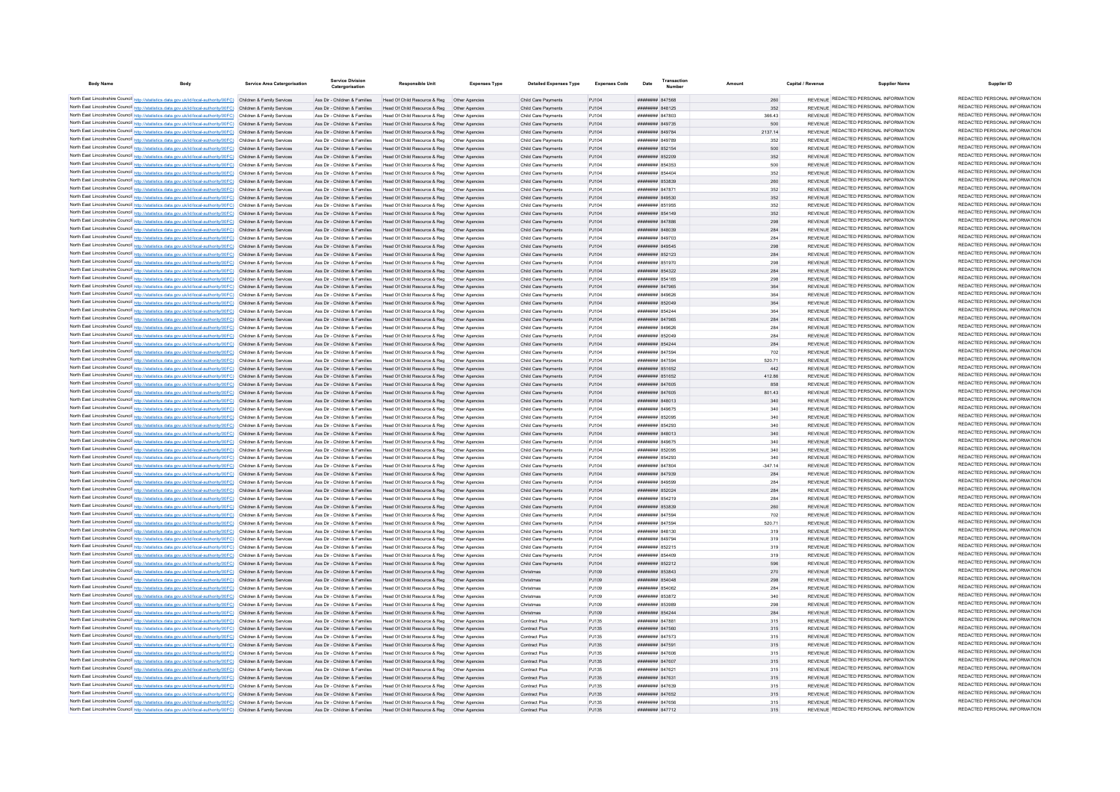| <b>Body Name</b>                                                                                                                                                                                                                       | <b>Service Area Catergorisation</b> | <b>Service Division</b><br>Catergorisation                     | Responsible Unit                                                                                                                                       | <b>Expenses Type</b>             | <b>Detailed Expenses Type</b>              | <b>Expenses Code</b> | Date                                      | <b>Transactio</b><br>Number |            | Capital / Revenue | Supplier Name                                                                  | Supplier ID                                                    |
|----------------------------------------------------------------------------------------------------------------------------------------------------------------------------------------------------------------------------------------|-------------------------------------|----------------------------------------------------------------|--------------------------------------------------------------------------------------------------------------------------------------------------------|----------------------------------|--------------------------------------------|----------------------|-------------------------------------------|-----------------------------|------------|-------------------|--------------------------------------------------------------------------------|----------------------------------------------------------------|
| North East Lincolnshire Council http://statistics.data.gov.uk/id/local-authority/00FC) Children & Family Services                                                                                                                      |                                     |                                                                |                                                                                                                                                        |                                  |                                            | P.1104               | ######## 847568                           |                             |            |                   | REVENUE REDACTED PERSONAL INFORMATION                                          | REDACTED PERSONAL INFORMATION                                  |
| North East Lincolnshire Council http://statistics.data.gov.uk/id/local-authority/00FC) Children & Family Services                                                                                                                      |                                     |                                                                | Ass Dir - Children & Families Head Of Child Resource & Reg Other Agencies<br>Ass Dir - Children & Families Head Of Child Resource & Reg Other Agencies |                                  | Child Care Payments<br>Child Care Payments | PJ104                | ######## 848125                           |                             | 260<br>352 |                   | REVENUE REDACTED PERSONAL INFORMATION                                          | REDACTED PERSONAL INFORMATION                                  |
| North East Lincolnshire Council http://statistics.data.gov.uk/id/local-authority/00FC) Children & Family Services                                                                                                                      |                                     |                                                                | Ass Dir - Children & Families Head Of Child Resource & Reg Other Agencies                                                                              |                                  | Child Care Payments                        | PJ104                | ######## 847803                           |                             | 366.43     |                   | REVENUE REDACTED PERSONAL INFORMATION                                          | REDACTED PERSONAL INFORMATION                                  |
| North East Lincolnshire Council http://statistics.data.gov.uk/id/local-authority/00FC) Children & Family Services                                                                                                                      |                                     |                                                                | Ass Dir - Children & Families Head Of Child Resource & Reg Other Agencies                                                                              |                                  | Child Care Payments                        | PJ104                | ######## 849735                           |                             | 500        |                   | REVENUE REDACTED PERSONAL INFORMATION                                          | REDACTED PERSONAL INFORMATION                                  |
| North East Lincolnshire Council http://statistics.data.gov.uk/id/local-authority/00FC) Children & Family Services                                                                                                                      |                                     |                                                                | Ass Dir - Children & Families Head Of Child Resource & Reg Other Agencies                                                                              |                                  | Child Care Payments                        | PJ104                | ######## 849784                           |                             | 2137.14    |                   | REVENUE REDACTED PERSONAL INFORMATION                                          | REDACTED PERSONAL INFORMATION                                  |
| North East Lincolnshire Council http://statistics.data.gov.uk/id/local-authority/00FC) Children & Family Services                                                                                                                      |                                     | Ass Dir - Children & Families                                  | Head Of Child Resource & Reg   Other Agencies                                                                                                          |                                  | Child Care Payments                        | PJ104                | ####### 849789                            |                             | 352        |                   | REVENUE REDACTED PERSONAL INFORMATION                                          | REDACTED PERSONAL INFORMATION                                  |
| North East Lincolnshire Council http://statistics.data.gov.uk/id/local-authority/00FC) Children & Family Services                                                                                                                      |                                     | Ass Dir - Children & Families                                  | Head Of Child Resource & Reg   Other Agencies                                                                                                          |                                  | Child Care Payments                        | PJ104                | ######## 852154                           |                             | 500        |                   | REVENUE REDACTED PERSONAL INFORMATION                                          | REDACTED PERSONAL INFORMATION<br>REDACTED PERSONAL INFORMATION |
| North East Lincolnshire Council http://statistics.data.gov.uk/id/local-authority/00FC) Children & Family Services                                                                                                                      |                                     | Ass Dir - Children & Families                                  | Head Of Child Resource & Reg   Other Agencies                                                                                                          |                                  | Child Care Payments                        | P.1104               | ######## 852209                           |                             | 352        |                   | REVENUE REDACTED PERSONAL INFORMATION<br>REVENUE REDACTED PERSONAL INFORMATION | REDACTED PERSONAL INFORMATION                                  |
| North East Lincolnshire Council http://statistics.data.gov.uk/id/local-authority/00FC) Children & Family Services                                                                                                                      |                                     | Ass Dir - Children & Families                                  | Head Of Child Resource & Reg. Other Agencies                                                                                                           |                                  | Child Care Payments                        | PJ104                | ######## 854353<br>####### 854404         |                             | 500        |                   | REVENUE REDACTED PERSONAL INFORMATION                                          | REDACTED PERSONAL INFORMATION                                  |
| North East Lincolnshire Council http://statistics.data.gov.uk/id/local-authority/00FC) Children & Family Services<br>North East Lincolnshire Council http://statistics.data.gov.uk/id/local-authority/00FC) Children & Family Services |                                     | Ass Dir - Children & Families<br>Ass Dir - Children & Families | Head Of Child Resource & Reg   Other Agencies<br>Head Of Child Resource & Reg  Other Agencies                                                          |                                  | Child Care Payments<br>Child Care Payments | PJ104<br>PJ104       | ######## 853839                           |                             | 352<br>260 |                   | REVENUE REDACTED PERSONAL INFORMATION                                          | REDACTED PERSONAL INFORMATION                                  |
| North East Lincolnshire Council http://statistics.data.gov.uk/id/local-authority/00FC) Children & Family Services                                                                                                                      |                                     | Ass Dir - Children & Families                                  | Head Of Child Resource & Reg                                                                                                                           | Other Agencies                   | Child Care Payments                        | PJ104                | ####### 847871                            |                             | 352        |                   | <b>REVENUE REDACTED PERSONAL INFORMATION</b>                                   | REDACTED PERSONAL INFORMATION                                  |
| North East Lincolnshire Council http://statistics.data.gov.uk/id/local-authority/00FC) Children & Family Services                                                                                                                      |                                     | Ass Dir - Children & Families                                  | Head Of Child Resource & Reg                                                                                                                           | Other Agencies                   | Child Care Payments                        | PJ104                | ######## 849530                           |                             | 352        |                   | REVENUE REDACTED PERSONAL INFORMATION                                          | REDACTED PERSONAL INFORMATION                                  |
| North East Lincolnshire Council http://statistics.data.gov.uk/id/local-authority/00FC) Children & Family Services                                                                                                                      |                                     | Ass Dir - Children & Families                                  | Head Of Child Resource & Reg                                                                                                                           | Other Agencies                   | Child Care Payments                        | P.1104               | ######## 851955                           |                             | 352        |                   | REVENUE REDACTED PERSONAL INFORMATION                                          | REDACTED PERSONAL INFORMATION                                  |
| North East Lincolnshire Council http://statistics.data.gov.uk/id/local-authority/00FC) Children & Family Services                                                                                                                      |                                     | Ass Dir - Children & Families                                  | Head Of Child Resource & Reg   Other Agencies                                                                                                          |                                  | Child Care Payments                        | PJ104                | ######## 854149                           |                             | 352        |                   | REVENUE REDACTED PERSONAL INFORMATION                                          | REDACTED PERSONAL INFORMATION                                  |
| North East Lincolnshire Council http://statistics.data.gov.uk/id/local-authority/00FC) Children & Family Services                                                                                                                      |                                     | Ass Dir - Children & Families                                  | Head Of Child Resource & Reg                                                                                                                           | Other Agencies                   | Child Care Payments                        | PJ104                | ######## 847886                           |                             | 298        |                   | REVENUE REDACTED PERSONAL INFORMATION                                          | REDACTED PERSONAL INFORMATION                                  |
| North East Lincolnshire Council http://statistics.data.gov.uk/id/local-authority/00FC) Children & Family Services                                                                                                                      |                                     | Ass Dir - Children & Families                                  | Head Of Child Resource & Reg   Other Agencies                                                                                                          |                                  | Child Care Payments                        | PJ104                | ######## 848039                           |                             | 284        |                   | REVENUE REDACTED PERSONAL INFORMATION<br>REVENUE REDACTED PERSONAL INFORMATION | REDACTED PERSONAL INFORMATION<br>REDACTED PERSONAL INFORMATION |
| North East Lincolnshire Council http://statistics.data.gov.uk/id/local-authority/00FC) Children & Family Services<br>North East Lincolnshire Council http://statistics.data.gov.uk/id/local-authority/00FC) Children & Family Services |                                     | Ass Dir - Children & Families<br>Ass Dir - Children & Families | Head Of Child Resource & Reg   Other Agencies<br>Head Of Child Resource & Reg   Other Agencies                                                         |                                  | Child Care Payments<br>Child Care Payments | PJ104<br>PJ104       | ######## 849703<br>######## 849545        |                             | 284<br>298 |                   | REVENUE REDACTED PERSONAL INFORMATION                                          | REDACTED PERSONAL INFORMATION                                  |
| North East Lincolnshire Council http://statistics.data.gov.uk/id/local-authority/00FC) Children & Family Services                                                                                                                      |                                     | Ass Dir - Children & Families                                  | Head Of Child Resource & Reg   Other Agencies                                                                                                          |                                  | Child Care Payments                        | PJ104                | ######## 852123                           |                             | 284        |                   | REVENUE REDACTED PERSONAL INFORMATION                                          | REDACTED PERSONAL INFORMATION                                  |
| North East Lincolnshire Council http://statistics.data.gov.uk/id/local-authority/00FC) Children & Family Services                                                                                                                      |                                     | Ass Dir - Children & Families                                  | Head Of Child Resource & Reg   Other Agencies                                                                                                          |                                  | Child Care Payments                        | P.1104               | ######## 851970                           |                             | 298        |                   | REVENUE REDACTED PERSONAL INFORMATION                                          | REDACTED PERSONAL INFORMATION                                  |
| North East Lincolnshire Council http://statistics.data.gov.uk/id/local-authority/00FC) Children & Family Services                                                                                                                      |                                     | Ass Dir - Children & Families                                  | Head Of Child Resource & Reg  Other Agencies                                                                                                           |                                  | Child Care Payments                        | PJ104                | ######## 854322                           |                             | 284        |                   | REVENUE REDACTED PERSONAL INFORMATION                                          | REDACTED PERSONAL INFORMATION                                  |
| North East Lincolnshire Council http://statistics.data.gov.uk/id/local-authority/00FC) Children & Family Services                                                                                                                      |                                     | Ass Dir - Children & Families                                  | Head Of Child Resource & Reg   Other Agencies                                                                                                          |                                  | Child Care Payments                        | PJ104                | ####### 854165                            |                             | 298        |                   | REVENUE REDACTED PERSONAL INFORMATION                                          | REDACTED PERSONAL INFORMATION                                  |
| North East Lincolnshire Council http://statistics.data.gov.uk/id/local-authority/00FC) Children & Family Services                                                                                                                      |                                     | Ass Dir - Children & Families                                  | Head Of Child Resource & Reg   Other Agencies                                                                                                          |                                  | Child Care Payments                        | PJ104                | ######## 847965                           |                             | 364        |                   | REVENUE REDACTED PERSONAL INFORMATION                                          | REDACTED PERSONAL INFORMATION                                  |
| North East Lincolnshire Council http://statistics.data.gov.uk/id/local-authority/00FC) Children & Family Services                                                                                                                      |                                     | Ass Dir - Children & Families                                  | Head Of Child Resource & Reg                                                                                                                           | Other Agencies                   | Child Care Payments                        | PJ104                | ####### 849626                            |                             | 364        |                   | REVENUE REDACTED PERSONAL INFORMATION                                          | REDACTED PERSONAL INFORMATION                                  |
| North East Lincolnshire Council http://statistics.data.gov.uk/id/local-authority/00FC) Children & Family Services                                                                                                                      |                                     | Ass Dir - Children & Families                                  | Head Of Child Resource & Reg                                                                                                                           | Other Agencies                   | Child Care Payments                        | PJ104                | ######## 852049                           |                             | 364        |                   | REVENUE REDACTED PERSONAL INFORMATION                                          | REDACTED PERSONAL INFORMATION                                  |
| North East Lincolnshire Council http://statistics.data.gov.uk/id/local-authority/00FC) Children & Family Services                                                                                                                      |                                     | Ass Dir - Children & Families                                  |                                                                                                                                                        |                                  | Child Care Payments                        | PJ104                | <b><i>HHHHHHH</i></b> 854244              |                             | 364        |                   | REVENUE REDACTED PERSONAL INFORMATION<br>REVENUE REDACTED PERSONAL INFORMATION | REDACTED PERSONAL INFORMATION<br>REDACTED PERSONAL INFORMATION |
| North East Lincolnshire Council http://statistics.data.gov.uk/id/local-authority/00FC) Children & Family Services<br>North East Lincolnshire Council http://statistics.data.gov.uk/id/local-authority/00FC) Children & Family Services |                                     | Ass Dir - Children & Families                                  | Head Of Child Resource & Reg   Other Agencies                                                                                                          |                                  | Child Care Payments                        | PJ104                | ######## 847965<br>HHHHHHH R49626         |                             | 284        |                   | REVENUE REDACTED PERSONAL INFORMATION                                          | REDACTED PERSONAL INFORMATION                                  |
| North East Lincolnshire Council http://statistics.data.gov.uk/id/local-authority/00FC) Children & Family Services                                                                                                                      |                                     | Ass Dir - Children & Families<br>Ass Dir - Children & Families | Head Of Child Resource & Reg. Other Agencies<br>Head Of Child Resource & Reg   Other Agencies                                                          |                                  | Child Care Payments<br>Child Care Payments | P.1104<br>PJ104      | ######## 852049                           |                             | 284<br>284 |                   | REVENUE REDACTED PERSONAL INFORMATION                                          | REDACTED PERSONAL INFORMATION                                  |
| North East Lincolnshire Council http://statistics.data.gov.uk/id/local-authority/00FC) Children & Family Services                                                                                                                      |                                     |                                                                | Ass Dir - Children & Families Head Of Child Resource & Reg Other Agencies                                                                              |                                  | Child Care Payments                        | PJ104                | ######## 854244                           |                             | 284        |                   | REVENUE REDACTED PERSONAL INFORMATION                                          | REDACTED PERSONAL INFORMATION                                  |
| North East Lincolnshire Council http://statistics.data.gov.uk/id/local-authority/00FC) Children & Family Services                                                                                                                      |                                     | Ass Dir - Children & Families                                  | Head Of Child Resource & Reg   Other Agencies                                                                                                          |                                  | Child Care Payments                        | PJ104                | ######## 847594                           |                             | 702        |                   | REVENUE REDACTED PERSONAL INFORMATION                                          | REDACTED PERSONAL INFORMATION                                  |
| North East Lincolnshire Council http://statistics.data.gov.uk/id/local-authority/00FC) Children & Family Services                                                                                                                      |                                     | Ass Dir - Children & Families                                  | Head Of Child Resource & Reg   Other Agencies                                                                                                          |                                  | Child Care Payments                        | PJ104                | ######## 847594                           |                             | 520.71     |                   | REVENUE REDACTED PERSONAL INFORMATION                                          | REDACTED PERSONAL INFORMATION                                  |
| North East Lincolnshire Council http://statistics.data.gov.uk/id/local-authority/00FC) Children & Family Services                                                                                                                      |                                     | Ass Dir - Children & Families                                  | Head Of Child Resource & Reg   Other Agencies                                                                                                          |                                  | Child Care Payments                        | PJ104                | ######## 851652                           |                             | 442        |                   | REVENUE REDACTED PERSONAL INFORMATION                                          | REDACTED PERSONAL INFORMATION                                  |
| North East Lincolnshire Council http://statistics.data.gov.uk/id/local-authority/00FC) Children & Family Services                                                                                                                      |                                     | Ass Dir - Children & Families                                  | Head Of Child Resource & Reg   Other Agencies                                                                                                          |                                  | Child Care Payments                        | PJ104                | ######## 851652                           |                             | 412.86     |                   | REVENUE REDACTED PERSONAL INFORMATION                                          | REDACTED PERSONAL INFORMATION                                  |
| North East Lincolnshire Council http://statistics.data.gov.uk/id/local-authority/00FC) Children & Family Services                                                                                                                      |                                     | Ass Dir - Children & Families                                  | Head Of Child Resource & Reg   Other Agencies                                                                                                          |                                  | Child Care Payments                        | PJ104                | ######## 847605                           |                             | 858        |                   | REVENUE REDACTED PERSONAL INFORMATION                                          | REDACTED PERSONAL INFORMATION                                  |
| North East Lincolnshire Council http://statistics.data.gov.uk/id/local-authority/00FC) Children & Family Services                                                                                                                      |                                     | Ass Dir - Children & Families                                  | Head Of Child Resource & Reg   Other Agencies                                                                                                          |                                  | Child Care Payments                        | PJ104                | ######## 847605                           |                             | 801.43     |                   | REVENUE REDACTED PERSONAL INFORMATION                                          | REDACTED PERSONAL INFORMATION<br>REDACTED PERSONAL INFORMATION |
| North East Lincolnshire Council http://statistics.data.gov.uk/id/local-authority/00FC) Children & Family Services                                                                                                                      |                                     | Ass Dir - Children & Families                                  | Head Of Child Resource & Reg   Other Agencies                                                                                                          |                                  | Child Care Payments                        | PJ104                | ######## 848013                           |                             | 340        |                   | REVENUE REDACTED PERSONAL INFORMATION<br>REVENUE REDACTED PERSONAL INFORMATION | REDACTED PERSONAL INFORMATION                                  |
| North East Lincolnshire Council http://statistics.data.gov.uk/id/local-authority/00FC) Children & Family Services<br>North East Lincolnshire Council http://statistics.data.gov.uk/id/local-authority/00FC) Children & Family Services |                                     | Ass Dir - Children & Families<br>Ass Dir - Children & Families | Head Of Child Resource & Reg<br>Head Of Child Resource & Reg                                                                                           |                                  | Child Care Payments<br>Child Care Payments | PJ104<br>PJ104       | ######## 849675<br>######## 852095        |                             | 340<br>340 |                   | REVENUE REDACTED PERSONAL INFORMATION                                          | REDACTED PERSONAL INFORMATION                                  |
| North East Lincolnshire Council http://statistics.data.gov.uk/id/local-authority/00FC) Children & Family Services                                                                                                                      |                                     | Ass Dir - Children & Families                                  | Head Of Child Resource & Reg                                                                                                                           | Other Agencies                   | Child Care Payments                        | PJ104                | HUHHHHH 854203                            |                             | 340        |                   | REVENUE REDACTED PERSONAL INFORMATION                                          | REDACTED PERSONAL INFORMATION                                  |
| North East Lincolnshire Council http://statistics.data.gov.uk/id/local-authority/00FC) Children & Family Services                                                                                                                      |                                     | Ass Dir - Children & Families                                  | Head Of Child Resource & Reg. Other Agencies                                                                                                           |                                  | Child Care Payments                        | PJ104                | $HHHHHHHH$ 848013                         |                             | 340        |                   | REVENUE REDACTED PERSONAL INFORMATION                                          | REDACTED PERSONAL INFORMATION                                  |
| North East Lincolnshire Council http://statistics.data.gov.uk/id/local-authority/00FC) Children & Family Services                                                                                                                      |                                     | Ass Dir - Children & Families                                  | Head Of Child Resource & Reg. Other Agencies                                                                                                           |                                  | Child Care Payments                        | PJ104                | ######## 849675                           |                             | 340        |                   | REVENUE REDACTED PERSONAL INFORMATION                                          | REDACTED PERSONAL INFORMATION                                  |
| North East Lincolnshire Council http://statistics.data.gov.uk/id/local-authority/00FC) Children & Family Services                                                                                                                      |                                     | Ass Dir - Children & Families                                  | Head Of Child Resource & Reg   Other Agencies                                                                                                          |                                  | Child Care Payments                        | PJ104                | ######## 852095                           |                             | 340        |                   | REVENUE REDACTED PERSONAL INFORMATION                                          | REDACTED PERSONAL INFORMATION                                  |
| North East Lincolnshire Council http://statistics.data.gov.uk/id/local-authority/00FC) Children & Family Services                                                                                                                      |                                     | Ass Dir - Children & Families                                  | Head Of Child Resource & Reg   Other Agencies                                                                                                          |                                  | Child Care Payments                        | PJ104                | ######## 854293                           |                             | 340        |                   | REVENUE REDACTED PERSONAL INFORMATION                                          | REDACTED PERSONAL INFORMATION                                  |
| North East Lincolnshire Council http://statistics.data.gov.uk/id/local-authority/00FC) Children & Family Services                                                                                                                      |                                     | Ass Dir - Children & Families                                  | Head Of Child Resource & Reg   Other Agencies                                                                                                          |                                  | Child Care Payments                        | PJ104                | ######## 847804                           |                             | $-347.14$  |                   | REVENUE REDACTED PERSONAL INFORMATION<br>REVENUE REDACTED PERSONAL INFORMATION | REDACTED PERSONAL INFORMATION<br>REDACTED PERSONAL INFORMATION |
| North East Lincolnshire Council http://statistics.data.gov.uk/id/local-authority/00FC) Children & Family Services<br>North East Lincolnshire Council http://statistics.data.gov.uk/id/local-authority/00FC) Children & Family Services |                                     | Ass Dir - Children & Families<br>Ass Dir - Children & Families | Head Of Child Resource & Reg   Other Agencies                                                                                                          |                                  | Child Care Payments                        | PJ104<br>PJ104       | ####### 847939<br>######## 849599         |                             | 284<br>284 |                   | REVENUE REDACTED PERSONAL INFORMATION                                          | REDACTED PERSONAL INFORMATION                                  |
| North East Lincolnshire Council http://statistics.data.gov.uk/id/local-authority/00FC) Children & Family Services                                                                                                                      |                                     | Ass Dir - Children & Families                                  | Head Of Child Resource & Reg   Other Agencies<br>Head Of Child Resource & Reg   Other Agencies                                                         |                                  | Child Care Payments<br>Child Care Payments | PJ104                | ######## 852024                           |                             | 284        |                   | REVENUE REDACTED PERSONAL INFORMATION                                          | REDACTED PERSONAL INFORMATION                                  |
| North East Lincolnshire Council http://statistics.data.gov.uk/id/local-authority/00FC) Children & Family Services                                                                                                                      |                                     | Ass Dir - Children & Families                                  | Head Of Child Resource & Reg   Other Agencies                                                                                                          |                                  | Child Care Payments                        | PJ104                | ######## 854219                           |                             | 284        |                   | REVENUE REDACTED PERSONAL INFORMATION                                          | REDACTED PERSONAL INFORMATION                                  |
| North East Lincolnshire Council http://statistics.data.gov.uk/id/local-authority/00FC) Children & Family Services                                                                                                                      |                                     | Ass Dir - Children & Families                                  | Head Of Child Resource & Reg   Other Agencies                                                                                                          |                                  | Child Care Payments                        | PJ104                | ######## 853839                           |                             | 260        |                   | REVENUE REDACTED PERSONAL INFORMATION                                          | REDACTED PERSONAL INFORMATION                                  |
| North East Lincolnshire Council http://statistics.data.gov.uk/id/local-authority/00FC) Children & Family Services                                                                                                                      |                                     | Ass Dir - Children & Families                                  | Head Of Child Resource & Reg   Other Agencies                                                                                                          |                                  | Child Care Payments                        | PJ104                | ######## 847594                           |                             | 702        |                   | REVENUE REDACTED PERSONAL INFORMATION                                          | REDACTED PERSONAL INFORMATION                                  |
| North East Lincolnshire Council http://statistics.data.gov.uk/id/local-authority/00FC) Children & Family Services                                                                                                                      |                                     | Ass Dir - Children & Families                                  | Head Of Child Resource & Reg                                                                                                                           | Other Agencies                   | Child Care Payments                        | PJ104                | ######## 847594                           |                             | 520.71     |                   | REVENUE REDACTED PERSONAL INFORMATION                                          | REDACTED PERSONAL INFORMATION                                  |
| North East Lincolnshire Council http://statistics.data.gov.uk/id/local-authority/00FC) Children & Family Services                                                                                                                      |                                     | Ass Dir - Children & Families                                  | Head Of Child Resource & Reg   Other Agencies                                                                                                          |                                  | Child Care Payments                        | PJ104                | HHHHHHH 848130                            |                             | 319        |                   | REVENUE REDACTED PERSONAL INFORMATION                                          | REDACTED PERSONAL INFORMATION                                  |
| North East Lincolnshire Council http://statistics.data.gov.uk/id/local-authority/00FC) Children & Family Services                                                                                                                      |                                     | Ass Dir - Children & Families                                  | Head Of Child Resource & Reg   Other Agencies                                                                                                          |                                  | Child Care Payments                        | PJ104                | <i><b>HEBBERG RAG794</b></i>              |                             | 319        |                   | REVENUE REDACTED PERSONAL INFORMATION                                          | REDACTED PERSONAL INFORMATION<br>REDACTED PERSONAL INFORMATION |
| North East Lincolnshire Council http://statistics.data.gov.uk/id/local-authority/00FC) Children & Family Services                                                                                                                      |                                     | Ass Dir - Children & Families                                  | Head Of Child Resource & Reg   Other Agencies                                                                                                          |                                  | Child Care Payments                        | PJ104                | ######## 852215<br>######## 854409        |                             | 319        |                   | REVENUE REDACTED PERSONAL INFORMATION<br>REVENUE REDACTED PERSONAL INFORMATION | REDACTED PERSONAL INFORMATION                                  |
| North East Lincolnshire Council http://statistics.data.gov.uk/id/local-authority/00FC) Children & Family Services<br>North East Lincolnshire Council http://statistics.data.gov.uk/id/local-authority/00FC) Children & Family Services |                                     | Ass Dir - Children & Families<br>Ass Dir - Children & Families | Head Of Child Resource & Reg   Other Agencies<br>Head Of Child Resource & Reg   Other Agencies                                                         |                                  | Child Care Payments<br>Child Care Payments | PJ104<br>PJ104       | ######## 852212                           |                             | 319<br>596 |                   | REVENUE REDACTED PERSONAL INFORMATION                                          | REDACTED PERSONAL INFORMATION                                  |
| North East Lincolnshire Council http://statistics.data.gov.uk/id/local-authority/00FC) Children & Family Services                                                                                                                      |                                     | Ass Dir - Children & Families                                  | Head Of Child Resource & Reg  Other Agencies                                                                                                           |                                  | Christmas                                  | PJ109                | ######## 853843                           |                             | 270        |                   | REVENUE REDACTED PERSONAL INFORMATION                                          | REDACTED PERSONAL INFORMATION                                  |
| North East Lincolnshire Council http://statistics.data.gov.uk/id/local-authority/00FC) Children & Family Services                                                                                                                      |                                     |                                                                | Ass Dir - Children & Families Head Of Child Resource & Reg Other Agencies                                                                              |                                  | Christmas                                  | PJ109                | ######## 854048                           |                             | 298        |                   | REVENUE REDACTED PERSONAL INFORMATION                                          | REDACTED PERSONAL INFORMATION                                  |
| North East Lincolnshire Council http://statistics.data.gov.uk/id/local-authority/00FC) Children & Family Services                                                                                                                      |                                     | Ass Dir - Children & Families                                  | Head Of Child Resource & Reg   Other Agencies                                                                                                          |                                  | Christmas                                  | PJ109                | ######## 854062                           |                             | 284        |                   | REVENUE REDACTED PERSONAL INFORMATION                                          | REDACTED PERSONAL INFORMATION                                  |
| North East Lincolnshire Council http://statistics.data.gov.uk/id/local-authority/00FC) Children & Family Services                                                                                                                      |                                     | Ass Dir - Children & Families                                  | Head Of Child Resource & Reg   Other Agencies                                                                                                          |                                  | Christmas                                  | PJ109                | ######## 853872                           |                             | 340        |                   | REVENUE REDACTED PERSONAL INFORMATION                                          | REDACTED PERSONAL INFORMATION                                  |
| North East Lincolnshire Council http://statistics.data.gov.uk/id/local-authority/00FC) Children & Family Services                                                                                                                      |                                     | Ass Dir - Children & Families                                  |                                                                                                                                                        |                                  | Christmas                                  | P.1109               | ######## 853989                           |                             | 298        |                   | REVENUE REDACTED PERSONAL INFORMATION                                          | REDACTED PERSONAL INFORMATION                                  |
| North East Lincolnshire Council http://statistics.data.gov.uk/id/local-authority/00FC) Children & Family Services                                                                                                                      |                                     | Ass Dir - Children & Families                                  | Head Of Child Resource & Reg   Other Agencies                                                                                                          |                                  | Christmas                                  | PJ109                | ######## 854244                           |                             | 284        |                   | REVENUE REDACTED PERSONAL INFORMATION                                          | REDACTED PERSONAL INFORMATION                                  |
| North East Lincolnshire Council http://statistics.data.gov.uk/id/local-authority/00FC) Children & Family Services                                                                                                                      |                                     | Ass Dir - Children & Families                                  | Head Of Child Resource & Reg   Other Agencies                                                                                                          |                                  | Contract Plus                              | PJ135                | <b>иннинни</b> 847881                     |                             | 315        |                   | REVENUE REDACTED PERSONAL INFORMATION<br>REVENUE REDACTED PERSONAL INFORMATION | REDACTED PERSONAL INFORMATION<br>REDACTED PERSONAL INFORMATION |
| North East Lincolnshire Council http://statistics.data.gov.uk/id/local-authority/00FC) Children & Family Services<br>North East Lincolnshire Council http://statistics.data.gov.uk/id/local-authority/00FC) Children & Family Services |                                     | Ass Dir - Children & Families<br>Ass Dir - Children & Families | Head Of Child Resource & Reg<br>Head Of Child Resource & Reg                                                                                           | Other Agencies                   | <b>Contract Plus</b>                       | PJ135                | ######## 847560<br><b>########</b> 847573 |                             | 315        |                   | REVENUE REDACTED PERSONAL INFORMATION                                          | REDACTED PERSONAL INFORMATION                                  |
| North East Lincolnshire Council http://statistics.data.gov.uk/id/local-authority/00FC) Children & Family Services                                                                                                                      |                                     | Ass Dir - Children & Families                                  | Head Of Child Resource & Reg                                                                                                                           | Other Agencies<br>Other Agencies | <b>Contract Plus</b><br>Contract Plus      | PJ135<br>PJ135       | ######## 847591                           |                             | 315<br>315 |                   | REVENUE REDACTED PERSONAL INFORMATION                                          | REDACTED PERSONAL INFORMATION                                  |
| North East Lincolnshire Council http://statistics.data.gov.uk/id/local-authority/00FC) Children & Family Services                                                                                                                      |                                     | Ass Dir - Children & Families                                  | Head Of Child Resource & Reg. Other Agencies                                                                                                           |                                  | Contract Plus                              | PJ135                | ######## 847606                           |                             | 315        |                   | REVENUE REDACTED PERSONAL INFORMATION                                          | REDACTED PERSONAL INFORMATION                                  |
| North East Lincolnshire Council http://statistics.data.gov.uk/id/local-authority/00FC) Children & Family Services                                                                                                                      |                                     |                                                                | Ass Dir - Children & Families Head Of Child Resource & Reg Other Agencies                                                                              |                                  | Contract Plus                              | PJ135                | ######## 847607                           |                             | 315        |                   | REVENUE REDACTED PERSONAL INFORMATION                                          | REDACTED PERSONAL INFORMATION                                  |
| North East Lincolnshire Council http://statistics.data.gov.uk/id/local-authority/00FC) Children & Family Services                                                                                                                      |                                     |                                                                | Ass Dir - Children & Families Head Of Child Resource & Reg Other Agencies                                                                              |                                  | Contract Plus                              | PJ135                | ######## 847621                           |                             | 315        |                   | REVENUE REDACTED PERSONAL INFORMATION                                          | REDACTED PERSONAL INFORMATION                                  |
| North East Lincolnshire Council http://statistics.data.gov.uk/id/local-authority/00FC) Children & Family Services                                                                                                                      |                                     |                                                                | Ass Dir - Children & Families Head Of Child Resource & Reg Other Agencies                                                                              |                                  | Contract Plus                              | PJ135                | ######## 847631                           |                             | 315        |                   | REVENUE REDACTED PERSONAL INFORMATION                                          | REDACTED PERSONAL INFORMATION                                  |
| North East Lincolnshire Council http://statistics.data.gov.uk/id/local-authority/00FC) Children & Family Services                                                                                                                      |                                     | Ass Dir - Children & Families                                  | Head Of Child Resource & Reg   Other Agencies                                                                                                          |                                  | Contract Plus                              | PJ135                | ######## 847639                           |                             | 315        |                   | REVENUE REDACTED PERSONAL INFORMATION                                          | REDACTED PERSONAL INFORMATION                                  |
| North East Lincolnshire Council http://statistics.data.gov.uk/id/local-authority/00FC) Children & Family Services                                                                                                                      |                                     |                                                                | Ass Dir - Children & Families Head Of Child Resource & Reg Other Agencies                                                                              |                                  | Contract Plus                              | PJ135                | ######## 847652                           |                             | 315        |                   | REVENUE REDACTED PERSONAL INFORMATION<br>REVENUE REDACTED PERSONAL INFORMATION | REDACTED PERSONAL INFORMATION<br>REDACTED PERSONAL INFORMATION |
| North East Lincolnshire Council http://statistics.data.gov.uk/id/local-authority/00FC) Children & Family Services<br>North East Lincolnshire Council http://statistics.data.gov.uk/id/local-authority/00FC) Children & Family Services |                                     |                                                                | Ass Dir - Children & Families Head Of Child Resource & Reg   Other Agencies                                                                            |                                  | Contract Plus<br><b>Contract Plus</b>      | P.1135<br>P.1135     | ####### 847656<br><b>######## 847712</b>  |                             | 315<br>315 |                   | REVENUE REDACTED PERSONAL INFORMATION                                          | REDACTED PERSONAL INFORMATION                                  |
|                                                                                                                                                                                                                                        |                                     |                                                                | Ass Dir - Children & Families Head Of Child Resource & Reg Other Agencies                                                                              |                                  |                                            |                      |                                           |                             |            |                   |                                                                                |                                                                |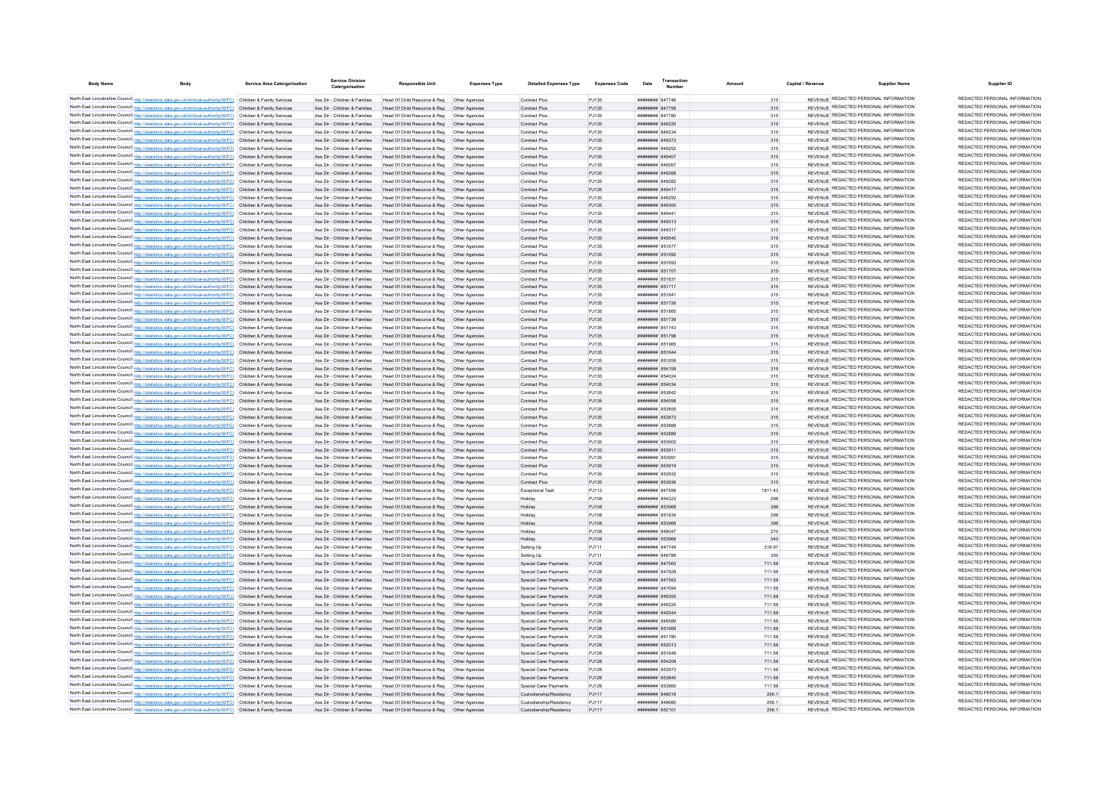| <b>Body Name</b>                                                                                                                                                                                                                       | Body | <b>Service Area Catergorisation</b> | Service Division<br>Catergorisation                            | <b>Responsible Unit</b>                                                                                                    | <b>Expenses Type</b> | <b>Detailed Expenses Type</b>                    | <b>Expenses Code</b> | Date                                            | Transaction |                  | Capital / Revenue | <b>Supplier Name</b>                                                           | Supplier ID                                                    |
|----------------------------------------------------------------------------------------------------------------------------------------------------------------------------------------------------------------------------------------|------|-------------------------------------|----------------------------------------------------------------|----------------------------------------------------------------------------------------------------------------------------|----------------------|--------------------------------------------------|----------------------|-------------------------------------------------|-------------|------------------|-------------------|--------------------------------------------------------------------------------|----------------------------------------------------------------|
| North East Lincolnshire Council http://statistics.data.gov.uk/id/local-authority/00FC) Children & Family Services                                                                                                                      |      |                                     | Ass Dir - Children & Families                                  | Head Of Child Resource & Reg   Other Agencies                                                                              |                      | Contract Plus                                    | PJ135                | <b>########</b> 847746                          |             | 315              |                   | REVENUE REDACTED PERSONAL INFORMATION                                          | REDACTED PERSONAL INFORMATION                                  |
| North East Lincolnshire Council http://statistics.data.gov.uk/id/local-authority/00FC) Children & Family Services                                                                                                                      |      |                                     | Ass Dir - Children & Families                                  | Head Of Child Resource & Reg  Other Agencies                                                                               |                      | Contract Plus                                    | P.1135               | <b>######## 847756</b>                          |             | 315              |                   | REVENUE REDACTED PERSONAL INFORMATION                                          | REDACTED PERSONAL INFORMATION                                  |
| North East Lincolnshire Council http://statistics.data.gov.uk/id/local-authority/00FC) Children & Family Services                                                                                                                      |      |                                     | Ass Dir - Children & Families                                  | Head Of Child Resource & Reg   Other Agencies                                                                              |                      | Contract Plus                                    | PJ135                | ######## 847780                                 |             | 315              |                   | REVENUE REDACTED PERSONAL INFORMATION                                          | REDACTED PERSONAL INFORMATION                                  |
| North East Lincolnshire Council http://statistics.data.gov.uk/id/local-authority/00FC) Children & Family Services                                                                                                                      |      |                                     |                                                                | Ass Dir - Children & Families Head Of Child Resource & Reg Other Agencies                                                  |                      | Contract Plus                                    | PJ135                | ######## 849220                                 |             | 315              |                   | REVENUE REDACTED PERSONAL INFORMATION                                          | REDACTED PERSONAL INFORMATION                                  |
| North East Lincolnshire Council http://statistics.data.gov.uk/id/local-authority/00FC) Children & Family Services                                                                                                                      |      |                                     | Ass Dir - Children & Families                                  |                                                                                                                            |                      | Contract Plus                                    | PJ135                | ######## 849234                                 |             | 315              |                   | REVENUE REDACTED PERSONAL INFORMATION                                          | REDACTED PERSONAL INFORMATION                                  |
| North East Lincolnshire Council http://statistics.data.gov.uk/id/local-authority/00FC) Children & Family Services                                                                                                                      |      |                                     |                                                                | Ass Dir - Children & Families Head Of Child Resource & Reg Other Agencies                                                  |                      | Contract Plus                                    | PJ135                | ######## 849373                                 |             | 315              |                   | REVENUE REDACTED PERSONAL INFORMATION                                          | REDACTED PERSONAL INFORMATION                                  |
| North East Lincolnshire Council http://statistics.data.gov.uk/id/local-authority/00FC) Children & Family Services                                                                                                                      |      |                                     | Ass Dir - Children & Families                                  | Head Of Child Resource & Reg   Other Agencies                                                                              |                      | Contract Plus                                    | PJ135                | ######## 849252                                 |             | 315              |                   | REVENUE REDACTED PERSONAL INFORMATION                                          | REDACTED PERSONAL INFORMATION                                  |
| North East Lincolnshire Council http://statistics.data.gov.uk/id/local-authority/00FC) Children & Family Services                                                                                                                      |      |                                     | Ass Dir - Children & Families                                  | Head Of Child Resource & Reg   Other Agencies                                                                              |                      | Contract Plus                                    | PJ135                | ######## 849407                                 |             | 315              |                   | REVENUE REDACTED PERSONAL INFORMATION                                          | REDACTED PERSONAL INFORMATION                                  |
| North East Lincolnshire Council http://statistics.data.gov.uk/id/local-authority/00FC) Children & Family Services                                                                                                                      |      |                                     | Ass Dir - Children & Families                                  | Head Of Child Resource & Reg   Other Agencies                                                                              |                      | Contract Plus                                    | PJ135                | ######## 849267                                 |             | 315              |                   | REVENUE REDACTED PERSONAL INFORMATION                                          | REDACTED PERSONAL INFORMATION                                  |
| North East Lincolnshire Council http://statistics.data.gov.uk/id/local-authority/00FC) Children & Family Services                                                                                                                      |      |                                     | Ass Dir - Children & Families                                  | Head Of Child Resource & Reg. Other Agencies                                                                               |                      | Contract Plus                                    | P.1135               | ######## 849268                                 |             | 315              |                   | REVENUE REDACTED PERSONAL INFORMATION<br>REVENUE REDACTED PERSONAL INFORMATION | REDACTED PERSONAL INFORMATION<br>REDACTED PERSONAL INFORMATION |
| North East Lincolnshire Council http://statistics.data.gov.uk/id/local-authority/00FC) Children & Family Services                                                                                                                      |      |                                     | Ass Dir - Children & Families                                  | Head Of Child Resource & Reg   Other Agencies                                                                              |                      | <b>Contract Plus</b>                             | PJ135                | <b>иннинин</b> 849282                           |             | 315              |                   | REVENUE REDACTED PERSONAL INFORMATION                                          | REDACTED PERSONAL INFORMATION                                  |
| North East Lincolnshire Council http://statistics.data.gov.uk/id/local-authority/00FC) Children & Family Services                                                                                                                      |      |                                     | Ass Dir - Children & Families                                  | Head Of Child Resource & Reg   Other Agencies                                                                              |                      | <b>Contract Plus</b>                             | PJ135                | ######## 849417                                 |             | 315              |                   | REVENUE REDACTED PERSONAL INFORMATION                                          | REDACTED PERSONAL INFORMATION                                  |
| North East Lincolnshire Council http://statistics.data.gov.uk/id/local-authority/00FC) Children & Family Services<br>North East Lincolnshire Council http://statistics.data.gov.uk/id/local-authority/00FC) Children & Family Services |      |                                     | Ass Dir - Children & Families<br>Ass Dir - Children & Families | Head Of Child Resource & Reg<br>Head Of Child Resource & Reg   Other Agencies                                              | Other Agencies       | Contract Plus<br>Contract Plus                   | PJ135<br>PJ135       | ######## 849292<br>$HHHHHHHH$ 849300            |             | 315<br>315       |                   | REVENUE REDACTED PERSONAL INFORMATION                                          | REDACTED PERSONAL INFORMATION                                  |
| North East Lincolnshire Council http://statistics.data.gov.uk/id/local-authority/00FC) Children & Family Services                                                                                                                      |      |                                     | Ass Dir - Children & Families                                  | Head Of Child Resource & Reg   Other Agencies                                                                              |                      | <b>Contract Plus</b>                             | PJ135                | HHHHHHH R49441                                  |             | 315              |                   | REVENUE REDACTED PERSONAL INFORMATION                                          | REDACTED PERSONAL INFORMATION                                  |
| North East Lincolnshire Council http://statistics.data.gov.uk/id/local-authority/00FC) Children & Family Services                                                                                                                      |      |                                     | Ass Dir - Children & Families                                  | Head Of Child Resource & Reg. Other Agencies                                                                               |                      | Contract Plus                                    | PJ135                | ######## 849313                                 |             | 315              |                   | REVENUE REDACTED PERSONAL INFORMATION                                          | REDACTED PERSONAL INFORMATION                                  |
| North East Lincolnshire Council http://statistics.data.gov.uk/id/local-authority/00FC) Children & Family Services                                                                                                                      |      |                                     | Ass Dir - Children & Families                                  | Head Of Child Resource & Reg   Other Agencies                                                                              |                      | Contract Plus                                    | PJ135                | ######## 849317                                 |             | 315              |                   | REVENUE REDACTED PERSONAL INFORMATION                                          | REDACTED PERSONAL INFORMATION                                  |
| North East Lincolnshire Council http://statistics.data.gov.uk/id/local-authority/00FC) Children & Family Services                                                                                                                      |      |                                     |                                                                | Ass Dir - Children & Families Head Of Child Resource & Reg Other Agencies                                                  |                      | Contract Plus                                    | PJ135                | ######## 849540                                 |             | 315              |                   | REVENUE REDACTED PERSONAL INFORMATION                                          | REDACTED PERSONAL INFORMATION                                  |
| North East Lincolnshire Council http://statistics.data.gov.uk/id/local-authority/00FC) Children & Family Services                                                                                                                      |      |                                     | Ass Dir - Children & Families                                  | Head Of Child Resource & Reg   Other Agencies                                                                              |                      | Contract Plus                                    | PJ135                | ####### 851677                                  |             | 315              |                   | REVENUE REDACTED PERSONAL INFORMATION                                          | REDACTED PERSONAL INFORMATION                                  |
| North East Lincolnshire Council http://statistics.data.gov.uk/id/local-authority/00FC) Children & Family Services                                                                                                                      |      |                                     |                                                                | Ass Dir - Children & Families Head Of Child Resource & Reg Other Agencies                                                  |                      | Contract Plus                                    | PJ135                | ####### 851692                                  |             | 315              |                   | REVENUE REDACTED PERSONAL INFORMATION                                          | REDACTED PERSONAL INFORMATION                                  |
| North East Lincolnshire Council http://statistics.data.gov.uk/id/local-authority/00FC) Children & Family Services                                                                                                                      |      |                                     | Ass Dir - Children & Families                                  | Head Of Child Resource & Reg   Other Agencies                                                                              |                      | Contract Plus                                    | PJ135                | ####### 851693                                  |             | 315              |                   | REVENUE REDACTED PERSONAL INFORMATION                                          | REDACTED PERSONAL INFORMATION                                  |
| North East Lincolnshire Council http://statistics.data.gov.uk/id/local-authority/00FC) Children & Family Services                                                                                                                      |      |                                     | Ass Dir - Children & Families                                  | Head Of Child Resource & Reg  Other Agencies                                                                               |                      | Contract Plus                                    | PJ135                | ######## 851707                                 |             | 315              |                   | REVENUE REDACTED PERSONAL INFORMATION                                          | REDACTED PERSONAL INFORMATION                                  |
| North East Lincolnshire Council http://statistics.data.gov.uk/id/local-authority/00FC) Children & Family Services                                                                                                                      |      |                                     | Ass Dir - Children & Families                                  | Head Of Child Resource & Reg   Other Agencies                                                                              |                      | Contract Plus                                    | P.1135               | ######## 851831                                 |             | 315              |                   | REVENUE REDACTED PERSONAL INFORMATION                                          | REDACTED PERSONAL INFORMATION                                  |
| North East Lincolnshire Council http://statistics.data.gov.uk/id/local-authority/00FC) Children & Family Services                                                                                                                      |      |                                     | Ass Dir - Children & Families                                  | Head Of Child Resource & Reg  Other Agencies                                                                               |                      | Contract Plus                                    | PJ135                | ######## 851717                                 |             | 315              |                   | REVENUE REDACTED PERSONAL INFORMATION                                          | REDACTED PERSONAL INFORMATION                                  |
| North East Lincolnshire Council http://statistics.data.gov.uk/id/local-authority/00FC) Children & Family Services                                                                                                                      |      |                                     | Ass Dir - Children & Families                                  | Head Of Child Resource & Reg   Other Agencies                                                                              |                      | <b>Contract Plus</b>                             | PJ135                | ######## 851841                                 |             | 315              |                   | REVENUE REDACTED PERSONAL INFORMATION                                          | REDACTED PERSONAL INFORMATION<br>REDACTED PERSONAL INFORMATION |
| North East Lincolnshire Council http://statistics.data.gov.uk/id/local-authority/00FC) Children & Family Services                                                                                                                      |      |                                     | Ass Dir - Children & Families                                  | Head Of Child Resource & Reg  Other Agencies                                                                               |                      | <b>Contract Plus</b>                             | PJ135                | ######## 851726                                 |             | 315              |                   | REVENUE REDACTED PERSONAL INFORMATION<br>REVENUE REDACTED PERSONAL INFORMATION | REDACTED PERSONAL INFORMATION                                  |
| North East Lincolnshire Council http://statistics.data.gov.uk/id/local-authority/00FC) Children & Family Services                                                                                                                      |      |                                     | Ass Dir - Children & Families                                  | Head Of Child Resource & Reg  Other Agencies                                                                               |                      | Contract Plus                                    | PJ135                | ####### 851865                                  |             | 315              |                   | REVENUE REDACTED PERSONAL INFORMATION                                          | REDACTED PERSONAL INFORMATION                                  |
| North East Lincolnshire Council http://statistics.data.gov.uk/id/local-authority/00FC) Children & Family Services<br>North East Lincolnshire Council http://statistics.data.gov.uk/id/local-authority/00FC) Children & Family Services |      |                                     | Ass Dir - Children & Families<br>Ass Dir - Children & Families | Head Of Child Resource & Reg  Other Agencies<br>Head Of Child Resource & Reg   Other Agencies                              |                      | Contract Plus<br>Contract Plus                   | PJ135<br>PJ135       | ######## 851739<br><b><i>HHHHHHH</i></b> 851743 |             | 315              |                   | REVENUE REDACTED PERSONAL INFORMATION                                          | REDACTED PERSONAL INFORMATION                                  |
| North East Lincolnshire Council http://statistics.data.gov.uk/id/local-authority/00FC) Children & Family Services                                                                                                                      |      |                                     |                                                                | Ass Dir - Children & Families Head Of Child Resource & Reg Other Agencies                                                  |                      | <b>Contract Plus</b>                             | PJ135                | ######## 851798                                 |             | 315<br>315       |                   | REVENUE REDACTED PERSONAL INFORMATION                                          | REDACTED PERSONAL INFORMATION                                  |
| North East Lincolnshire Council http://statistics.data.gov.uk/id/local-authority/00FC) Children & Family Services                                                                                                                      |      |                                     | Ass Dir - Children & Families                                  | Head Of Child Resource & Reg   Other Agencies                                                                              |                      | Contract Plus                                    | PJ135                | ######## 851965                                 |             | 315              |                   | REVENUE REDACTED PERSONAL INFORMATION                                          | REDACTED PERSONAL INFORMATION                                  |
| North East Lincolnshire Council http://statistics.data.gov.uk/id/local-authority/00FC) Children & Family Services                                                                                                                      |      |                                     |                                                                | Ass Dir - Children & Families Head Of Child Resource & Reg Other Agencies                                                  |                      | Contract Plus                                    | PJ135                | ######## 851644                                 |             | 315              |                   | REVENUE REDACTED PERSONAL INFORMATION                                          | REDACTED PERSONAL INFORMATION                                  |
| North East Lincolnshire Council http://statistics.data.gov.uk/id/local-authority/00FC) Children & Family Services                                                                                                                      |      |                                     | Ass Dir - Children & Families                                  | Head Of Child Resource & Reg   Other Agencies                                                                              |                      | Contract Plus                                    | PJ135                | ####### 851659                                  |             | 315              |                   | REVENUE REDACTED PERSONAL INFORMATION                                          | REDACTED PERSONAL INFORMATION                                  |
| North East Lincolnshire Council http://statistics.data.gov.uk/id/local-authority/00FC) Children & Family Services                                                                                                                      |      |                                     |                                                                | Ass Dir - Children & Families Head Of Child Resource & Reg Other Agencies                                                  |                      | Contract Plus                                    | PJ135                | ######## 854159                                 |             | 315              |                   | REVENUE REDACTED PERSONAL INFORMATION                                          | REDACTED PERSONAL INFORMATION                                  |
| North East Lincolnshire Council http://statistics.data.gov.uk/id/local-authority/00FC) Children & Family Services                                                                                                                      |      |                                     | Ass Dir - Children & Families                                  | Head Of Child Resource & Reg   Other Agencies                                                                              |                      | Contract Plus                                    | PJ135                | ######## 854024                                 |             | 315              |                   | REVENUE REDACTED PERSONAL INFORMATION                                          | REDACTED PERSONAL INFORMATION                                  |
| North East Lincolnshire Council http://statistics.data.gov.uk/id/local-authority/00FC) Children & Family Services                                                                                                                      |      |                                     |                                                                | Ass Dir - Children & Families Head Of Child Resource & Reg Other Agencies                                                  |                      | <b>Contract Plus</b>                             | P.1135               | ######## 854034                                 |             | 315              |                   | REVENUE REDACTED PERSONAL INFORMATION                                          | REDACTED PERSONAL INFORMATION                                  |
| North East Lincolnshire Council http://statistics.data.gov.uk/id/local-authority/00FC) Children & Family Services                                                                                                                      |      |                                     | Ass Dir - Children & Families                                  | Head Of Child Resource & Reg   Other Agencies                                                                              |                      | <b>Contract Plus</b>                             | PJ135                | ######## 853842                                 |             | 315              |                   | REVENUE REDACTED PERSONAL INFORMATION                                          | REDACTED PERSONAL INFORMATION                                  |
| North East Lincolnshire Council http://statistics.data.gov.uk/id/local-authority/00FC) Children & Family Services                                                                                                                      |      |                                     | Ass Dir - Children & Families                                  | Head Of Child Resource & Reg  Other Agencies                                                                               |                      | <b>Contract Plus</b>                             | PJ135                | ####### 854058                                  |             | 315              |                   | REVENUE REDACTED PERSONAL INFORMATION                                          | REDACTED PERSONAL INFORMATION                                  |
| North East Lincolnshire Council http://statistics.data.gov.uk/id/local-authority/00FC) Children & Family Services                                                                                                                      |      |                                     | Ass Dir - Children & Families                                  | Head Of Child Resource & Reg                                                                                               | Other Agencies       | Contract Plus                                    | PJ135                | ######## 853855                                 |             | 315              |                   | REVENUE REDACTED PERSONAL INFORMATION                                          | REDACTED PERSONAL INFORMATION                                  |
| North East Lincolnshire Council http://statistics.data.gov.uk/id/local-authority/00FC) Children & Family Services                                                                                                                      |      |                                     | Ass Dir - Children & Families                                  | Head Of Child Resource & Reg   Other Agencies                                                                              |                      | <b>Contract Plus</b>                             | PJ135                | ######## 853873                                 |             | 315              |                   | REVENUE REDACTED PERSONAL INFORMATION                                          | REDACTED PERSONAL INFORMATION                                  |
| North East Lincolnshire Council http://statistics.data.gov.uk/id/local-authority/00FC) Children & Family Services                                                                                                                      |      |                                     | Ass Dir - Children & Families                                  | Head Of Child Resource & Reg                                                                                               | Other Agencies       | Contract Plus                                    | PJ135                | ######## 853888                                 |             | 315              |                   | REVENUE REDACTED PERSONAL INFORMATION                                          | REDACTED PERSONAL INFORMATION<br>REDACTED PERSONAL INFORMATION |
| North East Lincolnshire Council http://statistics.data.gov.uk/id/local-authority/00FC) Children & Family Services                                                                                                                      |      |                                     | Ass Dir - Children & Families                                  | Head Of Child Resource & Reg   Other Agencies                                                                              |                      | Contract Plus                                    | PJ135                | HHHHHHH 853889                                  |             | 315              |                   | REVENUE REDACTED PERSONAL INFORMATION<br>REVENUE REDACTED PERSONAL INFORMATION | REDACTED PERSONAL INFORMATION                                  |
| North East Lincolnshire Council http://statistics.data.gov.uk/id/local-authority/00FC) Children & Family Services                                                                                                                      |      |                                     | Ass Dir - Children & Families                                  | Head Of Child Resource & Reg. Other Agencies                                                                               |                      | Contract Plus                                    | PJ135                | ######## 853902<br>######## 853911              |             | 315              |                   | REVENUE REDACTED PERSONAL INFORMATION                                          | REDACTED PERSONAL INFORMATION                                  |
| North East Lincolnshire Council http://statistics.data.gov.uk/id/local-authority/00FC) Children & Family Services<br>North East Lincolnshire Council http://statistics.data.gov.uk/id/local-authority/00FC) Children & Family Services |      |                                     | Ass Dir - Children & Families<br>Ass Dir - Children & Families | Head Of Child Resource & Reg  Other Agencies<br>Head Of Child Resource & Reg   Other Agencies                              |                      | Contract Plus<br>Contract Plus                   | PJ135<br>PJ135       | ######## 85399                                  |             | 315<br>315       |                   | REVENUE REDACTED PERSONAL INFORMATION                                          | REDACTED PERSONAL INFORMATION                                  |
| North East Lincolnshire Council http://statistics.data.gov.uk/id/local-authority/00FC) Children & Family Services                                                                                                                      |      |                                     |                                                                | Ass Dir - Children & Families Head Of Child Resource & Reg Other Agencies                                                  |                      | Contract Plus                                    | PJ135                | ######## 853919                                 |             | 315              |                   | REVENUE REDACTED PERSONAL INFORMATION                                          | REDACTED PERSONAL INFORMATION                                  |
| North East Lincolnshire Council http://statistics.data.gov.uk/id/local-authority/00FC) Children & Family Services                                                                                                                      |      |                                     | Ass Dir - Children & Families                                  | Head Of Child Resource & Reg   Other Agencies                                                                              |                      | Contract Plus                                    | PJ135                | ######## 853932                                 |             | 315              |                   | REVENUE REDACTED PERSONAL INFORMATION                                          | REDACTED PERSONAL INFORMATION                                  |
| North East Lincolnshire Council http://statistics.data.gov.uk/id/local-authority/00FC) Children & Family Services                                                                                                                      |      |                                     | Ass Dir - Children & Families                                  | Head Of Child Resource & Reg   Other Agencies                                                                              |                      | Contract Plus                                    | PJ135                | ######## 853936                                 |             | 315              |                   | REVENUE REDACTED PERSONAL INFORMATION                                          | REDACTED PERSONAL INFORMATION                                  |
| North East Lincolnshire Council http://statistics.data.gov.uk/id/local-authority/00FC) Children & Family Services                                                                                                                      |      |                                     | Ass Dir - Children & Families                                  | Head Of Child Resource & Reg   Other Agencies                                                                              |                      | Exceptional Task                                 | PJ113                | <b>######## 847556</b>                          |             | 1811 43          |                   | REVENUE REDACTED PERSONAL INFORMATION                                          | REDACTED PERSONAL INFORMATION                                  |
| North East Lincolnshire Council http://statistics.data.gov.uk/id/local-authority/00FC) Children & Family Services                                                                                                                      |      |                                     | Ass Dir - Children & Families                                  |                                                                                                                            |                      | Holiday                                          | P.1108               | ######## 854323                                 |             | 298              |                   | REVENUE REDACTED PERSONAL INFORMATION                                          | REDACTED PERSONAL INFORMATION                                  |
| North East Lincolnshire Council http://statistics.data.gov.uk/id/local-authority/00FC) Children & Family Services                                                                                                                      |      |                                     | Ass Dir - Children & Families                                  | Head Of Child Resource & Reg  Other Agencies                                                                               |                      | Holiday                                          | PJ108                | ######## 853968                                 |             | 396              |                   | REVENUE REDACTED PERSONAL INFORMATION                                          | REDACTED PERSONAL INFORMATION                                  |
| North East Lincolnshire Council http://statistics.data.gov.uk/id/local-authority/00FC) Children & Family Services                                                                                                                      |      |                                     | Ass Dir - Children & Families                                  | Head Of Child Resource & Reg   Other Agencies                                                                              |                      | Holiday                                          | PJ108                | ######## 851834                                 |             | 298              |                   | REVENUE REDACTED PERSONAL INFORMATION                                          | REDACTED PERSONAL INFORMATION                                  |
| North East Lincolnshire Council http://statistics.data.gov.uk/id/local-authority/00FC) Children & Family Services                                                                                                                      |      |                                     | Ass Dir - Children & Families                                  | Head Of Child Resource & Reg  Other Agencies                                                                               |                      | Holiday                                          | PJ108                | ######## 853968                                 |             | 396              |                   | REVENUE REDACTED PERSONAL INFORMATION                                          | REDACTED PERSONAL INFORMATION                                  |
| North East Lincolnshire Council http://statistics.data.gov.uk/id/local-authority/00FC) Children & Family Services                                                                                                                      |      |                                     | Ass Dir - Children & Families                                  | Head Of Child Resource & Reg   Other Agencies                                                                              |                      | <b>Holiday</b>                                   | PJ108                | ######## 848047                                 |             | 270              |                   | REVENUE REDACTED PERSONAL INFORMATION                                          | REDACTED PERSONAL INFORMATION                                  |
| North East Lincolnshire Council http://statistics.data.gov.uk/id/local-authority/00FC) Children & Family Services                                                                                                                      |      |                                     | Ass Dir - Children & Families                                  | Head Of Child Resource & Reg   Other Agencies                                                                              |                      | Holiday                                          | PJ108                | ######## 853968                                 |             | 340              |                   | REVENUE REDACTED PERSONAL INFORMATION                                          | REDACTED PERSONAL INFORMATION                                  |
| North East Lincolnshire Council http://statistics.data.gov.uk/id/local-authority/00FC) Children & Family Services                                                                                                                      |      |                                     | Ass Dir - Children & Families                                  | Head Of Child Resource & Reg   Other Agencies                                                                              |                      | Setting Up                                       | PJ111                | <b><i>HHHHHHH</i></b> 847749                    |             | 318.97           |                   | REVENUE REDACTED PERSONAL INFORMATION                                          | REDACTED PERSONAL INFORMATION                                  |
| North East Lincolnshire Council http://statistics.data.gov.uk/id/local-authority/00FC) Children & Family Services                                                                                                                      |      |                                     | Ass Dir - Children & Families                                  | Head Of Child Resource & Reg   Other Agencies                                                                              |                      | Setting Up                                       | PJ111                | ######## 849788                                 |             | 350              |                   | REVENUE REDACTED PERSONAL INFORMATION                                          | REDACTED PERSONAL INFORMATION<br>REDACTED PERSONAL INFORMATION |
| North East Lincolnshire Council http://statistics.data.gov.uk/id/local-authority/00FC) Children & Family Services                                                                                                                      |      |                                     |                                                                | Ass Dir - Children & Families Head Of Child Resource & Reg Other Agencies                                                  |                      | Special Carer Payments                           | PJ128                | ######## 847563                                 |             | 711.58           |                   | REVENUE REDACTED PERSONAL INFORMATION<br>REVENUE REDACTED PERSONAL INFORMATION | REDACTED PERSONAL INFORMATION                                  |
| North East Lincolnshire Council http://statistics.data.gov.uk/id/local-authority/00FC) Children & Family Services                                                                                                                      |      |                                     | Ass Dir - Children & Families                                  | Head Of Child Resource & Reg   Other Agencies                                                                              |                      | Special Carer Payments                           | PJ128                | ######## 847929                                 |             | 711.58           |                   | REVENUE REDACTED PERSONAL INFORMATION                                          | REDACTED PERSONAL INFORMATION                                  |
| North East Lincolnshire Council http://statistics.data.gov.uk/id/local-authority/00FC) Children & Family Services<br>North East Lincolnshire Council http://statistics.data.gov.uk/id/local-authority/00FC) Children & Family Services |      |                                     | Ass Dir - Children & Families                                  | Ass Dir - Children & Families Head Of Child Resource & Reg Other Agencies                                                  |                      | Special Carer Payments<br>Special Carer Payments | PJ128<br>PJ128       | ######## 847583<br>######## 847694              |             | 711.58<br>711.58 |                   | REVENUE REDACTED PERSONAL INFORMATION                                          | REDACTED PERSONAL INFORMATION                                  |
| North East Lincolnshire Council http://statistics.data.gov.uk/id/local-authority/00FC) Children & Family Services                                                                                                                      |      |                                     |                                                                | Head Of Child Resource & Reg   Other Agencies<br>Ass Dir - Children & Families Head Of Child Resource & Reg Other Agencies |                      | Special Carer Payments                           | PJ128                | ######## 849355                                 |             | 711.58           |                   | REVENUE REDACTED PERSONAL INFORMATION                                          | REDACTED PERSONAL INFORMATION                                  |
| North East Lincolnshire Council http://statistics.data.gov.uk/id/local-authority/00FC) Children & Family Services                                                                                                                      |      |                                     | Ass Dir - Children & Families                                  | Head Of Child Resource & Reg   Other Agencies                                                                              |                      | Special Carer Payments                           | P.1128               | ######## 849224                                 |             | 711.58           |                   | REVENUE REDACTED PERSONAL INFORMATION                                          | REDACTED PERSONAL INFORMATION                                  |
| North East Lincolnshire Council http://statistics.data.gov.uk/id/local-authority/00FC) Children & Family Services                                                                                                                      |      |                                     | Ass Dir - Children & Families                                  | Head Of Child Resource & Reg   Other Agencies                                                                              |                      | Special Carer Payments                           | PJ128                | ######## 849244                                 |             | 711.58           |                   | REVENUE REDACTED PERSONAL INFORMATION                                          | REDACTED PERSONAL INFORMATION                                  |
| North East Lincolnshire Council http://statistics.data.gov.uk/id/local-authority/00FC) Children & Family Services                                                                                                                      |      |                                     | Ass Dir - Children & Families                                  | Head Of Child Resource & Reg   Other Agencies                                                                              |                      | Special Carer Payments                           | PJ128                | ######## 849589                                 |             | 711.58           |                   | REVENUE REDACTED PERSONAL INFORMATION                                          | REDACTED PERSONAL INFORMATION                                  |
| North East Lincolnshire Council http://statistics.data.gov.uk/id/local-authority/00FC) Children & Family Services                                                                                                                      |      |                                     | Ass Dir - Children & Families                                  | Head Of Child Resource & Reg   Other Agencies                                                                              |                      | Special Carer Payments                           | PJ128                | ######## 851669                                 |             | 711.58           |                   | REVENUE REDACTED PERSONAL INFORMATION                                          | REDACTED PERSONAL INFORMATION                                  |
| North East Lincolnshire Council http://statistics.data.gov.uk/id/local-authority/00FC) Children & Family Services                                                                                                                      |      |                                     | Ass Dir - Children & Families                                  | Head Of Child Resource & Reg   Other Agencies                                                                              |                      | <b>Special Carer Payments</b>                    | PJ128                | ####### 851780                                  |             | 711.58           |                   | REVENUE REDACTED PERSONAL INFORMATION                                          | REDACTED PERSONAL INFORMATION                                  |
| North East Lincolnshire Council http://statistics.data.gov.uk/id/local-authority/00FC) Children & Family Services                                                                                                                      |      |                                     | Ass Dir - Children & Families                                  | Head Of Child Resource & Reg                                                                                               | Other Agencies       | Special Carer Payments                           | PJ128                | ######## 852013                                 |             | 711.58           |                   | REVENUE REDACTED PERSONAL INFORMATION                                          | REDACTED PERSONAL INFORMATION                                  |
| North East Lincolnshire Council http://statistics.data.gov.uk/id/local-authority/00FC) Children & Family Services                                                                                                                      |      |                                     | Ass Dir - Children & Families                                  | Head Of Child Resource & Reg. Other Agencies                                                                               |                      | Special Carer Payments                           | PJ128                | ####### 851648                                  |             | 711.58           |                   | REVENUE REDACTED PERSONAL INFORMATION                                          | REDACTED PERSONAL INFORMATION                                  |
| North East Lincolnshire Council http://statistics.data.gov.uk/id/local-authority/00FC) Children & Family Services                                                                                                                      |      |                                     |                                                                | Ass Dir - Children & Families Head Of Child Resource & Reg Other Agencies                                                  |                      | Special Carer Payments                           | PJ128                | ######## 854208                                 |             | 711.58           |                   | REVENUE REDACTED PERSONAL INFORMATION                                          | REDACTED PERSONAL INFORMATION                                  |
| North East Lincolnshire Council http://statistics.data.gov.uk/id/local-authority/00FC) Children & Family Services                                                                                                                      |      |                                     |                                                                | Ass Dir - Children & Families Head Of Child Resource & Reg Other Agencies                                                  |                      | Special Carer Payments                           | PJ128                | ######## 853973                                 |             | 711.58           |                   | REVENUE REDACTED PERSONAL INFORMATION                                          | REDACTED PERSONAL INFORMATION                                  |
| North East Lincolnshire Council http://statistics.data.gov.uk/id/local-authority/00FC) Children & Family Services                                                                                                                      |      |                                     |                                                                | Ass Dir - Children & Families Head Of Child Resource & Reg Other Agencies                                                  |                      | Special Carer Payments                           | PJ128                | ######## 853845                                 |             | 711.58           |                   | REVENUE REDACTED PERSONAL INFORMATION                                          | REDACTED PERSONAL INFORMATION<br>REDACTED PERSONAL INFORMATION |
| North East Lincolnshire Council http://statistics.data.gov.uk/id/local-authority/00FC) Children & Family Services                                                                                                                      |      |                                     | Ass Dir - Children & Families                                  | Head Of Child Resource & Reg   Other Agencies                                                                              |                      | Special Carer Payments                           | PJ128                | ######## 853865                                 |             | 711.58           |                   | REVENUE REDACTED PERSONAL INFORMATION                                          | REDACTED PERSONAL INFORMATION                                  |
| North East Lincolnshire Council http://statistics.data.gov.uk/id/local-authority/00FC) Children & Family Services                                                                                                                      |      |                                     |                                                                | Ass Dir - Children & Families Head Of Child Resource & Reg Other Agencies                                                  |                      | Custodianship/Residency                          | PJ117                | ######## 848018                                 |             | 256.1            |                   | REVENUE REDACTED PERSONAL INFORMATION<br>REVENUE REDACTED PERSONAL INFORMATION | REDACTED PERSONAL INFORMATION                                  |
| North East Lincolnshire Council http://statistics.data.gov.uk/id/local-authority/00FC) Children & Family Services<br>North East Lincolnshire Council http://statistics.data.gov.uk/id/local-authority/00FC) Children & Family Services |      |                                     |                                                                | Ass Dir - Children & Families Head Of Child Resource & Reg Other Agencies                                                  |                      | Custodianship/Residency                          | PJ117                | ####### 849680                                  |             | 256.1            |                   | REVENUE REDACTED PERSONAL INFORMATION                                          | REDACTED PERSONAL INFORMATION                                  |
|                                                                                                                                                                                                                                        |      |                                     |                                                                | Ass Dir - Children & Families Head Of Child Resource & Reg Other Agencies                                                  |                      | Custodianship/Residency                          | PJ117                | ######## 852101                                 |             | 2561             |                   |                                                                                |                                                                |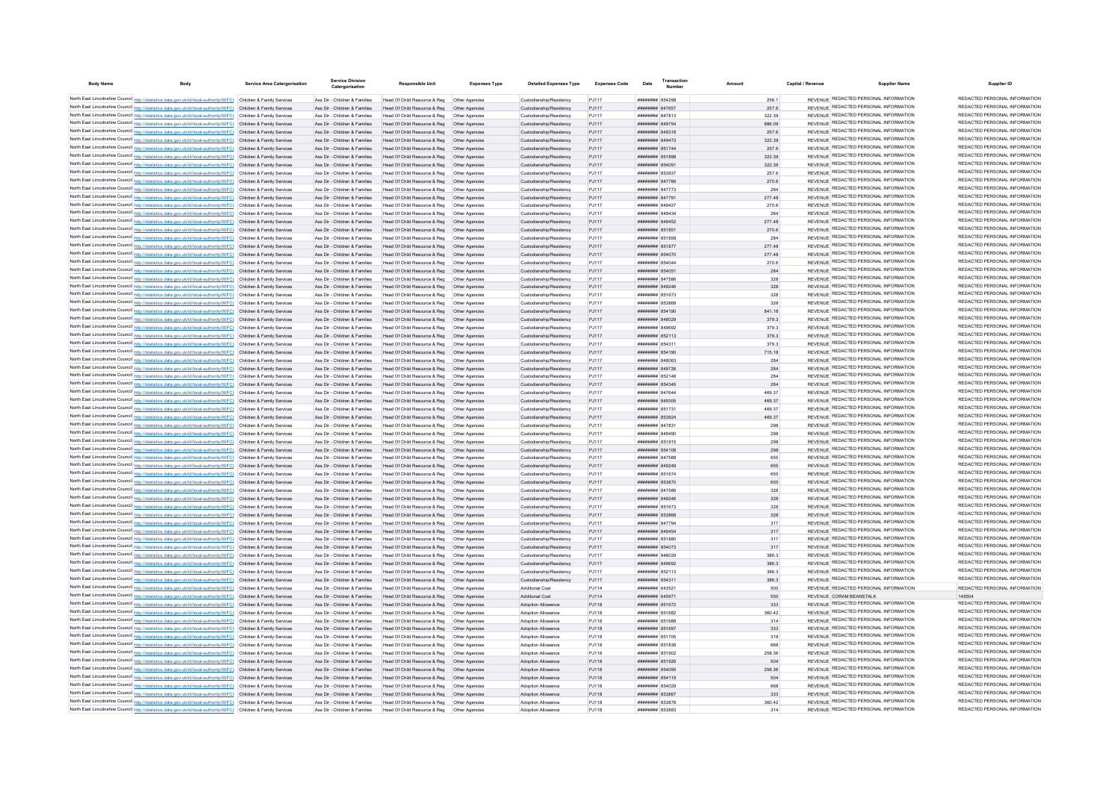| <b>Body Name</b> |                                                                                                                                                                                                                                        | <b>Service Area Catergorisation</b> | Catergorisation                                                | <b>Responsible Unit</b>                                                                                                    | <b>Expenses Type</b> | <b>Detailed Expenses Type</b>                      | <b>Expenses Code</b> | Date                               |                 | Capital / Revenue | <b>Supplier Name</b>                                                           | Supplier ID                                                    |
|------------------|----------------------------------------------------------------------------------------------------------------------------------------------------------------------------------------------------------------------------------------|-------------------------------------|----------------------------------------------------------------|----------------------------------------------------------------------------------------------------------------------------|----------------------|----------------------------------------------------|----------------------|------------------------------------|-----------------|-------------------|--------------------------------------------------------------------------------|----------------------------------------------------------------|
|                  | North East Lincolnshire Council http://statistics.data.gov.uk/id/local-authority/00FC) Children & Family Services                                                                                                                      |                                     | Ass Dir - Children & Families                                  | Head Of Child Resource & Reg   Other Agencies                                                                              |                      | Custodianship/Residency                            | PJ117                | ######## 854298                    | 256.1           |                   | REVENUE REDACTED PERSONAL INFORMATION                                          | REDACTED PERSONAL INFORMATION                                  |
|                  | North East Lincolnshire Council http://statistics.data.gov.uk/id/local-authority/00FC) Children & Family Services                                                                                                                      |                                     | Ass Dir - Children & Families                                  | Head Of Child Resource & Reg   Other Agencies                                                                              |                      | Custodianship/Residency                            | PJ117                | ######## 847657                    | 257.6           |                   | REVENUE REDACTED PERSONAL INFORMATION                                          | REDACTED PERSONAL INFORMATION                                  |
|                  | North East Lincolnshire Council http://statistics.data.gov.uk/id/local-authority/00FC) Children & Family Services                                                                                                                      |                                     | Ass Dir - Children & Families                                  | Head Of Child Resource & Reg   Other Agencies                                                                              |                      | Custodianship/Residency                            | PJ117                | <b><i>HHHHHHH</i></b> 847813       | 322.39          |                   | REVENUE REDACTED PERSONAL INFORMATION                                          | REDACTED PERSONAL INFORMATION                                  |
|                  | North East Lincolnshire Council http://statistics.data.gov.uk/id/local-authority/00FC) Children & Family Services                                                                                                                      |                                     | Ass Dir - Children & Families                                  | Head Of Child Resource & Reg   Other Agencies                                                                              |                      | Custodianship/Residency                            | PJ117                | ######## 849754                    | 886.09          |                   | REVENUE REDACTED PERSONAL INFORMATION                                          | REDACTED PERSONAL INFORMATION                                  |
|                  | North East Lincolnshire Council http://statistics.data.gov.uk/id/local-authority/00FC) Children & Family Services                                                                                                                      |                                     | Ass Dir - Children & Families                                  | Head Of Child Resource & Reg  Other Agencies                                                                               |                      | Custodianship/Residency                            | PJ117                | ######## 849318                    | 257.6           |                   | REVENUE REDACTED PERSONAL INFORMATION                                          | REDACTED PERSONAL INFORMATION                                  |
|                  | North East Lincolnshire Council http://statistics.data.gov.uk/id/local-authority/00FC) Children & Family Services                                                                                                                      |                                     | Ass Dir - Children & Families                                  | Head Of Child Resource & Reg  Other Agencies                                                                               |                      | Custodianship/Residency                            | PJ117                | ######## 849473                    | 322.39          |                   | REVENUE REDACTED PERSONAL INFORMATION<br>REVENUE REDACTED PERSONAL INFORMATION | REDACTED PERSONAL INFORMATION<br>REDACTED PERSONAL INFORMATION |
|                  | North East Lincolnshire Council http://statistics.data.gov.uk/id/local-authority/00FC) Children & Family Services                                                                                                                      |                                     | Ass Dir - Children & Families                                  | Head Of Child Resource & Reg   Other Agencies                                                                              |                      | Custodianship/Residency                            | PJ117                | ######## 851744                    | 257.6           |                   | REVENUE REDACTED PERSONAL INFORMATION                                          | REDACTED PERSONAL INFORMATION                                  |
|                  | North East Lincolnshire Council http://statistics.data.gov.uk/id/local-authority/00FC) Children & Family Services<br>North East Lincolnshire Council http://statistics.data.gov.uk/id/local-authority/00FC) Children & Family Services |                                     | Ass Dir - Children & Families                                  | Head Of Child Resource & Reg  Other Agencies                                                                               |                      | Custodianship/Residency                            | PJ117                | ######## 851898                    | 322.39          |                   | REVENUE REDACTED PERSONAL INFORMATION                                          | REDACTED PERSONAL INFORMATION                                  |
|                  | North East Lincolnshire Council http://statistics.data.gov.uk/id/local-authority/00FC) Children & Family Services                                                                                                                      |                                     | Ass Dir - Children & Families<br>Ass Dir - Children & Families | Head Of Child Resource & Reg   Other Agencies<br>Head Of Child Resource & Reg   Other Agencies                             |                      | Custodianship/Residency<br>Custodianship/Residency | PJ117<br>PJ117       | ######## 854091<br>######## 853937 | 322.39<br>257.6 |                   | REVENUE REDACTED PERSONAL INFORMATION                                          | REDACTED PERSONAL INFORMATION                                  |
|                  | North East Lincolnshire Council http://statistics.data.gov.uk/id/local-authority/00FC) Children & Family Services                                                                                                                      |                                     | Ass Dir - Children & Families                                  | Head Of Child Resource & Reg   Other Agencies                                                                              |                      | Custodianship/Residency                            | P.I117               | <b>####### 847766</b>              | 270.6           |                   | REVENUE REDACTED PERSONAL INFORMATION                                          | REDACTED PERSONAL INFORMATION                                  |
|                  | North East Lincolnshire Council http://statistics.data.gov.uk/id/local-authority/00FC) Children & Family Services                                                                                                                      |                                     | Ass Dir - Children & Families                                  | Head Of Child Resource & Reg   Other Agencies                                                                              |                      | Custodianship/Residency                            | P.I117               | <b>########</b> 847773             | 284             |                   | REVENUE REDACTED PERSONAL INFORMATION                                          | REDACTED PERSONAL INFORMATION                                  |
|                  | North East Lincolnshire Council http://statistics.data.gov.uk/id/local-authority/00FC) Children & Family Services                                                                                                                      |                                     | Ass Dir - Children & Families                                  | Head Of Child Resource & Reg   Other Agencies                                                                              |                      | Custodianship/Residency                            | P.I117               | ######## 847791                    | 277.48          |                   | REVENUE REDACTED PERSONAL INFORMATION                                          | REDACTED PERSONAL INFORMATION                                  |
|                  | North East Lincolnshire Council http://statistics.data.gov.uk/id/local-authority/00FC) Children & Family Services                                                                                                                      |                                     | Ass Dir - Children & Families                                  | Head Of Child Resource & Reg   Other Agencies                                                                              |                      | Custodianship/Residency                            | PJ117                | ######## 849427                    | 270.6           |                   | REVENUE REDACTED PERSONAL INFORMATION                                          | REDACTED PERSONAL INFORMATION                                  |
|                  | North East Lincolnshire Council http://statistics.data.gov.uk/id/local-authority/00FC) Children & Family Services                                                                                                                      |                                     | Ass Dir - Children & Families                                  | Head Of Child Resource & Reg   Other Agencies                                                                              |                      | Custodianship/Residency                            | PJ117                | HHHHHHH R49434                     | 284             |                   | REVENUE REDACTED PERSONAL INFORMATION                                          | REDACTED PERSONAL INFORMATION                                  |
|                  | North East Lincolnshire Council http://statistics.data.gov.uk/id/local-authority/00FC) Children & Family Services                                                                                                                      |                                     | Ass Dir - Children & Families                                  | Head Of Child Resource & Reg                                                                                               | Other Agencies       | Custodianship/Residency                            | PJ117                | ######## 849452                    | 277.48          |                   | REVENUE REDACTED PERSONAL INFORMATION                                          | REDACTED PERSONAL INFORMATION                                  |
|                  | North East Lincolnshire Council http://statistics.data.gov.uk/id/local-authority/00FC) Children & Family Services                                                                                                                      |                                     | Ass Dir - Children & Families                                  | Head Of Child Resource & Reg                                                                                               | Other Agencies       | Custodianship/Residency                            | PJ117                | ######## 851851                    | 270.6           |                   | REVENUE REDACTED PERSONAL INFORMATION                                          | REDACTED PERSONAL INFORMATION                                  |
|                  | North East Lincolnshire Council http://statistics.data.gov.uk/id/local-authority/00FC) Children & Family Services                                                                                                                      |                                     | Ass Dir - Children & Families                                  | Head Of Child Resource & Reg   Other Agencies                                                                              |                      | Custodianship/Residency                            | PJ117                | ######## 851858                    | 284             |                   | REVENUE REDACTED PERSONAL INFORMATION                                          | REDACTED PERSONAL INFORMATION<br>REDACTED PERSONAL INFORMATION |
|                  | North East Lincolnshire Council http://statistics.data.gov.uk/id/local-authority/00FC) Children & Family Services                                                                                                                      |                                     | Ass Dir - Children & Families                                  | Head Of Child Resource & Reg   Other Agencies                                                                              |                      | Custodianship/Residency                            | PJ117                | ######## 851877                    | 277.48          |                   | REVENUE REDACTED PERSONAL INFORMATION<br>REVENUE REDACTED PERSONAL INFORMATION | REDACTED PERSONAL INFORMATION                                  |
|                  | North East Lincolnshire Council http://statistics.data.gov.uk/id/local-authority/00FC) Children & Family Services                                                                                                                      |                                     | Ass Dir - Children & Families<br>Ass Dir - Children & Families | Head Of Child Resource & Reg   Other Agencies<br>Head Of Child Resource & Reg   Other Agencies                             |                      | Custodianship/Residency<br>Custodianship/Residency | PJ117<br>PJ117       | ######## 854070<br>######## 854044 | 277.48<br>270.6 |                   | REVENUE REDACTED PERSONAL INFORMATION                                          | REDACTED PERSONAL INFORMATION                                  |
|                  | North East Lincolnshire Council http://statistics.data.gov.uk/id/local-authority/00FC) Children & Family Services<br>North East Lincolnshire Council http://statistics.data.gov.uk/id/local-authority/00FC) Children & Family Services |                                     | Ass Dir - Children & Families                                  | Head Of Child Resource & Reg   Other Agencies                                                                              |                      | Custodianship/Residency                            | PJ117                | ######## 854051                    | 284             |                   | REVENUE REDACTED PERSONAL INFORMATION                                          | REDACTED PERSONAL INFORMATION                                  |
|                  | North East Lincolnshire Council http://statistics.data.gov.uk/id/local-authority/00FC) Children & Family Services                                                                                                                      |                                     | Ass Dir - Children & Families                                  | Head Of Child Resource & Reg   Other Agencies                                                                              |                      | Custodianship/Residency                            | PJ117                | ####### 847586                     | 328             |                   | REVENUE REDACTED PERSONAL INFORMATION                                          | REDACTED PERSONAL INFORMATION                                  |
|                  | North East Lincolnshire Council http://statistics.data.gov.uk/id/local-authority/00FC) Children & Family Services                                                                                                                      |                                     | Ass Dir - Children & Families                                  | Head Of Child Resource & Reg   Other Agencies                                                                              |                      | Custodianship/Residency                            | PJ117                | ######## 849246                    | 328             |                   | REVENUE REDACTED PERSONAL INFORMATION                                          | REDACTED PERSONAL INFORMATION                                  |
|                  | North East Lincolnshire Council http://statistics.data.gov.uk/id/local-authority/00FC) Children & Family Services                                                                                                                      |                                     | Ass Dir - Children & Families                                  | Head Of Child Resource & Reg   Other Agencies                                                                              |                      | Custodianship/Residency                            | PJ117                | ####### 851673                     | 328             |                   | REVENUE REDACTED PERSONAL INFORMATION                                          | REDACTED PERSONAL INFORMATION                                  |
|                  | North East Lincolnshire Council http://statistics.data.gov.uk/id/local-authority/00FC) Children & Family Services                                                                                                                      |                                     | Ass Dir - Children & Families                                  | Head Of Child Resource & Reg                                                                                               | Other Agencies       | Custodianship/Residency                            | PJ117                | ######## 853868                    | 328             |                   | REVENUE REDACTED PERSONAL INFORMATION                                          | REDACTED PERSONAL INFORMATION                                  |
|                  | North East Lincolnshire Council http://statistics.data.gov.uk/id/local-authority/00FC) Children & Family Services                                                                                                                      |                                     | Ass Dir - Children & Families                                  | Head Of Child Resource & Reg   Other Agencies                                                                              |                      | Custodianship/Residency                            | PJ117                | ######## 854190                    | 841.18          |                   | REVENUE REDACTED PERSONAL INFORMATION                                          | REDACTED PERSONAL INFORMATION                                  |
|                  | North East Lincolnshire Council http://statistics.data.gov.uk/id/local-authority/00FC) Children & Family Services                                                                                                                      |                                     | Ass Dir - Children & Families                                  | Head Of Child Resource & Reg   Other Agencies                                                                              |                      | Custodianship/Residency                            | PJ117                | ######## 848029                    | 379.3           |                   | REVENUE REDACTED PERSONAL INFORMATION                                          | REDACTED PERSONAL INFORMATION                                  |
|                  | North East Lincolnshire Council http://statistics.data.gov.uk/id/local-authority/00FC) Children & Family Services                                                                                                                      |                                     | Ass Dir - Children & Families                                  | Head Of Child Resource & Reg   Other Agencies                                                                              |                      | Custodianship/Residency                            | PJ117                | ######## 849692                    | 379.3           |                   | REVENUE REDACTED PERSONAL INFORMATION                                          | REDACTED PERSONAL INFORMATION                                  |
|                  | North East Lincolnshire Council http://statistics.data.gov.uk/id/local-authority/00FC) Children & Family Services                                                                                                                      |                                     | Ass Dir - Children & Families                                  | Head Of Child Resource & Reg  Other Agencies                                                                               |                      | Custodianship/Residency                            | PJ117                | ######## 852113                    | 379.3           |                   | REVENUE REDACTED PERSONAL INFORMATION                                          | REDACTED PERSONAL INFORMATION                                  |
|                  | North East Lincolnshire Council http://statistics.data.gov.uk/id/local-authority/00FC) Children & Family Services                                                                                                                      |                                     | Ass Dir - Children & Families                                  | Head Of Child Resource & Reg. Other Agencies                                                                               |                      | Custodianship/Residency                            | P.I117               | ####### 854311                     | 379.3           |                   | REVENUE REDACTED PERSONAL INFORMATION                                          | REDACTED PERSONAL INFORMATION                                  |
|                  | North East Lincolnshire Council http://statistics.data.gov.uk/id/local-authority/00FC) Children & Family Services                                                                                                                      |                                     | Ass Dir - Children & Families                                  | Head Of Child Resource & Reg   Other Agencies                                                                              |                      | Custodianship/Residency                            | PJ117                | ######## 854190                    | 715.18          |                   | REVENUE REDACTED PERSONAL INFORMATION                                          | REDACTED PERSONAL INFORMATION                                  |
|                  | North East Lincolnshire Council http://statistics.data.gov.uk/id/local-authority/00FC) Children & Family Services                                                                                                                      |                                     | Ass Dir - Children & Families                                  | Head Of Child Resource & Reg   Other Agencies                                                                              |                      | Custodianship/Residency                            | PJ117                | ######## 848063                    | 284             |                   | REVENUE REDACTED PERSONAL INFORMATION                                          | REDACTED PERSONAL INFORMATION<br>REDACTED PERSONAL INFORMATION |
|                  | North East Lincolnshire Council http://statistics.data.gov.uk/id/local-authority/00FC) Children & Family Services                                                                                                                      |                                     |                                                                | Ass Dir - Children & Families Head Of Child Resource & Reg Other Agencies                                                  |                      | Custodianship/Residency                            | PJ117                | ######## 849726                    | 284             |                   | REVENUE REDACTED PERSONAL INFORMATION<br>REVENUE REDACTED PERSONAL INFORMATION | REDACTED PERSONAL INFORMATION                                  |
|                  | North East Lincolnshire Council http://statistics.data.gov.uk/id/local-authority/00FC) Children & Family Services<br>North East Lincolnshire Council http://statistics.data.gov.uk/id/local-authority/00FC) Children & Family Services |                                     | Ass Dir - Children & Families<br>Ass Dir - Children & Families | Head Of Child Resource & Reg   Other Agencies                                                                              |                      | Custodianship/Residency                            | PJ117                | ####### 852146<br>####### 854345   | 284<br>284      |                   | REVENUE REDACTED PERSONAL INFORMATION                                          | REDACTED PERSONAL INFORMATION                                  |
|                  | North East Lincolnshire Council http://statistics.data.gov.uk/id/local-authority/00FC) Children & Family Services                                                                                                                      |                                     | Ass Dir - Children & Families                                  | Head Of Child Resource & Reg   Other Agencies<br>Head Of Child Resource & Reg   Other Agencies                             |                      | Custodianship/Residency<br>Custodianship/Residency | PJ117<br>PJ117       | ######## 847644                    | 469.37          |                   | REVENUE REDACTED PERSONAL INFORMATION                                          | REDACTED PERSONAL INFORMATION                                  |
|                  | North East Lincolnshire Council http://statistics.data.gov.uk/id/local-authority/00FC) Children & Family Services                                                                                                                      |                                     | Ass Dir - Children & Families                                  | Head Of Child Resource & Reg   Other Agencies                                                                              |                      | Custodianship/Residency                            | PJ117                | ######## 849305                    | 469.37          |                   | REVENUE REDACTED PERSONAL INFORMATION                                          | REDACTED PERSONAL INFORMATION                                  |
|                  | North East Lincolnshire Council http://statistics.data.gov.uk/id/local-authority/00FC) Children & Family Services                                                                                                                      |                                     | Ass Dir - Children & Families                                  |                                                                                                                            |                      | Custodianship/Residency                            | PJ117                | ####### 85173*                     | 469.37          |                   | REVENUE REDACTED PERSONAL INFORMATION                                          | REDACTED PERSONAL INFORMATION                                  |
|                  | North East Lincolnshire Council http://statistics.data.gov.uk/id/local-authority/00FC) Children & Family Services                                                                                                                      |                                     | Ass Dir - Children & Families                                  | Head Of Child Resource & Reg   Other Agencies                                                                              |                      | Custodianship/Residency                            | PJ117                | ######## 853924                    | 469.37          |                   | REVENUE REDACTED PERSONAL INFORMATION                                          | REDACTED PERSONAL INFORMATION                                  |
|                  | North East Lincolnshire Council http://statistics.data.gov.uk/id/local-authority/00FC) Children & Family Services                                                                                                                      |                                     | Ass Dir - Children & Families                                  | Head Of Child Resource & Reg                                                                                               |                      | Custodianship/Residency                            | PJ117                | ####### 847831                     | 298             |                   | REVENUE REDACTED PERSONAL INFORMATION                                          | REDACTED PERSONAL INFORMATION                                  |
|                  | North East Lincolnshire Council http://statistics.data.gov.uk/id/local-authority/00FC) Children & Family Services                                                                                                                      |                                     | Ass Dir - Children & Families                                  |                                                                                                                            |                      | Custodianship/Residency                            | PJ117                | ######## 849490                    | 298             |                   | REVENUE REDACTED PERSONAL INFORMATION                                          | REDACTED PERSONAL INFORMATION                                  |
|                  | North East Lincolnshire Council http://statistics.data.gov.uk/id/local-authority/00FC) Children & Family Services                                                                                                                      |                                     | Ass Dir - Children & Families                                  | Head Of Child Resource & Reg                                                                                               | Other Anencies       | Custodianship/Residency                            | PJ117                | ####### 851915                     | 298             |                   | REVENUE REDACTED PERSONAL INFORMATION                                          | REDACTED PERSONAL INFORMATION                                  |
|                  | North East Lincolnshire Council http://statistics.data.gov.uk/id/local-authority/00FC) Children & Family Services                                                                                                                      |                                     | Ass Dir - Children & Families                                  | Head Of Child Resource & Reg. Other Agencies                                                                               |                      | Custodianship/Residency                            | P.I117               | ######## 854108                    | 298             |                   | REVENUE REDACTED PERSONAL INFORMATION                                          | REDACTED PERSONAL INFORMATION                                  |
|                  | North East Lincolnshire Council http://statistics.data.gov.uk/id/local-authority/00FC) Children & Family Services                                                                                                                      |                                     | Ass Dir - Children & Families                                  | Head Of Child Resource & Reg   Other Agencies                                                                              |                      | Custodianship/Residency                            | PJ117                | ######## 847588                    | 655             |                   | REVENUE REDACTED PERSONAL INFORMATION                                          | REDACTED PERSONAL INFORMATION                                  |
|                  | North East Lincolnshire Council http://statistics.data.gov.uk/id/local-authority/00FC) Children & Family Services                                                                                                                      |                                     | Ass Dir - Children & Families                                  | Head Of Child Resource & Reg  Other Agencies                                                                               |                      | Custodianship/Residency                            | PJ117                | ######## 849249                    | 655             |                   | REVENUE REDACTED PERSONAL INFORMATION<br>REVENUE REDACTED PERSONAL INFORMATION | REDACTED PERSONAL INFORMATION<br>REDACTED PERSONAL INFORMATION |
|                  | North East Lincolnshire Council http://statistics.data.gov.uk/id/local-authority/00FC) Children & Family Services                                                                                                                      |                                     | Ass Dir - Children & Families                                  | Head Of Child Resource & Reg   Other Agencies                                                                              |                      | Custodianship/Residency                            | PJ117                | ######## 851674                    | 655             |                   | REVENUE REDACTED PERSONAL INFORMATION                                          | REDACTED PERSONAL INFORMATION                                  |
|                  | North East Lincolnshire Council http://statistics.data.gov.uk/id/local-authority/00FC) Children & Family Services<br>North East Lincolnshire Council http://statistics.data.gov.uk/id/local-authority/00FC) Children & Family Services |                                     | Ass Dir - Children & Families<br>Ass Dir - Children & Families | Head Of Child Resource & Reg   Other Agencies<br>Head Of Child Resource & Reg   Other Agencies                             |                      | Custodianship/Residency<br>Custodianship/Residency | PJ117<br>PJ117       | ######## 853870<br>######## 847586 | 655<br>328      |                   | REVENUE REDACTED PERSONAL INFORMATION                                          | REDACTED PERSONAL INFORMATION                                  |
|                  | North East Lincolnshire Council http://statistics.data.gov.uk/id/local-authority/00FC) Children & Family Services                                                                                                                      |                                     | Ass Dir - Children & Families                                  | Head Of Child Resource & Reg  Other Agencies                                                                               |                      | Custodianship/Residency                            | PJ117                | ######## 849246                    | 328             |                   | REVENUE REDACTED PERSONAL INFORMATION                                          | REDACTED PERSONAL INFORMATION                                  |
|                  | North East Lincolnshire Council http://statistics.data.gov.uk/id/local-authority/00FC) Children & Family Services                                                                                                                      |                                     | Ass Dir - Children & Families                                  | Head Of Child Resource & Reg   Other Agencies                                                                              |                      | Custodianship/Residency                            | PJ117                | ######## 851673                    | 328             |                   | REVENUE REDACTED PERSONAL INFORMATION                                          | REDACTED PERSONAL INFORMATION                                  |
|                  | North East Lincolnshire Council http://statistics.data.gov.uk/id/local-authority/00FC) Children & Family Services                                                                                                                      |                                     | Ass Dir - Children & Families                                  | Head Of Child Resource & Reg   Other Agencies                                                                              |                      | Custodianship/Residency                            | PJ117                | ######## 853868                    | 328             |                   | REVENUE REDACTED PERSONAL INFORMATION                                          | REDACTED PERSONAL INFORMATION                                  |
|                  | North East Lincolnshire Council http://statistics.data.gov.uk/id/local-authority/00FC) Children & Family Services                                                                                                                      |                                     | Ass Dir - Children & Families                                  | Head Of Child Resource & Reg   Other Agencies                                                                              |                      | Custodianship/Residency                            | PJ117                | ####### 847794                     | 317             |                   | REVENUE REDACTED PERSONAL INFORMATION                                          | REDACTED PERSONAL INFORMATION                                  |
|                  | North East Lincolnshire Council http://statistics.data.gov.uk/id/local-authority/00FC) Children & Family Services                                                                                                                      |                                     | Ass Dir - Children & Families                                  | Head Of Child Resource & Reg  Other Agencies                                                                               |                      | Custodianship/Residency                            | PJ117                | ######## 849454                    | 317             |                   | REVENUE REDACTED PERSONAL INFORMATION                                          | REDACTED PERSONAL INFORMATION                                  |
|                  | North East Lincolnshire Council http://statistics.data.gov.uk/id/local-authority/00FC) Children & Family Services                                                                                                                      |                                     | Ass Dir - Children & Families                                  |                                                                                                                            |                      | Custodianship/Residency                            | PJ117                | ####### 851880                     | 317             |                   | REVENUE REDACTED PERSONAL INFORMATION                                          | REDACTED PERSONAL INFORMATION                                  |
|                  | North East Lincolnshire Council http://statistics.data.gov.uk/id/local-authority/00FC) Children & Family Services                                                                                                                      |                                     | Ass Dir - Children & Families                                  | Head Of Child Resource & Reg   Other Agencies                                                                              |                      | Custodianship/Residency                            | PJ117                | ######## 854073                    | 317             |                   | REVENUE REDACTED PERSONAL INFORMATION                                          | REDACTED PERSONAL INFORMATION                                  |
|                  | North East Lincolnshire Council http://statistics.data.gov.uk/id/local-authority/00FC) Children & Family Services                                                                                                                      |                                     | Ass Dir - Children & Families                                  | Head Of Child Resource & Reg   Other Agencies                                                                              |                      | Custodianship/Residency                            | PJ117                | ####### 848029                     | 386.3           |                   | REVENUE REDACTED PERSONAL INFORMATION                                          | REDACTED PERSONAL INFORMATION                                  |
|                  | North East Lincolnshire Council http://statistics.data.gov.uk/id/local-authority/00FC) Children & Family Services                                                                                                                      |                                     | Ass Dir - Children & Families                                  | Head Of Child Resource & Reg   Other Agencies                                                                              |                      | Custodianship/Residency                            | PJ117                | <b>########</b> 849692             | 386.3           |                   | REVENUE REDACTED PERSONAL INFORMATION                                          | REDACTED PERSONAL INFORMATION                                  |
|                  | North East Lincolnshire Council http://statistics.data.gov.uk/id/local-authority/00FC) Children & Family Services                                                                                                                      |                                     | Ass Dir - Children & Families                                  | Head Of Child Resource & Reg   Other Agencies                                                                              |                      | Custodianship/Residency                            | PJ117                | ######## 852113                    | 386.3           |                   | REVENUE REDACTED PERSONAL INFORMATION                                          | REDACTED PERSONAL INFORMATION                                  |
|                  | North East Lincolnshire Council http://statistics.data.gov.uk/id/local-authority/00FC) Children & Family Services                                                                                                                      |                                     | Ass Dir - Children & Families                                  | Head Of Child Resource & Reg  Other Agencies                                                                               |                      | Custodianship/Residency                            | PJ117                | ######## 854311                    | 386.3           |                   | REVENUE REDACTED PERSONAL INFORMATION                                          | REDACTED PERSONAL INFORMATION                                  |
|                  | North East Lincolnshire Council http://statistics.data.gov.uk/id/local-authority/00FC) Children & Family Services                                                                                                                      |                                     | Ass Dir - Children & Families                                  | Head Of Child Resource & Reg   Other Agencies                                                                              |                      | Additional Cost                                    | PJ114                | ####### 643521                     | 500             |                   | REVENUE REDACTED PERSONAL INFORMATION                                          | REDACTED PERSONAL INFORMATION                                  |
|                  | North East Lincolnshire Council http://statistics.data.gov.uk/id/local-authority/00FC) Children & Family Services<br>North East Lincolnshire Council http://statistics.data.gov.uk/id/local-authority/00FC) Children & Family Services |                                     | Ass Dir - Children & Families<br>Ass Dir - Children & Families | Head Of Child Resource & Reg   Other Agencies<br>Head Of Child Resource & Reg  Other Agencies                              |                      | Additional Cost<br>Adoption Allowance              | PJ114<br>PJ118       | ######## 645971<br>######## 851672 | 550<br>333      |                   | REVENUE CORAM REANSTALK<br>REVENUE REDACTED PERSONAL INFORMATION               | 145504<br>REDACTED PERSONAL INFORMATION                        |
|                  | North East Lincolnshire Council http://statistics.data.gov.uk/id/local-authority/00FC) Children & Family Services                                                                                                                      |                                     | Ass Dir - Children & Families                                  | Head Of Child Resource & Reg   Other Agencies                                                                              |                      | Adoption Allowance                                 | PJ118                | ####### 851682                     | 360.42          |                   | REVENUE REDACTED PERSONAL INFORMATION                                          | REDACTED PERSONAL INFORMATION                                  |
|                  | North East Lincolnshire Council http://statistics.data.gov.uk/id/local-authority/00FC) Children & Family Services                                                                                                                      |                                     | Ass Dir - Children & Families                                  | Head Of Child Resource & Reg   Other Agencies                                                                              |                      | Adoption Allowance                                 | PJ118                | ######## 851688                    | 314             |                   | REVENUE REDACTED PERSONAL INFORMATION                                          | REDACTED PERSONAL INFORMATION                                  |
|                  | North East Lincolnshire Council http://statistics.data.gov.uk/id/local-authority/00FC) Children & Family Services                                                                                                                      |                                     | Ass Dir - Children & Families                                  | Head Of Child Resource & Reg   Other Agencies                                                                              |                      | Adoption Allowance                                 | PJ118                | ######## 851697                    | 333             |                   | REVENUE REDACTED PERSONAL INFORMATION                                          | REDACTED PERSONAL INFORMATION                                  |
|                  | North East Lincolnshire Council http://statistics.data.gov.uk/id/local-authority/00FC) Children & Family Services                                                                                                                      |                                     | Ass Dir - Children & Families                                  | Head Of Child Resource & Reg                                                                                               | Other Agencies       | Adoption Allowance                                 | PJ118                | ######## 851705                    | 319             |                   | REVENUE REDACTED PERSONAL INFORMATION                                          | REDACTED PERSONAL INFORMATION                                  |
|                  | North East Lincolnshire Council http://statistics.data.gov.uk/id/local-authority/00FC) Children & Family Services                                                                                                                      |                                     | Ass Dir - Children & Families                                  | Head Of Child Resource & Reg                                                                                               |                      | Adoption Allowance                                 | PJ118                | ######## 851836                    | 668             |                   | REVENUE REDACTED PERSONAL INFORMATION                                          | REDACTED PERSONAL INFORMATION                                  |
|                  | North East Lincolnshire Council http://statistics.data.gov.uk/id/local-authority/00FC) Children & Family Services                                                                                                                      |                                     | Ass Dir - Children & Families                                  | Head Of Child Resource & Reg                                                                                               | Other Agencies       | Adoption Allowance                                 | PJ118                | ####### 851902                     | 258.36          |                   | REVENUE REDACTED PERSONAL INFORMATION                                          | REDACTED PERSONAL INFORMATION                                  |
|                  | North East Lincolnshire Council http://statistics.data.gov.uk/id/local-authority/00FC) Children & Family Services                                                                                                                      |                                     |                                                                | Ass Dir - Children & Families Head Of Child Resource & Reg Other Agencies                                                  |                      | Adoption Allowance                                 | PJ118                | ######## 851926                    | 504             |                   | REVENUE REDACTED PERSONAL INFORMATION                                          | REDACTED PERSONAL INFORMATION                                  |
|                  | North East Lincolnshire Council http://statistics.data.gov.uk/id/local-authority/00FC) Children & Family Services                                                                                                                      |                                     |                                                                | Ass Dir - Children & Families Head Of Child Resource & Reg Other Agencies                                                  |                      | Adoption Allowance                                 | PJ118                | ####### 854095                     | 258.36          |                   | REVENUE REDACTED PERSONAL INFORMATION                                          | REDACTED PERSONAL INFORMATION                                  |
|                  | North East Lincolnshire Council http://statistics.data.gov.uk/id/local-authority/00FC) Children & Family Services                                                                                                                      |                                     |                                                                | Ass Dir - Children & Families Head Of Child Resource & Reg Other Agencies                                                  |                      | Adoption Allowance                                 | PJ118                | ######## 854119                    | 504             |                   | REVENUE REDACTED PERSONAL INFORMATION                                          | REDACTED PERSONAL INFORMATION<br>REDACTED PERSONAL INFORMATION |
|                  | North East Lincolnshire Council http://statistics.data.gov.uk/id/local-authority/00FC) Children & Family Services                                                                                                                      |                                     | Ass Dir - Children & Families                                  | Head Of Child Resource & Reg   Other Agencies                                                                              |                      | Adoption Allowance                                 | PJ118                | ######## 854029                    |                 |                   | REVENUE REDACTED PERSONAL INFORMATION<br>REVENUE REDACTED PERSONAL INFORMATION | REDACTED PERSONAL INFORMATION                                  |
|                  | North East Lincolnshire Council http://statistics.data.gov.uk/id/local-authority/00FC) Children & Family Services                                                                                                                      |                                     |                                                                | Ass Dir - Children & Families Head Of Child Resource & Reg Other Agencies                                                  |                      | Adoption Allowance<br>Adoption Allowance           | PJ118<br>PJ118       | ######## 853867<br>####### 853878  | 333<br>360.42   |                   | REVENUE REDACTED PERSONAL INFORMATION                                          | REDACTED PERSONAL INFORMATION                                  |
|                  | North East Lincolnshire Council http://statistics.data.gov.uk/id/local-authority/00FC) Children & Family Services<br>North East Lincolnshire Council http://statistics.data.gov.uk/id/local-authority/00FC) Children & Family Services |                                     | Ass Dir - Children & Families                                  | Ass Dir - Children & Families Head Of Child Resource & Reg Other Agencies<br>Head Of Child Resource & Reg   Other Agencies |                      | Adoption Allowance                                 | P.I118               | ######## 853883                    | 314             |                   | REVENUE REDACTED PERSONAL INFORMATION                                          | REDACTED PERSONAL INFORMATION                                  |
|                  |                                                                                                                                                                                                                                        |                                     |                                                                |                                                                                                                            |                      |                                                    |                      |                                    |                 |                   |                                                                                |                                                                |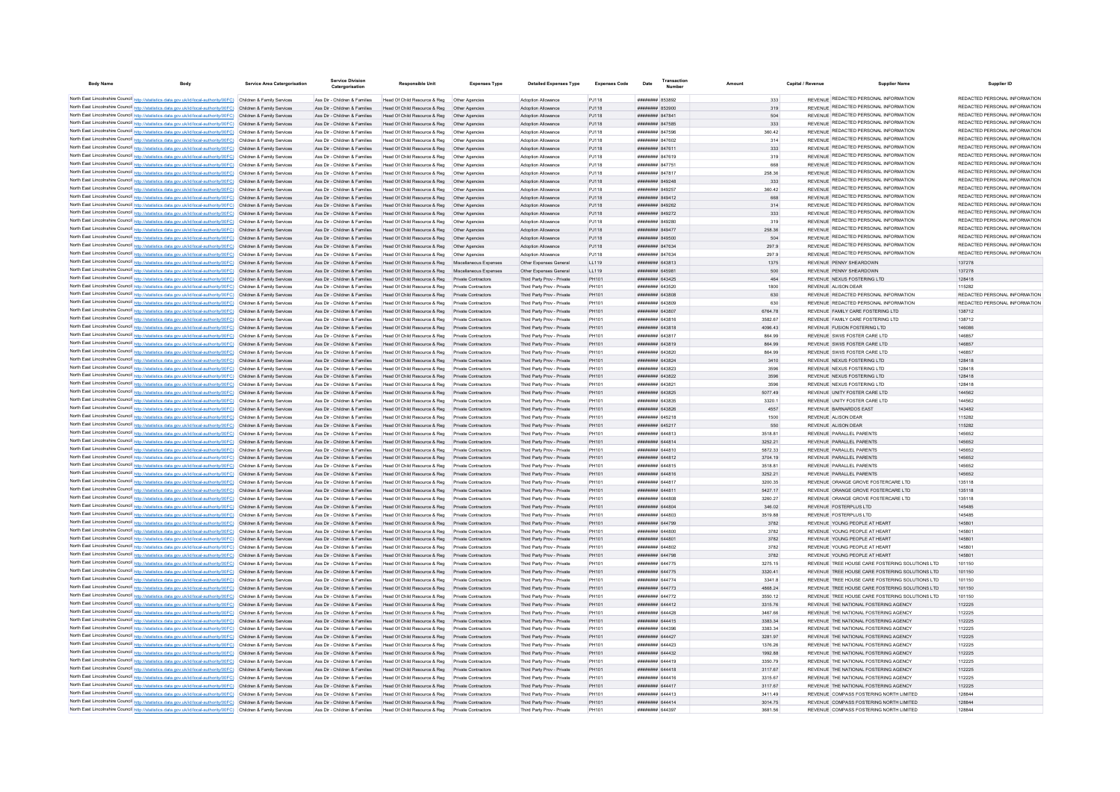| <b>Body Name</b>                                                                                                                                                                                                                       | Service Area Catergorisation | <b>Service Division</b><br>Catergorisation                     | <b>Responsible Unit</b>                                                                              | <b>Expenses Type</b>                              | <b>Detailed Expenses Type</b>                            | <b>Expenses Code</b> | Date                                 | Transactio<br>Number |                    | Capital / Revenue | <b>Supplier Name</b>                                                           | Supplier ID                                                    |
|----------------------------------------------------------------------------------------------------------------------------------------------------------------------------------------------------------------------------------------|------------------------------|----------------------------------------------------------------|------------------------------------------------------------------------------------------------------|---------------------------------------------------|----------------------------------------------------------|----------------------|--------------------------------------|----------------------|--------------------|-------------------|--------------------------------------------------------------------------------|----------------------------------------------------------------|
|                                                                                                                                                                                                                                        |                              |                                                                |                                                                                                      |                                                   |                                                          |                      |                                      |                      |                    |                   | REVENUE REDACTED PERSONAL INFORMATION                                          | REDACTED PERSONAL INFORMATION                                  |
| North East Lincolnshire Council http://statistics.data.gov.uk/id/local-authority/00FC) Children & Family Services<br>North East Lincolnshire Council http://statistics.data.gov.uk/id/local-authority/00FC) Children & Family Services |                              | Ass Dir - Children & Families<br>Ass Dir - Children & Families | Head Of Child Resource & Reg   Other Agencies<br>Head Of Child Resource & Reg  Other Agencies        |                                                   | Adoption Allowance<br>Adoption Allowance                 | PJ118<br>PJ118       | ######## 853892<br>######## 853900   |                      | 333                |                   | REVENUE REDACTED PERSONAL INFORMATION                                          | REDACTED PERSONAL INFORMATION                                  |
| North East Lincolnshire Council http://statistics.data.gov.uk/id/local-authority/00FC) Children & Family Services                                                                                                                      |                              | Ass Dir - Children & Families                                  | Head Of Child Resource & Reg   Other Agencies                                                        |                                                   | Adoption Allowance                                       | PJ118                | ######## 847841                      |                      | 319<br>504         |                   | REVENUE REDACTED PERSONAL INFORMATION                                          | REDACTED PERSONAL INFORMATION                                  |
| North East Lincolnshire Council http://statistics.data.gov.uk/id/local-authority/00FC) Children & Family Services                                                                                                                      |                              |                                                                | Ass Dir - Children & Families Head Of Child Resource & Reg Other Agencies                            |                                                   | Adoption Allowance                                       | PJ118                | ######## 847585                      |                      | 333                |                   | REVENUE REDACTED PERSONAL INFORMATION                                          | REDACTED PERSONAL INFORMATION                                  |
| North East Lincolnshire Council http://statistics.data.gov.uk/id/local-authority/00FC) Children & Family Services                                                                                                                      |                              | Ass Dir - Children & Families                                  | Head Of Child Resource & Reg   Other Agencies                                                        |                                                   | Adoption Allowance                                       | PJ118                | ######## 847596                      |                      | 360.42             |                   | REVENUE REDACTED PERSONAL INFORMATION                                          | REDACTED PERSONAL INFORMATION                                  |
| North East Lincolnshire Council http://statistics.data.gov.uk/id/local-authority/00FC) Children & Family Services                                                                                                                      |                              | Ass Dir - Children & Families                                  | Head Of Child Resource & Reg   Other Agencies                                                        |                                                   | Adoption Allowance                                       | PJ118                | ######## 847602                      |                      | 314                |                   | REVENUE REDACTED PERSONAL INFORMATION                                          | REDACTED PERSONAL INFORMATION                                  |
| North East Lincolnshire Council http://statistics.data.gov.uk/id/local-authority/00FC) Children & Family Services                                                                                                                      |                              | Ass Dir - Children & Families                                  | Head Of Child Resource & Reg   Other Agencies                                                        |                                                   | Adoption Allowance                                       | PJ118                | ####### 847611                       |                      | 333                |                   | REVENUE REDACTED PERSONAL INFORMATION                                          | REDACTED PERSONAL INFORMATION                                  |
| North East Lincolnshire Council http://statistics.data.gov.uk/id/local-authority/00FC) Children & Family Services                                                                                                                      |                              | Ass Dir - Children & Families                                  |                                                                                                      |                                                   | Adoption Allowance                                       | PJ118                | ####### 847619                       |                      | 319                |                   | REVENUE REDACTED PERSONAL INFORMATION                                          | REDACTED PERSONAL INFORMATION                                  |
| North East Lincolnshire Council http://statistics.data.gov.uk/id/local-authority/00FC) Children & Family Services                                                                                                                      |                              | Ass Dir - Children & Families                                  | Head Of Child Resource & Reg   Other Agencies                                                        |                                                   | Adoption Allowance                                       | PJ118                | ######## 847751                      |                      | 668                |                   | REVENUE REDACTED PERSONAL INFORMATION                                          | REDACTED PERSONAL INFORMATION                                  |
| North East Lincolnshire Council http://statistics.data.gov.uk/id/local-authority/00FC) Children & Family Services                                                                                                                      |                              | Ass Dir - Children & Families                                  | Head Of Child Resource & Reg   Other Agencies                                                        |                                                   | <b>Adoption Allowance</b>                                | P.I118               | ######## 847817                      |                      | 258.36             |                   | REVENUE REDACTED PERSONAL INFORMATION                                          | REDACTED PERSONAL INFORMATION                                  |
| North East Lincolnshire Council http://statistics.data.gov.uk/id/local-authority/00FC) Children & Family Services                                                                                                                      |                              | Ass Dir - Children & Families                                  | Head Of Child Resource & Reg   Other Agencies                                                        |                                                   | Adoption Allowance                                       | PJ118                | ######## 849248                      |                      | 333                |                   | REVENUE REDACTED PERSONAL INFORMATION                                          | REDACTED PERSONAL INFORMATION                                  |
| North East Lincolnshire Council http://statistics.data.gov.uk/id/local-authority/00FC) Children & Family Services                                                                                                                      |                              | Ass Dir - Children & Families                                  | Head Of Child Resource & Reg                                                                         | Other Agencies                                    | Adoption Allowance                                       | PJ118                | ####### 849257                       |                      | 360.42             |                   | REVENUE REDACTED PERSONAL INFORMATION                                          | REDACTED PERSONAL INFORMATION                                  |
| North East Lincolnshire Council http://statistics.data.gov.uk/id/local-authority/00FC) Children & Family Services                                                                                                                      |                              | Ass Dir - Children & Families                                  | Head Of Child Resource & Reg                                                                         | Other Agencies                                    | Adoption Allowance                                       | PJ118                | ######## 849412                      |                      | 668                |                   | REVENUE REDACTED PERSONAL INFORMATION<br>REVENUE REDACTED PERSONAL INFORMATION | REDACTED PERSONAL INFORMATION<br>REDACTED PERSONAL INFORMATION |
| North East Lincolnshire Council http://statistics.data.gov.uk/id/local-authority/00FC) Children & Family Services                                                                                                                      |                              | Ass Dir - Children & Families                                  | Head Of Child Resource & Reg                                                                         | Other Agencies                                    | Adoption Allowance                                       | PJ118                | ######## 849262                      |                      | 314                |                   | REVENUE REDACTED PERSONAL INFORMATION                                          | REDACTED PERSONAL INFORMATION                                  |
| North East Lincolnshire Council http://statistics.data.gov.uk/id/local-authority/00FC) Children & Family Services                                                                                                                      |                              | Ass Dir - Children & Families                                  | Head Of Child Resource & Reg                                                                         | Other Agencies                                    | Adoption Allowance                                       | PJ118                | ######## 849272                      |                      | 333                |                   | REVENUE REDACTED PERSONAL INFORMATION                                          | REDACTED PERSONAL INFORMATION                                  |
| North East Lincolnshire Council http://statistics.data.gov.uk/id/local-authority/00FC) Children & Family Services<br>North East Lincolnshire Council http://statistics.data.gov.uk/id/local-authority/00FC) Children & Family Services |                              | Ass Dir - Children & Families<br>Ass Dir - Children & Families | Head Of Child Resource & Reg<br>Head Of Child Resource & Reg   Other Agencies                        | Other Agencies                                    | Adoption Allowance<br>Adoption Allowance                 | P.I118<br>PJ118      | ######## 849280<br>######## 849477   |                      | 319<br>258.36      |                   | REVENUE REDACTED PERSONAL INFORMATION                                          | REDACTED PERSONAL INFORMATION                                  |
| North East Lincolnshire Council http://statistics.data.gov.uk/id/local-authority/00FC) Children & Family Services                                                                                                                      |                              | Ass Dir - Children & Families                                  | Head Of Child Resource & Reg   Other Agencies                                                        |                                                   | Adoption Allowance                                       | PJ118                | ######## 849500                      |                      | 504                |                   | REVENUE REDACTED PERSONAL INFORMATION                                          | REDACTED PERSONAL INFORMATION                                  |
| North East Lincolnshire Council http://statistics.data.gov.uk/id/local-authority/00FC) Children & Family Services                                                                                                                      |                              | Ass Dir - Children & Families                                  | Head Of Child Resource & Reg   Other Agencies                                                        |                                                   | Adoption Allowance                                       | PJ118                | ######## 847634                      |                      | 297.9              |                   | REVENUE REDACTED PERSONAL INFORMATION                                          | REDACTED PERSONAL INFORMATION                                  |
| North East Lincolnshire Council http://statistics.data.gov.uk/id/local-authority/00FC) Children & Family Services                                                                                                                      |                              | Ass Dir - Children & Families                                  | Head Of Child Resource & Reg   Other Agencies                                                        |                                                   | Adoption Allowance                                       | PJ118                | ######## 847634                      |                      | 297.9              |                   | REVENUE REDACTED PERSONAL INFORMATION                                          | REDACTED PERSONAL INFORMATION                                  |
| North East Lincolnshire Council http://statistics.data.gov.uk/id/local-authority/00FC) Children & Family Services                                                                                                                      |                              | Ass Dir - Children & Families                                  | Head Of Child Resource & Reg Miscellaneous Expenses                                                  |                                                   | Other Expenses General                                   | LL119                | ######## 643813                      |                      | 1375               |                   | REVENUE PENNY SHEARDOWN                                                        | 137278                                                         |
| North East Lincolnshire Council http://statistics.data.gov.uk/id/local-authority/00FC) Children & Family Services                                                                                                                      |                              | Ass Dir - Children & Families                                  | Head Of Child Resource & Reg Miscellaneous Expenses                                                  |                                                   | Other Expenses General                                   | LL119                | ######## 645981                      |                      | 500                |                   | REVENUE PENNY SHEARDOWN                                                        | 137278                                                         |
| North East Lincolnshire Council http://statistics.data.gov.uk/id/local-authority/00FC) Children & Family Services                                                                                                                      |                              | Ass Dir - Children & Families                                  | Head Of Child Resource & Reg Private Contractors                                                     |                                                   | Third Party Prov - Private                               | PH101                | <b>НИНИНИН 643425</b>                |                      | 464                |                   | REVENUE NEXUS FOSTERING LTD.                                                   | 128418                                                         |
| North East Lincolnshire Council http://statistics.data.gov.uk/id/local-authority/00FC) Children & Family Services                                                                                                                      |                              | Ass Dir - Children & Families                                  | Head Of Child Resource & Reg                                                                         | Private Contractors                               | Third Party Prov - Private                               | PH101                | ####### 643520                       |                      | 1800               |                   | REVENUE ALISON DEAR                                                            | 115282                                                         |
| North East Lincolnshire Council http://statistics.data.gov.uk/id/local-authority/00FC) Children & Family Services                                                                                                                      |                              | Ass Dir - Children & Families                                  | Head Of Child Resource & Reg Private Contractors                                                     |                                                   | Third Party Prov - Private                               | PH101                | ######## 643808                      |                      | 630                |                   | REVENUE REDACTED PERSONAL INFORMATION                                          | REDACTED PERSONAL INFORMATION                                  |
| North East Lincolnshire Council http://statistics.data.gov.uk/id/local-authority/00FC) Children & Family Services                                                                                                                      |                              | Ass Dir - Children & Families                                  | Head Of Child Resource & Reg                                                                         | Private Contractors                               | Third Party Prov - Private                               | PH101                | ######## 643809                      |                      | 630                |                   | REVENUE REDACTED PERSONAL INFORMATION                                          | REDACTED PERSONAL INFORMATION                                  |
| North East Lincolnshire Council http://statistics.data.gov.uk/id/local-authority/00FC) Children & Family Services                                                                                                                      |                              | Ass Dir - Children & Families                                  | Head Of Child Resource & Reg                                                                         | <b>Private Contractors</b>                        | Third Party Prov - Private                               | PH101                | ######## 643807                      |                      | 6764.78            |                   | REVENUE FAMILY CARE FOSTERING LTD                                              | 138712                                                         |
| North East Lincolnshire Council http://statistics.data.gov.uk/id/local-authority/00FC) Children & Family Services                                                                                                                      |                              | Ass Dir - Children & Families                                  | Head Of Child Resource & Reg                                                                         | <b>Private Contractors</b>                        | Third Party Prov - Private                               | PH101                | ######## 643816                      |                      | 3582.67            |                   | REVENUE FAMILY CARE FOSTERING LTD                                              | 138712                                                         |
| North East Lincolnshire Council http://statistics.data.gov.uk/id/local-authority/00FC) Children & Family Services                                                                                                                      |                              | Ass Dir - Children & Families                                  | Head Of Child Resource & Reg Private Contractors                                                     |                                                   | Third Party Prov - Private                               | PH101                | ####### 643818                       |                      | 4096.43            |                   | REVENUE FUSION FOSTERING I TD                                                  | 146086                                                         |
| North East Lincolnshire Council http://statistics.data.gov.uk/id/local-authority/00FC) Children & Family Services                                                                                                                      |                              | Ass Dir - Children & Families                                  | Head Of Child Resource & Reg Private Contractors                                                     |                                                   | Third Party Prov - Private                               | PH101                | ######## 643817                      |                      | 864.99             |                   | REVENUE SWIIS FOSTER CARE LTD                                                  | 146857                                                         |
| North East Lincolnshire Council http://statistics.data.gov.uk/id/local-authority/00FC) Children & Family Services                                                                                                                      |                              | Ass Dir - Children & Families                                  | Head Of Child Resource & Reg Private Contractors                                                     |                                                   | Third Party Prov - Private                               | PH101                | ######## 643819                      |                      | 864.99             |                   | REVENUE SWIIS FOSTER CARE LTD                                                  | 146857                                                         |
| North East Lincolnshire Council http://statistics.data.gov.uk/id/local-authority/00FC) Children & Family Services                                                                                                                      |                              | Ass Dir - Children & Families                                  | Head Of Child Resource & Reg Private Contractors                                                     |                                                   | Third Party Prov - Private                               | PH101                | ######## 643820                      |                      | 864.99             |                   | REVENUE SWIIS FOSTER CARE LTD                                                  | 146857                                                         |
| North East Lincolnshire Council http://statistics.data.gov.uk/id/local-authority/00FC) Children & Family Services<br>North East Lincolnshire Council http://statistics.data.gov.uk/id/local-authority/00FC) Children & Family Services |                              | Ass Dir - Children & Families                                  | Head Of Child Resource & Reg Private Contractors                                                     |                                                   | Third Party Prov - Private                               | PH101                | ######## 643824                      |                      | 3410               |                   | REVENUE NEXUS FOSTERING LTD                                                    | 128418                                                         |
| North East Lincolnshire Council http://statistics.data.gov.uk/id/local-authority/00FC) Children & Family Services                                                                                                                      |                              | Ass Dir - Children & Families<br>Ass Dir - Children & Families | Head Of Child Resource & Reg Private Contractors<br>Head Of Child Resource & Reg Private Contractors |                                                   | Third Party Prov - Private<br>Third Party Prov - Private | PH101<br>PH101       | ####### 643823<br>######## 643822    |                      | 3596<br>3596       |                   | REVENUE NEXUS FOSTERING LTD<br>REVENUE NEXUS FOSTERING LTD                     | 128418<br>128418                                               |
| North East Lincolnshire Council http://statistics.data.gov.uk/id/local-authority/00FC) Children & Family Services                                                                                                                      |                              | Ass Dir - Children & Families                                  | Head Of Child Resource & Reg Private Contractors                                                     |                                                   | Third Party Prov - Private                               | PH101                | ######## 64382                       |                      | 3596               |                   | REVENUE NEXUS FOSTERING LTD                                                    | 128418                                                         |
| North East Lincolnshire Council http://statistics.data.gov.uk/id/local-authority/00FC) Children & Family Services                                                                                                                      |                              | Ass Dir - Children & Families                                  | Head Of Child Resource & Reg. Private Contractors                                                    |                                                   | Third Party Prov - Private                               | PH101                | ######## 643825                      |                      | 5077 49            |                   | REVENUE UNITY FOSTER CARE I TD                                                 | 144562                                                         |
| North East Lincolnshire Council http://statistics.data.gov.uk/id/local-authority/00FC) Children & Family Services                                                                                                                      |                              | Ass Dir - Children & Families                                  | Head Of Child Resource & Reg Private Contractors                                                     |                                                   | Third Party Prov - Private                               | PH101                | ######## 643835                      |                      | 3320.1             |                   | REVENUE UNITY FOSTER CARE LTD                                                  | 144562                                                         |
| North East Lincolnshire Council http://statistics.data.gov.uk/id/local-authority/00FC) Children & Family Services                                                                                                                      |                              | Ass Dir - Children & Families                                  | Head Of Child Resource & Reg                                                                         | Private Contractors                               | Third Party Prov - Private                               | PH101                | ######## 643826                      |                      | 4557               |                   | REVENUE BARNARDOS EAST                                                         | 143482                                                         |
| North East Lincolnshire Council http://statistics.data.gov.uk/id/local-authority/00FC) Children & Family Services                                                                                                                      |                              | Ass Dir - Children & Families                                  | Head Of Child Resource & Reg                                                                         | <b>Private Contractors</b>                        | Third Party Prov - Private                               | PH101                | ######## 645218                      |                      | 1500               |                   | REVENUE ALISON DEAR                                                            | 115282                                                         |
| North East Lincolnshire Council http://statistics.data.gov.uk/id/local-authority/00FC) Children & Family Services                                                                                                                      |                              | Ass Dir - Children & Families                                  | Head Of Child Resource & Reg                                                                         |                                                   | Third Party Prov - Private                               | PH101                | ######## 645217                      |                      | 550                |                   | REVENUE ALISON DEAR                                                            | 115282                                                         |
| North East Lincolnshire Council http://statistics.data.gov.uk/id/local-authority/00FC) Children & Family Services                                                                                                                      |                              | Ass Dir - Children & Families                                  | Head Of Child Resource & Reg                                                                         | Private Contractors                               | Third Party Prov - Private                               | PH101                | <b><i><u>#######</u> 644813</i></b>  |                      | 3518.81            |                   | REVENUE PARALLEL PARENTS                                                       | 145652                                                         |
| North East Lincolnshire Council http://statistics.data.gov.uk/id/local-authority/00FC) Children & Family Services                                                                                                                      |                              | Ass Dir - Children & Families                                  | Head Of Child Resource & Reg                                                                         | Private Contractors                               | Third Party Prov - Private                               | PH101                | <b>####### 644814</b>                |                      | 3252.21            |                   | REVENUE PARALLEL PARENTS                                                       | 145652                                                         |
| North East Lincolnshire Council http://statistics.data.gov.uk/id/local-authority/00FC) Children & Family Services                                                                                                                      |                              | Ass Dir - Children & Families                                  | Head Of Child Resource & Reg                                                                         | Private Contractors                               | Third Party Prov - Private                               | PH101                | ####### 644810                       |                      | 5872.33            |                   | REVENUE PARALLEL PARENTS                                                       | 145652                                                         |
| North East Lincolnshire Council http://statistics.data.gov.uk/id/local-authority/00FC) Children & Family Services                                                                                                                      |                              | Ass Dir - Children & Families                                  | Head Of Child Resource & Reg Private Contractors                                                     |                                                   | Third Party Prov - Private                               | PH101                | ######## 644812                      |                      | 3704.19            |                   | REVENUE PARALLEL PARENTS                                                       | 145652                                                         |
| North East Lincolnshire Council http://statistics.data.gov.uk/id/local-authority/00FC) Children & Family Services                                                                                                                      |                              | Ass Dir - Children & Families                                  | Head Of Child Resource & Reg Private Contractors                                                     |                                                   | Third Party Prov - Private                               | PH101                | ######## 644815                      |                      | 3518.81            |                   | REVENUE PARALLEL PARENTS                                                       | 145652                                                         |
| North East Lincolnshire Council http://statistics.data.gov.uk/id/local-authority/00FC) Children & Family Services                                                                                                                      |                              | Ass Dir - Children & Families                                  | Head Of Child Resource & Reg Private Contractors                                                     |                                                   | Third Party Prov - Private                               | PH101                | ######## 644816                      |                      | 3252.21            |                   | REVENUE PARALLEL PARENTS                                                       | 145652                                                         |
| North East Lincolnshire Council http://statistics.data.gov.uk/id/local-authority/00FC) Children & Family Services                                                                                                                      |                              | Ass Dir - Children & Families                                  | Head Of Child Resource & Reg                                                                         | Private Contractors                               | Third Party Prov - Private                               | PH101                | ####### 644817                       |                      | 3200.35            |                   | REVENUE ORANGE GROVE FOSTERCARE LTD                                            | 135118                                                         |
| North East Lincolnshire Council http://statistics.data.gov.uk/id/local-authority/00FC) Children & Family Services                                                                                                                      |                              | Ass Dir - Children & Families                                  | Head Of Child Resource & Reg Private Contractors                                                     |                                                   | Third Party Prov - Private                               | PH101                | ####### 644811                       |                      | 5427 17            |                   | REVENUE ORANGE GROVE FOSTERCARE LTD<br>REVENUE ORANGE GROVE FOSTERCARE LTD     | 135118                                                         |
| North East Lincolnshire Council http://statistics.data.gov.uk/id/local-authority/00FC) Children & Family Services<br>North East Lincolnshire Council http://statistics.data.gov.uk/id/local-authority/00FC) Children & Family Services |                              | Ass Dir - Children & Families<br>Ass Dir - Children & Families | Head Of Child Resource & Reg<br>Head Of Child Resource & Reg                                         | Private Contractors<br><b>Private Contractors</b> | Third Party Prov - Private<br>Third Party Prov - Private | PH101<br>PH101       | ######## 644808<br>######## 644804   |                      | 3260.27<br>346.02  |                   | REVENUE FOSTERPLUS LTD                                                         | 135118<br>145485                                               |
| North East Lincolnshire Council http://statistics.data.gov.uk/id/local-authority/00FC) Children & Family Services                                                                                                                      |                              | Ass Dir - Children & Families                                  | Head Of Child Resource & Reg                                                                         | Private Contractors                               | Third Party Prov - Private                               | PH101                | ######## 644803                      |                      | 3519.88            |                   | REVENUE FOSTERPLUS LTD                                                         | 145485                                                         |
| North East Lincolnshire Council http://statistics.data.gov.uk/id/local-authority/00FC) Children & Family Services                                                                                                                      |                              | Ass Dir - Children & Families                                  | Head Of Child Resource & Reg                                                                         | Private Contractors                               | Third Party Prov - Private                               | PH101                | ######## 644799                      |                      | 3782               |                   | REVENUE YOUNG PEOPLE AT HEART                                                  | 145801                                                         |
| North East Lincolnshire Council http://statistics.data.gov.uk/id/local-authority/00FC) Children & Family Services                                                                                                                      |                              | Ass Dir - Children & Families                                  | Head Of Child Resource & Reg                                                                         | <b>Private Contractors</b>                        | Third Party Prov - Private                               | PH101                | ######## 644800                      |                      | 3782               |                   | REVENUE YOUNG PEOPLE AT HEART                                                  | 145801                                                         |
| North East Lincolnshire Council http://statistics.data.gov.uk/id/local-authority/00FC) Children & Family Services                                                                                                                      |                              | Ass Dir - Children & Families                                  | Head Of Child Resource & Reg Private Contractors                                                     |                                                   | Third Party Prov - Private                               | PH101                | ####### 644801                       |                      | 3782               |                   | REVENUE YOUNG PEOPLE AT HEART                                                  | 145801                                                         |
| North East Lincolnshire Council http://statistics.data.gov.uk/id/local-authority/00FC) Children & Family Services                                                                                                                      |                              | Ass Dir - Children & Families                                  | Head Of Child Resource & Reg Private Contractors                                                     |                                                   | Third Party Prov - Private                               | PH101                | ####### 644802                       |                      | 3782               |                   | REVENUE YOUNG PEOPLE AT HEART                                                  | 145801                                                         |
| North East Lincolnshire Council http://statistics.data.gov.uk/id/local-authority/00FC) Children & Family Services                                                                                                                      |                              | Ass Dir - Children & Families                                  | Head Of Child Resource & Reg Private Contractors                                                     |                                                   | Third Party Prov - Private                               | PH101                | ######## 644798                      |                      | 3782               |                   | REVENUE YOUNG PEOPLE AT HEART                                                  | 145801                                                         |
| North East Lincolnshire Council http://statistics.data.gov.uk/id/local-authority/00FC) Children & Family Services                                                                                                                      |                              | Ass Dir - Children & Families                                  | Head Of Child Resource & Reg Private Contractors                                                     |                                                   | Third Party Prov - Private                               | PH101                | ######## 644775                      |                      | 3275.15            |                   | REVENUE TREE HOUSE CARE FOSTERING SOLUTIONS LTD                                | 101150                                                         |
| North East Lincolnshire Council http://statistics.data.gov.uk/id/local-authority/00FC) Children & Family Services                                                                                                                      |                              |                                                                | Ass Dir - Children & Families Head Of Child Resource & Reg Private Contractors                       |                                                   | Third Party Prov - Private                               | PH101                | ######## 644775                      |                      | 3320.41            |                   | REVENUE TREE HOUSE CARE FOSTERING SOLUTIONS LTD                                | 101150                                                         |
| North East Lincolnshire Council http://statistics.data.gov.uk/id/local-authority/00FC) Children & Family Services                                                                                                                      |                              | Ass Dir - Children & Families                                  | Head Of Child Resource & Reg Private Contractors                                                     |                                                   | Third Party Prov - Private                               | PH101                | ######## 644774                      |                      | 3341.8             |                   | REVENUE TREE HOUSE CARE FOSTERING SOLUTIONS LTD                                | 101150                                                         |
| North East Lincolnshire Council http://statistics.data.gov.uk/id/local-authority/00FC) Children & Family Services                                                                                                                      |                              | Ass Dir - Children & Families                                  | Head Of Child Resource & Reg Private Contractors                                                     |                                                   | Third Party Prov - Private                               | PH101                | ######## 644773                      |                      | 4868.24            |                   | REVENUE TREE HOUSE CARE FOSTERING SOLUTIONS LTD                                | 101150                                                         |
| North East Lincolnshire Council http://statistics.data.gov.uk/id/local-authority/00FC) Children & Family Services                                                                                                                      |                              | Ass Dir - Children & Families                                  | Head Of Child Resource & Reg Private Contractors                                                     |                                                   | Third Party Prov - Private                               | PH101                | <b><i><u>########</u> 644772</i></b> |                      | 3550.12            |                   | REVENUE TREE HOUSE CARE FOSTERING SOLUTIONS LTD                                | 101150                                                         |
| North East Lincolnshire Council http://statistics.data.gov.uk/id/local-authority/00FC) Children & Family Services                                                                                                                      |                              | Ass Dir - Children & Families                                  | Head Of Child Resource & Reg Private Contractors                                                     |                                                   | Third Party Prov - Private                               | PH101                | <b>######## 644412</b>               |                      | 3315 76            |                   | REVENUE THE NATIONAL EOSTERING AGENCY                                          | 112225                                                         |
| North East Lincolnshire Council http://statistics.data.gov.uk/id/local-authority/00FC) Children & Family Services                                                                                                                      |                              | Ass Dir - Children & Families                                  | Head Of Child Resource & Reg Private Contractors                                                     |                                                   | Third Party Prov - Private                               | PH101                | ######## 644428                      |                      | 3467.66            |                   | REVENUE THE NATIONAL FOSTERING AGENCY                                          | 112225                                                         |
| North East Lincolnshire Council http://statistics.data.gov.uk/id/local-authority/00FC) Children & Family Services                                                                                                                      |                              | Ass Dir - Children & Families                                  | Head Of Child Resource & Reg Private Contractors                                                     |                                                   | Third Party Prov - Private                               | PH101                | ######## 644415                      |                      | 3383 34            |                   | REVENUE THE NATIONAL FOSTERING AGENCY                                          | 112225                                                         |
| North East Lincolnshire Council http://statistics.data.gov.uk/id/local-authority/00FC) Children & Family Services                                                                                                                      |                              | Ass Dir - Children & Families                                  | Head Of Child Resource & Reg                                                                         | <b>Private Contractors</b>                        | Third Party Prov - Private                               | PH101                | ######## 644396                      |                      | 3383.34            |                   | REVENUE THE NATIONAL FOSTERING AGENCY                                          | 112225                                                         |
| North East Lincolnshire Council http://statistics.data.gov.uk/id/local-authority/00FC) Children & Family Services<br>North East Lincolnshire Council http://statistics.data.gov.uk/id/local-authority/00FC) Children & Family Services |                              | Ass Dir - Children & Families                                  | Head Of Child Resource & Reg                                                                         | Private Contractors                               | Third Party Prov - Private                               | PH101                | ######## 644427                      |                      | 3281.97            |                   | REVENUE THE NATIONAL FOSTERING AGENCY                                          | 112225                                                         |
| North East Lincolnshire Council http://statistics.data.gov.uk/id/local-authority/00FC) Children & Family Services                                                                                                                      |                              | Ass Dir - Children & Families<br>Ass Dir - Children & Families | Head Of Child Resource & Reg<br>Head Of Child Resource & Reg Private Contractors                     | <b>Private Contractors</b>                        | Third Party Prov - Private<br>Third Party Prov - Private | PH101<br>PH101       | ######## 644423<br>####### 644432    |                      | 1376.26<br>1992.88 |                   | REVENUE THE NATIONAL FOSTERING AGENCY<br>REVENUE THE NATIONAL FOSTERING AGENCY | 112225<br>112225                                               |
| North East Lincolnshire Council http://statistics.data.gov.uk/id/local-authority/00FC) Children & Family Services                                                                                                                      |                              | Ass Dir - Children & Families                                  | Head Of Child Resource & Reg Private Contractors                                                     |                                                   | Third Party Prov - Private                               | PH101                | ######## 644419                      |                      | 3350.79            |                   | REVENUE THE NATIONAL FOSTERING AGENCY                                          | 112225                                                         |
| North East Lincolnshire Council http://statistics.data.gov.uk/id/local-authority/00FC) Children & Family Services                                                                                                                      |                              |                                                                | Ass Dir - Children & Families Head Of Child Resource & Reg Private Contractors                       |                                                   | Third Party Prov - Private                               | PH101                | ######## 644418                      |                      | 3117.67            |                   | REVENUE THE NATIONAL FOSTERING AGENCY                                          | 112225                                                         |
| North East Lincolnshire Council http://statistics.data.gov.uk/id/local-authority/00FC) Children & Family Services                                                                                                                      |                              | Ass Dir - Children & Families                                  | Head Of Child Resource & Reg Private Contractors                                                     |                                                   | Third Party Prov - Private                               | PH101                | ######## 644416                      |                      | 3315.67            |                   | REVENUE THE NATIONAL FOSTERING AGENCY                                          | 112225                                                         |
| North East Lincolnshire Council http://statistics.data.gov.uk/id/local-authority/00FC) Children & Family Services                                                                                                                      |                              |                                                                | Ass Dir - Children & Families Head Of Child Resource & Reg Private Contractors                       |                                                   | Third Party Prov - Private                               | PH101                | ######## 644417                      |                      | 3117.67            |                   | REVENUE THE NATIONAL FOSTERING AGENCY                                          | 112225                                                         |
| North East Lincolnshire Council http://statistics.data.gov.uk/id/local-authority/00FC) Children & Family Services                                                                                                                      |                              | Ass Dir - Children & Families                                  | Head Of Child Resource & Reg Private Contractors                                                     |                                                   | Third Party Prov - Private                               | PH101                | ####### 644413                       |                      | 3411.49            |                   | REVENUE COMPASS FOSTERING NORTH LIMITED                                        | 128844                                                         |
| North East Lincolnshire Council http://statistics.data.gov.uk/id/local-authority/00FC) Children & Family Services                                                                                                                      |                              |                                                                | Ass Dir - Children & Families Head Of Child Resource & Reg Private Contractors                       |                                                   | Third Party Prov - Private                               | PH101                | ######## 644414                      |                      | 3014.75            |                   | REVENUE COMPASS FOSTERING NORTH LIMITED                                        | 128844                                                         |
| North East Lincolnshire Council http://statistics.data.gov.uk/id/local-authority/00FC) Children & Family Services                                                                                                                      |                              | Ass Dir - Children & Families                                  | Head Of Child Resource & Reg Private Contractors                                                     |                                                   | Third Party Prov - Private                               | PH101                | ######## 644397                      |                      | 3681.56            |                   | REVENUE COMPASS FOSTERING NORTH LIMITED                                        | 128844                                                         |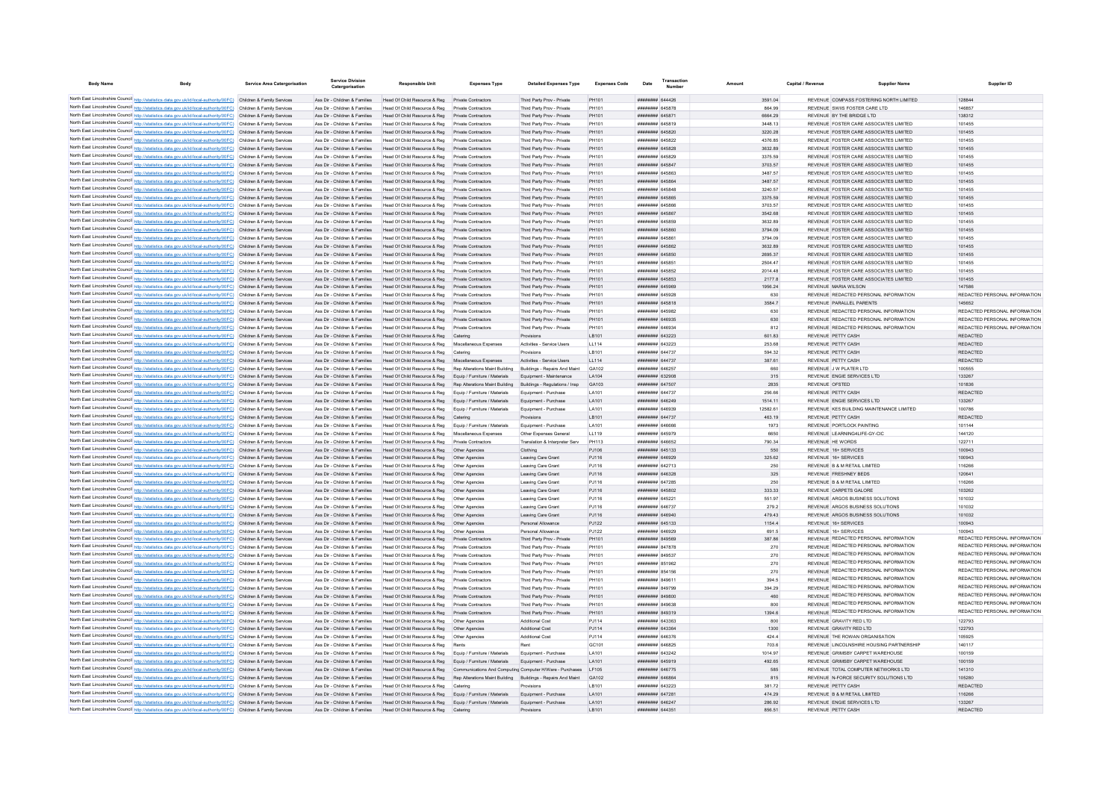| <b>Body Name</b>                            |                                                                                                                                                                                                                                        | <b>Service Area Catergorisation</b> | Service Divisi<br>Catergorisation                              | <b>Responsible Unit</b>                                                                                                  | <b>Expenses Type</b>          | <b>Detailed Expenses Type</b>                            | <b>Expenses Code</b>  | Date | <b>Number</b>                      |                    | Capital / Revenue | Supplier Name                                                                    | Supplier ID                   |
|---------------------------------------------|----------------------------------------------------------------------------------------------------------------------------------------------------------------------------------------------------------------------------------------|-------------------------------------|----------------------------------------------------------------|--------------------------------------------------------------------------------------------------------------------------|-------------------------------|----------------------------------------------------------|-----------------------|------|------------------------------------|--------------------|-------------------|----------------------------------------------------------------------------------|-------------------------------|
|                                             |                                                                                                                                                                                                                                        |                                     |                                                                |                                                                                                                          |                               |                                                          |                       |      |                                    |                    |                   |                                                                                  |                               |
|                                             | North East Lincolnshire Council http://statistics.data.gov.uk/id/local-authority/00FC) Children & Family Services                                                                                                                      |                                     | Ass Dir - Children & Families                                  | Head Of Child Resource & Reg Private Contractors                                                                         |                               | Third Party Prov - Private                               | PH101                 |      | ####### 644426                     | 3591.04            |                   | REVENUE COMPASS FOSTERING NORTH LIMITED                                          | 128844                        |
|                                             | North East Lincolnshire Council http://statistics.data.gov.uk/id/local-authority/00FC) Children & Family Services                                                                                                                      |                                     | Ass Dir - Children & Families                                  | Head Of Child Resource & Reg Private Contractors                                                                         |                               | Third Party Prov - Private                               | PH101                 |      | ####### 645878                     | 864.99             |                   | REVENUE SWIIS FOSTER CARE I TD                                                   | 146857                        |
|                                             | North East Lincolnshire Council http://statistics.data.gov.uk/id/local-authority/00FC) Children & Family Services                                                                                                                      |                                     | Ass Dir - Children & Families                                  | Head Of Child Resource & Reg Private Contractors                                                                         |                               | Third Party Prov - Private                               | PH101                 |      | ######## 645871                    | 6664.29            |                   | REVENUE BY THE BRIDGE LTD.                                                       | 138312                        |
|                                             | North East Lincolnshire Council http://statistics.data.gov.uk/id/local-authority/00FC) Children & Family Services<br>North East Lincolnshire Council http://statistics.data.gov.uk/id/local-authority/00FC) Children & Family Services |                                     | Ass Dir - Children & Families<br>Ass Dir - Children & Families | Head Of Child Resource & Reg Private Contractors<br>Head Of Child Resource & Reg Private Contractors                     |                               | Third Party Prov - Private<br>Third Party Prov - Private | PH101<br><b>PH101</b> |      | ######## 645819<br>######## 645820 | 3448.13<br>3220.28 |                   | REVENUE FOSTER CARE ASSOCIATES LIMITED<br>REVENUE FOSTER CARE ASSOCIATES LIMITED | 101455<br>101455              |
|                                             |                                                                                                                                                                                                                                        |                                     |                                                                |                                                                                                                          |                               |                                                          |                       |      |                                    |                    |                   |                                                                                  |                               |
|                                             | North East Lincolnshire Council http://statistics.data.gov.uk/id/local-authority/00FC) Children & Family Services                                                                                                                      |                                     | Ass Dir - Children & Families                                  | Head Of Child Resource & Reg Private Contractors                                                                         |                               | Third Party Prov - Private                               | <b>PH101</b>          |      | ######## 645822                    | 4376.85            |                   | REVENUE FOSTER CARE ASSOCIATES LIMITED                                           | 101455                        |
|                                             | North East Lincolnshire Council http://statistics.data.gov.uk/id/local-authority/00FC) Children & Family Services                                                                                                                      |                                     | Ass Dir - Children & Families                                  | Head Of Child Resource & Reg Private Contractors                                                                         |                               | Third Party Prov - Private                               | PH101                 |      | ######## 645828                    | 3632.89            |                   | REVENUE FOSTER CARE ASSOCIATES LIMITED                                           | 101455                        |
|                                             | North East Lincolnshire Council http://statistics.data.gov.uk/id/local-authority/00FC) Children & Family Services                                                                                                                      |                                     | Ass Dir - Children & Families                                  | Head Of Child Resource & Reg                                                                                             | <b>Private Contractors</b>    | Third Party Prov - Private                               | PH101                 |      | ####### 645829                     | 3375.59            |                   | REVENUE FOSTER CARE ASSOCIATES LIMITED                                           | 101455                        |
|                                             | North East Lincolnshire Council http://statistics.data.gov.uk/id/local-authority/00FC) Children & Family Services                                                                                                                      |                                     | Ass Dir - Children & Families                                  | Head Of Child Resource & Reg Private Contractors                                                                         |                               | Third Party Prov - Private                               | <b>PH101</b>          |      | ####### 645847                     | 3703.57            |                   | REVENUE FOSTER CARE ASSOCIATES LIMITED                                           | 101455                        |
|                                             | North East Lincolnshire Council http://statistics.data.gov.uk/id/local-authority/00FC) Children & Family Services                                                                                                                      |                                     | Ass Dir - Children & Families                                  | Head Of Child Resource & Reg Private Contractors                                                                         |                               | Third Party Prov - Private                               | PH101                 |      | ######## 645863                    | 3487.57            |                   | REVENUE FOSTER CARE ASSOCIATES LIMITED                                           | 101455                        |
|                                             | North East Lincolnshire Council http://statistics.data.gov.uk/id/local-authority/00FC) Children & Family Services                                                                                                                      |                                     | Ass Dir - Children & Families                                  | Head Of Child Resource & Reg                                                                                             | Private Contractors           | Third Party Prov - Private                               | PH101                 |      | <b>####### 645864</b>              | 3487.57            |                   | REVENUE FOSTER CARE ASSOCIATES LIMITED                                           | 101455                        |
|                                             | North East Lincolnshire Council http://statistics.data.gov.uk/id/local-authority/00FC)                                                                                                                                                 | Children & Family Services          | Ass Dir - Children & Families                                  | Head Of Child Resource & Reg                                                                                             | Private Contractors           | Third Party Prov - Private                               | PH10                  |      | ********* 645848                   | 3240.57            |                   | REVENUE FOSTER CARE ASSOCIATES LIMITED                                           | 101455                        |
|                                             | North East Lincolnshire Council http://statistics.data.gov.uk/id/local-authority/00FC)                                                                                                                                                 | Children & Family Services          | Ass Dir - Children & Families                                  | Head Of Child Resource & Reg                                                                                             | <b>Private Contractors</b>    | Third Party Prov - Private                               | <b>PH101</b>          |      | ####### 645865                     | 3375.59            |                   | REVENUE FOSTER CARE ASSOCIATES LIMITED                                           | 101455                        |
|                                             | North East Lincolnshire Council http://statistics.data.gov.uk/id/local-authority/00FC)                                                                                                                                                 | Children & Family Services          | Ass Dir - Children & Families                                  | Head Of Child Resource & Reg                                                                                             | Private Contractors           | Third Party Prov - Private                               | PH101                 |      | ####### 645866                     | 3703.57            |                   | REVENUE FOSTER CARE ASSOCIATES LIMITED                                           | 101455                        |
|                                             | North East Lincolnshire Council http://statistics.data.gov.uk/id/local-authority/00FC) Children & Family Services                                                                                                                      |                                     | Ass Dir - Children & Families                                  | Head Of Child Resource & Reg                                                                                             | Private Contractors           | Third Party Prov - Private                               | PH101                 |      | ######## 645867                    | 3542.68            |                   | REVENUE FOSTER CARE ASSOCIATES LIMITED                                           | 101455                        |
|                                             | North East Lincolnshire Council http://statistics.data.gov.uk/id/local-authority/00FC) Children & Family Services                                                                                                                      |                                     | Ass Dir - Children & Families                                  | Head Of Child Resource & Reg                                                                                             | Private Contractors           | Third Party Prov - Private                               | PH101                 |      | ######## 645859                    | 3632 89            |                   | REVENUE FOSTER CARE ASSOCIATES LIMITED                                           | 101455                        |
|                                             | North East Lincolnshire Council http://statistics.data.gov.uk/id/local-authority/00FC) Children & Family Services                                                                                                                      |                                     | Ass Dir - Children & Families                                  | Head Of Child Resource & Reg                                                                                             | <b>Private Contractors</b>    | Third Party Prov - Private                               | PH101                 |      | ######## 645860                    | 3794.09            |                   | REVENUE FOSTER CARE ASSOCIATES LIMITED                                           | 101455                        |
|                                             | North East Lincolnshire Council http://statistics.data.gov.uk/id/local-authority/00FC) Children & Family Services                                                                                                                      |                                     | Ass Dir - Children & Families                                  | Head Of Child Resource & Reg                                                                                             | <b>Private Contractors</b>    | Third Party Prov - Private                               | <b>PH101</b>          |      | ######## 645861                    | 3794.09            |                   | REVENUE FOSTER CARE ASSOCIATES LIMITED                                           | 101455                        |
|                                             | North East Lincolnshire Council http://statistics.data.gov.uk/id/local-authority/00FC) Children & Family Services                                                                                                                      |                                     | Ass Dir - Children & Families                                  | Head Of Child Resource & Reg                                                                                             | Private Contractors           | Third Party Prov - Private                               | <b>PH101</b>          |      | ######## 645862                    | 3632.89            |                   | REVENUE FOSTER CARE ASSOCIATES LIMITED                                           | 101455                        |
|                                             | North East Lincolnshire Council http://statistics.data.gov.uk/id/local-authority/00FC) Children & Family Services                                                                                                                      |                                     | Ass Dir - Children & Families                                  | Head Of Child Resource & Reg                                                                                             | Private Contractors           | Third Party Prov - Private                               | PH101                 |      | ######## 645850                    | 2695.37            |                   | REVENUE FOSTER CARE ASSOCIATES LIMITED                                           | 101455                        |
|                                             | North East Lincolnshire Council http://statistics.data.gov.uk/id/local-authority/00FC) Children & Family Services                                                                                                                      |                                     | Ass Dir - Children & Families                                  | Head Of Child Resource & Reg                                                                                             | Private Contractors           | Third Party Prov - Private                               | PH101                 |      | ####### 645851                     | 2504.47            |                   | REVENUE FOSTER CARE ASSOCIATES LIMITED                                           | 101455                        |
|                                             | North East Lincolnshire Council http://statistics.data.gov.uk/id/local-authority/00FC) Children & Family Services                                                                                                                      |                                     | Ass Dir - Children & Families                                  | Head Of Child Resource & Reg                                                                                             | Private Contractors           | Third Party Prov - Private                               | <b>PH101</b>          |      | ######## 645852                    | 2014.48            |                   | REVENUE FOSTER CARE ASSOCIATES LIMITED                                           | 101455                        |
|                                             | North East Lincolnshire Council http://statistics.data.gov.uk/id/local-authority/00FC) Children & Family Services                                                                                                                      |                                     | Ass Dir - Children & Families                                  | Head Of Child Resource & Reg                                                                                             | <b>Private Contractors</b>    | Third Party Prov - Private                               | PH101                 |      | ######## 645853                    | 2177.8             |                   | REVENUE FOSTER CARE ASSOCIATES LIMITED                                           | 101455                        |
|                                             | North East Lincolnshire Council http://statistics.data.gov.uk/id/local-authority/00FC) Children & Family Services                                                                                                                      |                                     | Ass Dir - Children & Families                                  | Head Of Child Resource & Reg                                                                                             | <b>Private Contractors</b>    | Third Party Prov - Private                               | PH101                 |      | ######## 645969                    | 1956.24            |                   | REVENUE MARIA WILSON                                                             | 147586                        |
|                                             | North East Lincolnshire Council http://statistics.data.gov.uk/id/local-authority/00FC) Children & Family Services                                                                                                                      |                                     | Ass Dir - Children & Families                                  | Head Of Child Resource & Reg                                                                                             | <b>Private Contractors</b>    | Third Party Prov - Private                               | <b>PH101</b>          |      | ######## 645928                    | 630                |                   | REVENUE REDACTED PERSONAL INFORMATION                                            | REDACTED PERSONAL INFORMATION |
|                                             | North East Lincolnshire Council http://statistics.data.gov.uk/id/local-authority/00FC) Children & Family Services                                                                                                                      |                                     | Ass Dir - Children & Families                                  | Head Of Child Resource & Reg                                                                                             | Private Contractors           | Third Party Prov - Private                               | PH101                 |      | ####### 645818                     | 3584.7             |                   | REVENUE PARALLEL PARENTS                                                         | 145652                        |
|                                             | North East Lincolnshire Council http://statistics.data.gov.uk/id/local-authority/00FC) Children & Family Services                                                                                                                      |                                     | Ass Dir - Children & Families                                  | Head Of Child Resource & Reg                                                                                             | Private Contractors           | Third Party Prov - Private                               | PH101                 |      | HHHHHHH 645082                     | 630                |                   | REVENUE REDACTED PERSONAL INFORMATION                                            | REDACTED PERSONAL INFORMATION |
|                                             | North East Lincolnshire Council http://statistics.data.gov.uk/id/local-authority/00FC) Children & Family Services                                                                                                                      |                                     | Ass Dir - Children & Families                                  | Head Of Child Resource & Reg                                                                                             | Private Contractors           | Third Party Prov - Private                               | PH101                 |      | ######## 646935                    | 630                |                   | REVENUE REDACTED PERSONAL INFORMATION                                            | REDACTED PERSONAL INFORMATION |
|                                             | North East Lincolnshire Council http://statistics.data.gov.uk/id/local-authority/00FC) Children & Family Services                                                                                                                      |                                     | Ass Dir - Children & Families                                  | Head Of Child Resource & Reg Private Contractors                                                                         |                               | Third Party Prov - Private                               | PH101                 |      | ######## 646934                    | 812                |                   | REVENUE REDACTED PERSONAL INFORMATION                                            | REDACTED PERSONAL INFORMATION |
|                                             | North East Lincolnshire Council http://statistics.data.gov.uk/id/local-authority/00FC) Children & Family Services                                                                                                                      |                                     | Ass Dir - Children & Families                                  | Head Of Child Resource & Reg Catering                                                                                    |                               | Provisions                                               | LB101                 |      | ######## 643223                    | 601.83             |                   | REVENUE PETTY CASH                                                               | <b>REDACTED</b>               |
|                                             | North East Lincolnshire Council http://statistics.data.gov.uk/id/local-authority/00FC) Children & Family Services                                                                                                                      |                                     | Ass Dir - Children & Families                                  | Head Of Child Resource & Reg Miscellaneous Expenses                                                                      |                               | Activities - Service Users                               | LL114                 |      | ######## 643223                    | 253.68             |                   | REVENUE PETTY CASH                                                               | <b>REDACTED</b>               |
|                                             | North East Lincolnshire Council http://statistics.data.gov.uk/id/local-authority/00FC) Children & Family Services                                                                                                                      |                                     | Ass Dir - Children & Families                                  | Head Of Child Resource & Reg Catering                                                                                    |                               | Provisions                                               | LB101                 |      | ######## 644737                    | 594.32             |                   | REVENUE PETTY CASH                                                               | <b>REDACTED</b>               |
|                                             | North East Lincolnshire Council http://statistics.data.gov.uk/id/local-authority/00FC) Children & Family Services                                                                                                                      |                                     | Ass Dir - Children & Families                                  | Head Of Child Resource & Reg Miscellaneous Expenses                                                                      |                               | Activities - Service Users                               | LL114                 |      | ######## 644737                    | 387.61             |                   | REVENUE PETTY CASH                                                               | <b>REDACTED</b>               |
|                                             | North East Lincolnshire Council http://statistics.data.gov.uk/id/local-authority/00FC) Children & Family Services                                                                                                                      |                                     | Ass Dir - Children & Families                                  | Head Of Child Resource & Reg Rep Alterations Maint Building                                                              |                               | Buildings - Repairs And Maint                            | GA102                 |      | ######## 646257                    | 660                |                   | REVENUE J W PLATER LTD                                                           | 100555                        |
|                                             | North East Lincolnshire Council http://statistics.data.gov.uk/id/local-authority/00FC) Children & Family Services                                                                                                                      |                                     | Ass Dir - Children & Families                                  | Head Of Child Resource & Reg Equip / Furniture / Materials                                                               |                               | Equipment - Maintenance                                  | LA104                 |      | ######## 632908                    | 315                |                   | REVENUE ENGIE SERVICES LTD                                                       | 133267                        |
|                                             | North East Lincolnshire Council http://statistics.data.gov.uk/id/local-authority/00FC) Children & Family Services                                                                                                                      |                                     | Ass Dir - Children & Families                                  | Head Of Child Resource & Reg Rep Alterations Maint Building                                                              |                               | Buildings - Regulations / Insp                           | GA103                 |      | ######## 647507                    | 2835               | REVENUE OFSTED    |                                                                                  | 101836                        |
|                                             | North East Lincolnshire Council http://statistics.data.gov.uk/id/local-authority/00FC) Children & Family Services                                                                                                                      |                                     | Ass Dir - Children & Families                                  | Head Of Child Resource & Reg Equip / Furniture / Materials                                                               |                               | Equipment - Purchase                                     | LA101                 |      | ######## 644737                    | 256.66             |                   | REVENUE PETTY CASH                                                               | <b>REDACTED</b>               |
|                                             | North East Lincolnshire Council http://statistics.data.gov.uk/id/local-authority/00FC) Children & Family Services                                                                                                                      |                                     | Ass Dir - Children & Families                                  | Head Of Child Resource & Reg Equip / Furniture / Materials                                                               |                               | Equipment - Purchase                                     | LA101                 |      | ######## 646249                    | 1514.11            |                   | REVENUE ENGIE SERVICES LTD                                                       | 133267                        |
|                                             | North East Lincolnshire Council http://statistics.data.gov.uk/id/local-authority/00FC)                                                                                                                                                 |                                     | Ass Dir - Children & Families                                  | Head Of Child Resource & Reg                                                                                             | Equip / Furniture / Materials | Equipment - Purchase                                     | LA101                 |      | ####### 646939                     | 12582.61           |                   | REVENUE KES BUILDING MAINTENANCE LIMITED                                         | 100786                        |
|                                             | North East Lincolnshire Council http://statistics.data.gov.uk/id/local-authority/00FC).                                                                                                                                                | Children & Family Services          | Ass Dir - Children & Families                                  | Head Of Child Resource & Reg                                                                                             |                               | Provisions                                               | LB101                 |      | ####### 644737                     | 463.19             |                   | REVENUE PETTY CASH                                                               | <b>REDACTED</b>               |
|                                             | North East Lincolnshire Council http://statistics.data.gov.uk/id/local-authority/00FC) Children & Family Services                                                                                                                      |                                     | Ass Dir - Children & Families                                  | Head Of Child Resource & Reg                                                                                             | Equip / Furniture / Materials | Equipment - Purchase                                     | LA101                 |      | <b>HUUHHHH SARRAR</b>              | 1973               |                   | REVENUE PORTLOCK PAINTING                                                        | 101144                        |
|                                             | North East Lincolnshire Council http://statistics.data.gov.uk/id/local-authority/00FC) Children & Family Services                                                                                                                      |                                     | Ass Dir - Children & Families                                  | Head Of Child Resource & Reg                                                                                             | Miscellaneous Expenses        | Other Expenses General                                   | 11119                 |      | ######## 645979                    | 6650               |                   | REVENUE LEARNING4LIFE-GY-CIC                                                     | 144120                        |
|                                             | North East Lincolnshire Council http://statistics.data.gov.uk/id/local-authority/00FC) Children & Family Services                                                                                                                      |                                     | Ass Dir - Children & Families                                  | Head Of Child Resource & Reg                                                                                             | Private Contractors           | Translation & Interpreter Serv                           | PH113                 |      | ######## 646652                    | 790 34             |                   | REVENUE HE WORDS                                                                 | 122711                        |
|                                             | North East Lincolnshire Council http://statistics.data.gov.uk/id/local-authority/00FC) Children & Family Services                                                                                                                      |                                     | Ass Dir - Children & Families                                  | Head Of Child Resource & Reg                                                                                             | Other Agencies                | Clothing                                                 | PJ106                 |      | ######## 645133                    | 550                |                   | REVENUE 16+ SERVICES                                                             | 100943                        |
|                                             | North East Lincolnshire Council http://statistics.data.gov.uk/id/local-authority/00FC) Children & Family Services                                                                                                                      |                                     | Ass Dir - Children & Families                                  | Head Of Child Resource & Reg                                                                                             | Other Agencies                | Leaving Care Grant                                       | PJ116                 |      | ######## 646929                    | 325.62             |                   | REVENUE 16+ SERVICES                                                             | 100943                        |
|                                             | North East Lincolnshire Council http://statistics.data.gov.uk/id/local-authority/00FC) Children & Family Services                                                                                                                      |                                     | Ass Dir - Children & Families                                  | Head Of Child Resource & Reg                                                                                             | Other Agencies                | Leaving Care Grant                                       | PJ116                 |      | ####### 642713                     | 250                |                   | REVENUE B & M RETAIL LIMITED                                                     | 116266                        |
|                                             | North East Lincolnshire Council http://statistics.data.gov.uk/id/local-authority/00FC) Children & Family Services                                                                                                                      |                                     | Ass Dir - Children & Families                                  | Head Of Child Resource & Reg                                                                                             | Other Agencies                | Leaving Care Grant                                       | PJ116                 |      | ######## 646328                    | 325                |                   | REVENUE FRESHNEY BEDS                                                            | 120641                        |
|                                             | North East Lincolnshire Council http://statistics.data.gov.uk/id/local-authority/00FC) Children & Family Services                                                                                                                      |                                     | Ass Dir - Children & Families                                  | Head Of Child Resource & Reg                                                                                             | Other Anencies                | Leaving Care Grant                                       | PJ116                 |      | ######## 647285                    | 250                |                   | REVENUE B & M RETAIL LIMITED                                                     | 116266                        |
|                                             | North East Lincolnshire Council http://statistics.data.gov.uk/id/local-authority/00FC) Children & Family Services                                                                                                                      |                                     | Ass Dir - Children & Families                                  | Head Of Child Resource & Reg                                                                                             | Other Agencies                | Leaving Care Grant                                       | PJ116                 |      | ######## 645802                    | 333.33             |                   | REVENUE CARPETS GALORE                                                           | 103262                        |
|                                             | North East Lincolnshire Council http://statistics.data.gov.uk/id/local-authority/00FC) Children & Family Services                                                                                                                      |                                     | Ass Dir - Children & Families                                  | Head Of Child Resource & Reg                                                                                             | Other Agencies                | Leaving Care Grant                                       | PJ116                 |      | ####### 645221                     | 551.97             |                   | REVENUE ARGOS BUSINESS SOLUTIONS                                                 | 101032                        |
|                                             | North East Lincolnshire Council http://statistics.data.gov.uk/id/local-authority/00FC)                                                                                                                                                 | Children & Family Services          | Ass Dir - Children & Families                                  | Head Of Child Resource & Reg                                                                                             | Other Agencies                | Leaving Care Grant                                       | PJ116                 |      | ####### 646737                     | 279.2              |                   | REVENUE ARGOS BUSINESS SOLUTIONS                                                 | 101032                        |
|                                             | North East Lincolnshire Council http://statistics.data.gov.uk/id/local-authority/00FC)                                                                                                                                                 | Children & Family Services          | Ass Dir - Children & Families                                  | Head Of Child Resource & Reg                                                                                             | Other Agencies                | Leaving Care Grant                                       | PJ116                 |      | ######## 646940                    | 479.43             |                   | REVENUE ARGOS BUSINESS SOLUTIONS                                                 | 101032                        |
|                                             | North East Lincolnshire Council http://statistics.data.gov.uk/id/local-authority/00FC) Children & Family Services                                                                                                                      |                                     | Ass Dir - Children & Families                                  | Head Of Child Resource & Reg                                                                                             |                               | Personal Allowance                                       | PJ122                 |      | ######## 645133                    | 1154.4             |                   | REVENUE 16+ SERVICES                                                             | 100943                        |
|                                             | North East Lincolnshire Council http://statistics.data.gov.uk/id/local-authority/00FC) Children & Family Services                                                                                                                      |                                     | Ass Dir - Children & Families                                  | Head Of Child Resource & Reg                                                                                             | Other Agencies                | Personal Allowance                                       | PJ122                 |      | HHHHHHH 646929                     | 691.5              |                   | REVENUE 16+ SERVICES                                                             | 100943                        |
|                                             | North East Lincolnshire Council http://statistics.data.gov.uk/id/local-authority/00FC) Children & Family Services                                                                                                                      |                                     | Ass Dir - Children & Families                                  | Head Of Child Resource & Reg Private Contractors                                                                         |                               | Third Party Prov - Private                               | PH101                 |      | ######## 849569                    | 387.86             |                   | REVENUE REDACTED PERSONAL INFORMATION                                            | REDACTED PERSONAL INFORMATION |
|                                             | North East Lincolnshire Council http://statistics.data.gov.uk/id/local-authority/00FC) Children & Family Services                                                                                                                      |                                     | Ass Dir - Children & Families                                  | Head Of Child Resource & Reg Private Contractors                                                                         |                               | Third Party Prov - Private                               | PH101                 |      | ######## 847878                    | 270                |                   | REVENUE REDACTED PERSONAL INFORMATION                                            | REDACTED PERSONAL INFORMATION |
|                                             | North East Lincolnshire Council http://statistics.data.gov.uk/id/local-authority/00FC) Children & Family Services                                                                                                                      |                                     | Ass Dir - Children & Families                                  | Head Of Child Resource & Reg Private Contractors                                                                         |                               | Third Party Prov - Private                               | PH101                 |      | ####### 849537                     | 270                |                   | REVENUE REDACTED PERSONAL INFORMATION                                            | REDACTED PERSONAL INFORMATION |
|                                             | North East Lincolnshire Council http://statistics.data.gov.uk/id/local-authority/00FC) Children & Family Services                                                                                                                      |                                     | Ass Dir - Children & Families                                  | Head Of Child Resource & Reg Private Contractors                                                                         |                               | Third Party Prov - Private                               | <b>PH101</b>          |      | ####### 851962                     | 270                |                   | REVENUE REDACTED PERSONAL INFORMATION                                            | REDACTED PERSONAL INFORMATION |
|                                             | North East Lincolnshire Council http://statistics.data.gov.uk/id/local-authority/00FC) Children & Family Services                                                                                                                      |                                     | Ass Dir - Children & Families                                  | Head Of Child Resource & Reg Private Contractors                                                                         |                               | Third Party Prov - Private                               | <b>PH101</b>          |      | ####### 854156                     | 270                |                   | REVENUE REDACTED PERSONAL INFORMATION                                            | REDACTED PERSONAL INFORMATION |
|                                             | North East Lincolnshire Council http://statistics.data.gov.uk/id/local-authority/00FC) Children & Family Services                                                                                                                      |                                     | Ass Dir - Children & Families                                  | Head Of Child Resource & Reg Private Contractors                                                                         |                               | Third Party Prov - Private                               | PH101                 |      | ######## 849611                    | 394.5              |                   | REVENUE REDACTED PERSONAL INFORMATION                                            | REDACTED PERSONAL INFORMATION |
|                                             | North East Lincolnshire Council http://statistics.data.gov.uk/id/local-authority/00FC) Children & Family Services                                                                                                                      |                                     | Ass Dir - Children & Families                                  | Head Of Child Resource & Reg Private Contractors                                                                         |                               | Third Party Prov - Private                               | PH101                 |      | ######## 849799                    | 394 29             |                   | <b>REVENUE REDACTED PERSONAL INFORMATION</b>                                     | REDACTED PERSONAL INFORMATION |
|                                             | North East Lincolnshire Council http://statistics.data.gov.uk/id/local-authority/00FC) Children & Family Services                                                                                                                      |                                     | Ass Dir - Children & Families                                  | Head Of Child Resource & Reg Private Contractors                                                                         |                               | Third Party Prov - Private                               | PH101                 |      | ######## 849800                    | 460                |                   | <b>REVENUE REDACTED PERSONAL INFORMATION</b>                                     | REDACTED PERSONAL INFORMATION |
|                                             | North East Lincolnshire Council http://statistics.data.gov.uk/id/local-authority/00FC) Children & Family Services                                                                                                                      |                                     | Ass Dir - Children & Families                                  | Head Of Child Resource & Reg                                                                                             | <b>Private Contractors</b>    | Third Party Prov - Private                               | PH101                 |      | ######## 849638                    | 800                |                   | REVENUE REDACTED PERSONAL INFORMATION                                            | REDACTED PERSONAL INFORMATION |
|                                             | North East Lincolnshire Council http://statistics.data.gov.uk/id/local-authority/00FC)                                                                                                                                                 | Children & Family Services          | Ass Dir - Children & Families                                  | Head Of Child Resource & Reg                                                                                             | <b>Private Contractors</b>    | Third Party Prov - Private                               | <b>PH101</b>          |      | ######## 849319                    | 1394.6             |                   | REVENUE REDACTED PERSONAL INFORMATION                                            | REDACTED PERSONAL INFORMATION |
| North East Lincolnshire Council http://stat | cs.data.gov.uk/id/local-authority/00FC)                                                                                                                                                                                                | Children & Family Services          | Ass Dir - Children & Families                                  | Head Of Child Resource & Reg                                                                                             | Other Agencies                | Additional Cost                                          | PJ114                 |      | ######## 643363                    | 800                |                   | REVENUE GRAVITY RED LTD                                                          | 122793                        |
|                                             | North East Lincolnshire Council http://statistics.data.gov.uk/id/local-authority/00FC)                                                                                                                                                 | Children & Family Services          | Ass Dir - Children & Families                                  | Head Of Child Resource & Reg                                                                                             |                               | Additional Cost                                          | PJ114                 |      | ######## 643364                    | 1300               |                   | REVENUE GRAVITY RED LTD                                                          | 122793                        |
|                                             | North East Lincolnshire Council http://statistics.data.gov.uk/id/local-authority/00FC) Children & Family Services                                                                                                                      |                                     | Ass Dir - Children & Families                                  | Head Of Child Resource & Reg                                                                                             | Other Agencies                | Additional Cost                                          | PJ114                 |      | ######## 646376                    | 4244               |                   | REVENUE THE ROWAN ORGANISATION                                                   | 105925                        |
|                                             | North East Lincolnshire Council http://statistics.data.gov.uk/id/local-authority/00FC) Children & Family Services                                                                                                                      |                                     | Ass Dir - Children & Families                                  | Head Of Child Resource & Reg                                                                                             |                               |                                                          | GC101                 |      | ######## 646825                    | 703.6              |                   | REVENUE LINCOLNSHIRE HOUSING PARTNERSHIP                                         | 140117                        |
|                                             | North East Lincolnshire Council http://statistics.data.gov.uk/id/local-authority/00FC) Children & Family Services                                                                                                                      |                                     | Ass Dir - Children & Families                                  | Head Of Child Resource & Reg Equip / Furniture / Materials                                                               |                               | Equipment - Purchase                                     | LA101                 |      | ######## 643242                    | 1014.97            |                   | REVENUE GRIMSBY CARPET WAREHOUSE                                                 | 100159                        |
|                                             | North East Lincolnshire Council http://statistics.data.gov.uk/id/local-authority/00FC) Children & Family Services                                                                                                                      |                                     | Ass Dir - Children & Families                                  | Head Of Child Resource & Reg Equip / Furniture / Materials                                                               |                               | Equipment - Purchase                                     | LA101                 |      | ######## 645919                    | 492.65             |                   | REVENUE GRIMSBY CARPET WAREHOUSE                                                 | 100159                        |
|                                             | North East Lincolnshire Council http://statistics.data.gov.uk/id/local-authority/00FC) Children & Family Services                                                                                                                      |                                     | Ass Dir - Children & Families                                  | Head Of Child Resource & Reg Communications And Computing Computer H/Ware - Purchases LF105                              |                               |                                                          |                       |      | ######## 646775                    | 585                |                   | REVENUE TOTAL COMPUTER NETWORKS LTD                                              | 141310                        |
|                                             | North East Lincolnshire Council http://statistics.data.gov.uk/id/local-authority/00FC) Children & Family Services                                                                                                                      |                                     | Ass Dir - Children & Families                                  | Head Of Child Resource & Reg Rep Alterations Maint Building Buildings - Repairs And Maint                                |                               |                                                          | GA102                 |      | ######## 646864                    | 815                |                   | REVENUE N-FORCE SECURITY SOLUTIONS LTD                                           | 105280                        |
|                                             | North East Lincolnshire Council http://statistics.data.gov.uk/id/local-authority/00FC) Children & Family Services                                                                                                                      |                                     | Ass Dir - Children & Families                                  | Head Of Child Resource & Reg                                                                                             | Catering                      | Provisions                                               | <b>IB101</b>          |      | <b>иннинии</b> 643223              | 381.72             |                   | REVENUE PETTY CASH                                                               | <b>REDACTED</b>               |
|                                             | North East Lincolnshire Council http://statistics.data.gov.uk/id/local-authority/00FC) Children & Family Services                                                                                                                      |                                     | Ass Dir - Children & Families                                  |                                                                                                                          |                               |                                                          | LA101                 |      | ######## 647281                    | 474.29             |                   | REVENUE B & M RETAIL LIMITED                                                     | 116266                        |
|                                             | North East Lincolnshire Council http://statistics.data.gov.uk/id/local-authority/00FC) Children & Family Services                                                                                                                      |                                     | Ass Dir - Children & Families                                  | Head Of Child Resource & Reg Equip / Furniture / Materials<br>Head Of Child Resource & Reg Equip / Furniture / Materials |                               | Equipment - Purchase<br>Equipment - Purchase             | LA101                 |      | ######## 646247                    | 286.92             |                   | REVENUE ENGIE SERVICES I TD                                                      | 133267                        |
|                                             | North East Lincolnshire Council http://statistics.data.gov.uk/id/local-authority/00FC) Children & Family Services                                                                                                                      |                                     | Ass Dir - Children & Families                                  | Head Of Child Resource & Reg                                                                                             | Catering                      |                                                          | <b>IB101</b>          |      | ######## 644351                    | 856 51             |                   | REVENUE PETTY CASH                                                               | <b>REDACTED</b>               |
|                                             |                                                                                                                                                                                                                                        |                                     |                                                                |                                                                                                                          |                               | Provisions                                               |                       |      |                                    |                    |                   |                                                                                  |                               |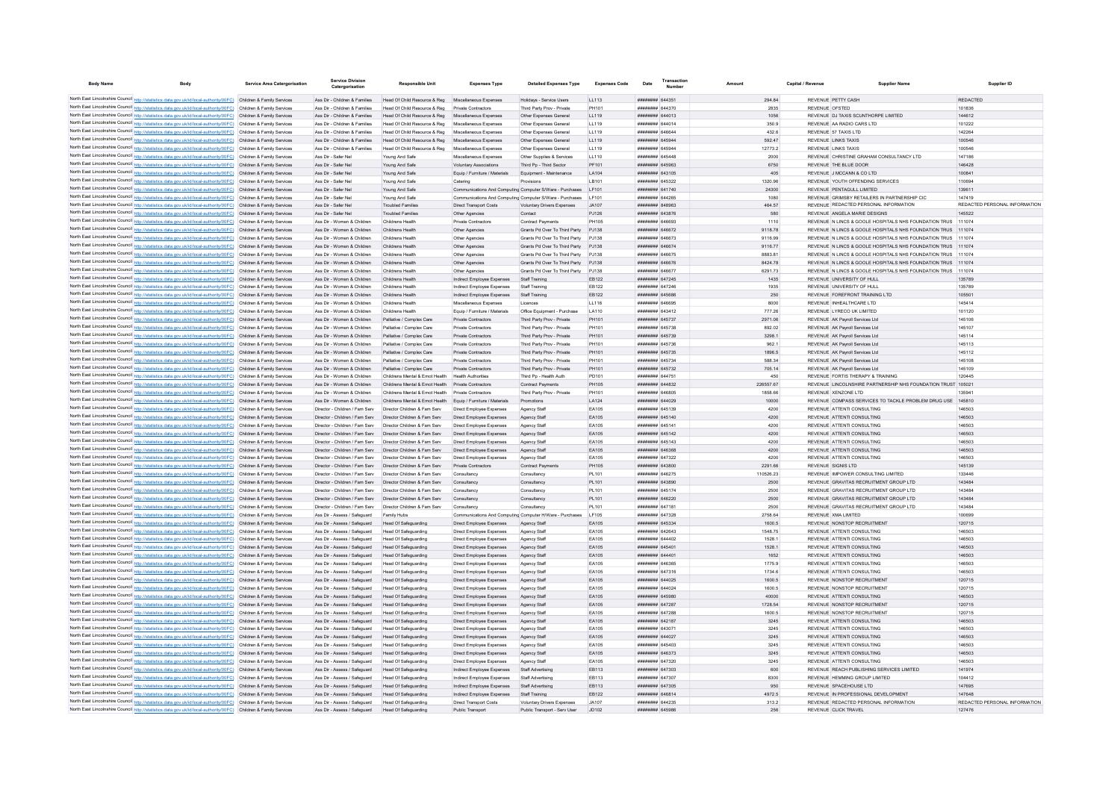| <b>Body Name</b> |                                                                                                                                                                                                                                        | <b>Service Area Catergorisation</b> | Service Divisio<br>Catergorisation                               | <b>Responsible Unit</b>                                                                                  | <b>Expenses Type</b>                                        | <b>Detailed Expenses Type</b>                                   | <b>Expenses Code</b> | Date                               | Transactic<br>Number |                  | Capital / Revenue | Supplier Name                                                                         | Supplier ID                             |
|------------------|----------------------------------------------------------------------------------------------------------------------------------------------------------------------------------------------------------------------------------------|-------------------------------------|------------------------------------------------------------------|----------------------------------------------------------------------------------------------------------|-------------------------------------------------------------|-----------------------------------------------------------------|----------------------|------------------------------------|----------------------|------------------|-------------------|---------------------------------------------------------------------------------------|-----------------------------------------|
|                  | North East Lincolnshire Council http://statistics.data.gov.uk/id/local-authority/00FC) Children & Family Services                                                                                                                      |                                     |                                                                  |                                                                                                          |                                                             |                                                                 | LL113                | ####### 644351                     |                      | 294.84           |                   | REVENUE PETTY CASH                                                                    | <b>REDACTED</b>                         |
|                  | North East Lincolnshire Council http://statistics.data.gov.uk/id/local-authority/00FC) Children & Family Services                                                                                                                      |                                     | Ass Dir - Children & Families<br>Ass Dir - Children & Families   | Head Of Child Resource & Reg Miscellaneous Expenses<br>Head Of Child Resource & Reg. Private Contractors |                                                             | Holidays - Service Users<br>Third Party Prov - Private          | PH101                | ######## 644370                    |                      | 2835             |                   | REVENUE OFSTED                                                                        | 101836                                  |
|                  | North East Lincolnshire Council http://statistics.data.gov.uk/id/local-authority/00FC) Children & Family Services                                                                                                                      |                                     |                                                                  | Ass Dir - Children & Families Head Of Child Resource & Reg. Miscellaneous Expenses                       |                                                             | Other Expenses General                                          | 11119                | ######## 644013                    |                      | 1056             |                   | REVENUE DJ TAXIS SCUNTHORPE LIMITED                                                   | 144612                                  |
|                  | North East Lincolnshire Council http://statistics.data.gov.uk/id/local-authority/00FC) Children & Family Services                                                                                                                      |                                     | Ass Dir - Children & Families                                    | Head Of Child Resource & Reg Miscellaneous Expenses                                                      |                                                             | Other Expenses General                                          | LL119                | ######## 644014                    |                      | 350.9            |                   | REVENUE AA RADIO CARS LTD                                                             | 101222                                  |
|                  | North East Lincolnshire Council http://statistics.data.gov.uk/id/local-authority/00FC) Children & Family Services                                                                                                                      |                                     | Ass Dir - Children & Families                                    | Head Of Child Resource & Reg Miscellaneous Expenses                                                      |                                                             | Other Expenses General                                          | LL119                | ####### 646644                     |                      | 432.6            |                   | REVENUE 57 TAXIS LTD                                                                  | 142264                                  |
|                  | North East Lincolnshire Council http://statistics.data.gov.uk/id/local-authority/00FC) Children & Family Services                                                                                                                      |                                     |                                                                  | Ass Dir - Children & Families Head Of Child Resource & Reg Miscellaneous Expenses                        |                                                             | Other Expenses General                                          | LL119                | ######## 645944                    |                      | 592.47           |                   | <b>REVENUE LINKS TAXIS</b>                                                            | 100546                                  |
|                  | North East Lincolnshire Council http://statistics.data.gov.uk/id/local-authority/00FC) Children & Family Services                                                                                                                      |                                     | Ass Dir - Children & Families                                    | Head Of Child Resource & Reg Miscellaneous Expenses                                                      |                                                             | Other Expenses General                                          | LL119                | ######## 645944                    |                      | 12773.2          |                   | REVENUE LINKS TAXIS                                                                   | 100546                                  |
|                  | North East Lincolnshire Council http://statistics.data.gov.uk/id/local-authority/00FC) Children & Family Services                                                                                                                      |                                     | Ass Dir - Safer Nel                                              | Young And Safe                                                                                           | Miscellaneous Expenses                                      | Other Supplies & Services                                       | LL110                | ####### 645448                     |                      | 2000             |                   | REVENUE CHRISTINE GRAHAM CONSULTANCY LTD                                              | 147186                                  |
|                  | North East Lincolnshire Council http://statistics.data.gov.uk/id/local-authority/00FC) Children & Family Services                                                                                                                      |                                     | Ass Dir - Safer Nel                                              | Young And Safe                                                                                           | Voluntary Associations                                      | Third Po - Third Sector                                         | PF101                | ######## 645963                    |                      | 6750             |                   | REVENUE THE BLUE DOOR                                                                 | 146428                                  |
|                  | North East Lincolnshire Council http://statistics.data.gov.uk/id/local-authority/00FC) Children & Family Services                                                                                                                      |                                     | Ass Dir - Safer Nel                                              | Young And Safe                                                                                           | Equip / Furniture / Materials                               | Equipment - Maintenance                                         | LA104                | ######## 643105                    |                      | 405              |                   | REVENUE J MCCANN & CO LTD                                                             | 100841                                  |
|                  | North East Lincolnshire Council http://statistics.data.gov.uk/id/local-authority/00FC) Children & Family Services                                                                                                                      |                                     | Ass Dir - Safer Nel                                              | Young And Safe                                                                                           | Catering                                                    | Provisions                                                      | LB101                | ######## 645322                    |                      | 1320.96          |                   | REVENUE YOUTH OFFENDING SERVICES                                                      | 110694                                  |
|                  | North East Lincolnshire Council http://statistics.data.gov.uk/id/local-authority/00FC) Children & Family Services                                                                                                                      |                                     | Ass Dir - Safer Nel                                              | Young And Safe                                                                                           |                                                             | Communications And Computing Computer S/Ware - Purchases        | LF101                | ######## 641740                    |                      | 24300            |                   | REVENUE PENTAGULL LIMITED                                                             | 139611                                  |
|                  | North East Lincolnshire Council http://statistics.data.gov.uk/id/local-authority/00FC) Children & Family Services<br>North East Lincolnshire Council http://statistics.data.gov.uk/id/local-authority/00FC) Children & Family Services |                                     | Ass Dir - Safer Nel<br>Ass Dir - Safer Nel                       | Young And Safe<br><b>Troubled Families</b>                                                               | <b>Direct Transport Costs</b>                               | Communications And Computing Computer S/Ware - Purchases        | LF101<br>JA107       | ######## 644265<br>HHHHHHH R48963  |                      | 1080             |                   | REVENUE GRIMSBY RETAILERS IN PARTNERSHIP CIO<br>REVENUE REDACTED PERSONAL INFORMATION | 147419<br>REDACTED PERSONAL INFORMATION |
|                  | North East Lincolnshire Council http://statistics.data.gov.uk/id/local-authority/00FC) Children & Family Services                                                                                                                      |                                     | Ass Dir - Safer Nel                                              | <b>Troubled Families</b>                                                                                 | Other Agencies                                              | Voluntary Drivers Expenses<br>Contact                           | PJ126                | ######## 643876                    |                      | 464.57<br>580    |                   | REVENUE ANGELA MARIE DESIGNS                                                          | 145522                                  |
|                  | North East Lincolnshire Council http://statistics.data.gov.uk/id/local-authority/00FC) Children & Family Services                                                                                                                      |                                     | Ass Dir - Women & Children                                       | Childrens Health                                                                                         | Private Contractors                                         | <b>Contract Payments</b>                                        | PH105                | ######## 646693                    |                      | 1110             |                   | REVENUE N LINCS & GOOLE HOSPITALS NHS FOUNDATION TRUS 111074                          |                                         |
|                  | North East Lincolnshire Council http://statistics.data.gov.uk/id/local-authority/00FC) Children & Family Services                                                                                                                      |                                     | Ass Dir - Women & Children                                       | Childrens Health                                                                                         | Other Agencies                                              | Grants Pd Over To Third Party PJ138                             |                      | ######## 646672                    |                      | 9118.78          |                   | REVENUE N LINCS & GOOLE HOSPITALS NHS FOUNDATION TRUS 111074                          |                                         |
|                  | North East Lincolnshire Council http://statistics.data.gov.uk/id/local-authority/00FC) Children & Family Services                                                                                                                      |                                     | Ass Dir - Women & Children                                       | Childrens Health                                                                                         | Other Agencies                                              | Grants Pd Over To Third Party                                   | PJ138                | ####### 646673                     |                      | 9116.99          |                   | REVENUE N LINCS & GOOLE HOSPITALS NHS FOUNDATION TRUS 111074                          |                                         |
|                  | North East Lincolnshire Council http://statistics.data.gov.uk/id/local-authority/00FC) Children & Family Services                                                                                                                      |                                     | Ass Dir - Women & Children                                       | Childrens Health                                                                                         | Other Agencies                                              | Grants Pd Over To Third Party PJ138                             |                      | ######## 646674                    |                      | 9116.77          |                   | REVENUE N LINCS & GOOLE HOSPITALS NHS FOUNDATION TRUS 111074                          |                                         |
|                  | North East Lincolnshire Council http://statistics.data.gov.uk/id/local-authority/00FC) Children & Family Services                                                                                                                      |                                     | Ass Dir - Women & Children                                       | Childrens Health                                                                                         | Other Agencies                                              | Grants Pd Over To Third Party                                   | P.1138               | ####### 646675                     |                      | 888381           |                   | REVENUE N LINCS & GOOLE HOSPITALS NHS FOUNDATION TRUS 111074                          |                                         |
|                  | North East Lincolnshire Council http://statistics.data.gov.uk/id/local-authority/00FC) Children & Family Services                                                                                                                      |                                     | Ass Dir - Women & Children                                       | Childrens Health                                                                                         | Other Agencies                                              | Grants Pd Over To Third Party PJ138                             |                      | ####### 646676                     |                      | 8424 78          |                   | REVENUE N LINCS & GOOLE HOSPITALS NHS FOUNDATION TRUS 111074                          |                                         |
|                  | North East Lincolnshire Council http://statistics.data.gov.uk/id/local-authority/00FC) Children & Family Services                                                                                                                      |                                     | Ass Dir - Women & Children                                       | Childrens Health                                                                                         | Other Anencies                                              | Grants Pd Over To Third Party P.I138                            |                      | ######## 646677                    |                      | 629173           |                   | REVENUE N LINCS & GOOLE HOSPITALS NHS FOUNDATION TRUS 111074                          |                                         |
|                  | North East Lincolnshire Council http://statistics.data.gov.uk/id/local-authority/00FC) Children & Family Services                                                                                                                      |                                     | Ass Dir - Women & Children                                       | Childrens Health                                                                                         | Indirect Employee Expenses                                  | Staff Training                                                  | EB122                | <b>####### 647245</b>              |                      | 1435             |                   | REVENUE UNIVERSITY OF HULL                                                            | 135789                                  |
|                  | North East Lincolnshire Council http://statistics.data.gov.uk/id/local-authority/00FC) Children & Family Services                                                                                                                      |                                     | Ass Dir - Women & Children                                       | Childrens Healt                                                                                          | Indirect Employee Expenses                                  | Staff Training                                                  | EB122                | ######## 647246                    |                      | 1935             |                   | REVENUE UNIVERSITY OF HULL                                                            | 135789                                  |
|                  | North East Lincolnshire Council http://statistics.data.gov.uk/id/local-authority/00FC) Children & Family Services                                                                                                                      |                                     | Ass Dir - Women & Children                                       | Childrens Health                                                                                         | Indirect Employee Expenses                                  | Staff Training                                                  | EB122                | ######## 645686                    |                      | 250              |                   | REVENUE FOREFRONT TRAINING LTD                                                        | 105501                                  |
|                  | North East Lincolnshire Council http://statistics.data.gov.uk/id/local-authority/00FC) Children & Family Services                                                                                                                      |                                     | Ass Dir - Women & Children                                       | Childrens Health                                                                                         | Miscellaneous Expenses                                      | Licences                                                        | LL116                | ####### 646695                     |                      | 8000             |                   | REVENUE INHEALTHCARE LTD                                                              | 145414                                  |
|                  | North East Lincolnshire Council http://statistics.data.gov.uk/id/local-authority/00FC) Children & Family Services<br>North East Lincolnshire Council http://statistics.data.gov.uk/id/local-authority/00FC) Children & Family Services |                                     | Ass Dir - Women & Children                                       | Childrens Health                                                                                         | Equip / Furniture / Materials                               | Office Foujoment - Purchase                                     | <b>LA110</b>         | ######## 643412                    |                      | 777 26           |                   | REVENUE I YRECO UK LIMITED                                                            | 101120                                  |
|                  | North East Lincolnshire Council http://statistics.data.gov.uk/id/local-authority/00FC) Children & Family Services                                                                                                                      |                                     | Ass Dir - Women & Children<br>Ass Dir - Women & Children         | Palliative / Complex Care                                                                                | Private Contractors                                         | Third Party Prov - Private<br>Third Party Prov - Private        | PH101                | ######## 645737<br>######## 645738 |                      | 2971.06          |                   | REVENUE AK Payroll Services Ltd.<br>REVENUE AK Pavroll Services Ltd.                  | 145106                                  |
|                  | North East Lincolnshire Council http://statistics.data.gov.uk/id/local-authority/00FC) Children & Family Services                                                                                                                      |                                     | Ass Dir - Women & Children Palliative / Complex Care             | Palliative / Complex Care                                                                                | Private Contractors<br>Private Contractors                  | Third Party Prov - Private                                      | PH101<br>PH101       | ######## 645739                    |                      | 892.02<br>3298.1 |                   | REVENUE AK Payroll Services Ltd.                                                      | 145107<br>145114                        |
|                  | North East Lincolnshire Council http://statistics.data.gov.uk/id/local-authority/00FC) Children & Family Services                                                                                                                      |                                     | Ass Dir - Women & Children                                       | Palliative / Complex Care                                                                                | Private Contractors                                         | Third Party Prov - Private                                      | PH101                | ####### 645736                     |                      | 962.1            |                   | REVENUE AK Payroll Services Ltd.                                                      | 145113                                  |
|                  | North East Lincolnshire Council http://statistics.data.gov.uk/id/local-authority/00FC) Children & Family Services                                                                                                                      |                                     | Ass Dir - Women & Children                                       | Palliative / Complex Care                                                                                | Private Contractors                                         | Third Party Prov - Private                                      | PH101                | ######## 645735                    |                      | 1896.5           |                   | REVENUE AK Payroll Services Ltd                                                       | 145112                                  |
|                  | North East Lincolnshire Council http://statistics.data.gov.uk/id/local-authority/00FC) Children & Family Services                                                                                                                      |                                     | Ass Dir - Women & Children                                       | Palliative / Complex Care                                                                                | Private Contractors                                         | Third Party Prov - Private                                      | PH101                | ######## 645734                    |                      | 588.34           |                   | REVENUE AK Pavroll Services Ltd                                                       | 145108                                  |
|                  | North East Lincolnshire Council http://statistics.data.gov.uk/id/local-authority/00FC) Children & Family Services                                                                                                                      |                                     | Ass Dir - Women & Children                                       | Palliative / Complex Care                                                                                | Private Contractors                                         | Third Party Prov - Private                                      | PH101                | ######## 645732                    |                      | 705.14           |                   | REVENUE AK Pavroll Services Ltd                                                       | 145109                                  |
|                  | North East Lincolnshire Council http://statistics.data.gov.uk/id/local-authority/00FC) Children & Family Services                                                                                                                      |                                     | Ass Dir - Women & Children                                       | Childrens Mental & Emot Health                                                                           | <b>Health Authorities</b>                                   | Third Pp - Health Auth                                          | PD101                | ######## 644751                    |                      | 450              |                   | REVENUE FORTIS THERAPY & TRAINING                                                     | 120445                                  |
|                  | North East Lincolnshire Council http://statistics.data.gov.uk/id/local-authority/00FC) Children & Family Services                                                                                                                      |                                     | Ass Dir - Women & Children                                       | Childrens Mental & Emot Health                                                                           | Private Contractors                                         | Contract Payments                                               | <b>PH105</b>         | ######## 644832                    |                      | 226557.67        |                   | REVENUE LINCOLNSHIRE PARTNERSHIP NHS FOUNDATION TRUST                                 | 105021                                  |
|                  | North East Lincolnshire Council http://statistics.data.gov.uk/id/local-authority/00FC) Children & Family Services                                                                                                                      |                                     | Ass Dir - Women & Children                                       | Childrens Mental & Emot Health                                                                           | Private Contractors                                         | Third Party Prov - Private                                      | PH101                | ####### 646805                     |                      | 1858.66          |                   | REVENUE XENZONE LTD                                                                   | 3594                                    |
|                  | North East Lincolnshire Council http://statistics.data.gov.uk/id/local-authority/00FC) Children & Family Services                                                                                                                      |                                     | Ass Dir - Women & Children                                       | Childrens Mental & Emot Health                                                                           | Equip / Furniture / Materials                               | Promotions                                                      | LA124                | ######## 644029                    |                      | 10000            |                   | REVENUE COMPASS SERVICES TO TACKLE PROBLEM DRUG USE 145810                            |                                         |
|                  | North East Lincolnshire Council http://statistics.data.gov.uk/id/local-authority/00FC) Children & Family Services                                                                                                                      |                                     | Director - Children / Fam Serv                                   | Director Children & Fam Serv                                                                             | Direct Employee Expenses                                    | Agency Staff                                                    | FA105                | ######## 645139                    |                      | 4200             |                   | REVENUE ATTENTI CONSULTING                                                            | 146503                                  |
|                  | North East Lincolnshire Council http://statistics.data.gov.uk/id/local-authority/00FC). Children & Family Services                                                                                                                     |                                     | Director - Children / Fam Serv                                   | Director Children & Fam Serv                                                                             | Direct Employee Expenses                                    | Agency Staff                                                    | EA105                | ####### 645140                     |                      | 4200             |                   | REVENUE ATTENTI CONSULTING                                                            | 146503                                  |
|                  | North East Lincolnshire Council http://statistics.data.gov.uk/id/local-authority/00FC) Children & Family Services                                                                                                                      |                                     | Director - Children / Fam Serv                                   | Director Children & Fam Serv                                                                             | Direct Employee Expenses                                    | Agency Staff                                                    | EA105                | ####### 645141                     |                      | 4200             |                   | REVENUE ATTENTI CONSULTING                                                            | 146503                                  |
|                  | North East Lincolnshire Council http://statistics.data.gov.uk/id/local-authority/00FC) Children & Family Services                                                                                                                      |                                     | Director - Children / Fam Serv                                   | Director Children & Fam Serv<br>Director Children & Fam Serv                                             | Direct Employee Expenses<br>Direct Employee Expenses        | Agency Staff                                                    | EA105                | ######## 645142<br>######## 645143 |                      | 4200             |                   | REVENUE ATTENTI CONSULTING<br>REVENUE ATTENTI CONSULTING                              | 146503                                  |
|                  | North East Lincolnshire Council http://statistics.data.gov.uk/id/local-authority/00FC) Children & Family Services<br>North East Lincolnshire Council http://statistics.data.gov.uk/id/local-authority/00FC) Children & Family Services |                                     | Director - Children / Fam Serv<br>Director - Children / Fam Serv | Director Children & Fam Serv                                                                             | Direct Employee Expenses                                    | Agency Staff<br>Agency Staff                                    | EA105<br>EA105       | ######## 646368                    |                      | 4200<br>4200     |                   | REVENUE ATTENTI CONSULTING                                                            | 146503<br>146503                        |
|                  | North East Lincolnshire Council http://statistics.data.gov.uk/id/local-authority/00FC) Children & Family Services                                                                                                                      |                                     | Director - Children / Fam Serv                                   | Director Children & Fam Serv                                                                             | Direct Employee Expenses                                    | Agency Staff                                                    | EA105                | <b>иннинии</b> 647322              |                      | 4200             |                   | REVENUE ATTENTI CONSULTING                                                            | 146503                                  |
|                  | North East Lincolnshire Council http://statistics.data.gov.uk/id/local-authority/00FC) Children & Family Services                                                                                                                      |                                     | Director - Children / Fam Serv                                   | Director Children & Fam Serv                                                                             | Private Contractors                                         | Contract Payme                                                  | PH105                | ######## 643800                    |                      | 2291.66          |                   | REVENUE SIGNIS I TD                                                                   | 145139                                  |
|                  | North East Lincolnshire Council http://statistics.data.gov.uk/id/local-authority/00FC) Children & Family Services                                                                                                                      |                                     | Director - Children / Fam Serv                                   | Director Children & Fam Serv                                                                             | Consultancy                                                 | Consultancy                                                     | PI 101               | ######## 646275                    |                      | 110526 23        |                   | REVENUE IMPOWER CONSULTING LIMITED                                                    | 133446                                  |
|                  | North East Lincolnshire Council http://statistics.data.gov.uk/id/local-authority/00FC) Children & Family Services                                                                                                                      |                                     | Director - Children / Fam Serv                                   | Director Children & Fam Serv                                                                             | Consultancy                                                 | Consultancy                                                     | PL101                | ######## 643890                    |                      | 2500             |                   | REVENUE GRAVITAS RECRUITMENT GROUP LTD                                                | 143484                                  |
|                  | North East Lincolnshire Council http://statistics.data.gov.uk/id/local-authority/00FC) Children & Family Services                                                                                                                      |                                     | Director - Children / Fam Serv                                   | Director Children & Fam Sen                                                                              | Consultancy                                                 | Consultanc                                                      | PL101                | ######## 645174                    |                      | 2500             |                   | REVENUE GRAVITAS RECRUITMENT GROUP LTD                                                | 143484                                  |
|                  | North East Lincolnshire Council http://statistics.data.gov.uk/id/local-authority/00FC) Children & Family Services                                                                                                                      |                                     | Director - Children / Fam Serv                                   | Director Children & Fam Serv                                                                             | Consultancy                                                 | Consultancy                                                     | PL101                | ######## 646220                    |                      | 2500             |                   | REVENUE GRAVITAS RECRUITMENT GROUP LTD                                                | 143484                                  |
|                  | North East Lincolnshire Council http://statistics.data.gov.uk/id/local-authority/00FC) Children & Family Services                                                                                                                      |                                     | Director - Children / Fam Serv                                   | Director Children & Fam Serv                                                                             | Consultancy                                                 | Consultancy                                                     | PL101                | ####### 647181                     |                      | 2500             |                   | REVENUE GRAVITAS RECRUITMENT GROUP LTD                                                | 143484                                  |
|                  | North East Lincolnshire Council http://statistics.data.gov.uk/id/local-authority/00FC) Children & Family Services                                                                                                                      |                                     | Ass Dir - Assess / Safenuard                                     | Family Hubs                                                                                              |                                                             | Communications And Computing Computer H/Ware - Purchases   E105 |                      | ######## 647328                    |                      | 2758 64          |                   | REVENUE XMA LIMITED                                                                   | 100699                                  |
|                  | North East Lincolnshire Council http://statistics.data.gov.uk/id/local-authority/00FC) Children & Family Services                                                                                                                      |                                     | Ass Dir - Assess / Safeguard                                     | Head Of Safeguarding                                                                                     | Direct Employee Expenses                                    | Agency Staff                                                    | FA105                | ######## 645334                    |                      | 1600.5           |                   | REVENUE NONSTOP RECRUITMENT                                                           | 120715                                  |
|                  | North East Lincolnshire Council http://statistics.data.gov.uk/id/local-authority/00FC) Children & Family Services                                                                                                                      |                                     | Ass Dir - Assess / Safeguard                                     | Head Of Safeguarding                                                                                     | Direct Employee Expenses                                    | Agency Staff                                                    | EA105                | ######## 642643                    |                      | 1548.75          |                   | REVENUE ATTENTI CONSULTING                                                            | 146503                                  |
|                  | North East Lincolnshire Council http://statistics.data.gov.uk/id/local-authority/00FC) Children & Family Services                                                                                                                      |                                     | Ass Dir - Assess / Safeguard                                     | Head Of Safeguarding                                                                                     | Direct Employee Expenses                                    | Agency Staff                                                    | EA105                | ####### 644402                     |                      | 1528.1           |                   | REVENUE ATTENTI CONSULTING                                                            | 146503                                  |
|                  | North East Lincolnshire Council http://statistics.data.gov.uk/id/local-authority/00FC) Children & Family Services                                                                                                                      |                                     | Ass Dir - Assess / Safeguard                                     | Head Of Safeguarding                                                                                     | Direct Employee Expenses                                    | Agency Staff                                                    | EA105                | ######## 64540                     |                      | 1528.1           |                   | REVENUE ATTENTI CONSULTING                                                            | 146503                                  |
|                  | North East Lincolnshire Council http://statistics.data.gov.uk/id/local-authority/00FC) Children & Family Services<br>North East Lincolnshire Council http://statistics.data.gov.uk/id/local-authority/00FC) Children & Family Services |                                     | Ass Dir - Assess / Safeguard<br>Ass Dir - Assess / Safeguard     | Head Of Safeguarding<br>Head Of Safeguarding                                                             | Direct Employee Expenses<br>Direct Employee Expenses        | Agency Staff                                                    | EA105<br>EA105       | ######## 644401<br>####### 646365  |                      | 1652<br>1775.9   |                   | REVENUE ATTENTI CONSULTING<br>REVENUE ATTENTI CONSULTING                              | 146503<br>146503                        |
|                  | North East Lincolnshire Council http://statistics.data.gov.uk/id/local-authority/00FC) Children & Family Services                                                                                                                      |                                     | Ass Dir - Assess / Safeguard                                     | Head Of Safeguarding                                                                                     | Direct Employee Expenses                                    | Agency Staff<br>Agency Staff                                    | EA105                | ####### 647316                     |                      | 1734.6           |                   | REVENUE ATTENTI CONSULTING                                                            | 146503                                  |
|                  | North East Lincolnshire Council http://statistics.data.gov.uk/id/local-authority/00FC) Children & Family Services                                                                                                                      |                                     | Ass Dir - Assess / Safeguard                                     | Head Of Safeguarding                                                                                     | Direct Employee Expenses                                    | Agency Staff                                                    | EA105                | ######## 644025                    |                      | 1600.5           |                   | REVENUE NONSTOP RECRUITMENT                                                           | 120715                                  |
|                  | North East Lincolnshire Council http://statistics.data.gov.uk/id/local-authority/00FC) Children & Family Services                                                                                                                      |                                     | Ass Dir - Assess / Safeguard                                     | Head Of Safeguarding                                                                                     | Direct Employee Expenses                                    | Agency Staff                                                    | EA105                | ####### 644024                     |                      | 1600.5           |                   | REVENUE NONSTOP RECRUITMENT                                                           | 120715                                  |
|                  | North East Lincolnshire Council http://statistics.data.gov.uk/id/local-authority/00FC) Children & Family Services                                                                                                                      |                                     | Ass Dir - Assess / Safeguard                                     | Head Of Safeguarding                                                                                     | Direct Employee Expenses                                    | Agency Staff                                                    | EA105                | ######## 645980                    |                      | 40000            |                   | REVENUE ATTENTI CONSULTING                                                            | 146503                                  |
|                  | North East Lincolnshire Council http://statistics.data.gov.uk/id/local-authority/00FC)                                                                                                                                                 | Children & Family Services          | Ass Dir - Assess / Safeguard                                     | <b>Head Of Safeguarding</b>                                                                              | Direct Employee Expenses                                    | Agency Staff                                                    | EA105                | ######## 647287                    |                      | 1728.54          |                   | REVENUE NONSTOP RECRUITMENT                                                           | 120715                                  |
|                  | North East Lincolnshire Council http://statistics.data.gov.uk/id/local-authority/00FC) Children & Family Services                                                                                                                      |                                     | Ass Dir - Assess / Safeguard                                     | Head Of Safeguarding                                                                                     | Direct Employee Expenses                                    | Agency Staff                                                    | EA105                | <b>######## 647288</b>             |                      | 1600.5           |                   | REVENUE NONSTOP RECRUITMENT                                                           | 120715                                  |
|                  | North East Lincolnshire Council http://statistics.data.gov.uk/id/local-authority/00FC) Children & Family Services                                                                                                                      |                                     | Ass Dir - Assess / Safeguard                                     | Head Of Safeguarding                                                                                     | Direct Employee Expenses                                    | Agency Staff                                                    | EA105                | <b>######## 642187</b>             |                      | 3245             |                   | REVENUE ATTENTI CONSULTING                                                            | 146503                                  |
|                  | North East Lincolnshire Council http://statistics.data.gov.uk/id/local-authority/00FC) Children & Family Services                                                                                                                      |                                     | Ass Dir - Assess / Safeguard                                     | Head Of Safeguarding                                                                                     | Direct Employee Expenses                                    | Agency Staff                                                    | EA105                | ######## 643071                    |                      | 3245             |                   | REVENUE ATTENTI CONSULTING                                                            | 146503                                  |
|                  | North East Lincolnshire Council http://statistics.data.gov.uk/id/local-authority/00FC) Children & Family Services                                                                                                                      |                                     | Ass Dir - Assess / Safeguard                                     | Head Of Safeguarding                                                                                     | Direct Employee Expenses                                    | Agency Staff                                                    | EA105                | ######## 644027                    |                      | 3245             |                   | REVENUE ATTENTI CONSULTING                                                            | 146503                                  |
|                  | North East Lincolnshire Council http://statistics.data.gov.uk/id/local-authority/00FC) Children & Family Services                                                                                                                      |                                     | Ass Dir - Assess / Safeguard                                     | Head Of Safeguarding                                                                                     | Direct Employee Expenses                                    | Agency Staff                                                    | EA105                | ######## 645403                    |                      | 3245             |                   | REVENUE ATTENTI CONSULTING                                                            | 146503                                  |
|                  | North East Lincolnshire Council http://statistics.data.gov.uk/id/local-authority/00FC) Children & Family Services                                                                                                                      |                                     | Ass Dir - Assess / Safeguard                                     | Head Of Safeguarding                                                                                     | Direct Employee Expenses                                    | Agency Staff                                                    | EA105                | ######## 646373                    |                      | 3245             |                   | REVENUE ATTENTI CONSULTING                                                            | 146503                                  |
|                  | North East Lincolnshire Council http://statistics.data.gov.uk/id/local-authority/00FC) Children & Family Services                                                                                                                      |                                     | Ass Dir - Assess / Safeguard                                     | <b>Head Of Safeguarding</b>                                                                              | Direct Employee Expenses                                    | Agency Staff                                                    | EA105                | <b><i>HHHHHHH 647320</i></b>       |                      | 3245             |                   | REVENUE ATTENTI CONSULTING                                                            | 146503                                  |
|                  | North East Lincolnshire Council http://statistics.data.gov.uk/id/local-authority/00FC) Children & Family Services                                                                                                                      |                                     | Ass Dir - Assess / Safeguard                                     | Head Of Safeguarding                                                                                     | Indirect Employee Expenses                                  | Staff Advertising                                               | EB113                | ######## 647303                    |                      | 600              |                   | REVENUE REACH PUBLISHING SERVICES LIMITED                                             | 141974                                  |
|                  | North East Lincolnshire Council http://statistics.data.gov.uk/id/local-authority/00FC) Children & Family Services                                                                                                                      |                                     | Ass Dir - Assess / Safeguard                                     | Head Of Safeguarding                                                                                     | Indirect Employee Expenses                                  | Staff Advertising                                               | FR113                | ######## 647307<br>####### 647305  |                      | 8300<br>950      |                   | REVENUE HEMMING GROUP LIMITED                                                         | 104412<br>147695                        |
|                  | North East Lincolnshire Council http://statistics.data.gov.uk/id/local-authority/00FC) Children & Family Services<br>North East Lincolnshire Council http://statistics.data.gov.uk/id/local-authority/00FC) Children & Family Services |                                     | Ass Dir - Assess / Safeguard                                     | <b>Head Of Safeguarding</b>                                                                              | Indirect Employee Expenses                                  | Staff Advertising                                               | EB113<br>EB122       | ######## 646814                    |                      | 4972.5           |                   | REVENUE SPACEHOUSE LTD<br>REVENUE IN PROFESSIONAL DEVELOPMENT                         | 147648                                  |
|                  | North East Lincolnshire Council http://statistics.data.gov.uk/id/local-authority/00FC) Children & Family Services                                                                                                                      |                                     | Ass Dir - Assess / Safeguard<br>Ass Dir - Assess / Safeguard     | <b>Head Of Safeguarding</b><br>Head Of Safeguarding                                                      | Indirect Employee Expenses<br><b>Direct Transport Costs</b> | Staff Training<br>Voluntary Drivers Expenses                    | JA107                | ######## 644235                    |                      | 313.2            |                   | REVENUE REDACTED PERSONAL INFORMATION                                                 | REDACTED PERSONAL INFORMATION           |
|                  | North East Lincolnshire Council http://statistics.data.gov.uk/id/local-authority/00FC) Children & Family Services                                                                                                                      |                                     | Ass Dir - Assess / Safeguard                                     | Head Of Safeguarding                                                                                     | Public Transport                                            | Public Transport - Serv User                                    | JD102                | ####### 645986                     |                      | 256              |                   | REVENUE CLICK TRAVEL                                                                  | 127476                                  |
|                  |                                                                                                                                                                                                                                        |                                     |                                                                  |                                                                                                          |                                                             |                                                                 |                      |                                    |                      |                  |                   |                                                                                       |                                         |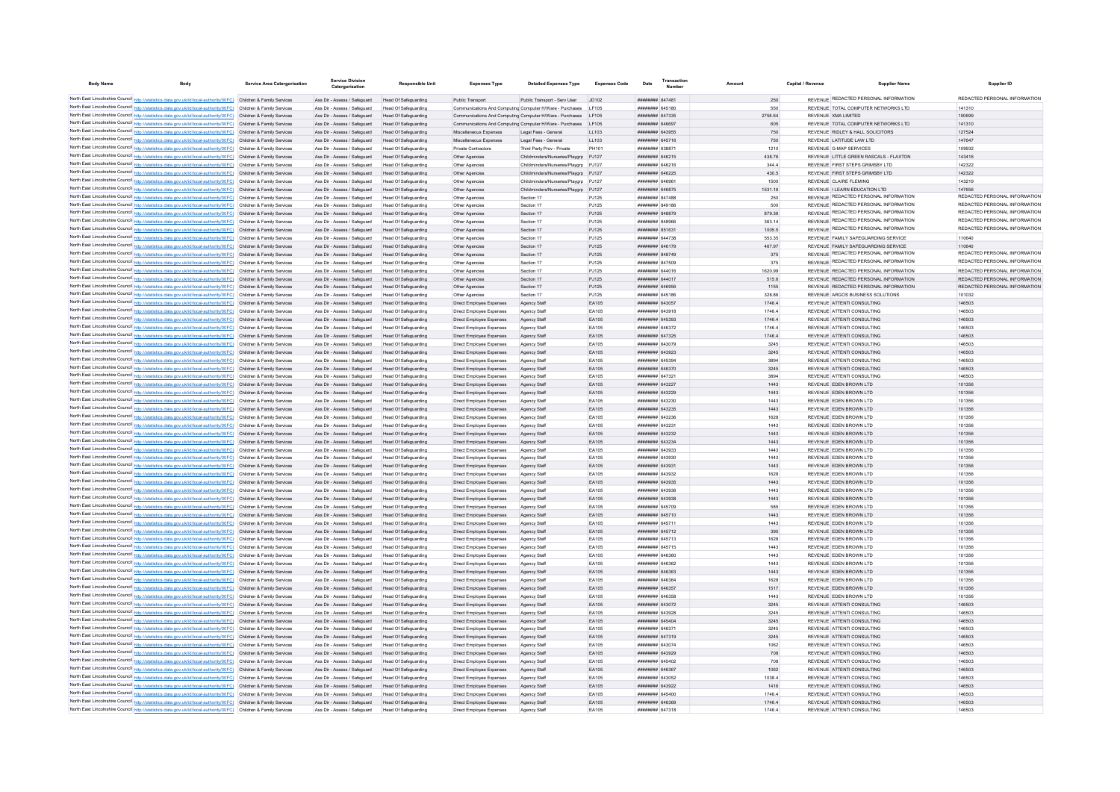| <b>Body Name</b> | <b>Body</b>                                                                                                                                                                                                                            | <b>Service Area Catergorisation</b> | <b>Service Division</b><br>Catergorisation                   | <b>Responsible Unit</b>                      | <b>Expenses Type</b>                                 | <b>Detailed Expenses Type</b>                                                                                                     | <b>Expenses Code</b> | Date                              | Transactio<br><b>Number</b> | Amoun        | Capital / Revenue | <b>Supplier Name</b>                                       | Supplier ID                   |
|------------------|----------------------------------------------------------------------------------------------------------------------------------------------------------------------------------------------------------------------------------------|-------------------------------------|--------------------------------------------------------------|----------------------------------------------|------------------------------------------------------|-----------------------------------------------------------------------------------------------------------------------------------|----------------------|-----------------------------------|-----------------------------|--------------|-------------------|------------------------------------------------------------|-------------------------------|
|                  |                                                                                                                                                                                                                                        |                                     |                                                              |                                              |                                                      |                                                                                                                                   |                      |                                   |                             |              |                   | REVENUE REDACTED PERSONAL INFORMATION                      | REDACTED PERSONAL INFORMATION |
|                  | North East Lincolnshire Council http://statistics.data.gov.uk/id/local-authority/00FC) Children & Family Services<br>North East Lincolnshire Council http://statistics.data.gov.uk/id/local-authority/00FC) Children & Family Services |                                     | Ass Dir - Assess / Safeguard Head Of Safeguarding            |                                              | Public Transport                                     | Public Transport - Serv User JD102                                                                                                |                      | $HHHHHHHH$ 847481                 |                             | 250          |                   |                                                            |                               |
|                  | North East Lincolnshire Council http://statistics.data.gov.uk/id/local-authority/00FC) Children & Family Services                                                                                                                      |                                     | Ass Dir - Assess / Safenuard                                 | Head Of Safeguarding                         |                                                      | Communications And Computing Computer H/Ware - Purchases   E105                                                                   |                      | ####### 645180                    |                             | 550          |                   | REVENUE TOTAL COMPUTER NETWORKS LTD                        | 141310                        |
|                  | North East Lincolnshire Council http://statistics.data.gov.uk/id/local-authority/00FC) Children & Family Services                                                                                                                      |                                     | Ass Dir - Assess / Saferward<br>Ass Dir - Assess / Safeguard | Head Of Safeguarding<br>Head Of Safeguarding |                                                      | Communications And Computing Computer H/Ware - Purchases   E105<br>Communications And Computing Computer H/Ware - Purchases LF105 |                      | ####### 647335<br>######## 646697 |                             | 2758.64      |                   | REVENUE XMA LIMITED<br>REVENUE TOTAL COMPUTER NETWORKS LTD | 100699<br>141310              |
|                  | North East Lincolnshire Council http://statistics.data.gov.uk/id/local-authority/00FC) Children & Family Services                                                                                                                      |                                     | Ass Dir - Assess / Safeguard                                 | Head Of Safeguarding                         | Miscellaneous Expenses                               | Legal Fees - General                                                                                                              | LL103                | ######## 643955                   |                             | 605<br>750   |                   | REVENUE RIDLEY & HALL SOLICITORS                           | 127524                        |
|                  | North East Lincolnshire Council http://statistics.data.gov.uk/id/local-authority/00FC) Children & Family Services                                                                                                                      |                                     | Ass Dir - Assess / Safeguard Head Of Safeguarding            |                                              | Miscellaneous Expenses                               | Legal Fees - General                                                                                                              | LL103                | ######## 645716                   |                             | 750          |                   | REVENUE LATITUDE LAW LTD                                   | 147647                        |
|                  | North East Lincolnshire Council http://statistics.data.gov.uk/id/local-authority/00FC) Children & Family Services                                                                                                                      |                                     | Ass Dir - Assess / Safeguard                                 | Head Of Safeguarding                         | Private Contractors                                  | Third Party Prov - Private                                                                                                        | PH101                | ####### 638871                    |                             | 1210         |                   | REVENUE G-MAP SERVICES                                     | 109932                        |
|                  | North East Lincolnshire Council http://statistics.data.gov.uk/id/local-authority/00FC) Children & Family Services                                                                                                                      |                                     | Ass Dir - Assess / Safeguard                                 | Head Of Safeguarding                         | Other Agencies                                       | Childminders/Nurseries/Playgrp PJ127                                                                                              |                      | ######## 646215                   |                             | 438.76       |                   | REVENUE LITTLE GREEN RASCALS - FLAXTON                     | 143416                        |
|                  | North East Lincolnshire Council http://statistics.data.gov.uk/id/local-authority/00FC) Children & Family Services                                                                                                                      |                                     | Ass Dir - Assess / Safeguard                                 | Head Of Safeguarding                         | Other Agencies                                       | Childminders/Nurseries/Playgrp PJ127                                                                                              |                      | ####### 646216                    |                             | 344.4        |                   | REVENUE FIRST STEPS GRIMSBY LTD                            | 142322                        |
|                  | North East Lincolnshire Council http://statistics.data.gov.uk/id/local-authority/00FC) Children & Family Services                                                                                                                      |                                     | Ass Dir - Assess / Safeguard                                 | Head Of Safeguarding                         | Other Agencies                                       | Childminders/Nurseries/Playarp PJ127                                                                                              |                      | ######## 646225                   |                             | 430.5        |                   | REVENUE FIRST STEPS GRIMSBY LTD                            | 142322                        |
|                  | North East Lincolnshire Council http://statistics.data.gov.uk/id/local-authority/00FC) Children & Family Services                                                                                                                      |                                     | Ass Dir - Assess / Safeguard                                 | Head Of Safeguarding                         | Other Agencies                                       | Childminders/Nurseries/Playgrp PJ121                                                                                              |                      | ####### 64696*                    |                             | 1500         |                   | REVENUE CLAIRE FLEMING                                     | 143219                        |
|                  | North East Lincolnshire Council http://statistics.data.gov.uk/id/local-authority/00FC) Children & Family Services                                                                                                                      |                                     | Ass Dir - Assess / Safeguard                                 | <b>Head Of Safeguarding</b>                  | Other Agencies                                       | Childminders/Nurseries/Playgrp                                                                                                    | PJ127                | ######## 646875                   |                             | 1531.16      |                   | REVENUE I LEARN EDUCATION LTD                              | 147656                        |
|                  | North East Lincolnshire Council http://statistics.data.gov.uk/id/local-authority/00FC) Children & Family Services                                                                                                                      |                                     | Ass Dir - Assess / Safeguard                                 | Head Of Safeguarding                         | Other Agencies                                       | Section 17                                                                                                                        | PJ125                | ####### 847488                    |                             | 250          |                   | REVENUE REDACTED PERSONAL INFORMATION                      | REDACTED PERSONAL INFORMATION |
|                  | North East Lincolnshire Council http://statistics.data.gov.uk/id/local-authority/00FC) Children & Family Services                                                                                                                      |                                     | Ass Dir - Assess / Safeguard                                 | Head Of Safeguarding                         | Other Agencies                                       | Section 17                                                                                                                        | PJ125                | <b><i>HHHHHHH</i></b> 849186      |                             | 500          |                   | REVENUE REDACTED PERSONAL INFORMATION                      | REDACTED PERSONAL INFORMATION |
|                  | North East Lincolnshire Council http://statistics.data.gov.uk/id/local-authority/00FC) Children & Family Services                                                                                                                      |                                     | Ass Dir - Assess / Safeguard                                 | Head Of Safeguarding                         | Other Agencies                                       | Section 17                                                                                                                        | P.1125               | ######## 848879                   |                             | 879.36       |                   | <b>REVENUE REDACTED PERSONAL INFORMATION</b>               | REDACTED PERSONAL INFORMATION |
|                  | North East Lincolnshire Council http://statistics.data.gov.uk/id/local-authority/00FC) Children & Family Services                                                                                                                      |                                     | Ass Dir - Assess / Safeguard                                 | Head Of Safeguarding                         | Other Anencies                                       | Section 17                                                                                                                        | P.1125               | HHHHHHH R48966                    |                             | 363 14       |                   | REVENUE REDACTED PERSONAL INFORMATION                      | REDACTED PERSONAL INFORMATION |
|                  | North East Lincolnshire Council http://statistics.data.gov.uk/id/local-authority/00FC) Children & Family Services                                                                                                                      |                                     | Ass Dir - Assess / Safeguard                                 | Head Of Safeguarding                         | Other Agencies                                       | Section 17                                                                                                                        | PJ125                | ####### 851631                    |                             | 1005.5       |                   | REVENUE REDACTED PERSONAL INFORMATION                      | REDACTED PERSONAL INFORMATION |
|                  | North East Lincolnshire Council http://statistics.data.gov.uk/id/local-authority/00FC) Children & Family Services                                                                                                                      |                                     | Ass Dir - Assess / Safeguard                                 | Head Of Safeguarding                         | Other Agencies                                       | Section 17                                                                                                                        | PJ125                | ######## 644738                   |                             | 553.35       |                   | REVENUE FAMILY SAFEGUARDING SERVICE                        | 110640                        |
|                  | North East Lincolnshire Council http://statistics.data.gov.uk/id/local-authority/00FC) Children & Family Services                                                                                                                      |                                     | Ass Dir - Assess / Safeguard                                 | Head Of Safeguarding                         | Other Agencies                                       | Section 17                                                                                                                        | PJ125                | ######## 646179                   |                             | 467.97       |                   | REVENUE FAMILY SAFEGUARDING SERVICE                        | 110640                        |
|                  | North East Lincolnshire Council http://statistics.data.gov.uk/id/local-authority/00FC) Children & Family Services                                                                                                                      |                                     | Ass Dir - Assess / Safeguard                                 | Head Of Safeguarding                         | Other Agencies                                       | Section 17                                                                                                                        | PJ125                | ######## 848749                   |                             | 375          |                   | REVENUE REDACTED PERSONAL INFORMATION                      | REDACTED PERSONAL INFORMATION |
|                  | North East Lincolnshire Council http://statistics.data.gov.uk/id/local-authority/00FC) Children & Family Services                                                                                                                      |                                     | Ass Dir - Assess / Safeguard                                 | Head Of Safeguarding                         | Other Agencies                                       | Section 17                                                                                                                        | P.1125               | ######## 847509                   |                             | 375          |                   | REVENUE REDACTED PERSONAL INFORMATION                      | REDACTED PERSONAL INFORMATION |
|                  | North East Lincolnshire Council http://statistics.data.gov.uk/id/local-authority/00FC) Children & Family Services                                                                                                                      |                                     | Ass Dir - Assess / Safeguard                                 | Head Of Safeguarding                         | Other Agencies                                       | Section 17                                                                                                                        | P.1125               | ######## 644016                   |                             | 1620.99      |                   | REVENUE REDACTED PERSONAL INFORMATION                      | REDACTED PERSONAL INFORMATION |
|                  | North East Lincolnshire Council http://statistics.data.gov.uk/id/local-authority/00FC) Children & Family Services                                                                                                                      |                                     | Ass Dir - Assess / Safeguard                                 | <b>Head Of Safeguarding</b>                  | Other Agencies                                       | Section 17                                                                                                                        | PJ125                | ######## 644017                   |                             | 515.6        |                   | REVENUE REDACTED PERSONAL INFORMATION                      | REDACTED PERSONAL INFORMATION |
|                  | North East Lincolnshire Council http://statistics.data.gov.uk/id/local-authority/00FC) Children & Family Services                                                                                                                      |                                     | Ass Dir - Assess / Safeguard                                 | Head Of Safeguarding                         | Other Agencies                                       | Section 17                                                                                                                        | PJ125                | ######## 646956                   |                             | 1155         |                   | REVENUE REDACTED PERSONAL INFORMATION                      | REDACTED PERSONAL INFORMATION |
|                  | North East Lincolnshire Council http://statistics.data.gov.uk/id/local-authority/00FC) Children & Family Services                                                                                                                      |                                     | Ass Dir - Assess / Safeguard                                 | Head Of Safeguarding                         | Other Agencies                                       | Section 17                                                                                                                        | PJ125                | ####### 645186                    |                             | 328.86       |                   | REVENUE ARGOS BUSINESS SOLUTIONS                           | 101032                        |
|                  | North East Lincolnshire Council http://statistics.data.gov.uk/id/local-authority/00FC) Children & Family Services                                                                                                                      |                                     | Ass Dir - Assess / Safeguard                                 | Head Of Safeguarding                         | Direct Employee Expenses                             | Agency Staff                                                                                                                      | EA105                | ######## 643057                   |                             | 1746.4       |                   | REVENUE ATTENTI CONSULTING                                 | 146503                        |
|                  | North East Lincolnshire Council http://statistics.data.gov.uk/id/local-authority/00FC) Children & Family Services                                                                                                                      |                                     | Ass Dir - Assess / Safeguard                                 | Head Of Safeguarding                         | Direct Employee Expenses                             | Agency Staff                                                                                                                      | EA105                | ####### 643918                    |                             | 1746.4       |                   | REVENUE ATTENTI CONSULTING                                 | 146503                        |
|                  | North East Lincolnshire Council http://statistics.data.gov.uk/id/local-authority/00FC) Children & Family Services                                                                                                                      |                                     | Ass Dir - Assess / Safeguard                                 | Head Of Safeguarding                         | Direct Employee Expenses                             | Agency Staff                                                                                                                      | EA105                | ######## 645393                   |                             | 1746.4       |                   | REVENUE ATTENTI CONSULTING                                 | 146503                        |
|                  | North East Lincolnshire Council http://statistics.data.gov.uk/id/local-authority/00FC) Children & Family Services                                                                                                                      |                                     | Ass Dir - Assess / Safeguard                                 | Head Of Safeguarding                         | Direct Employee Expenses                             | Agency Staff                                                                                                                      | EA105                | ######## 646372                   |                             | 1746.4       |                   | REVENUE ATTENTI CONSULTING                                 | 146503                        |
|                  | North East Lincolnshire Council http://statistics.data.gov.uk/id/local-authority/00FC) Children & Family Services                                                                                                                      |                                     | Ass Dir - Assess / Safeguard Head Of Safeguarding            |                                              | Direct Employee Expenses                             | Agency Staff                                                                                                                      | EA105                | ######## 647325                   |                             | 1746.4       |                   | REVENUE ATTENTI CONSULTING                                 | 146503                        |
|                  | North East Lincolnshire Council http://statistics.data.gov.uk/id/local-authority/00FC) Children & Family Services                                                                                                                      |                                     | Ass Dir - Assess / Safeguard                                 | Head Of Safeguarding                         | Direct Employee Expenses                             | Agency Staff                                                                                                                      | EA105                | ######## 643079                   |                             | 3245         |                   | REVENUE ATTENTI CONSULTING                                 | 146503                        |
|                  | North East Lincolnshire Council http://statistics.data.gov.uk/id/local-authority/00FC) Children & Family Services                                                                                                                      |                                     | Ass Dir - Assess / Safeguard                                 | Head Of Safeguarding                         | Direct Employee Expenses                             | Agency Staff                                                                                                                      | EA105                | ######## 643923                   |                             | 3245         |                   | REVENUE ATTENTI CONSULTING                                 | 146503                        |
|                  | North East Lincolnshire Council http://statistics.data.gov.uk/id/local-authority/00FC) Children & Family Services                                                                                                                      |                                     | Ass Dir - Assess / Safeguard                                 | Head Of Safeguarding                         | Direct Employee Expenses                             | Agency Staff                                                                                                                      | EA105                | <b>HUMHHHM GAS30A</b>             |                             | 3894         |                   | REVENUE ATTENTI CONSULTING                                 | 146503                        |
|                  | North East Lincolnshire Council http://statistics.data.gov.uk/id/local-authority/00FC) Children & Family Services                                                                                                                      |                                     | Ass Dir - Assess / Safeguard                                 | Head Of Safeguarding                         | Direct Employee Expenses                             | Agency Staff                                                                                                                      | EA105                | ######## 646370                   |                             | 3245         |                   | REVENUE ATTENTI CONSULTING                                 | 146503                        |
|                  | North East Lincolnshire Council http://statistics.data.gov.uk/id/local-authority/00FC) Children & Family Services                                                                                                                      |                                     | Ass Dir - Assess / Safeguard                                 | Head Of Safeguarding                         | Direct Employee Expenses                             | Agency Staff                                                                                                                      | FA105                | <b>######## 647321</b>            |                             | 3894         |                   | REVENUE ATTENTI CONSULTING                                 | 146503                        |
|                  | North East Lincolnshire Council http://statistics.data.gov.uk/id/local-authority/00FC) Children & Family Services                                                                                                                      |                                     | Ass Dir - Assess / Safeguard                                 | Head Of Safeguarding                         | Direct Employee Expenses                             | Agency Staff                                                                                                                      | EA105                | <b>иннинин</b> 643227             |                             | 1443         |                   | REVENUE EDEN BROWN LTD                                     | 101356                        |
|                  | North East Lincolnshire Council http://statistics.data.gov.uk/id/local-authority/00FC) Children & Family Services                                                                                                                      |                                     | Ass Dir - Assess / Safeguard                                 | Head Of Safeguarding                         | Direct Employee Expenses                             | Agency Staff                                                                                                                      | FA105                | <b>иннинин</b> 643229             |                             | 1443         |                   | REVENUE EDEN BROWN LTD                                     | 101356                        |
|                  | North East Lincolnshire Council http://statistics.data.gov.uk/id/local-authority/00FC) Children & Family Services                                                                                                                      |                                     | Ass Dir - Assess / Safeguard                                 | Head Of Safeguarding                         | Direct Employee Expenses                             | Agency Staf                                                                                                                       | EA105                | ######## 643230                   |                             | 1443         |                   | REVENUE EDEN BROWN LTD                                     | 101356                        |
|                  | North East Lincolnshire Council http://statistics.data.gov.uk/id/local-authority/00FC) Children & Family Services                                                                                                                      |                                     | Ass Dir - Assess / Safeguard                                 | Head Of Safeguarding                         | Direct Employee Expenses                             | Agency Staff                                                                                                                      | EA105                | ######## 643235                   |                             | 1443         |                   | REVENUE EDEN BROWN LTD                                     | 101356                        |
|                  | North East Lincolnshire Council http://statistics.data.gov.uk/id/local-authority/00FC) Children & Family Services                                                                                                                      |                                     | Ass Dir - Assess / Safeguard                                 | Head Of Safeguarding                         | Direct Employee Expenses                             | Agency Staff                                                                                                                      | EA105                | ######## 643236                   |                             | 1628         |                   | REVENUE EDEN BROWN LTD                                     | 101356                        |
|                  | North East Lincolnshire Council http://statistics.data.gov.uk/id/local-authority/00FC) Children & Family Services<br>North East Lincolnshire Council http://statistics.data.gov.uk/id/local-authority/00FC) Children & Family Services |                                     | Ass Dir - Assess / Safeguard                                 | Head Of Safeguarding                         | Direct Employee Expenses                             | Agency Staff                                                                                                                      | FA105<br>EA105       | ######## 643231<br>####### 643232 |                             | 1443<br>1443 |                   | REVENUE FDEN BROWN LTD<br>REVENUE EDEN BROWN LTD           | 101356<br>101356              |
|                  | North East Lincolnshire Council http://statistics.data.gov.uk/id/local-authority/00FC) Children & Family Services                                                                                                                      |                                     | Ass Dir - Assess / Safeguard<br>Ass Dir - Assess / Safeguard | Head Of Safeguarding<br>Head Of Safeguarding | Direct Employee Expenses<br>Direct Employee Expenses | Agency Staff                                                                                                                      | EA105                | ######## 643234                   |                             | 1443         |                   | REVENUE EDEN BROWN LTD                                     | 101356                        |
|                  | North East Lincolnshire Council http://statistics.data.gov.uk/id/local-authority/00FC) Children & Family Services                                                                                                                      |                                     | Ass Dir - Assess / Safeguard                                 | Head Of Safeguarding                         | Direct Employee Expenses                             | Agency Staff<br>Agency Staff                                                                                                      | EA105                | ######## 643933                   |                             | 1443         |                   | REVENUE EDEN BROWN LTD                                     | 101356                        |
|                  | North East Lincolnshire Council http://statistics.data.gov.uk/id/local-authority/00FC) Children & Family Services                                                                                                                      |                                     | Ass Dir - Assess / Safeguard                                 | Head Of Safeguarding                         | Direct Employee Expenses                             | Agency Staff                                                                                                                      | EA105                | ######## 643930                   |                             | 1443         |                   | REVENUE EDEN BROWN LTD                                     | 101356                        |
|                  | North East Lincolnshire Council http://statistics.data.gov.uk/id/local-authority/00FC) Children & Family Services                                                                                                                      |                                     | Ass Dir - Assess / Safeguard                                 | Head Of Safeguarding                         | Direct Employee Expenses                             | Agency Staff                                                                                                                      | EA105                | ######## 643931                   |                             | 1443         |                   | REVENUE EDEN BROWN LTD                                     | 101356                        |
|                  | North East Lincolnshire Council http://statistics.data.gov.uk/id/local-authority/00FC) Children & Family Services                                                                                                                      |                                     | Ass Dir - Assess / Safeguard                                 | Head Of Safeguarding                         | Direct Employee Expenses                             | Agency Staff                                                                                                                      | EA105                | <b>иннинин</b> 643932             |                             | 1628         |                   | REVENUE EDEN BROWN LTD                                     | 101356                        |
|                  | North East Lincolnshire Council http://statistics.data.gov.uk/id/local-authority/00FC) Children & Family Services                                                                                                                      |                                     | Ass Dir - Assess / Safeguard                                 | Head Of Safeguarding                         | Direct Employee Expenses                             | Agency Staff                                                                                                                      | EA105                | ######## 643935                   |                             | 1443         |                   | REVENUE EDEN BROWN LTD                                     | 101356                        |
|                  | North East Lincolnshire Council http://statistics.data.gov.uk/id/local-authority/00FC) Children & Family Services                                                                                                                      |                                     | Ass Dir - Assess / Safeguard                                 | <b>Head Of Safeguarding</b>                  | Direct Employee Expenses                             | Agency Staff                                                                                                                      | EA105                | ######## 643936                   |                             | 1443         |                   | REVENUE EDEN BROWN LTD                                     | 101356                        |
|                  | North East Lincolnshire Council http://statistics.data.gov.uk/id/local-authority/00FC) Children & Family Services                                                                                                                      |                                     | Ass Dir - Assess / Safeguard                                 | Head Of Safeguarding                         | Direct Employee Expenses                             | Agency Staff                                                                                                                      | EA105                | ######## 643938                   |                             | 1443         |                   | REVENUE EDEN BROWN LTD                                     | 101356                        |
|                  | North East Lincolnshire Council http://statistics.data.gov.uk/id/local-authority/00FC) Children & Family Services                                                                                                                      |                                     | Ass Dir - Assess / Safeguard                                 | <b>Head Of Safeguarding</b>                  | Direct Employee Expenses                             | Agency Staf                                                                                                                       | EA105                | ######## 645709                   |                             | 585          |                   | REVENUE EDEN BROWN LTD                                     | 101356                        |
|                  | North East Lincolnshire Council http://statistics.data.gov.uk/id/local-authority/00FC) Children & Family Services                                                                                                                      |                                     | Ass Dir - Assess / Safeguard                                 | Head Of Safeguarding                         | Direct Employee Expenses                             | Agency Staff                                                                                                                      | EA105                | <b><i>HUBBRER 645710</i></b>      |                             | 1443         |                   | REVENUE EDEN BROWN LTD                                     | 101356                        |
|                  | North East Lincolnshire Council http://statistics.data.gov.uk/id/local-authority/00FC) Children & Family Services                                                                                                                      |                                     | Ass Dir - Assess / Safeguard                                 | Head Of Safeguarding                         | Direct Employee Expenses                             | Agency Staff                                                                                                                      | EA105                | <b><i>HUBBRER 645711</i></b>      |                             | 1443         |                   | REVENUE FDEN BROWN LTD                                     | 101356                        |
|                  | North East Lincolnshire Council http://statistics.data.gov.uk/id/local-authority/00FC) Children & Family Services                                                                                                                      |                                     | Ass Dir - Assess / Safeguard                                 | Head Of Safeguarding                         | Direct Employee Expenses                             | Agency Staff                                                                                                                      | FA105                | <b>######## 645712</b>            |                             | 390          |                   | REVENUE EDEN BROWN LTD                                     | 101356                        |
|                  | North East Lincolnshire Council http://statistics.data.gov.uk/id/local-authority/00FC) Children & Family Services                                                                                                                      |                                     | Ass Dir - Assess / Safeguard                                 | Head Of Safeguarding                         | Direct Employee Expenses                             | Agency Staff                                                                                                                      | EA105                | ######## 645713                   |                             | 1628         |                   | REVENUE EDEN BROWN LTD                                     | 101356                        |
|                  | North East Lincolnshire Council http://statistics.data.gov.uk/id/local-authority/00FC) Children & Family Services                                                                                                                      |                                     | Ass Dir - Assess / Safeguard                                 | Head Of Safeguarding                         | Direct Employee Expenses                             | Agency Staff                                                                                                                      | EA105                | ####### 645715                    |                             | 1443         |                   | REVENUE FDEN BROWN LTD                                     | 101356                        |
|                  | North East Lincolnshire Council http://statistics.data.gov.uk/id/local-authority/00FC) Children & Family Services                                                                                                                      |                                     | Ass Dir - Assess / Safeguard                                 | Head Of Safeguarding                         | Direct Employee Expenses                             | Agency Staff                                                                                                                      | EA105                | ######## 646360                   |                             | 1443         |                   | REVENUE EDEN BROWN LTD                                     | 101356                        |
|                  | North East Lincolnshire Council http://statistics.data.gov.uk/id/local-authority/00FC) Children & Family Services                                                                                                                      |                                     | Ass Dir - Assess / Safeguard                                 | <b>Head Of Safeguarding</b>                  | Direct Employee Expenses                             | Agency Staff                                                                                                                      | EA105                | <b>иннинин</b> 646362             |                             | 1443         |                   | REVENUE EDEN BROWN LTD                                     | 101356                        |
|                  | North East Lincolnshire Council http://statistics.data.gov.uk/id/local-authority/00FC) Children & Family Services                                                                                                                      |                                     | Ass Dir - Assess / Safeguard                                 | <b>Head Of Safeguarding</b>                  | Direct Employee Expenses                             | Agency Staff                                                                                                                      | EA105                | ######## 646363                   |                             | 1443         |                   | REVENUE EDEN BROWN LTD                                     | 101356                        |
|                  | North East Lincolnshire Council http://statistics.data.gov.uk/id/local-authority/00FC) Children & Family Services                                                                                                                      |                                     | Ass Dir - Assess / Safeguard                                 | Head Of Safeguarding                         | Direct Employee Expenses                             | Agency Staff                                                                                                                      | EA105                | ######## 646364                   |                             | 1628         |                   | REVENUE FDEN BROWN LTD                                     | 101356                        |
|                  | North East Lincolnshire Council http://statistics.data.gov.uk/id/local-authority/00FC) Children & Family Services                                                                                                                      |                                     | Ass Dir - Assess / Safeguard                                 | Head Of Safeguarding                         | Direct Employee Expenses                             | Agency Staff                                                                                                                      | EA105                | ######## 646357                   |                             | 1517         |                   | REVENUE EDEN BROWN LTD                                     | 101356                        |
|                  | North East Lincolnshire Council http://statistics.data.gov.uk/id/local-authority/00FC) Children & Family Services                                                                                                                      |                                     | Ass Dir - Assess / Safeguard                                 | Head Of Safeguarding                         | Direct Employee Expenses                             | Agency Staff                                                                                                                      | EA105                | ####### 646358                    |                             | 1443         |                   | REVENUE EDEN BROWN LTD                                     | 101356                        |
|                  | North East Lincolnshire Council http://statistics.data.gov.uk/id/local-authority/00FC) Children & Family Services                                                                                                                      |                                     | Ass Dir - Assess / Safeguard                                 | Head Of Safeguarding                         | Direct Employee Expenses                             | Agency Staff                                                                                                                      | EA105                | ######## 643072                   |                             | 3245         |                   | REVENUE ATTENTI CONSULTING                                 | 146503                        |
|                  | North East Lincolnshire Council http://statistics.data.gov.uk/id/local-authority/00FC) Children & Family Services                                                                                                                      |                                     | Ass Dir - Assess / Safeguard                                 | <b>Head Of Safeguarding</b>                  | Direct Employee Expenses                             | Agency Staf                                                                                                                       | EA105                | ####### 643928                    |                             | 3245         |                   | REVENUE ATTENTI CONSULTING                                 | 146503                        |
|                  | North East Lincolnshire Council http://statistics.data.gov.uk/id/local-authority/00FC) Children & Family Services                                                                                                                      |                                     | Ass Dir - Assess / Safeguard                                 | Head Of Safeguarding                         | Direct Employee Expenses                             | Agency Staff                                                                                                                      | EA105                | ######## 645404                   |                             | 3245         |                   | REVENUE ATTENTI CONSULTING                                 | 146503                        |
|                  | North East Lincolnshire Council http://statistics.data.gov.uk/id/local-authority/00FC) Children & Family Services                                                                                                                      |                                     | Ass Dir - Assess / Safeguard                                 | Head Of Safeguarding                         | Direct Employee Expenses                             | Agency Staff                                                                                                                      | EA105                | ######## 646371                   |                             | 3245         |                   | REVENUE ATTENTI CONSULTING                                 | 146503                        |
|                  | North East Lincolnshire Council http://statistics.data.gov.uk/id/local-authority/00FC) Children & Family Services                                                                                                                      |                                     | Ass Dir - Assess / Safeguard                                 | Head Of Safeguarding                         | Direct Employee Expenses                             | Agency Staff                                                                                                                      | EA105                | ######## 647319                   |                             | 3245         |                   | REVENUE ATTENTI CONSULTING                                 | 146503                        |
|                  | North East Lincolnshire Council http://statistics.data.gov.uk/id/local-authority/00FC) Children & Family Services                                                                                                                      |                                     | Ass Dir - Assess / Safeguard                                 | Head Of Safeguarding                         | Direct Employee Expenses                             | Agency Staff                                                                                                                      | EA105                | ######## 643074                   |                             | 1062         |                   | REVENUE ATTENTI CONSULTING                                 | 146503                        |
|                  | North East Lincolnshire Council http://statistics.data.gov.uk/id/local-authority/00FC) Children & Family Services                                                                                                                      |                                     | Ass Dir - Assess / Safeguard                                 | Head Of Safeguarding                         | Direct Employee Expenses                             | Agency Staff                                                                                                                      | EA105                | ######## 643929                   |                             | 708          |                   | REVENUE ATTENTI CONSULTING                                 | 146503                        |
|                  | North East Lincolnshire Council http://statistics.data.gov.uk/id/local-authority/00FC) Children & Family Services                                                                                                                      |                                     | Ass Dir - Assess / Safeguard                                 | Head Of Safeguarding                         | Direct Employee Expenses                             | Agency Staff                                                                                                                      | EA105                | ######## 645402                   |                             | 708          |                   | REVENUE ATTENTI CONSULTING                                 | 146503                        |
|                  | North East Lincolnshire Council http://statistics.data.gov.uk/id/local-authority/00FC) Children & Family Services                                                                                                                      |                                     | Ass Dir - Assess / Safeguard                                 | Head Of Safeguarding                         | Direct Employee Expenses                             | Agency Staff                                                                                                                      | EA105                | ######## 646367                   |                             | 1062         |                   | REVENUE ATTENTI CONSULTING                                 | 146503                        |
|                  | North East Lincolnshire Council http://statistics.data.gov.uk/id/local-authority/00FC) Children & Family Services                                                                                                                      |                                     | Ass Dir - Assess / Safeguard                                 | Head Of Safeguarding                         | Direct Employee Expenses                             | Agency Staff                                                                                                                      | EA105                | HHHHHHH 643052                    |                             | 10384        |                   | REVENUE ATTENTI CONSULTING                                 | 146503                        |
|                  | North East Lincolnshire Council http://statistics.data.gov.uk/id/local-authority/00FC) Children & Family Services                                                                                                                      |                                     | Ass Dir - Assess / Safeguard                                 | Head Of Safeguarding                         | Direct Employee Expenses                             | Agency Staff                                                                                                                      | FA105                | <b>######## 643922</b>            |                             | 1416         |                   | REVENUE ATTENTI CONSULTING                                 | 146503                        |
|                  | North East Lincolnshire Council http://statistics.data.gov.uk/id/local-authority/00FC) Children & Family Services                                                                                                                      |                                     | Ass Dir - Assess / Safeguard                                 | Head Of Safeguarding                         | Direct Employee Expenses                             | Agency Staff                                                                                                                      | FA105                | <b>######## 645400</b>            |                             | 1746.4       |                   | REVENUE ATTENTI CONSULTING                                 | 146503                        |
|                  | North East Lincolnshire Council http://statistics.data.gov.uk/id/local-authority/00FC) Children & Family Services                                                                                                                      |                                     | Ass Dir - Assess / Safeguard                                 | Head Of Safeguarding                         | Direct Employee Expenses                             | Agency Staff                                                                                                                      | EA105                | ####### 646369<br>######## 647318 |                             | 1746.4       |                   | REVENUE ATTENTI CONSULTING                                 | 146503<br>146503              |
|                  | North East Lincolnshire Council http://statistics.data.gov.uk/id/local-authority/00FC) Children & Family Services                                                                                                                      |                                     | Ass Dir - Assess / Safeguard                                 | Head Of Safeguarding                         | Direct Employee Expenses                             | Agency Staf                                                                                                                       | EA105                |                                   |                             | 1746.4       |                   | REVENUE ATTENTI CONSULTING                                 |                               |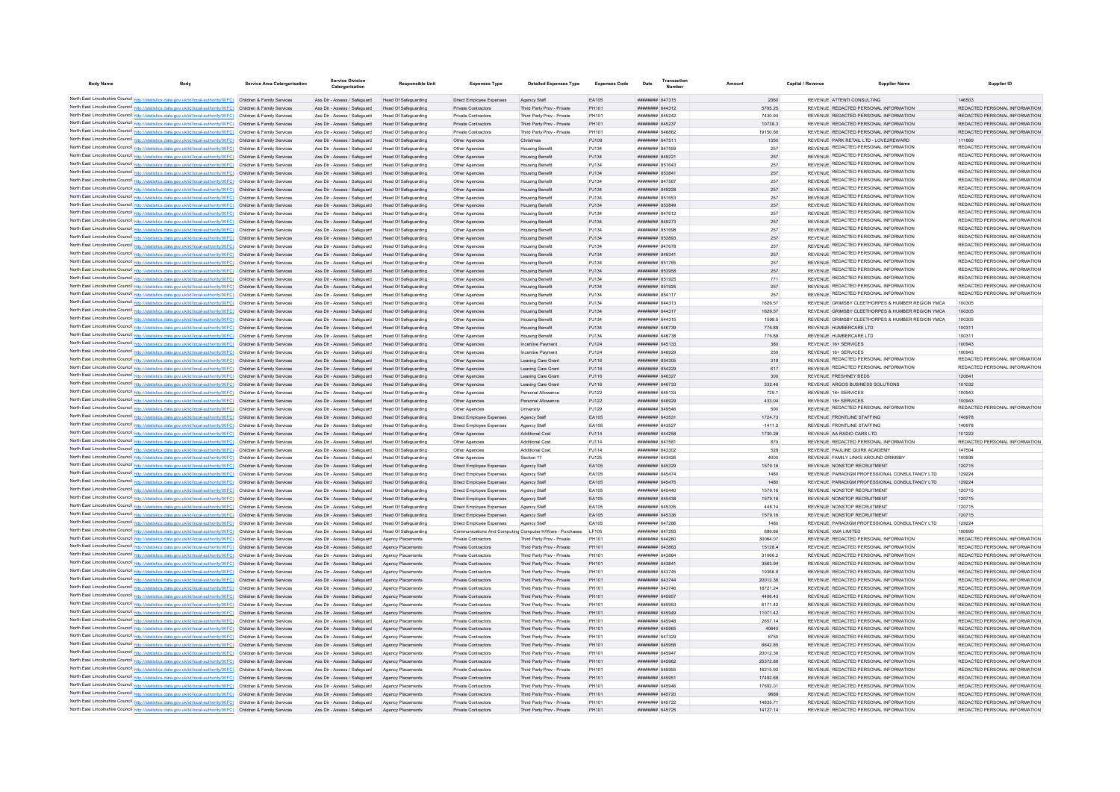| <b>Body Name</b> |                                                                                                                                                                                                                                        | <b>Service Area Catergorisation</b> | <b>Service Division</b><br>Catergorisation                   | <b>Responsible Unit</b>                      | <b>Expenses Type</b>                                     | <b>Detailed Expenses Type</b>                            | <b>Expenses Code</b> | Date                                                   | Transactio |                      | Capital / Revenue | <b>Supplier Name</b>                                                           | Supplier ID                                                    |
|------------------|----------------------------------------------------------------------------------------------------------------------------------------------------------------------------------------------------------------------------------------|-------------------------------------|--------------------------------------------------------------|----------------------------------------------|----------------------------------------------------------|----------------------------------------------------------|----------------------|--------------------------------------------------------|------------|----------------------|-------------------|--------------------------------------------------------------------------------|----------------------------------------------------------------|
|                  | North East Lincolnshire Council http://statistics.data.gov.uk/id/local-authority/00FC) Children & Family Services                                                                                                                      |                                     | Ass Dir - Assess / Safeguard                                 | Head Of Safeguarding                         | Direct Employee Expenses                                 | Agency Staff                                             | FA105                | ######## 647315                                        |            | 2360                 |                   | REVENUE ATTENTI CONSULTING                                                     | 146503                                                         |
|                  | North East Lincolnshire Council http://statistics.data.gov.uk/id/local-authority/00FC) Children & Family Services                                                                                                                      |                                     | Ass Dir - Assess / Safeguard                                 | Head Of Safeguarding                         | Private Contractors                                      | Third Party Prov - Private                               | PH101                | ######## 644312                                        |            | 5795.25              |                   | REVENUE REDACTED PERSONAL INFORMATION                                          | REDACTED PERSONAL INFORMATION                                  |
|                  | North East Lincolnshire Council http://statistics.data.gov.uk/id/local-authority/00FC) Children & Family Services                                                                                                                      |                                     | Ass Dir - Assess / Saferward                                 | Head Of Safeguarding                         | Private Contractors                                      | Third Party Prov - Private                               | PH101                | <b>####### 645242</b>                                  |            | 7430.94              |                   | REVENUE REDACTED PERSONAL INFORMATION                                          | REDACTED PERSONAL INFORMATION                                  |
|                  | North East Lincolnshire Council http://statistics.data.gov.uk/id/local-authority/00FC) Children & Family Services                                                                                                                      |                                     | Ass Dir - Assess / Safeguard Head Of Safeguarding            |                                              | Private Contractors                                      | Third Party Prov - Private                               | PH101                | ######## 645237                                        |            | 10738.3              |                   | REVENUE REDACTED PERSONAL INFORMATION                                          | REDACTED PERSONAL INFORMATION                                  |
|                  | North East Lincolnshire Council http://statistics.data.gov.uk/id/local-authority/00FC) Children & Family Services                                                                                                                      |                                     | Ass Dir - Assess / Safeguard                                 | Head Of Safeguarding                         | Private Contractors                                      | Third Party Prov - Private                               | PH101                | ######## 646862                                        |            | 19150.66             |                   | REVENUE REDACTED PERSONAL INFORMATION                                          | REDACTED PERSONAL INFORMATION                                  |
|                  | North East Lincolnshire Council http://statistics.data.gov.uk/id/local-authority/00FC) Children & Family Services                                                                                                                      |                                     | Ass Dir - Assess / Safeguard Head Of Safeguarding            |                                              | Other Agencies                                           | Christmas                                                | PJ109                | ######## 647511                                        |            | 1350                 |                   | REVENUE PARK RETAIL LTD - LOVE2REWARD                                          | 111869                                                         |
|                  | North East Lincolnshire Council http://statistics.data.gov.uk/id/local-authority/00FC) Children & Family Services                                                                                                                      |                                     | Ass Dir - Assess / Safeguard                                 | <b>Head Of Safeguarding</b>                  | Other Agencies                                           | <b>Housing Benefit</b>                                   | PJ134                | ######## 847559                                        |            | 257                  |                   | REVENUE REDACTED PERSONAL INFORMATION                                          | REDACTED PERSONAL INFORMATION<br>REDACTED PERSONAL INFORMATION |
|                  | North East Lincolnshire Council http://statistics.data.gov.uk/id/local-authority/00FC) Children & Family Services                                                                                                                      |                                     | Ass Dir - Assess / Safeguard                                 | Head Of Safeguarding                         | Other Agencies                                           | <b>Housing Benefit</b>                                   | PJ134                | ######## 849221                                        |            | 257                  |                   | REVENUE REDACTED PERSONAL INFORMATION<br>REVENUE REDACTED PERSONAL INFORMATION | REDACTED PERSONAL INFORMATION                                  |
|                  | North East Lincolnshire Council http://statistics.data.gov.uk/id/local-authority/00FC) Children & Family Services<br>North East Lincolnshire Council http://statistics.data.gov.uk/id/local-authority/00FC) Children & Family Services |                                     | Ass Dir - Assess / Safeguard<br>Ass Dir - Assess / Safeguard | Head Of Safeguarding<br>Head Of Safeguarding | Other Agencies                                           | <b>Housing Benefit</b>                                   | PJ134<br>PJ134       | ####### 851643<br>######## 853841                      |            | 257<br>257           |                   | REVENUE REDACTED PERSONAL INFORMATION                                          | REDACTED PERSONAL INFORMATION                                  |
|                  | North East Lincolnshire Council http://statistics.data.gov.uk/id/local-authority/00FC) Children & Family Services                                                                                                                      |                                     | Ass Dir - Assess / Safeguard                                 | Head Of Safeguarding                         | Other Agencies<br>Other Agencies                         | <b>Housing Benefit</b><br><b>Housing Benefi</b>          | PJ134                | ####### 847567                                         |            | 257                  |                   | REVENUE REDACTED PERSONAL INFORMATION                                          | REDACTED PERSONAL INFORMATION                                  |
|                  | North East Lincolnshire Council http://statistics.data.gov.uk/id/local-authority/00FC) Children & Family Services                                                                                                                      |                                     | Ass Dir - Assess / Safeguard                                 | <b>Head Of Safeguarding</b>                  | Other Agencies                                           | <b>Housing Benefi</b>                                    | PJ134                | ######## 849228                                        |            | 257                  |                   | REVENUE REDACTED PERSONAL INFORMATION                                          | REDACTED PERSONAL INFORMATION                                  |
|                  | North East Lincolnshire Council http://statistics.data.gov.uk/id/local-authority/00FC) Children & Family Services                                                                                                                      |                                     | Ass Dir - Assess / Safeguard                                 | <b>Head Of Safeguarding</b>                  | Other Agencie                                            | <b>Housing Benefi</b>                                    | PJ134                | ####### 851653                                         |            | 257                  |                   | REVENUE REDACTED PERSONAL INFORMATION                                          | REDACTED PERSONAL INFORMATION                                  |
|                  | North East Lincolnshire Council http://statistics.data.gov.uk/id/local-authority/00FC) Children & Family Services                                                                                                                      |                                     | Ass Dir - Assess / Safeguard                                 | Head Of Safeguarding                         | Other Agencies                                           | <b>Housing Benefi</b>                                    | PJ134                | RESER BERRER                                           |            | $257\,$              |                   | REVENUE REDACTED PERSONAL INFORMATION                                          | REDACTED PERSONAL INFORMATION                                  |
|                  | North East Lincolnshire Council http://statistics.data.gov.uk/id/local-authority/00FC) Children & Family Services                                                                                                                      |                                     | Ass Dir - Assess / Safenuard                                 | Head Of Safeguarding                         | Other Agencies                                           | <b>Housing Benefi</b>                                    | P.1134               | ####### 847612                                         |            | 257                  |                   | REVENUE REDACTED PERSONAL INFORMATION                                          | REDACTED PERSONAL INFORMATION                                  |
|                  | North East Lincolnshire Council http://statistics.data.gov.uk/id/local-authority/00FC) Children & Family Services                                                                                                                      |                                     | Ass Dir - Assess / Safeguard                                 | Head Of Safeguarding                         | Other Agencies                                           | <b>Housing Benefit</b>                                   | PJ134                | <b><i>иннинии</i></b> 849273                           |            | 257                  |                   | REVENUE REDACTED PERSONAL INFORMATION                                          | REDACTED PERSONAL INFORMATION                                  |
|                  | North East Lincolnshire Council http://statistics.data.gov.uk/id/local-authority/00FC) Children & Family Services                                                                                                                      |                                     | Ass Dir - Assess / Safeguard                                 | Head Of Safeguarding                         | Other Agencies                                           | <b>Housing Benefi</b>                                    | PJ134                | ######## 851698                                        |            | 257                  |                   | REVENUE REDACTED PERSONAL INFORMATION                                          | REDACTED PERSONAL INFORMATION                                  |
|                  | North East Lincolnshire Council http://statistics.data.gov.uk/id/local-authority/00FC) Children & Family Services                                                                                                                      |                                     | Ass Dir - Assess / Safeguard                                 | Head Of Safeguarding                         | Other Agencies                                           | <b>Housing Benefit</b>                                   | PJ134                | ######## 853893                                        |            | 257                  |                   | REVENUE REDACTED PERSONAL INFORMATION                                          | REDACTED PERSONAL INFORMATION<br>REDACTED PERSONAL INFORMATION |
|                  | North East Lincolnshire Council http://statistics.data.gov.uk/id/local-authority/00FC) Children & Family Services                                                                                                                      |                                     | Ass Dir - Assess / Safeguard                                 | Head Of Safeguarding                         | Other Agencies                                           | <b>Housing Benefi</b>                                    | PJ134                | ######## 847678                                        |            | 257                  |                   | REVENUE REDACTED PERSONAL INFORMATION<br>REVENUE REDACTED PERSONAL INFORMATION | REDACTED PERSONAL INFORMATION                                  |
|                  | North East Lincolnshire Council http://statistics.data.gov.uk/id/local-authority/00FC) Children & Family Services<br>North East Lincolnshire Council http://statistics.data.gov.uk/id/local-authority/00FC) Children & Family Services |                                     | Ass Dir - Assess / Safeguard<br>Ass Dir - Assess / Safenuard | Head Of Safeguarding                         | Other Agencies                                           | <b>Housing Benefi</b>                                    | PJ134<br>P.1134      | ######## 849341<br>######## 851765                     |            | 257<br>257           |                   | REVENUE REDACTED PERSONAL INFORMATION                                          | REDACTED PERSONAL INFORMATION                                  |
|                  | North East Lincolnshire Council http://statistics.data.gov.uk/id/local-authority/00FC) Children & Family Services                                                                                                                      |                                     | Ass Dir - Assess / Safeguard                                 | Head Of Safeguarding<br>Head Of Safeguarding | Other Agencies                                           | <b>Housing Benefi</b>                                    | PJ134                | ######## 853958                                        |            | 257                  |                   | REVENUE REDACTED PERSONAL INFORMATION                                          | REDACTED PERSONAL INFORMATION                                  |
|                  | North East Lincolnshire Council http://statistics.data.gov.uk/id/local-authority/00FC) Children & Family Services                                                                                                                      |                                     | Ass Dir - Assess / Safeguard                                 | Head Of Safeguarding                         | Other Agencies<br>Other Agencies                         | <b>Housing Benefit</b><br><b>Housing Benefi</b>          | PJ134                | ######## 851925                                        |            | 771                  |                   | REVENUE REDACTED PERSONAL INFORMATION                                          | REDACTED PERSONAL INFORMATION                                  |
|                  | North East Lincolnshire Council http://statistics.data.gov.uk/id/local-authority/00FC) Children & Family Services                                                                                                                      |                                     | Ass Dir - Assess / Safeguard                                 | Head Of Safeguarding                         | Other Agencies                                           | <b>Housing Benefit</b>                                   | PJ134                | ######## 851925                                        |            | 257                  |                   | REVENUE REDACTED PERSONAL INFORMATION                                          | REDACTED PERSONAL INFORMATION                                  |
|                  | North East Lincolnshire Council http://statistics.data.gov.uk/id/local-authority/00FC) Children & Family Services                                                                                                                      |                                     | Ass Dir - Assess / Safeguard                                 | Head Of Safeguarding                         | Other Agencies                                           | <b>Housing Benefi</b>                                    | PJ134                | ######## 854117                                        |            | 257                  |                   | REVENUE REDACTED PERSONAL INFORMATION                                          | REDACTED PERSONAL INFORMATION                                  |
|                  | North East Lincolnshire Council http://statistics.data.gov.uk/id/local-authority/00FC) Children & Family Services                                                                                                                      |                                     | Ass Dir - Assess / Safeguard                                 | Head Of Safeguarding                         | Other Agencies                                           | <b>Housing Benefi</b>                                    | PJ134                | ######## 644313                                        |            | 1626.57              |                   | REVENUE GRIMSBY CLEETHORPES & HUMBER REGION YMCA                               | 100305                                                         |
|                  | North East Lincolnshire Council http://statistics.data.gov.uk/id/local-authority/00FC) Children & Family Services                                                                                                                      |                                     | Ass Dir - Assess / Safeguard                                 | Head Of Safeguarding                         | Other Agencies                                           | <b>Housing Benefit</b>                                   | PJ134                | ######## 644317                                        |            | 1626.57              |                   | REVENUE GRIMSBY CLEETHORPES & HUMBER REGION YMCA                               | 100305                                                         |
|                  | North East Lincolnshire Council http://statistics.data.gov.uk/id/local-authority/00FC) Children & Family Services                                                                                                                      |                                     | Ass Dir - Assess / Safeguard                                 | Head Of Safeguarding                         | Other Agencies                                           | <b>Housing Benefi</b>                                    | PJ134                | ####### 644315                                         |            | 1598.5               |                   | REVENUE GRIMSBY CLEETHORPES & HUMBER REGION YMCA                               | 100305                                                         |
|                  | North East Lincolnshire Council http://statistics.data.gov.uk/id/local-authority/00FC) Children & Family Services                                                                                                                      |                                     | Ass Dir - Assess / Safeguard Head Of Safeguarding            |                                              | Other Agencies                                           | <b>Housing Benefit</b>                                   | PJ134                | ######## 646739                                        |            | 776.88               |                   | REVENUE HUMBERCARE LTD                                                         | 100311                                                         |
|                  | North East Lincolnshire Council http://statistics.data.gov.uk/id/local-authority/00FC) Children & Family Services                                                                                                                      |                                     | Ass Dir - Assess / Safeguard                                 | Head Of Safeguarding                         | Other Agencies                                           | <b>Housing Benefit</b>                                   | PJ134                | ######## 646738                                        |            | 776.88               |                   | REVENUE HUMBERCARE LTD                                                         | 100311                                                         |
|                  | North East Lincolnshire Council http://statistics.data.gov.uk/id/local-authority/00FC) Children & Family Services                                                                                                                      |                                     | Ass Dir - Assess / Safeguard Head Of Safeguarding            |                                              | Other Agencies                                           | Incentive Payment                                        | PJ124                | ######## 645133                                        |            | 380                  |                   | REVENUE 16+ SERVICES                                                           | 100943                                                         |
|                  | North East Lincolnshire Council http://statistics.data.gov.uk/id/local-authority/00FC) Children & Family Services                                                                                                                      |                                     | Ass Dir - Assess / Safeguard                                 | Head Of Safeguarding                         | Other Agencies                                           | Incentive Payment                                        | PJ124                | ######## 646929                                        |            | 250                  |                   | REVENUE 16+ SERVICES<br>REVENUE REDACTED PERSONAL INFORMATION                  | 100943<br>REDACTED PERSONAL INFORMATION                        |
|                  | North East Lincolnshire Council http://statistics.data.gov.uk/id/local-authority/00FC) Children & Family Services                                                                                                                      |                                     | Ass Dir - Assess / Safeguard                                 | Head Of Safeguarding                         | Other Agencies                                           | Leaving Care Grant                                       | PJ116                | ######## 854305                                        |            | 318                  |                   | REVENUE REDACTED PERSONAL INFORMATION                                          | REDACTED PERSONAL INFORMATION                                  |
|                  | North East Lincolnshire Council http://statistics.data.gov.uk/id/local-authority/00FC) Children & Family Services<br>North East Lincolnshire Council http://statistics.data.gov.uk/id/local-authority/00FC) Children & Family Services |                                     | Ass Dir - Assess / Safeguard<br>Ass Dir - Assess / Safeguard | Head Of Safeguarding<br>Head Of Safeguarding | Other Agencies<br>Other Agencies                         | Leaving Care Grant<br>Leaving Care Grant                 | PJ116<br>PJ116       | ######## 854229<br>######## 646327                     |            | 617<br>300           |                   | REVENUE FRESHNEY BEDS                                                          | 120641                                                         |
|                  | North East Lincolnshire Council http://statistics.data.gov.uk/id/local-authority/00FC) Children & Family Services                                                                                                                      |                                     | Ass Dir - Assess / Safeguard                                 | Head Of Safeguarding                         | Other Agencies                                           | Leaving Care Grant                                       | PJ116                | ######## 646733                                        |            | 332.46               |                   | REVENUE ARGOS BUSINESS SOLUTIONS                                               | 101032                                                         |
|                  | North East Lincolnshire Council http://statistics.data.gov.uk/id/local-authority/00FC) Children & Family Services                                                                                                                      |                                     | Ass Dir - Assess / Safeguard                                 | <b>Head Of Safeguarding</b>                  | Other Agencies                                           | Personal Allowance                                       | PJ122                | ######## 645133                                        |            | 729.1                |                   | REVENUE 16+ SERVICES                                                           | 100943                                                         |
|                  | North East Lincolnshire Council http://statistics.data.gov.uk/id/local-authority/00FC) Children & Family Services                                                                                                                      |                                     | Ass Dir - Assess / Safeguard                                 | Head Of Safeguarding                         | Other Agencies                                           | Personal Allowance                                       | PJ122                | ######## 646929                                        |            | 433.04               |                   | REVENUE 16+ SERVICES                                                           | 100943                                                         |
|                  | North East Lincolnshire Council http://statistics.data.gov.uk/id/local-authority/00FC) Children & Family Services                                                                                                                      |                                     | Ass Dir - Assess / Safeguard                                 | Head Of Safeguarding                         | Other Agencies                                           | University                                               | PJ129                | ####### 849546                                         |            | 500                  |                   | REVENUE REDACTED PERSONAL INFORMATION                                          | REDACTED PERSONAL INFORMATION                                  |
|                  | North East Lincolnshire Council http://statistics.data.gov.uk/id/local-authority/00FC) Children & Family Services                                                                                                                      |                                     | Ass Dir - Assess / Safeguard                                 | <b>Head Of Safeguarding</b>                  | Direct Employee Expenses                                 | Agency Staff                                             | EA105                | ######## 643531                                        |            | 1724.73              |                   | REVENUE FRONTLINE STAFFING                                                     | 140978                                                         |
|                  | North East Lincolnshire Council http://statistics.data.gov.uk/id/local-authority/00FC) Children & Family Services                                                                                                                      |                                     | Ass Dir - Assess / Safenuard                                 | Head Of Safeguarding                         | Direct Employee Expenses                                 | Agency Staff                                             | EA105                | ######## 643527                                        |            | $-14112$             |                   | REVENUE FRONTLINE STAFFING                                                     | 140978                                                         |
|                  | North East Lincolnshire Council http://statistics.data.gov.uk/id/local-authority/00FC) Children & Family Services                                                                                                                      |                                     | Ass Dir - Assess / Safeguard                                 | Head Of Safeguarding                         | Other Agencies                                           | <b>Additional Cost</b>                                   | PJ114                | ######## 644258                                        |            | 1730.28              |                   | REVENUE AA RADIO CARS LTD                                                      | 101222                                                         |
|                  | North East Lincolnshire Council http://statistics.data.gov.uk/id/local-authority/00FC) Children & Family Services                                                                                                                      |                                     | Ass Dir - Assess / Safeguard                                 | Head Of Safeguarding                         | Other Agencies                                           | Additional Cost                                          | PJ114                | ######## 647581                                        |            | 870                  |                   | REVENUE REDACTED PERSONAL INFORMATION                                          | REDACTED PERSONAL INFORMATION                                  |
|                  | North East Lincolnshire Council http://statistics.data.gov.uk/id/local-authority/00FC) Children & Family Services                                                                                                                      |                                     | Ass Dir - Assess / Safeguard                                 | Head Of Safeguarding                         | Other Agencies                                           | Additional Cost                                          | PJ114                | ######## 643302                                        |            | 528                  |                   | REVENUE PAULINE QUIRK ACADEMY                                                  | 147504                                                         |
|                  | North East Lincolnshire Council http://statistics.data.gov.uk/id/local-authority/00FC) Children & Family Services<br>North East Lincolnshire Council http://statistics.data.gov.uk/id/local-authority/00FC) Children & Family Services |                                     | Ass Dir - Assess / Safeguard                                 | <b>Head Of Safeguarding</b>                  | Other Agencies                                           | Section 17                                               | PJ125                | ######## 643426                                        |            | 4000                 |                   | REVENUE FAMILY LINKS AROUND GRIMSBY                                            | 100936<br>120715                                               |
|                  | North East Lincolnshire Council http://statistics.data.gov.uk/id/local-authority/00FC) Children & Family Services                                                                                                                      |                                     | Ass Dir - Assess / Safeguard<br>Ass Dir - Assess / Safeguard | Head Of Safeguarding<br>Head Of Safeguarding | Direct Employee Expenses<br>Direct Employee Expenses     | Agency Staff<br>Agency Staff                             | EA105<br>EA105       | ####### 645329<br><b><i><u>########</u></i></b> 645474 |            | 1579.16<br>1480      |                   | REVENUE NONSTOP RECRUITMENT<br>REVENUE PARADIGM PROFESSIONAL CONSULTANCY LTD   | 129224                                                         |
|                  | North East Lincolnshire Council http://statistics.data.gov.uk/id/local-authority/00FC) Children & Family Services                                                                                                                      |                                     | Ass Dir - Assess / Safeguard                                 | Head Of Safeguarding                         | Direct Employee Expenses                                 | Agency Staff                                             | EA105                | ######## 645475                                        |            | 1480                 |                   | REVENUE PARADIGM PROFESSIONAL CONSULTANCY LTD                                  | 129224                                                         |
|                  | North East Lincolnshire Council http://statistics.data.gov.uk/id/local-authority/00FC) Children & Family Services                                                                                                                      |                                     | Ass Dir - Assess / Safeguard                                 | Head Of Safeguarding                         | Direct Employee Expenses                                 | Agency Staff                                             | EA105                | ######## 645440                                        |            | 1579.16              |                   | REVENUE NONSTOP RECRUITMENT                                                    | 120715                                                         |
|                  | North East Lincolnshire Council http://statistics.data.gov.uk/id/local-authority/00FC) Children & Family Services                                                                                                                      |                                     | Ass Dir - Assess / Safeguard                                 | <b>Head Of Safeguarding</b>                  | Direct Employee Expenses                                 | Agency Staff                                             | EA105                | ######## 645438                                        |            | 1579.16              |                   | REVENUE NONSTOP RECRUITMENT                                                    | 120715                                                         |
|                  | North East Lincolnshire Council http://statistics.data.gov.uk/id/local-authority/00FC) Children & Family Services                                                                                                                      |                                     | Ass Dir - Assess / Safeguard                                 | <b>Head Of Safeguarding</b>                  | Direct Employee Expense                                  | Agency Staf                                              | EA105                | ######## 645335                                        |            | 448.14               |                   | REVENUE NONSTOP RECRUITMENT                                                    | 120715                                                         |
|                  | North East Lincolnshire Council http://statistics.data.gov.uk/id/local-authority/00FC) Children & Family Services                                                                                                                      |                                     | Ass Dir - Assess / Safeguard                                 | Head Of Safeguarding                         | Direct Employee Expenses                                 | Agency Staff                                             | EA105                | ####### 645336                                         |            | 1579.16              |                   | REVENUE NONSTOP RECRUITMENT                                                    | 120715                                                         |
|                  | North East Lincolnshire Council http://statistics.data.gov.uk/id/local-authority/00FC) Children & Family Services                                                                                                                      |                                     | Ass Dir - Assess / Safeguard                                 | Head Of Safeguarding                         | Direct Employee Expenses                                 | Agency Staff                                             | FA105                | ######## 647286                                        |            | 1480                 |                   | REVENUE PARADIGM PROFESSIONAL CONSULTANCY LTD                                  | 129224                                                         |
|                  | North East Lincolnshire Council http://statistics.data.gov.uk/id/local-authority/00FC) Children & Family Services                                                                                                                      |                                     | Ass Dir - Assess / Safenuard                                 | Head Of Safeguarding                         | Communications And Computing Computer H/Ware - Purchases |                                                          | LE105                | <b><i><u>########</u></i></b> 647293                   |            | 689.66               |                   | REVENUE XMA LIMITED                                                            | 100699                                                         |
|                  | North East Lincolnshire Council http://statistics.data.gov.uk/id/local-authority/00FC) Children & Family Services                                                                                                                      |                                     | Ass Dir - Assess / Safeguard                                 | Agency Placements                            | Private Contractors                                      | Third Party Prov - Private                               | PH101                | ######## 644260                                        |            | 30064.07             |                   | REVENUE REDACTED PERSONAL INFORMATION                                          | REDACTED PERSONAL INFORMATION                                  |
|                  | North East Lincolnshire Council http://statistics.data.gov.uk/id/local-authority/00FC) Children & Family Services                                                                                                                      |                                     | Ass Dir - Assess / Safeguard                                 | Agency Placements                            | Private Contractors                                      | Third Party Prov - Private                               | PH101                | ######## 643863                                        |            | 15128.4              |                   | REVENUE REDACTED PERSONAL INFORMATION                                          | REDACTED PERSONAL INFORMATION                                  |
|                  | North East Lincolnshire Council http://statistics.data.gov.uk/id/local-authority/00FC) Children & Family Services<br>North East Lincolnshire Council http://statistics.data.gov.uk/id/local-authority/00FC) Children & Family Services |                                     | Ass Dir - Assess / Safeguard<br>Ass Dir - Assess / Safeguard | Agency Placements<br>Agency Placements       | Private Contractors<br>Private Contractors               | Third Party Prov - Private<br>Third Party Prov - Private | PH101<br>PH101       | ######## 643864<br>######## 643841                     |            | 31066.2<br>3563.94   |                   | REVENUE REDACTED PERSONAL INFORMATION<br>REVENUE REDACTED PERSONAL INFORMATION | REDACTED PERSONAL INFORMATION<br>REDACTED PERSONAL INFORMATION |
|                  | North East Lincolnshire Council http://statistics.data.gov.uk/id/local-authority/00FC) Children & Family Services                                                                                                                      |                                     | Ass Dir - Assess / Safeguard                                 | Agency Placements                            | Private Contractors                                      | Third Party Prov - Private                               | PH101                | ####### 643745                                         |            | 19366.8              |                   | REVENUE REDACTED PERSONAL INFORMATION                                          | REDACTED PERSONAL INFORMATION                                  |
|                  | North East Lincolnshire Council http://statistics.data.gov.uk/id/local-authority/00FC) Children & Family Services                                                                                                                      |                                     | Ass Dir - Assess / Safeguard                                 | Agency Placements                            | Private Contractors                                      | Third Party Prov - Private                               | PH101                | ######## 643744                                        |            | 2001236              |                   | REVENUE REDACTED PERSONAL INFORMATION                                          | REDACTED PERSONAL INFORMATION                                  |
|                  | North East Lincolnshire Council http://statistics.data.gov.uk/id/local-authority/00FC) Children & Family Services                                                                                                                      |                                     | Ass Dir - Assess / Safeguard                                 | Agency Placements                            | Private Contractors                                      | Third Party Prov - Private                               | PH101                | ######## 643746                                        |            | 18721.24             |                   | REVENUE REDACTED PERSONAL INFORMATION                                          | REDACTED PERSONAL INFORMATION                                  |
|                  | North East Lincolnshire Council http://statistics.data.gov.uk/id/local-authority/00FC) Children & Family Services                                                                                                                      |                                     | Ass Dir - Assess / Safeguard                                 | Agency Placements                            | Private Contractors                                      | Third Party Prov - Private                               | PH101                | ######## 645957                                        |            | 4406.43              |                   | REVENUE REDACTED PERSONAL INFORMATION                                          | REDACTED PERSONAL INFORMATION                                  |
|                  | North East Lincolnshire Council http://statistics.data.gov.uk/id/local-authority/00FC) Children & Family Services                                                                                                                      |                                     | Ass Dir - Assess / Safeguard                                 | Agency Placements                            | Private Contractors                                      | Third Party Prov - Private                               | PH101                | ####### 645953                                         |            | 6171.42              |                   | REVENUE REDACTED PERSONAL INFORMATION                                          | REDACTED PERSONAL INFORMATION                                  |
|                  | North East Lincolnshire Council http://statistics.data.gov.uk/id/local-authority/00FC) Children & Family Services                                                                                                                      |                                     | Ass Dir - Assess / Safeguard                                 | Agency Placements                            | Private Contractors                                      | Third Party Prov - Private                               | PH101                | ####### 645949                                         |            | 11071.42             |                   | REVENUE REDACTED PERSONAL INFORMATION                                          | REDACTED PERSONAL INFORMATION                                  |
|                  | North East Lincolnshire Council http://statistics.data.gov.uk/id/local-authority/00FC) Children & Family Services                                                                                                                      |                                     | Ass Dir - Assess / Safeguard                                 | Agency Placements                            | Private Contractors                                      | Third Party Prov - Private                               | PH101                | ####### 645948                                         |            | 2657.14              |                   | REVENUE REDACTED PERSONAL INFORMATION                                          | REDACTED PERSONAL INFORMATION                                  |
|                  | North East Lincolnshire Council http://statistics.data.gov.uk/id/local-authority/00FC) Children & Family Services                                                                                                                      |                                     | Ass Dir - Assess / Safeguard                                 | Agency Placements                            | Private Contractors                                      | Third Party Prov - Private                               | PH101                | ######## 645965                                        |            | 40640                |                   | REVENUE REDACTED PERSONAL INFORMATION                                          | REDACTED PERSONAL INFORMATION                                  |
|                  | North East Lincolnshire Council http://statistics.data.gov.uk/id/local-authority/00FC) Children & Family Services                                                                                                                      |                                     | Ass Dir - Assess / Safeguard                                 | Agency Placements                            | Private Contractors                                      | Third Party Prov - Private                               | PH101                | ######## 647329                                        |            | 6750                 |                   | REVENUE REDACTED PERSONAL INFORMATION                                          | REDACTED PERSONAL INFORMATION                                  |
|                  | North East Lincolnshire Council http://statistics.data.gov.uk/id/local-authority/00FC) Children & Family Services                                                                                                                      |                                     | Ass Dir - Assess / Safeguard                                 | Agency Placements                            | Private Contractors                                      | Third Party Prov - Private                               | PH101                | ######## 645956                                        |            | 6642.85              |                   | REVENUE REDACTED PERSONAL INFORMATION                                          | REDACTED PERSONAL INFORMATION                                  |
|                  | North East Lincolnshire Council http://statistics.data.gov.uk/id/local-authority/00FC) Children & Family Services<br>North East Lincolnshire Council http://statistics.data.gov.uk/id/local-authority/00FC) Children & Family Services |                                     | Ass Dir - Assess / Safeguard<br>Ass Dir - Assess / Safeguard | Agency Placements<br>Agency Placements       | Private Contractors<br>Private Contractors               | Third Party Prov - Private<br>Third Party Prov - Private | PH101<br>PH101       | ######## 645947<br>######## 645962                     |            | 20012.36<br>25372.86 |                   | REVENUE REDACTED PERSONAL INFORMATION<br>REVENUE REDACTED PERSONAL INFORMATION | REDACTED PERSONAL INFORMATION<br>REDACTED PERSONAL INFORMATION |
|                  | North East Lincolnshire Council http://statistics.data.gov.uk/id/local-authority/00FC) Children & Family Services                                                                                                                      |                                     | Ass Dir - Assess / Safeguard                                 | Agency Placements                            | Private Contractors                                      | Third Party Prov - Private                               | PH101                | ######## 645955                                        |            | 16215.92             |                   | REVENUE REDACTED PERSONAL INFORMATION                                          | REDACTED PERSONAL INFORMATION                                  |
|                  | North East Lincolnshire Council http://statistics.data.gov.uk/id/local-authority/00FC) Children & Family Services                                                                                                                      |                                     | Ass Dir - Assess / Safeguard                                 | Agency Placements                            | Private Contractors                                      | Third Party Prov - Private                               | PH101                | ######## 645951                                        |            | 17492.68             |                   | REVENUE REDACTED PERSONAL INFORMATION                                          | REDACTED PERSONAL INFORMATION                                  |
|                  | North East Lincolnshire Council http://statistics.data.gov.uk/id/local-authority/00FC) Children & Family Services                                                                                                                      |                                     | Ass Dir - Assess / Safeguard                                 | Agency Placements                            | Private Contractors                                      | Third Party Prov - Private                               | PH101                | ######## 645946                                        |            | 17692.01             |                   | REVENUE REDACTED PERSONAL INFORMATION                                          | REDACTED PERSONAL INFORMATION                                  |
|                  | North East Lincolnshire Council http://statistics.data.gov.uk/id/local-authority/00FC) Children & Family Services                                                                                                                      |                                     | Ass Dir - Assess / Safeguard                                 | Agency Placements                            | Private Contractors                                      | Third Party Prov - Private                               | PH101                | ######## 645720                                        |            | 9688                 |                   | REVENUE REDACTED PERSONAL INFORMATION                                          | REDACTED PERSONAL INFORMATION                                  |
|                  | North East Lincolnshire Council http://statistics.data.gov.uk/id/local-authority/00FC) Children & Family Services                                                                                                                      |                                     | Ass Dir - Assess / Safeguard                                 | Agency Placements                            | Private Contractors                                      | Third Party Prov - Private                               | PH101                | ######## 645722                                        |            | 1483571              |                   | REVENUE REDACTED PERSONAL INFORMATION                                          | REDACTED PERSONAL INFORMATION                                  |
|                  | North East Lincolnshire Council http://statistics.data.gov.uk/id/local-authority/00FC) Children & Family Services                                                                                                                      |                                     | Ass Dir - Assess / Safeguard                                 | Agency Placements                            | <b>Private Contractors</b>                               | Third Party Prov - Private                               | PH101                | ######## 645725                                        |            | 14127.14             |                   | REVENUE REDACTED PERSONAL INFORMATION                                          | REDACTED PERSONAL INFORMATION                                  |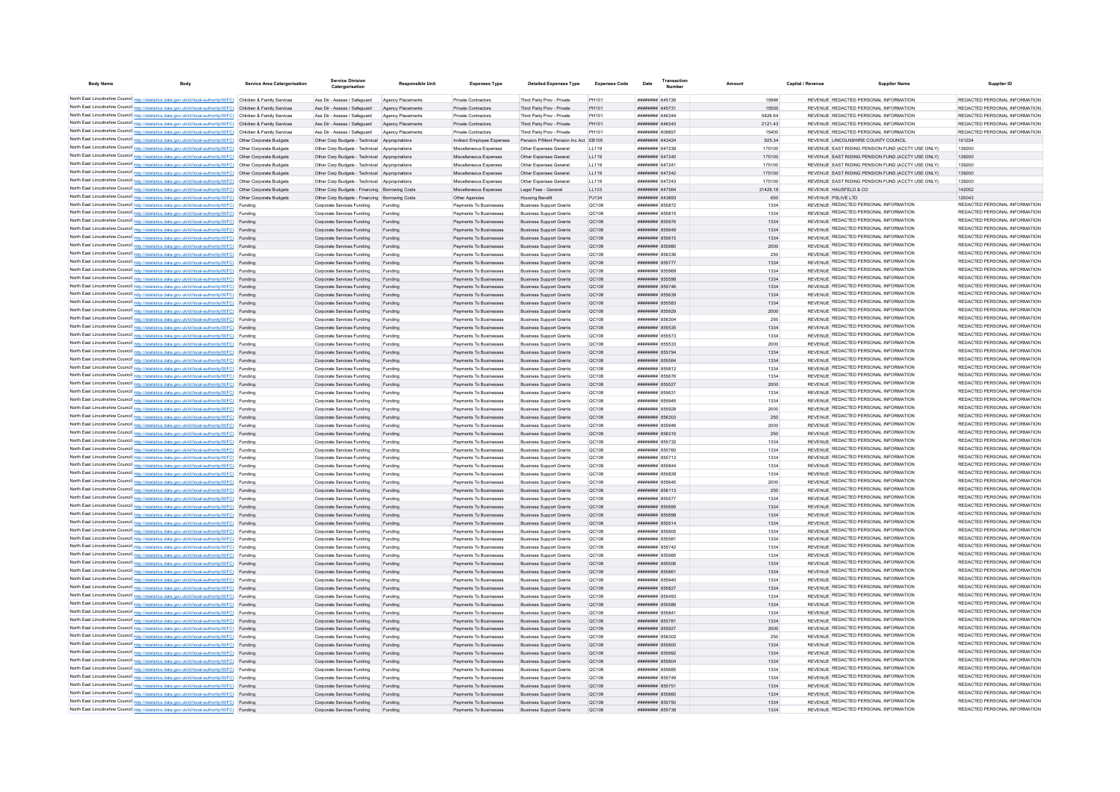| <b>Body Name</b> |                                                                                                                                                                                                  | <b>Service Area Catergorisation</b> | <b>Service Division</b><br>Catergorisation               | <b>Responsible Unit</b> | <b>Expenses Type</b>                             | <b>Detailed Expenses Type</b>                                    | <b>Expenses Code</b>  | Date                               | Transactio<br>Number | Amoun        | Capital / Revenue | <b>Supplier Name</b>                                                           | Supplier ID                                                    |
|------------------|--------------------------------------------------------------------------------------------------------------------------------------------------------------------------------------------------|-------------------------------------|----------------------------------------------------------|-------------------------|--------------------------------------------------|------------------------------------------------------------------|-----------------------|------------------------------------|----------------------|--------------|-------------------|--------------------------------------------------------------------------------|----------------------------------------------------------------|
|                  | North East Lincolnshire Council http://statistics.data.gov.uk/id/local-authority/00FC) Children & Family Services                                                                                |                                     | Ass Dir - Assess / Safeguard                             | Agency Placements       | Private Contractors                              | Third Party Prov - Private                                       | PH101                 | <b>HEBERHER 645726</b>             |                      | 15996        |                   | REVENUE REDACTED PERSONAL INFORMATION                                          | REDACTED PERSONAL INFORMATION                                  |
|                  | North East Lincolnshire Council http://statistics.data.gov.uk/id/local-authority/00FC) Children & Family Services                                                                                |                                     | Ass Dir - Assess / Saferward                             | Agency Placements       | Private Contractors                              | Third Party Prov - Private                                       | PH101                 | ######## 645731                    |                      | 15500        |                   | REVENUE REDACTED PERSONAL INFORMATION                                          | REDACTED PERSONAL INFORMATION                                  |
|                  | North East Lincolnshire Council http://statistics.data.gov.uk/id/local-authority/00FC) Children & Family Services                                                                                |                                     | Ass Dir - Assess / Safeguard                             | Agency Placements       | Private Contractors                              | Third Party Prov - Private                                       | PH101                 | ######## 646344                    |                      | 5828 64      |                   | REVENUE REDACTED PERSONAL INFORMATION                                          | REDACTED PERSONAL INFORMATION                                  |
|                  | North East Lincolnshire Council http://statistics.data.gov.uk/id/local-authority/00FC) Children & Family Services                                                                                |                                     | Ass Dir - Assess / Safeguard Agency Placements           |                         | Private Contractors                              | Third Party Prov - Private                                       | PH101                 | ######## 646343                    |                      | 2121.43      |                   | REVENUE REDACTED PERSONAL INFORMATION                                          | REDACTED PERSONAL INFORMATION                                  |
|                  | North East Lincolnshire Council http://statistics.data.gov.uk/id/local-authority/00FC) Children & Family Services                                                                                |                                     | Ass Dir - Assess / Safeguard                             | Agency Placements       | Private Contractors                              | Third Party Prov - Private                                       | PH101                 | ####### 609857                     |                      | 15400        |                   | REVENUE REDACTED PERSONAL INFORMATION                                          | REDACTED PERSONAL INFORMATION                                  |
|                  | North East Lincolnshire Council http://statistics.data.gov.uk/id/local-authority/00FC) Other Corporate Budgets                                                                                   |                                     | Other Corp Budgets - Technical Appropriations            |                         | Indirect Employee Expenses                       | Pension P/Ment Pension Inc Act EB105                             |                       | ######## 643424                    |                      | 925.34       |                   | REVENUE LINCOLNSHIRE COUNTY COUNCIL                                            | 101224                                                         |
|                  | North East Lincolnshire Council http://statistics.data.gov.uk/id/local-authority/00FC) Other Corporate Budgets                                                                                   |                                     | Other Corp Budgets - Technical Appropriations            |                         | Miscellaneous Expenses                           | Other Expenses General                                           | LL119                 | ######## 647239                    |                      | 175100       |                   | REVENUE EAST RIDING PENSION FUND (ACCTY USE ONLY)                              | 139200                                                         |
|                  | North East Lincolnshire Council http://statistics.data.gov.uk/id/local-authority/00FC) Other Corporate Budgets                                                                                   |                                     | Other Corp Budgets - Technical Appropriations            |                         | Miscellaneous Expenses                           | Other Expenses General                                           | LL119                 | ######## 647240                    |                      | 175100       |                   | REVENUE EAST RIDING PENSION FUND (ACCTY USE ONLY)                              | 139200                                                         |
|                  | North East Lincolnshire Council http://statistics.data.gov.uk/id/local-authority/00FC) Other Corporate Budgets                                                                                   |                                     | Other Corp Budgets - Technical Appropriations            |                         | Miscellaneous Expenses                           | Other Expenses General                                           | LL119                 | ####### 647241                     |                      | 175100       |                   | REVENUE EAST RIDING PENSION FUND (ACCTY USE ONLY)                              | 139200                                                         |
|                  | North East Lincolnshire Council http://statistics.data.gov.uk/id/local-authority/00FC) Other Corporate Budgets                                                                                   |                                     | Other Corp Budgets - Technical Appropriations            |                         | Miscellaneous Expenses                           | Other Expenses General                                           | LL119                 | ######## 647242                    |                      | 175100       |                   | REVENUE EAST RIDING PENSION FUND (ACCTY USE ONLY)                              | 139200                                                         |
|                  | North East Lincolnshire Council http://statistics.data.gov.uk/id/local-authority/00FC) Other Corporate Budgets                                                                                   |                                     | Other Corp Budgets - Technical Appropriations            |                         | Miscellaneous Expenses                           | Other Expenses General                                           | LL119                 | ######## 647243                    |                      | 175100       |                   | REVENUE EAST RIDING PENSION FUND (ACCTY USE ONLY)                              | 139200                                                         |
|                  | North East Lincolnshire Council http://statistics.data.gov.uk/id/local-authority/00FC) Other Corporate Budgets                                                                                   |                                     | Other Corp Budgets - Financing Borrowing Costs           |                         | Miscellaneous Expenses                           | Legal Fees - General                                             | LL103                 | ######## 647564                    |                      | 31426.18     |                   | REVENUE HAUSFELD & CO.                                                         | 142052                                                         |
|                  | North East Lincolnshire Council http://statistics.data.gov.uk/id/local-authority/00FC) Other Corporate Budgets                                                                                   |                                     | Other Corp Budgets - Financing Borrowing Costs           |                         | Other Agencies                                   | <b>Housing Benefit</b>                                           | PJ134                 | ######## 643893                    |                      | 650          |                   | REVENUE PSLIVE LTD<br>REVENUE REDACTED PERSONAL INFORMATION                    | 125043<br>REDACTED PERSONAL INFORMATION                        |
|                  | North East Lincolnshire Council http://statistics.data.gov.uk/id/local-authority/00FC) Funding<br>North East Lincolnshire Council http://statistics.data.gov.uk/id/local-authority/00FC) Funding |                                     | Corporate Services Funding<br>Corporate Services Funding | Funding<br>Funding      | Payments To Businesses<br>Payments To Businesses | <b>Business Support Grants</b><br><b>Business Support Grants</b> | QC108<br><b>QC108</b> | ######## 855872<br>######## 855815 |                      | 1334<br>1334 |                   | REVENUE REDACTED PERSONAL INFORMATION                                          | REDACTED PERSONAL INFORMATION                                  |
|                  | North East Lincolnshire Council http://statistics.data.gov.uk/id/local-authority/00FC) Funding                                                                                                   |                                     | Corporate Services Funding                               | Funding                 | Payments To Businesses                           | <b>Business Support Grants</b>                                   | QC108                 | ######## 855976                    |                      | 1334         |                   | REVENUE REDACTED PERSONAL INFORMATION                                          | REDACTED PERSONAL INFORMATION                                  |
|                  | North East Lincolnshire Council http://statistics.data.gov.uk/id/local-authority/00FC) Funding                                                                                                   |                                     | Corporate Services Funding                               | Funding                 | Payments To Businesses                           | <b>Business Support Grants</b>                                   | QC108                 | ######## 855649                    |                      | 1334         |                   | REVENUE REDACTED PERSONAL INFORMATION                                          | REDACTED PERSONAL INFORMATION                                  |
|                  | North East Lincolnshire Council http://statistics.data.gov.uk/id/local-authority/00FC) Funding                                                                                                   |                                     | Corporate Services Funding                               | Funding                 | Payments To Businesses                           | <b>Business Support Grants</b>                                   | QC108                 | ####### 855615                     |                      | 1334         |                   | REVENUE REDACTED PERSONAL INFORMATION                                          | REDACTED PERSONAL INFORMATION                                  |
|                  | North East Lincolnshire Council http://statistics.data.gov.uk/id/local-authority/00FC) Funding                                                                                                   |                                     | Corporate Services Funding                               | Funding                 | Payments To Businesses                           | <b>Business Support Grants</b>                                   | QC108                 | ######## 855980                    |                      | 2000         |                   | REVENUE REDACTED PERSONAL INFORMATION                                          | REDACTED PERSONAL INFORMATION                                  |
|                  | North East Lincolnshire Council http://statistics.data.gov.uk/id/local-authority/00FC) Funding                                                                                                   |                                     | Corporate Services Funding                               | Funding                 | Payments To Businesses                           | <b>Business Support Grants</b>                                   | <b>QC108</b>          | ######## 856336                    |                      | 250          |                   | REVENUE REDACTED PERSONAL INFORMATION                                          | REDACTED PERSONAL INFORMATION                                  |
|                  | North East Lincolnshire Council http://statistics.data.gov.uk/id/local-authority/00FC) Funding                                                                                                   |                                     | Corporate Services Funding                               | Funding                 | Payments To Businesses                           | <b>Business Support Grants</b>                                   | OC108                 | ######## 855777                    |                      | 1334         |                   | <b>REVENUE REDACTED PERSONAL INFORMATION</b>                                   | REDACTED PERSONAL INFORMATION                                  |
|                  | North East Lincolnshire Council http://statistics.data.gov.uk/id/local-authority/00FC) Funding                                                                                                   |                                     | Comorate Services Funding                                | Funding                 | Payments To Businesser                           | <b>Business Sunnort Grants</b>                                   | OC108                 | ######## 855969                    |                      | 1334         |                   | REVENUE REDACTED PERSONAL INFORMATION                                          | REDACTED PERSONAL INFORMATION                                  |
|                  | North East Lincolnshire Council http://statistics.data.gov.uk/id/local-authority/00FC) Funding                                                                                                   |                                     | Corporate Services Funding                               | Funding                 | Payments To Businesser                           | <b>Business Support Grants</b>                                   | QC108                 | ######## 855598                    |                      | 1334         |                   | REVENUE REDACTED PERSONAL INFORMATION                                          | REDACTED PERSONAL INFORMATION                                  |
|                  | North East Lincolnshire Council http://statistics.data.gov.uk/id/local-authority/00FC) Funding                                                                                                   |                                     | Corporate Services Funding                               | Funding                 | Payments To Businesser                           | <b>Business Support Grants</b>                                   | QC108                 | ######## 855746                    |                      | 1334         |                   | REVENUE REDACTED PERSONAL INFORMATION                                          | REDACTED PERSONAL INFORMATION                                  |
|                  | North East Lincolnshire Council http://statistics.data.gov.uk/id/local-authority/00FC) Funding                                                                                                   |                                     | Corporate Services Funding                               | Funding                 | Payments To Businesser                           | <b>Business Support Grants</b>                                   | QC108                 | ######## 855639                    |                      | 1334         |                   | REVENUE REDACTED PERSONAL INFORMATION                                          | REDACTED PERSONAL INFORMATION                                  |
|                  | North East Lincolnshire Council http://statistics.data.gov.uk/id/local-authority/00FC) Funding                                                                                                   |                                     | Corporate Services Funding                               | Funding                 | Payments To Businesses                           | <b>Business Support Grants</b>                                   | QC108                 | ######## 855583                    |                      | 1334         |                   | REVENUE REDACTED PERSONAL INFORMATION                                          | REDACTED PERSONAL INFORMATION<br>REDACTED PERSONAL INFORMATION |
|                  | North East Lincolnshire Council http://statistics.data.gov.uk/id/local-authority/00FC) Funding                                                                                                   |                                     | Corporate Services Funding                               | Funding                 | Payments To Businesses                           | <b>Business Support Grants</b>                                   | OC108                 | ######## 855929                    |                      | 2000         |                   | REVENUE REDACTED PERSONAL INFORMATION                                          | REDACTED PERSONAL INFORMATION                                  |
|                  | North East Lincolnshire Council http://statistics.data.gov.uk/id/local-authority/00FC) Funding                                                                                                   |                                     | Comorate Services Funding                                | Funding                 | Payments To Businesses                           | <b>Business Support Grants</b>                                   | OC108                 | ######## 856304                    |                      | 250          |                   | REVENUE REDACTED PERSONAL INFORMATION<br>REVENUE REDACTED PERSONAL INFORMATION | REDACTED PERSONAL INFORMATION                                  |
|                  | North East Lincolnshire Council http://statistics.data.gov.uk/id/local-authority/00FC) Funding<br>North East Lincolnshire Council http://statistics.data.gov.uk/id/local-authority/00FC) Funding |                                     | Corporate Services Funding                               | Funding                 | Payments To Businesses<br>Payments To Businesses | <b>Business Support Grants</b><br><b>Business Support Grants</b> | <b>QC108</b><br>OC108 | ####### 855535<br>######## 855573  |                      | 1334         |                   | REVENUE REDACTED PERSONAL INFORMATION                                          | REDACTED PERSONAL INFORMATION                                  |
|                  | North East Lincolnshire Council http://statistics.data.gov.uk/id/local-authority/00FC) Funding                                                                                                   |                                     | Corporate Services Funding<br>Corporate Services Funding | Funding<br>Funding      | Payments To Businesses                           | <b>Business Support Grants</b>                                   | OC108                 | ####### 855533                     |                      | 1334<br>2000 |                   | REVENUE REDACTED PERSONAL INFORMATION                                          | REDACTED PERSONAL INFORMATION                                  |
|                  | North East Lincolnshire Council http://statistics.data.gov.uk/id/local-authority/00FC) Funding                                                                                                   |                                     | Corporate Services Funding                               | Funding                 | Payments To Businesses                           | <b>Business Support Grants</b>                                   | QC108                 | ####### 855794                     |                      | 1334         |                   | REVENUE REDACTED PERSONAL INFORMATION                                          | REDACTED PERSONAL INFORMATION                                  |
|                  | North East Lincolnshire Council http://statistics.data.gov.uk/id/local-authority/00FC) Funding                                                                                                   |                                     | Corporate Services Funding                               | Funding                 | Payments To Businesses                           | <b>Business Support Grants</b>                                   | QC108                 | ######## 855564                    |                      | 1334         |                   | REVENUE REDACTED PERSONAL INFORMATION                                          | REDACTED PERSONAL INFORMATION                                  |
|                  | North East Lincolnshire Council http://statistics.data.gov.uk/id/local-authority/00FC) Funding                                                                                                   |                                     | Corporate Services Funding                               | Funding                 | Payments To Businesses                           | <b>Business Support Grants</b>                                   | QC108                 | ####### 855812                     |                      | 1334         |                   | REVENUE REDACTED PERSONAL INFORMATION                                          | REDACTED PERSONAL INFORMATION                                  |
|                  | North East Lincolnshire Council http://statistics.data.gov.uk/id/local-authority/00FC) Funding                                                                                                   |                                     | Corporate Services Funding                               | Funding                 | Payments To Businesses                           | <b>Business Support Grants</b>                                   | QC108                 | ####### 855676                     |                      | 1334         |                   | REVENUE REDACTED PERSONAL INFORMATION                                          | REDACTED PERSONAL INFORMATION                                  |
|                  | North East Lincolnshire Council http://statistics.data.gov.uk/id/local-authority/00FC) Funding                                                                                                   |                                     | Corporate Services Funding                               | Funding                 | Payments To Businesses                           | <b>Business Support Grants</b>                                   | QC108                 | ####### 855527                     |                      | 2000         |                   | REVENUE REDACTED PERSONAL INFORMATION                                          | REDACTED PERSONAL INFORMATION                                  |
|                  | North East Lincolnshire Council http://statistics.data.gov.uk/id/local-authority/00FC) Funding                                                                                                   |                                     | Corporate Services Funding                               | Funding                 | Payments To Businesses                           | <b>Business Support Grants</b>                                   | QC108                 | ####### 855631                     |                      | 1334         |                   | REVENUE REDACTED PERSONAL INFORMATION                                          | REDACTED PERSONAL INFORMATION                                  |
|                  | North East Lincolnshire Council http://statistics.data.gov.uk/id/local-authority/00FC) Funding                                                                                                   |                                     | Corporate Services Funding                               |                         | Payments To Businesses                           | <b>Business Support Grants</b>                                   | QC108                 | ######## 855945                    |                      | 1334         |                   | REVENUE REDACTED PERSONAL INFORMATION                                          | REDACTED PERSONAL INFORMATION                                  |
|                  | North East Lincolnshire Council http://statistics.data.gov.uk/id/local-authority/00FC) Funding                                                                                                   |                                     | Corporate Services Funding                               | Funding                 | Payments To Businesses                           | <b>Business Support Grants</b>                                   | QC108                 | ######## 855928                    |                      | 2000         |                   | REVENUE REDACTED PERSONAL INFORMATION                                          | REDACTED PERSONAL INFORMATION                                  |
|                  | North East Lincolnshire Council http://statistics.data.gov.uk/id/local-authority/00FC) Funding                                                                                                   |                                     | Corporate Services Funding                               | Funding                 | Payments To Businesses                           | <b>Business Support Grants</b>                                   | QC108                 | ######## 856303                    |                      | 250          |                   | REVENUE REDACTED PERSONAL INFORMATION                                          | REDACTED PERSONAL INFORMATION                                  |
|                  | North East Lincolnshire Council http://statistics.data.gov.uk/id/local-authority/00FC) Funding                                                                                                   |                                     | Corporate Services Funding                               | Funding                 | Payments To Businesses                           | <b>Business Support Grants</b>                                   | <b>QC108</b>          | ####### 855946                     |                      | 2000         |                   | REVENUE REDACTED PERSONAL INFORMATION<br>REVENUE REDACTED PERSONAL INFORMATION | REDACTED PERSONAL INFORMATION<br>REDACTED PERSONAL INFORMATION |
|                  | North East Lincolnshire Council http://statistics.data.gov.uk/id/local-authority/00FC) Funding                                                                                                   |                                     | Corporate Services Funding                               | Funding                 | Payments To Businesses                           | <b>Business Support Grants</b>                                   | QC108                 | ######## 856316                    |                      | 250          |                   | REVENUE REDACTED PERSONAL INFORMATION                                          | REDACTED PERSONAL INFORMATION                                  |
|                  | North East Lincolnshire Council http://statistics.data.gov.uk/id/local-authority/00FC) Funding<br>North East Lincolnshire Council http://statistics.data.gov.uk/id/local-authority/00FC) Funding |                                     | Corporate Services Funding                               | Funding                 | Payments To Businesses                           | <b>Business Support Grants</b>                                   | QC108                 | ######## 855732                    |                      | 1334         |                   | REVENUE REDACTED PERSONAL INFORMATION                                          | REDACTED PERSONAL INFORMATION                                  |
|                  | North East Lincolnshire Council http://statistics.data.gov.uk/id/local-authority/00FC) Funding                                                                                                   |                                     | Corporate Services Funding<br>Corporate Services Funding | Funding<br>Funding      | Payments To Businesses<br>Payments To Businesses | <b>Business Support Grants</b><br><b>Business Support Grants</b> | QC108<br><b>QC108</b> | ######## 855760<br>######## 855713 |                      | 1334<br>1334 |                   | REVENUE REDACTED PERSONAL INFORMATION                                          | REDACTED PERSONAL INFORMATION                                  |
|                  | North East Lincolnshire Council http://statistics.data.gov.uk/id/local-authority/00FC) Funding                                                                                                   |                                     | Corporate Services Funding                               | Funding                 | Payments To Businesses                           | <b>Business Support Grants</b>                                   | <b>QC108</b>          | ####### 855844                     |                      | 1334         |                   | REVENUE REDACTED PERSONAL INFORMATION                                          | REDACTED PERSONAL INFORMATION                                  |
|                  | North East Lincolnshire Council http://statistics.data.gov.uk/id/local-authority/00FC) Funding                                                                                                   |                                     | Corporate Services Funding                               | Funding                 | Payments To Businesses                           | <b>Business Support Grants</b>                                   | OC108                 | ######## 855828                    |                      | 1334         |                   | REVENUE REDACTED PERSONAL INFORMATION                                          | REDACTED PERSONAL INFORMATION                                  |
|                  | North East Lincolnshire Council http://statistics.data.gov.uk/id/local-authority/00FC) Funding                                                                                                   |                                     | Corporate Services Funding                               | Funding                 | Payments To Businesser                           | <b>Business Support Grants</b>                                   | OC108                 | ####### 855645                     |                      | 2000         |                   | REVENUE REDACTED PERSONAL INFORMATION                                          | REDACTED PERSONAL INFORMATION                                  |
|                  | North East Lincolnshire Council http://statistics.data.gov.uk/id/local-authority/00FC) Funding                                                                                                   |                                     | Corporate Services Funding                               | Funding                 | Payments To Businesser                           | <b>Business Support Grants</b>                                   | QC108                 | ####### 856113                     |                      | 250          |                   | REVENUE REDACTED PERSONAL INFORMATION                                          | REDACTED PERSONAL INFORMATION                                  |
|                  | North East Lincolnshire Council http://statistics.data.gov.uk/id/local-authority/00FC) Funding                                                                                                   |                                     | Corporate Services Funding                               | Funding                 | Payments To Businesser                           | <b>Business Support Grants</b>                                   | QC108                 | ####### 855577                     |                      | 1334         |                   | REVENUE REDACTED PERSONAL INFORMATION                                          | REDACTED PERSONAL INFORMATION                                  |
|                  | North East Lincolnshire Council http://statistics.data.gov.uk/id/local-authority/00FC) Funding                                                                                                   |                                     | Corporate Services Funding                               | Funding                 | Payments To Businesses                           | <b>Business Support Grants</b>                                   | QC108                 | ######## 855895                    |                      | 1334         |                   | REVENUE REDACTED PERSONAL INFORMATION                                          | REDACTED PERSONAL INFORMATION                                  |
|                  | North East Lincolnshire Council http://statistics.data.gov.uk/id/local-authority/00FC) Funding                                                                                                   |                                     | Corporate Services Funding                               | Funding                 | Payments To Businesses                           | <b>Business Support Grants</b>                                   | OC108                 | ######## 855898                    |                      | 1334         |                   | REVENUE REDACTED PERSONAL INFORMATION                                          | REDACTED PERSONAL INFORMATION                                  |
|                  | North East Lincolnshire Council http://statistics.data.gov.uk/id/local-authority/00FC) Funding                                                                                                   |                                     | Corporate Services Funding                               | Funding                 | Payments To Businesses                           | <b>Business Support Grants</b>                                   | OC108                 | ######## 855514                    |                      | 1334         |                   | REVENUE REDACTED PERSONAL INFORMATION                                          | REDACTED PERSONAL INFORMATION                                  |
|                  | North East Lincolnshire Council http://statistics.data.gov.uk/id/local-authority/00FC) Funding                                                                                                   |                                     | Corporate Services Funding                               | Funding                 | Payments To Businesses                           | <b>Business Support Grants</b>                                   | <b>QC108</b>          | ####### 855805                     |                      | 1334         |                   | REVENUE REDACTED PERSONAL INFORMATION                                          | REDACTED PERSONAL INFORMATION                                  |
|                  | North East Lincolnshire Council http://statistics.data.gov.uk/id/local-authority/00FC) Funding                                                                                                   |                                     | Corporate Services Funding                               | Funding                 | Payments To Businesses                           | <b>Business Support Grants</b>                                   | QC108                 | ####### 85558                      |                      | 1334         |                   | REVENUE REDACTED PERSONAL INFORMATION                                          | REDACTED PERSONAL INFORMATION                                  |
|                  | North East Lincolnshire Council http://statistics.data.gov.uk/id/local-authority/00FC) Funding                                                                                                   |                                     | Corporate Services Funding                               | Funding                 | Payments To Businesses                           | <b>Business Support Grants</b>                                   | QC108                 | ######## 855742                    |                      | 1334         |                   | REVENUE REDACTED PERSONAL INFORMATION<br>REVENUE REDACTED PERSONAL INFORMATION | REDACTED PERSONAL INFORMATION<br>REDACTED PERSONAL INFORMATION |
|                  | North East Lincolnshire Council http://statistics.data.gov.uk/id/local-authority/00FC) Funding                                                                                                   |                                     | Corporate Services Funding                               | Funding                 | Payments To Businesses                           | <b>Business Support Grants</b>                                   | QC108                 | ####### 855985                     |                      | 1334         |                   | REVENUE REDACTED PERSONAL INFORMATION                                          | REDACTED PERSONAL INFORMATION                                  |
|                  | North East Lincolnshire Council http://statistics.data.gov.uk/id/local-authority/00FC) Funding                                                                                                   |                                     | Corporate Services Funding                               | Funding                 | Payments To Businesses                           | <b>Business Support Grants</b>                                   | QC108                 | ####### 855506                     |                      | 1334         |                   | REVENUE REDACTED PERSONAL INFORMATION                                          | REDACTED PERSONAL INFORMATION                                  |
|                  | North East Lincolnshire Council http://statistics.data.gov.uk/id/local-authority/00FC) Funding<br>North East Lincolnshire Council http://statistics.data.gov.uk/id/local-authority/00FC) Funding |                                     | Corporate Services Funding<br>Corporate Services Funding | Funding<br>Funding      | Payments To Businesses<br>Payments To Businesses | <b>Business Support Grants</b><br><b>Business Support Grants</b> | QC108<br><b>QC108</b> | ######## 855861<br>######## 855940 |                      | 1334<br>1334 |                   | REVENUE REDACTED PERSONAL INFORMATION                                          | REDACTED PERSONAL INFORMATION                                  |
|                  | North East Lincolnshire Council http://statistics.data.gov.uk/id/local-authority/00FC) Funding                                                                                                   |                                     | Corporate Services Funding                               | Funding                 | Payments To Businesses                           | <b>Business Support Grants</b>                                   | QC108                 | ####### 855827                     |                      | 1334         |                   | REVENUE REDACTED PERSONAL INFORMATION                                          | REDACTED PERSONAL INFORMATION                                  |
|                  | North East Lincolnshire Council http://statistics.data.gov.uk/id/local-authority/00FC) Funding                                                                                                   |                                     | Corporate Services Funding                               | Funding                 | Payments To Businesses                           | <b>Business Support Grants</b>                                   | <b>QC108</b>          | ######## 855493                    |                      | 1334         |                   | REVENUE REDACTED PERSONAL INFORMATION                                          | REDACTED PERSONAL INFORMATION                                  |
|                  | North East Lincolnshire Council http://statistics.data.gov.uk/id/local-authority/00FC)                                                                                                           |                                     | Corporate Services Funding                               | Funding                 | Payments To Businesses                           | <b>Business Support Grants</b>                                   | QC108                 | ######## 855586                    |                      | 1334         |                   | REVENUE REDACTED PERSONAL INFORMATION                                          | REDACTED PERSONAL INFORMATION                                  |
|                  | North East Lincolnshire Council http://statistics.data.gov.uk/id/local-authority/00FC) Funding                                                                                                   |                                     | Corporate Services Funding                               | Funding                 | Payments To Businesses                           | <b>Business Support Grants</b>                                   | QC108                 | ######## 855841                    |                      | 1334         |                   | REVENUE REDACTED PERSONAL INFORMATION                                          | REDACTED PERSONAL INFORMATION                                  |
|                  | North East Lincolnshire Council http://statistics.data.gov.uk/id/local-authority/00FC) Funding                                                                                                   |                                     | Corporate Services Funding                               | Funding                 | Payments To Businesses                           | <b>Business Support Grants</b>                                   | QC108                 | ####### 855781                     |                      | 1334         |                   | REVENUE REDACTED PERSONAL INFORMATION                                          | REDACTED PERSONAL INFORMATION                                  |
|                  | North East Lincolnshire Council http://statistics.data.gov.uk/id/local-authority/00FC) Funding                                                                                                   |                                     | Corporate Services Funding                               | Funding                 | Payments To Businesses                           | <b>Business Support Grants</b>                                   | QC108                 | ######## 855927                    |                      | 2000         |                   | REVENUE REDACTED PERSONAL INFORMATION                                          | REDACTED PERSONAL INFORMATION                                  |
|                  | North East Lincolnshire Council http://statistics.data.gov.uk/id/local-authority/00FC) Funding                                                                                                   |                                     | Corporate Services Funding                               | Funding                 | Payments To Businesses                           | <b>Business Support Grants</b>                                   | QC108                 | ######## 856302                    |                      | 250          |                   | REVENUE REDACTED PERSONAL INFORMATION                                          | REDACTED PERSONAL INFORMATION                                  |
|                  | North East Lincolnshire Council http://statistics.data.gov.uk/id/local-authority/00FC) Funding                                                                                                   |                                     | Corporate Services Funding                               | Funding                 | Payments To Businesses                           | <b>Business Support Grants</b>                                   | QC108                 | ######## 855800                    |                      | 1334         |                   | REVENUE REDACTED PERSONAL INFORMATION                                          | REDACTED PERSONAL INFORMATION                                  |
|                  | North East Lincolnshire Council http://statistics.data.gov.uk/id/local-authority/00FC) Funding                                                                                                   |                                     | Corporate Services Funding                               | Funding                 | Payments To Businesses                           | <b>Business Support Grants</b>                                   | QC108                 | ####### 855992                     |                      | 1334         |                   | REVENUE REDACTED PERSONAL INFORMATION                                          | REDACTED PERSONAL INFORMATION                                  |
|                  | North East Lincolnshire Council http://statistics.data.gov.uk/id/local-authority/00FC) Funding                                                                                                   |                                     | Corporate Services Funding                               | Funding                 | Payments To Businesses                           | <b>Business Support Grants</b>                                   | QC108                 | ######## 855804                    |                      | 1334         |                   | REVENUE REDACTED PERSONAL INFORMATION                                          | REDACTED PERSONAL INFORMATION                                  |
|                  | North East Lincolnshire Council http://statistics.data.gov.uk/id/local-authority/00FC) Funding                                                                                                   |                                     | Corporate Services Funding                               | Funding                 | Payments To Businesses                           | <b>Business Support Grants</b>                                   | <b>QC108</b>          | ####### 855685                     |                      | 1334         |                   | REVENUE REDACTED PERSONAL INFORMATION                                          | REDACTED PERSONAL INFORMATION                                  |
|                  | North East Lincolnshire Council http://statistics.data.gov.uk/id/local-authority/00FC) Funding                                                                                                   |                                     | Corporate Services Funding                               | Funding                 | Payments To Businesses                           | <b>Business Support Grants</b>                                   | OC108                 | ######## 855749                    |                      | 1334         |                   | REVENUE REDACTED PERSONAL INFORMATION                                          | REDACTED PERSONAL INFORMATION<br>REDACTED PERSONAL INFORMATION |
|                  | North East Lincolnshire Council http://statistics.data.gov.uk/id/local-authority/00FC) Funding                                                                                                   |                                     | Corporate Services Funding                               | Funding                 | Payments To Businesser                           | <b>Business Support Grants</b>                                   | QC108                 | ######## 855751                    |                      | 1334         |                   | REVENUE REDACTED PERSONAL INFORMATION<br>REVENUE REDACTED PERSONAL INFORMATION | REDACTED PERSONAL INFORMATION                                  |
|                  | North East Lincolnshire Council http://statistics.data.gov.uk/id/local-authority/00FC) Funding                                                                                                   |                                     | Corporate Services Funding                               | Funding                 | Payments To Businesses                           | <b>Business Support Grants</b>                                   | OC108                 | ####### 855860                     |                      | 1334         |                   | REVENUE REDACTED PERSONAL INFORMATION                                          | REDACTED PERSONAL INFORMATION                                  |
|                  | North East Lincolnshire Council http://statistics.data.gov.uk/id/local-authority/00FC) Funding<br>North East Lincolnshire Council http://statistics.data.gov.uk/id/local-authority/00FC) Funding |                                     | Corporate Services Funding<br>Corporate Services Funding | Funding<br>Funding      | Payments To Businesses<br>Payments To Businesses | <b>Business Support Grants</b><br><b>Business Support Grants</b> | QC108<br><b>QC108</b> | ######## 855750<br>######## 855738 |                      | 1334<br>1334 |                   | REVENUE REDACTED PERSONAL INFORMATION                                          | REDACTED PERSONAL INFORMATION                                  |
|                  |                                                                                                                                                                                                  |                                     |                                                          |                         |                                                  |                                                                  |                       |                                    |                      |              |                   |                                                                                |                                                                |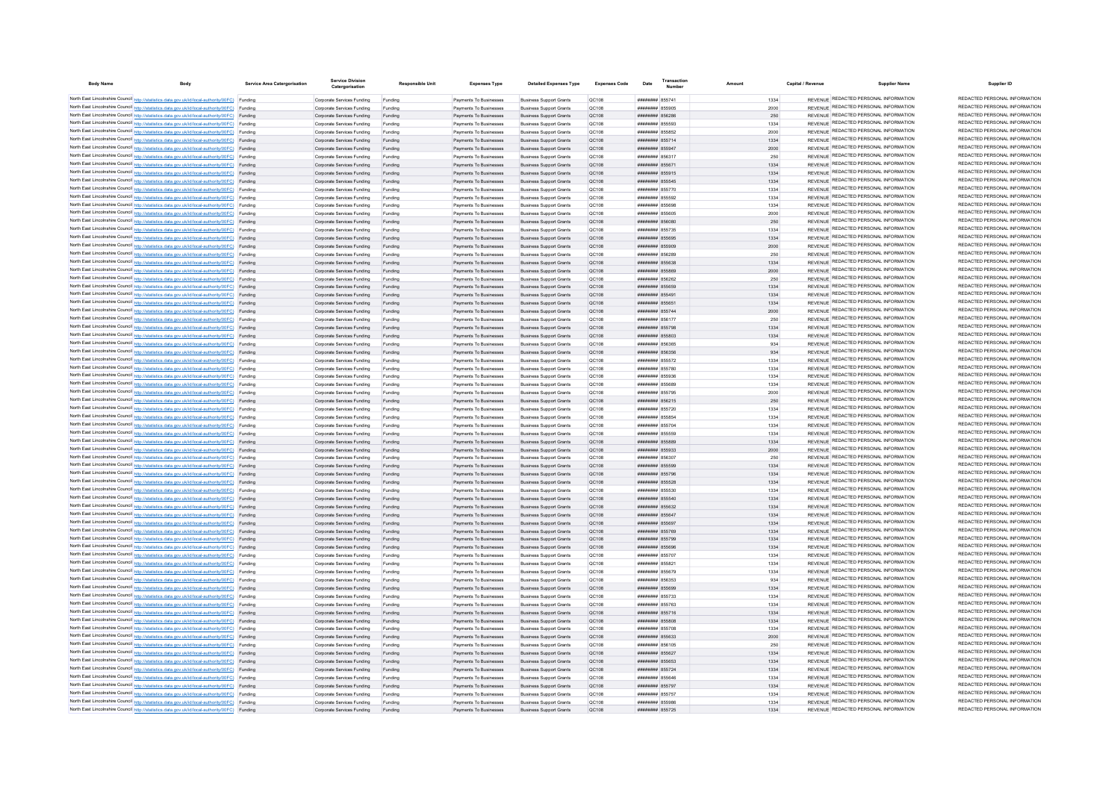| <b>Body Name</b> | Body                                                                                                                                                                                             | <b>Service Area Catergorisation</b> | <b>Service Division</b><br>Catergorisation               | <b>Responsible Unit</b> | <b>Expenses Type</b>                             | <b>Detailed Expenses Type</b>                                    | <b>Expenses Code</b>  | Date                                     | Transactio<br><b>Number</b> | Amoun        | Capital / Revenue | <b>Supplier Name</b>                                                           | Supplier ID                                                    |
|------------------|--------------------------------------------------------------------------------------------------------------------------------------------------------------------------------------------------|-------------------------------------|----------------------------------------------------------|-------------------------|--------------------------------------------------|------------------------------------------------------------------|-----------------------|------------------------------------------|-----------------------------|--------------|-------------------|--------------------------------------------------------------------------------|----------------------------------------------------------------|
|                  |                                                                                                                                                                                                  |                                     |                                                          |                         |                                                  |                                                                  |                       |                                          |                             |              |                   | REVENUE REDACTED PERSONAL INFORMATION                                          | REDACTED PERSONAL INFORMATION                                  |
|                  | North East Lincolnshire Council http://statistics.data.gov.uk/id/local-authority/00FC) Funding<br>North East Lincolnshire Council http://statistics.data.gov.uk/id/local-authority/00FC) Funding |                                     | Corporate Services Funding<br>Comorate Services Funding  | Funding<br>Funding      | Payments To Businesses<br>Payments To Businesses | <b>Business Support Grants</b><br><b>Business Sunnort Grants</b> | <b>QC108</b><br>OC108 | ####### 855741<br>####### 855905         |                             | 1334         |                   | REVENUE REDACTED PERSONAL INFORMATION                                          | REDACTED PERSONAL INFORMATION                                  |
|                  | North East Lincolnshire Council http://statistics.data.gov.uk/id/local-authority/00FC) Funding                                                                                                   |                                     | Comorate Services Funding                                | <b>Funding</b>          | Payments To Businesses                           | <b>Business Support Grants</b>                                   | OC108                 | ####### 856286                           |                             | 2000<br>250  |                   | REVENUE REDACTED PERSONAL INFORMATION                                          | REDACTED PERSONAL INFORMATION                                  |
|                  | North East Lincolnshire Council http://statistics.data.gov.uk/id/local-authority/00FC) Funding                                                                                                   |                                     | Corporate Services Funding                               | Funding                 | Payments To Businesses                           | <b>Business Support Grants</b>                                   | <b>QC108</b>          | ####### 855593                           |                             | 1334         |                   | REVENUE REDACTED PERSONAL INFORMATION                                          | REDACTED PERSONAL INFORMATION                                  |
|                  | North East Lincolnshire Council http://statistics.data.gov.uk/id/local-authority/00FC) Funding                                                                                                   |                                     | Corporate Services Funding                               | Funding                 | Payments To Businesses                           | <b>Business Support Grants</b>                                   | OC108                 | ####### 855852                           |                             | 2000         |                   | REVENUE REDACTED PERSONAL INFORMATION                                          | REDACTED PERSONAL INFORMATION                                  |
|                  | North East Lincolnshire Council http://statistics.data.gov.uk/id/local-authority/00FC) Funding                                                                                                   |                                     | Corporate Services Funding                               | Funding                 | Payments To Businesses                           | <b>Business Support Grants</b>                                   | QC108                 | ####### 855714                           |                             | 1334         |                   | REVENUE REDACTED PERSONAL INFORMATION                                          | REDACTED PERSONAL INFORMATION                                  |
|                  | North East Lincolnshire Council http://statistics.data.gov.uk/id/local-authority/00FC) Funding                                                                                                   |                                     | Corporate Services Funding                               | Funding                 | Payments To Businesses                           | <b>Business Support Grants</b>                                   | QC108                 | ####### 855947                           |                             | 2000         |                   | REVENUE REDACTED PERSONAL INFORMATION                                          | REDACTED PERSONAL INFORMATION                                  |
|                  | North East Lincolnshire Council http://statistics.data.gov.uk/id/local-authority/00FC) Funding                                                                                                   |                                     | Corporate Services Funding                               | Funding                 | Payments To Businesses                           | <b>Business Support Grants</b>                                   | QC108                 | ######## 856317                          |                             | 250          |                   | REVENUE REDACTED PERSONAL INFORMATION                                          | REDACTED PERSONAL INFORMATION                                  |
|                  | North East Lincolnshire Council http://statistics.data.gov.uk/id/local-authority/00FC) Funding                                                                                                   |                                     | Corporate Services Funding                               | Funding                 | Payments To Businesses                           | <b>Business Support Grants</b>                                   | QC108                 | ######## 855671                          |                             | 1334         |                   | REVENUE REDACTED PERSONAL INFORMATION                                          | REDACTED PERSONAL INFORMATION                                  |
|                  | North East Lincolnshire Council http://statistics.data.gov.uk/id/local-authority/00FC) Funding                                                                                                   |                                     | Corporate Services Funding                               | Funding                 | Payments To Businesses                           | <b>Business Support Grants</b>                                   | QC108                 | ######## 855915                          |                             | 1334         |                   | REVENUE REDACTED PERSONAL INFORMATION                                          | REDACTED PERSONAL INFORMATION                                  |
|                  | North East Lincolnshire Council http://statistics.data.gov.uk/id/local-authority/00FC) Funding                                                                                                   |                                     | Corporate Services Funding                               | Funding                 | Payments To Businesses                           | <b>Business Support Grants</b>                                   | QC108                 | ####### 855545                           |                             | 1334         |                   | REVENUE REDACTED PERSONAL INFORMATION                                          | REDACTED PERSONAL INFORMATION                                  |
|                  | North East Lincolnshire Council http://statistics.data.gov.uk/id/local-authority/00FC) Funding                                                                                                   |                                     | Corporate Services Funding                               | Funding                 | Payments To Businesses                           | <b>Business Support Grants</b>                                   | QC108                 | ####### 855770                           |                             | 1334         |                   | REVENUE REDACTED PERSONAL INFORMATION<br>REVENUE REDACTED PERSONAL INFORMATION | REDACTED PERSONAL INFORMATION<br>REDACTED PERSONAL INFORMATION |
|                  | North East Lincolnshire Council http://statistics.data.gov.uk/id/local-authority/00FC) Funding                                                                                                   |                                     | Corporate Services Funding                               | Funding                 | Payments To Businesses                           | <b>Business Support Grants</b>                                   | QC108                 | ####### 855592                           |                             | 1334         |                   | REVENUE REDACTED PERSONAL INFORMATION                                          | REDACTED PERSONAL INFORMATION                                  |
|                  | North East Lincolnshire Council http://statistics.data.gov.uk/id/local-authority/00FC) Funding<br>North East Lincolnshire Council http://statistics.data.gov.uk/id/local-authority/00FC) Funding |                                     | Corporate Services Funding<br>Comorate Services Funding  | Funding<br>Funding      | Payments To Businesses<br>Payments To Businesses | <b>Business Support Grants</b><br><b>Business Sunnort Grants</b> | <b>QC108</b><br>OC108 | ######## 855698<br>####### 855605        |                             | 1334<br>2000 |                   | <b>REVENUE REDACTED PERSONAL INFORMATION</b>                                   | REDACTED PERSONAL INFORMATION                                  |
|                  | North East Lincolnshire Council http://statistics.data.gov.uk/id/local-authority/00FC) Funding                                                                                                   |                                     | Comorate Services Funding                                | Funding                 | Payments To Businesses                           | <b>Business Support Grants</b>                                   | OC108                 | CRO224 BENERAL                           |                             | 250          |                   | REVENUE REDACTED PERSONAL INFORMATION                                          | REDACTED PERSONAL INFORMATION                                  |
|                  | North East Lincolnshire Council http://statistics.data.gov.uk/id/local-authority/00FC) Funding                                                                                                   |                                     | Corporate Services Funding                               | Funding                 | Payments To Businesses                           | <b>Business Support Grants</b>                                   | OC108                 | ######## 855735                          |                             | 1334         |                   | REVENUE REDACTED PERSONAL INFORMATION                                          | REDACTED PERSONAL INFORMATION                                  |
|                  | North East Lincolnshire Council http://statistics.data.gov.uk/id/local-authority/00FC) Funding                                                                                                   |                                     | Corporate Services Funding                               | Funding                 | Payments To Businesses                           | <b>Business Support Grants</b>                                   | QC108                 | ######## 855695                          |                             | 1334         |                   | REVENUE REDACTED PERSONAL INFORMATION                                          | REDACTED PERSONAL INFORMATION                                  |
|                  | North East Lincolnshire Council http://statistics.data.gov.uk/id/local-authority/00FC) Funding                                                                                                   |                                     | Corporate Services Funding                               | Funding                 | Payments To Businesses                           | <b>Business Support Grants</b>                                   | QC108                 | ######## 855909                          |                             | 2000         |                   | REVENUE REDACTED PERSONAL INFORMATION                                          | REDACTED PERSONAL INFORMATION                                  |
|                  | North East Lincolnshire Council http://statistics.data.gov.uk/id/local-authority/00FC) Funding                                                                                                   |                                     | Corporate Services Funding                               | Funding                 | Payments To Businesses                           | <b>Business Support Grants</b>                                   | QC108                 | ######## 856289                          |                             | 250          |                   | REVENUE REDACTED PERSONAL INFORMATION                                          | REDACTED PERSONAL INFORMATION                                  |
|                  | North East Lincolnshire Council http://statistics.data.gov.uk/id/local-authority/00FC) Funding                                                                                                   |                                     | Corporate Services Funding                               | Funding                 | Payments To Businesses                           | <b>Business Support Grants</b>                                   | <b>QC108</b>          | ######## 855638                          |                             | 1334         |                   | REVENUE REDACTED PERSONAL INFORMATION                                          | REDACTED PERSONAL INFORMATION                                  |
|                  | North East Lincolnshire Council http://statistics.data.gov.uk/id/local-authority/00FC) Funding                                                                                                   |                                     | Corporate Services Funding                               | Funding                 | Payments To Businesses                           | <b>Business Support Grants</b>                                   | OC108                 | ######## 855869                          |                             | 2000         |                   | REVENUE REDACTED PERSONAL INFORMATION                                          | REDACTED PERSONAL INFORMATION                                  |
|                  | North East Lincolnshire Council http://statistics.data.gov.uk/id/local-authority/00FC) Funding                                                                                                   |                                     | Corporate Services Funding                               | Funding                 | Payments To Businesser                           | <b>Business Support Grants</b>                                   | QC108                 | ####### 856262                           |                             | 250          |                   | REVENUE REDACTED PERSONAL INFORMATION                                          | REDACTED PERSONAL INFORMATION                                  |
|                  | North East Lincolnshire Council http://statistics.data.gov.uk/id/local-authority/00FC) Funding                                                                                                   |                                     | Corporate Services Funding                               | Funding                 | Payments To Businesser                           | <b>Business Support Grants</b>                                   | QC108                 | ####### 855659                           |                             | 1334         |                   | REVENUE REDACTED PERSONAL INFORMATION                                          | REDACTED PERSONAL INFORMATION                                  |
|                  | North East Lincolnshire Council http://statistics.data.gov.uk/id/local-authority/00FC) Funding                                                                                                   |                                     | Corporate Services Funding                               | Funding                 | Payments To Businesses                           | <b>Business Support Grants</b>                                   | QC108                 | ####### 85549                            |                             | 1334         |                   | REVENUE REDACTED PERSONAL INFORMATION                                          | REDACTED PERSONAL INFORMATION<br>REDACTED PERSONAL INFORMATION |
|                  | North East Lincolnshire Council http://statistics.data.gov.uk/id/local-authority/00FC) Funding                                                                                                   |                                     | Corporate Services Funding                               | Funding                 | Payments To Businesses                           | <b>Business Support Grants</b>                                   | QC108                 | ####### 85565                            |                             | 1334         |                   | REVENUE REDACTED PERSONAL INFORMATION<br>REVENUE REDACTED PERSONAL INFORMATION | REDACTED PERSONAL INFORMATION                                  |
|                  | North East Lincolnshire Council http://statistics.data.gov.uk/id/local-authority/00FC) Funding<br>North East Lincolnshire Council http://statistics.data.gov.uk/id/local-authority/00FC) Funding |                                     | Corporate Services Funding                               | Funding                 | Payments To Businesses                           | <b>Business Support Grants</b>                                   | QC108                 | ######## 855744                          |                             | 2000         |                   | REVENUE REDACTED PERSONAL INFORMATION                                          | REDACTED PERSONAL INFORMATION                                  |
|                  | North East Lincolnshire Council http://statistics.data.gov.uk/id/local-authority/00FC) Funding                                                                                                   |                                     | Corporate Services Funding                               | Funding                 | Payments To Businesses<br>Payments To Businesses | <b>Business Support Grants</b>                                   | QC108                 | <b>####### 856177</b><br>######## 855798 |                             | 250<br>1334  |                   | REVENUE REDACTED PERSONAL INFORMATION                                          | REDACTED PERSONAL INFORMATION                                  |
|                  | North East Lincolnshire Council http://statistics.data.gov.uk/id/local-authority/00FC) Funding                                                                                                   |                                     | Corporate Services Funding<br>Corporate Services Funding | Funding<br>Funding      | Payments To Businesses                           | <b>Business Support Grants</b><br><b>Business Support Grants</b> | <b>QC108</b><br>QC108 | ######## 855803                          |                             | 1334         |                   | REVENUE REDACTED PERSONAL INFORMATION                                          | REDACTED PERSONAL INFORMATION                                  |
|                  | North East Lincolnshire Council http://statistics.data.gov.uk/id/local-authority/00FC) Funding                                                                                                   |                                     | Corporate Services Funding                               | Funding                 | Payments To Businesses                           | <b>Business Support Grants</b>                                   | QC108                 | ####### 856365                           |                             | 934          |                   | REVENUE REDACTED PERSONAL INFORMATION                                          | REDACTED PERSONAL INFORMATION                                  |
|                  | North East Lincolnshire Council http://statistics.data.gov.uk/id/local-authority/00FC) Funding                                                                                                   |                                     | Corporate Services Funding                               | Funding                 | Payments To Businesses                           | <b>Business Support Grants</b>                                   | QC108                 | ####### 856356                           |                             | 934          |                   | REVENUE REDACTED PERSONAL INFORMATION                                          | REDACTED PERSONAL INFORMATION                                  |
|                  | North East Lincolnshire Council http://statistics.data.gov.uk/id/local-authority/00FC) Funding                                                                                                   |                                     | Corporate Services Funding                               | Funding                 | Payments To Businesses                           | <b>Business Support Grants</b>                                   | <b>QC108</b>          | ####### 855572                           |                             | 1334         |                   | REVENUE REDACTED PERSONAL INFORMATION                                          | REDACTED PERSONAL INFORMATION                                  |
|                  | North East Lincolnshire Council http://statistics.data.gov.uk/id/local-authority/00FC) Funding                                                                                                   |                                     | Corporate Services Funding                               | Funding                 | Payments To Businesses                           | <b>Business Support Grants</b>                                   | QC108                 | ######## 855780                          |                             | 1334         |                   | REVENUE REDACTED PERSONAL INFORMATION                                          | REDACTED PERSONAL INFORMATION                                  |
|                  | North East Lincolnshire Council http://statistics.data.gov.uk/id/local-authority/00FC) Funding                                                                                                   |                                     | Corporate Services Funding                               | Funding                 | Payments To Businesses                           | <b>Business Support Grants</b>                                   | OC108                 | ######## 855936                          |                             | 1334         |                   | REVENUE REDACTED PERSONAL INFORMATION                                          | REDACTED PERSONAL INFORMATION                                  |
|                  | North East Lincolnshire Council http://statistics.data.gov.uk/id/local-authority/00FC) Funding                                                                                                   |                                     | Corporate Services Funding                               | Funding                 | Payments To Businesses                           | <b>Business Support Grants</b>                                   | OC108                 | ####### 855689                           |                             | 1334         |                   | REVENUE REDACTED PERSONAL INFORMATION                                          | REDACTED PERSONAL INFORMATION                                  |
|                  | North East Lincolnshire Council http://statistics.data.gov.uk/id/local-authority/00FC) Funding                                                                                                   |                                     | Corporate Services Funding                               | Funding                 | Payments To Businesses                           | <b>Business Support Grants</b>                                   | QC108                 | ######## 855795                          |                             | 2000         |                   | REVENUE REDACTED PERSONAL INFORMATION                                          | REDACTED PERSONAL INFORMATION                                  |
|                  | North East Lincolnshire Council http://statistics.data.gov.uk/id/local-authority/00FC) Funding                                                                                                   |                                     | Corporate Services Funding                               | Funding                 | Payments To Businesses                           | <b>Business Support Grants</b>                                   | QC108                 | ####### 856215                           |                             | 250          |                   | REVENUE REDACTED PERSONAL INFORMATION                                          | REDACTED PERSONAL INFORMATION                                  |
|                  | North East Lincolnshire Council http://statistics.data.gov.uk/id/local-authority/00FC) Funding                                                                                                   |                                     | Corporate Services Funding                               |                         | Payments To Businesses                           | <b>Business Support Grants</b>                                   | <b>QC108</b>          | ######## 855720                          |                             | 1334         |                   | REVENUE REDACTED PERSONAL INFORMATION                                          | REDACTED PERSONAL INFORMATION                                  |
|                  | North East Lincolnshire Council http://statistics.data.gov.uk/id/local-authority/00FC) Funding                                                                                                   |                                     | Corporate Services Funding                               |                         | Payments To Businesses                           | <b>Business Support Grants</b>                                   | QC108                 | ######## 855854                          |                             | 1334         |                   | REVENUE REDACTED PERSONAL INFORMATION                                          | REDACTED PERSONAL INFORMATION<br>REDACTED PERSONAL INFORMATION |
|                  | North East Lincolnshire Council http://statistics.data.gov.uk/id/local-authority/00FC) Funding                                                                                                   |                                     | Corporate Services Funding                               | Funding                 | Payments To Businesses                           | <b>Business Support Grants</b>                                   | <b>QC108</b>          | ####### 855704<br>######## 855559        |                             | 1334         |                   | REVENUE REDACTED PERSONAL INFORMATION<br>REVENUE REDACTED PERSONAL INFORMATION | REDACTED PERSONAL INFORMATION                                  |
|                  | North East Lincolnshire Council http://statistics.data.gov.uk/id/local-authority/00FC) Funding                                                                                                   |                                     | Corporate Services Funding                               | Funding                 | Payments To Businesses<br>Payments To Businesses | <b>Business Support Grants</b><br><b>Business Support Grants</b> | <b>QC108</b><br>QC108 | ######## 855889                          |                             | 1334<br>1334 |                   | REVENUE REDACTED PERSONAL INFORMATION                                          | REDACTED PERSONAL INFORMATION                                  |
|                  | North East Lincolnshire Council http://statistics.data.gov.uk/id/local-authority/00FC) Funding<br>North East Lincolnshire Council http://statistics.data.gov.uk/id/local-authority/00FC) Funding |                                     | Corporate Services Funding<br>Corporate Services Funding | Funding<br>Funding      | Payments To Businesses                           | <b>Business Support Grants</b>                                   | QC108                 | ######## 855933                          |                             | 2000         |                   | REVENUE REDACTED PERSONAL INFORMATION                                          | REDACTED PERSONAL INFORMATION                                  |
|                  | North East Lincolnshire Council http://statistics.data.gov.uk/id/local-authority/00FC) Funding                                                                                                   |                                     | Corporate Services Funding                               |                         | Payments To Businesses                           | <b>Business Support Grants</b>                                   | QC108                 | ######## 856307                          |                             | 250          |                   | REVENUE REDACTED PERSONAL INFORMATION                                          | REDACTED PERSONAL INFORMATION                                  |
|                  | North East Lincolnshire Council http://statistics.data.gov.uk/id/local-authority/00FC) Funding                                                                                                   |                                     | Corporate Services Funding                               | Funding                 | Payments To Businesses                           | <b>Business Support Grants</b>                                   | QC108                 | ####### 855599                           |                             | 1334         |                   | REVENUE REDACTED PERSONAL INFORMATION                                          | REDACTED PERSONAL INFORMATION                                  |
|                  | North East Lincolnshire Council http://statistics.data.gov.uk/id/local-authority/00FC) Funding                                                                                                   |                                     | Corporate Services Funding                               | Funding                 | Payments To Businesses                           | <b>Business Support Grants</b>                                   | QC108                 | ######## 855796                          |                             | 1334         |                   | REVENUE REDACTED PERSONAL INFORMATION                                          | REDACTED PERSONAL INFORMATION                                  |
|                  | North East Lincolnshire Council http://statistics.data.gov.uk/id/local-authority/00FC) Funding                                                                                                   |                                     | Corporate Services Funding                               | Funding                 | Payments To Businesses                           | <b>Business Support Grants</b>                                   | <b>QC108</b>          | ######## 855528                          |                             | 1334         |                   | REVENUE REDACTED PERSONAL INFORMATION                                          | REDACTED PERSONAL INFORMATION                                  |
|                  | North East Lincolnshire Council http://statistics.data.gov.uk/id/local-authority/00FC) Funding                                                                                                   |                                     | Corporate Services Funding                               | Funding                 | Payments To Businesser                           | <b>Business Support Grants</b>                                   | QC108                 | ####### 855530                           |                             | 1334         |                   | REVENUE REDACTED PERSONAL INFORMATION                                          | REDACTED PERSONAL INFORMATION                                  |
|                  | North East Lincolnshire Council http://statistics.data.gov.uk/id/local-authority/00FC) Funding                                                                                                   |                                     | Corporate Services Funding                               | Funding                 | Payments To Businesser                           | <b>Business Support Grants</b>                                   | QC108                 | ######## 855540                          |                             | 1334         |                   | REVENUE REDACTED PERSONAL INFORMATION                                          | REDACTED PERSONAL INFORMATION                                  |
|                  | North East Lincolnshire Council http://statistics.data.gov.uk/id/local-authority/00FC) Funding                                                                                                   |                                     | Corporate Services Funding                               | Funding                 | Payments To Businesser                           | <b>Business Support Grants</b>                                   | QC108                 | ######## 855632                          |                             | 1334         |                   | REVENUE REDACTED PERSONAL INFORMATION                                          | REDACTED PERSONAL INFORMATION                                  |
|                  | North East Lincolnshire Council http://statistics.data.gov.uk/id/local-authority/00FC) Funding                                                                                                   |                                     | Corporate Services Funding                               | Funding                 | Payments To Businesses                           | <b>Business Support Grants</b>                                   | <b>QC108</b>          | ######## 855647                          |                             | 1334         |                   | REVENUE REDACTED PERSONAL INFORMATION                                          | REDACTED PERSONAL INFORMATION                                  |
|                  | North East Lincolnshire Council http://statistics.data.gov.uk/id/local-authority/00FC) Funding                                                                                                   |                                     | Corporate Services Funding                               | Funding                 | Payments To Businesses                           | <b>Business Support Grants</b>                                   | <b>QC108</b>          | ######## 855697                          |                             | 1334         |                   | REVENUE REDACTED PERSONAL INFORMATION                                          | REDACTED PERSONAL INFORMATION<br>REDACTED PERSONAL INFORMATION |
|                  | North East Lincolnshire Council http://statistics.data.gov.uk/id/local-authority/00FC) Funding                                                                                                   |                                     | Comorate Services Funding                                | Funding                 | Payments To Businesses                           | <b>Business Sunnort Grants</b>                                   | OC108                 | ######## 855769                          |                             | 1334         |                   | REVENUE REDACTED PERSONAL INFORMATION                                          | REDACTED PERSONAL INFORMATION                                  |
|                  | North East Lincolnshire Council http://statistics.data.gov.uk/id/local-authority/00FC) Funding                                                                                                   |                                     | Corporate Services Funding                               | Funding                 | Payments To Businesses                           | <b>Business Support Grants</b>                                   | QC108                 | ######## 855799                          |                             | 1334         |                   | REVENUE REDACTED PERSONAL INFORMATION<br>REVENUE REDACTED PERSONAL INFORMATION | REDACTED PERSONAL INFORMATION                                  |
|                  | North East Lincolnshire Council http://statistics.data.gov.uk/id/local-authority/00FC) Funding<br>North East Lincolnshire Council http://statistics.data.gov.uk/id/local-authority/00FC) Funding |                                     | Corporate Services Funding<br>Corporate Services Funding | Funding<br>Funding      | Payments To Businesses<br>Payments To Businesses | <b>Business Support Grants</b><br><b>Business Support Grants</b> | OC108<br>QC108        | ######## 855696<br>######## 855707       |                             | 1334<br>1334 |                   | REVENUE REDACTED PERSONAL INFORMATION                                          | REDACTED PERSONAL INFORMATION                                  |
|                  | North East Lincolnshire Council http://statistics.data.gov.uk/id/local-authority/00FC) Funding                                                                                                   |                                     | Corporate Services Funding                               | Funding                 | Payments To Businesses                           | <b>Business Support Grants</b>                                   | QC108                 | ######## 855821                          |                             | 1334         |                   | REVENUE REDACTED PERSONAL INFORMATION                                          | REDACTED PERSONAL INFORMATION                                  |
|                  | North East Lincolnshire Council http://statistics.data.gov.uk/id/local-authority/00FC) Funding                                                                                                   |                                     | Corporate Services Funding                               | Funding                 | Payments To Businesses                           | <b>Business Support Grants</b>                                   | QC108                 | ######## 855679                          |                             | 1334         |                   | REVENUE REDACTED PERSONAL INFORMATION                                          | REDACTED PERSONAL INFORMATION                                  |
|                  | North East Lincolnshire Council http://statistics.data.gov.uk/id/local-authority/00FC) Funding                                                                                                   |                                     | Corporate Services Funding                               | Funding                 | Payments To Businesses                           | <b>Business Support Grants</b>                                   | <b>QC108</b>          | ######## 856353                          |                             | 934          |                   | REVENUE REDACTED PERSONAL INFORMATION                                          | REDACTED PERSONAL INFORMATION                                  |
|                  | North East Lincolnshire Council http://statistics.data.gov.uk/id/local-authority/00FC) Funding                                                                                                   |                                     | Corporate Services Funding                               | Funding                 | Payments To Businesses                           | <b>Business Support Grants</b>                                   | QC108                 | ######## 855699                          |                             | 1334         |                   | REVENUE REDACTED PERSONAL INFORMATION                                          | REDACTED PERSONAL INFORMATION                                  |
|                  | North East Lincolnshire Council http://statistics.data.gov.uk/id/local-authority/00FC) Funding                                                                                                   |                                     | Corporate Services Funding                               | Funding                 | Payments To Businesses                           | <b>Business Support Grants</b>                                   | <b>QC108</b>          | ####### 855733                           |                             | 1334         |                   | REVENUE REDACTED PERSONAL INFORMATION                                          | REDACTED PERSONAL INFORMATION                                  |
|                  | North East Lincolnshire Council http://statistics.data.gov.uk/id/local-authority/00FC) Funding                                                                                                   |                                     | Corporate Services Funding                               | Funding                 | Payments To Businesses                           | <b>Business Support Grants</b>                                   | <b>QC108</b>          | ######## 855763                          |                             | 1334         |                   | REVENUE REDACTED PERSONAL INFORMATION                                          | REDACTED PERSONAL INFORMATION                                  |
|                  | North East Lincolnshire Council http://statistics.data.gov.uk/id/local-authority/00FC) Funding                                                                                                   |                                     | Corporate Services Funding                               |                         | Payments To Businesses                           | <b>Business Support Grants</b>                                   | QC108                 | ######## 855716                          |                             | 1334         |                   | REVENUE REDACTED PERSONAL INFORMATION                                          | REDACTED PERSONAL INFORMATION                                  |
|                  | North East Lincolnshire Council http://statistics.data.gov.uk/id/local-authority/00FC) Funding                                                                                                   |                                     | Corporate Services Funding                               |                         | Payments To Businesses                           | <b>Business Support Grants</b>                                   | QC108                 | ####### 855808                           |                             | 1334         |                   | REVENUE REDACTED PERSONAL INFORMATION                                          | REDACTED PERSONAL INFORMATION                                  |
|                  | North East Lincolnshire Council http://statistics.data.gov.uk/id/local-authority/00FC) Funding                                                                                                   |                                     | Corporate Services Funding                               | Funding                 | Payments To Businesses                           | <b>Business Support Grants</b>                                   | QC108                 | ####### 855708                           |                             | 1334         |                   | REVENUE REDACTED PERSONAL INFORMATION                                          | REDACTED PERSONAL INFORMATION                                  |
|                  | North East Lincolnshire Council http://statistics.data.gov.uk/id/local-authority/00FC) Funding                                                                                                   |                                     | Corporate Services Funding                               | Funding                 | Payments To Businesses                           | <b>Business Support Grants</b>                                   | <b>QC108</b>          | ######## 855633                          |                             | 2000         |                   | REVENUE REDACTED PERSONAL INFORMATION                                          | REDACTED PERSONAL INFORMATION                                  |
|                  | North East Lincolnshire Council http://statistics.data.gov.uk/id/local-authority/00FC) Funding                                                                                                   |                                     | Corporate Services Funding                               | Funding                 | Payments To Businesses                           | <b>Business Support Grants</b>                                   | <b>QC108</b>          | ######## 856105                          |                             | 250          |                   | REVENUE REDACTED PERSONAL INFORMATION                                          | REDACTED PERSONAL INFORMATION                                  |
|                  | North East Lincolnshire Council http://statistics.data.gov.uk/id/local-authority/00FC) Funding                                                                                                   |                                     | Corporate Services Funding                               | Funding                 | Payments To Businesses                           | <b>Business Support Grants</b>                                   | QC108                 | ####### 855627                           |                             | 1334         |                   | REVENUE REDACTED PERSONAL INFORMATION<br>REVENUE REDACTED PERSONAL INFORMATION | REDACTED PERSONAL INFORMATION<br>REDACTED PERSONAL INFORMATION |
|                  | North East Lincolnshire Council http://statistics.data.gov.uk/id/local-authority/00FC) Funding                                                                                                   |                                     | Corporate Services Funding                               | Funding                 | Payments To Businesses                           | <b>Business Support Grants</b>                                   | QC108                 | ######## 855653                          |                             | 1334         |                   | REVENUE REDACTED PERSONAL INFORMATION                                          | REDACTED PERSONAL INFORMATION                                  |
|                  | North East Lincolnshire Council http://statistics.data.gov.uk/id/local-authority/00FC) Funding                                                                                                   |                                     | Corporate Services Funding<br>Corporate Services Funding | Funding                 | Payments To Businesses<br>Payments To Businesses | <b>Business Support Grants</b><br><b>Business Support Grants</b> | QC108                 | ######## 855724<br>####### 855646        |                             | 1334<br>1334 |                   | REVENUE REDACTED PERSONAL INFORMATION                                          | REDACTED PERSONAL INFORMATION                                  |
|                  | North East Lincolnshire Council http://statistics.data.gov.uk/id/local-authority/00FC) Funding<br>North East Lincolnshire Council http://statistics.data.gov.uk/id/local-authority/00FC) Funding |                                     | Corporate Services Funding                               | Funding<br>Funding      | Payments To Businesses                           | <b>Business Support Grants</b>                                   | <b>QC108</b><br>OC108 | ######## 855797                          |                             | 1334         |                   | REVENUE REDACTED PERSONAL INFORMATION                                          | REDACTED PERSONAL INFORMATION                                  |
|                  | North East Lincolnshire Council http://statistics.data.gov.uk/id/local-authority/00FC) Funding                                                                                                   |                                     | Corporate Services Funding                               | Funding                 | Payments To Businesses                           | <b>Business Sunnort Grants</b>                                   | OC108                 | ######## 855757                          |                             | 1334         |                   | REVENUE REDACTED PERSONAL INFORMATION                                          | REDACTED PERSONAL INFORMATION                                  |
|                  | North East Lincolnshire Council http://statistics.data.gov.uk/id/local-authority/00FC) Funding                                                                                                   |                                     | Corporate Services Funding                               | Funding                 | Payments To Businesses                           | <b>Business Support Grants</b>                                   | QC108                 | ######## 855986                          |                             | 1334         |                   | REVENUE REDACTED PERSONAL INFORMATION                                          | REDACTED PERSONAL INFORMATION                                  |
|                  | North East Lincolnshire Council http://statistics.data.gov.uk/id/local-authority/00FC) Funding                                                                                                   |                                     | Corporate Services Funding                               | Funding                 | Payments To Businesse                            | <b>Business Support Grants</b>                                   | QC108                 | ######## 855725                          |                             | 1334         |                   | REVENUE REDACTED PERSONAL INFORMATION                                          | REDACTED PERSONAL INFORMATION                                  |
|                  |                                                                                                                                                                                                  |                                     |                                                          |                         |                                                  |                                                                  |                       |                                          |                             |              |                   |                                                                                |                                                                |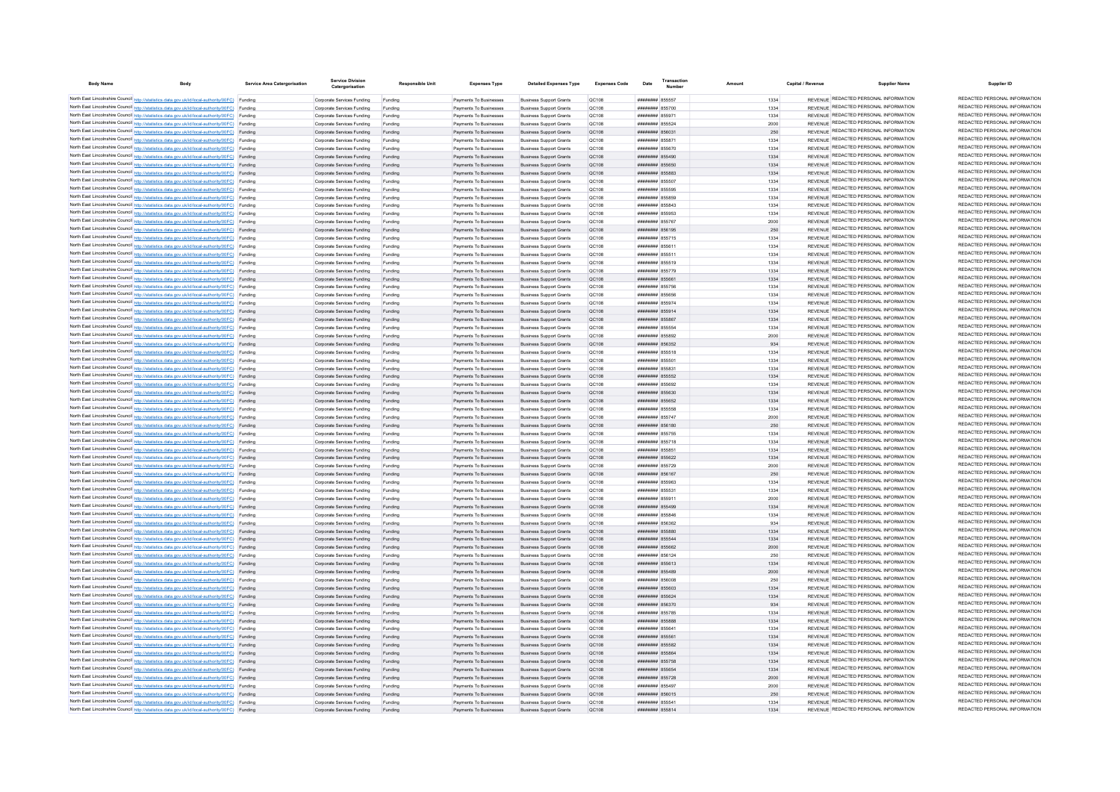| <b>Body Name</b> | Body                                                                                                                                                                                             | <b>Service Area Catergorisation</b> | <b>Service Division</b><br>Catergorisation               | <b>Responsible Unit</b> | <b>Expenses Type</b>                             | <b>Detailed Expenses Type</b>                                    | <b>Expenses Code</b> | Date                                      | Transactio<br><b>Number</b> | Amoun        | Capital / Revenue | <b>Supplier Name</b>                                                           | Supplier ID                                                    |
|------------------|--------------------------------------------------------------------------------------------------------------------------------------------------------------------------------------------------|-------------------------------------|----------------------------------------------------------|-------------------------|--------------------------------------------------|------------------------------------------------------------------|----------------------|-------------------------------------------|-----------------------------|--------------|-------------------|--------------------------------------------------------------------------------|----------------------------------------------------------------|
|                  | North East Lincolnshire Council http://statistics.data.gov.uk/id/local-authority/00FC) Funding                                                                                                   |                                     | Corporate Services Funding                               | Funding                 | Payments To Businesses                           | <b>Business Support Grants</b>                                   | <b>QC108</b>         | ####### 855557                            |                             | 1334         |                   | REVENUE REDACTED PERSONAL INFORMATION                                          | REDACTED PERSONAL INFORMATION                                  |
|                  | North East Lincolnshire Council http://statistics.data.gov.uk/id/local-authority/00FC) Funding                                                                                                   |                                     | Corporate Services Funding                               | Funding                 | Payments To Businesses                           | <b>Business Support Grants</b>                                   | OC108                | ######## 855700                           |                             | 1334         |                   | REVENUE REDACTED PERSONAL INFORMATION                                          | REDACTED PERSONAL INFORMATION                                  |
|                  | North East Lincolnshire Council http://statistics.data.gov.uk/id/local-authority/00FC) Funding                                                                                                   |                                     | Comorate Services Funding                                | Funding                 | Payments To Businesses                           | <b>Business Support Grants</b>                                   | OC108                | ######## 855971                           |                             | 1334         |                   | REVENUE REDACTED PERSONAL INFORMATION                                          | REDACTED PERSONAL INFORMATION                                  |
|                  | North East Lincolnshire Council http://statistics.data.gov.uk/id/local-authority/00FC) Funding                                                                                                   |                                     | Corporate Services Funding                               | Funding                 | Payments To Businesses                           | <b>Business Support Grants</b>                                   | <b>QC108</b>         | ####### 855524                            |                             | 2000         |                   | REVENUE REDACTED PERSONAL INFORMATION                                          | REDACTED PERSONAL INFORMATION                                  |
|                  | North East Lincolnshire Council http://statistics.data.gov.uk/id/local-authority/00FC) Funding                                                                                                   |                                     | Corporate Services Funding                               | Funding                 | Payments To Businesses                           | <b>Business Support Grants</b>                                   | QC108                | ######## 856031                           |                             | 250          |                   | REVENUE REDACTED PERSONAL INFORMATION                                          | REDACTED PERSONAL INFORMATION                                  |
|                  | North East Lincolnshire Council http://statistics.data.gov.uk/id/local-authority/00FC) Funding                                                                                                   |                                     | Corporate Services Funding                               | Funding                 | Payments To Businesses                           | <b>Business Support Grants</b>                                   | QC108                | ####### 855871                            |                             | 1334         |                   | REVENUE REDACTED PERSONAL INFORMATION                                          | REDACTED PERSONAL INFORMATION                                  |
|                  | North East Lincolnshire Council http://statistics.data.gov.uk/id/local-authority/00FC) Funding                                                                                                   |                                     | Corporate Services Funding                               | Funding                 | Payments To Businesses                           | <b>Business Support Grants</b>                                   | QC108                | ####### 855670                            |                             | 1334         |                   | REVENUE REDACTED PERSONAL INFORMATION                                          | REDACTED PERSONAL INFORMATION                                  |
|                  | North East Lincolnshire Council http://statistics.data.gov.uk/id/local-authority/00FC) Funding                                                                                                   |                                     | Corporate Services Funding                               | Funding                 | Payments To Businesses                           | <b>Business Support Grants</b>                                   | QC108                | ######## 855490                           |                             | 1334         |                   | REVENUE REDACTED PERSONAL INFORMATION                                          | REDACTED PERSONAL INFORMATION                                  |
|                  | North East Lincolnshire Council http://statistics.data.gov.uk/id/local-authority/00FC) Funding                                                                                                   |                                     | Corporate Services Funding                               | Funding                 | Payments To Businesses                           | <b>Business Support Grants</b>                                   | QC108                | ######## 855650                           |                             | 1334         |                   | REVENUE REDACTED PERSONAL INFORMATION                                          | REDACTED PERSONAL INFORMATION<br>REDACTED PERSONAL INFORMATION |
|                  | North East Lincolnshire Council http://statistics.data.gov.uk/id/local-authority/00FC) Funding                                                                                                   |                                     | Corporate Services Funding                               | Funding                 | Payments To Businesses                           | <b>Business Support Grants</b>                                   | <b>QC108</b>         | ######## 855883                           |                             | 1334         |                   | REVENUE REDACTED PERSONAL INFORMATION<br>REVENUE REDACTED PERSONAL INFORMATION | REDACTED PERSONAL INFORMATION                                  |
|                  | North East Lincolnshire Council http://statistics.data.gov.uk/id/local-authority/00FC) Funding                                                                                                   |                                     | Corporate Services Funding                               | Funding                 | Payments To Businesses                           | <b>Business Support Grants</b>                                   | QC108                | <b>########</b> 855507                    |                             | 1334         |                   | <b>REVENUE REDACTED PERSONAL INFORMATION</b>                                   | REDACTED PERSONAL INFORMATION                                  |
|                  | North East Lincolnshire Council http://statistics.data.gov.uk/id/local-authority/00FC) Funding                                                                                                   |                                     | Corporate Services Funding<br>Corporate Services Funding | Funding                 | Payments To Businesses<br>Payments To Businesses | <b>Business Support Grants</b><br><b>Business Support Grants</b> | QC108<br>QC108       | ######## 855595<br>####### 855859         |                             | 1334<br>1334 |                   | REVENUE REDACTED PERSONAL INFORMATION                                          | REDACTED PERSONAL INFORMATION                                  |
|                  | North East Lincolnshire Council http://statistics.data.gov.uk/id/local-authority/00FC) Funding<br>North East Lincolnshire Council http://statistics.data.gov.uk/id/local-authority/00FC) Funding |                                     | Corporate Services Funding                               | Funding<br>Funding      | Payments To Businesses                           | <b>Business Support Grants</b>                                   | <b>QC108</b>         | ######## 855843                           |                             | 1334         |                   | REVENUE REDACTED PERSONAL INFORMATION                                          | REDACTED PERSONAL INFORMATION                                  |
|                  | North East Lincolnshire Council http://statistics.data.gov.uk/id/local-authority/00FC) Funding                                                                                                   |                                     | Corporate Services Funding                               | Funding                 | Payments To Businesses                           | <b>Business Support Grants</b>                                   | OC108                | ######## 855953                           |                             | 1334         |                   | REVENUE REDACTED PERSONAL INFORMATION                                          | REDACTED PERSONAL INFORMATION                                  |
|                  | North East Lincolnshire Council http://statistics.data.gov.uk/id/local-authority/00FC) Funding                                                                                                   |                                     | Comorate Services Funding                                | Funding                 | Payments To Businesses                           | <b>Business Sunnort Grants</b>                                   | OC108                | ######## 855767                           |                             | 2000         |                   | REVENUE REDACTED PERSONAL INFORMATION                                          | REDACTED PERSONAL INFORMATION                                  |
|                  | North East Lincolnshire Council http://statistics.data.gov.uk/id/local-authority/00FC) Funding                                                                                                   |                                     | Corporate Services Funding                               | Funding                 | Payments To Businesses                           | <b>Business Support Grants</b>                                   | <b>QC108</b>         | ####### 856195                            |                             | 250          |                   | REVENUE REDACTED PERSONAL INFORMATION                                          | REDACTED PERSONAL INFORMATION                                  |
|                  | North East Lincolnshire Council http://statistics.data.gov.uk/id/local-authority/00FC) Funding                                                                                                   |                                     | Corporate Services Funding                               | Funding                 | Payments To Businesses                           | <b>Business Support Grants</b>                                   | <b>QC108</b>         | ####### 855715                            |                             | 1334         |                   | REVENUE REDACTED PERSONAL INFORMATION                                          | REDACTED PERSONAL INFORMATION                                  |
|                  | North East Lincolnshire Council http://statistics.data.gov.uk/id/local-authority/00FC) Funding                                                                                                   |                                     | Corporate Services Funding                               | Funding                 | Payments To Businesses                           | <b>Business Support Grants</b>                                   | OC108                | ####### 855611                            |                             | 1334         |                   | REVENUE REDACTED PERSONAL INFORMATION                                          | REDACTED PERSONAL INFORMATION                                  |
|                  | North East Lincolnshire Council http://statistics.data.gov.uk/id/local-authority/00FC) Funding                                                                                                   |                                     | Corporate Services Funding                               | Funding                 | Payments To Businesses                           | <b>Business Support Grants</b>                                   | QC108                | ####### 855511                            |                             | 1334         |                   | REVENUE REDACTED PERSONAL INFORMATION                                          | REDACTED PERSONAL INFORMATION                                  |
|                  | North East Lincolnshire Council http://statistics.data.gov.uk/id/local-authority/00FC) Funding                                                                                                   |                                     | Corporate Services Funding                               | Funding                 | Payments To Businesses                           | <b>Business Support Grants</b>                                   | QC108                | ####### 855519                            |                             | 1334         |                   | REVENUE REDACTED PERSONAL INFORMATION                                          | REDACTED PERSONAL INFORMATION                                  |
|                  | North East Lincolnshire Council http://statistics.data.gov.uk/id/local-authority/00FC) Funding                                                                                                   |                                     | Corporate Services Funding                               | Funding                 | Payments To Businesser                           | <b>Business Support Grants</b>                                   | QC108                | ####### 855779                            |                             | 1334         |                   | REVENUE REDACTED PERSONAL INFORMATION                                          | REDACTED PERSONAL INFORMATION<br>REDACTED PERSONAL INFORMATION |
|                  | North East Lincolnshire Council http://statistics.data.gov.uk/id/local-authority/00FC) Funding                                                                                                   |                                     | Corporate Services Funding                               | Funding                 | Payments To Businesses                           | <b>Business Support Grants</b>                                   | QC108                | ######## 855661                           |                             | 1334         |                   | REVENUE REDACTED PERSONAL INFORMATION<br>REVENUE REDACTED PERSONAL INFORMATION | REDACTED PERSONAL INFORMATION                                  |
|                  | North East Lincolnshire Council http://statistics.data.gov.uk/id/local-authority/00FC) Funding                                                                                                   |                                     | Corporate Services Funding                               | Funding                 | Payments To Businesser                           | <b>Business Support Grants</b>                                   | QC108                | ######## 855756                           |                             | 1334         |                   | REVENUE REDACTED PERSONAL INFORMATION                                          | REDACTED PERSONAL INFORMATION                                  |
|                  | North East Lincolnshire Council http://statistics.data.gov.uk/id/local-authority/00FC) Funding<br>North East Lincolnshire Council http://statistics.data.gov.uk/id/local-authority/00FC) Funding |                                     | Corporate Services Funding                               | Funding                 | Payments To Businesses                           | <b>Business Support Grants</b>                                   | QC108                | ######## 855656<br><b>######## 855974</b> |                             | 1334         |                   | REVENUE REDACTED PERSONAL INFORMATION                                          | REDACTED PERSONAL INFORMATION                                  |
|                  | North East Lincolnshire Council http://statistics.data.gov.uk/id/local-authority/00FC) Funding                                                                                                   |                                     | Corporate Services Funding<br>Corporate Services Funding | Funding<br>Funding      | Payments To Businesser<br>Payments To Businesses | <b>Business Support Grants</b><br><b>Business Support Grants</b> | QC108<br>QC108       | ####### 855914                            |                             | 1334<br>1334 |                   | REVENUE REDACTED PERSONAL INFORMATION                                          | REDACTED PERSONAL INFORMATION                                  |
|                  | North East Lincolnshire Council http://statistics.data.gov.uk/id/local-authority/00FC) Funding                                                                                                   |                                     | Corporate Services Funding                               | Funding                 | Payments To Businesses                           | <b>Business Support Grants</b>                                   | QC108                | ######## 855867                           |                             | 1334         |                   | REVENUE REDACTED PERSONAL INFORMATION                                          | REDACTED PERSONAL INFORMATION                                  |
|                  | North East Lincolnshire Council http://statistics.data.gov.uk/id/local-authority/00FC) Funding                                                                                                   |                                     | Comorate Services Funding                                | Funding                 | Payments To Businesses                           | <b>Business Support Grants</b>                                   | OC108                | ######## 855554                           |                             | 1334         |                   | REVENUE REDACTED PERSONAL INFORMATION                                          | REDACTED PERSONAL INFORMATION                                  |
|                  | North East Lincolnshire Council http://statistics.data.gov.uk/id/local-authority/00FC) Funding                                                                                                   |                                     | Corporate Services Funding                               | Funding                 | Payments To Businesses                           | <b>Business Support Grants</b>                                   | QC108                | ######## 855892                           |                             | 2000         |                   | REVENUE REDACTED PERSONAL INFORMATION                                          | REDACTED PERSONAL INFORMATION                                  |
|                  | North East Lincolnshire Council http://statistics.data.gov.uk/id/local-authority/00FC) Funding                                                                                                   |                                     | Corporate Services Funding                               | Funding                 | Payments To Businesses                           | <b>Business Support Grants</b>                                   | QC108                | ######## 856352                           |                             | 934          |                   | REVENUE REDACTED PERSONAL INFORMATION                                          | REDACTED PERSONAL INFORMATION                                  |
|                  | North East Lincolnshire Council http://statistics.data.gov.uk/id/local-authority/00FC) Funding                                                                                                   |                                     | Corporate Services Funding                               | Funding                 | Payments To Businesses                           | <b>Business Support Grants</b>                                   | QC108                | ####### 855518                            |                             | 1334         |                   | REVENUE REDACTED PERSONAL INFORMATION                                          | REDACTED PERSONAL INFORMATION                                  |
|                  | North East Lincolnshire Council http://statistics.data.gov.uk/id/local-authority/00FC) Funding                                                                                                   |                                     | Corporate Services Funding                               | Funding                 | Payments To Businesses                           | <b>Business Support Grants</b>                                   | QC108                | ####### 855501                            |                             | 1334         |                   | REVENUE REDACTED PERSONAL INFORMATION                                          | REDACTED PERSONAL INFORMATION                                  |
|                  | North East Lincolnshire Council http://statistics.data.gov.uk/id/local-authority/00FC) Funding                                                                                                   |                                     | Corporate Services Funding                               | Funding                 | Payments To Businesses                           | <b>Business Support Grants</b>                                   | QC108                | ####### 855831                            |                             | 1334         |                   | REVENUE REDACTED PERSONAL INFORMATION                                          | REDACTED PERSONAL INFORMATION                                  |
|                  | North East Lincolnshire Council http://statistics.data.gov.uk/id/local-authority/00FC) Funding                                                                                                   |                                     | Corporate Services Funding                               | Funding                 | Payments To Businesses                           | <b>Business Support Grants</b>                                   | QC108                | ######## 855552                           |                             | 1334         |                   | REVENUE REDACTED PERSONAL INFORMATION                                          | REDACTED PERSONAL INFORMATION                                  |
|                  | North East Lincolnshire Council http://statistics.data.gov.uk/id/local-authority/00FC) Funding                                                                                                   |                                     | Corporate Services Funding                               | Funding                 | Payments To Businesses                           | <b>Business Support Grants</b>                                   | QC108                | ######## 855692                           |                             | 1334         |                   | REVENUE REDACTED PERSONAL INFORMATION                                          | REDACTED PERSONAL INFORMATION                                  |
|                  | North East Lincolnshire Council http://statistics.data.gov.uk/id/local-authority/00FC) Funding                                                                                                   |                                     | Corporate Services Funding                               | Funding                 | Payments To Businesses                           | <b>Business Support Grants</b>                                   | QC108                | ######## 855630                           |                             | 1334         |                   | REVENUE REDACTED PERSONAL INFORMATION                                          | REDACTED PERSONAL INFORMATION<br>REDACTED PERSONAL INFORMATION |
|                  | North East Lincolnshire Council http://statistics.data.gov.uk/id/local-authority/00FC) Funding                                                                                                   |                                     | Corporate Services Funding                               | Funding                 | Payments To Businesses                           | <b>Business Support Grants</b>                                   | QC108                | ######## 855652                           |                             | 1334         |                   | REVENUE REDACTED PERSONAL INFORMATION<br>REVENUE REDACTED PERSONAL INFORMATION | REDACTED PERSONAL INFORMATION                                  |
|                  | North East Lincolnshire Council http://statistics.data.gov.uk/id/local-authority/00FC) Funding                                                                                                   |                                     | Corporate Services Funding                               |                         | Payments To Businesses                           | <b>Business Support Grants</b>                                   | QC108                | ####### 855558                            |                             | 1334         |                   | REVENUE REDACTED PERSONAL INFORMATION                                          | REDACTED PERSONAL INFORMATION                                  |
|                  | North East Lincolnshire Council http://statistics.data.gov.uk/id/local-authority/00FC) Funding<br>North East Lincolnshire Council http://statistics.data.gov.uk/id/local-authority/00FC) Funding |                                     | Corporate Services Funding<br>Corporate Services Funding |                         | Payments To Businesses<br>Payments To Businesses | <b>Business Support Grants</b><br><b>Business Support Grants</b> | QC108<br>QC108       | ####### 855747<br>######## 856180         |                             | 2000<br>250  |                   | REVENUE REDACTED PERSONAL INFORMATION                                          | REDACTED PERSONAL INFORMATION                                  |
|                  | North East Lincolnshire Council http://statistics.data.gov.uk/id/local-authority/00FC) Funding                                                                                                   |                                     | Comorate Services Funding                                | Funding<br>Funding      | Payments To Businesses                           | <b>Business Support Grants</b>                                   | OC108                | ####### 855755                            |                             | 1334         |                   | REVENUE REDACTED PERSONAL INFORMATION                                          | REDACTED PERSONAL INFORMATION                                  |
|                  | North East Lincolnshire Council http://statistics.data.gov.uk/id/local-authority/00FC) Funding                                                                                                   |                                     | Comorate Services Funding                                | Funding                 | Payments To Businesses                           | <b>Business Support Grants</b>                                   | OC108                | ######## 855718                           |                             | 1334         |                   | REVENUE REDACTED PERSONAL INFORMATION                                          | REDACTED PERSONAL INFORMATION                                  |
|                  | North East Lincolnshire Council http://statistics.data.gov.uk/id/local-authority/00FC) Funding                                                                                                   |                                     | Corporate Services Funding                               | Funding                 | Payments To Businesses                           | <b>Business Support Grants</b>                                   | QC108                | ######## 855851                           |                             | 1334         |                   | REVENUE REDACTED PERSONAL INFORMATION                                          | REDACTED PERSONAL INFORMATION                                  |
|                  | North East Lincolnshire Council http://statistics.data.gov.uk/id/local-authority/00FC) Funding                                                                                                   |                                     | Corporate Services Funding                               | Funding                 | Payments To Businesses                           | <b>Business Support Grants</b>                                   | QC108                | ######## 855622                           |                             | 1334         |                   | REVENUE REDACTED PERSONAL INFORMATION                                          | REDACTED PERSONAL INFORMATION                                  |
|                  | North East Lincolnshire Council http://statistics.data.gov.uk/id/local-authority/00FC) Funding                                                                                                   |                                     | Corporate Services Funding                               | Funding                 | Payments To Businesses                           | <b>Business Support Grants</b>                                   | QC108                | ######## 855729                           |                             | 2000         |                   | REVENUE REDACTED PERSONAL INFORMATION                                          | REDACTED PERSONAL INFORMATION                                  |
|                  | North East Lincolnshire Council http://statistics.data.gov.uk/id/local-authority/00FC) Funding                                                                                                   |                                     | Corporate Services Funding                               | Funding                 | Payments To Businesses                           | <b>Business Support Grants</b>                                   | QC108                | ####### 856167                            |                             | 250          |                   | REVENUE REDACTED PERSONAL INFORMATION                                          | REDACTED PERSONAL INFORMATION                                  |
|                  | North East Lincolnshire Council http://statistics.data.gov.uk/id/local-authority/00FC) Funding                                                                                                   |                                     | Corporate Services Funding                               | Funding                 | Payments To Businesses                           | <b>Business Support Grants</b>                                   | <b>QC108</b>         | ######## 855963                           |                             | 1334         |                   | REVENUE REDACTED PERSONAL INFORMATION                                          | REDACTED PERSONAL INFORMATION                                  |
|                  | North East Lincolnshire Council http://statistics.data.gov.uk/id/local-authority/00FC) Funding                                                                                                   |                                     | Corporate Services Funding                               | Funding                 | Payments To Businesses                           | <b>Business Support Grants</b>                                   | <b>QC108</b>         | ####### 855531                            |                             | 1334         |                   | REVENUE REDACTED PERSONAL INFORMATION                                          | REDACTED PERSONAL INFORMATION                                  |
|                  | North East Lincolnshire Council http://statistics.data.gov.uk/id/local-authority/00FC) Funding                                                                                                   |                                     | Corporate Services Funding                               | Funding                 | Payments To Businesser                           | <b>Business Support Grants</b>                                   | QC108                | ####### 855911                            |                             | 2000         |                   | REVENUE REDACTED PERSONAL INFORMATION                                          | REDACTED PERSONAL INFORMATION<br>REDACTED PERSONAL INFORMATION |
|                  | North East Lincolnshire Council http://statistics.data.gov.uk/id/local-authority/00FC) Funding                                                                                                   |                                     | Corporate Services Funding                               | Funding                 | Payments To Businesser                           | <b>Business Support Grants</b>                                   | QC108                | ######## 855499                           |                             | 1334         |                   | REVENUE REDACTED PERSONAL INFORMATION<br>REVENUE REDACTED PERSONAL INFORMATION | REDACTED PERSONAL INFORMATION                                  |
|                  | North East Lincolnshire Council http://statistics.data.gov.uk/id/local-authority/00FC) Funding                                                                                                   |                                     | Corporate Services Funding                               | Funding                 | Payments To Businesses                           | <b>Business Support Grants</b>                                   | QC108                | ######## 855846<br>######## 856362        |                             | 1334         |                   | REVENUE REDACTED PERSONAL INFORMATION                                          | REDACTED PERSONAL INFORMATION                                  |
|                  | North East Lincolnshire Council http://statistics.data.gov.uk/id/local-authority/00FC) Funding<br>North East Lincolnshire Council http://statistics.data.gov.uk/id/local-authority/00FC) Funding |                                     | Corporate Services Funding<br>Corporate Services Funding | Funding                 | Payments To Businesser<br>Payments To Businesses | <b>Business Support Grants</b><br><b>Business Support Grants</b> | QC108<br>QC108       | ####### 855880                            |                             | 934<br>1334  |                   | REVENUE REDACTED PERSONAL INFORMATION                                          | REDACTED PERSONAL INFORMATION                                  |
|                  | North East Lincolnshire Council http://statistics.data.gov.uk/id/local-authority/00FC) Funding                                                                                                   |                                     | Corporate Services Funding                               | Funding                 | Payments To Businesses                           | <b>Business Support Grants</b>                                   | QC108                | ######## 855544                           |                             | 1334         |                   | REVENUE REDACTED PERSONAL INFORMATION                                          | REDACTED PERSONAL INFORMATION                                  |
|                  | North East Lincolnshire Council http://statistics.data.gov.uk/id/local-authority/00FC) Funding                                                                                                   |                                     | Corporate Services Funding                               | Funding                 | Payments To Businesses                           | <b>Business Support Grants</b>                                   | QC108                | ######## 855662                           |                             | 2000         |                   | REVENUE REDACTED PERSONAL INFORMATION                                          | REDACTED PERSONAL INFORMATION                                  |
|                  | North East Lincolnshire Council http://statistics.data.gov.uk/id/local-authority/00FC) Funding                                                                                                   |                                     | Corporate Services Funding                               | Funding                 | Payments To Businesses                           | <b>Business Support Grants</b>                                   | OC108                | ######## 856124                           |                             | 250          |                   | REVENUE REDACTED PERSONAL INFORMATION                                          | REDACTED PERSONAL INFORMATION                                  |
|                  | North East Lincolnshire Council http://statistics.data.gov.uk/id/local-authority/00FC) Funding                                                                                                   |                                     | Corporate Services Funding                               | Funding                 | Payments To Businesses                           | <b>Business Support Grants</b>                                   | QC108                | ######## 855613                           |                             | 1334         |                   | REVENUE REDACTED PERSONAL INFORMATION                                          | REDACTED PERSONAL INFORMATION                                  |
|                  | North East Lincolnshire Council http://statistics.data.gov.uk/id/local-authority/00FC) Funding                                                                                                   |                                     | Corporate Services Funding                               | Funding                 | Payments To Businesses                           | <b>Business Support Grants</b>                                   | QC108                | ######## 855489                           |                             | 2000         |                   | REVENUE REDACTED PERSONAL INFORMATION                                          | REDACTED PERSONAL INFORMATION                                  |
|                  | North East Lincolnshire Council http://statistics.data.gov.uk/id/local-authority/00FC) Funding                                                                                                   |                                     | Corporate Services Funding                               | Funding                 | Payments To Businesses                           | <b>Business Support Grants</b>                                   | <b>QC108</b>         | ######## 856008                           |                             | 250          |                   | REVENUE REDACTED PERSONAL INFORMATION                                          | REDACTED PERSONAL INFORMATION                                  |
|                  | North East Lincolnshire Council http://statistics.data.gov.uk/id/local-authority/00FC) Funding                                                                                                   |                                     | Corporate Services Funding                               | Funding                 | Payments To Businesses                           | <b>Business Support Grants</b>                                   | OC108                | ######## 855603                           |                             | 1334         |                   | REVENUE REDACTED PERSONAL INFORMATION                                          | REDACTED PERSONAL INFORMATION                                  |
|                  | North East Lincolnshire Council http://statistics.data.gov.uk/id/local-authority/00FC) Funding                                                                                                   |                                     | Corporate Services Funding                               | Funding                 | Payments To Businesses                           | <b>Business Support Grants</b>                                   | OC108                | ######## 855624                           |                             | 1334         |                   | REVENUE REDACTED PERSONAL INFORMATION                                          | REDACTED PERSONAL INFORMATION                                  |
|                  | North East Lincolnshire Council http://statistics.data.gov.uk/id/local-authority/00FC) Funding                                                                                                   |                                     | Corporate Services Funding                               | Funding                 | Payments To Businesses                           | <b>Business Support Grants</b>                                   | QC108                | ######## 856370                           |                             | 934          |                   | REVENUE REDACTED PERSONAL INFORMATION                                          | REDACTED PERSONAL INFORMATION                                  |
|                  | North East Lincolnshire Council http://statistics.data.gov.uk/id/local-authority/00FC) Funding                                                                                                   |                                     | Corporate Services Funding                               | Funding                 | Payments To Businesser                           | <b>Business Support Grants</b>                                   | QC108                | ######## 855785                           |                             | 1334         |                   | REVENUE REDACTED PERSONAL INFORMATION                                          | REDACTED PERSONAL INFORMATION<br>REDACTED PERSONAL INFORMATION |
|                  | North East Lincolnshire Council http://statistics.data.gov.uk/id/local-authority/00FC) Funding                                                                                                   |                                     | Corporate Services Funding                               | Funding                 | Payments To Businesses                           | <b>Business Support Grants</b>                                   | QC108                | ######## 855888                           |                             | 1334         |                   | REVENUE REDACTED PERSONAL INFORMATION<br>REVENUE REDACTED PERSONAL INFORMATION | REDACTED PERSONAL INFORMATION                                  |
|                  | North East Lincolnshire Council http://statistics.data.gov.uk/id/local-authority/00FC) Funding<br>North East Lincolnshire Council http://statistics.data.gov.uk/id/local-authority/00FC) Funding |                                     | Corporate Services Funding                               |                         | Payments To Businesses<br>Payments To Businesses | <b>Business Support Grants</b><br><b>Business Support Grants</b> | QC108<br>QC108       | ####### 85564<br>######## 855561          |                             | 1334         |                   | REVENUE REDACTED PERSONAL INFORMATION                                          | REDACTED PERSONAL INFORMATION                                  |
|                  | North East Lincolnshire Council http://statistics.data.gov.uk/id/local-authority/00FC) Funding                                                                                                   |                                     | Corporate Services Funding<br>Corporate Services Funding | Funding<br>Funding      | Payments To Businesses                           | <b>Business Support Grants</b>                                   | QC108                | ######## 855582                           |                             | 1334<br>1334 |                   | REVENUE REDACTED PERSONAL INFORMATION                                          | REDACTED PERSONAL INFORMATION                                  |
|                  | North East Lincolnshire Council http://statistics.data.gov.uk/id/local-authority/00FC) Funding                                                                                                   |                                     | Corporate Services Funding                               | Funding                 | Payments To Businesses                           | <b>Business Support Grants</b>                                   | QC108                | ######## 855864                           |                             | 1334         |                   | REVENUE REDACTED PERSONAL INFORMATION                                          | REDACTED PERSONAL INFORMATION                                  |
|                  | North East Lincolnshire Council http://statistics.data.gov.uk/id/local-authority/00FC) Funding                                                                                                   |                                     | Corporate Services Funding                               | Funding                 | Payments To Businesses                           | <b>Business Support Grants</b>                                   | QC108                | ######## 855758                           |                             | 1334         |                   | REVENUE REDACTED PERSONAL INFORMATION                                          | REDACTED PERSONAL INFORMATION                                  |
|                  | North East Lincolnshire Council http://statistics.data.gov.uk/id/local-authority/00FC) Funding                                                                                                   |                                     | Corporate Services Funding                               | Funding                 | Payments To Businesses                           | <b>Business Support Grants</b>                                   | QC108                | ######## 855654                           |                             | 1334         |                   | REVENUE REDACTED PERSONAL INFORMATION                                          | REDACTED PERSONAL INFORMATION                                  |
|                  | North East Lincolnshire Council http://statistics.data.gov.uk/id/local-authority/00FC) Funding                                                                                                   |                                     | Corporate Services Funding                               | Funding                 | Payments To Businesses                           | <b>Business Support Grants</b>                                   | QC108                | ######## 855728                           |                             | 2000         |                   | REVENUE REDACTED PERSONAL INFORMATION                                          | REDACTED PERSONAL INFORMATION                                  |
|                  | North East Lincolnshire Council http://statistics.data.gov.uk/id/local-authority/00FC) Funding                                                                                                   |                                     | Corporate Services Funding                               | Funding                 | Payments To Businesses                           | <b>Business Support Grants</b>                                   | QC108                | ####### 855497                            |                             | 2000         |                   | REVENUE REDACTED PERSONAL INFORMATION                                          | REDACTED PERSONAL INFORMATION                                  |
|                  | North East Lincolnshire Council http://statistics.data.gov.uk/id/local-authority/00FC) Funding                                                                                                   |                                     | Corporate Services Funding                               | Funding                 | Payments To Businesses                           | <b>Business Support Grants</b>                                   | QC108                | ####### 856015                            |                             | 250          |                   | REVENUE REDACTED PERSONAL INFORMATION                                          | REDACTED PERSONAL INFORMATION                                  |
|                  | North East Lincolnshire Council http://statistics.data.gov.uk/id/local-authority/00FC) Funding                                                                                                   |                                     | Comorate Services Funding                                | Funding                 | Payments To Businesses                           | <b>Business Sunnort Grants</b>                                   | OC108                | ######## 855541                           |                             | 1334         |                   | REVENUE REDACTED PERSONAL INFORMATION                                          | REDACTED PERSONAL INFORMATION                                  |
|                  | North East Lincolnshire Council http://statistics.data.gov.uk/id/local-authority/00FC) Funding                                                                                                   |                                     | Corporate Services Funding                               | Funding                 | Payments To Businesses                           | <b>Business Support Grants</b>                                   | QC108                | ######## 855814                           |                             | 1334         |                   | REVENUE REDACTED PERSONAL INFORMATION                                          | REDACTED PERSONAL INFORMATION                                  |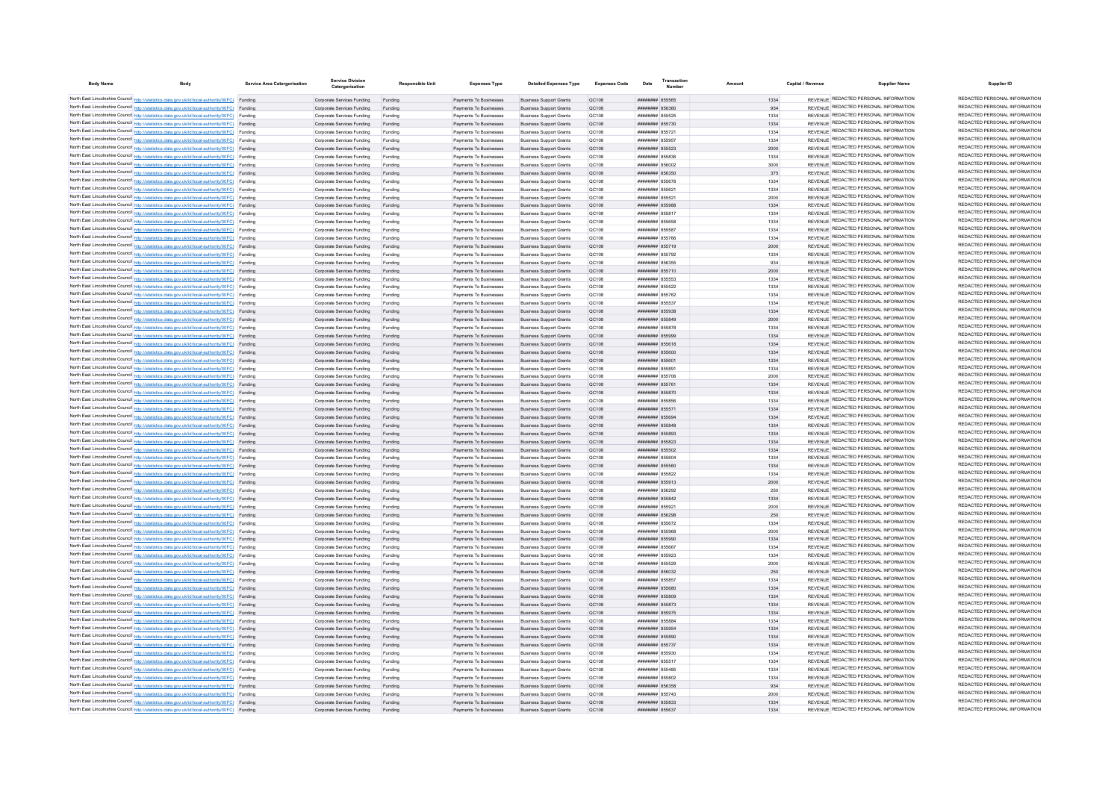| <b>Body Name</b>                                                                                                                                                                                 | Service Area Catergorisation | <b>Service Division</b><br>Catergorisation               | Responsible Unit   | <b>Expenses Type</b>                             | <b>Detailed Expenses Type</b>                                    | Expenses Code         | Date                                     | Transaction | Amount       | Capital / Revenue | <b>Supplier Name</b>                                                           | Supplier ID                                                    |
|--------------------------------------------------------------------------------------------------------------------------------------------------------------------------------------------------|------------------------------|----------------------------------------------------------|--------------------|--------------------------------------------------|------------------------------------------------------------------|-----------------------|------------------------------------------|-------------|--------------|-------------------|--------------------------------------------------------------------------------|----------------------------------------------------------------|
| North East Lincolnshire Council http://statistics.data.gov.uk/id/local-authority/00FC) Funding                                                                                                   |                              | Corporate Services Funding Funding                       |                    | Payments To Businesses                           | <b>Business Support Grants</b>                                   | QC108                 | ####### 855565                           |             | 1334         |                   | REVENUE REDACTED PERSONAL INFORMATION                                          | REDACTED PERSONAL INFORMATION                                  |
| North East Lincolnshire Council http://statistics.data.gov.uk/id/local-authority/00FC) Funding                                                                                                   |                              | Corporate Services Funding                               | Funding            | Payments To Businesses                           | <b>Business Support Grants</b>                                   | QC108                 | ####### 856360                           |             | 934          |                   | REVENUE REDACTED PERSONAL INFORMATION                                          | REDACTED PERSONAL INFORMATION                                  |
| North East Lincolnshire Council http://statistics.data.gov.uk/id/local-authority/00FC) Funding                                                                                                   |                              | Corporate Services Funding                               | Funding            | Payments To Businesses                           | <b>Business Support Grants</b>                                   | QC108                 | ####### 855525                           |             | 1334         |                   | REVENUE REDACTED PERSONAL INFORMATION                                          | REDACTED PERSONAL INFORMATION                                  |
| North East Lincolnshire Council http://statistics.data.gov.uk/id/local-authority/00FC) Funding                                                                                                   |                              | Corporate Services Funding                               | Funding            | Payments To Businesses                           | <b>Business Support Grants</b>                                   | OC108                 | ######## 855730                          |             | 1334         |                   | REVENUE REDACTED PERSONAL INFORMATION                                          | REDACTED PERSONAL INFORMATION                                  |
| North East Lincolnshire Council http://statistics.data.gov.uk/id/local-authority/00FC) Funding                                                                                                   |                              | Corporate Services Funding                               | Funding            | Payments To Businesses                           | <b>Business Support Grants</b>                                   | QC108                 | ######## 855721                          |             | 1334         |                   | REVENUE REDACTED PERSONAL INFORMATION                                          | REDACTED PERSONAL INFORMATION<br>REDACTED PERSONAL INFORMATION |
| North East Lincolnshire Council http://statistics.data.gov.uk/id/local-authority/00FC) Funding                                                                                                   |                              | Corporate Services Funding                               | Funding            | Payments To Businesses                           | <b>Business Support Grants</b>                                   | QC108                 | ####### 855957                           |             | 1334         |                   | REVENUE REDACTED PERSONAL INFORMATION<br>REVENUE REDACTED PERSONAL INFORMATION | REDACTED PERSONAL INFORMATION                                  |
| North East Lincolnshire Council http://statistics.data.gov.uk/id/local-authority/00FC) Funding<br>North East Lincolnshire Council http://statistics.data.gov.uk/id/local-authority/00FC) Funding |                              | Corporate Services Funding                               | Funding            | Payments To Businesses                           | <b>Business Support Grants</b><br><b>Business Support Grants</b> | QC108                 | ####### 855523<br>######## 855836        |             | 2000<br>1334 |                   | REVENUE REDACTED PERSONAL INFORMATION                                          | REDACTED PERSONAL INFORMATION                                  |
| North East Lincolnshire Council http://statistics.data.gov.uk/id/local-authority/00FC) Funding                                                                                                   |                              | Corporate Services Funding<br>Corporate Services Funding | Funding<br>Funding | Payments To Businesses<br>Payments To Businesses | <b>Business Support Grants</b>                                   | QC108<br>QC108        | ####### 856002                           |             | 3000         |                   | REVENUE REDACTED PERSONAL INFORMATION                                          | REDACTED PERSONAL INFORMATION                                  |
| North East Lincolnshire Council http://statistics.data.gov.uk/id/local-authority/00FC) Funding                                                                                                   |                              | Corporate Services Funding                               | Funding            | Payments To Businesses                           | <b>Business Support Grants</b>                                   | QC108                 | ######## 856350                          |             | 375          |                   | REVENUE REDACTED PERSONAL INFORMATION                                          | REDACTED PERSONAL INFORMATION                                  |
| North East Lincolnshire Council http://statistics.data.gov.uk/id/local-authority/00FC) Funding                                                                                                   |                              | Corporate Services Funding                               | Funding            | Payments To Businesses                           | <b>Business Support Grants</b>                                   | QC108                 | ######## 855678                          |             | 1334         |                   | REVENUE REDACTED PERSONAL INFORMATION                                          | REDACTED PERSONAL INFORMATION                                  |
| North East Lincolnshire Council http://statistics.data.gov.uk/id/local-authority/00FC) Funding                                                                                                   |                              | Corporate Services Funding                               | Funding            | Payments To Businesses                           | <b>Business Support Grants</b>                                   | QC108                 | ######## 855621                          |             | 1334         |                   | REVENUE REDACTED PERSONAL INFORMATION                                          | REDACTED PERSONAL INFORMATION                                  |
| North East Lincolnshire Council http://statistics.data.gov.uk/id/local-authority/00FC) Funding                                                                                                   |                              | Corporate Services Funding                               | Funding            | Payments To Businesses                           | <b>Business Support Grants</b>                                   | QC108                 | ######## 855521                          |             | 2000         |                   | REVENUE REDACTED PERSONAL INFORMATION                                          | REDACTED PERSONAL INFORMATION                                  |
| North East Lincolnshire Council http://statistics.data.gov.uk/id/local-authority/00FC) Funding                                                                                                   |                              | Corporate Services Funding                               | Funding            | Payments To Businesses                           | <b>Business Support Grants</b>                                   | OC108                 | ######## 855988                          |             | 1334         |                   | REVENUE REDACTED PERSONAL INFORMATION                                          | REDACTED PERSONAL INFORMATION                                  |
| North East Lincolnshire Council http://statistics.data.gov.uk/id/local-authority/00FC) Funding                                                                                                   |                              | Corporate Services Funding                               | Funding            | Payments To Businesses                           | <b>Business Support Grants</b>                                   | OC108                 | ####### 855817                           |             | 1334         |                   | REVENUE REDACTED PERSONAL INFORMATION                                          | REDACTED PERSONAL INFORMATION<br>REDACTED PERSONAL INFORMATION |
| North East Lincolnshire Council http://statistics.data.gov.uk/id/local-authority/00FC) Funding                                                                                                   |                              | Corporate Services Funding                               | Funding            | Payments To Businesses                           | <b>Business Support Grants</b>                                   | QC108                 | ####### 855658                           |             | 1334         |                   | REVENUE REDACTED PERSONAL INFORMATION<br>REVENUE REDACTED PERSONAL INFORMATION | REDACTED PERSONAL INFORMATION                                  |
| North East Lincolnshire Council http://statistics.data.gov.uk/id/local-authority/00FC) Funding<br>North East Lincolnshire Council http://statistics.data.gov.uk/id/local-authority/00FC) Funding |                              | Corporate Services Funding<br>Corporate Services Funding | Funding<br>Funding | Payments To Businesses<br>Payments To Businesses | <b>Business Support Grants</b><br><b>Business Support Grants</b> | QC108<br>QC108        | ####### 855587<br><b>######## 855766</b> |             | 1334<br>1334 |                   | REVENUE REDACTED PERSONAL INFORMATION                                          | REDACTED PERSONAL INFORMATION                                  |
| North East Lincolnshire Council http://statistics.data.gov.uk/id/local-authority/00FC) Funding                                                                                                   |                              | Corporate Services Funding                               | Funding            | Payments To Businesses                           | <b>Business Support Grants</b>                                   | OC108                 | ####### 855719                           |             | 2000         |                   | REVENUE REDACTED PERSONAL INFORMATION                                          | REDACTED PERSONAL INFORMATION                                  |
| North East Lincolnshire Council http://statistics.data.gov.uk/id/local-authority/00FC) Funding                                                                                                   |                              | Corporate Services Funding                               | Funding            | Payments To Businesses                           | <b>Business Support Grants</b>                                   | <b>QC108</b>          | ####### 855792                           |             | 1334         |                   | REVENUE REDACTED PERSONAL INFORMATION                                          | REDACTED PERSONAL INFORMATION                                  |
| North East Lincolnshire Council http://statistics.data.gov.uk/id/local-authority/00FC) Funding                                                                                                   |                              | Corporate Services Funding                               | Funding            | Payments To Businesses                           | <b>Business Support Grants</b>                                   | QC108                 | ######## 856355                          |             | 934          |                   | REVENUE REDACTED PERSONAL INFORMATION                                          | REDACTED PERSONAL INFORMATION                                  |
| North East Lincolnshire Council http://statistics.data.gov.uk/id/local-authority/00FC) Funding                                                                                                   |                              | Corporate Services Funding                               | Funding            | Payments To Businesses                           | <b>Business Support Grants</b>                                   | QC108                 | ######## 855710                          |             | 2000         |                   | REVENUE REDACTED PERSONAL INFORMATION                                          | REDACTED PERSONAL INFORMATION                                  |
| North East Lincolnshire Council http://statistics.data.gov.uk/id/local-authority/00FC) Funding                                                                                                   |                              | Corporate Services Funding                               | Funding            | Payments To Businesses                           | <b>Business Support Grants</b>                                   | <b>QC108</b>          | ######## 855553                          |             | 1334         |                   | REVENUE REDACTED PERSONAL INFORMATION                                          | REDACTED PERSONAL INFORMATION                                  |
| North East Lincolnshire Council http://statistics.data.gov.uk/id/local-authority/00FC) Funding                                                                                                   |                              | Corporate Services Funding                               | Funding            | Payments To Businesses                           | <b>Business Support Grants</b>                                   | <b>QC108</b>          | ######## 855522                          |             | 1334         |                   | REVENUE REDACTED PERSONAL INFORMATION                                          | REDACTED PERSONAL INFORMATION                                  |
| North East Lincolnshire Council http://statistics.data.gov.uk/id/local-authority/00FC) Funding                                                                                                   |                              | Corporate Services Funding                               | Funding            | Payments To Businesses                           | <b>Business Support Grants</b>                                   | QC108                 | ######## 855762                          |             | 1334         |                   | REVENUE REDACTED PERSONAL INFORMATION                                          | REDACTED PERSONAL INFORMATION                                  |
| North East Lincolnshire Council http://statistics.data.gov.uk/id/local-authority/00FC) Funding                                                                                                   |                              | Corporate Services Funding                               | Funding            | Payments To Businesses                           | <b>Business Support Grants</b>                                   | <b>QC108</b>          | ####### 855537                           |             | 1334         |                   | REVENUE REDACTED PERSONAL INFORMATION                                          | REDACTED PERSONAL INFORMATION<br>REDACTED PERSONAL INFORMATION |
| North East Lincolnshire Council http://statistics.data.gov.uk/id/local-authority/00FC) Funding                                                                                                   |                              | Corporate Services Funding                               |                    | Payments To Businesses                           | <b>Business Support Grants</b>                                   | QC108                 | ######## 855938                          |             | 1334         |                   | REVENUE REDACTED PERSONAL INFORMATION<br>REVENUE REDACTED PERSONAL INFORMATION | REDACTED PERSONAL INFORMATION                                  |
| North East Lincolnshire Council http://statistics.data.gov.uk/id/local-authority/00FC) Funding                                                                                                   |                              | Corporate Services Funding                               |                    | Payments To Businesses                           | <b>Business Support Grants</b>                                   | <b>QC108</b>          | ####### 855849                           |             | 2000         |                   | REVENUE REDACTED PERSONAL INFORMATION                                          | REDACTED PERSONAL INFORMATION                                  |
| North East Lincolnshire Council http://statistics.data.gov.uk/id/local-authority/00FC) Funding                                                                                                   |                              | Comorate Services Funding                                | Funding            | Payments To Businesses<br>Payments To Businesses | <b>Business Support Grants</b><br><b>Business Support Grants</b> | OC108<br>QC108        | ######## 855878<br>######## 855999       |             | 1334<br>1334 |                   | REVENUE REDACTED PERSONAL INFORMATION                                          | REDACTED PERSONAL INFORMATION                                  |
| North East Lincolnshire Council http://statistics.data.gov.uk/id/local-authority/00FC) Funding<br>North East Lincolnshire Council http://statistics.data.gov.uk/id/local-authority/00FC) Funding |                              | Corporate Services Funding<br>Corporate Services Funding | Funding<br>Funding | Payments To Businesses                           | <b>Business Support Grants</b>                                   | QC108                 | ######## 855618                          |             | 1334         |                   | REVENUE REDACTED PERSONAL INFORMATION                                          | REDACTED PERSONAL INFORMATION                                  |
| North East Lincolnshire Council http://statistics.data.gov.uk/id/local-authority/00FC) Funding                                                                                                   |                              | Corporate Services Funding                               | Funding            | Payments To Businesses                           | <b>Business Support Grants</b>                                   | QC108                 | ######## 855600                          |             | 1334         |                   | REVENUE REDACTED PERSONAL INFORMATION                                          | REDACTED PERSONAL INFORMATION                                  |
| North East Lincolnshire Council http://statistics.data.gov.uk/id/local-authority/00FC) Funding                                                                                                   |                              | Corporate Services Funding                               | Funding            | Payments To Businesses                           | <b>Business Support Grants</b>                                   | QC108                 | ######## 855601                          |             | 1334         |                   | REVENUE REDACTED PERSONAL INFORMATION                                          | REDACTED PERSONAL INFORMATION                                  |
| North East Lincolnshire Council http://statistics.data.gov.uk/id/local-authority/00FC) Funding                                                                                                   |                              | Corporate Services Funding                               | Funding            | Payments To Businesses                           | <b>Business Support Grants</b>                                   | QC108                 | ######## 855891                          |             | 1334         |                   | REVENUE REDACTED PERSONAL INFORMATION                                          | REDACTED PERSONAL INFORMATION                                  |
| North East Lincolnshire Council http://statistics.data.gov.uk/id/local-authority/00FC) Funding                                                                                                   |                              | Corporate Services Funding                               | Funding            | Payments To Businesser                           | <b>Business Support Grants</b>                                   | QC108                 | ######## 855706                          |             | 2000         |                   | REVENUE REDACTED PERSONAL INFORMATION                                          | REDACTED PERSONAL INFORMATION                                  |
| North East Lincolnshire Council http://statistics.data.gov.uk/id/local-authority/00FC) Funding                                                                                                   |                              | Corporate Services Funding                               | Funding            | Payments To Businesser                           | <b>Business Support Grants</b>                                   | QC108                 | ####### 85576                            |             | 1334         |                   | REVENUE REDACTED PERSONAL INFORMATION                                          | REDACTED PERSONAL INFORMATION                                  |
| North East Lincolnshire Council http://statistics.data.gov.uk/id/local-authority/00FC) Funding                                                                                                   |                              | Corporate Services Funding                               | Funding            | Payments To Businesses                           | <b>Business Support Grants</b>                                   | QC108                 | ######## 855870                          |             | 1334         |                   | REVENUE REDACTED PERSONAL INFORMATION                                          | REDACTED PERSONAL INFORMATION                                  |
| North East Lincolnshire Council http://statistics.data.gov.uk/id/local-authority/00FC) Funding                                                                                                   |                              | Corporate Services Funding                               | Funding            | Payments To Businesses                           | <b>Business Support Grants</b>                                   | QC108                 | ######## 855856                          |             | 1334         |                   | REVENUE REDACTED PERSONAL INFORMATION                                          | REDACTED PERSONAL INFORMATION<br>REDACTED PERSONAL INFORMATION |
| North East Lincolnshire Council http://statistics.data.gov.uk/id/local-authority/00FC) Funding                                                                                                   |                              | Corporate Services Funding                               | Funding            | Payments To Businesses                           | <b>Business Support Grants</b>                                   | OC108                 | ######## 855571                          |             | 1334         |                   | REVENUE REDACTED PERSONAL INFORMATION<br>REVENUE REDACTED PERSONAL INFORMATION | REDACTED PERSONAL INFORMATION                                  |
| North East Lincolnshire Council http://statistics.data.gov.uk/id/local-authority/00FC) Funding<br>North East Lincolnshire Council http://statistics.data.gov.uk/id/local-authority/00FC) Funding |                              | Corporate Services Funding<br>Corporate Services Funding | Funding<br>Funding | Payments To Businesses<br>Payments To Businesses | <b>Business Support Grants</b><br><b>Business Support Grants</b> | <b>QC108</b><br>QC108 | ######## 855694<br>####### 855848        |             | 1334<br>1334 |                   | REVENUE REDACTED PERSONAL INFORMATION                                          | REDACTED PERSONAL INFORMATION                                  |
| North East Lincolnshire Council http://statistics.data.gov.uk/id/local-authority/00FC) Funding                                                                                                   |                              | Corporate Services Funding                               | Funding            | Payments To Businesses                           | <b>Business Support Grants</b>                                   | QC108                 | ######## 855893                          |             | 1334         |                   | REVENUE REDACTED PERSONAL INFORMATION                                          | REDACTED PERSONAL INFORMATION                                  |
| North East Lincolnshire Council http://statistics.data.gov.uk/id/local-authority/00FC) Funding                                                                                                   |                              | Corporate Services Funding                               | Funding            | Payments To Businesses                           | <b>Business Support Grants</b>                                   | QC108                 | ######## 855823                          |             | 1334         |                   | REVENUE REDACTED PERSONAL INFORMATION                                          | REDACTED PERSONAL INFORMATION                                  |
| North East Lincolnshire Council http://statistics.data.gov.uk/id/local-authority/00FC) Funding                                                                                                   |                              | Corporate Services Funding                               | Funding            | Payments To Businesses                           | <b>Business Support Grants</b>                                   | OC108                 | ######## 855502                          |             | 1334         |                   | REVENUE REDACTED PERSONAL INFORMATION                                          | REDACTED PERSONAL INFORMATION                                  |
| North East Lincolnshire Council http://statistics.data.gov.uk/id/local-authority/00FC) Funding                                                                                                   |                              | Corporate Services Funding                               | Funding            | Payments To Businesses                           | <b>Business Support Grants</b>                                   | <b>QC108</b>          | ######## 855604                          |             | 1334         |                   | REVENUE REDACTED PERSONAL INFORMATION                                          | REDACTED PERSONAL INFORMATION                                  |
| North East Lincolnshire Council http://statistics.data.gov.uk/id/local-authority/00FC) Funding                                                                                                   |                              | Corporate Services Funding                               | Funding            | Payments To Businesses                           | <b>Business Support Grants</b>                                   | OC108                 | ######## 855560                          |             | 1334         |                   | REVENUE REDACTED PERSONAL INFORMATION                                          | REDACTED PERSONAL INFORMATION                                  |
| North East Lincolnshire Council http://statistics.data.gov.uk/id/local-authority/00FC) Funding                                                                                                   |                              | Corporate Services Funding                               | Funding            | Payments To Businesser                           | <b>Business Support Grants</b>                                   | QC108                 | ####### 855822                           |             | 1334         |                   | REVENUE REDACTED PERSONAL INFORMATION                                          | REDACTED PERSONAL INFORMATION                                  |
| North East Lincolnshire Council http://statistics.data.gov.uk/id/local-authority/00FC) Funding                                                                                                   |                              | Corporate Services Funding                               | Funding            | Payments To Businesses                           | <b>Business Support Grants</b>                                   | QC108                 | ######## 855913                          |             | 2000         |                   | REVENUE REDACTED PERSONAL INFORMATION                                          | REDACTED PERSONAL INFORMATION                                  |
| North East Lincolnshire Council http://statistics.data.gov.uk/id/local-authority/00FC) Funding                                                                                                   |                              | Corporate Services Funding                               | Funding            | Payments To Businesses                           | <b>Business Support Grants</b>                                   | <b>QC108</b>          | ######## 856292                          |             | 250          |                   | REVENUE REDACTED PERSONAL INFORMATION<br>REVENUE REDACTED PERSONAL INFORMATION | REDACTED PERSONAL INFORMATION<br>REDACTED PERSONAL INFORMATION |
| North East Lincolnshire Council http://statistics.data.gov.uk/id/local-authority/00FC) Funding                                                                                                   |                              | Corporate Services Funding<br>Corporate Services Funding | Funding<br>Funding | Payments To Businesses<br>Payments To Businesses | <b>Business Support Grants</b><br><b>Business Support Grants</b> | QC108<br>OC108        | ######## 855842<br>####### 855921        |             | 1334<br>2000 |                   | REVENUE REDACTED PERSONAL INFORMATION                                          | REDACTED PERSONAL INFORMATION                                  |
| North East Lincolnshire Council http://statistics.data.gov.uk/id/local-authority/00FC) Funding<br>North East Lincolnshire Council http://statistics.data.gov.uk/id/local-authority/00FC) Funding |                              | Corporate Services Funding                               | Funding            | Payments To Businesses                           | <b>Business Support Grants</b>                                   | QC108                 | ######## 856298                          |             | 250          |                   | REVENUE REDACTED PERSONAL INFORMATION                                          | REDACTED PERSONAL INFORMATION                                  |
| North East Lincolnshire Council http://statistics.data.gov.uk/id/local-authority/00FC) Funding                                                                                                   |                              | Corporate Services Funding                               | Funding            | Payments To Businesses                           | <b>Business Support Grants</b>                                   | QC108                 | ####### 855672                           |             | 1334         |                   | REVENUE REDACTED PERSONAL INFORMATION                                          | REDACTED PERSONAL INFORMATION                                  |
| North East Lincolnshire Council http://statistics.data.gov.uk/id/local-authority/00FC) Funding                                                                                                   |                              | Corporate Services Funding                               | Funding            | Payments To Businesses                           | <b>Business Support Grants</b>                                   | OC108                 | ######## 855968                          |             | 2000         |                   | REVENUE REDACTED PERSONAL INFORMATION                                          | REDACTED PERSONAL INFORMATION                                  |
| North East Lincolnshire Council http://statistics.data.gov.uk/id/local-authority/00FC) Funding                                                                                                   |                              | Corporate Services Funding                               | Funding            | Payments To Businesses                           | <b>Business Support Grants</b>                                   | QC108                 | ####### 855990                           |             | 1334         |                   | REVENUE REDACTED PERSONAL INFORMATION                                          | REDACTED PERSONAL INFORMATION                                  |
| North East Lincolnshire Council http://statistics.data.gov.uk/id/local-authority/00FC) Funding                                                                                                   |                              | Corporate Services Funding                               | Funding            | Payments To Businesser                           | <b>Business Support Grants</b>                                   | QC108                 | ######## 855667                          |             | 1334         |                   | REVENUE REDACTED PERSONAL INFORMATION                                          | REDACTED PERSONAL INFORMATION                                  |
| North East Lincolnshire Council http://statistics.data.gov.uk/id/local-authority/00FC) Funding                                                                                                   |                              | Corporate Services Funding                               | Funding            | Payments To Businesser                           | <b>Business Support Grants</b>                                   | QC108                 | ######## 855923                          |             | 1334         |                   | REVENUE REDACTED PERSONAL INFORMATION                                          | REDACTED PERSONAL INFORMATION                                  |
| North East Lincolnshire Council http://statistics.data.gov.uk/id/local-authority/00FC) Funding                                                                                                   |                              | Corporate Services Funding                               | Funding            | Payments To Businesses                           | <b>Business Support Grants</b>                                   | QC108                 | ####### 855529                           |             | 2000         |                   | REVENUE REDACTED PERSONAL INFORMATION                                          | REDACTED PERSONAL INFORMATION                                  |
| North East Lincolnshire Council http://statistics.data.gov.uk/id/local-authority/00FC) Funding                                                                                                   |                              | Corporate Services Funding                               | Funding            | Payments To Businesses                           | <b>Business Support Grants</b>                                   | OC108                 | ######## 856032                          |             | 250          |                   | REVENUE REDACTED PERSONAL INFORMATION                                          | REDACTED PERSONAL INFORMATION<br>REDACTED PERSONAL INFORMATION |
| North East Lincolnshire Council http://statistics.data.gov.uk/id/local-authority/00FC) Funding                                                                                                   |                              | Corporate Services Funding                               | Funding            | Payments To Businesses                           | <b>Business Support Grants</b>                                   | <b>QC108</b>          | ######## 855857                          |             | 1334         |                   | REVENUE REDACTED PERSONAL INFORMATION<br>REVENUE REDACTED PERSONAL INFORMATION | REDACTED PERSONAL INFORMATION                                  |
| North East Lincolnshire Council http://statistics.data.gov.uk/id/local-authority/00FC) Funding                                                                                                   |                              | Corporate Services Funding<br>Corporate Services Funding | Funding<br>Funding | Payments To Businesses<br>Payments To Businesses | <b>Business Support Grants</b><br><b>Business Support Grants</b> | QC108<br>QC108        | ######## 855680<br>######## 855809       |             | 1334<br>1334 |                   | REVENUE REDACTED PERSONAL INFORMATION                                          | REDACTED PERSONAL INFORMATION                                  |
| North East Lincolnshire Council http://statistics.data.gov.uk/id/local-authority/00FC) Funding<br>North East Lincolnshire Council http://statistics.data.gov.uk/id/local-authority/00FC) Funding |                              | Corporate Services Funding                               | Funding            | Payments To Businesses                           | <b>Business Support Grants</b>                                   | QC108                 | ######## 855873                          |             | 1334         |                   | REVENUE REDACTED PERSONAL INFORMATION                                          | REDACTED PERSONAL INFORMATION                                  |
| North East Lincolnshire Council http://statistics.data.gov.uk/id/local-authority/00FC) Funding                                                                                                   |                              | Corporate Services Funding                               | Funding            | Payments To Businesses                           | <b>Business Support Grants</b>                                   | <b>QC108</b>          | ######## 855975                          |             | 1334         |                   | REVENUE REDACTED PERSONAL INFORMATION                                          | REDACTED PERSONAL INFORMATION                                  |
| North East Lincolnshire Council http://statistics.data.gov.uk/id/local-authority/00FC) Funding                                                                                                   |                              | Corporate Services Funding                               | Funding            | Payments To Businesses                           | <b>Business Support Grants</b>                                   | <b>QC108</b>          | ######## 855884                          |             | 1334         |                   | REVENUE REDACTED PERSONAL INFORMATION                                          | REDACTED PERSONAL INFORMATION                                  |
| North East Lincolnshire Council http://statistics.data.gov.uk/id/local-authority/00FC) Funding                                                                                                   |                              | Corporate Services Funding                               | Funding            | Payments To Businesses                           | <b>Business Support Grants</b>                                   | QC108                 | ######## 855954                          |             | 1334         |                   | REVENUE REDACTED PERSONAL INFORMATION                                          | REDACTED PERSONAL INFORMATION                                  |
| North East Lincolnshire Council http://statistics.data.gov.uk/id/local-authority/00FC) Funding                                                                                                   |                              | Corporate Services Funding                               |                    | Payments To Businesses                           | <b>Business Support Grants</b>                                   | QC108                 | ####### 855890                           |             | 1334         |                   | REVENUE REDACTED PERSONAL INFORMATION                                          | REDACTED PERSONAL INFORMATION                                  |
| North East Lincolnshire Council http://statistics.data.gov.uk/id/local-authority/00FC) Funding                                                                                                   |                              | Corporate Services Funding                               |                    | Payments To Businesses                           | <b>Business Support Grants</b>                                   | <b>QC108</b>          | ######## 855737                          |             | 1334         |                   | REVENUE REDACTED PERSONAL INFORMATION                                          | REDACTED PERSONAL INFORMATION                                  |
| North East Lincolnshire Council http://statistics.data.gov.uk/id/local-authority/00FC) Funding                                                                                                   |                              | Comorate Services Funding                                | Funding            | Payments To Businesses                           | <b>Business Support Grants</b>                                   | OC108                 | ####### 855930                           |             | 1334         |                   | REVENUE REDACTED PERSONAL INFORMATION                                          | REDACTED PERSONAL INFORMATION                                  |
| North East Lincolnshire Council http://statistics.data.gov.uk/id/local-authority/00FC) Funding                                                                                                   |                              | Corporate Services Funding                               | Funding            | Payments To Businesses                           | <b>Business Support Grants</b>                                   | <b>QC108</b>          | ####### 855517                           |             | 1334         |                   | REVENUE REDACTED PERSONAL INFORMATION                                          | REDACTED PERSONAL INFORMATION<br>REDACTED PERSONAL INFORMATION |
| North East Lincolnshire Council http://statistics.data.gov.uk/id/local-authority/00FC) Funding                                                                                                   |                              | Corporate Services Funding                               | Funding            | Payments To Businesses                           | <b>Business Support Grants</b>                                   | QC108                 | ######## 855485                          |             | 1334         |                   | REVENUE REDACTED PERSONAL INFORMATION<br>REVENUE REDACTED PERSONAL INFORMATION | REDACTED PERSONAL INFORMATION                                  |
| North East Lincolnshire Council http://statistics.data.gov.uk/id/local-authority/00FC) Funding<br>North East Lincolnshire Council http://statistics.data.gov.uk/id/local-authority/00FC) Funding |                              | Corporate Services Funding                               | Funding            | Payments To Businesses<br>Payments To Businesses | <b>Business Support Grants</b><br><b>Business Support Grants</b> | QC108                 | ####### 855802<br>######## 856358        |             | 1334<br>934  |                   | REVENUE REDACTED PERSONAL INFORMATION                                          | REDACTED PERSONAL INFORMATION                                  |
| North East Lincolnshire Council http://statistics.data.gov.uk/id/local-authority/00FC) Funding                                                                                                   |                              | Corporate Services Funding<br>Corporate Services Funding | Funding<br>Funding | Payments To Businesses                           | <b>Business Support Grants</b>                                   | QC108<br>QC108        | ######## 855743                          |             | 2000         |                   | REVENUE REDACTED PERSONAL INFORMATION                                          | REDACTED PERSONAL INFORMATION                                  |
| North East Lincolnshire Council http://statistics.data.gov.uk/id/local-authority/00FC) Funding                                                                                                   |                              | Corporate Services Funding                               | Funding            | Payments To Businesses                           | <b>Business Support Grants</b>                                   | QC108                 | ######## 855833                          |             | 1334         |                   | REVENUE REDACTED PERSONAL INFORMATION                                          | REDACTED PERSONAL INFORMATION                                  |
| North East Lincolnshire Council http://statistics.data.gov.uk/id/local-authority/00FC) Funding                                                                                                   |                              | Corporate Services Funding                               | Funding            | Payments To Businesser                           | <b>Business Support Grants</b>                                   | QC108                 | ######## 855637                          |             | 1334         |                   | REVENUE REDACTED PERSONAL INFORMATION                                          | REDACTED PERSONAL INFORMATION                                  |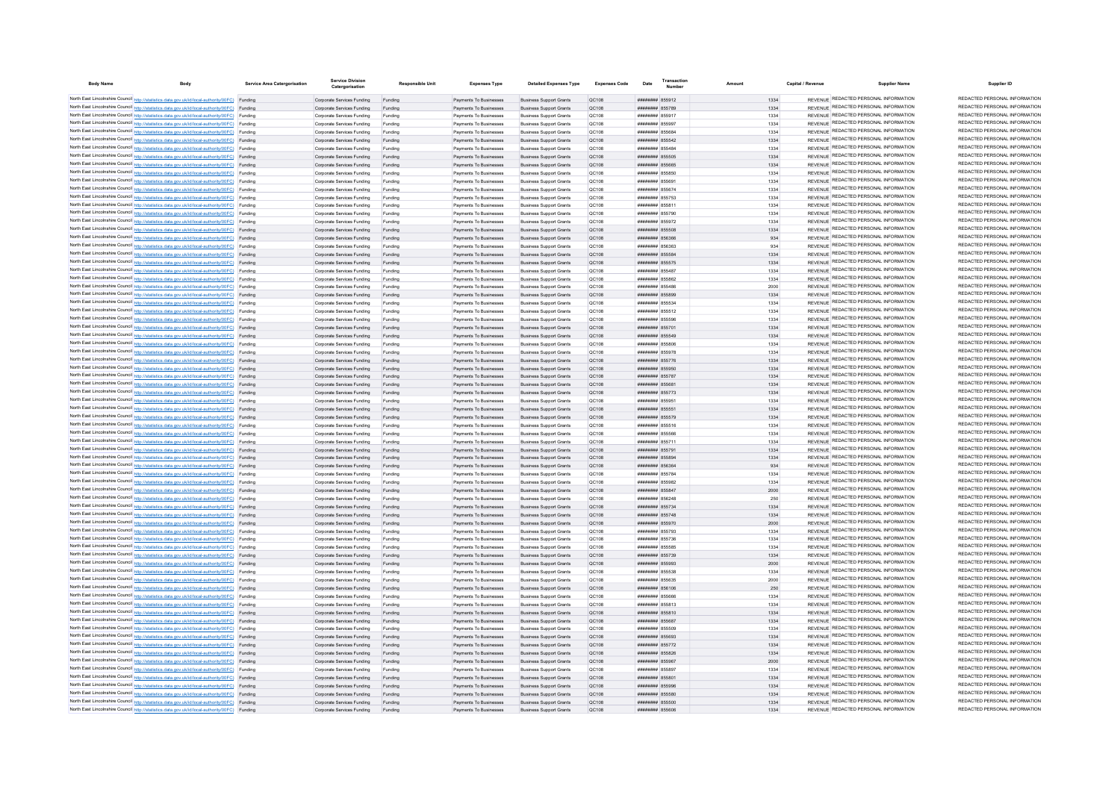| <b>Body Name</b> | Body                                                                                                                                                                                             | <b>Service Area Catergorisation</b> | <b>Service Division</b><br>Catergorisation               | <b>Responsible Unit</b> | <b>Expenses Type</b>                             | <b>Detailed Expenses Type</b>                                    | <b>Expenses Code</b>  | Date                               | Transactic |              | Capital / Revenue | <b>Supplier Name</b>                                                           | Supplier ID                                                    |
|------------------|--------------------------------------------------------------------------------------------------------------------------------------------------------------------------------------------------|-------------------------------------|----------------------------------------------------------|-------------------------|--------------------------------------------------|------------------------------------------------------------------|-----------------------|------------------------------------|------------|--------------|-------------------|--------------------------------------------------------------------------------|----------------------------------------------------------------|
|                  | North East Lincolnshire Council http://statistics.data.gov.uk/id/local-authority/00FC) Funding                                                                                                   |                                     | Corporate Services Funding                               | Funding                 | Payments To Businesses                           | <b>Business Support Grants</b>                                   | QC108                 | ######## 855912                    |            | 1334         |                   | REVENUE REDACTED PERSONAL INFORMATION                                          | REDACTED PERSONAL INFORMATION                                  |
|                  | North East Lincolnshire Council http://statistics.data.gov.uk/id/local-authority/00FC) Funding                                                                                                   |                                     | Corporate Services Funding                               | Funding                 | Payments To Businesses                           | <b>Business Support Grants</b>                                   | OC108                 | ######## 855789                    |            | 1334         |                   | REVENUE REDACTED PERSONAL INFORMATION                                          | REDACTED PERSONAL INFORMATION                                  |
|                  | North East Lincolnshire Council http://statistics.data.gov.uk/id/local-authority/00FC) Funding                                                                                                   |                                     | Cornorate Services Funding                               | Funding                 | Payments To Businesses                           | <b>Business Support Grants</b>                                   | OC108                 | ####### 855917                     |            | 1334         |                   | REVENUE REDACTED PERSONAL INFORMATION                                          | REDACTED PERSONAL INFORMATION                                  |
|                  | North East Lincolnshire Council http://statistics.data.gov.uk/id/local-authority/00FC) Funding                                                                                                   |                                     | Corporate Services Funding                               | Funding                 | Payments To Businesses                           | <b>Business Support Grants</b>                                   | <b>QC108</b>          | ######## 855997                    |            | 1334         |                   | REVENUE REDACTED PERSONAL INFORMATION                                          | REDACTED PERSONAL INFORMATION                                  |
|                  | North East Lincolnshire Council http://statistics.data.gov.uk/id/local-authority/00FC) Funding                                                                                                   |                                     | Corporate Services Funding                               | Funding                 | Payments To Businesses                           | <b>Business Support Grants</b>                                   | <b>QC108</b>          | ####### 855684                     |            | 1334         |                   | REVENUE REDACTED PERSONAL INFORMATION                                          | REDACTED PERSONAL INFORMATION                                  |
|                  | North East Lincolnshire Council http://statistics.data.gov.uk/id/local-authority/00FC) Funding                                                                                                   |                                     | Corporate Services Funding                               | Funding                 | Payments To Businesses                           | <b>Business Support Grants</b>                                   | QC108                 | ######## 855542                    |            | 1334         |                   | REVENUE REDACTED PERSONAL INFORMATION                                          | REDACTED PERSONAL INFORMATION                                  |
|                  | North East Lincolnshire Council http://statistics.data.gov.uk/id/local-authority/00FC) Funding                                                                                                   |                                     | Corporate Services Funding                               | Funding                 | Payments To Businesses                           | <b>Business Support Grants</b>                                   | QC108                 | ####### 855484                     |            | 1334         |                   | REVENUE REDACTED PERSONAL INFORMATION                                          | REDACTED PERSONAL INFORMATION                                  |
|                  | North East Lincolnshire Council http://statistics.data.gov.uk/id/local-authority/00FC) Funding                                                                                                   |                                     | Corporate Services Funding                               | Funding                 | Payments To Businesses                           | <b>Business Support Grants</b>                                   | QC108                 | ######## 855505                    |            | 1334         |                   | REVENUE REDACTED PERSONAL INFORMATION                                          | REDACTED PERSONAL INFORMATION                                  |
|                  | North East Lincolnshire Council http://statistics.data.gov.uk/id/local-authority/00FC) Funding                                                                                                   |                                     | Corporate Services Funding                               | Funding                 | Payments To Businesses                           | <b>Business Support Grants</b>                                   | QC108                 | ####### 855665                     |            | 1334         |                   | REVENUE REDACTED PERSONAL INFORMATION                                          | REDACTED PERSONAL INFORMATION                                  |
|                  | North East Lincolnshire Council http://statistics.data.gov.uk/id/local-authority/00FC) Funding                                                                                                   |                                     | Corporate Services Funding                               | Funding                 | Payments To Businesses                           | <b>Business Sunnort Grants</b>                                   | OC108                 | ######## 855850                    |            | 1334         |                   | REVENUE REDACTED PERSONAL INFORMATION<br>REVENUE REDACTED PERSONAL INFORMATION | REDACTED PERSONAL INFORMATION<br>REDACTED PERSONAL INFORMATION |
|                  | North East Lincolnshire Council http://statistics.data.gov.uk/id/local-authority/00FC) Funding                                                                                                   |                                     | Corporate Services Funding                               | Funding                 | Payments To Businesses                           | <b>Business Support Grants</b>                                   | QC108                 | ####### 855691                     |            | 1334         |                   | REVENUE REDACTED PERSONAL INFORMATION                                          | REDACTED PERSONAL INFORMATION                                  |
|                  | North East Lincolnshire Council http://statistics.data.gov.uk/id/local-authority/00FC) Funding                                                                                                   |                                     | Corporate Services Funding                               | Funding                 | Payments To Businesses                           | <b>Business Support Grants</b>                                   | QC108                 | ######## 855674                    |            | 1334         |                   | REVENUE REDACTED PERSONAL INFORMATION                                          | REDACTED PERSONAL INFORMATION                                  |
|                  | North East Lincolnshire Council http://statistics.data.gov.uk/id/local-authority/00FC) Funding<br>North East Lincolnshire Council http://statistics.data.gov.uk/id/local-authority/00FC) Funding |                                     | Corporate Services Funding                               | Funding                 | Payments To Businesses<br>Payments To Businesses | <b>Business Support Grants</b>                                   | QC108<br><b>QC108</b> | ####### 855753<br>####### 855811   |            | 1334         |                   | REVENUE REDACTED PERSONAL INFORMATION                                          | REDACTED PERSONAL INFORMATION                                  |
|                  | North East Lincolnshire Council http://statistics.data.gov.uk/id/local-authority/00FC) Funding                                                                                                   |                                     | Corporate Services Funding<br>Corporate Services Funding | Funding<br>Funding      | Payments To Businesses                           | <b>Business Support Grants</b><br><b>Business Support Grants</b> | <b>QC108</b>          | ######## 855790                    |            | 1334<br>1334 |                   | REVENUE REDACTED PERSONAL INFORMATION                                          | REDACTED PERSONAL INFORMATION                                  |
|                  | North East Lincolnshire Council http://statistics.data.gov.uk/id/local-authority/00FC) Funding                                                                                                   |                                     | Corporate Services Funding                               | Funding                 | Payments To Businesses                           | <b>Business Support Grants</b>                                   | QC108                 | ####### 855972                     |            | 1334         |                   | REVENUE REDACTED PERSONAL INFORMATION                                          | REDACTED PERSONAL INFORMATION                                  |
|                  | North East Lincolnshire Council http://statistics.data.gov.uk/id/local-authority/00FC) Funding                                                                                                   |                                     | Corporate Services Funding                               | Funding                 | Payments To Businesses                           | <b>Business Support Grants</b>                                   | QC108                 | ######## 855508                    |            | 1334         |                   | REVENUE REDACTED PERSONAL INFORMATION                                          | REDACTED PERSONAL INFORMATION                                  |
|                  | North East Lincolnshire Council http://statistics.data.gov.uk/id/local-authority/00FC) Funding                                                                                                   |                                     | Corporate Services Funding                               | Funding                 | Payments To Businesses                           | <b>Business Support Grants</b>                                   | QC108                 | ######## 856366                    |            | 934          |                   | REVENUE REDACTED PERSONAL INFORMATION                                          | REDACTED PERSONAL INFORMATION                                  |
|                  | North East Lincolnshire Council http://statistics.data.gov.uk/id/local-authority/00FC) Funding                                                                                                   |                                     | Corporate Services Funding                               | Funding                 | Payments To Businesses                           | <b>Business Support Grants</b>                                   | QC108                 | ######## 856363                    |            | 934          |                   | REVENUE REDACTED PERSONAL INFORMATION                                          | REDACTED PERSONAL INFORMATION                                  |
|                  | North East Lincolnshire Council http://statistics.data.gov.uk/id/local-authority/00FC) Funding                                                                                                   |                                     | Corporate Services Funding                               | Funding                 | Payments To Businesses                           | <b>Business Support Grants</b>                                   | QC108                 | ####### 855584                     |            | 1334         |                   | REVENUE REDACTED PERSONAL INFORMATION                                          | REDACTED PERSONAL INFORMATION                                  |
|                  | North East Lincolnshire Council http://statistics.data.gov.uk/id/local-authority/00FC) Funding                                                                                                   |                                     | Corporate Services Funding                               | Funding                 | Payments To Businesses                           | <b>Business Support Grants</b>                                   | QC108                 | ######## 855575                    |            | 1334         |                   | REVENUE REDACTED PERSONAL INFORMATION                                          | REDACTED PERSONAL INFORMATION                                  |
|                  | North East Lincolnshire Council http://statistics.data.gov.uk/id/local-authority/00FC) Funding                                                                                                   |                                     | Corporate Services Funding                               | Funding                 | Payments To Businesses                           | <b>Business Support Grants</b>                                   | QC108                 | ######## 855487                    |            | 1334         |                   | REVENUE REDACTED PERSONAL INFORMATION                                          | REDACTED PERSONAL INFORMATION                                  |
|                  | North East Lincolnshire Council http://statistics.data.gov.uk/id/local-authority/00FC) Funding                                                                                                   |                                     | Corporate Services Funding                               | Funding                 | Payments To Businesses                           | <b>Business Support Grants</b>                                   | OC108                 | ######## 855862                    |            | 1334         |                   | REVENUE REDACTED PERSONAL INFORMATION                                          | REDACTED PERSONAL INFORMATION                                  |
|                  | North East Lincolnshire Council http://statistics.data.gov.uk/id/local-authority/00FC) Funding                                                                                                   |                                     | Corporate Services Funding                               | Funding                 | Payments To Businesser                           | <b>Business Support Grants</b>                                   | OC108                 | ####### 855486                     |            | 2000         |                   | REVENUE REDACTED PERSONAL INFORMATION                                          | REDACTED PERSONAL INFORMATION                                  |
|                  | North East Lincolnshire Council http://statistics.data.gov.uk/id/local-authority/00FC) Funding                                                                                                   |                                     | Corporate Services Funding                               | Funding                 | Payments To Businesses                           | <b>Business Support Grants</b>                                   | QC108                 | ######## 855899                    |            | 1334         |                   | REVENUE REDACTED PERSONAL INFORMATION                                          | REDACTED PERSONAL INFORMATION<br>REDACTED PERSONAL INFORMATION |
|                  | North East Lincolnshire Council http://statistics.data.gov.uk/id/local-authority/00FC) Funding                                                                                                   |                                     | Corporate Services Funding                               | Funding                 | Payments To Businesser                           | <b>Business Support Grants</b>                                   | QC108                 | ####### 855534                     |            | 1334         |                   | REVENUE REDACTED PERSONAL INFORMATION<br>REVENUE REDACTED PERSONAL INFORMATION | REDACTED PERSONAL INFORMATION                                  |
|                  | North East Lincolnshire Council http://statistics.data.gov.uk/id/local-authority/00FC) Funding<br>North East Lincolnshire Council http://statistics.data.gov.uk/id/local-authority/00FC) Funding |                                     | Corporate Services Funding                               | Funding                 | Payments To Businesses                           | <b>Business Support Grants</b>                                   | QC108                 | ######## 855512                    |            | 1334         |                   | REVENUE REDACTED PERSONAL INFORMATION                                          | REDACTED PERSONAL INFORMATION                                  |
|                  | North East Lincolnshire Council http://statistics.data.gov.uk/id/local-authority/00FC) Funding                                                                                                   |                                     | Corporate Services Funding<br>Corporate Services Funding | Funding                 | Payments To Businesser<br>Payments To Businesses | <b>Business Support Grants</b><br><b>Business Support Grants</b> | QC108<br>OC108        | ####### 855596<br>######## 855701  |            | 1334<br>1334 |                   | REVENUE REDACTED PERSONAL INFORMATION                                          | REDACTED PERSONAL INFORMATION                                  |
|                  | North East Lincolnshire Council http://statistics.data.gov.uk/id/local-authority/00FC) Funding                                                                                                   |                                     | Corporate Services Funding                               | Funding<br>Funding      | Payments To Businesses                           | <b>Business Support Grants</b>                                   | QC108                 | ######## 855549                    |            | 1334         |                   | REVENUE REDACTED PERSONAL INFORMATION                                          | REDACTED PERSONAL INFORMATION                                  |
|                  | North East Lincolnshire Council http://statistics.data.gov.uk/id/local-authority/00FC) Funding                                                                                                   |                                     | Corporate Services Funding                               | Funding                 | Payments To Businesses                           | <b>Business Support Grants</b>                                   | <b>QC108</b>          | ######## 855806                    |            | 1334         |                   | REVENUE REDACTED PERSONAL INFORMATION                                          | REDACTED PERSONAL INFORMATION                                  |
|                  | North East Lincolnshire Council http://statistics.data.gov.uk/id/local-authority/00FC) Funding                                                                                                   |                                     | Corporate Services Funding                               | Funding                 | Payments To Businesses                           | <b>Business Support Grants</b>                                   | OC108                 | ####### 855978                     |            | 1334         |                   | REVENUE REDACTED PERSONAL INFORMATION                                          | REDACTED PERSONAL INFORMATION                                  |
|                  | North East Lincolnshire Council http://statistics.data.gov.uk/id/local-authority/00FC) Funding                                                                                                   |                                     | Corporate Services Funding                               | Funding                 | Payments To Businesses                           | <b>Business Support Grants</b>                                   | QC108                 | ######## 855776                    |            | 1334         |                   | REVENUE REDACTED PERSONAL INFORMATION                                          | REDACTED PERSONAL INFORMATION                                  |
|                  | North East Lincolnshire Council http://statistics.data.gov.uk/id/local-authority/00FC) Funding                                                                                                   |                                     | Corporate Services Funding                               | Funding                 | Payments To Businesses                           | <b>Business Support Grants</b>                                   | QC108                 | ####### 855950                     |            | 1334         |                   | REVENUE REDACTED PERSONAL INFORMATION                                          | REDACTED PERSONAL INFORMATION                                  |
|                  | North East Lincolnshire Council http://statistics.data.gov.uk/id/local-authority/00FC) Funding                                                                                                   |                                     | Corporate Services Funding                               | Funding                 | Payments To Businesses                           | <b>Business Support Grants</b>                                   | QC108                 | ######## 855787                    |            | 1334         |                   | REVENUE REDACTED PERSONAL INFORMATION                                          | REDACTED PERSONAL INFORMATION                                  |
|                  | North East Lincolnshire Council http://statistics.data.gov.uk/id/local-authority/00FC) Funding                                                                                                   |                                     | Corporate Services Funding                               | Funding                 | Payments To Businesses                           | <b>Business Support Grants</b>                                   | OC108                 | ######## 855681                    |            | 1334         |                   | REVENUE REDACTED PERSONAL INFORMATION                                          | REDACTED PERSONAL INFORMATION                                  |
|                  | North East Lincolnshire Council http://statistics.data.gov.uk/id/local-authority/00FC) Funding                                                                                                   |                                     | Comorate Services Funding                                | Funding                 | Payments To Businesses                           | <b>Business Support Grants</b>                                   | OC108                 | ######## 855773                    |            | 1334         |                   | REVENUE REDACTED PERSONAL INFORMATION                                          | REDACTED PERSONAL INFORMATION                                  |
|                  | North East Lincolnshire Council http://statistics.data.gov.uk/id/local-authority/00FC) Funding                                                                                                   |                                     | Corporate Services Funding                               | Funding                 | Payments To Businesses                           | <b>Business Support Grants</b>                                   | OC108                 | ####### 85595*                     |            | 1334         |                   | REVENUE REDACTED PERSONAL INFORMATION                                          | REDACTED PERSONAL INFORMATION                                  |
|                  | North East Lincolnshire Council http://statistics.data.gov.uk/id/local-authority/00FC) Funding                                                                                                   |                                     | Corporate Services Funding                               | Funding                 | Payments To Businesses                           | <b>Business Support Grants</b>                                   | QC108                 | ####### 855551                     |            | 1334         |                   | REVENUE REDACTED PERSONAL INFORMATION                                          | REDACTED PERSONAL INFORMATION                                  |
|                  | North East Lincolnshire Council http://statistics.data.gov.uk/id/local-authority/00FC) Funding                                                                                                   |                                     | Corporate Services Funding                               | Funding                 | Payments To Businesses                           | <b>Business Support Grants</b>                                   | QC108                 | ######## 855579                    |            | 1334         |                   | REVENUE REDACTED PERSONAL INFORMATION                                          | REDACTED PERSONAL INFORMATION                                  |
|                  | North East Lincolnshire Council http://statistics.data.gov.uk/id/local-authority/00FC) Funding                                                                                                   |                                     | Corporate Services Funding                               |                         | Payments To Businesses                           | <b>Business Support Grants</b>                                   | QC108                 | ######## 855516                    |            | 1334         |                   | REVENUE REDACTED PERSONAL INFORMATION                                          | REDACTED PERSONAL INFORMATION<br>REDACTED PERSONAL INFORMATION |
|                  | North East Lincolnshire Council http://statistics.data.gov.uk/id/local-authority/00FC) Funding                                                                                                   |                                     | Corporate Services Funding                               | Funding                 | Payments To Businesses                           | <b>Business Support Grants</b>                                   | QC108                 | ####### 855566                     |            | 1334         |                   | REVENUE REDACTED PERSONAL INFORMATION<br>REVENUE REDACTED PERSONAL INFORMATION | REDACTED PERSONAL INFORMATION                                  |
|                  | North East Lincolnshire Council http://statistics.data.gov.uk/id/local-authority/00FC) Funding                                                                                                   |                                     | Corporate Services Funding                               | Funding                 | Payments To Businesses                           | <b>Business Support Grants</b>                                   | QC108                 | ######## 855711<br>######## 855791 |            | 1334         |                   | REVENUE REDACTED PERSONAL INFORMATION                                          | REDACTED PERSONAL INFORMATION                                  |
|                  | North East Lincolnshire Council http://statistics.data.gov.uk/id/local-authority/00FC) Funding<br>North East Lincolnshire Council http://statistics.data.gov.uk/id/local-authority/00FC) Funding |                                     | Corporate Services Funding<br>Corporate Services Funding | Funding<br>Funding      | Payments To Businesses<br>Payments To Businesses | <b>Business Support Grants</b><br><b>Business Support Grants</b> | QC108<br>QC108        | ####### 855894                     |            | 1334<br>1334 |                   | REVENUE REDACTED PERSONAL INFORMATION                                          | REDACTED PERSONAL INFORMATION                                  |
|                  | North East Lincolnshire Council http://statistics.data.gov.uk/id/local-authority/00FC) Funding                                                                                                   |                                     | Corporate Services Funding                               | Funding                 | Payments To Businesses                           | <b>Business Support Grants</b>                                   | QC108                 | ######## 856364                    |            | 934          |                   | REVENUE REDACTED PERSONAL INFORMATION                                          | REDACTED PERSONAL INFORMATION                                  |
|                  | North East Lincolnshire Council http://statistics.data.gov.uk/id/local-authority/00FC) Funding                                                                                                   |                                     | Corporate Services Funding                               | Funding                 | Payments To Businesses                           | <b>Business Support Grants</b>                                   | QC108                 | ####### 855784                     |            | 1334         |                   | REVENUE REDACTED PERSONAL INFORMATION                                          | REDACTED PERSONAL INFORMATION                                  |
|                  | North East Lincolnshire Council http://statistics.data.gov.uk/id/local-authority/00FC) Funding                                                                                                   |                                     | Corporate Services Funding                               | Funding                 | Payments To Businesses                           | <b>Business Support Grants</b>                                   | QC108                 | ####### 855982                     |            | 1334         |                   | REVENUE REDACTED PERSONAL INFORMATION                                          | REDACTED PERSONAL INFORMATION                                  |
|                  | North East Lincolnshire Council http://statistics.data.gov.uk/id/local-authority/00FC) Funding                                                                                                   |                                     | Corporate Services Funding                               | Funding                 | Payments To Businesses                           | <b>Business Support Grants</b>                                   | OC108                 | ######## 855847                    |            | 2000         |                   | <b>REVENUE REDACTED PERSONAL INFORMATION</b>                                   | REDACTED PERSONAL INFORMATION                                  |
|                  | North East Lincolnshire Council http://statistics.data.gov.uk/id/local-authority/00FC) Funding                                                                                                   |                                     | Corporate Services Funding                               | Funding                 | Payments To Businesser                           | <b>Business Support Grants</b>                                   | OC108                 | ######## 856248                    |            | 250          |                   | REVENUE REDACTED PERSONAL INFORMATION                                          | REDACTED PERSONAL INFORMATION                                  |
|                  | North East Lincolnshire Council http://statistics.data.gov.uk/id/local-authority/00FC) Funding                                                                                                   |                                     | Corporate Services Funding                               | Funding                 | Payments To Businesses                           | <b>Business Support Grants</b>                                   | QC108                 | ######## 855734                    |            | 1334         |                   | REVENUE REDACTED PERSONAL INFORMATION                                          | REDACTED PERSONAL INFORMATION                                  |
|                  | North East Lincolnshire Council http://statistics.data.gov.uk/id/local-authority/00FC) Funding                                                                                                   |                                     | Corporate Services Funding                               | Funding                 | Payments To Businesse                            | <b>Business Support Grants</b>                                   | QC108                 | ######## 855748                    |            | 1334         |                   | REVENUE REDACTED PERSONAL INFORMATION                                          | REDACTED PERSONAL INFORMATION                                  |
|                  | North East Lincolnshire Council http://statistics.data.gov.uk/id/local-authority/00FC) Funding                                                                                                   |                                     | Corporate Services Funding                               | Funding                 | Payments To Businesses                           | <b>Business Support Grants</b>                                   | QC108                 | ######## 855970                    |            | 2000         |                   | REVENUE REDACTED PERSONAL INFORMATION                                          | REDACTED PERSONAL INFORMATION                                  |
|                  | North East Lincolnshire Council http://statistics.data.gov.uk/id/local-authority/00FC) Funding                                                                                                   |                                     | Corporate Services Funding                               | Funding                 | Payments To Businesses                           | <b>Business Support Grants</b>                                   | QC108                 | ######## 855793                    |            | 1334         |                   | REVENUE REDACTED PERSONAL INFORMATION                                          | REDACTED PERSONAL INFORMATION                                  |
|                  | North East Lincolnshire Council http://statistics.data.gov.uk/id/local-authority/00FC) Funding                                                                                                   |                                     | Corporate Services Funding                               | Funding                 | Payments To Businesses                           | <b>Business Support Grants</b>                                   | <b>QC108</b>          | ####### 855736                     |            | 1334         |                   | REVENUE REDACTED PERSONAL INFORMATION                                          | REDACTED PERSONAL INFORMATION                                  |
|                  | North East Lincolnshire Council http://statistics.data.gov.uk/id/local-authority/00FC) Funding                                                                                                   |                                     | Corporate Services Funding                               | Funding                 | Payments To Businesses                           | <b>Business Support Grants</b>                                   | QC108                 | ####### 855585                     |            | 1334         |                   | REVENUE REDACTED PERSONAL INFORMATION                                          | REDACTED PERSONAL INFORMATION                                  |
|                  | North East Lincolnshire Council http://statistics.data.gov.uk/id/local-authority/00FC) Funding                                                                                                   |                                     | Corporate Services Funding                               | Funding                 | Payments To Businesses                           | <b>Business Support Grants</b>                                   | QC108                 | ######## 855739                    |            | 1334         |                   | REVENUE REDACTED PERSONAL INFORMATION                                          | REDACTED PERSONAL INFORMATION                                  |
|                  | North East Lincolnshire Council http://statistics.data.gov.uk/id/local-authority/00FC) Funding                                                                                                   |                                     | Corporate Services Funding                               | Funding                 | Payments To Businesses                           | <b>Business Support Grants</b>                                   | QC108                 | ######## 855993                    |            | 2000         |                   | REVENUE REDACTED PERSONAL INFORMATION<br>REVENUE REDACTED PERSONAL INFORMATION | REDACTED PERSONAL INFORMATION<br>REDACTED PERSONAL INFORMATION |
|                  | North East Lincolnshire Council http://statistics.data.gov.uk/id/local-authority/00FC) Funding<br>North East Lincolnshire Council http://statistics.data.gov.uk/id/local-authority/00FC) Funding |                                     | Corporate Services Funding                               | Funding                 | Payments To Businesses                           | <b>Business Support Grants</b>                                   | QC108                 | ####### 855538                     |            | 1334         |                   | REVENUE REDACTED PERSONAL INFORMATION                                          | REDACTED PERSONAL INFORMATION                                  |
|                  | North East Lincolnshire Council http://statistics.data.gov.uk/id/local-authority/00FC) Funding                                                                                                   |                                     | Corporate Services Funding                               | Funding                 | Payments To Businesses<br>Payments To Businesses | <b>Business Support Grants</b>                                   | QC108<br>QC108        | ####### 855635<br>######## 856106  |            | 2000<br>250  |                   | REVENUE REDACTED PERSONAL INFORMATION                                          | REDACTED PERSONAL INFORMATION                                  |
|                  | North East Lincolnshire Council http://statistics.data.gov.uk/id/local-authority/00FC) Funding                                                                                                   |                                     | Corporate Services Funding<br>Corporate Services Funding | Funding<br>Funding      | Payments To Businesses                           | <b>Business Support Grants</b>                                   | <b>QC108</b>          | ####### 855666                     |            | 1334         |                   | REVENUE REDACTED PERSONAL INFORMATION                                          | REDACTED PERSONAL INFORMATION                                  |
|                  | North East Lincolnshire Council http://statistics.data.gov.uk/id/local-authority/00FC) Funding                                                                                                   |                                     | Corporate Services Funding                               | Funding                 | Payments To Businesses                           | <b>Business Support Grants</b><br><b>Business Support Grants</b> | OC108                 | ####### 855813                     |            | 1334         |                   | REVENUE REDACTED PERSONAL INFORMATION                                          | REDACTED PERSONAL INFORMATION                                  |
|                  | North East Lincolnshire Council http://statistics.data.gov.uk/id/local-authority/00FC) Funding                                                                                                   |                                     | Corporate Services Funding                               | Funding                 | Payments To Businesses                           | <b>Business Support Grants</b>                                   | OC108                 | ######## 855810                    |            | 1334         |                   | REVENUE REDACTED PERSONAL INFORMATION                                          | REDACTED PERSONAL INFORMATION                                  |
|                  | North East Lincolnshire Council http://statistics.data.gov.uk/id/local-authority/00FC) Funding                                                                                                   |                                     | Corporate Services Funding                               | Funding                 | Payments To Businesses                           | <b>Business Support Grants</b>                                   | OC108                 | ######## 855687                    |            | 1334         |                   | REVENUE REDACTED PERSONAL INFORMATION                                          | REDACTED PERSONAL INFORMATION                                  |
|                  | North East Lincolnshire Council http://statistics.data.gov.uk/id/local-authority/00FC) Funding                                                                                                   |                                     | Corporate Services Funding                               | Funding                 | Payments To Businesses                           | <b>Business Support Grants</b>                                   | QC108                 | ####### 855509                     |            | 1334         |                   | REVENUE REDACTED PERSONAL INFORMATION                                          | REDACTED PERSONAL INFORMATION                                  |
|                  | North East Lincolnshire Council http://statistics.data.gov.uk/id/local-authority/00FC) Funding                                                                                                   |                                     | Corporate Services Funding                               | Funding                 | Payments To Businesses                           | <b>Business Support Grants</b>                                   | QC108                 | ######## 855693                    |            | 1334         |                   | REVENUE REDACTED PERSONAL INFORMATION                                          | REDACTED PERSONAL INFORMATION                                  |
|                  | North East Lincolnshire Council http://statistics.data.gov.uk/id/local-authority/00FC) Funding                                                                                                   |                                     | Corporate Services Funding                               |                         | Payments To Businesses                           | <b>Business Support Grants</b>                                   | QC108                 | ####### 855772                     |            | 1334         |                   | REVENUE REDACTED PERSONAL INFORMATION                                          | REDACTED PERSONAL INFORMATION                                  |
|                  | North East Lincolnshire Council http://statistics.data.gov.uk/id/local-authority/00FC) Funding                                                                                                   |                                     | Corporate Services Funding                               | Funding                 | Payments To Businesses                           | <b>Business Support Grants</b>                                   | QC108                 | ######## 855826                    |            | 1334         |                   | REVENUE REDACTED PERSONAL INFORMATION                                          | REDACTED PERSONAL INFORMATION                                  |
|                  | North East Lincolnshire Council http://statistics.data.gov.uk/id/local-authority/00FC) Funding                                                                                                   |                                     | Corporate Services Funding                               | Funding                 | Payments To Businesses                           | <b>Business Support Grants</b>                                   | QC108                 | ######## 855967                    |            | 2000         |                   | REVENUE REDACTED PERSONAL INFORMATION                                          | REDACTED PERSONAL INFORMATION                                  |
|                  | North East Lincolnshire Council http://statistics.data.gov.uk/id/local-authority/00FC) Funding                                                                                                   |                                     | Corporate Services Funding                               | Funding                 | Payments To Businesses                           | <b>Business Support Grants</b>                                   | QC108                 | ######## 855897                    |            | 1334         |                   | REVENUE REDACTED PERSONAL INFORMATION                                          | REDACTED PERSONAL INFORMATION                                  |
|                  | North East Lincolnshire Council http://statistics.data.gov.uk/id/local-authority/00FC) Funding                                                                                                   |                                     | Corporate Services Funding                               | Funding                 | Payments To Businesses                           | <b>Business Support Grants</b>                                   | QC108                 | ######## 85580                     |            | 1334         |                   | REVENUE REDACTED PERSONAL INFORMATION                                          | REDACTED PERSONAL INFORMATION<br>REDACTED PERSONAL INFORMATION |
|                  | North East Lincolnshire Council http://statistics.data.gov.uk/id/local-authority/00FC) Funding                                                                                                   |                                     | Corporate Services Funding                               | Funding                 | Payments To Businesses                           | <b>Business Support Grants</b>                                   | QC108                 | ######## 855996                    |            | 1334         |                   | REVENUE REDACTED PERSONAL INFORMATION                                          | REDACTED PERSONAL INFORMATION                                  |
|                  | North East Lincolnshire Council http://statistics.data.gov.uk/id/local-authority/00FC) Funding                                                                                                   |                                     | Corporate Services Funding                               | Funding                 | Payments To Businesses                           | <b>Business Support Grants</b>                                   | QC108                 | ####### 855580                     |            | 1334         |                   | REVENUE REDACTED PERSONAL INFORMATION<br>REVENUE REDACTED PERSONAL INFORMATION | REDACTED PERSONAL INFORMATION                                  |
|                  | North East Lincolnshire Council http://statistics.data.gov.uk/id/local-authority/00FC) Funding<br>North East Lincolnshire Council http://statistics.data.gov.uk/id/local-authority/00FC) Funding |                                     | Corporate Services Funding                               | Funding                 | Payments To Businesses                           | <b>Business Support Grants</b>                                   | QC108                 | ######## 855500                    |            | 1334         |                   | REVENUE REDACTED PERSONAL INFORMATION                                          | REDACTED PERSONAL INFORMATION                                  |
|                  |                                                                                                                                                                                                  |                                     | Corporate Services Funding                               | Funding                 | Payments To Businesses                           | <b>Business Sunnort Grants</b>                                   | OC108                 | ######## 855606                    |            | 1334         |                   |                                                                                |                                                                |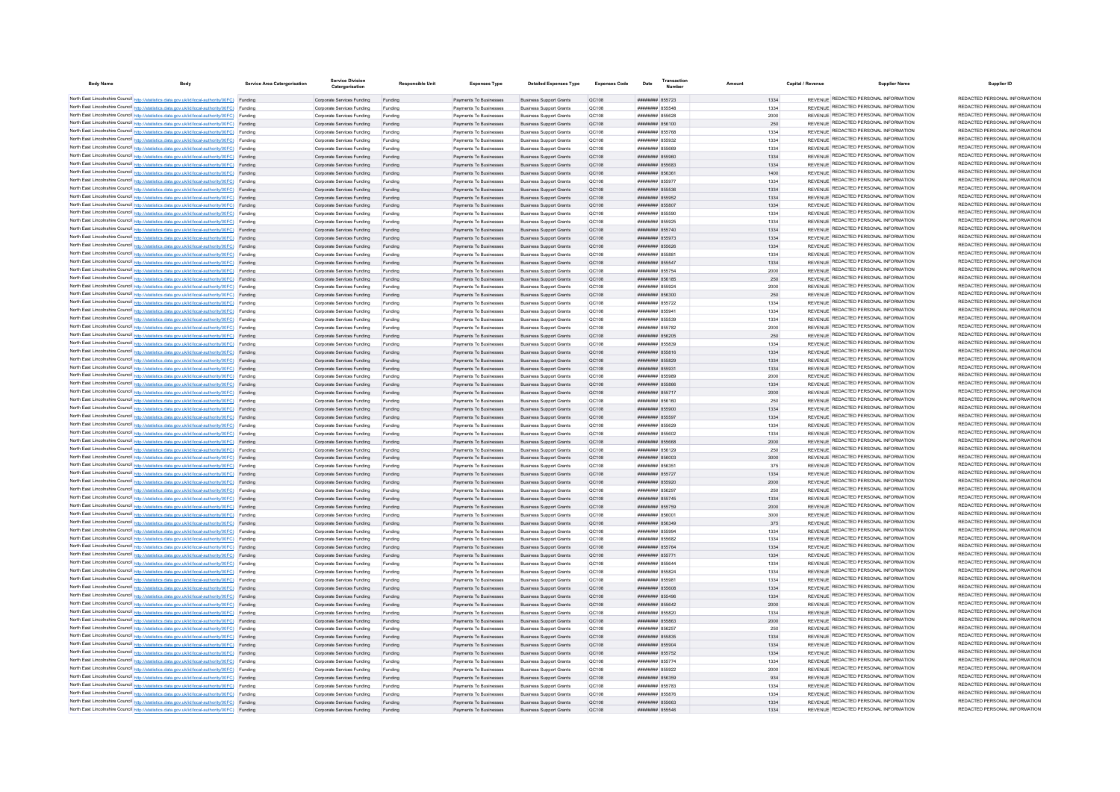| <b>Body Name</b> |                                                                                                                                                                                                  | Service Area Catergorisation | <b>Service Division</b><br>Catergorisation               | Responsible Unit   | <b>Expenses Type</b>                             | <b>Detailed Expenses Type</b>                                    | <b>Expenses Code</b>         | Transaction<br>Date                | Amount | Capital / Revenue | <b>Supplier Name</b>                                                           | Supplier ID                                                    |
|------------------|--------------------------------------------------------------------------------------------------------------------------------------------------------------------------------------------------|------------------------------|----------------------------------------------------------|--------------------|--------------------------------------------------|------------------------------------------------------------------|------------------------------|------------------------------------|--------|-------------------|--------------------------------------------------------------------------------|----------------------------------------------------------------|
|                  | North East Lincolnshire Council http://statistics.data.gov.uk/id/local-authority/00FC) Funding                                                                                                   |                              | Corporate Services Funding Funding                       |                    | Payments To Businesses                           | <b>Business Support Grants</b>                                   | QC108                        | ######## 855723                    |        | 1334              | REVENUE REDACTED PERSONAL INFORMATION                                          | REDACTED PERSONAL INFORMATION                                  |
|                  | North East Lincolnshire Council http://statistics.data.gov.uk/id/local-authority/00FC) Funding                                                                                                   |                              | Corporate Services Funding                               | Funding            | Payments To Businesses                           | <b>Business Support Grants</b>                                   | QC108                        | ####### 855548                     |        | 1334              | REVENUE REDACTED PERSONAL INFORMATION                                          | REDACTED PERSONAL INFORMATION                                  |
|                  | North East Lincolnshire Council http://statistics.data.gov.uk/id/local-authority/00FC) Funding                                                                                                   |                              | Corporate Services Funding                               | Funding            | Payments To Businesses                           | <b>Business Support Grants</b>                                   | QC108                        | ####### 855628                     |        | 2000              | REVENUE REDACTED PERSONAL INFORMATION                                          | REDACTED PERSONAL INFORMATION                                  |
|                  | North East Lincolnshire Council http://statistics.data.gov.uk/id/local-authority/00FC) Funding                                                                                                   |                              | Corporate Services Funding                               | Funding            | Payments To Businesses                           | <b>Business Support Grants</b>                                   | OC108                        | ######## 856100                    |        | 250               | REVENUE REDACTED PERSONAL INFORMATION                                          | REDACTED PERSONAL INFORMATION                                  |
|                  | North East Lincolnshire Council http://statistics.data.gov.uk/id/local-authority/00FC) Funding                                                                                                   |                              | Corporate Services Funding                               | Funding            | Payments To Businesses                           | <b>Business Support Grants</b>                                   | <b>QC108</b>                 | ####### 855768                     |        | 1334              | REVENUE REDACTED PERSONAL INFORMATION                                          | REDACTED PERSONAL INFORMATION                                  |
|                  | North East Lincolnshire Council http://statistics.data.gov.uk/id/local-authority/00FC) Funding                                                                                                   |                              | Corporate Services Funding                               | Funding            | Payments To Businesses                           | <b>Business Support Grants</b>                                   | QC108                        | ####### 855932                     |        | 1334              | REVENUE REDACTED PERSONAL INFORMATION                                          | REDACTED PERSONAL INFORMATION                                  |
|                  | North East Lincolnshire Council http://statistics.data.gov.uk/id/local-authority/00FC) Funding                                                                                                   |                              | Corporate Services Funding                               | Funding            | Payments To Businesser                           | <b>Business Support Grants</b>                                   | QC108                        | ######## 855669                    |        | 1334              | REVENUE REDACTED PERSONAL INFORMATION                                          | REDACTED PERSONAL INFORMATION                                  |
|                  | North East Lincolnshire Council http://statistics.data.gov.uk/id/local-authority/00FC) Funding                                                                                                   |                              | Corporate Services Funding                               | Funding            | Payments To Businesses                           | <b>Business Support Grants</b>                                   | QC108                        | ######## 855960                    |        | 1334              | REVENUE REDACTED PERSONAL INFORMATION                                          | REDACTED PERSONAL INFORMATION                                  |
|                  | North East Lincolnshire Council http://statistics.data.gov.uk/id/local-authority/00FC) Funding                                                                                                   |                              | Corporate Services Funding                               | Funding            | Payments To Businesses                           | <b>Business Support Grants</b>                                   | QC108                        | ####### 855683                     |        | 1334              | REVENUE REDACTED PERSONAL INFORMATION<br>REVENUE REDACTED PERSONAL INFORMATION | REDACTED PERSONAL INFORMATION<br>REDACTED PERSONAL INFORMATION |
|                  | North East Lincolnshire Council http://statistics.data.gov.uk/id/local-authority/00FC) Funding                                                                                                   |                              | Corporate Services Funding                               | Funding            | Payments To Businesses<br>Payments To Businesses | <b>Business Support Grants</b><br><b>Business Support Grants</b> | QC108                        | ######## 856361<br>####### 855977  |        | 1400              | REVENUE REDACTED PERSONAL INFORMATION                                          | REDACTED PERSONAL INFORMATION                                  |
|                  | North East Lincolnshire Council http://statistics.data.gov.uk/id/local-authority/00FC) Funding<br>North East Lincolnshire Council http://statistics.data.gov.uk/id/local-authority/00FC) Funding |                              | Corporate Services Funding<br>Corporate Services Funding | Funding            | Payments To Businesses                           | <b>Business Support Grants</b>                                   | QC108<br>QC108               | ######## 855536                    |        | 1334<br>1334      | REVENUE REDACTED PERSONAL INFORMATION                                          | REDACTED PERSONAL INFORMATION                                  |
|                  | North East Lincolnshire Council http://statistics.data.gov.uk/id/local-authority/00FC) Funding                                                                                                   |                              | Corporate Services Funding                               | Funding            | Payments To Businesses                           | <b>Business Support Grants</b>                                   | QC108                        | ######## 855952                    |        | 1334              | REVENUE REDACTED PERSONAL INFORMATION                                          | REDACTED PERSONAL INFORMATION                                  |
|                  | North East Lincolnshire Council http://statistics.data.gov.uk/id/local-authority/00FC) Funding                                                                                                   |                              | Corporate Services Funding                               | Funding            | Payments To Businesses                           | <b>Business Support Grants</b>                                   | OC108                        | ######## 855807                    |        | 1334              | REVENUE REDACTED PERSONAL INFORMATION                                          | REDACTED PERSONAL INFORMATION                                  |
|                  | North East Lincolnshire Council http://statistics.data.gov.uk/id/local-authority/00FC) Funding                                                                                                   |                              | Corporate Services Funding                               | Funding            | Payments To Businesses                           | <b>Business Support Grants</b>                                   | OC108                        | ######## 855590                    |        | 1334              | REVENUE REDACTED PERSONAL INFORMATION                                          | REDACTED PERSONAL INFORMATION                                  |
|                  | North East Lincolnshire Council http://statistics.data.gov.uk/id/local-authority/00FC) Funding                                                                                                   |                              | Corporate Services Funding                               | Funding            | Payments To Businesser                           | <b>Business Support Grants</b>                                   | QC108                        | ######## 855925                    |        | 1334              | REVENUE REDACTED PERSONAL INFORMATION                                          | REDACTED PERSONAL INFORMATION                                  |
|                  | North East Lincolnshire Council http://statistics.data.gov.uk/id/local-authority/00FC) Funding                                                                                                   |                              | Corporate Services Funding                               | Funding            | Payments To Businesser                           | <b>Business Support Grants</b>                                   | QC108                        | ######## 855740                    |        | 1334              | REVENUE REDACTED PERSONAL INFORMATION                                          | REDACTED PERSONAL INFORMATION                                  |
|                  | North East Lincolnshire Council http://statistics.data.gov.uk/id/local-authority/00FC) Funding                                                                                                   |                              | Corporate Services Funding                               | Funding            | Payments To Businesses                           | <b>Business Support Grants</b>                                   | QC108                        | ####### 855973                     |        | 1334              | REVENUE REDACTED PERSONAL INFORMATION                                          | REDACTED PERSONAL INFORMATION                                  |
|                  | North East Lincolnshire Council http://statistics.data.gov.uk/id/local-authority/00FC) Funding                                                                                                   |                              | Corporate Services Funding                               | Funding            | Payments To Businesses                           | <b>Business Support Grants</b>                                   | OC108                        | ####### 855626                     |        | 1334              | REVENUE REDACTED PERSONAL INFORMATION                                          | REDACTED PERSONAL INFORMATION                                  |
|                  | North East Lincolnshire Council http://statistics.data.gov.uk/id/local-authority/00FC) Funding                                                                                                   |                              | Corporate Services Funding                               | Funding            | Payments To Businesses                           | <b>Business Support Grants</b>                                   | <b>QC108</b>                 | ####### 855881                     |        | 1334              | REVENUE REDACTED PERSONAL INFORMATION                                          | REDACTED PERSONAL INFORMATION                                  |
|                  | North East Lincolnshire Council http://statistics.data.gov.uk/id/local-authority/00FC) Funding                                                                                                   |                              | Corporate Services Funding                               | Funding            | Payments To Businesses                           | <b>Business Support Grants</b>                                   | QC108                        | ######## 855547                    |        | 1334              | REVENUE REDACTED PERSONAL INFORMATION                                          | REDACTED PERSONAL INFORMATION                                  |
|                  | North East Lincolnshire Council http://statistics.data.gov.uk/id/local-authority/00FC) Funding                                                                                                   |                              | Corporate Services Funding                               | Funding            | Payments To Businesses                           | <b>Business Support Grants</b>                                   | QC108                        | ######## 855754                    |        | 2000              | REVENUE REDACTED PERSONAL INFORMATION                                          | REDACTED PERSONAL INFORMATION                                  |
|                  | North East Lincolnshire Council http://statistics.data.gov.uk/id/local-authority/00FC) Funding                                                                                                   |                              | Corporate Services Funding                               | Funding            | Payments To Businesses                           | <b>Business Support Grants</b>                                   | QC108                        | ####### 856185                     |        | 250               | REVENUE REDACTED PERSONAL INFORMATION                                          | REDACTED PERSONAL INFORMATION<br>REDACTED PERSONAL INFORMATION |
|                  | North East Lincolnshire Council http://statistics.data.gov.uk/id/local-authority/00FC) Funding                                                                                                   |                              | Corporate Services Funding                               | Funding            | Payments To Businesses                           | <b>Business Support Grants</b>                                   | <b>QC108</b>                 | ######## 855924                    |        | 2000              | REVENUE REDACTED PERSONAL INFORMATION                                          | REDACTED PERSONAL INFORMATION                                  |
|                  | North East Lincolnshire Council http://statistics.data.gov.uk/id/local-authority/00FC) Funding                                                                                                   |                              | Corporate Services Funding                               | Funding            | Payments To Businesses                           | <b>Business Support Grants</b>                                   | QC108                        | ######## 856300<br>####### 855722  |        | 250               | REVENUE REDACTED PERSONAL INFORMATION<br>REVENUE REDACTED PERSONAL INFORMATION | REDACTED PERSONAL INFORMATION                                  |
|                  | North East Lincolnshire Council http://statistics.data.gov.uk/id/local-authority/00FC) Funding<br>North East Lincolnshire Council http://statistics.data.gov.uk/id/local-authority/00FC) Funding |                              | Corporate Services Funding<br>Corporate Services Funding | Funding            | Payments To Businesses<br>Payments To Businesses | <b>Business Support Grants</b><br><b>Business Support Grants</b> | QC108<br>QC108               | ######## 855941                    |        | 1334<br>1334      | REVENUE REDACTED PERSONAL INFORMATION                                          | REDACTED PERSONAL INFORMATION                                  |
|                  | North East Lincolnshire Council http://statistics.data.gov.uk/id/local-authority/00FC) Funding                                                                                                   |                              | Corporate Services Funding                               |                    | Payments To Businesses                           | <b>Business Support Grants</b>                                   | QC108                        | ####### 855539                     |        | 1334              | REVENUE REDACTED PERSONAL INFORMATION                                          | REDACTED PERSONAL INFORMATION                                  |
|                  | North East Lincolnshire Council http://statistics.data.gov.uk/id/local-authority/00FC) Funding                                                                                                   |                              | Comorate Services Funding                                | Funding            | Payments To Businesses                           | <b>Business Support Grants</b>                                   | OC108                        | ######## 855782                    |        | 2000              | REVENUE REDACTED PERSONAL INFORMATION                                          | REDACTED PERSONAL INFORMATION                                  |
|                  | North East Lincolnshire Council http://statistics.data.gov.uk/id/local-authority/00FC) Funding                                                                                                   |                              | Corporate Services Funding                               | Funding            | Payments To Businesses                           | <b>Business Support Grants</b>                                   | <b>QC108</b>                 | ######## 856205                    |        | 250               | REVENUE REDACTED PERSONAL INFORMATION                                          | REDACTED PERSONAL INFORMATION                                  |
|                  | North East Lincolnshire Council http://statistics.data.gov.uk/id/local-authority/00FC) Funding                                                                                                   |                              | Corporate Services Funding                               | Funding            | Payments To Businesses                           | <b>Business Support Grants</b>                                   | QC108                        | ######## 855839                    |        | 1334              | REVENUE REDACTED PERSONAL INFORMATION                                          | REDACTED PERSONAL INFORMATION                                  |
|                  | North East Lincolnshire Council http://statistics.data.gov.uk/id/local-authority/00FC) Funding                                                                                                   |                              | Corporate Services Funding                               | Funding            | Payments To Businesses                           | <b>Business Support Grants</b>                                   | QC108                        | ####### 855816                     |        | 1334              | REVENUE REDACTED PERSONAL INFORMATION                                          | REDACTED PERSONAL INFORMATION                                  |
|                  | North East Lincolnshire Council http://statistics.data.gov.uk/id/local-authority/00FC) Funding                                                                                                   |                              | Corporate Services Funding                               | Funding            | Payments To Businesses                           | <b>Business Support Grants</b>                                   | QC108                        | ####### 855829                     |        | 1334              | REVENUE REDACTED PERSONAL INFORMATION                                          | REDACTED PERSONAL INFORMATION                                  |
|                  | North East Lincolnshire Council http://statistics.data.gov.uk/id/local-authority/00FC) Funding                                                                                                   |                              | Corporate Services Funding                               | Funding            | Payments To Businesses                           | <b>Business Support Grants</b>                                   | QC108                        | ######## 855931                    |        | 1334              | REVENUE REDACTED PERSONAL INFORMATION                                          | REDACTED PERSONAL INFORMATION                                  |
|                  | North East Lincolnshire Council http://statistics.data.gov.uk/id/local-authority/00FC) Funding                                                                                                   |                              | Corporate Services Funding                               | Funding            | Payments To Businesser                           | <b>Business Support Grants</b>                                   | QC108                        | ######## 855989                    |        | 2000              | REVENUE REDACTED PERSONAL INFORMATION                                          | REDACTED PERSONAL INFORMATION                                  |
|                  | North East Lincolnshire Council http://statistics.data.gov.uk/id/local-authority/00FC) Funding                                                                                                   |                              | Corporate Services Funding                               | Funding            | Payments To Businesser                           | <b>Business Support Grants</b>                                   | QC108                        | ####### 855866                     |        | 1334              | REVENUE REDACTED PERSONAL INFORMATION                                          | REDACTED PERSONAL INFORMATION                                  |
|                  | North East Lincolnshire Council http://statistics.data.gov.uk/id/local-authority/00FC) Funding                                                                                                   |                              | Corporate Services Funding                               | Funding            | Payments To Businesses                           | <b>Business Support Grants</b>                                   | QC108                        | ######## 855717                    |        | 2000              | REVENUE REDACTED PERSONAL INFORMATION                                          | REDACTED PERSONAL INFORMATION<br>REDACTED PERSONAL INFORMATION |
|                  | North East Lincolnshire Council http://statistics.data.gov.uk/id/local-authority/00FC) Funding                                                                                                   |                              | Corporate Services Funding                               | Funding            | Payments To Businesses                           | <b>Business Support Grants</b>                                   | QC108                        | ####### 856160                     |        | 250               | REVENUE REDACTED PERSONAL INFORMATION<br>REVENUE REDACTED PERSONAL INFORMATION | REDACTED PERSONAL INFORMATION                                  |
|                  | North East Lincolnshire Council http://statistics.data.gov.uk/id/local-authority/00FC) Funding                                                                                                   |                              | Comorate Services Funding                                | Funding            | Payments To Businesses                           | <b>Business Support Grants</b>                                   | OC108                        | ######## 855900<br>######## 855597 |        | 1334              | REVENUE REDACTED PERSONAL INFORMATION                                          | REDACTED PERSONAL INFORMATION                                  |
|                  | North East Lincolnshire Council http://statistics.data.gov.uk/id/local-authority/00FC) Funding<br>North East Lincolnshire Council http://statistics.data.gov.uk/id/local-authority/00FC) Funding |                              | Corporate Services Funding<br>Corporate Services Funding | Funding<br>Funding | Payments To Businesses<br>Payments To Businesses | <b>Business Support Grants</b><br><b>Business Support Grants</b> | <b>QC108</b><br><b>QC108</b> | ######## 855629                    |        | 1334<br>1334      | REVENUE REDACTED PERSONAL INFORMATION                                          | REDACTED PERSONAL INFORMATION                                  |
|                  | North East Lincolnshire Council http://statistics.data.gov.uk/id/local-authority/00FC) Funding                                                                                                   |                              | Corporate Services Funding                               | Funding            | Payments To Businesses                           | <b>Business Support Grants</b>                                   | QC108                        | ####### 855602                     |        | 1334              | REVENUE REDACTED PERSONAL INFORMATION                                          | REDACTED PERSONAL INFORMATION                                  |
|                  | North East Lincolnshire Council http://statistics.data.gov.uk/id/local-authority/00FC) Funding                                                                                                   |                              | Corporate Services Funding                               | Funding            | Payments To Businesses                           | <b>Business Support Grants</b>                                   | QC108                        | ####### 855668                     |        | 2000              | REVENUE REDACTED PERSONAL INFORMATION                                          | REDACTED PERSONAL INFORMATION                                  |
|                  | North East Lincolnshire Council http://statistics.data.gov.uk/id/local-authority/00FC) Funding                                                                                                   |                              | Corporate Services Funding                               | Funding            | Payments To Businesses                           | <b>Business Support Grants</b>                                   | <b>QC108</b>                 | ######## 856129                    |        | 250               | REVENUE REDACTED PERSONAL INFORMATION                                          | REDACTED PERSONAL INFORMATION                                  |
|                  | North East Lincolnshire Council http://statistics.data.gov.uk/id/local-authority/00FC) Funding                                                                                                   |                              | Corporate Services Funding                               | Funding            | Payments To Businesses                           | <b>Business Support Grants</b>                                   | QC108                        | ######## 856003                    |        | 3000              | REVENUE REDACTED PERSONAL INFORMATION                                          | REDACTED PERSONAL INFORMATION                                  |
|                  | North East Lincolnshire Council http://statistics.data.gov.uk/id/local-authority/00FC) Funding                                                                                                   |                              | Corporate Services Funding                               | Funding            | Payments To Businesses                           | <b>Business Support Grants</b>                                   | OC108                        | ####### 85635*                     |        | 375               | REVENUE REDACTED PERSONAL INFORMATION                                          | REDACTED PERSONAL INFORMATION                                  |
|                  | North East Lincolnshire Council http://statistics.data.gov.uk/id/local-authority/00FC) Funding                                                                                                   |                              | Corporate Services Funding                               | Funding            | Payments To Businesses                           | <b>Business Support Grants</b>                                   | QC108                        | ####### 855727                     |        | 1334              | REVENUE REDACTED PERSONAL INFORMATION                                          | REDACTED PERSONAL INFORMATION                                  |
|                  | North East Lincolnshire Council http://statistics.data.gov.uk/id/local-authority/00FC) Funding                                                                                                   |                              | Corporate Services Funding                               |                    | Payments To Businesses                           | <b>Business Support Grants</b>                                   | QC108                        | ######## 855920                    |        | 2000              | REVENUE REDACTED PERSONAL INFORMATION                                          | REDACTED PERSONAL INFORMATION                                  |
|                  | North East Lincolnshire Council http://statistics.data.gov.uk/id/local-authority/00FC) Funding                                                                                                   |                              | Corporate Services Funding                               | Funding            | Payments To Businesses                           | <b>Business Support Grants</b>                                   | <b>QC108</b>                 | ######## 856297                    |        | 250               | REVENUE REDACTED PERSONAL INFORMATION                                          | REDACTED PERSONAL INFORMATION                                  |
|                  | North East Lincolnshire Council http://statistics.data.gov.uk/id/local-authority/00FC) Funding                                                                                                   |                              | Corporate Services Funding                               | Funding            | Payments To Businesses                           | <b>Business Support Grants</b>                                   | QC108                        | ######## 855745                    |        | 1334              | REVENUE REDACTED PERSONAL INFORMATION                                          | REDACTED PERSONAL INFORMATION                                  |
|                  | North East Lincolnshire Council http://statistics.data.gov.uk/id/local-authority/00FC) Funding                                                                                                   |                              | Corporate Services Funding                               | Funding            | Payments To Businesses                           | <b>Business Support Grants</b>                                   | QC108                        | ######## 855759                    |        | 2000              | REVENUE REDACTED PERSONAL INFORMATION                                          | REDACTED PERSONAL INFORMATION<br>REDACTED PERSONAL INFORMATION |
|                  | North East Lincolnshire Council http://statistics.data.gov.uk/id/local-authority/00FC) Funding                                                                                                   |                              | Corporate Services Funding                               | Funding            | Payments To Businesses                           | <b>Business Support Grants</b>                                   | QC108                        | ######## 856001                    |        | 3000              | REVENUE REDACTED PERSONAL INFORMATION<br>REVENUE REDACTED PERSONAL INFORMATION | REDACTED PERSONAL INFORMATION                                  |
|                  | North East Lincolnshire Council http://statistics.data.gov.uk/id/local-authority/00FC) Funding<br>North East Lincolnshire Council http://statistics.data.gov.uk/id/local-authority/00FC) Funding |                              | Corporate Services Funding                               | Funding            | Payments To Businesses                           | <b>Business Support Grants</b>                                   | QC108<br>OC108               | ######## 856349<br>######## 855994 |        | 375<br>1334       | REVENUE REDACTED PERSONAL INFORMATION                                          | REDACTED PERSONAL INFORMATION                                  |
|                  | North East Lincolnshire Council http://statistics.data.gov.uk/id/local-authority/00FC) Funding                                                                                                   |                              | Corporate Services Funding<br>Corporate Services Funding | Funding            | Payments To Businesses<br>Payments To Businesser | <b>Business Support Grants</b><br><b>Business Support Grants</b> | OC108                        | ####### 855682                     |        | 1334              | REVENUE REDACTED PERSONAL INFORMATION                                          | REDACTED PERSONAL INFORMATION                                  |
|                  | North East Lincolnshire Council http://statistics.data.gov.uk/id/local-authority/00FC) Funding                                                                                                   |                              | Corporate Services Funding                               | Funding<br>Funding | Payments To Businesses                           | <b>Business Support Grants</b>                                   | QC108                        | ####### 855764                     |        | 1334              | REVENUE REDACTED PERSONAL INFORMATION                                          | REDACTED PERSONAL INFORMATION                                  |
|                  | North East Lincolnshire Council http://statistics.data.gov.uk/id/local-authority/00FC) Funding                                                                                                   |                              | Corporate Services Funding                               | Funding            | Payments To Businesses                           | <b>Business Support Grants</b>                                   | QC108                        | ######## 855771                    |        | 1334              | REVENUE REDACTED PERSONAL INFORMATION                                          | REDACTED PERSONAL INFORMATION                                  |
|                  | North East Lincolnshire Council http://statistics.data.gov.uk/id/local-authority/00FC) Funding                                                                                                   |                              | Corporate Services Funding                               | Funding            | Payments To Businesses                           | <b>Business Support Grants</b>                                   | QC108                        | ######## 855644                    |        | 1334              | REVENUE REDACTED PERSONAL INFORMATION                                          | REDACTED PERSONAL INFORMATION                                  |
|                  | North East Lincolnshire Council http://statistics.data.gov.uk/id/local-authority/00FC) Funding                                                                                                   |                              | Corporate Services Funding                               | Funding            | Payments To Businesses                           | <b>Business Support Grants</b>                                   | OC108                        | ######## 855824                    |        | 1334              | REVENUE REDACTED PERSONAL INFORMATION                                          | REDACTED PERSONAL INFORMATION                                  |
|                  | North East Lincolnshire Council http://statistics.data.gov.uk/id/local-authority/00FC) Funding                                                                                                   |                              | Corporate Services Funding                               | Funding            | Payments To Businesses                           | <b>Business Support Grants</b>                                   | <b>QC108</b>                 | ######## 855981                    |        | 1334              | REVENUE REDACTED PERSONAL INFORMATION                                          | REDACTED PERSONAL INFORMATION                                  |
|                  | North East Lincolnshire Council http://statistics.data.gov.uk/id/local-authority/00FC) Funding                                                                                                   |                              | Corporate Services Funding                               | Funding            | Payments To Businesses                           | <b>Business Support Grants</b>                                   | QC108                        | ######## 855608                    |        | 1334              | REVENUE REDACTED PERSONAL INFORMATION                                          | REDACTED PERSONAL INFORMATION                                  |
|                  | North East Lincolnshire Council http://statistics.data.gov.uk/id/local-authority/00FC) Funding                                                                                                   |                              | Corporate Services Funding                               | Funding            | Payments To Businesses                           | <b>Business Support Grants</b>                                   | QC108                        | ######## 855496                    |        | 1334              | REVENUE REDACTED PERSONAL INFORMATION                                          | REDACTED PERSONAL INFORMATION                                  |
|                  | North East Lincolnshire Council http://statistics.data.gov.uk/id/local-authority/00FC) Funding                                                                                                   |                              | Corporate Services Funding                               | Funding            | Payments To Businesses                           | <b>Business Support Grants</b>                                   | QC108                        | ####### 855642                     |        | 2000              | REVENUE REDACTED PERSONAL INFORMATION                                          | REDACTED PERSONAL INFORMATION                                  |
|                  | North East Lincolnshire Council http://statistics.data.gov.uk/id/local-authority/00FC) Funding                                                                                                   |                              | Corporate Services Funding                               | Funding            | Payments To Businesses                           | <b>Business Support Grants</b>                                   | <b>QC108</b>                 | ######## 855820                    |        | 1334              | REVENUE REDACTED PERSONAL INFORMATION                                          | REDACTED PERSONAL INFORMATION                                  |
|                  | North East Lincolnshire Council http://statistics.data.gov.uk/id/local-authority/00FC) Funding                                                                                                   |                              | Corporate Services Funding                               | Funding            | Payments To Businesses                           | <b>Business Support Grants</b>                                   | QC108                        | ######## 855863                    |        | 2000              | REVENUE REDACTED PERSONAL INFORMATION                                          | REDACTED PERSONAL INFORMATION                                  |
|                  | North East Lincolnshire Council http://statistics.data.gov.uk/id/local-authority/00FC) Funding                                                                                                   |                              | Corporate Services Funding                               | Funding            | Payments To Businesses                           | <b>Business Support Grants</b>                                   | <b>QC108</b>                 | ####### 856257                     |        | 250               | REVENUE REDACTED PERSONAL INFORMATION                                          | REDACTED PERSONAL INFORMATION<br>REDACTED PERSONAL INFORMATION |
|                  | North East Lincolnshire Council http://statistics.data.gov.uk/id/local-authority/00FC) Funding                                                                                                   |                              | Corporate Services Funding                               | Funding            | Payments To Businesses                           | <b>Business Support Grants</b>                                   | QC108                        | ######## 855835                    |        | 1334              | REVENUE REDACTED PERSONAL INFORMATION<br>REVENUE REDACTED PERSONAL INFORMATION | REDACTED PERSONAL INFORMATION                                  |
|                  | North East Lincolnshire Council http://statistics.data.gov.uk/id/local-authority/00FC) Funding                                                                                                   |                              | Corporate Services Funding                               |                    | Payments To Businesses                           | <b>Business Support Grants</b>                                   | <b>QC108</b>                 | ######## 855904                    |        | 1334              | REVENUE REDACTED PERSONAL INFORMATION                                          | REDACTED PERSONAL INFORMATION                                  |
|                  | North East Lincolnshire Council http://statistics.data.gov.uk/id/local-authority/00FC) Funding<br>North East Lincolnshire Council http://statistics.data.gov.uk/id/local-authority/00FC) Funding |                              | Corporate Services Funding<br>Corporate Services Funding | Funding<br>Funding | Payments To Businesses<br>Payments To Businesses | <b>Business Support Grants</b><br><b>Business Support Grants</b> | OC108<br><b>QC108</b>        | ######## 855752<br>######## 855774 |        | 1334<br>1334      | REVENUE REDACTED PERSONAL INFORMATION                                          | REDACTED PERSONAL INFORMATION                                  |
|                  | North East Lincolnshire Council http://statistics.data.gov.uk/id/local-authority/00FC) Funding                                                                                                   |                              | Corporate Services Funding                               | Funding            | Payments To Businesses                           | <b>Business Support Grants</b>                                   | QC108                        | ######## 855922                    |        | 2000              | REVENUE REDACTED PERSONAL INFORMATION                                          | REDACTED PERSONAL INFORMATION                                  |
|                  | North East Lincolnshire Council http://statistics.data.gov.uk/id/local-authority/00FC) Funding                                                                                                   |                              | Corporate Services Funding                               | Funding            | Payments To Businesses                           | <b>Business Support Grants</b>                                   | QC108                        | ######## 856359                    |        | 934               | REVENUE REDACTED PERSONAL INFORMATION                                          | REDACTED PERSONAL INFORMATION                                  |
|                  | North East Lincolnshire Council http://statistics.data.gov.uk/id/local-authority/00FC) Funding                                                                                                   |                              | Corporate Services Funding                               | Funding            | Payments To Businesses                           | <b>Business Support Grants</b>                                   | <b>QC108</b>                 | ######## 855783                    |        | 1334              | REVENUE REDACTED PERSONAL INFORMATION                                          | REDACTED PERSONAL INFORMATION                                  |
|                  | North East Lincolnshire Council http://statistics.data.gov.uk/id/local-authority/00FC) Funding                                                                                                   |                              | Corporate Services Funding                               | Funding            | Payments To Businesses                           | <b>Business Support Grants</b>                                   | QC108                        | ####### 855876                     |        | 1334              | REVENUE REDACTED PERSONAL INFORMATION                                          | REDACTED PERSONAL INFORMATION                                  |
|                  | North East Lincolnshire Council http://statistics.data.gov.uk/id/local-authority/00FC) Funding                                                                                                   |                              | Corporate Services Funding                               | Funding            | Payments To Businesses                           | <b>Business Support Grants</b>                                   | QC108                        | ######## 855663                    |        | 1334              | REVENUE REDACTED PERSONAL INFORMATION                                          | REDACTED PERSONAL INFORMATION                                  |
|                  | North East Lincolnshire Council http://statistics.data.gov.uk/id/local-authority/00FC) Funding                                                                                                   |                              | Corporate Services Funding                               | Funding            | Payments To Businesses                           | <b>Business Support Grants</b>                                   | QC108                        | ######## 855546                    |        | 1334              | REVENUE REDACTED PERSONAL INFORMATION                                          | REDACTED PERSONAL INFORMATION                                  |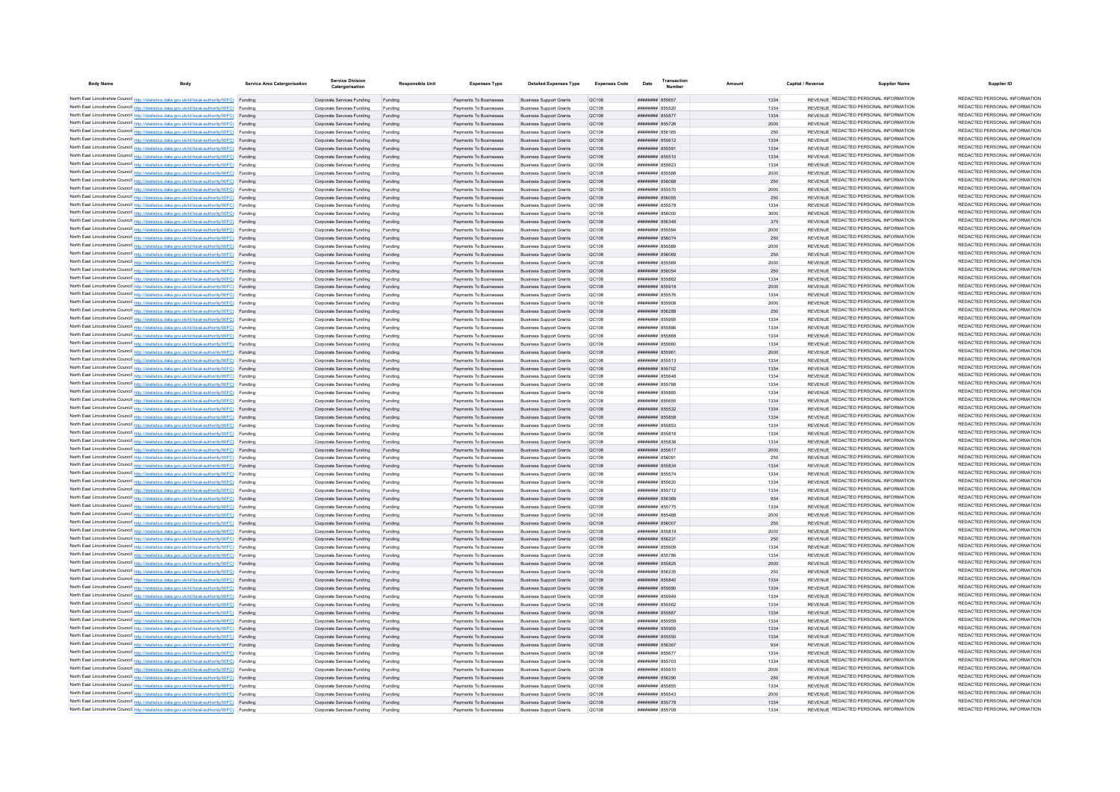| <b>Body Name</b> |                                                                                                                                                                                                  | <b>Service Area Catergorisation</b> | Service Division<br>Catergorisation                              | <b>Responsible Unit</b> | <b>Expenses Type</b>                             | <b>Detailed Expenses Type</b>                                    | <b>Expenses Code</b>  | Date                               | <b>Transactio</b><br>Number |              | Capital / Revenue | Supplier Name                                                                  | Supplier ID                                                    |
|------------------|--------------------------------------------------------------------------------------------------------------------------------------------------------------------------------------------------|-------------------------------------|------------------------------------------------------------------|-------------------------|--------------------------------------------------|------------------------------------------------------------------|-----------------------|------------------------------------|-----------------------------|--------------|-------------------|--------------------------------------------------------------------------------|----------------------------------------------------------------|
|                  | North East Lincolnshire Council http://statistics.data.gov.uk/id/local-authority/00FC) Funding                                                                                                   |                                     |                                                                  |                         |                                                  |                                                                  | OC108                 | ####### 855657                     |                             | 1334         |                   | REVENUE REDACTED PERSONAL INFORMATION                                          | REDACTED PERSONAL INFORMATION                                  |
|                  | North East Lincolnshire Council http://statistics.data.gov.uk/id/local-authority/00FC) Funding                                                                                                   |                                     | Corporate Services Funding Funding<br>Corporate Services Funding | Funding                 | Payments To Businesses<br>Payments To Businesses | <b>Business Support Grants</b><br><b>Business Support Grants</b> | OC108                 | ####### 855520                     |                             | 1334         |                   | REVENUE REDACTED PERSONAL INFORMATION                                          | REDACTED PERSONAL INFORMATION                                  |
|                  | North East Lincolnshire Council http://statistics.data.gov.uk/id/local-authority/00FC) Funding                                                                                                   |                                     | Corporate Services Funding                                       | Funding                 | Payments To Businesses                           | <b>Business Support Grants</b>                                   | <b>QC108</b>          | ####### 855877                     |                             | 1334         |                   | REVENUE REDACTED PERSONAL INFORMATION                                          | REDACTED PERSONAL INFORMATION                                  |
|                  | North East Lincolnshire Council http://statistics.data.gov.uk/id/local-authority/00FC) Funding                                                                                                   |                                     | Corporate Services Funding                                       | Funding                 | Payments To Businesses                           | <b>Business Support Grants</b>                                   | QC108                 | ######## 855726                    |                             | 2000         |                   | REVENUE REDACTED PERSONAL INFORMATION                                          | REDACTED PERSONAL INFORMATION                                  |
|                  | North East Lincolnshire Council http://statistics.data.gov.uk/id/local-authority/00FC) Funding                                                                                                   |                                     | Corporate Services Funding                                       | Funding                 | Payments To Businesses                           | <b>Business Support Grants</b>                                   | QC108                 | ####### 856165                     |                             | 250          |                   | REVENUE REDACTED PERSONAL INFORMATION                                          | REDACTED PERSONAL INFORMATION                                  |
|                  | North East Lincolnshire Council http://statistics.data.gov.uk/id/local-authority/00FC) Funding                                                                                                   |                                     | Corporate Services Funding                                       | Funding                 | Payments To Businesses                           | <b>Business Support Grants</b>                                   | QC108                 | ####### 855612                     |                             | 1334         |                   | REVENUE REDACTED PERSONAL INFORMATION                                          | REDACTED PERSONAL INFORMATION                                  |
|                  | North East Lincolnshire Council http://statistics.data.gov.uk/id/local-authority/00FC) Funding                                                                                                   |                                     | Corporate Services Funding                                       | Funding                 | Payments To Businesses                           | <b>Business Support Grants</b>                                   | QC108                 | ######## 855591                    |                             | 1334         |                   | REVENUE REDACTED PERSONAL INFORMATION                                          | REDACTED PERSONAL INFORMATION                                  |
|                  | North East Lincolnshire Council http://statistics.data.gov.uk/id/local-authority/00FC) Funding                                                                                                   |                                     | Corporate Services Funding                                       | Funding                 | Payments To Businesses                           | <b>Business Support Grants</b>                                   | <b>QC108</b>          | ######## 855510                    |                             | 1334         |                   | REVENUE REDACTED PERSONAL INFORMATION                                          | REDACTED PERSONAL INFORMATION                                  |
|                  | North East Lincolnshire Council http://statistics.data.gov.uk/id/local-authority/00FC) Funding                                                                                                   |                                     | Corporate Services Funding                                       | Funding                 | Payments To Businesses                           | <b>Business Support Grants</b>                                   | <b>QC108</b>          | ######## 855623                    |                             | 1334         |                   | REVENUE REDACTED PERSONAL INFORMATION                                          | REDACTED PERSONAL INFORMATION<br>REDACTED PERSONAL INFORMATION |
|                  | North East Lincolnshire Council http://statistics.data.gov.uk/id/local-authority/00FC) Funding                                                                                                   |                                     | Corporate Services Funding                                       | Funding                 | Payments To Businesses                           | <b>Business Support Grants</b>                                   | OC108                 | <b>########</b> 855588             |                             | 2000         |                   | REVENUE REDACTED PERSONAL INFORMATION<br>REVENUE REDACTED PERSONAL INFORMATION | REDACTED PERSONAL INFORMATION                                  |
|                  | North East Lincolnshire Council http://statistics.data.gov.uk/id/local-authority/00FC) Funding<br>North East Lincolnshire Council http://statistics.data.gov.uk/id/local-authority/00FC) Funding |                                     | Corporate Services Funding<br>Corporate Services Funding         | Funding                 | Payments To Businesses<br>Payments To Businesses | <b>Business Support Grants</b><br><b>Business Support Grants</b> | QC108<br><b>QC108</b> | ######## 856068<br>####### 855570  |                             | 250          |                   | REVENUE REDACTED PERSONAL INFORMATION                                          | REDACTED PERSONAL INFORMATION                                  |
|                  | North East Lincolnshire Council http://statistics.data.gov.uk/id/local-authority/00FC) Funding                                                                                                   |                                     | Corporate Services Funding                                       |                         | Payments To Businesses                           | <b>Business Support Grants</b>                                   | QC108                 | ####### 856055                     |                             | 2000<br>250  |                   | REVENUE REDACTED PERSONAL INFORMATION                                          | REDACTED PERSONAL INFORMATION                                  |
|                  | North East Lincolnshire Council http://statistics.data.gov.uk/id/local-authority/00FC) Funding                                                                                                   |                                     | Comorate Services Funding                                        | Funding                 | Payments To Businesses                           | <b>Business Support Grants</b>                                   | OC108                 | ######## 855578                    |                             | 1334         |                   | REVENUE REDACTED PERSONAL INFORMATION                                          | REDACTED PERSONAL INFORMATION                                  |
|                  | North East Lincolnshire Council http://statistics.data.gov.uk/id/local-authority/00FC) Funding                                                                                                   |                                     | Corporate Services Funding                                       | Funding                 | Payments To Businesses                           | <b>Business Support Grants</b>                                   | <b>QC108</b>          | ####### 856000                     |                             | 3000         |                   | REVENUE REDACTED PERSONAL INFORMATION                                          | REDACTED PERSONAL INFORMATION                                  |
|                  | North East Lincolnshire Council http://statistics.data.gov.uk/id/local-authority/00FC) Funding                                                                                                   |                                     | Corporate Services Funding                                       | Funding                 | Payments To Businesses                           | <b>Business Support Grants</b>                                   | QC108                 | ####### 856348                     |                             | 375          |                   | REVENUE REDACTED PERSONAL INFORMATION                                          | REDACTED PERSONAL INFORMATION                                  |
|                  | North East Lincolnshire Council http://statistics.data.gov.uk/id/local-authority/00FC) Funding                                                                                                   |                                     | Corporate Services Funding                                       | Funding                 | Payments To Businesses                           | <b>Business Support Grants</b>                                   | OC108                 | ####### 855594                     |                             | 2000         |                   | REVENUE REDACTED PERSONAL INFORMATION                                          | REDACTED PERSONAL INFORMATION                                  |
|                  | North East Lincolnshire Council http://statistics.data.gov.uk/id/local-authority/00FC) Funding                                                                                                   |                                     | Corporate Services Funding                                       | Funding                 | Payments To Businesses                           | <b>Business Support Grants</b>                                   | QC108                 | ######## 856074                    |                             | 250          |                   | REVENUE REDACTED PERSONAL INFORMATION                                          | REDACTED PERSONAL INFORMATION                                  |
|                  | North East Lincolnshire Council http://statistics.data.gov.uk/id/local-authority/00FC) Funding                                                                                                   |                                     | Corporate Services Funding                                       | Funding                 | Payments To Businesses                           | <b>Business Support Grants</b>                                   | QC108                 | ######## 855589                    |                             | 2000         |                   | REVENUE REDACTED PERSONAL INFORMATION                                          | REDACTED PERSONAL INFORMATION                                  |
|                  | North East Lincolnshire Council http://statistics.data.gov.uk/id/local-authority/00FC) Funding                                                                                                   |                                     | Corporate Services Funding                                       | Funding                 | Payments To Businesses                           | <b>Business Support Grants</b>                                   | QC108                 | ######## 856069                    |                             | 250          |                   | REVENUE REDACTED PERSONAL INFORMATION                                          | REDACTED PERSONAL INFORMATION<br>REDACTED PERSONAL INFORMATION |
|                  | North East Lincolnshire Council http://statistics.data.gov.uk/id/local-authority/00FC) Funding                                                                                                   |                                     | Corporate Services Funding                                       | Funding                 | Payments To Businesser                           | <b>Business Support Grants</b>                                   | <b>QC108</b>          | ######## 855569                    |                             | 2000         |                   | REVENUE REDACTED PERSONAL INFORMATION<br>REVENUE REDACTED PERSONAL INFORMATION | REDACTED PERSONAL INFORMATION                                  |
|                  | North East Lincolnshire Council http://statistics.data.gov.uk/id/local-authority/00FC) Funding<br>North East Lincolnshire Council http://statistics.data.gov.uk/id/local-authority/00FC) Funding |                                     | Corporate Services Funding                                       | Funding<br>Funding      | Payments To Businesses<br>Payments To Businesser | <b>Business Support Grants</b><br><b>Business Support Grants</b> | QC108<br>QC108        | ######## 856054<br>####### 855882  |                             | 250<br>1334  |                   | REVENUE REDACTED PERSONAL INFORMATION                                          | REDACTED PERSONAL INFORMATION                                  |
|                  | North East Lincolnshire Council http://statistics.data.gov.uk/id/local-authority/00FC) Funding                                                                                                   |                                     | Corporate Services Funding<br>Corporate Services Funding         | Funding                 | Payments To Businesser                           | <b>Business Support Grants</b>                                   | QC108                 | ####### 855918                     |                             | 2000         |                   | REVENUE REDACTED PERSONAL INFORMATION                                          | REDACTED PERSONAL INFORMATION                                  |
|                  | North East Lincolnshire Council http://statistics.data.gov.uk/id/local-authority/00FC) Funding                                                                                                   |                                     | Corporate Services Funding                                       | Funding                 | Payments To Businesses                           | <b>Business Support Grants</b>                                   | QC108                 | ####### 855576                     |                             | 1334         |                   | REVENUE REDACTED PERSONAL INFORMATION                                          | REDACTED PERSONAL INFORMATION                                  |
|                  | North East Lincolnshire Council http://statistics.data.gov.uk/id/local-authority/00FC) Funding                                                                                                   |                                     | Corporate Services Funding                                       | Funding                 | Payments To Businesses                           | <b>Business Support Grants</b>                                   | QC108                 | ####### 855908                     |                             | 2000         |                   | REVENUE REDACTED PERSONAL INFORMATION                                          | REDACTED PERSONAL INFORMATION                                  |
|                  | North East Lincolnshire Council http://statistics.data.gov.uk/id/local-authority/00FC) Funding                                                                                                   |                                     | Corporate Services Funding                                       | Funding                 | Payments To Businesses                           | <b>Business Support Grants</b>                                   | OC108                 | ####### 856288                     |                             | 250          |                   | REVENUE REDACTED PERSONAL INFORMATION                                          | REDACTED PERSONAL INFORMATION                                  |
|                  | North East Lincolnshire Council http://statistics.data.gov.uk/id/local-authority/00FC) Funding                                                                                                   |                                     | Comorate Services Funding                                        | Funding                 | Payments To Businesses                           | <b>Business Support Grants</b>                                   | OC108                 | ######## 855995                    |                             | 1334         |                   | REVENUE REDACTED PERSONAL INFORMATION                                          | REDACTED PERSONAL INFORMATION                                  |
|                  | North East Lincolnshire Council http://statistics.data.gov.uk/id/local-authority/00FC) Funding                                                                                                   |                                     | Corporate Services Funding                                       | Funding                 | Payments To Businesses                           | <b>Business Support Grants</b>                                   | <b>QC108</b>          | ######## 855886                    |                             | 1334         |                   | REVENUE REDACTED PERSONAL INFORMATION                                          | REDACTED PERSONAL INFORMATION                                  |
|                  | North East Lincolnshire Council http://statistics.data.gov.uk/id/local-authority/00FC) Funding                                                                                                   |                                     | Corporate Services Funding                                       | Funding                 | Payments To Businesses                           | <b>Business Support Grants</b>                                   | QC108                 | ######## 855868                    |                             | 1334         |                   | REVENUE REDACTED PERSONAL INFORMATION                                          | REDACTED PERSONAL INFORMATION                                  |
|                  | North East Lincolnshire Council http://statistics.data.gov.uk/id/local-authority/00FC) Funding                                                                                                   |                                     | Corporate Services Funding                                       | Funding                 | Payments To Businesses                           | <b>Business Support Grants</b>                                   | QC108                 | ######## 855660                    |                             | 1334         |                   | REVENUE REDACTED PERSONAL INFORMATION                                          | REDACTED PERSONAL INFORMATION                                  |
|                  | North East Lincolnshire Council http://statistics.data.gov.uk/id/local-authority/00FC) Funding                                                                                                   |                                     | Corporate Services Funding                                       | Funding                 | Payments To Businesses                           | <b>Business Support Grants</b>                                   | QC108                 | ######## 855961                    |                             | 2000         |                   | REVENUE REDACTED PERSONAL INFORMATION                                          | REDACTED PERSONAL INFORMATION<br>REDACTED PERSONAL INFORMATION |
|                  | North East Lincolnshire Council http://statistics.data.gov.uk/id/local-authority/00FC) Funding                                                                                                   |                                     | Corporate Services Funding                                       | Funding                 | Payments To Businesses                           | <b>Business Support Grants</b>                                   | QC108                 | ####### 855513                     |                             | 1334         |                   | REVENUE REDACTED PERSONAL INFORMATION<br>REVENUE REDACTED PERSONAL INFORMATION | REDACTED PERSONAL INFORMATION                                  |
|                  | North East Lincolnshire Council http://statistics.data.gov.uk/id/local-authority/00FC) Funding                                                                                                   |                                     | Corporate Services Funding                                       | Funding                 | Payments To Businesses                           | <b>Business Support Grants</b>                                   | OC108                 | ######## 855702                    |                             | 1334         |                   | REVENUE REDACTED PERSONAL INFORMATION                                          | REDACTED PERSONAL INFORMATION                                  |
|                  | North East Lincolnshire Council http://statistics.data.gov.uk/id/local-authority/00FC) Funding<br>North East Lincolnshire Council http://statistics.data.gov.uk/id/local-authority/00FC) Funding |                                     | Corporate Services Funding<br>Corporate Services Funding         | Funding<br>Funding      | Payments To Businesses<br>Payments To Businesses | <b>Business Support Grants</b><br><b>Business Support Grants</b> | <b>QC108</b><br>QC108 | ######## 855648<br>####### 855788  |                             | 1334<br>1334 |                   | REVENUE REDACTED PERSONAL INFORMATION                                          | REDACTED PERSONAL INFORMATION                                  |
|                  | North East Lincolnshire Council http://statistics.data.gov.uk/id/local-authority/00FC) Funding                                                                                                   |                                     | Corporate Services Funding                                       | Funding                 | Payments To Businesses                           | <b>Business Support Grants</b>                                   | OC108                 | ####### 855885                     |                             | 1334         |                   | REVENUE REDACTED PERSONAL INFORMATION                                          | REDACTED PERSONAL INFORMATION                                  |
|                  | North East Lincolnshire Council http://statistics.data.gov.uk/id/local-authority/00FC) Funding                                                                                                   |                                     | Corporate Services Funding                                       | Funding                 | Payments To Businesses                           | <b>Business Support Grants</b>                                   | QC108                 | ####### 855655                     |                             | 1334         |                   | REVENUE REDACTED PERSONAL INFORMATION                                          | REDACTED PERSONAL INFORMATION                                  |
|                  | North East Lincolnshire Council http://statistics.data.gov.uk/id/local-authority/00FC) Funding                                                                                                   |                                     | Corporate Services Funding                                       | Funding                 | Payments To Businesses                           | <b>Business Support Grants</b>                                   | QC108                 | ######## 855532                    |                             | 1334         |                   | REVENUE REDACTED PERSONAL INFORMATION                                          | REDACTED PERSONAL INFORMATION                                  |
|                  | North East Lincolnshire Council http://statistics.data.gov.uk/id/local-authority/00FC) Funding                                                                                                   |                                     | Corporate Services Funding                                       | Funding                 | Payments To Businesses                           | <b>Business Support Grants</b>                                   | QC108                 | ######## 855858                    |                             | 1334         |                   | REVENUE REDACTED PERSONAL INFORMATION                                          | REDACTED PERSONAL INFORMATION                                  |
|                  | North East Lincolnshire Council http://statistics.data.gov.uk/id/local-authority/00FC) Funding                                                                                                   |                                     | Comorate Services Funding                                        | Funding                 | Payments To Businesses                           | <b>Business Sunnort Grants</b>                                   | OC108                 | ######## 855853                    |                             | 1334         |                   | REVENUE REDACTED PERSONAL INFORMATION                                          | REDACTED PERSONAL INFORMATION                                  |
|                  | North East Lincolnshire Council http://statistics.data.gov.uk/id/local-authority/00FC) Funding                                                                                                   |                                     | Corporate Services Funding                                       | Funding                 | Payments To Businesses                           | <b>Business Support Grants</b>                                   | <b>QC108</b>          | ######## 855818                    |                             | 1334         |                   | REVENUE REDACTED PERSONAL INFORMATION                                          | REDACTED PERSONAL INFORMATION                                  |
|                  | North East Lincolnshire Council http://statistics.data.gov.uk/id/local-authority/00FC) Funding                                                                                                   |                                     | Corporate Services Funding                                       | Funding                 | Payments To Businesses                           | <b>Business Support Grants</b>                                   | QC108                 | ######## 855838                    |                             | 1334         |                   | REVENUE REDACTED PERSONAL INFORMATION                                          | REDACTED PERSONAL INFORMATION<br>REDACTED PERSONAL INFORMATION |
|                  | North East Lincolnshire Council http://statistics.data.gov.uk/id/local-authority/00FC) Funding                                                                                                   |                                     | Corporate Services Funding                                       | Funding                 | Payments To Businesses                           | <b>Business Support Grants</b>                                   | QC108                 | ####### 855617                     |                             | 2000         |                   | REVENUE REDACTED PERSONAL INFORMATION<br>REVENUE REDACTED PERSONAL INFORMATION | REDACTED PERSONAL INFORMATION                                  |
|                  | North East Lincolnshire Council http://statistics.data.gov.uk/id/local-authority/00FC) Funding<br>North East Lincolnshire Council http://statistics.data.gov.uk/id/local-authority/00FC) Funding |                                     | Corporate Services Funding                                       | Funding                 | Payments To Businesses                           | <b>Business Support Grants</b>                                   | <b>QC108</b>          | ######## 856091                    |                             | 250          |                   | REVENUE REDACTED PERSONAL INFORMATION                                          | REDACTED PERSONAL INFORMATION                                  |
|                  | North East Lincolnshire Council http://statistics.data.gov.uk/id/local-authority/00FC) Funding                                                                                                   |                                     | Corporate Services Funding<br>Corporate Services Funding         | Funding<br>Funding      | Payments To Businesses<br>Payments To Businesses | <b>Business Support Grants</b><br><b>Business Support Grants</b> | QC108<br>OC108        | ######## 855834<br>######## 855574 |                             | 1334<br>1334 |                   | REVENUE REDACTED PERSONAL INFORMATION                                          | REDACTED PERSONAL INFORMATION                                  |
|                  | North East Lincolnshire Council http://statistics.data.gov.uk/id/local-authority/00FC) Funding                                                                                                   |                                     | Corporate Services Funding                                       | Funding                 | Payments To Businesses                           | <b>Business Support Grants</b>                                   | <b>QC108</b>          | ######## 855620                    |                             | 1334         |                   | REVENUE REDACTED PERSONAL INFORMATION                                          | REDACTED PERSONAL INFORMATION                                  |
|                  | North East Lincolnshire Council http://statistics.data.gov.uk/id/local-authority/00FC) Funding                                                                                                   |                                     | Corporate Services Funding                                       | Funding                 | Payments To Businesser                           | <b>Business Support Grants</b>                                   | <b>QC108</b>          | ####### 855712                     |                             | 1334         |                   | REVENUE REDACTED PERSONAL INFORMATION                                          | REDACTED PERSONAL INFORMATION                                  |
|                  | North East Lincolnshire Council http://statistics.data.gov.uk/id/local-authority/00FC) Funding                                                                                                   |                                     | Corporate Services Funding                                       | Funding                 | Payments To Businesses                           | <b>Business Support Grants</b>                                   | QC108                 | ######## 856369                    |                             | 934          |                   | REVENUE REDACTED PERSONAL INFORMATION                                          | REDACTED PERSONAL INFORMATION                                  |
|                  | North East Lincolnshire Council http://statistics.data.gov.uk/id/local-authority/00FC) Funding                                                                                                   |                                     | Corporate Services Funding                                       |                         | Payments To Businesses                           | <b>Business Support Grants</b>                                   | QC108                 | ######## 855775                    |                             | 1334         |                   | REVENUE REDACTED PERSONAL INFORMATION                                          | REDACTED PERSONAL INFORMATION                                  |
|                  | North East Lincolnshire Council http://statistics.data.gov.uk/id/local-authority/00FC) Funding                                                                                                   |                                     | Corporate Services Funding                                       | Funding                 | Payments To Businesses                           | <b>Business Support Grants</b>                                   | QC108                 | ######## 855488                    |                             | 2000         |                   | REVENUE REDACTED PERSONAL INFORMATION                                          | REDACTED PERSONAL INFORMATION                                  |
|                  | North East Lincolnshire Council http://statistics.data.gov.uk/id/local-authority/00FC) Funding                                                                                                   |                                     | Corporate Services Funding                                       | Funding                 | Payments To Businesses                           | <b>Business Support Grants</b>                                   | QC108                 | ######## 856007                    |                             | 250          |                   | REVENUE REDACTED PERSONAL INFORMATION                                          | REDACTED PERSONAL INFORMATION                                  |
|                  | North East Lincolnshire Council http://statistics.data.gov.uk/id/local-authority/00FC) Funding                                                                                                   |                                     | Corporate Services Funding                                       | Funding                 | Payments To Businesses                           | <b>Business Support Grants</b>                                   | QC108                 | ####### 855819                     |                             | 2000         |                   | REVENUE REDACTED PERSONAL INFORMATION                                          | REDACTED PERSONAL INFORMATION                                  |
|                  | North East Lincolnshire Council http://statistics.data.gov.uk/id/local-authority/00FC) Funding                                                                                                   |                                     | Corporate Services Funding                                       | Funding                 | Payments To Businesses                           | <b>Business Support Grants</b>                                   | QC108                 | ######## 856231                    |                             | 250          |                   | REVENUE REDACTED PERSONAL INFORMATION<br>REVENUE REDACTED PERSONAL INFORMATION | REDACTED PERSONAL INFORMATION<br>REDACTED PERSONAL INFORMATION |
|                  | North East Lincolnshire Council http://statistics.data.gov.uk/id/local-authority/00FC) Funding<br>North East Lincolnshire Council http://statistics.data.gov.uk/id/local-authority/00FC) Funding |                                     | Corporate Services Funding<br>Corporate Services Funding         | Funding<br>Funding      | Payments To Businesses<br>Payments To Businesses | <b>Business Support Grants</b><br><b>Business Support Grants</b> | <b>QC108</b><br>QC108 | ######## 855609<br>####### 855786  |                             | 1334<br>1334 |                   | REVENUE REDACTED PERSONAL INFORMATION                                          | REDACTED PERSONAL INFORMATION                                  |
|                  | North East Lincolnshire Council http://statistics.data.gov.uk/id/local-authority/00FC) Funding                                                                                                   |                                     | Corporate Services Funding                                       | Funding                 | Payments To Businesses                           | <b>Business Support Grants</b>                                   | QC108                 | ####### 855825                     |                             | 2000         |                   | REVENUE REDACTED PERSONAL INFORMATION                                          | REDACTED PERSONAL INFORMATION                                  |
|                  | North East Lincolnshire Council http://statistics.data.gov.uk/id/local-authority/00FC) Funding                                                                                                   |                                     | Corporate Services Funding                                       | Funding                 | Payments To Businesses                           | <b>Business Support Grants</b>                                   | <b>QC108</b>          | ####### 856235                     |                             | 250          |                   | REVENUE REDACTED PERSONAL INFORMATION                                          | REDACTED PERSONAL INFORMATION                                  |
|                  | North East Lincolnshire Council http://statistics.data.gov.uk/id/local-authority/00FC) Funding                                                                                                   |                                     | Corporate Services Funding                                       | Funding                 | Payments To Businesses                           | <b>Business Support Grants</b>                                   | OC108                 | ######## 855840                    |                             | 1334         |                   | REVENUE REDACTED PERSONAL INFORMATION                                          | REDACTED PERSONAL INFORMATION                                  |
|                  | North East Lincolnshire Council http://statistics.data.gov.uk/id/local-authority/00FC) Funding                                                                                                   |                                     | Corporate Services Funding                                       | Funding                 | Payments To Businesses                           | <b>Business Support Grants</b>                                   | QC108                 | ######## 855690                    |                             | 1334         |                   | REVENUE REDACTED PERSONAL INFORMATION                                          | REDACTED PERSONAL INFORMATION                                  |
|                  | North East Lincolnshire Council http://statistics.data.gov.uk/id/local-authority/00FC) Funding                                                                                                   |                                     | Corporate Services Funding                                       | Funding                 | Payments To Businesses                           | <b>Business Support Grants</b>                                   | <b>QC108</b>          | ######## 855949                    |                             | 1334         |                   | REVENUE REDACTED PERSONAL INFORMATION                                          | REDACTED PERSONAL INFORMATION                                  |
|                  | North East Lincolnshire Council http://statistics.data.gov.uk/id/local-authority/00FC) Funding                                                                                                   |                                     | Corporate Services Funding                                       | Funding                 | Payments To Businesses                           | <b>Business Support Grants</b>                                   | QC108                 | ######## 855562                    |                             | 1334         |                   | REVENUE REDACTED PERSONAL INFORMATION                                          | REDACTED PERSONAL INFORMATION                                  |
|                  | North East Lincolnshire Council http://statistics.data.gov.uk/id/local-authority/00FC) Funding                                                                                                   |                                     | Corporate Services Funding                                       |                         | Payments To Businesses                           | <b>Business Support Grants</b>                                   | QC108                 | ######## 855887                    |                             | 1334         |                   | REVENUE REDACTED PERSONAL INFORMATION                                          | REDACTED PERSONAL INFORMATION                                  |
|                  | North East Lincolnshire Council http://statistics.data.gov.uk/id/local-authority/00FC) Funding                                                                                                   |                                     | Corporate Services Funding                                       |                         | Payments To Businesses                           | <b>Business Support Grants</b>                                   | QC108                 | ####### 855959                     |                             | 1334         |                   | REVENUE REDACTED PERSONAL INFORMATION                                          | REDACTED PERSONAL INFORMATION                                  |
|                  | North East Lincolnshire Council http://statistics.data.gov.uk/id/local-authority/00FC) Funding                                                                                                   |                                     | Corporate Services Funding                                       | Funding                 | Payments To Businesses                           | <b>Business Support Grants</b>                                   | QC108                 | ######## 855955                    |                             | 1334         |                   | REVENUE REDACTED PERSONAL INFORMATION                                          | REDACTED PERSONAL INFORMATION<br>REDACTED PERSONAL INFORMATION |
|                  | North East Lincolnshire Council http://statistics.data.gov.uk/id/local-authority/00FC) Funding                                                                                                   |                                     | Corporate Services Funding                                       | Funding                 | Payments To Businesses                           | <b>Business Support Grants</b>                                   | QC108                 | ######## 855550                    |                             | 1334         |                   | REVENUE REDACTED PERSONAL INFORMATION<br>REVENUE REDACTED PERSONAL INFORMATION | REDACTED PERSONAL INFORMATION                                  |
|                  | North East Lincolnshire Council http://statistics.data.gov.uk/id/local-authority/00FC) Funding                                                                                                   |                                     | Corporate Services Funding                                       | Funding                 | Payments To Businesses<br>Payments To Businesses | <b>Business Support Grants</b>                                   | QC108                 | ######## 856367<br>######## 855677 |                             | 934          |                   | REVENUE REDACTED PERSONAL INFORMATION                                          | REDACTED PERSONAL INFORMATION                                  |
|                  | North East Lincolnshire Council http://statistics.data.gov.uk/id/local-authority/00FC) Funding<br>North East Lincolnshire Council http://statistics.data.gov.uk/id/local-authority/00FC) Funding |                                     | Corporate Services Funding<br>Corporate Services Funding         | Funding<br>Funding      | Payments To Businesses                           | <b>Business Support Grants</b><br><b>Business Support Grants</b> | QC108<br>QC108        | ######## 855703                    |                             | 1334<br>1334 |                   | REVENUE REDACTED PERSONAL INFORMATION                                          | REDACTED PERSONAL INFORMATION                                  |
|                  | North East Lincolnshire Council http://statistics.data.gov.uk/id/local-authority/00FC) Funding                                                                                                   |                                     | Corporate Services Funding                                       | Funding                 | Payments To Businesses                           | <b>Business Support Grants</b>                                   | QC108                 | ####### 855910                     |                             | 2000         |                   | REVENUE REDACTED PERSONAL INFORMATION                                          | REDACTED PERSONAL INFORMATION                                  |
|                  | North East Lincolnshire Council http://statistics.data.gov.uk/id/local-authority/00FC) Funding                                                                                                   |                                     | Corporate Services Funding                                       | Funding                 | Payments To Businesses                           | <b>Business Support Grants</b>                                   | QC108                 | ######## 856290                    |                             | 250          |                   | REVENUE REDACTED PERSONAL INFORMATION                                          | REDACTED PERSONAL INFORMATION                                  |
|                  | North East Lincolnshire Council http://statistics.data.gov.uk/id/local-authority/00FC) Funding                                                                                                   |                                     | Corporate Services Funding                                       | Funding                 | Payments To Businesses                           | <b>Business Support Grants</b>                                   | OC108                 | ######## 855855                    |                             | 1334         |                   | REVENUE REDACTED PERSONAL INFORMATION                                          | REDACTED PERSONAL INFORMATION                                  |
|                  | North East Lincolnshire Council http://statistics.data.gov.uk/id/local-authority/00FC) Funding                                                                                                   |                                     | Corporate Services Funding                                       | Funding                 | Payments To Businesses                           | <b>Business Support Grants</b>                                   | OC108                 | ######## 855543                    |                             | 2000         |                   | REVENUE REDACTED PERSONAL INFORMATION                                          | REDACTED PERSONAL INFORMATION                                  |
|                  | North East Lincolnshire Council http://statistics.data.gov.uk/id/local-authority/00FC) Funding                                                                                                   |                                     | Corporate Services Funding                                       | Funding                 | Payments To Businesses                           | <b>Business Support Grants</b>                                   | QC108                 | <b>####### 855778</b>              |                             | 1334         |                   | REVENUE REDACTED PERSONAL INFORMATION                                          | REDACTED PERSONAL INFORMATION                                  |
|                  | North East Lincolnshire Council http://statistics.data.gov.uk/id/local-authority/00FC) Funding                                                                                                   |                                     | Corporate Services Funding                                       | Funding                 | Payments To Businesse                            | <b>Business Support Grants</b>                                   | QC108                 | ######## 855709                    |                             | 1334         |                   | REVENUE REDACTED PERSONAL INFORMATION                                          | REDACTED PERSONAL INFORMATION                                  |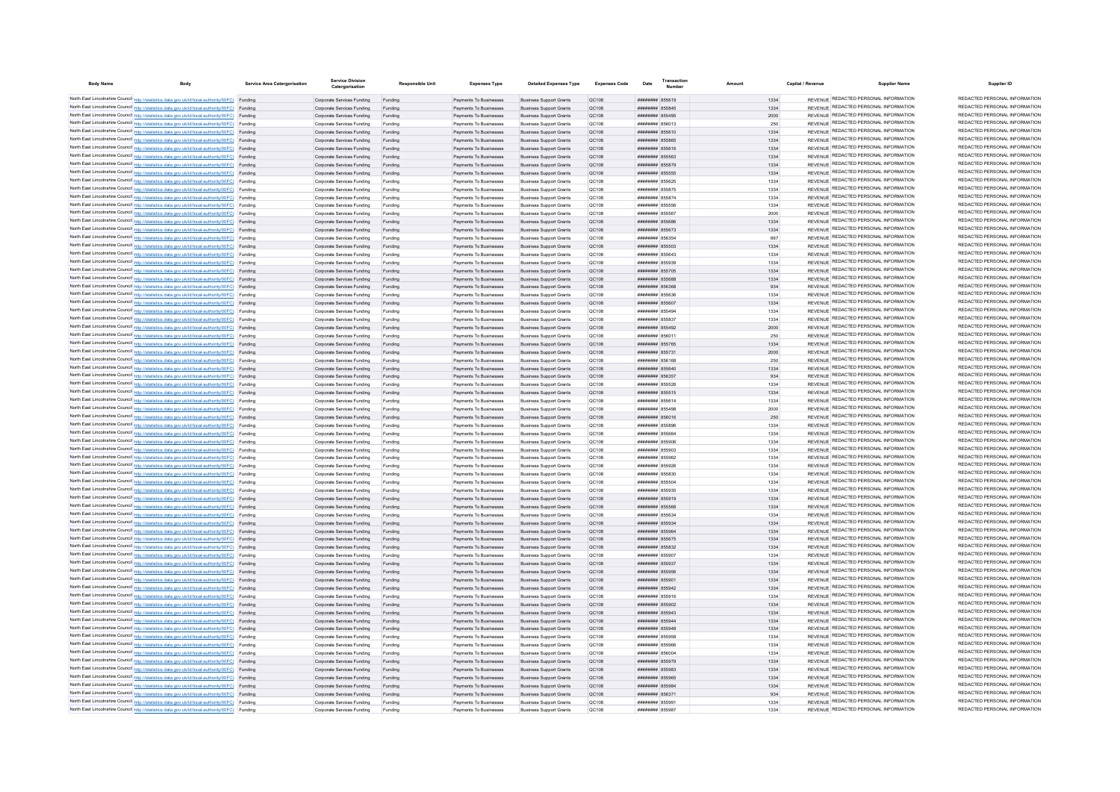| <b>Body Name</b> |                                                                                                                                                                                                  | <b>Service Area Catergorisation</b> | Service Division<br>Catergorisation                      | <b>Responsible Unit</b> | <b>Expenses Type</b>                             | <b>Detailed Expenses Type</b>                                    | <b>Expenses Code</b>  | Date                               | <b>LEADSACTIC</b><br>Number | Amoun        | Capital / Revenue | Supplier Name                                                                  | Supplier ID                                                    |
|------------------|--------------------------------------------------------------------------------------------------------------------------------------------------------------------------------------------------|-------------------------------------|----------------------------------------------------------|-------------------------|--------------------------------------------------|------------------------------------------------------------------|-----------------------|------------------------------------|-----------------------------|--------------|-------------------|--------------------------------------------------------------------------------|----------------------------------------------------------------|
|                  | North East Lincolnshire Council http://statistics.data.gov.uk/id/local-authority/00FC) Funding                                                                                                   |                                     | Comorate Services Funding                                | Funding                 | Payments To Businesses                           |                                                                  | OC108                 | ######## 855619                    |                             | 1334         |                   | REVENUE REDACTED PERSONAL INFORMATION                                          | REDACTED PERSONAL INFORMATION                                  |
|                  | North East Lincolnshire Council http://statistics.data.gov.uk/id/local-authority/00FC) Funding                                                                                                   |                                     | Corporate Services Funding                               | Funding                 | Payments To Businesses                           | <b>Business Support Grants</b><br><b>Business Support Grants</b> | QC108                 | ######## 855845                    |                             | 1334         |                   | REVENUE REDACTED PERSONAL INFORMATION                                          | REDACTED PERSONAL INFORMATION                                  |
|                  | North East Lincolnshire Council http://statistics.data.gov.uk/id/local-authority/00FC) Funding                                                                                                   |                                     | Corporate Services Funding                               | Funding                 | Payments To Businesses                           | <b>Business Support Grants</b>                                   | QC108                 | ######## 855495                    |                             | 2000         |                   | REVENUE REDACTED PERSONAL INFORMATION                                          | REDACTED PERSONAL INFORMATION                                  |
|                  | North East Lincolnshire Council http://statistics.data.gov.uk/id/local-authority/00FC) Funding                                                                                                   |                                     | Corporate Services Funding                               | Funding                 | Payments To Businesses                           | <b>Business Support Grants</b>                                   | OC108                 | ####### 856013                     |                             | 250          |                   | REVENUE REDACTED PERSONAL INFORMATION                                          | REDACTED PERSONAL INFORMATION                                  |
|                  | North East Lincolnshire Council http://statistics.data.gov.uk/id/local-authority/00FC) Funding                                                                                                   |                                     | Corporate Services Funding                               | Funding                 | Payments To Businesses                           | <b>Business Support Grants</b>                                   | QC108                 | ####### 855610                     |                             | 1334         |                   | REVENUE REDACTED PERSONAL INFORMATION                                          | REDACTED PERSONAL INFORMATION                                  |
|                  | North East Lincolnshire Council http://statistics.data.gov.uk/id/local-authority/00FC) Funding                                                                                                   |                                     | Corporate Services Funding                               | Funding                 | Payments To Businesses                           | <b>Business Support Grants</b>                                   | QC108                 | ####### 855865                     |                             | 1334         |                   | REVENUE REDACTED PERSONAL INFORMATION                                          | REDACTED PERSONAL INFORMATION                                  |
|                  | North East Lincolnshire Council http://statistics.data.gov.uk/id/local-authority/00FC) Funding                                                                                                   |                                     | Corporate Services Funding                               | Funding                 | Payments To Businesses                           | <b>Business Support Grants</b>                                   | QC108                 | ######## 855616                    |                             | 1334         |                   | REVENUE REDACTED PERSONAL INFORMATION                                          | REDACTED PERSONAL INFORMATION                                  |
|                  | North East Lincolnshire Council http://statistics.data.gov.uk/id/local-authority/00FC) Funding                                                                                                   |                                     | Corporate Services Funding                               | Funding                 | Payments To Businesses                           | <b>Business Support Grants</b>                                   | QC108                 | ######## 855563                    |                             | 1334         |                   | REVENUE REDACTED PERSONAL INFORMATION                                          | REDACTED PERSONAL INFORMATION                                  |
|                  | North East Lincolnshire Council http://statistics.data.gov.uk/id/local-authority/00FC) Funding                                                                                                   |                                     | Corporate Services Funding                               | Funding                 | Payments To Businesses                           | <b>Business Support Grants</b>                                   | QC108                 | ######## 855879                    |                             | 1334         |                   | REVENUE REDACTED PERSONAL INFORMATION                                          | REDACTED PERSONAL INFORMATION                                  |
|                  | North East Lincolnshire Council http://statistics.data.gov.uk/id/local-authority/00FC) Funding                                                                                                   |                                     | Corporate Services Funding                               | Funding                 | Payments To Businesses                           | <b>Business Support Grants</b>                                   | OC108                 | ######## 855555                    |                             | 1334         |                   | REVENUE REDACTED PERSONAL INFORMATION                                          | REDACTED PERSONAL INFORMATION                                  |
|                  | North East Lincolnshire Council http://statistics.data.gov.uk/id/local-authority/00FC) Funding                                                                                                   |                                     | Corporate Services Funding                               | Funding                 | Payments To Businesses                           | <b>Business Support Grants</b>                                   | QC108                 | ######## 855625                    |                             | 1334         |                   | REVENUE REDACTED PERSONAL INFORMATION                                          | REDACTED PERSONAL INFORMATION                                  |
|                  | North East Lincolnshire Council http://statistics.data.gov.uk/id/local-authority/00FC) Funding                                                                                                   |                                     | Corporate Services Funding                               |                         | Payments To Businesses                           | <b>Business Support Grants</b>                                   | <b>QC108</b>          | ####### 855875                     |                             | 1334         |                   | REVENUE REDACTED PERSONAL INFORMATION                                          | REDACTED PERSONAL INFORMATION<br>REDACTED PERSONAL INFORMATION |
|                  | North East Lincolnshire Council http://statistics.data.gov.uk/id/local-authority/00FC) Funding                                                                                                   |                                     | Corporate Services Funding                               |                         | Payments To Businesses                           | <b>Business Support Grants</b>                                   | <b>QC108</b>          | ######## 855874                    |                             | 1334         |                   | REVENUE REDACTED PERSONAL INFORMATION<br>REVENUE REDACTED PERSONAL INFORMATION | REDACTED PERSONAL INFORMATION                                  |
|                  | North East Lincolnshire Council http://statistics.data.gov.uk/id/local-authority/00FC) Funding                                                                                                   |                                     | Comorate Services Funding                                | Funding                 | Payments To Businesses                           | <b>Business Sunnort Grants</b>                                   | OC108                 | ####### 855556<br>######## 855567  |                             | 1334         |                   | REVENUE REDACTED PERSONAL INFORMATION                                          | REDACTED PERSONAL INFORMATION                                  |
|                  | North East Lincolnshire Council http://statistics.data.gov.uk/id/local-authority/00FC) Funding<br>North East Lincolnshire Council http://statistics.data.gov.uk/id/local-authority/00FC) Funding |                                     | Corporate Services Funding                               | Funding                 | Payments To Businesses                           | <b>Business Support Grants</b><br><b>Business Support Grants</b> | <b>QC108</b><br>QC108 | ######## 855686                    |                             | 2000<br>1334 |                   | REVENUE REDACTED PERSONAL INFORMATION                                          | REDACTED PERSONAL INFORMATION                                  |
|                  | North East Lincolnshire Council http://statistics.data.gov.uk/id/local-authority/00FC) Funding                                                                                                   |                                     | Corporate Services Funding<br>Corporate Services Funding | Funding<br>Funding      | Payments To Businesses<br>Payments To Businesses | <b>Business Support Grants</b>                                   | QC108                 | ######## 855673                    |                             | 1334         |                   | REVENUE REDACTED PERSONAL INFORMATION                                          | REDACTED PERSONAL INFORMATION                                  |
|                  | North East Lincolnshire Council http://statistics.data.gov.uk/id/local-authority/00FC) Funding                                                                                                   |                                     | Corporate Services Funding                               | Funding                 | Payments To Businesses                           | <b>Business Support Grants</b>                                   | QC108                 | ####### 856354                     |                             | 667          |                   | REVENUE REDACTED PERSONAL INFORMATION                                          | REDACTED PERSONAL INFORMATION                                  |
|                  | North East Lincolnshire Council http://statistics.data.gov.uk/id/local-authority/00FC) Funding                                                                                                   |                                     | Corporate Services Funding                               | Funding                 | Payments To Businesses                           | <b>Business Support Grants</b>                                   | QC108                 | ####### 855503                     |                             | 1334         |                   | REVENUE REDACTED PERSONAL INFORMATION                                          | REDACTED PERSONAL INFORMATION                                  |
|                  | North East Lincolnshire Council http://statistics.data.gov.uk/id/local-authority/00FC) Funding                                                                                                   |                                     | Corporate Services Funding                               | Funding                 | Payments To Businesses                           | <b>Business Support Grants</b>                                   | <b>QC108</b>          | ######## 855643                    |                             | 1334         |                   | REVENUE REDACTED PERSONAL INFORMATION                                          | REDACTED PERSONAL INFORMATION                                  |
|                  | North East Lincolnshire Council http://statistics.data.gov.uk/id/local-authority/00FC) Funding                                                                                                   |                                     | Corporate Services Funding                               | Funding                 | Payments To Businesser                           | <b>Business Support Grants</b>                                   | QC108                 | ######## 855939                    |                             | 1334         |                   | REVENUE REDACTED PERSONAL INFORMATION                                          | REDACTED PERSONAL INFORMATION                                  |
|                  | North East Lincolnshire Council http://statistics.data.gov.uk/id/local-authority/00FC) Funding                                                                                                   |                                     | Corporate Services Funding                               | Funding                 | Payments To Businesses                           | <b>Business Support Grants</b>                                   | QC108                 | ####### 855705                     |                             | 1334         |                   | REVENUE REDACTED PERSONAL INFORMATION                                          | REDACTED PERSONAL INFORMATION                                  |
|                  | North East Lincolnshire Council http://statistics.data.gov.uk/id/local-authority/00FC) Funding                                                                                                   |                                     | Corporate Services Funding                               | Funding                 | Payments To Businesser                           | <b>Business Support Grants</b>                                   | QC108                 | ####### 855688                     |                             | 1334         |                   | REVENUE REDACTED PERSONAL INFORMATION                                          | REDACTED PERSONAL INFORMATION                                  |
|                  | North East Lincolnshire Council http://statistics.data.gov.uk/id/local-authority/00FC) Funding                                                                                                   |                                     | Corporate Services Funding                               | Funding                 | Payments To Businesses                           | <b>Business Support Grants</b>                                   | QC108                 | ####### 856368                     |                             | 934          |                   | REVENUE REDACTED PERSONAL INFORMATION                                          | REDACTED PERSONAL INFORMATION                                  |
|                  | North East Lincolnshire Council http://statistics.data.gov.uk/id/local-authority/00FC) Funding                                                                                                   |                                     | Corporate Services Funding                               | Funding                 | Payments To Businesser                           | <b>Business Support Grants</b>                                   | QC108                 | ####### 855636                     |                             | 1334         |                   | REVENUE REDACTED PERSONAL INFORMATION                                          | REDACTED PERSONAL INFORMATION                                  |
|                  | North East Lincolnshire Council http://statistics.data.gov.uk/id/local-authority/00FC) Funding                                                                                                   |                                     | Corporate Services Funding                               | Funding                 | Payments To Businesses                           | <b>Business Support Grants</b>                                   | QC108                 | ######## 855607                    |                             | 1334         |                   | REVENUE REDACTED PERSONAL INFORMATION                                          | REDACTED PERSONAL INFORMATION                                  |
|                  | North East Lincolnshire Council http://statistics.data.gov.uk/id/local-authority/00FC) Funding                                                                                                   |                                     | Comorate Services Funding                                | Funding                 | Payments To Businesses                           | <b>Business Support Grants</b>                                   | OC108                 | ######## 855494                    |                             | 1334         |                   | REVENUE REDACTED PERSONAL INFORMATION                                          | REDACTED PERSONAL INFORMATION                                  |
|                  | North East Lincolnshire Council http://statistics.data.gov.uk/id/local-authority/00FC) Funding                                                                                                   |                                     | Comorate Services Funding                                | Funding                 | Payments To Businesses                           | <b>Business Support Grants</b>                                   | OC108                 | ####### 855837                     |                             | 1334         |                   | REVENUE REDACTED PERSONAL INFORMATION                                          | REDACTED PERSONAL INFORMATION                                  |
|                  | North East Lincolnshire Council http://statistics.data.gov.uk/id/local-authority/00FC) Funding                                                                                                   |                                     | Corporate Services Funding                               | Funding                 | Payments To Businesses                           | <b>Business Support Grants</b>                                   | <b>QC108</b>          | ######## 855492                    |                             | 2000         |                   | REVENUE REDACTED PERSONAL INFORMATION                                          | REDACTED PERSONAL INFORMATION                                  |
|                  | North East Lincolnshire Council http://statistics.data.gov.uk/id/local-authority/00FC) Funding                                                                                                   |                                     | Corporate Services Funding                               | Funding                 | Payments To Businesses                           | <b>Business Support Grants</b>                                   | QC108                 | ######## 856011                    |                             | 250          |                   | REVENUE REDACTED PERSONAL INFORMATION                                          | REDACTED PERSONAL INFORMATION                                  |
|                  | North East Lincolnshire Council http://statistics.data.gov.uk/id/local-authority/00FC) Funding                                                                                                   |                                     | Corporate Services Funding                               | Funding                 | Payments To Businesses                           | <b>Business Support Grants</b>                                   | QC108                 | ######## 855765                    |                             | 1334         |                   | REVENUE REDACTED PERSONAL INFORMATION<br>REVENUE REDACTED PERSONAL INFORMATION | REDACTED PERSONAL INFORMATION<br>REDACTED PERSONAL INFORMATION |
|                  | North East Lincolnshire Council http://statistics.data.gov.uk/id/local-authority/00FC) Funding                                                                                                   |                                     | Corporate Services Funding                               | Funding                 | Payments To Businesses                           | <b>Business Support Grants</b>                                   | QC108                 | ######## 855731                    |                             | 2000         |                   | REVENUE REDACTED PERSONAL INFORMATION                                          | REDACTED PERSONAL INFORMATION                                  |
|                  | North East Lincolnshire Council http://statistics.data.gov.uk/id/local-authority/00FC) Funding                                                                                                   |                                     | Corporate Services Funding                               | Funding                 | Payments To Businesses                           | <b>Business Support Grants</b>                                   | QC108                 | ####### 856168                     |                             | 250          |                   | REVENUE REDACTED PERSONAL INFORMATION                                          | REDACTED PERSONAL INFORMATION                                  |
|                  | North East Lincolnshire Council http://statistics.data.gov.uk/id/local-authority/00FC) Funding                                                                                                   |                                     | Corporate Services Funding                               | Funding                 | Payments To Businesses                           | <b>Business Support Grants</b>                                   | QC108                 | ####### 855640                     |                             | 1334         |                   | REVENUE REDACTED PERSONAL INFORMATION                                          | REDACTED PERSONAL INFORMATION                                  |
|                  | North East Lincolnshire Council http://statistics.data.gov.uk/id/local-authority/00FC) Funding<br>North East Lincolnshire Council http://statistics.data.gov.uk/id/local-authority/00FC) Funding |                                     | Corporate Services Funding<br>Corporate Services Funding | Funding<br>Funding      | Payments To Businesses<br>Payments To Businesses | <b>Business Support Grants</b><br><b>Business Support Grants</b> | QC108<br>QC108        | ######## 856357<br>####### 855526  |                             | 934<br>1334  |                   | REVENUE REDACTED PERSONAL INFORMATION                                          | REDACTED PERSONAL INFORMATION                                  |
|                  | North East Lincolnshire Council http://statistics.data.gov.uk/id/local-authority/00FC) Funding                                                                                                   |                                     | Corporate Services Funding                               | Funding                 | Payments To Businesses                           | <b>Business Support Grants</b>                                   | QC108                 | ####### 855515                     |                             | 1334         |                   | REVENUE REDACTED PERSONAL INFORMATION                                          | REDACTED PERSONAL INFORMATION                                  |
|                  | North East Lincolnshire Council http://statistics.data.gov.uk/id/local-authority/00FC) Funding                                                                                                   |                                     | Corporate Services Funding                               | Funding                 | Payments To Businesses                           | <b>Business Support Grants</b>                                   | QC108                 | ######## 855614                    |                             | 1334         |                   | REVENUE REDACTED PERSONAL INFORMATION                                          | REDACTED PERSONAL INFORMATION                                  |
|                  | North East Lincolnshire Council http://statistics.data.gov.uk/id/local-authority/00FC) Funding                                                                                                   |                                     | Corporate Services Funding                               | Funding                 | Payments To Businesses                           | <b>Business Support Grants</b>                                   | QC108                 | ######## 855498                    |                             | 2000         |                   | REVENUE REDACTED PERSONAL INFORMATION                                          | REDACTED PERSONAL INFORMATION                                  |
|                  | North East Lincolnshire Council http://statistics.data.gov.uk/id/local-authority/00FC) Funding                                                                                                   |                                     | Corporate Services Funding                               | Funding                 | Payments To Businesses                           | <b>Business Support Grants</b>                                   | QC108                 | ####### 856016                     |                             | 250          |                   | REVENUE REDACTED PERSONAL INFORMATION                                          | REDACTED PERSONAL INFORMATION                                  |
|                  | North East Lincolnshire Council http://statistics.data.gov.uk/id/local-authority/00FC) Funding                                                                                                   |                                     | Comorate Services Funding                                | Funding                 | Payments To Businesses                           | <b>Business Sunnort Grants</b>                                   | OC108                 | ######## 855896                    |                             | 1334         |                   | REVENUE REDACTED PERSONAL INFORMATION                                          | REDACTED PERSONAL INFORMATION                                  |
|                  | North East Lincolnshire Council http://statistics.data.gov.uk/id/local-authority/00FC) Funding                                                                                                   |                                     | Corporate Services Funding                               | Funding                 | Payments To Businesses                           | <b>Business Support Grants</b>                                   | <b>QC108</b>          | ######## 855664                    |                             | 1334         |                   | REVENUE REDACTED PERSONAL INFORMATION                                          | REDACTED PERSONAL INFORMATION                                  |
|                  | North East Lincolnshire Council http://statistics.data.gov.uk/id/local-authority/00FC) Funding                                                                                                   |                                     | Corporate Services Funding                               | Funding                 | Payments To Businesses                           | <b>Business Support Grants</b>                                   | QC108                 | ######## 855906                    |                             | 1334         |                   | REVENUE REDACTED PERSONAL INFORMATION                                          | REDACTED PERSONAL INFORMATION                                  |
|                  | North East Lincolnshire Council http://statistics.data.gov.uk/id/local-authority/00FC) Funding                                                                                                   |                                     | Corporate Services Funding                               | Funding                 | Payments To Businesses                           | <b>Business Support Grants</b>                                   | QC108                 | ######## 855903                    |                             | 1334         |                   | REVENUE REDACTED PERSONAL INFORMATION                                          | REDACTED PERSONAL INFORMATION                                  |
|                  | North East Lincolnshire Council http://statistics.data.gov.uk/id/local-authority/00FC) Funding                                                                                                   |                                     | Corporate Services Funding                               | Funding                 | Payments To Businesses                           | <b>Business Support Grants</b>                                   | QC108                 | ######## 855962                    |                             | 1334         |                   | REVENUE REDACTED PERSONAL INFORMATION                                          | REDACTED PERSONAL INFORMATION                                  |
|                  | North East Lincolnshire Council http://statistics.data.gov.uk/id/local-authority/00FC) Funding                                                                                                   |                                     | Corporate Services Funding                               | Funding                 | Payments To Businesses                           | <b>Business Support Grants</b>                                   | QC108                 | ####### 855926                     |                             | 1334         |                   | REVENUE REDACTED PERSONAL INFORMATION                                          | REDACTED PERSONAL INFORMATION                                  |
|                  | North East Lincolnshire Council http://statistics.data.gov.uk/id/local-authority/00FC) Funding                                                                                                   |                                     | Corporate Services Funding                               | Funding                 | Payments To Businesses                           | <b>Business Support Grants</b>                                   | OC108                 | ######## 855830                    |                             | 1334         |                   | REVENUE REDACTED PERSONAL INFORMATION                                          | REDACTED PERSONAL INFORMATION                                  |
|                  | North East Lincolnshire Council http://statistics.data.gov.uk/id/local-authority/00FC) Funding                                                                                                   |                                     | Corporate Services Funding                               | Funding                 | Payments To Businesses                           | <b>Business Support Grants</b>                                   | <b>QC108</b>          | ######## 855504                    |                             | 1334         |                   | REVENUE REDACTED PERSONAL INFORMATION                                          | REDACTED PERSONAL INFORMATION                                  |
|                  | North East Lincolnshire Council http://statistics.data.gov.uk/id/local-authority/00FC) Funding                                                                                                   |                                     | Corporate Services Funding                               | Funding                 | Payments To Businesser                           | <b>Business Support Grants</b>                                   | <b>QC108</b>          | ######## 855935                    |                             | 1334         |                   | REVENUE REDACTED PERSONAL INFORMATION                                          | REDACTED PERSONAL INFORMATION                                  |
|                  | North East Lincolnshire Council http://statistics.data.gov.uk/id/local-authority/00FC) Funding                                                                                                   |                                     | Corporate Services Funding                               | Funding                 | Payments To Businesser                           | <b>Business Support Grants</b>                                   | QC108                 | ######## 855919                    |                             | 1334         |                   | REVENUE REDACTED PERSONAL INFORMATION                                          | REDACTED PERSONAL INFORMATION<br>REDACTED PERSONAL INFORMATION |
|                  | North East Lincolnshire Council http://statistics.data.gov.uk/id/local-authority/00FC) Funding                                                                                                   |                                     | Corporate Services Funding                               | Funding                 | Payments To Businesses                           | <b>Business Support Grants</b>                                   | QC108                 | ######## 855568                    |                             | 1334         |                   | REVENUE REDACTED PERSONAL INFORMATION                                          | REDACTED PERSONAL INFORMATION                                  |
|                  | North East Lincolnshire Council http://statistics.data.gov.uk/id/local-authority/00FC) Funding                                                                                                   |                                     | Corporate Services Funding                               | Funding                 | Payments To Businesses                           | <b>Business Support Grants</b>                                   | QC108                 | ######## 855634                    |                             | 1334         |                   | REVENUE REDACTED PERSONAL INFORMATION<br>REVENUE REDACTED PERSONAL INFORMATION | REDACTED PERSONAL INFORMATION                                  |
|                  | North East Lincolnshire Council http://statistics.data.gov.uk/id/local-authority/00FC) Funding                                                                                                   |                                     | Corporate Services Funding                               | Funding                 | Payments To Businesses                           | <b>Business Support Grants</b>                                   | QC108                 | ######## 855934<br>######## 855964 |                             | 1334         |                   | REVENUE REDACTED PERSONAL INFORMATION                                          | REDACTED PERSONAL INFORMATION                                  |
|                  | North East Lincolnshire Council http://statistics.data.gov.uk/id/local-authority/00FC) Funding<br>North East Lincolnshire Council http://statistics.data.gov.uk/id/local-authority/00FC) Funding |                                     | Corporate Services Funding<br>Corporate Services Funding | Funding<br>Funding      | Payments To Businesses<br>Payments To Businesses | <b>Business Support Grants</b><br><b>Business Support Grants</b> | QC108<br>QC108        | ######## 855675                    |                             | 1334<br>1334 |                   | REVENUE REDACTED PERSONAL INFORMATION                                          | REDACTED PERSONAL INFORMATION                                  |
|                  | North East Lincolnshire Council http://statistics.data.gov.uk/id/local-authority/00FC) Funding                                                                                                   |                                     | Corporate Services Funding                               | Funding                 | Payments To Businesses                           | <b>Business Support Grants</b>                                   | QC108                 | ######## 855832                    |                             | 1334         |                   | REVENUE REDACTED PERSONAL INFORMATION                                          | REDACTED PERSONAL INFORMATION                                  |
|                  | North East Lincolnshire Council http://statistics.data.gov.uk/id/local-authority/00FC) Funding                                                                                                   |                                     | Corporate Services Funding                               | Funding                 | Payments To Businesses                           | <b>Business Support Grants</b>                                   | QC108                 | ######## 855907                    |                             | 1334         |                   | REVENUE REDACTED PERSONAL INFORMATION                                          | REDACTED PERSONAL INFORMATION                                  |
|                  | North East Lincolnshire Council http://statistics.data.gov.uk/id/local-authority/00FC) Funding                                                                                                   |                                     | Corporate Services Funding                               | Funding                 | Payments To Businesses                           | <b>Business Support Grants</b>                                   | QC108                 | ######## 855937                    |                             | 1334         |                   | REVENUE REDACTED PERSONAL INFORMATION                                          | REDACTED PERSONAL INFORMATION                                  |
|                  | North East Lincolnshire Council http://statistics.data.gov.uk/id/local-authority/00FC) Funding                                                                                                   |                                     | Corporate Services Funding                               | Funding                 | Payments To Businesses                           | <b>Business Support Grants</b>                                   | QC108                 | ####### 855956                     |                             | 1334         |                   | REVENUE REDACTED PERSONAL INFORMATION                                          | REDACTED PERSONAL INFORMATION                                  |
|                  | North East Lincolnshire Council http://statistics.data.gov.uk/id/local-authority/00FC) Funding                                                                                                   |                                     | Corporate Services Funding                               | Funding                 | Payments To Businesses                           | <b>Business Support Grants</b>                                   | OC108                 | ######## 855901                    |                             | 1334         |                   | REVENUE REDACTED PERSONAL INFORMATION                                          | REDACTED PERSONAL INFORMATION                                  |
|                  | North East Lincolnshire Council http://statistics.data.gov.uk/id/local-authority/00FC) Funding                                                                                                   |                                     | Corporate Services Funding                               | Funding                 | Payments To Businesses                           | <b>Business Support Grants</b>                                   | QC108                 | ######## 855942                    |                             | 1334         |                   | REVENUE REDACTED PERSONAL INFORMATION                                          | REDACTED PERSONAL INFORMATION                                  |
|                  | North East Lincolnshire Council http://statistics.data.gov.uk/id/local-authority/00FC) Funding                                                                                                   |                                     | Corporate Services Funding                               | Funding                 | Payments To Businesses                           | <b>Business Support Grants</b>                                   | <b>QC108</b>          | ####### 855916                     |                             | 1334         |                   | REVENUE REDACTED PERSONAL INFORMATION                                          | REDACTED PERSONAL INFORMATION                                  |
|                  | North East Lincolnshire Council http://statistics.data.gov.uk/id/local-authority/00FC) Funding                                                                                                   |                                     | Corporate Services Funding                               | Funding                 | Payments To Businesses                           | <b>Business Support Grants</b>                                   | QC108                 | ######## 855902                    |                             | 1334         |                   | REVENUE REDACTED PERSONAL INFORMATION                                          | REDACTED PERSONAL INFORMATION                                  |
|                  | North East Lincolnshire Council http://statistics.data.gov.uk/id/local-authority/00FC) Funding                                                                                                   |                                     | Corporate Services Funding                               |                         | Payments To Businesses                           | <b>Business Support Grants</b>                                   | QC108                 | ####### 855943                     |                             | 1334         |                   | REVENUE REDACTED PERSONAL INFORMATION                                          | REDACTED PERSONAL INFORMATION                                  |
|                  | North East Lincolnshire Council http://statistics.data.gov.uk/id/local-authority/00FC) Funding                                                                                                   |                                     | Corporate Services Funding                               |                         | Payments To Businesses                           | <b>Business Support Grants</b>                                   | QC108                 | ####### 855944                     |                             | 1334         |                   | REVENUE REDACTED PERSONAL INFORMATION                                          | REDACTED PERSONAL INFORMATION                                  |
|                  | North East Lincolnshire Council http://statistics.data.gov.uk/id/local-authority/00FC) Funding                                                                                                   |                                     | Corporate Services Funding                               | Funding                 | Payments To Businesses                           | <b>Business Support Grants</b>                                   | QC108                 | ####### 855948                     |                             | 1334         |                   | REVENUE REDACTED PERSONAL INFORMATION                                          | REDACTED PERSONAL INFORMATION                                  |
|                  | North East Lincolnshire Council http://statistics.data.gov.uk/id/local-authority/00FC) Funding                                                                                                   |                                     | Corporate Services Funding                               | Funding                 | Payments To Businesses                           | <b>Business Support Grants</b>                                   | <b>QC108</b>          | ######## 855958                    |                             | 1334         |                   | REVENUE REDACTED PERSONAL INFORMATION                                          | REDACTED PERSONAL INFORMATION                                  |
|                  | North East Lincolnshire Council http://statistics.data.gov.uk/id/local-authority/00FC) Funding                                                                                                   |                                     | Corporate Services Funding                               | Funding                 | Payments To Businesses                           | <b>Business Support Grants</b>                                   | <b>QC108</b>          | ######## 855966                    |                             | 1334         |                   | REVENUE REDACTED PERSONAL INFORMATION                                          | REDACTED PERSONAL INFORMATION                                  |
|                  | North East Lincolnshire Council http://statistics.data.gov.uk/id/local-authority/00FC) Funding                                                                                                   |                                     | Corporate Services Funding                               | Funding                 | Payments To Businesses                           | <b>Business Support Grants</b>                                   | QC108                 | ####### 856004                     |                             | 1334         |                   | REVENUE REDACTED PERSONAL INFORMATION                                          | REDACTED PERSONAL INFORMATION<br>REDACTED PERSONAL INFORMATION |
|                  | North East Lincolnshire Council http://statistics.data.gov.uk/id/local-authority/00FC) Funding                                                                                                   |                                     | Corporate Services Funding                               | Funding                 | Payments To Businesses                           | <b>Business Support Grants</b>                                   | QC108                 | ######## 855979                    |                             | 1334         |                   | REVENUE REDACTED PERSONAL INFORMATION<br>REVENUE REDACTED PERSONAL INFORMATION | REDACTED PERSONAL INFORMATION                                  |
|                  | North East Lincolnshire Council http://statistics.data.gov.uk/id/local-authority/00FC) Funding                                                                                                   |                                     | Corporate Services Funding                               | Funding                 | Payments To Businesses                           | <b>Business Support Grants</b>                                   | QC108                 | ####### 855983                     |                             | 1334         |                   | REVENUE REDACTED PERSONAL INFORMATION                                          | REDACTED PERSONAL INFORMATION                                  |
|                  | North East Lincolnshire Council http://statistics.data.gov.uk/id/local-authority/00FC) Funding<br>North East Lincolnshire Council http://statistics.data.gov.uk/id/local-authority/00FC) Funding |                                     | Corporate Services Funding<br>Corporate Services Funding | Funding<br>Funding      | Payments To Businesses<br>Payments To Businesses | <b>Business Support Grants</b><br><b>Business Support Grants</b> | QC108<br>OC108        | ######## 855965<br>######## 855984 |                             | 1334<br>1334 |                   | REVENUE REDACTED PERSONAL INFORMATION                                          | REDACTED PERSONAL INFORMATION                                  |
|                  | North East Lincolnshire Council http://statistics.data.gov.uk/id/local-authority/00FC) Funding                                                                                                   |                                     | Corporate Services Funding                               | Funding                 | Payments To Businesses                           | <b>Business Sunnort Grants</b>                                   | OC108                 | ######## 856371                    |                             | 934          |                   | REVENUE REDACTED PERSONAL INFORMATION                                          | REDACTED PERSONAL INFORMATION                                  |
|                  | North East Lincolnshire Council http://statistics.data.gov.uk/id/local-authority/00FC) Funding                                                                                                   |                                     | Corporate Services Funding                               | Funding                 | Payments To Businesses                           | <b>Business Support Grants</b>                                   | <b>QC108</b>          | ####### 855991                     |                             | 1334         |                   | REVENUE REDACTED PERSONAL INFORMATION                                          | REDACTED PERSONAL INFORMATION                                  |
|                  | North East Lincolnshire Council http://statistics.data.gov.uk/id/local-authority/00FC) Funding                                                                                                   |                                     | Corporate Services Funding                               | Funding                 | Payments To Businesse                            | <b>Business Support Grants</b>                                   | QC108                 | ######## 855987                    |                             | 1334         |                   | REVENUE REDACTED PERSONAL INFORMATION                                          | REDACTED PERSONAL INFORMATION                                  |
|                  |                                                                                                                                                                                                  |                                     |                                                          |                         |                                                  |                                                                  |                       |                                    |                             |              |                   |                                                                                |                                                                |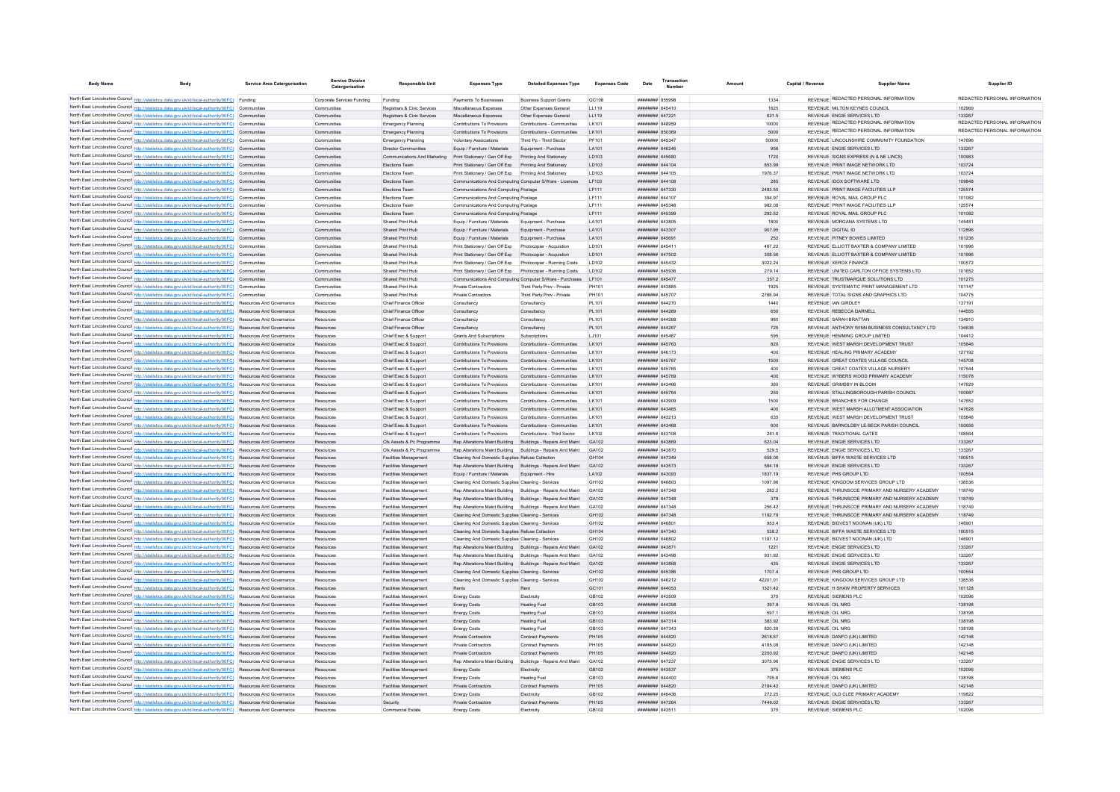| <b>Body Name</b> | <b>Body</b>                                                                                                                                                                                                                        | <b>Service Area Catergorisation</b> | <b>Service Division</b><br>Catergorisation | <b>Responsible Unit</b>                                     | <b>Expenses Type</b>                                         | <b>Detailed Expenses Type</b>                                      | <b>Expenses Code</b>  | Date                                 | Transactio<br>Number | Amoun           | Capital / Revenue | <b>Supplier Name</b>                                                  | Supplier ID                   |
|------------------|------------------------------------------------------------------------------------------------------------------------------------------------------------------------------------------------------------------------------------|-------------------------------------|--------------------------------------------|-------------------------------------------------------------|--------------------------------------------------------------|--------------------------------------------------------------------|-----------------------|--------------------------------------|----------------------|-----------------|-------------------|-----------------------------------------------------------------------|-------------------------------|
|                  |                                                                                                                                                                                                                                    |                                     |                                            |                                                             |                                                              |                                                                    |                       |                                      |                      |                 |                   | REVENUE REDACTED PERSONAL INFORMATION                                 | REDACTED PERSONAL INFORMATION |
|                  | North East Lincolnshire Council http://statistics.data.gov.uk/id/local-authority/00FC) Funding<br>North East Lincolnshire Council http://statistics.data.gov.uk/id/local-authority/00FC) Communities                               |                                     | Corporate Services Funding<br>Communities  | Funding<br>Registrars & Civic Services                      | Payments To Businesses<br>Miscellaneous Expenses             | <b>Business Support Grants</b><br>Other Expenses General           | <b>QC108</b><br>11119 | $HHHHHHHH$ 855008<br>######## 645410 |                      | 1334            |                   | REVENUE MILTON KEYNES COUNCIL                                         | 102969                        |
|                  | North East Lincolnshire Council http://statistics.data.gov.uk/id/local-authority/00FC) Communities                                                                                                                                 |                                     | Communities                                | Registrars & Civic Services                                 | Miscellaneous Expenses                                       | Other Expenses General                                             | 11119                 | <b>######## 647221</b>               |                      | 1625<br>621.5   |                   | REVENUE ENGIE SERVICES LTD                                            | 133267                        |
|                  | North East Lincolnshire Council http://statistics.data.gov.uk/id/local-authority/00FC) Communities                                                                                                                                 |                                     | Communities                                | Emergency Planning                                          | Contributions To Provisions                                  | Contributions - Communities                                        | LK101                 | ####### 848959                       |                      | 10000           |                   | REVENUE REDACTED PERSONAL INFORMATION                                 | REDACTED PERSONAL INFORMATION |
|                  | North East Lincolnshire Council http://statistics.data.gov.uk/id/local-authority/00FC) Communities                                                                                                                                 |                                     | Communities                                | Emergency Planning                                          | Contributions To Provisions                                  | Contributions - Communities                                        | LK101                 | ######## 850369                      |                      | 5000            |                   | REVENUE REDACTED PERSONAL INFORMATION                                 | REDACTED PERSONAL INFORMATION |
|                  | North East Lincolnshire Council http://statistics.data.gov.uk/id/local-authority/00FC) Communities                                                                                                                                 |                                     | Communities                                | Emergency Planning                                          | <b>Voluntary Associations</b>                                | Third Po - Third Sector                                            | PF101                 | ####### 645347                       |                      | 50000           |                   | REVENUE LINCOLNSHIRE COMMUNITY FOUNDATION                             | 147696                        |
|                  | North East Lincolnshire Council http://statistics.data.gov.uk/id/local-authority/00FC) Communities                                                                                                                                 |                                     | Communities                                | Director Communities                                        | Equip / Furniture / Materials                                | Equipment - Purchase                                               | LA101                 | ####### 646246                       |                      | 956             |                   | REVENUE ENGIE SERVICES LTD                                            | 133267                        |
|                  | North East Lincolnshire Council http://statistics.data.gov.uk/id/local-authority/00FC) Communities                                                                                                                                 |                                     | Communities                                | Communications And Marketing Print Stationery / Gen Off Exp |                                                              | Printing And Stationery                                            | LD103                 | ####### 645680                       |                      | 1720            |                   | REVENUE SIGNS EXPRESS (N & NE LINCS)                                  | 100983                        |
|                  | North East Lincolnshire Council http://statistics.data.gov.uk/id/local-authority/00FC) Communities                                                                                                                                 |                                     | Communities                                | Elections Team                                              | Print Stationery / Gen Off Exp                               | Printing And Stationery                                            | <b>ID103</b>          | ######## 644104                      |                      | 853.99          |                   | REVENUE PRINT IMAGE NETWORK I TD                                      | 103724                        |
|                  | North East Lincolnshire Council http://statistics.data.gov.uk/id/local-authority/00FC) Communities                                                                                                                                 |                                     | Communities                                | Elections Team                                              | Print Stationery / Gen Off Exp Printing And Stationery       |                                                                    | LD103                 | ####### 644105                       |                      | 1976.37         |                   | REVENUE PRINT IMAGE NETWORK LTD                                       | 103724                        |
|                  | North East Lincolnshire Council http://statistics.data.gov.uk/id/local-authority/00FC) Communities                                                                                                                                 |                                     | Communities                                | Elections Team                                              | Communications And Computing Computer S/Ware - Licences      |                                                                    | LF103                 | ####### 644108                       |                      | 285             |                   | REVENUE IDOX SOFTWARE LTD                                             | 109848                        |
|                  | North East Lincolnshire Council http://statistics.data.gov.uk/id/local-authority/00FC) Communities                                                                                                                                 |                                     | Communities                                | Elections Tean                                              | Communications And Computing Postage                         |                                                                    | LF111                 | ######## 647330                      |                      | 2483.55         |                   | REVENUE PRINT IMAGE FACILITIES LLP                                    | 125574                        |
|                  | North East Lincolnshire Council http://statistics.data.gov.uk/id/local-authority/00FC) Communities                                                                                                                                 |                                     | Communities                                | Elections Team                                              | Communications And Computing Postage                         |                                                                    | LF111                 | ######## 644107                      |                      | 394.97          |                   | REVENUE ROYAL MAIL GROUP PLC                                          | 101082                        |
|                  | North East Lincolnshire Council http://statistics.data.gov.uk/id/local-authority/00FC) Communities                                                                                                                                 |                                     | Communities                                | Flections Team                                              | Communications And Computing Postage                         |                                                                    | LF111                 | ######## 645348                      |                      | 982.08          |                   | REVENUE PRINT IMAGE FACILITIES LLP                                    | 125574                        |
|                  | North East Lincolnshire Council http://statistics.data.gov.uk/id/local-authority/00FC) Communities                                                                                                                                 |                                     | Communities                                | Elections Team                                              | Communications And Computing Postage                         |                                                                    | LF111                 | ######## 645399                      |                      | 292.52          |                   | REVENUE ROYAL MAIL GROUP PLC                                          | 101082                        |
|                  | North East Lincolnshire Council http://statistics.data.gov.uk/id/local-authority/00FC) Communities                                                                                                                                 |                                     | Communities                                | Shared Print Hub                                            | Equip / Fumiture / Materials                                 | Equipment - Purchase                                               | LA101                 | ######## 643805                      |                      | 1800            |                   | REVENUE MORGANA SYSTEMS LTD                                           | 145481                        |
|                  | North East Lincolnshire Council http://statistics.data.gov.uk/id/local-authority/00FC) Communities                                                                                                                                 |                                     | Communities                                | Shared Print Hub                                            | Equip / Furniture / Materials                                | Equipment - Purchase                                               | LA101                 | ######## 643307                      |                      | 907.95          |                   | REVENUE DIGITAL ID                                                    | 112896                        |
|                  | North East Lincolnshire Council http://statistics.data.gov.uk/id/local-authority/00FC) Communities                                                                                                                                 |                                     | Communities                                | Shared Print Hub                                            | Equip / Furniture / Materials                                | Equipment - Purchase                                               | LA101                 | ######## 645691                      |                      | 252             |                   | REVENUE PITNEY BOWES LIMITED                                          | 101236                        |
|                  | North East Lincolnshire Council http://statistics.data.gov.uk/id/local-authority/00FC) Communities                                                                                                                                 |                                     | Communities                                | Shared Print Hub                                            | Print Stationery / Gen Off Exp                               | Photocopier - Acquistion                                           | LD101                 | ####### 645411                       |                      | 467.22          |                   | REVENUE ELLIOTT BAXTER & COMPANY LIMITED                              | 101996                        |
|                  | North East Lincolnshire Council http://statistics.data.gov.uk/id/local-authority/00FC) Communities                                                                                                                                 |                                     | Communities                                | Shared Print Hub                                            | Print Stationery / Gen Off Exp                               | Photocopier - Acquistion                                           | LD101                 | <b>####### 647502</b>                |                      | 308.56          |                   | REVENUE ELLIOTT BAXTER & COMPANY LIMITED                              | 101996                        |
|                  | North East Lincolnshire Council http://statistics.data.gov.uk/id/local-authority/00FC) Communities                                                                                                                                 |                                     | Communities                                | Shared Print Hub                                            | Print Stationery / Gen Off Exp                               | Photocopier - Running Costs                                        | <b>ID102</b>          | ######## 645432                      |                      | 3022.24         |                   | REVENUE XEROX FINANCE                                                 | 100572                        |
|                  | North East Lincolnshire Council http://statistics.data.gov.uk/id/local-authority/00FC) Communities                                                                                                                                 |                                     | Communities                                | Shared Print Hub                                            | Print Stationery / Gen Off Exp                               | Photocopier - Running Costs                                        | <b>ID102</b>          | ######## 645936                      |                      | 279.14          |                   | REVENUE UNITED CARLTON OFFICE SYSTEMS LTD.                            | 101652                        |
|                  | North East Lincolnshire Council http://statistics.data.gov.uk/id/local-authority/00FC) Communities                                                                                                                                 |                                     | Communities                                | Shared Print Hub                                            |                                                              | Communications And Computing Computer S/Ware - Purchases           | I F101                | ######## 645477                      |                      | 357.2           |                   | REVENUE TRUSTMARQUE SOLUTIONS LTD                                     | 101275                        |
|                  | North East Lincolnshire Council http://statistics.data.gov.uk/id/local-authority/00FC) Communities                                                                                                                                 |                                     | Communities                                | Shared Print Hub                                            | Private Contractor                                           | Third Party Prov - Private                                         | PH101                 | ######## 643885                      |                      | 1925            |                   | REVENUE SYSTEMATIC PRINT MANAGEMENT LTD                               | 101147                        |
|                  | North East Lincolnshire Council http://statistics.data.gov.uk/id/local-authority/00FC) Communities                                                                                                                                 |                                     | Communities                                | Shared Print Hub                                            | Private Contractors                                          | Third Party Prov - Private                                         | PH101                 | ######## 645707                      |                      | 2766.94         |                   | REVENUE TOTAL SIGNS AND GRAPHICS LTD                                  | 104775                        |
|                  | North East Lincolnshire Council http://statistics.data.gov.uk/id/local-authority/00FC) Resources And Governance                                                                                                                    |                                     | Resources                                  | Chief Finance Office                                        | Consultanc                                                   | Consultanc                                                         | PL101                 | ####### 644270                       |                      | 1440            |                   | REVENUE JAN GIRDLEY                                                   | 137191                        |
|                  | North East Lincolnshire Council http://statistics.data.gov.uk/id/local-authority/00FC) Resources And Governance                                                                                                                    |                                     | Resources                                  | Chief Finance Officer                                       | Consultancy                                                  | Consultancy                                                        | PL101                 | ######## 644269                      |                      | 650             |                   | REVENUE REBECCA DARNELL                                               | 144555                        |
|                  | North East Lincolnshire Council http://statistics.data.gov.uk/id/local-authority/00FC) Resources And Governance                                                                                                                    |                                     | Resources                                  | Chief Finance Officer                                       | Consultancy                                                  | Consultancy                                                        | PL101                 | <b>######## 644268</b>               |                      | 980             |                   | REVENUE SARAH BRATTAN                                                 | 134910                        |
|                  | North East Lincolnshire Council http://statistics.data.gov.uk/id/local-authority/00FC) Resources And Governance                                                                                                                    |                                     | Resources                                  | Chief Finance Officer                                       | Consultancy                                                  | Consultancy                                                        | PL101                 | ######## 644267                      |                      | 725             |                   | REVENUE ANTHONY WINN BUSINESS CONSULTANCY LTD                         | 134636                        |
|                  | North East Lincolnshire Council http://statistics.data.gov.uk/id/local-authority/00FC) Resources And Governance                                                                                                                    |                                     | Resources                                  | Chief Exec & Support                                        | Grants And Subscriptions                                     | Subscriptions                                                      | LJ101                 | ####### 645487                       |                      | 595             |                   | REVENUE HEMMING GROUP LIMITED                                         | 104412                        |
|                  | North East Lincolnshire Council http://statistics.data.gov.uk/id/local-authority/00FC) Resources And Governance                                                                                                                    |                                     | Resources                                  | Chief Exec & Support                                        | Contributions To Provisions                                  | Contributions - Communities                                        | LK101                 | ######## 645763                      |                      | 820             |                   | REVENUE WEST MARSH DEVELOPMENT TRUST                                  | 105846                        |
|                  | North East Lincolnshire Council http://statistics.data.gov.uk/id/local-authority/00FC) Resources And Governance                                                                                                                    |                                     | Resources                                  | Chief Exec & Support                                        | Contributions To Provisions                                  | Contributions - Communities                                        | LK101                 | ######## 646173                      |                      | 400             |                   | REVENUE HEALING PRIMARY ACADEMY                                       | 127192                        |
|                  | North East Lincolnshire Council http://statistics.data.gov.uk/id/local-authority/00FC) Resources And Governance                                                                                                                    |                                     | Resources                                  | Chief Exec & Support                                        | Contributions To Provisions                                  | Contributions - Communities                                        | I K101                | ######## 645767                      |                      | 1500            |                   | REVENUE GREAT COATES VILLAGE COUNCIL                                  | 145708                        |
|                  | North East Lincolnshire Council http://statistics.data.gov.uk/id/local-authority/00FC) Resources And Governance                                                                                                                    |                                     | Resources                                  | Chief Exec & Support                                        | Contributions To Provisions                                  | Contributions - Communities                                        | LK101                 | ####### 645765                       |                      | 400             |                   | REVENUE GREAT COATES VILLAGE NURSERY                                  | 107544                        |
|                  | North East Lincolnshire Council http://statistics.data.gov.uk/id/local-authority/00FC) Resources And Governance                                                                                                                    |                                     | Resources                                  | Chief Exec & Support                                        | Contributions To Provisions                                  | Contributions - Communities                                        | LK101                 | ######## 645769                      |                      | 400             |                   | REVENUE WYBERS WOOD PRIMARY ACADEMY                                   | 115078                        |
|                  | North East Lincolnshire Council http://statistics.data.gov.uk/id/local-authority/00FC) Resources And Governance                                                                                                                    |                                     | Resources                                  | Chief Exec & Suppor                                         | Contributions To Provisions                                  | Contributions - Communities                                        | LK101                 | ####### 643466                       |                      | 360             |                   | REVENUE GRIMSBY IN BLOOM                                              | 147629                        |
|                  | North East Lincolnshire Council http://statistics.data.gov.uk/id/local-authority/00FC) Resources And Governance                                                                                                                    |                                     | Resources                                  | Chief Exec & Support                                        | Contributions To Provisions                                  | Contributions - Communities                                        | LK101                 | ######## 645764                      |                      | 250             |                   | REVENUE STALLINGBOROUGH PARISH COUNCIL                                | 100987                        |
|                  | North East Lincolnshire Council http://statistics.data.gov.uk/id/local-authority/00FC) Resources And Governance                                                                                                                    |                                     | Resources                                  | Chief Exec & Support                                        | Contributions To Provisions                                  | Contributions - Communities                                        | LK101                 | ######## 643909                      |                      | 1500            |                   | REVENUE BRANCHES FOR CHANGE                                           | 147652                        |
|                  | North East Lincolnshire Council http://statistics.data.gov.uk/id/local-authority/00FC) Resources And Governance                                                                                                                    |                                     | Resources                                  | Chief Exec & Support                                        | Contributions To Provisions                                  | Contributions - Communities                                        | LK101                 | ######## 643465                      |                      | 400             |                   | REVENUE WEST MARSH ALLOTMENT ASSOCIATION                              | 147628                        |
|                  | North East Lincolnshire Council http://statistics.data.gov.uk/id/local-authority/00FC) Resources And Governance                                                                                                                    |                                     | Resources                                  | Chief Exec & Support                                        | Contributions To Provisions                                  | Contributions - Communities                                        | I K101                | ######## 643213                      |                      | 635             |                   | REVENUE WEST MARSH DEVELOPMENT TRUST                                  | 105846                        |
|                  | North East Lincolnshire Council http://statistics.data.gov.uk/id/local-authority/00FC) Resources And Governance                                                                                                                    |                                     | Resources                                  | Chief Exec & Support<br>Chief Exec & Support                | Contributions To Provisions<br>Contributions To Provisions   | Contributions - Communities<br>Contributions - Third Sector        | LK101<br>LK102        | ######## 643468<br>######## 643108   |                      | 600<br>261.6    |                   | REVENUE BARNOLDBY LE BECK PARISH COUNCIL<br>REVENUE TRADITIONAL GATES | 100656<br>108564              |
|                  | North East Lincolnshire Council http://statistics.data.gov.uk/id/local-authority/00FC) Resources And Governance<br>North East Lincolnshire Council http://statistics.data.gov.uk/id/local-authority/00FC) Resources And Governance |                                     | Resources<br>Resources                     | Cfs Assets & Pc Programme                                   |                                                              |                                                                    |                       | ####### 643869                       |                      |                 |                   | REVENUE ENGIE SERVICES LTD                                            | 133267                        |
|                  | North East Lincolnshire Council http://statistics.data.gov.uk/id/local-authority/00FC) Resources And Governance                                                                                                                    |                                     | Resources                                  | Cfs Assets & Pc Programme                                   | Rep Alterations Maint Building Buildings - Repairs And Maint | Rep Alterations Maint Building Buildings - Repairs And Maint GA102 | GA102                 | ######## 643870                      |                      | 623.04<br>529.5 |                   | REVENUE ENGIE SERVICES LTD                                            | 133267                        |
|                  | North East Lincolnshire Council http://statistics.data.gov.uk/id/local-authority/00FC) Resources And Governance                                                                                                                    |                                     | Resources                                  | Facilities Management                                       | Cleaning And Domestic Supplies Refuse Collection             |                                                                    | GH104                 | ######## 647349                      |                      | 658.06          |                   | REVENUE BIFFA WASTE SERVICES LTD                                      | 100515                        |
|                  | North East Lincolnshire Council http://statistics.data.gov.uk/id/local-authority/00FC) Resources And Governance                                                                                                                    |                                     | Resources                                  | Facilities Management                                       | Rep Alterations Maint Building Buildings - Repairs And Maint |                                                                    | GA102                 | ######## 643573                      |                      | 584.18          |                   | REVENUE ENGIE SERVICES LTD                                            | 133267                        |
|                  | North East Lincolnshire Council http://statistics.data.gov.uk/id/local-authority/00FC) Resources And Governance                                                                                                                    |                                     | Resources                                  | Facilities Management                                       | Foujo / Furniture / Materials Foujoment - Hire               |                                                                    | LA102                 | ######## 643093                      |                      | 1837 19         |                   | REVENUE PHS GROUP LTD                                                 | 100554                        |
|                  | North East Lincolnshire Council http://statistics.data.gov.uk/id/local-authority/00FC) Resources And Governance                                                                                                                    |                                     | Resources                                  | Facilities Management                                       | Cleaning And Domestic Supplies Cleaning - Services           |                                                                    | GH102                 | E08293 HEBREHE                       |                      | 1097.96         |                   | REVENUE KINGDOM SERVICES GROUP LTD                                    | 138536                        |
|                  | North East Lincolnshire Council http://statistics.data.gov.uk/id/local-authority/00FC)                                                                                                                                             | Resources And Governance            | Resources                                  | Facilities Management                                       | Rep Alterations Maint Building Buildings - Repairs And Maint |                                                                    | GA102                 | ######## 647348                      |                      | 282.2           |                   | REVENUE THRUNSCOE PRIMARY AND NURSERY ACADEMY                         | 118749                        |
|                  | North East Lincolnshire Council http://statistics.data.gov.uk/id/local-authority/00FC)                                                                                                                                             | Resources And Governance            | Resources                                  | Facilities Management                                       |                                                              | Rep Alterations Maint Building Buildings - Repairs And Maint       | GA102                 | ######## 647348                      |                      | 378             |                   | REVENUE THRUNSCOE PRIMARY AND NURSERY ACADEMY                         | 118749                        |
|                  | North East Lincolnshire Council http://statistics.data.gov.uk/id/local-authority/00FC) Resources And Governance                                                                                                                    |                                     | Resources                                  | Facilities Management                                       |                                                              | Rep Alterations Maint Building Buildings - Repairs And Maint GA102 |                       | <b>HHHHHHH</b> 647345                |                      | 256.42          |                   | REVENUE THRUNSCOF PRIMARY AND NURSERY ACADEMY                         | 118749                        |
|                  | North East Lincolnshire Council http://statistics.data.gov.uk/id/local-authority/00FC) Resources And Governance                                                                                                                    |                                     | Resources                                  | Facilities Management                                       | Cleaning And Domestic Supplies Cleaning - Services           |                                                                    | GH102                 | ######## 647348                      |                      | 1192.79         |                   | REVENUE THRUNSCOF PRIMARY AND NURSERY ACADEMY                         | 118749                        |
|                  | North East Lincolnshire Council http://statistics.data.gov.uk/id/local-authority/00FC) Resources And Governance                                                                                                                    |                                     | Resources                                  | Facilities Management                                       | Cleaning And Domestic Supplies Cleaning - Services           |                                                                    | GH102                 | ######## 646801                      |                      | 953.4           |                   | REVENUE BIDVEST NOONAN (UK) I TD                                      | 146901                        |
|                  | North East Lincolnshire Council http://statistics.data.gov.uk/id/local-authority/00FC) Resources And Governance                                                                                                                    |                                     | Resources                                  | Facilities Management                                       | Cleaning And Domestic Supplies Refuse Collection             |                                                                    | GH104                 | ######## 647340                      |                      | 538.2           |                   | REVENUE BIFFA WASTE SERVICES LTD                                      | 100515                        |
|                  | North East Lincolnshire Council http://statistics.data.gov.uk/id/local-authority/00FC) Resources And Governance                                                                                                                    |                                     | Resources                                  | Facilities Management                                       | Cleaning And Domestic Supplies Cleaning - Services           |                                                                    | GH102                 | ####### 646802                       |                      | 1187.12         |                   | REVENUE BIDVEST NOONAN (UK) LTD                                       | 146901                        |
|                  | North East Lincolnshire Council http://statistics.data.gov.uk/id/local-authority/00FC) Resources And Governance                                                                                                                    |                                     | Resources                                  | Facilities Management                                       |                                                              | Rep Alterations Maint Building Buildings - Repairs And Maint GA102 |                       | ######## 643871                      |                      | 1221            |                   | REVENUE ENGIE SERVICES LTD                                            | 133267                        |
|                  | North East Lincolnshire Council http://statistics.data.gov.uk/id/local-authority/00FC) Resources And Governance                                                                                                                    |                                     | Resources                                  | Facilities Management                                       |                                                              | Rep Alterations Maint Building Buildings - Repairs And Maint       | GA102                 | ######## 643498                      |                      | 931.92          |                   | REVENUE ENGIE SERVICES LTD                                            | 133267                        |
|                  | North East Lincolnshire Council http://statistics.data.gov.uk/id/local-authority/00FC) Resources And Governance                                                                                                                    |                                     | Resources                                  | Facilities Management                                       |                                                              | Rep Alterations Maint Building Buildings - Repairs And Maint       | GA102                 | ######## 643868                      |                      | 435             |                   | REVENUE ENGIE SERVICES LTD                                            | 133267                        |
|                  | North East Lincolnshire Council http://statistics.data.gov.uk/id/local-authority/00FC) Resources And Governance                                                                                                                    |                                     | Resources                                  | Facilities Management                                       | Cleaning And Domestic Supplies Cleaning - Services           |                                                                    | GH102                 | ######## 645386                      |                      | 1707.4          |                   | REVENUE PHS GROUP LTD                                                 | 100554                        |
|                  | North East Lincolnshire Council http://statistics.data.gov.uk/id/local-authority/00FC) Resources And Governance                                                                                                                    |                                     | Resources                                  | Facilities Management                                       | Cleaning And Domestic Supplies Cleaning - Services           |                                                                    | GH102                 | ####### 646212                       |                      | 42201.01        |                   | REVENUE KINGDOM SERVICES GROUP LTD                                    | 138536                        |
|                  | North East Lincolnshire Council http://statistics.data.gov.uk/id/local-authority/00FC) Resources And Governance                                                                                                                    |                                     | Resources                                  | Facilities Management                                       | Rents                                                        |                                                                    | GC101                 | ####### 644053                       |                      | 1321.42         |                   | REVENUE H SHAW PROPERTY SERVICES                                      | 101128                        |
|                  | North East Lincolnshire Council http://statistics.data.gov.uk/id/local-authority/00FC) Resources And Governance                                                                                                                    |                                     | Resources                                  | Facilities Management                                       | <b>Energy Costs</b>                                          | Electricity                                                        | GB102                 | ######## 643509                      |                      | 375             |                   | <b>REVENUE SIEMENS PLC</b>                                            | 102096                        |
|                  | North East Lincolnshire Council http://statistics.data.gov.uk/id/local-authority/00FC)                                                                                                                                             | Resources And Governance            | Resources                                  | Facilities Management                                       | <b>Energy Costs</b>                                          | <b>Heating Fuel</b>                                                | GB103                 | ######## 644398                      |                      | 397.8           | REVENUE OIL NRG   |                                                                       | 138198                        |
|                  | North East Lincolnshire Council http://statistics.data.gov.uk/id/local-authority/00FC) Resources And Governance                                                                                                                    |                                     | Resources                                  | Facilities Management                                       | <b>Energy Costs</b>                                          | <b>Heating Fuel</b>                                                | GR <sub>103</sub>     | HHHHHHH 644684                       |                      | 597.1           | REVENUE OIL NRG   |                                                                       | 138198                        |
|                  | North East Lincolnshire Council http://statistics.data.gov.uk/id/local-authority/00FC) Resources And Governance                                                                                                                    |                                     | Resources                                  | Facilities Management                                       | <b>Energy Costs</b>                                          | <b>Heating Fuel</b>                                                | GB103                 | ######## 647314                      |                      | 383.92          | REVENUE OIL NRG   |                                                                       | 138198                        |
|                  | North East Lincolnshire Council http://statistics.data.gov.uk/id/local-authority/00FC) Resources And Governance                                                                                                                    |                                     | Resources                                  | Facilities Management                                       | <b>Energy Costs</b>                                          | <b>Heating Fuel</b>                                                | GB103                 | ######## 647343                      |                      | 820.39          | REVENUE OIL NRG   |                                                                       | 138198                        |
|                  | North East Lincolnshire Council http://statistics.data.gov.uk/id/local-authority/00FC)                                                                                                                                             | Resources And Governance            | Resources                                  | Facilities Management                                       | Private Contractors                                          | Contract Payments                                                  | PH105                 | ######## 644820                      |                      | 2618.67         |                   | REVENUE DANFO (UK) LIMITED                                            | 142148                        |
|                  | North East Lincolnshire Council http://statistics.data.gov.uk/id/local-authority/00FC) Resources And Governance                                                                                                                    |                                     | Resources                                  | Facilities Management                                       | Private Contractors                                          | Contract Payments                                                  | <b>PH105</b>          | ######## 644820                      |                      | 4185.08         |                   | REVENUE DANFO (UK) LIMITED                                            | 142148                        |
|                  | North East Lincolnshire Council http://statistics.data.gov.uk/id/local-authority/00FC) Resources And Governance                                                                                                                    |                                     | Resources                                  | <b>Facilities Management</b>                                | Private Contractors                                          | Contract Payments                                                  | PH105                 | ######## 644820                      |                      | 2200.92         |                   | REVENUE DANFO (UK) LIMITED                                            | 142148                        |
|                  | North East Lincolnshire Council http://statistics.data.gov.uk/id/local-authority/00FC) Resources And Governance                                                                                                                    |                                     | Resources                                  | Facilities Management                                       | Rep Alterations Maint Building                               | Buildings - Repairs And Maint                                      | GA102                 | <b><i>HHHHHHH 647937</i></b>         |                      | 3075.96         |                   | REVENUE ENGIE SERVICES LTD                                            | 133267                        |
|                  | North East Lincolnshire Council http://statistics.data.gov.uk/id/local-authority/00FC) Resources And Governance                                                                                                                    |                                     | Resources                                  | Facilities Management                                       | <b>Energy Costs</b>                                          | Electricity                                                        | GB102                 | ######## 643537                      |                      | 375             |                   | <b>REVENUE SIEMENS PLC</b>                                            | 102096                        |
|                  | North East Lincolnshire Council http://statistics.data.gov.uk/id/local-authority/00FC) Resources And Governance                                                                                                                    |                                     | Resources                                  | Facilities Management                                       | <b>Energy Costs</b>                                          | <b>Heating Fuel</b>                                                | GB103                 | ######## 644400                      |                      | 795.6           | REVENUE OIL NRG   |                                                                       | 138198                        |
|                  | North East Lincolnshire Council http://statistics.data.gov.uk/id/local-authority/00FC) Resources And Governance                                                                                                                    |                                     | Resources                                  | Facilities Management                                       | <b>Private Contractors</b>                                   | <b>Contract Payments</b>                                           | PH105                 | ######## 644820                      |                      | 2184.42         |                   | REVENUE DANFO (UK) LIMITED                                            | 142148                        |
|                  | North East Lincolnshire Council http://statistics.data.gov.uk/id/local-authority/00FC) Resources And Governance                                                                                                                    |                                     | Resources                                  | Facilities Management                                       | <b>Energy Costs</b>                                          | Electricity                                                        | GB102                 | <b>иннинин 646436</b>                |                      | 272.25          |                   | REVENUE OLD CLEE PRIMARY ACADEMY                                      | 119822                        |
|                  | North East Lincolnshire Council http://statistics.data.gov.uk/id/local-authority/00FC) Resources And Governance                                                                                                                    |                                     | Resources                                  | Security                                                    | Private Contractors                                          | Contract Payments                                                  | <b>PH105</b>          | ######## 647264                      |                      | 7446.02         |                   | REVENUE ENGIE SERVICES LTD                                            | 133267                        |
|                  | North East Lincolnshire Council http://statistics.data.gov.uk/id/local-authority/00FC) Resources And Governance                                                                                                                    |                                     | Resources                                  | <b>Commercial Estate</b>                                    | <b>Energy Costs</b>                                          | Electricity                                                        | GB102                 | ####### 643511                       |                      | 375             |                   | REVENUE SIEMENS PLC                                                   | 102096                        |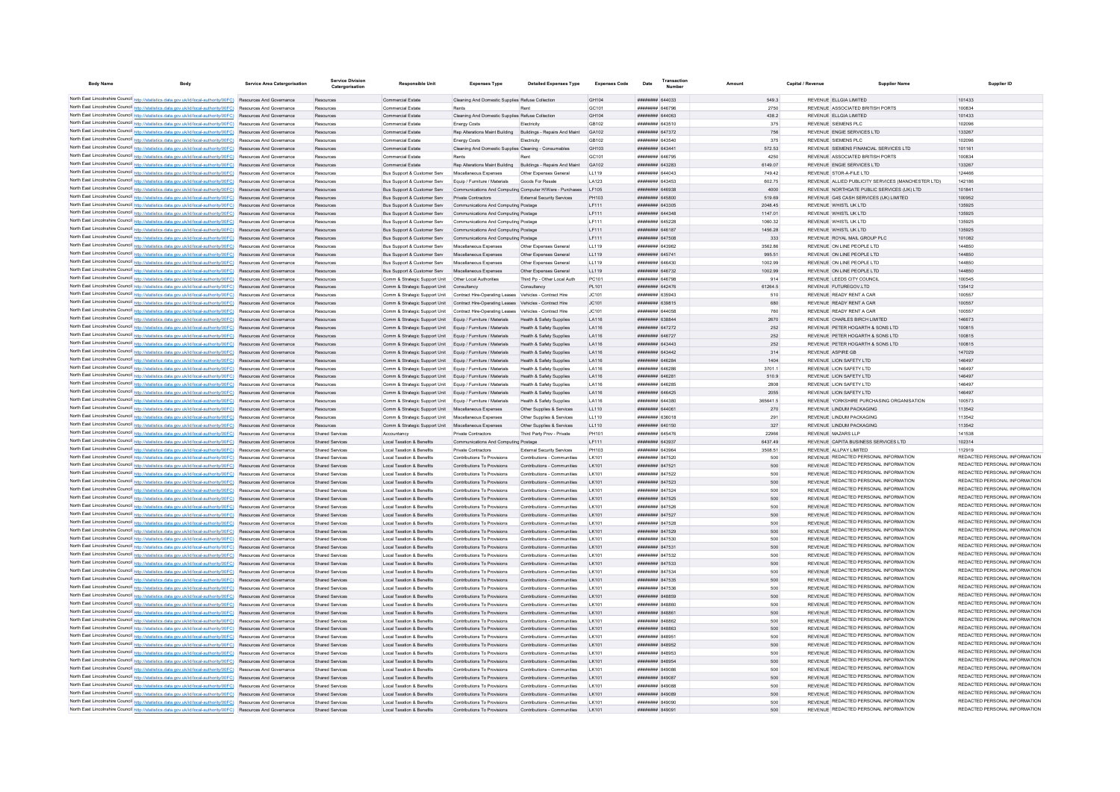| <b>Body Name</b> | <b>Body</b>                                                                                                                                                                                                                        | <b>Service Area Catergorisation</b> | <b>Service Division</b><br>Catergorisation       | <b>Responsible Unit</b>                                                                                                    | <b>Expenses Type</b>                                                                   | <b>Detailed Expenses Type</b>                              | <b>Expenses Code</b> | Date                                | Transactio<br><b>Number</b> |                   | Capital / Revenue | <b>Supplier Name</b>                                                           | Supplier ID                                                    |
|------------------|------------------------------------------------------------------------------------------------------------------------------------------------------------------------------------------------------------------------------------|-------------------------------------|--------------------------------------------------|----------------------------------------------------------------------------------------------------------------------------|----------------------------------------------------------------------------------------|------------------------------------------------------------|----------------------|-------------------------------------|-----------------------------|-------------------|-------------------|--------------------------------------------------------------------------------|----------------------------------------------------------------|
|                  | North East Lincolnshire Council http://statistics.data.gov.uk/id/local-authority/00FC) Resources And Governance                                                                                                                    |                                     | Resources                                        | Commercial Estate                                                                                                          | Cleaning And Domestic Supplies Refuse Collection                                       |                                                            | GH104                | EEOAAA BREERER                      |                             | 549.3             |                   | REVENUE ELLGIA LIMITED                                                         | 101433                                                         |
|                  | North East Lincolnshire Council http://statistics.data.gov.uk/id/local-authority/00FC) Resources And Governance                                                                                                                    |                                     | Resources                                        | Commercial Estate                                                                                                          | <b>Rente</b>                                                                           | Rent                                                       | GC <sub>101</sub>    | <b>####### 646796</b>               |                             | 2750              |                   | REVENUE ASSOCIATED BRITISH PORTS                                               | 100834                                                         |
|                  | North East Lincolnshire Council http://statistics.data.gov.uk/id/local-authority/00FC) Resources And Governance                                                                                                                    |                                     | Resources                                        | Commercial Estate                                                                                                          | Cleaning And Domestic Supplies, Refuse Collection                                      |                                                            | GH104                | ERODAR BREEKER                      |                             | 438.2             |                   | REVENUE ELLGIA LIMITED                                                         | 101433                                                         |
|                  | North East Lincolnshire Council http://statistics.data.gov.uk/id/local-authority/00FC) Resources And Governance                                                                                                                    |                                     | Resources                                        | Commercial Estate                                                                                                          | <b>Energy Costs</b>                                                                    | Electricity                                                | GB102                | ######## 643510                     |                             | 375               |                   | REVENUE SIEMENS PLC                                                            | 102096                                                         |
|                  | North East Lincolnshire Council http://statistics.data.gov.uk/id/local-authority/00FC) Resources And Governance                                                                                                                    |                                     | Resources                                        | Commercial Estate                                                                                                          | Rep Alterations Maint Building Buildings - Repairs And Maint                           |                                                            | GA102                | ######## 647372                     |                             | 756               |                   | REVENUE ENGIE SERVICES LTD                                                     | 133267                                                         |
|                  | North East Lincolnshire Council http://statistics.data.gov.uk/id/local-authority/00FC) Resources And Governance                                                                                                                    |                                     | Resources                                        | Commercial Estate                                                                                                          | <b>Energy Costs</b>                                                                    | Electricity                                                | GB102                | ######## 643540                     |                             | 375               |                   | REVENUE SIEMENS PLC                                                            | 102096                                                         |
|                  | North East Lincolnshire Council http://statistics.data.gov.uk/id/local-authority/00FC) Resources And Governance                                                                                                                    |                                     | Resources                                        | Commercial Estate                                                                                                          | Cleaning And Domestic Supplies Cleaning - Consumables                                  |                                                            | GH103                | ######## 643441                     |                             | 572.53            |                   | REVENUE SIEMENS FINANCIAL SERVICES LTD                                         | 101161                                                         |
|                  | North East Lincolnshire Council http://statistics.data.gov.uk/id/local-authority/00FC) Resources And Governance                                                                                                                    |                                     | Resources                                        | Commercial Estate                                                                                                          | Rents                                                                                  | Rent                                                       | GC <sub>101</sub>    | <b>####### 646795</b>               |                             | 4250              |                   | REVENUE ASSOCIATED BRITISH PORTS                                               | 100834                                                         |
|                  | North East Lincolnshire Council http://statistics.data.gov.uk/id/local-authority/00FC) Resources And Governance<br>North East Lincolnshire Council http://statistics.data.gov.uk/id/local-authority/00FC) Resources And Governance |                                     | Resources<br>Resources                           | Commercial Estate<br>Bus Support & Customer Serv                                                                           | Rep Alterations Maint Building Buildings - Repairs And Maint<br>Miscellaneous Expenses | Other Expenses General                                     | GA102<br>LL119       | ######## 643283<br>######## 644043  |                             | 6149.07<br>749.42 |                   | REVENUE ENGIE SERVICES LTD<br>REVENUE STOR-A-FILE LTD                          | 133267<br>124466                                               |
|                  | North East Lincolnshire Council http://statistics.data.gov.uk/id/local-authority/00FC) Resources And Governance                                                                                                                    |                                     | Resources                                        | Bus Support & Customer Serv                                                                                                | Equip / Furniture / Materials                                                          | Goods For Resale                                           | LA123                | ######## 643453                     |                             | 602.75            |                   | REVENUE ALLIED PUBLICITY SERVICES (MANCHESTER LTD)                             | 142186                                                         |
|                  | North East Lincolnshire Council http://statistics.data.gov.uk/id/local-authority/00FC) Resources And Governance                                                                                                                    |                                     | Resources                                        | Bus Support & Customer Serv                                                                                                | Communications And Computing Computer H/Ware - Purchases                               |                                                            | LF105                | ######## 646938                     |                             | 4000              |                   | REVENUE NORTHGATE PUBLIC SERVICES (UK) LTD                                     | 101841                                                         |
|                  | North East Lincolnshire Council http://statistics.data.gov.uk/id/local-authority/00FC) Resources And Governance                                                                                                                    |                                     | Resources                                        | Bus Support & Customer Serv                                                                                                | Private Contractors                                                                    | <b>External Security Services</b>                          | PH103                | ######## 645800                     |                             | 519.69            |                   | REVENUE G4S CASH SERVICES (UK) LIMITED                                         | 100952                                                         |
|                  | North East Lincolnshire Council http://statistics.data.gov.uk/id/local-authority/00FC) Resources And Governance                                                                                                                    |                                     | Resources                                        | <b>Bus Support &amp; Customer Serv</b>                                                                                     | Communications And Computing Postage                                                   |                                                            | LF111                | HUHHHHH 643305                      |                             | 2048 45           |                   | REVENUE WHISTI UK I TD                                                         | 135925                                                         |
|                  | North East Lincolnshire Council http://statistics.data.gov.uk/id/local-authority/00FC) Resources And Governance                                                                                                                    |                                     | Resources                                        | Bus Sunnort & Customer Serv Communications And Computing Postage                                                           |                                                                                        |                                                            | <b>IF111</b>         | ######## 644348                     |                             | 1147 01           |                   | REVENUE WHISTLUK I TD                                                          | 135925                                                         |
|                  | North East Lincolnshire Council http://statistics.data.gov.uk/id/local-authority/00FC) Resources And Governance                                                                                                                    |                                     | Resources                                        | <b>Bus Support &amp; Customer Serv Communications And Computing Postage</b>                                                |                                                                                        |                                                            | <b>IF111</b>         | ####### 645228                      |                             | 1060 32           |                   | REVENUE WHISTLUK I TD                                                          | 135925                                                         |
|                  | North East Lincolnshire Council http://statistics.data.gov.uk/id/local-authority/00FC) Resources And Governance                                                                                                                    |                                     | Resources                                        | Bus Sunnort & Customer Serv Communications And Computing Postage                                                           |                                                                                        |                                                            | LF111                | ####### 646187                      |                             | 1456.28           |                   | REVENUE WHISTLUK ITD                                                           | 135925                                                         |
|                  | North East Lincolnshire Council http://statistics.data.gov.uk/id/local-authority/00FC) Resources And Governance<br>North East Lincolnshire Council http://statistics.data.gov.uk/id/local-authority/00FC) Resources And Governance |                                     | Resources<br>Resources                           | Bus Support & Customer Serv Communications And Computing Postage<br>Bus Support & Customer Serv Miscellaneous Expenses     |                                                                                        | Other Expenses General                                     | LF111<br>LL119       | ######## 647508<br>######## 643962  |                             | 333<br>3562.86    |                   | REVENUE ROYAL MAIL GROUP PLC<br>REVENUE ON LINE PEOPLE LTD                     | 101082<br>144850                                               |
|                  | North East Lincolnshire Council http://statistics.data.gov.uk/id/local-authority/00FC) Resources And Governance                                                                                                                    |                                     | Resources                                        | Bus Support & Customer Serv Miscellaneous Expenses                                                                         |                                                                                        | Other Expenses General                                     | LL119                | ######## 645741                     |                             | 995.51            |                   | REVENUE ON LINE PEOPLE LTD                                                     | 144850                                                         |
|                  | North East Lincolnshire Council http://statistics.data.gov.uk/id/local-authority/00FC) Resources And Governance                                                                                                                    |                                     | Resources                                        | <b>Bus Sunnort &amp; Customer Serv</b>                                                                                     | Miscellaneous Expenses                                                                 | Other Expenses General                                     | 11119                | HUUUHUH 646430                      |                             | 1002.99           |                   | REVENUE ON LINE PEOPLE LTD.                                                    | 144850                                                         |
|                  | North East Lincolnshire Council http://statistics.data.gov.uk/id/local-authority/00FC) Resources And Governance                                                                                                                    |                                     | Resources                                        | Bus Sunnort & Customer Serv Miscellaneous Expenses                                                                         |                                                                                        | Other Expenses General                                     | LL119                | ######## 646732                     |                             | 1002.99           |                   | REVENUE ON LINE PEOPLE LTD.                                                    | 144850                                                         |
|                  | North East Lincolnshire Council http://statistics.data.gov.uk/id/local-authority/00FC) Resources And Governance                                                                                                                    |                                     | Resources                                        | Comm & Strategic Support Unit   Other Local Authorities                                                                    |                                                                                        | Third Po - Other Local Auth                                | PC101                | ######## 646798                     |                             | 914               |                   | REVENUE LEEDS CITY COUNCIL                                                     | 100545                                                         |
|                  | North East Lincolnshire Council http://statistics.data.gov.uk/id/local-authority/00FC) Resources And Governance                                                                                                                    |                                     | Resources                                        | Comm & Strategic Support Unit Consultancy                                                                                  |                                                                                        | Consultancy                                                | PL101                | ######## 642476                     |                             | 61264.5           |                   | REVENUE FUTUREGOV.LTD                                                          | 135412                                                         |
|                  | North East Lincolnshire Council http://statistics.data.gov.uk/id/local-authority/00FC).                                                                                                                                            | Resources And Governance            | Resources                                        | Comm & Strategic Support Unit                                                                                              | Contract Hire-Operating Leases Vehicles - Contract Hire                                |                                                            | JC101                | ####### 635943                      |                             | 510               |                   | REVENUE READY RENT A CAR                                                       | 100557                                                         |
|                  | North East Lincolnshire Council http://statistics.data.gov.uk/id/local-authority/00FC) Resources And Governance                                                                                                                    |                                     | Resources                                        | Comm & Strategic Support Unit                                                                                              | Contract Hire-Operating Leases Vehicles - Contract Hire                                |                                                            | JC101                | ######## 639815                     |                             | 680               |                   | REVENUE READY RENT A CAR                                                       | 100557                                                         |
|                  | North East Lincolnshire Council http://statistics.data.gov.uk/id/local-authority/00FC) Resources And Governance                                                                                                                    |                                     | Resources                                        | Comm & Strategic Support Unit Contract Hire-Operating Leases Vehicles - Contract Hire                                      |                                                                                        |                                                            | JC101                | ######## 644058                     |                             | 760               |                   | REVENUE READY RENT A CAR                                                       | 100557                                                         |
|                  | North East Lincolnshire Council http://statistics.data.gov.uk/id/local-authority/00FC) Resources And Governance                                                                                                                    |                                     | Resources                                        | Comm & Strategic Support Unit Equip / Furniture / Materials                                                                |                                                                                        | Health & Safety Supplies                                   | LA116                | ######## 638844<br>######## 647272  |                             | 2670              |                   | REVENUE CHARLES BIRCH LIMITED                                                  | 146673                                                         |
|                  | North East Lincolnshire Council http://statistics.data.gov.uk/id/local-authority/00FC) Resources And Governance<br>North East Lincolnshire Council http://statistics.data.gov.uk/id/local-authority/00FC) Resources And Governance |                                     | Resources<br>Resources                           | Comm & Strategic Support Unit Equip / Furniture / Materials<br>Comm & Strategic Support Unit Equip / Furniture / Materials |                                                                                        | Health & Safety Supplies<br>Health & Safety Supplies       | LA116<br>LA116       | ######## 646727                     |                             | 252<br>252        |                   | REVENUE PETER HOGARTH & SONS LTD<br>REVENUE PETER HOGARTH & SONS LTD           | 100815<br>100815                                               |
|                  | North East Lincolnshire Council http://statistics.data.gov.uk/id/local-authority/00FC) Resources And Governance                                                                                                                    |                                     | Resources                                        | Comm & Strategic Support Unit Equip / Furniture / Materials                                                                |                                                                                        | Health & Safety Supplies                                   | LA116                | ######## 643443                     |                             | 252               |                   | REVENUE PETER HOGARTH & SONS LTD                                               | 100815                                                         |
|                  | North East Lincolnshire Council http://statistics.data.gov.uk/id/local-authority/00FC) Resources And Governance                                                                                                                    |                                     | Resources                                        | Comm & Strategic Support Unit Equip / Furniture / Materials                                                                |                                                                                        | Health & Safety Supplies                                   | LA116                | ######## 643442                     |                             | 314               |                   | REVENUE ASPIRE GB                                                              | 147029                                                         |
|                  | North East Lincolnshire Council http://statistics.data.gov.uk/id/local-authority/00FC) Resources And Governance                                                                                                                    |                                     | Resources                                        | Comm & Strategic Support Unit Equip / Furniture / Materials                                                                |                                                                                        | Health & Safety Supplies                                   | LA116                | <b>иннинин</b> 646284               |                             | 1404              |                   | REVENUE LION SAFETY LTD                                                        | 146497                                                         |
|                  | North East Lincolnshire Council http://statistics.data.gov.uk/id/local-authority/00FC) Resources And Governance                                                                                                                    |                                     | Resources                                        | Comm & Strategic Support Unit Equip / Furniture / Materials                                                                |                                                                                        | Health & Safety Supplies                                   | LA116                | ######## 646286                     |                             | 3701.1            |                   | REVENUE LION SAFETY LTD                                                        | 146497                                                         |
|                  | North East Lincolnshire Council http://statistics.data.gov.uk/id/local-authority/00FC) Resources And Governance                                                                                                                    |                                     | Resources                                        | Comm & Strategic Support Unit Foujo / Furniture / Materials                                                                |                                                                                        | Health & Safety Sunnlies                                   | <b>LA116</b>         | ######## 646281                     |                             | 510.9             |                   | REVENUE LION SAFETY LTD.                                                       | 146497                                                         |
|                  | North East Lincolnshire Council http://statistics.data.gov.uk/id/local-authority/00FC) Resources And Governance                                                                                                                    |                                     | Resources                                        | Comm & Strategic Support Unit Equip / Furniture / Materials                                                                |                                                                                        | Health & Safety Supplies                                   | <b>LA116</b>         | <b>иннинии</b> 646285               |                             | 2808              |                   | REVENUE LION SAFETY LTD                                                        | 146497                                                         |
|                  | North East Lincolnshire Council http://statistics.data.gov.uk/id/local-authority/00FC) Resources And Governance                                                                                                                    |                                     | Resources                                        | Comm & Strategic Support Unit Equip / Furniture / Materials                                                                |                                                                                        | Health & Safety Supplies                                   | <b>LA116</b>         | ####### 646425                      |                             | 2055              |                   | REVENUE LION SAFETY LTD                                                        | 146497                                                         |
|                  | North East Lincolnshire Council http://statistics.data.gov.uk/id/local-authority/00FC) Resources And Governance                                                                                                                    |                                     | Resources                                        | Comm & Strategic Support Unit Equip / Furniture / Materials                                                                |                                                                                        | Health & Safety Supplies                                   | LA116                | ######## 644380<br>####### 644061   |                             | 365641.5          |                   | REVENUE YORKSHIRE PURCHASING ORGANISATION                                      | 100573                                                         |
|                  | North East Lincolnshire Council http://statistics.data.gov.uk/id/local-authority/00FC) Resources And Governance<br>North East Lincolnshire Council http://statistics.data.gov.uk/id/local-authority/00FC) Resources And Governance |                                     | Resources                                        | Comm & Strategic Support Unit Miscellaneous Expenses<br>Comm & Strategic Support Unit Miscellaneous Expenses               |                                                                                        | Other Supplies & Services<br>Other Supplies & Services     | LL110<br>LL110       | ####### 636018                      |                             | 270               |                   | REVENUE LINDUM PACKAGING<br>REVENUE LINDUM PACKAGING                           | 113542<br>113542                                               |
|                  | North East Lincolnshire Council http://statistics.data.gov.uk/id/local-authority/00FC) Resources And Governance                                                                                                                    |                                     | Resources<br>Resources                           | Comm & Strategic Support Unit Miscellaneous Expenses                                                                       |                                                                                        | Other Supplies & Services                                  | LL110                | ######## 640150                     |                             | 291<br>327        |                   | REVENUE LINDUM PACKAGING                                                       | 113542                                                         |
|                  | North East Lincolnshire Council http://statistics.data.gov.uk/id/local-authority/00FC) Resources And Governance                                                                                                                    |                                     | Shared Services                                  | Accountancy                                                                                                                | Private Contractors                                                                    | Third Party Prov - Private                                 | PH101                | ######## 645476                     |                             | 22966             |                   | REVENUE MAZARS LLP                                                             | 141538                                                         |
|                  | North East Lincolnshire Council http://statistics.data.gov.uk/id/local-authority/00FC) Resources And Governance                                                                                                                    |                                     | Shared Services                                  | Local Taxation & Benefits                                                                                                  | Communications And Computing Postage                                                   |                                                            | LF111                | ######## 643937                     |                             | 6437.49           |                   | REVENUE CAPITA BUSINESS SERVICES LTD                                           | 102314                                                         |
|                  | North East Lincolnshire Council http://statistics.data.gov.uk/id/local-authority/00FC) Resources And Governance                                                                                                                    |                                     | Shared Services                                  | Local Taxation & Benefits                                                                                                  | Private Contractors                                                                    | External Security Services                                 | PH103                | ######## 643964                     |                             | 3508.51           |                   | REVENUE ALLPAY LIMITED                                                         | 112919                                                         |
|                  | North East Lincolnshire Council http://statistics.data.gov.uk/id/local-authority/00FC) Resources And Governance                                                                                                                    |                                     | Shared Services                                  | Local Taxation & Benefits                                                                                                  | Contributions To Provisions                                                            | Contributions - Communities                                | LK101                | ######## 847520                     |                             | 500               |                   | REVENUE REDACTED PERSONAL INFORMATION                                          | REDACTED PERSONAL INFORMATION                                  |
|                  | North East Lincolnshire Council http://statistics.data.gov.uk/id/local-authority/00FC) Resources And Governance                                                                                                                    |                                     | <b>Shared Services</b>                           | Local Taxation & Benefits                                                                                                  | Contributions To Provisions                                                            | Contributions - Communities                                | LK101                | ######## 847521                     |                             | 500               |                   | REVENUE REDACTED PERSONAL INFORMATION                                          | REDACTED PERSONAL INFORMATION                                  |
|                  | North East Lincolnshire Council http://statistics.data.gov.uk/id/local-authority/00FC) Resources And Governance                                                                                                                    |                                     | Shared Services                                  | Local Taxation & Benefits                                                                                                  | Contributions To Provisions                                                            | Contributions - Communities                                | LK101                | <b>иннинин</b> 847522               |                             | 500               |                   | REVENUE REDACTED PERSONAL INFORMATION<br>REVENUE REDACTED PERSONAL INFORMATION | REDACTED PERSONAL INFORMATION<br>REDACTED PERSONAL INFORMATION |
|                  | North East Lincolnshire Council http://statistics.data.gov.uk/id/local-authority/00FC) Resources And Governance<br>North East Lincolnshire Council http://statistics.data.gov.uk/id/local-authority/00FC) Resources And Governance |                                     | <b>Shared Services</b><br>Shared Services        | Local Taxation & Benefits<br>Local Taxation & Benefits                                                                     | Contributions To Provisions<br>Contributions To Provisions                             | Contributions - Communities<br>Contributions - Communities | LK101<br>LK101       | ######## 847523<br>######## 847524  |                             | 500<br>500        |                   | REVENUE REDACTED PERSONAL INFORMATION                                          | REDACTED PERSONAL INFORMATION                                  |
|                  | North East Lincolnshire Council http://statistics.data.gov.uk/id/local-authority/00FC) Resources And Governance                                                                                                                    |                                     | <b>Shared Services</b>                           | Local Taxation & Benefits                                                                                                  | Contributions To Provisions                                                            | Contributions - Communities                                | LK101                | ######## 847525                     |                             | 500               |                   | REVENUE REDACTED PERSONAL INFORMATION                                          | REDACTED PERSONAL INFORMATION                                  |
|                  | North East Lincolnshire Council http://statistics.data.gov.uk/id/local-authority/00FC) Resources And Governance                                                                                                                    |                                     | Shared Service                                   | <b>Local Taxation &amp; Benefits</b>                                                                                       | Contributions To Provisions                                                            | Contributions - Communities                                | LK101                | ######## 847526                     |                             | 500               |                   | REVENUE REDACTED PERSONAL INFORMATION                                          | REDACTED PERSONAL INFORMATION                                  |
|                  | North East Lincolnshire Council http://statistics.data.gov.uk/id/local-authority/00FC) Resources And Governance                                                                                                                    |                                     | <b>Shared Services</b>                           | Local Taxation & Benefits                                                                                                  | Contributions To Provisions                                                            | Contributions - Communities                                | I K101               | <b><i><u>HHHHHHH</u></i></b> 847527 |                             | 500               |                   | REVENUE REDACTED PERSONAL INFORMATION                                          | REDACTED PERSONAL INFORMATION                                  |
|                  | North East Lincolnshire Council http://statistics.data.gov.uk/id/local-authority/00FC) Resources And Governance                                                                                                                    |                                     | Shared Services                                  | Local Taxation & Benefits                                                                                                  | Contributions To Provisions                                                            | Contributions - Communities                                | 1 K101               | <b>иннинин</b> 847528               |                             | 500               |                   | REVENUE REDACTED PERSONAL INFORMATION                                          | REDACTED PERSONAL INFORMATION                                  |
|                  | North East Lincolnshire Council http://statistics.data.gov.uk/id/local-authority/00FC) Resources And Governance                                                                                                                    |                                     | Shared Services                                  | Local Taxation & Benefits                                                                                                  | Contributions To Provisions                                                            | Contributions - Communities                                | I K101               | ######## 847529                     |                             | 500               |                   | REVENUE REDACTED PERSONAL INFORMATION                                          | REDACTED PERSONAL INFORMATION                                  |
|                  | North East Lincolnshire Council http://statistics.data.gov.uk/id/local-authority/00FC) Resources And Governance                                                                                                                    |                                     | Shared Services                                  | Local Taxation & Benefits                                                                                                  | Contributions To Provisions                                                            | Contributions - Communities                                | 1 K101               | ######## 847530                     |                             | 500               |                   | REVENUE REDACTED PERSONAL INFORMATION                                          | REDACTED PERSONAL INFORMATION                                  |
|                  | North East Lincolnshire Council http://statistics.data.gov.uk/id/local-authority/00FC) Resources And Governance                                                                                                                    |                                     | Shared Services                                  | Local Taxation & Benefits                                                                                                  | Contributions To Provisions                                                            | Contributions - Communities                                | LK101                | ######## 847531                     |                             | 500               |                   | REVENUE REDACTED PERSONAL INFORMATION<br>REVENUE REDACTED PERSONAL INFORMATION | REDACTED PERSONAL INFORMATION<br>REDACTED PERSONAL INFORMATION |
|                  | North East Lincolnshire Council http://statistics.data.gov.uk/id/local-authority/00FC) Resources And Governance                                                                                                                    |                                     | Shared Services                                  | Local Taxation & Benefits                                                                                                  | Contributions To Provisions                                                            | Contributions - Communities                                | LK101                | ######## 847532<br>######## 847533  |                             | 500<br>500        |                   | REVENUE REDACTED PERSONAL INFORMATION                                          | REDACTED PERSONAL INFORMATION                                  |
|                  | North East Lincolnshire Council http://statistics.data.gov.uk/id/local-authority/00FC) Resources And Governance<br>North East Lincolnshire Council http://statistics.data.gov.uk/id/local-authority/00FC) Resources And Governance |                                     | <b>Shared Services</b><br><b>Shared Services</b> | Local Taxation & Benefits<br>Local Taxation & Benefits                                                                     | Contributions To Provisions<br>Contributions To Provisions                             | Contributions - Communities<br>Contributions - Communities | LK101<br>LK101       | ######## 847534                     |                             | 500               |                   | REVENUE REDACTED PERSONAL INFORMATION                                          | REDACTED PERSONAL INFORMATION                                  |
|                  | North East Lincolnshire Council http://statistics.data.gov.uk/id/local-authority/00FC) Resources And Governance                                                                                                                    |                                     | Shared Services                                  | Local Taxation & Benefits                                                                                                  | Contributions To Provisions                                                            | Contributions - Communities                                | I K101               | ######## 847535                     |                             | 500               |                   | REVENUE REDACTED PERSONAL INFORMATION                                          | REDACTED PERSONAL INFORMATION                                  |
|                  | North East Lincolnshire Council http://statistics.data.gov.uk/id/local-authority/00FC) Resources And Governance                                                                                                                    |                                     | <b>Shared Services</b>                           | <b>Local Taxation &amp; Benefits</b>                                                                                       | Contributions To Provisions                                                            | Contributions - Communities                                | 1 K101               | ######## 847536                     |                             | 500               |                   | REVENUE REDACTED PERSONAL INFORMATION                                          | REDACTED PERSONAL INFORMATION                                  |
|                  | North East Lincolnshire Council http://statistics.data.gov.uk/id/local-authority/00FC) Resources And Governance                                                                                                                    |                                     | <b>Shared Services</b>                           | Local Taxation & Benefits                                                                                                  | Contributions To Provisions                                                            | Contributions - Communities                                | 1 K101               | ######## 848859                     |                             | 500               |                   | REVENUE REDACTED PERSONAL INFORMATION                                          | REDACTED PERSONAL INFORMATION                                  |
|                  | North East Lincolnshire Council http://statistics.data.gov.uk/id/local-authority/00FC) Resources And Governance                                                                                                                    |                                     | <b>Shared Services</b>                           | <b>Local Taxation &amp; Benefits</b>                                                                                       | Contributions To Provisions                                                            | Contributions - Communities                                | LK101                | ####### 848860                      |                             | 500               |                   | REVENUE REDACTED PERSONAL INFORMATION                                          | REDACTED PERSONAL INFORMATION                                  |
|                  | North East Lincolnshire Council http://statistics.data.gov.uk/id/local-authority/00FC) Resources And Governance                                                                                                                    |                                     | <b>Shared Services</b>                           | Local Taxation & Benefits                                                                                                  | Contributions To Provisions                                                            | Contributions - Communities                                | LK101                | ######## 848861                     |                             | 500               |                   | REVENUE REDACTED PERSONAL INFORMATION                                          | REDACTED PERSONAL INFORMATION                                  |
|                  | North East Lincolnshire Council http://statistics.data.gov.uk/id/local-authority/00FC) Resources And Governance                                                                                                                    |                                     | Shared Services                                  | <b>Local Taxation &amp; Benefits</b>                                                                                       | Contributions To Provisions                                                            | Contributions - Communities                                | LK101                | CARABA HHHHHHH                      |                             | 500               |                   | REVENUE REDACTED PERSONAL INFORMATION                                          | REDACTED PERSONAL INFORMATION                                  |
|                  | North East Lincolnshire Council http://statistics.data.gov.uk/id/local-authority/00FC) Resources And Governance                                                                                                                    |                                     | Shared Services                                  | Local Taxation & Benefits                                                                                                  | Contributions To Provisions                                                            | Contributions - Communities                                | 1 K101               | Eagapt Hammer                       |                             | 500               |                   | REVENUE REDACTED PERSONAL INFORMATION<br>REVENUE REDACTED PERSONAL INFORMATION | REDACTED PERSONAL INFORMATION<br>REDACTED PERSONAL INFORMATION |
|                  | North East Lincolnshire Council http://statistics.data.gov.uk/id/local-authority/00FC) Resources And Governance                                                                                                                    |                                     | <b>Shared Services</b>                           | Local Taxation & Benefits                                                                                                  | Contributions To Provisions                                                            | Contributions - Communities                                | LK101                | ######## 848951                     |                             | 500               |                   | REVENUE REDACTED PERSONAL INFORMATION                                          | REDACTED PERSONAL INFORMATION                                  |
|                  | North East Lincolnshire Council http://statistics.data.gov.uk/id/local-authority/00FC) Resources And Governance<br>North East Lincolnshire Council http://statistics.data.gov.uk/id/local-authority/00FC) Resources And Governance |                                     | Shared Services<br>Shared Services               | Local Taxation & Benefits<br>Local Taxation & Benefits                                                                     | Contributions To Provisions<br>Contributions To Provisions                             | Contributions - Communities<br>Contributions - Communities | LK101<br>LK101       | ######## 848952<br>######## 848953  |                             | 500<br>500        |                   | REVENUE REDACTED PERSONAL INFORMATION                                          | REDACTED PERSONAL INFORMATION                                  |
|                  | North East Lincolnshire Council http://statistics.data.gov.uk/id/local-authority/00FC) Resources And Governance                                                                                                                    |                                     | <b>Shared Services</b>                           | Local Taxation & Benefits                                                                                                  | Contributions To Provisions                                                            | Contributions - Communities                                | LK101                | ######## 848954                     |                             | 500               |                   | REVENUE REDACTED PERSONAL INFORMATION                                          | REDACTED PERSONAL INFORMATION                                  |
|                  | North East Lincolnshire Council http://statistics.data.gov.uk/id/local-authority/00FC) Resources And Governance                                                                                                                    |                                     | <b>Shared Services</b>                           | Local Taxation & Benefits                                                                                                  | Contributions To Provisions                                                            | Contributions - Communities                                | LK101                | ######## 849086                     |                             | 500               |                   | REVENUE REDACTED PERSONAL INFORMATION                                          | REDACTED PERSONAL INFORMATION                                  |
|                  | North East Lincolnshire Council http://statistics.data.gov.uk/id/local-authority/00FC) Resources And Governance                                                                                                                    |                                     | <b>Shared Services</b>                           | Local Taxation & Benefits                                                                                                  | Contributions To Provisions                                                            | Contributions - Communities                                | LK101                | ######## 849087                     |                             | 500               |                   | REVENUE REDACTED PERSONAL INFORMATION                                          | REDACTED PERSONAL INFORMATION                                  |
|                  | North East Lincolnshire Council http://statistics.data.gov.uk/id/local-authority/00FC) Resources And Governance                                                                                                                    |                                     | Shared Services                                  | Local Taxation & Benefits                                                                                                  | Contributions To Provisions                                                            | Contributions - Communities                                | 1 K101               | ######## 849088                     |                             | 500               |                   | REVENUE REDACTED PERSONAL INFORMATION                                          | REDACTED PERSONAL INFORMATION                                  |
|                  | North East Lincolnshire Council http://statistics.data.gov.uk/id/local-authority/00FC) Resources And Governance                                                                                                                    |                                     | Shared Services                                  | Local Taxation & Benefits                                                                                                  | Contributions To Provisions                                                            | Contributions - Communities                                | 1 K101               | RAGGAR BABBERRE                     |                             | 500               |                   | REVENUE REDACTED PERSONAL INFORMATION                                          | REDACTED PERSONAL INFORMATION                                  |
|                  | North East Lincolnshire Council http://statistics.data.gov.uk/id/local-authority/00FC) Resources And Governance                                                                                                                    |                                     | <b>Shared Services</b>                           | Local Taxation & Benefits                                                                                                  | Contributions To Provisions                                                            | Contributions - Communities                                | I K101               | ####### 849090                      |                             | 500               |                   | REVENUE REDACTED PERSONAL INFORMATION                                          | REDACTED PERSONAL INFORMATION<br>REDACTED PERSONAL INFORMATION |
|                  | North East Lincolnshire Council http://statistics.data.gov.uk/id/local-authority/00FC) Resources And Governance                                                                                                                    |                                     | <b>Shared Services</b>                           | <b>Local Taxation &amp; Benefits</b>                                                                                       | Contributions To Provisions                                                            | Contributions - Communities                                | LK101                | ######## 84909*                     |                             | 500               |                   | REVENUE REDACTED PERSONAL INFORMATION                                          |                                                                |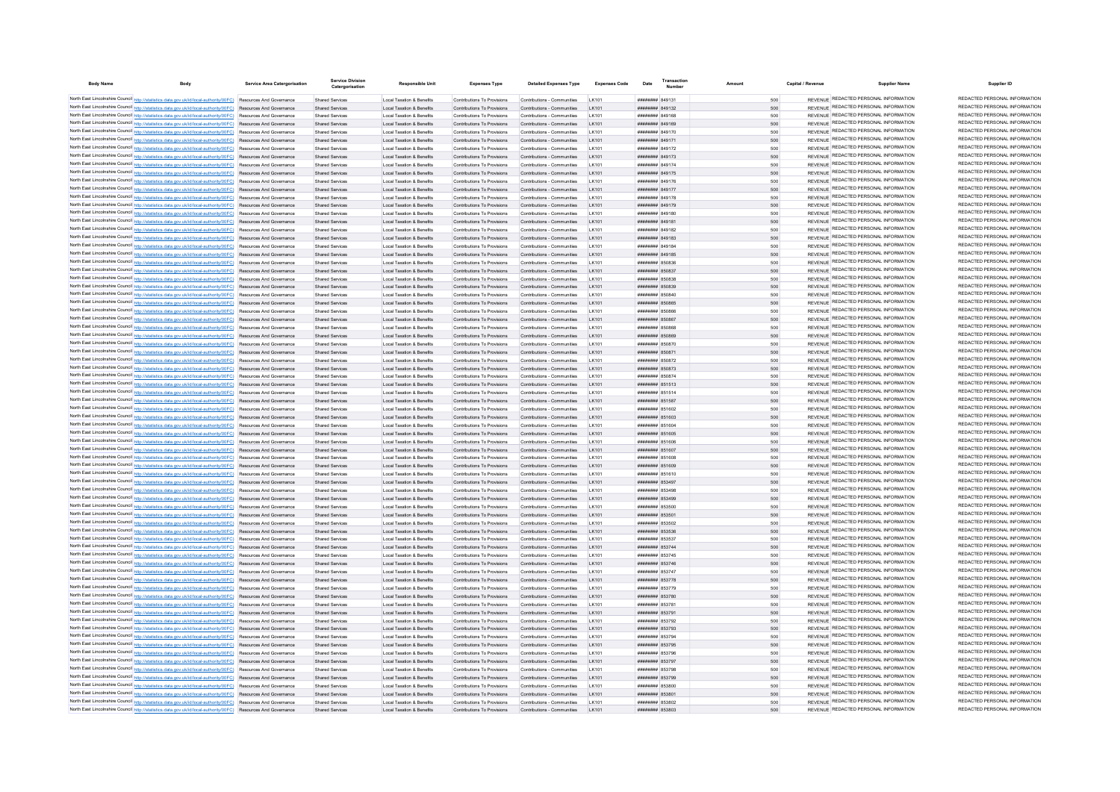| <b>Body Name</b>                                                                                                                                                                                                                   | Service Area Catergorisation | <b>Service Division</b><br>Catergorisation | Responsible Unit                                                  | <b>Expenses Type</b>                                       | <b>Detailed Expenses Type</b>                              | Expenses Code          | Transaction<br>Date                | Amount     | Capital / Revenue | <b>Supplier Name</b>                                                           | Supplier ID                                                    |
|------------------------------------------------------------------------------------------------------------------------------------------------------------------------------------------------------------------------------------|------------------------------|--------------------------------------------|-------------------------------------------------------------------|------------------------------------------------------------|------------------------------------------------------------|------------------------|------------------------------------|------------|-------------------|--------------------------------------------------------------------------------|----------------------------------------------------------------|
| North East Lincolnshire Council http://statistics.data.gov.uk/id/local-authority/00FC) Resources And Governance                                                                                                                    |                              | Shared Services                            | Local Taxation & Benefits                                         | Contributions To Provisions                                | Contributions - Communities                                | LK101                  | ######## 849131                    | 500        |                   | REVENUE REDACTED PERSONAL INFORMATION                                          | REDACTED PERSONAL INFORMATION                                  |
| North East Lincolnshire Council http://statistics.data.gov.uk/id/local-authority/00FC) Resources And Governance                                                                                                                    |                              | Shared Services                            | Local Taxation & Benefits                                         | Contributions To Provisions                                | Contributions - Communities                                | LK101                  | ######## 849132                    | 500        |                   | REVENUE REDACTED PERSONAL INFORMATION                                          | REDACTED PERSONAL INFORMATION                                  |
| North East Lincolnshire Council http://statistics.data.gov.uk/id/local-authority/00FC) Resources And Governance                                                                                                                    |                              | Shared Services                            | Local Taxation & Benefits                                         | Contributions To Provisions                                | Contributions - Communities                                | LK101                  | ####### 849168                     | 500        |                   | REVENUE REDACTED PERSONAL INFORMATION                                          | REDACTED PERSONAL INFORMATION                                  |
| North East Lincolnshire Council http://statistics.data.gov.uk/id/local-authority/00FC) Resources And Governance                                                                                                                    |                              | Shared Services                            | Local Taxation & Benefits                                         | Contributions To Provisions                                | Contributions - Communities                                | I K101                 | ######## 849169                    | 500        |                   | REVENUE REDACTED PERSONAL INFORMATION                                          | REDACTED PERSONAL INFORMATION                                  |
| North East Lincolnshire Council http://statistics.data.gov.uk/id/local-authority/00FC) Resources And Governance                                                                                                                    |                              | <b>Shared Services</b>                     | <b>Local Taxation &amp; Benefits</b>                              | Contributions To Provisions                                | Contributions - Communities                                | I K101                 | ######## 849170                    | 500        |                   | REVENUE REDACTED PERSONAL INFORMATION                                          | REDACTED PERSONAL INFORMATION                                  |
| North East Lincolnshire Council http://statistics.data.gov.uk/id/local-authority/00FC) Resources And Governance                                                                                                                    |                              | <b>Shared Services</b>                     | <b>Local Taxation &amp; Benefits</b>                              | Contributions To Provisions                                | Contributions - Communities                                | I K101                 | ######## 849171                    | 500        |                   | REVENUE REDACTED PERSONAL INFORMATION                                          | REDACTED PERSONAL INFORMATION<br>REDACTED PERSONAL INFORMATION |
| North East Lincolnshire Council http://statistics.data.gov.uk/id/local-authority/00FC) Resources And Governance                                                                                                                    |                              | <b>Shared Services</b>                     | <b>Local Taxation &amp; Benefits</b>                              | Contributions To Provisions                                | Contributions - Communities                                | LK10                   | ######## 849172                    | 500        |                   | REVENUE REDACTED PERSONAL INFORMATION<br>REVENUE REDACTED PERSONAL INFORMATION | REDACTED PERSONAL INFORMATION                                  |
| North East Lincolnshire Council http://statistics.data.gov.uk/id/local-authority/00FC) Resources And Governance                                                                                                                    |                              | <b>Shared Services</b>                     | Local Taxation & Benefits                                         | Contributions To Provisions                                | Contributions - Communities                                | LK101                  | ######## 849173                    | 500        |                   | REVENUE REDACTED PERSONAL INFORMATION                                          | REDACTED PERSONAL INFORMATION                                  |
| North East Lincolnshire Council http://statistics.data.gov.uk/id/local-authority/00FC) Resources And Governance                                                                                                                    |                              | <b>Shared Services</b>                     | Local Taxation & Benefits                                         | Contributions To Provisions                                | Contributions - Communities                                | <b>IK101</b>           | ######## 849174<br>####### 849175  | 500        |                   | REVENUE REDACTED PERSONAL INFORMATION                                          | REDACTED PERSONAL INFORMATION                                  |
| North East Lincolnshire Council http://statistics.data.gov.uk/id/local-authority/00FC) Resources And Governance<br>North East Lincolnshire Council http://statistics.data.gov.uk/id/local-authority/00FC) Resources And Governance |                              | Shared Services<br>Shared Services         | Local Taxation & Benefits<br>Local Taxation & Benefits            | Contributions To Provisions<br>Contributions To Provisions | Contributions - Communities<br>Contributions - Communities | I K101<br>LK101        | ######## 849176                    | 500<br>500 |                   | REVENUE REDACTED PERSONAL INFORMATION                                          | REDACTED PERSONAL INFORMATION                                  |
| North East Lincolnshire Council http://statistics.data.gov.uk/id/local-authority/00FC) Resources And Governance                                                                                                                    |                              | Shared Services                            | Local Taxation & Benefits                                         | Contributions To Provisions                                | Contributions - Communities                                | LK101                  | ######## 849177                    | 500        |                   | REVENUE REDACTED PERSONAL INFORMATION                                          | REDACTED PERSONAL INFORMATION                                  |
| North East Lincolnshire Council http://statistics.data.gov.uk/id/local-authority/00FC) Resources And Governance                                                                                                                    |                              | Shared Services                            | Local Taxation & Benefits                                         | Contributions To Provisions                                | Contributions - Communities                                | LK101                  | ######## 849178                    | 500        |                   | REVENUE REDACTED PERSONAL INFORMATION                                          | REDACTED PERSONAL INFORMATION                                  |
| North East Lincolnshire Council http://statistics.data.gov.uk/id/local-authority/00FC) Resources And Governance                                                                                                                    |                              | Shared Services                            | Local Taxation & Benefits                                         | Contributions To Provisions                                | Contributions - Communities                                | LK101                  | ######## 849179                    | 500        |                   | REVENUE REDACTED PERSONAL INFORMATION                                          | REDACTED PERSONAL INFORMATION                                  |
| North East Lincolnshire Council http://statistics.data.gov.uk/id/local-authority/00FC) Resources And Governance                                                                                                                    |                              | <b>Shared Services</b>                     | <b>Local Taxation &amp; Benefits</b>                              | Contributions To Provisions                                | Contributions - Communities                                | <b>IK101</b>           | ######## 849180                    | 500        |                   | REVENUE REDACTED PERSONAL INFORMATION                                          | REDACTED PERSONAL INFORMATION                                  |
| North East Lincolnshire Council http://statistics.data.gov.uk/id/local-authority/00FC) Resources And Governance                                                                                                                    |                              | <b>Shared Services</b>                     | <b>Local Taxation &amp; Benefits</b>                              | Contributions To Provisions                                | Contributions - Communities                                | I K101                 | ####### 849181                     | 500        |                   | REVENUE REDACTED PERSONAL INFORMATION                                          | REDACTED PERSONAL INFORMATION                                  |
| North East Lincolnshire Council http://statistics.data.gov.uk/id/local-authority/00FC) Resources And Governance                                                                                                                    |                              | Shared Services                            | <b>Local Taxation &amp; Benefits</b>                              | Contributions To Provisions                                | Contributions - Communities                                | LK101                  | ######## 849182                    | 500        |                   | REVENUE REDACTED PERSONAL INFORMATION                                          | REDACTED PERSONAL INFORMATION                                  |
| North East Lincolnshire Council http://statistics.data.gov.uk/id/local-authority/00FC) Resources And Governance                                                                                                                    |                              | <b>Shared Services</b>                     | <b>Local Taxation &amp; Benefits</b>                              | Contributions To Provisions                                | Contributions - Communities                                | LK101                  | ######## 849183                    | 500        |                   | REVENUE REDACTED PERSONAL INFORMATION                                          | REDACTED PERSONAL INFORMATION                                  |
| North East Lincolnshire Council http://statistics.data.gov.uk/id/local-authority/00FC) Resources And Governance                                                                                                                    |                              | <b>Shared Services</b>                     | Local Taxation & Benefits                                         | Contributions To Provisions                                | Contributions - Communities                                | I K101                 | <b><i>HHHHHHH</i></b> 840184       | 500        |                   | REVENUE REDACTED PERSONAL INFORMATION                                          | REDACTED PERSONAL INFORMATION                                  |
| North East Lincolnshire Council http://statistics.data.gov.uk/id/local-authority/00FC) Resources And Governance                                                                                                                    |                              | <b>Shared Services</b>                     | Local Taxation & Benefits                                         | Contributions To Provisions                                | Contributions - Communities                                | LK101                  | ######## 849185                    | 500        |                   | REVENUE REDACTED PERSONAL INFORMATION                                          | REDACTED PERSONAL INFORMATION                                  |
| North East Lincolnshire Council http://statistics.data.gov.uk/id/local-authority/00FC) Resources And Governance                                                                                                                    |                              | Shared Services                            | Local Taxation & Benefits                                         | Contributions To Provisions                                | Contributions - Communities                                | LK101                  | ######## 850836                    | 500        |                   | REVENUE REDACTED PERSONAL INFORMATION                                          | REDACTED PERSONAL INFORMATION                                  |
| North East Lincolnshire Council http://statistics.data.gov.uk/id/local-authority/00FC) Resources And Governance                                                                                                                    |                              | Shared Services                            | Local Taxation & Benefits                                         | Contributions To Provisions                                | Contributions - Communities                                | LK101                  | ######## 850837                    | 500        |                   | REVENUE REDACTED PERSONAL INFORMATION                                          | REDACTED PERSONAL INFORMATION                                  |
| North East Lincolnshire Council http://statistics.data.gov.uk/id/local-authority/00FC) Resources And Governance                                                                                                                    |                              | Shared Services                            | Local Taxation & Benefits                                         | Contributions To Provisions                                | Contributions - Communities                                | LK101                  | ######## 850838                    | 500        |                   | REVENUE REDACTED PERSONAL INFORMATION                                          | REDACTED PERSONAL INFORMATION                                  |
| North East Lincolnshire Council http://statistics.data.gov.uk/id/local-authority/00FC) Resources And Governance                                                                                                                    |                              | Shared Services                            | <b>Local Taxation &amp; Benefits</b>                              | Contributions To Provisions                                | Contributions - Communities                                | I K101                 | ######## 850839                    | 500        |                   | REVENUE REDACTED PERSONAL INFORMATION                                          | REDACTED PERSONAL INFORMATION                                  |
| North East Lincolnshire Council http://statistics.data.gov.uk/id/local-authority/00FC) Resources And Governance                                                                                                                    |                              | <b>Shared Services</b>                     | Local Taxation & Benefits                                         | Contributions To Provisions                                | Contributions - Communities                                | I K101                 | ######## 850840                    | 500        |                   | REVENUE REDACTED PERSONAL INFORMATION                                          | REDACTED PERSONAL INFORMATION                                  |
| North East Lincolnshire Council http://statistics.data.gov.uk/id/local-authority/00FC) Resources And Governance                                                                                                                    |                              | <b>Shared Services</b>                     | <b>Local Taxation &amp; Benefits</b>                              | Contributions To Provisions                                | Contributions - Communities                                | I K101                 | ######## 850865                    | 500        |                   | REVENUE REDACTED PERSONAL INFORMATION                                          | REDACTED PERSONAL INFORMATION<br>REDACTED PERSONAL INFORMATION |
| North East Lincolnshire Council http://statistics.data.gov.uk/id/local-authority/00FC) Resources And Governance                                                                                                                    |                              | Shared Service                             | <b>Local Taxation &amp; Benefits</b>                              | Contributions To Provisions                                | Contributions - Communities                                |                        | ####### 850866                     | 500        |                   | REVENUE REDACTED PERSONAL INFORMATION<br>REVENUE REDACTED PERSONAL INFORMATION | REDACTED PERSONAL INFORMATION                                  |
| North East Lincolnshire Council http://statistics.data.gov.uk/id/local-authority/00FC) Resources And Governance                                                                                                                    |                              | Shared Services                            | <b>Local Taxation &amp; Benefits</b>                              | Contributions To Provisions                                | Contributions - Communities                                | LK101                  | ######## 850867                    | 500        |                   |                                                                                | REDACTED PERSONAL INFORMATION                                  |
| North East Lincolnshire Council http://statistics.data.gov.uk/id/local-authority/00FC) Resources And Governance                                                                                                                    |                              | Shared Services                            | Local Taxation & Benefits                                         | Contributions To Provisions                                | Contributions - Communities                                | <b>IK101</b>           | <b><i>HUBBRER</i></b> R50868       | 500        |                   | REVENUE REDACTED PERSONAL INFORMATION<br>REVENUE REDACTED PERSONAL INFORMATION | REDACTED PERSONAL INFORMATION                                  |
| North East Lincolnshire Council http://statistics.data.gov.uk/id/local-authority/00FC) Resources And Governance                                                                                                                    |                              | <b>Shared Services</b>                     | Local Taxation & Benefits                                         | Contributions To Provisions                                | Contributions - Communities                                | LK101                  | ######## 850869                    | 500        |                   | REVENUE REDACTED PERSONAL INFORMATION                                          | REDACTED PERSONAL INFORMATION                                  |
| North East Lincolnshire Council http://statistics.data.gov.uk/id/local-authority/00FC) Resources And Governance                                                                                                                    |                              | Shared Services                            | Local Taxation & Benefits                                         | Contributions To Provisions<br>Contributions To Provisions | Contributions - Communities                                | LK101<br>LK101         | ######## 850870<br>######## 850871 | 500        |                   | REVENUE REDACTED PERSONAL INFORMATION                                          | REDACTED PERSONAL INFORMATION                                  |
| North East Lincolnshire Council http://statistics.data.gov.uk/id/local-authority/00FC) Resources And Governance<br>North East Lincolnshire Council http://statistics.data.gov.uk/id/local-authority/00FC) Resources And Governance |                              | Shared Services<br>Shared Services         | Local Taxation & Benefits<br><b>Local Taxation &amp; Benefits</b> | Contributions To Provisions                                | Contributions - Communities<br>Contributions - Communities | LK101                  | ######## 850872                    | 500<br>500 |                   | REVENUE REDACTED PERSONAL INFORMATION                                          | REDACTED PERSONAL INFORMATION                                  |
| North East Lincolnshire Council http://statistics.data.gov.uk/id/local-authority/00FC) Resources And Governance                                                                                                                    |                              | Shared Services                            | Local Taxation & Benefits                                         | Contributions To Provisions                                | Contributions - Communities                                | LK101                  | ######## 850873                    | 500        |                   | REVENUE REDACTED PERSONAL INFORMATION                                          | REDACTED PERSONAL INFORMATION                                  |
| North East Lincolnshire Council http://statistics.data.gov.uk/id/local-authority/00FC) Resources And Governance                                                                                                                    |                              | <b>Shared Services</b>                     | Local Taxation & Benefits                                         | Contributions To Provisions                                | Contributions - Communities                                | <b>IK101</b>           | ######## 850874                    | 500        |                   | REVENUE REDACTED PERSONAL INFORMATION                                          | REDACTED PERSONAL INFORMATION                                  |
| North East Lincolnshire Council http://statistics.data.gov.uk/id/local-authority/00FC) Resources And Governance                                                                                                                    |                              | <b>Shared Services</b>                     | <b>Local Taxation &amp; Benefits</b>                              | Contributions To Provisions                                | Contributions - Communities                                | LK101                  | ######## 851513                    | 500        |                   | REVENUE REDACTED PERSONAL INFORMATION                                          | REDACTED PERSONAL INFORMATION                                  |
| North East Lincolnshire Council http://statistics.data.gov.uk/id/local-authority/00FC) Resources And Governance                                                                                                                    |                              | <b>Shared Services</b>                     | Local Taxation & Benefits                                         | Contributions To Provisions                                | Contributions - Communities                                | <b>IK101</b>           | ######## 851514                    | 500        |                   | REVENUE REDACTED PERSONAL INFORMATION                                          | REDACTED PERSONAL INFORMATION                                  |
| North East Lincolnshire Council http://statistics.data.gov.uk/id/local-authority/00FC) Resources And Governance                                                                                                                    |                              | Shared Services                            | <b>Local Taxation &amp; Benefits</b>                              | Contributions To Provisions                                | Contributions - Communities                                | LK101                  | ######## 851587                    | 500        |                   | REVENUE REDACTED PERSONAL INFORMATION                                          | REDACTED PERSONAL INFORMATION                                  |
| North East Lincolnshire Council http://statistics.data.gov.uk/id/local-authority/00FC) Resources And Governance                                                                                                                    |                              | Shared Services                            | Local Taxation & Benefits                                         | Contributions To Provisions                                | Contributions - Communities                                | I K101                 | ####### 851602                     | 500        |                   | REVENUE REDACTED PERSONAL INFORMATION                                          | REDACTED PERSONAL INFORMATION                                  |
| North East Lincolnshire Council http://statistics.data.gov.uk/id/local-authority/00FC) Resources And Governance                                                                                                                    |                              | Shared Services                            | Local Taxation & Benefits                                         | Contributions To Provisions                                | Contributions - Communities                                | LK101                  | ######## 851603                    | 500        |                   | REVENUE REDACTED PERSONAL INFORMATION                                          | REDACTED PERSONAL INFORMATION                                  |
| North East Lincolnshire Council http://statistics.data.gov.uk/id/local-authority/00FC) Resources And Governance                                                                                                                    |                              | <b>Shared Services</b>                     | Local Taxation & Benefits                                         | Contributions To Provisions                                | Contributions - Communities                                | LK101                  | ######## 851604                    | 500        |                   | REVENUE REDACTED PERSONAL INFORMATION                                          | REDACTED PERSONAL INFORMATION                                  |
| North East Lincolnshire Council http://statistics.data.gov.uk/id/local-authority/00FC) Resources And Governance                                                                                                                    |                              | Shared Services                            | Local Taxation & Benefits                                         | Contributions To Provisions                                | Contributions - Communities                                | LK101                  | ######## 851605                    | 500        |                   | REVENUE REDACTED PERSONAL INFORMATION                                          | REDACTED PERSONAL INFORMATION                                  |
| North East Lincolnshire Council http://statistics.data.gov.uk/id/local-authority/00FC) Resources And Governance                                                                                                                    |                              | Shared Services                            | <b>Local Taxation &amp; Benefits</b>                              | Contributions To Provisions                                | Contributions - Communities                                | LK101                  | ######## 851606                    | 500        |                   | REVENUE REDACTED PERSONAL INFORMATION                                          | REDACTED PERSONAL INFORMATION                                  |
| North East Lincolnshire Council http://statistics.data.gov.uk/id/local-authority/00FC) Resources And Governance                                                                                                                    |                              | Shared Services                            | Local Taxation & Benefits                                         | Contributions To Provisions                                | Contributions - Communities                                | LK101                  | ####### 851607                     | 500        |                   | REVENUE REDACTED PERSONAL INFORMATION                                          | REDACTED PERSONAL INFORMATION                                  |
| North East Lincolnshire Council http://statistics.data.gov.uk/id/local-authority/00FC) Resources And Governance                                                                                                                    |                              | Shared Services                            | Local Taxation & Benefits                                         | Contributions To Provisions                                | Contributions - Communities                                | <b>IK101</b>           | ######## 851608                    | 500        |                   | REVENUE REDACTED PERSONAL INFORMATION                                          | REDACTED PERSONAL INFORMATION                                  |
| North East Lincolnshire Council http://statistics.data.gov.uk/id/local-authority/00FC) Resources And Governance                                                                                                                    |                              | Shared Services                            | Local Taxation & Benefits                                         | Contributions To Provisions                                | Contributions - Communities                                | I K101                 | ######## 851609                    | 500        |                   | REVENUE REDACTED PERSONAL INFORMATION                                          | REDACTED PERSONAL INFORMATION                                  |
| North East Lincolnshire Council http://statistics.data.gov.uk/id/local-authority/00FC) Resources And Governance                                                                                                                    |                              | <b>Shared Services</b>                     | <b>Local Taxation &amp; Benefits</b>                              | Contributions To Provisions                                | Contributions - Communities                                | 1 K101                 | ######## 851610                    | 500        |                   | REVENUE REDACTED PERSONAL INFORMATION                                          | REDACTED PERSONAL INFORMATION                                  |
| North East Lincolnshire Council http://statistics.data.gov.uk/id/local-authority/00FC) Resources And Governance                                                                                                                    |                              | Shared Services                            | <b>Local Taxation &amp; Benefits</b>                              | Contributions To Provisions                                | Contributions - Communities                                | LK101                  | ######## 853497                    | 500        |                   | REVENUE REDACTED PERSONAL INFORMATION                                          | REDACTED PERSONAL INFORMATION                                  |
| North East Lincolnshire Council http://statistics.data.gov.uk/id/local-authority/00FC) Resources And Governance                                                                                                                    |                              | Shared Services                            | Local Taxation & Benefits                                         | Contributions To Provisions                                | Contributions - Communities                                | I K101                 | ######## 853498                    | 500        |                   | REVENUE REDACTED PERSONAL INFORMATION                                          | REDACTED PERSONAL INFORMATION                                  |
| North East Lincolnshire Council http://statistics.data.gov.uk/id/local-authority/00FC) Resources And Governance                                                                                                                    |                              | Shared Services                            | Local Taxation & Benefits                                         | Contributions To Provisions                                | Contributions - Communities                                | I K101                 | ######## 853499                    | 500        |                   | REVENUE REDACTED PERSONAL INFORMATION                                          | REDACTED PERSONAL INFORMATION                                  |
| North East Lincolnshire Council http://statistics.data.gov.uk/id/local-authority/00FC) Resources And Governance                                                                                                                    |                              | <b>Shared Services</b>                     | Local Taxation & Benefits                                         | Contributions To Provisions                                | Contributions - Communities                                | I K101                 | ######## 853500                    | 500        |                   | REVENUE REDACTED PERSONAL INFORMATION                                          | REDACTED PERSONAL INFORMATION                                  |
| North East Lincolnshire Council http://statistics.data.gov.uk/id/local-authority/00FC) Resources And Governance                                                                                                                    |                              | Shared Services                            | Local Taxation & Benefits                                         | Contributions To Provisions                                | Contributions - Communities                                | LK101                  | ######## 853501                    | 500        |                   | REVENUE REDACTED PERSONAL INFORMATION                                          | REDACTED PERSONAL INFORMATION<br>REDACTED PERSONAL INFORMATION |
| North East Lincolnshire Council http://statistics.data.gov.uk/id/local-authority/00FC) Resources And Governance                                                                                                                    |                              | Shared Services                            | Local Taxation & Benefits                                         | Contributions To Provisions                                | Contributions - Communities                                | LK10                   | ######## 853502                    | 500        |                   | REVENUE REDACTED PERSONAL INFORMATION<br>REVENUE REDACTED PERSONAL INFORMATION | REDACTED PERSONAL INFORMATION                                  |
| North East Lincolnshire Council http://statistics.data.gov.uk/id/local-authority/00FC) Resources And Governance                                                                                                                    |                              | Shared Services                            | Local Taxation & Benefits                                         | Contributions To Provisions                                | Contributions - Communities                                | LK101                  | ######## 853536                    | 500        |                   | REVENUE REDACTED PERSONAL INFORMATION                                          | REDACTED PERSONAL INFORMATION                                  |
| North East Lincolnshire Council http://statistics.data.gov.uk/id/local-authority/00FC) Resources And Governance                                                                                                                    |                              | Shared Services                            | Local Taxation & Benefits                                         | Contributions To Provisions                                | Contributions - Communities                                | I K101                 | ######## 853537                    | 500        |                   | REVENUE REDACTED PERSONAL INFORMATION                                          | REDACTED PERSONAL INFORMATION                                  |
| North East Lincolnshire Council http://statistics.data.gov.uk/id/local-authority/00FC) Resources And Governance                                                                                                                    |                              | Shared Services                            | Local Taxation & Benefits<br><b>Local Taxation &amp; Benefits</b> | Contributions To Provisions<br>Contributions To Provisions | Contributions - Communities                                | I K101<br><b>IK101</b> | ######## 853744<br>######## 853745 | 500<br>500 |                   | REVENUE REDACTED PERSONAL INFORMATION                                          | REDACTED PERSONAL INFORMATION                                  |
| North East Lincolnshire Council http://statistics.data.gov.uk/id/local-authority/00FC) Resources And Governance<br>North East Lincolnshire Council http://statistics.data.gov.uk/id/local-authority/00FC) Resources And Governance |                              | <b>Shared Services</b><br>Shared Services  | <b>Local Taxation &amp; Benefits</b>                              | Contributions To Provisions                                | Contributions - Communities<br>Contributions - Communities | LK101                  | ######## 853746                    | 500        |                   | REVENUE REDACTED PERSONAL INFORMATION                                          | REDACTED PERSONAL INFORMATION                                  |
| North East Lincolnshire Council http://statistics.data.gov.uk/id/local-authority/00FC) Resources And Governance                                                                                                                    |                              | Shared Services                            | Local Taxation & Benefits                                         | Contributions To Provisions                                | Contributions - Communities                                | LK101                  | ######## 853747                    | 500        |                   | REVENUE REDACTED PERSONAL INFORMATION                                          | REDACTED PERSONAL INFORMATION                                  |
| North East Lincolnshire Council http://statistics.data.gov.uk/id/local-authority/00FC) Resources And Governance                                                                                                                    |                              | Shared Services                            | Local Taxation & Benefits                                         | Contributions To Provisions                                | Contributions - Communities                                | LK101                  | ######## 853778                    | 500        |                   | REVENUE REDACTED PERSONAL INFORMATION                                          | REDACTED PERSONAL INFORMATION                                  |
| North East Lincolnshire Council http://statistics.data.gov.uk/id/local-authority/00FC) Resources And Governance                                                                                                                    |                              | <b>Shared Services</b>                     | Local Taxation & Benefits                                         | Contributions To Provisions                                | Contributions - Communities                                | LK101                  | ######## 853779                    | 500        |                   | REVENUE REDACTED PERSONAL INFORMATION                                          | REDACTED PERSONAL INFORMATION                                  |
| North East Lincolnshire Council http://statistics.data.gov.uk/id/local-authority/00FC) Resources And Governance                                                                                                                    |                              | Shared Services                            | Local Taxation & Benefits                                         | Contributions To Provisions                                | Contributions - Communities                                | LK101                  | ######## 853780                    | 500        |                   | REVENUE REDACTED PERSONAL INFORMATION                                          | REDACTED PERSONAL INFORMATION                                  |
| North East Lincolnshire Council http://statistics.data.gov.uk/id/local-authority/00FC) Resources And Governance                                                                                                                    |                              | Shared Services                            | <b>Local Taxation &amp; Benefits</b>                              | Contributions To Provisions                                | Contributions - Communities                                | LK101                  | ######## 85378                     | 500        |                   | REVENUE REDACTED PERSONAL INFORMATION                                          | REDACTED PERSONAL INFORMATION                                  |
| North East Lincolnshire Council http://statistics.data.gov.uk/id/local-authority/00FC) Resources And Governance                                                                                                                    |                              | <b>Shared Services</b>                     | Local Taxation & Benefits                                         | Contributions To Provisions                                | Contributions - Communities                                | LK101                  | ######## 853791                    | 500        |                   | REVENUE REDACTED PERSONAL INFORMATION                                          | REDACTED PERSONAL INFORMATION                                  |
| North East Lincolnshire Council http://statistics.data.gov.uk/id/local-authority/00FC) Resources And Governance                                                                                                                    |                              | <b>Shared Services</b>                     | Local Taxation & Benefits                                         | Contributions To Provisions                                | Contributions - Communities                                | LK101                  | ######## 853792                    | 500        |                   | REVENUE REDACTED PERSONAL INFORMATION                                          | REDACTED PERSONAL INFORMATION                                  |
| North East Lincolnshire Council http://statistics.data.gov.uk/id/local-authority/00FC) Resources And Governance                                                                                                                    |                              | Shared Services                            | Local Taxation & Benefits                                         | Contributions To Provisions                                | Contributions - Communities                                | I K101                 | ######## 853793                    | 500        |                   | REVENUE REDACTED PERSONAL INFORMATION                                          | REDACTED PERSONAL INFORMATION                                  |
| North East Lincolnshire Council http://statistics.data.gov.uk/id/local-authority/00FC) Resources And Governance                                                                                                                    |                              | Shared Services                            | <b>Local Taxation &amp; Benefits</b>                              | Contributions To Provisions                                | Contributions - Communities                                | I K101                 | ######## 853794                    | 500        |                   | REVENUE REDACTED PERSONAL INFORMATION                                          | REDACTED PERSONAL INFORMATION                                  |
| North East Lincolnshire Council http://statistics.data.gov.uk/id/local-authority/00FC) Resources And Governance                                                                                                                    |                              | Shared Services                            | Local Taxation & Benefits                                         | Contributions To Provisions                                | Contributions - Communities                                | LK101                  | ######## 853795                    | 500        |                   | REVENUE REDACTED PERSONAL INFORMATION                                          | REDACTED PERSONAL INFORMATION                                  |
| North East Lincolnshire Council http://statistics.data.gov.uk/id/local-authority/00FC) Resources And Governance                                                                                                                    |                              | Shared Services                            | <b>Local Taxation &amp; Benefits</b>                              | Contributions To Provisions                                | Contributions - Communities                                | LK101                  | ######## 853796                    | 500        |                   | REVENUE REDACTED PERSONAL INFORMATION                                          | REDACTED PERSONAL INFORMATION                                  |
| North East Lincolnshire Council http://statistics.data.gov.uk/id/local-authority/00FC) Resources And Governance                                                                                                                    |                              | Shared Services                            | Local Taxation & Benefits                                         | Contributions To Provisions                                | Contributions - Communities                                | LK101                  | ######## 853797                    | 500        |                   | REVENUE REDACTED PERSONAL INFORMATION                                          | REDACTED PERSONAL INFORMATION                                  |
| North East Lincolnshire Council http://statistics.data.gov.uk/id/local-authority/00FC) Resources And Governance                                                                                                                    |                              | Shared Services                            | Local Taxation & Benefits                                         | Contributions To Provisions                                | Contributions - Communities                                | 1 K101                 | ####### 853798                     | 500        |                   | REVENUE REDACTED PERSONAL INFORMATION                                          | REDACTED PERSONAL INFORMATION                                  |
| North East Lincolnshire Council http://statistics.data.gov.uk/id/local-authority/00FC) Resources And Governance                                                                                                                    |                              | <b>Shared Services</b>                     | Local Taxation & Benefits                                         | Contributions To Provisions                                | Contributions - Communities                                | LK101                  | ######## 853799                    | 500        |                   | REVENUE REDACTED PERSONAL INFORMATION                                          | REDACTED PERSONAL INFORMATION                                  |
| North East Lincolnshire Council http://statistics.data.gov.uk/id/local-authority/00FC) Resources And Governance                                                                                                                    |                              | Shared Services                            | <b>Local Taxation &amp; Benefits</b>                              | Contributions To Provisions                                | Contributions - Communities                                | LK10                   | ######## 853800                    |            |                   | REVENUE REDACTED PERSONAL INFORMATION                                          | REDACTED PERSONAL INFORMATION                                  |
| North East Lincolnshire Council http://statistics.data.gov.uk/id/local-authority/00FC) Resources And Governance                                                                                                                    |                              | Shared Services                            | Local Taxation & Benefits                                         | Contributions To Provisions                                | Contributions - Communities                                | LK101                  | ######## 853801                    | 500        |                   | REVENUE REDACTED PERSONAL INFORMATION                                          | REDACTED PERSONAL INFORMATION<br>REDACTED PERSONAL INFORMATION |
| North East Lincolnshire Council http://statistics.data.gov.uk/id/local-authority/00FC) Resources And Governance                                                                                                                    |                              | <b>Shared Services</b>                     | <b>Local Taxation &amp; Benefits</b>                              | Contributions To Provisions                                | Contributions - Communities                                | LK101                  | ######## 853802                    | 500        |                   | REVENUE REDACTED PERSONAL INFORMATION<br>REVENUE REDACTED PERSONAL INFORMATION | REDACTED PERSONAL INFORMATION                                  |
| North East Lincolnshire Council http://statistics.data.gov.uk/id/local-authority/00FC) Resources And Governance                                                                                                                    |                              | Shared Services                            | Local Taxation & Benefits                                         | Contributions To Provisions                                | Contributions - Communities                                | I K101                 | E08528 BBBBBBB                     | 500        |                   |                                                                                |                                                                |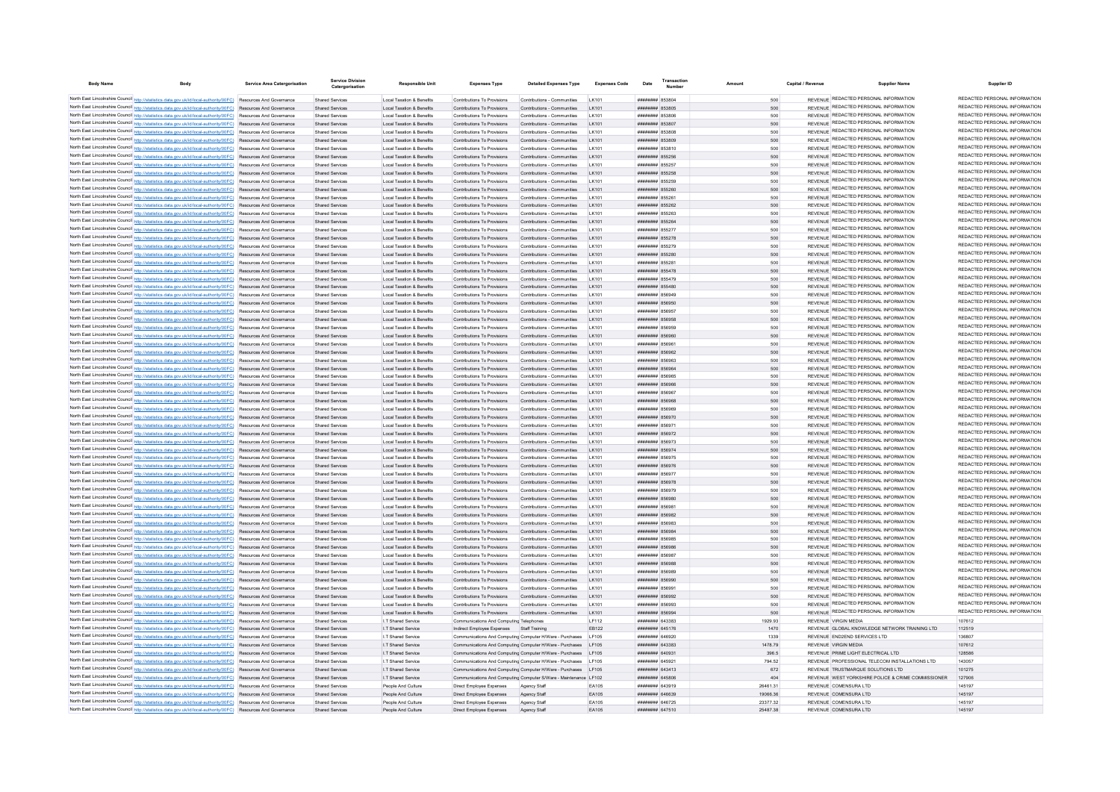| <b>Body Name</b> | <b>Body</b>                                                                                                                                                                                                                        | <b>Service Area Catergorisation</b> | <b>Service Division</b><br>Catergorisation | <b>Responsible Unit</b>                                           | <b>Expenses Type</b>                                       | <b>Detailed Expenses Type</b>                                                                                                    | <b>Expenses Code</b> | Date                               | Transactio |                 | Capital / Revenue | <b>Supplier Name</b>                                                                 | Supplier ID                                                    |
|------------------|------------------------------------------------------------------------------------------------------------------------------------------------------------------------------------------------------------------------------------|-------------------------------------|--------------------------------------------|-------------------------------------------------------------------|------------------------------------------------------------|----------------------------------------------------------------------------------------------------------------------------------|----------------------|------------------------------------|------------|-----------------|-------------------|--------------------------------------------------------------------------------------|----------------------------------------------------------------|
|                  | North East Lincolnshire Council http://statistics.data.gov.uk/id/local-authority/00FC) Resources And Governance                                                                                                                    |                                     | <b>Shared Services</b>                     | Local Taxation & Benefits                                         | Contributions To Provisions                                | Contributions - Communities                                                                                                      | LK101                | HURRISS MUNICIPAL                  |            | 500             |                   | REVENUE REDACTED PERSONAL INFORMATION                                                | REDACTED PERSONAL INFORMATION                                  |
|                  | North East Lincolnshire Council http://statistics.data.gov.uk/id/local-authority/00FC) Resources And Governance                                                                                                                    |                                     | <b>Shared Services</b>                     | Local Taxation & Benefits                                         | Contributions To Provisions                                | Contributions - Communities                                                                                                      | 1 K101               | ######## 853805                    |            | 500             |                   | REVENUE REDACTED PERSONAL INFORMATION                                                | REDACTED PERSONAL INFORMATION                                  |
|                  | North East Lincolnshire Council http://statistics.data.gov.uk/id/local-authority/00FC) Resources And Governance                                                                                                                    |                                     | Shared Services                            | Local Taxation & Benefits                                         | Contributions To Provisions                                | Contributions - Communities                                                                                                      | I K101               | ######## 853806                    |            | 500             |                   | REVENUE REDACTED PERSONAL INFORMATION                                                | REDACTED PERSONAL INFORMATION                                  |
|                  | North East Lincolnshire Council http://statistics.data.gov.uk/id/local-authority/00FC) Resources And Governance                                                                                                                    |                                     | <b>Shared Services</b>                     | Local Taxation & Benefits                                         | Contributions To Provisions                                | Contributions - Communities LK101                                                                                                |                      | ######## 853807                    |            | 500             |                   | REVENUE REDACTED PERSONAL INFORMATION                                                | REDACTED PERSONAL INFORMATION                                  |
|                  | North East Lincolnshire Council http://statistics.data.gov.uk/id/local-authority/00FC) Resources And Governance                                                                                                                    |                                     | Shared Services                            | Local Taxation & Benefits                                         | Contributions To Provisions                                | Contributions - Communities                                                                                                      | LK101                | ######## 853808                    |            | 500             |                   | REVENUE REDACTED PERSONAL INFORMATION                                                | REDACTED PERSONAL INFORMATION                                  |
|                  | North East Lincolnshire Council http://statistics.data.gov.uk/id/local-authority/00FC) Resources And Governance                                                                                                                    |                                     | Shared Services                            | Local Taxation & Benefits                                         | Contributions To Provisions                                | Contributions - Communities                                                                                                      | LK101                | ######## 853809                    |            | 500             |                   | REVENUE REDACTED PERSONAL INFORMATION                                                | REDACTED PERSONAL INFORMATION                                  |
|                  | North East Lincolnshire Council http://statistics.data.gov.uk/id/local-authority/00FC) Resources And Governance                                                                                                                    |                                     | Shared Services                            | <b>Local Taxation &amp; Benefits</b>                              | Contributions To Provisions                                | Contributions - Communities                                                                                                      | LK101                | ######## 853810                    |            | 500             |                   | REVENUE REDACTED PERSONAL INFORMATION                                                | REDACTED PERSONAL INFORMATION                                  |
|                  | North East Lincolnshire Council http://statistics.data.gov.uk/id/local-authority/00FC) Resources And Governance                                                                                                                    |                                     | Shared Services                            | Local Taxation & Benefits                                         | Contributions To Provisions                                | Contributions - Communities                                                                                                      | LK101                | ######## 855256                    |            | 500             |                   | REVENUE REDACTED PERSONAL INFORMATION                                                | REDACTED PERSONAL INFORMATION                                  |
|                  | North East Lincolnshire Council http://statistics.data.gov.uk/id/local-authority/00FC) Resources And Governance                                                                                                                    |                                     | <b>Shared Services</b>                     | Local Taxation & Benefits                                         | Contributions To Provisions                                | Contributions - Communities                                                                                                      | LK101                | ######## 855257                    |            | 500             |                   | REVENUE REDACTED PERSONAL INFORMATION                                                | REDACTED PERSONAL INFORMATION<br>REDACTED PERSONAL INFORMATION |
|                  | North East Lincolnshire Council http://statistics.data.gov.uk/id/local-authority/00FC) Resources And Governance                                                                                                                    |                                     | Shared Services                            | Local Taxation & Benefits                                         | Contributions To Provisions                                | Contributions - Communities                                                                                                      | 1 K101               | ######## 855258                    |            | 500             |                   | REVENUE REDACTED PERSONAL INFORMATION<br>REVENUE REDACTED PERSONAL INFORMATION       | REDACTED PERSONAL INFORMATION                                  |
|                  | North East Lincolnshire Council http://statistics.data.gov.uk/id/local-authority/00FC) Resources And Governance                                                                                                                    |                                     | Shared Services                            | Local Taxation & Benefits                                         | Contributions To Provisions                                | Contributions - Communities                                                                                                      | I K101               | ######## 855259                    |            | 500             |                   | <b>REVENUE REDACTED PERSONAL INFORMATION</b>                                         | REDACTED PERSONAL INFORMATION                                  |
|                  | North East Lincolnshire Council http://statistics.data.gov.uk/id/local-authority/00FC) Resources And Governance<br>North East Lincolnshire Council http://statistics.data.gov.uk/id/local-authority/00FC) Resources And Governance |                                     | Shared Services<br><b>Shared Services</b>  | Local Taxation & Benefits<br><b>Local Taxation &amp; Benefits</b> | Contributions To Provisions<br>Contributions To Provisions | Contributions - Communities<br>Contributions - Communities                                                                       | LK101<br>LK101       | ######## 855260<br>####### 855261  |            | 500<br>500      |                   | REVENUE REDACTED PERSONAL INFORMATION                                                | REDACTED PERSONAL INFORMATION                                  |
|                  | North East Lincolnshire Council http://statistics.data.gov.uk/id/local-authority/00FC) Resources And Governance                                                                                                                    |                                     | <b>Shared Services</b>                     | Local Taxation & Benefits                                         | Contributions To Provisions                                | Contributions - Communities                                                                                                      | LK101                | ######## 855262                    |            | 500             |                   | REVENUE REDACTED PERSONAL INFORMATION                                                | REDACTED PERSONAL INFORMATION                                  |
|                  | North East Lincolnshire Council http://statistics.data.gov.uk/id/local-authority/00FC) Resources And Governance                                                                                                                    |                                     | Shared Services                            | Local Taxation & Benefits                                         | Contributions To Provisions                                | Contributions - Communities                                                                                                      | 1 K101               | ######## 855263                    |            | 500             |                   | REVENUE REDACTED PERSONAL INFORMATION                                                | REDACTED PERSONAL INFORMATION                                  |
|                  | North East Lincolnshire Council http://statistics.data.gov.uk/id/local-authority/00FC) Resources And Governance                                                                                                                    |                                     | Shared Services                            | Local Taxation & Benefits                                         | Contributions To Provisions                                | Contributions - Communities                                                                                                      | I K101               | ######## 855264                    |            | 500             |                   | REVENUE REDACTED PERSONAL INFORMATION                                                | REDACTED PERSONAL INFORMATION                                  |
|                  | North East Lincolnshire Council http://statistics.data.gov.uk/id/local-authority/00FC) Resources And Governance                                                                                                                    |                                     | Shared Services                            | Local Taxation & Benefits                                         | Contributions To Provisions                                | Contributions - Communities                                                                                                      | I K101               | ######## 855277                    |            | 500             |                   | REVENUE REDACTED PERSONAL INFORMATION                                                | REDACTED PERSONAL INFORMATION                                  |
|                  | North East Lincolnshire Council http://statistics.data.gov.uk/id/local-authority/00FC) Resources And Governance                                                                                                                    |                                     | Shared Services                            | Local Taxation & Benefits                                         | Contributions To Provisions                                | Contributions - Communities                                                                                                      | LK101                | ######## 855278                    |            | 500             |                   | REVENUE REDACTED PERSONAL INFORMATION                                                | REDACTED PERSONAL INFORMATION                                  |
|                  | North East Lincolnshire Council http://statistics.data.gov.uk/id/local-authority/00FC) Resources And Governance                                                                                                                    |                                     | Shared Services                            | Local Taxation & Benefits                                         | Contributions To Provisions                                | Contributions - Communities                                                                                                      | LK101                | ######## 855279                    |            | 500             |                   | REVENUE REDACTED PERSONAL INFORMATION                                                | REDACTED PERSONAL INFORMATION                                  |
|                  | North East Lincolnshire Council http://statistics.data.gov.uk/id/local-authority/00FC) Resources And Governance                                                                                                                    |                                     | <b>Shared Services</b>                     | Local Taxation & Benefits                                         | Contributions To Provisions                                | Contributions - Communities                                                                                                      | LK101                | ######## 855280                    |            | 500             |                   | REVENUE REDACTED PERSONAL INFORMATION                                                | REDACTED PERSONAL INFORMATION                                  |
|                  | North East Lincolnshire Council http://statistics.data.gov.uk/id/local-authority/00FC) Resources And Governance                                                                                                                    |                                     | Shared Services                            | Local Taxation & Benefits                                         | Contributions To Provisions                                | Contributions - Communities                                                                                                      | LK101                | <b><i>HUMHHHH</i></b> 855281       |            | 500             |                   | REVENUE REDACTED PERSONAL INFORMATION                                                | REDACTED PERSONAL INFORMATION                                  |
|                  | North East Lincolnshire Council http://statistics.data.gov.uk/id/local-authority/00FC) Resources And Governance                                                                                                                    |                                     | <b>Shared Services</b>                     | Local Taxation & Benefits                                         | Contributions To Provisions                                | Contributions - Communities                                                                                                      | LK101                | <b>########</b> 855478             |            | 500             |                   | REVENUE REDACTED PERSONAL INFORMATION                                                | REDACTED PERSONAL INFORMATION<br>REDACTED PERSONAL INFORMATION |
|                  | North East Lincolnshire Council http://statistics.data.gov.uk/id/local-authority/00FC) Resources And Governance                                                                                                                    |                                     | Shared Services                            | Local Taxation & Benefits                                         | Contributions To Provisions                                | Contributions - Communities                                                                                                      | 1 K101               | ######## 855479                    |            | 500             |                   | REVENUE REDACTED PERSONAL INFORMATION<br>REVENUE REDACTED PERSONAL INFORMATION       | REDACTED PERSONAL INFORMATION                                  |
|                  | North East Lincolnshire Council http://statistics.data.gov.uk/id/local-authority/00FC) Resources And Governance                                                                                                                    |                                     | <b>Shared Services</b>                     | Local Taxation & Benefits                                         | Contributions To Provisions                                | Contributions - Communities                                                                                                      | 1 K101               | ######## 855480                    |            | 500             |                   | REVENUE REDACTED PERSONAL INFORMATION                                                | REDACTED PERSONAL INFORMATION                                  |
|                  | North East Lincolnshire Council http://statistics.data.gov.uk/id/local-authority/00FC) Resources And Governance                                                                                                                    |                                     | Shared Services                            | Local Taxation & Benefits                                         | Contributions To Provisions                                | Contributions - Communities                                                                                                      | I K101               | ####### 856949                     |            | 500             |                   | REVENUE REDACTED PERSONAL INFORMATION                                                | REDACTED PERSONAL INFORMATION                                  |
|                  | North East Lincolnshire Council http://statistics.data.gov.uk/id/local-authority/00FC) Resources And Governance<br>North East Lincolnshire Council http://statistics.data.gov.uk/id/local-authority/00FC) Resources And Governance |                                     | <b>Shared Services</b><br>Shared Services  | Local Taxation & Benefits<br>Local Taxation & Benefits            | Contributions To Provisions<br>Contributions To Provisions | Contributions - Communities<br>Contributions - Communities                                                                       | LK101<br>LK101       | ######## 856950<br>######## 856957 |            | 500<br>500      |                   | REVENUE REDACTED PERSONAL INFORMATION                                                | REDACTED PERSONAL INFORMATION                                  |
|                  | North East Lincolnshire Council http://statistics.data.gov.uk/id/local-authority/00FC) Resources And Governance                                                                                                                    |                                     | <b>Shared Services</b>                     | Local Taxation & Benefits                                         | Contributions To Provisions                                | Contributions - Communities                                                                                                      | LK101                | ######## 856958                    |            | 500             |                   | REVENUE REDACTED PERSONAL INFORMATION                                                | REDACTED PERSONAL INFORMATION                                  |
|                  | North East Lincolnshire Council http://statistics.data.gov.uk/id/local-authority/00FC) Resources And Governance                                                                                                                    |                                     | Shared Services                            | Local Taxation & Benefits                                         | Contributions To Provisions                                | Contributions - Communities                                                                                                      | 1 K101               | ######## 856959                    |            | 500             |                   | REVENUE REDACTED PERSONAL INFORMATION                                                | REDACTED PERSONAL INFORMATION                                  |
|                  | North East Lincolnshire Council http://statistics.data.gov.uk/id/local-authority/00FC) Resources And Governance                                                                                                                    |                                     | Shared Services                            | Local Taxation & Benefits                                         | Contributions To Provisions                                | Contributions - Communities                                                                                                      | LK101                | ######## 856960                    |            | 500             |                   | REVENUE REDACTED PERSONAL INFORMATION                                                | REDACTED PERSONAL INFORMATION                                  |
|                  | North East Lincolnshire Council http://statistics.data.gov.uk/id/local-authority/00FC) Resources And Governance                                                                                                                    |                                     | Shared Services                            | Local Taxation & Benefits                                         | Contributions To Provisions                                | Contributions - Communities                                                                                                      | LK101                | ######## 856961                    |            | 500             |                   | REVENUE REDACTED PERSONAL INFORMATION                                                | REDACTED PERSONAL INFORMATION                                  |
|                  | North East Lincolnshire Council http://statistics.data.gov.uk/id/local-authority/00FC) Resources And Governance                                                                                                                    |                                     | Shared Services                            | Local Taxation & Benefits                                         | Contributions To Provisions                                | Contributions - Communities                                                                                                      | LK101                | ######## 856962                    |            | 500             |                   | REVENUE REDACTED PERSONAL INFORMATION                                                | REDACTED PERSONAL INFORMATION                                  |
|                  | North East Lincolnshire Council http://statistics.data.gov.uk/id/local-authority/00FC) Resources And Governance                                                                                                                    |                                     | Shared Services                            | Local Taxation & Benefits                                         | Contributions To Provisions                                | Contributions - Communities                                                                                                      | LK101                | ######## 856963                    |            | 500             |                   | REVENUE REDACTED PERSONAL INFORMATION                                                | REDACTED PERSONAL INFORMATION                                  |
|                  | North East Lincolnshire Council http://statistics.data.gov.uk/id/local-authority/00FC) Resources And Governance                                                                                                                    |                                     | <b>Shared Services</b>                     | Local Taxation & Benefits                                         | Contributions To Provisions                                | Contributions - Communities                                                                                                      | LK101                | ######## 856964                    |            | 500             |                   | REVENUE REDACTED PERSONAL INFORMATION                                                | REDACTED PERSONAL INFORMATION                                  |
|                  | North East Lincolnshire Council http://statistics.data.gov.uk/id/local-authority/00FC) Resources And Governance                                                                                                                    |                                     | Shared Services                            | Local Taxation & Benefits                                         | Contributions To Provisions                                | Contributions - Communities                                                                                                      | 1 K101               | ######## 856965                    |            | 500             |                   | REVENUE REDACTED PERSONAL INFORMATION                                                | REDACTED PERSONAL INFORMATION                                  |
|                  | North East Lincolnshire Council http://statistics.data.gov.uk/id/local-authority/00FC) Resources And Governance                                                                                                                    |                                     | Shared Services                            | Local Taxation & Benefits                                         | Contributions To Provisions                                | Contributions - Communities                                                                                                      | 1 K101               | ######## 856966                    |            | 500             |                   | REVENUE REDACTED PERSONAL INFORMATION                                                | REDACTED PERSONAL INFORMATION                                  |
|                  | North East Lincolnshire Council http://statistics.data.gov.uk/id/local-authority/00FC) Resources And Governance                                                                                                                    |                                     | Shared Services                            | Local Taxation & Benefits                                         | Contributions To Provisions                                | Contributions - Communities                                                                                                      | 1 K101               | ######## 856967                    |            | 500             |                   | REVENUE REDACTED PERSONAL INFORMATION                                                | REDACTED PERSONAL INFORMATION<br>REDACTED PERSONAL INFORMATION |
|                  | North East Lincolnshire Council http://statistics.data.gov.uk/id/local-authority/00FC) Resources And Governance                                                                                                                    |                                     | <b>Shared Services</b>                     | Local Taxation & Benefits                                         | Contributions To Provisions                                | Contributions - Communities                                                                                                      | I K101               | ######## 856968                    |            | 500             |                   | REVENUE REDACTED PERSONAL INFORMATION<br>REVENUE REDACTED PERSONAL INFORMATION       | REDACTED PERSONAL INFORMATION                                  |
|                  | North East Lincolnshire Council http://statistics.data.gov.uk/id/local-authority/00FC) Resources And Governance                                                                                                                    |                                     | <b>Shared Services</b>                     | <b>Local Taxation &amp; Benefits</b>                              | Contributions To Provisions                                | Contributions - Communities                                                                                                      | LK101                | ####### 856969                     |            | 500             |                   | REVENUE REDACTED PERSONAL INFORMATION                                                | REDACTED PERSONAL INFORMATION                                  |
|                  | North East Lincolnshire Council http://statistics.data.gov.uk/id/local-authority/00FC) Resources And Governance<br>North East Lincolnshire Council http://statistics.data.gov.uk/id/local-authority/00FC) Resources And Governance |                                     | Shared Services<br>Shared Services         | Local Taxation & Benefits<br>Local Taxation & Benefits            | Contributions To Provisions<br>Contributions To Provisions | Contributions - Communities<br>Contributions - Communities                                                                       | LK101<br>1 K101      | ######## 856970<br>######## 856971 |            | 500<br>500      |                   | REVENUE REDACTED PERSONAL INFORMATION                                                | REDACTED PERSONAL INFORMATION                                  |
|                  | North East Lincolnshire Council http://statistics.data.gov.uk/id/local-authority/00FC) Resources And Governance                                                                                                                    |                                     | Shared Services                            | Local Taxation & Benefits                                         | Contributions To Provisions                                | Contributions - Communities                                                                                                      | 1 K101               | ######## 856972                    |            | 500             |                   | REVENUE REDACTED PERSONAL INFORMATION                                                | REDACTED PERSONAL INFORMATION                                  |
|                  | North East Lincolnshire Council http://statistics.data.gov.uk/id/local-authority/00FC) Resources And Governance                                                                                                                    |                                     | Shared Services                            | Local Taxation & Benefits                                         | Contributions To Provisions                                | Contributions - Communities                                                                                                      | I K101               | ######## 856973                    |            | 500             |                   | REVENUE REDACTED PERSONAL INFORMATION                                                | REDACTED PERSONAL INFORMATION                                  |
|                  | North East Lincolnshire Council http://statistics.data.gov.uk/id/local-authority/00FC) Resources And Governance                                                                                                                    |                                     | Shared Services                            | Local Taxation & Benefits                                         | Contributions To Provisions                                | Contributions - Communities                                                                                                      | LK101                | ######## 856974                    |            | 500             |                   | REVENUE REDACTED PERSONAL INFORMATION                                                | REDACTED PERSONAL INFORMATION                                  |
|                  | North East Lincolnshire Council http://statistics.data.gov.uk/id/local-authority/00FC) Resources And Governance                                                                                                                    |                                     | Shared Services                            | Local Taxation & Benefits                                         | Contributions To Provisions                                | Contributions - Communities                                                                                                      | LK101                | ######## 856975                    |            | 500             |                   | REVENUE REDACTED PERSONAL INFORMATION                                                | REDACTED PERSONAL INFORMATION                                  |
|                  | North East Lincolnshire Council http://statistics.data.gov.uk/id/local-authority/00FC) Resources And Governance                                                                                                                    |                                     | Shared Services                            | Local Taxation & Benefits                                         | Contributions To Provisions                                | Contributions - Communities                                                                                                      | LK101                | ######## 856976                    |            | 500             |                   | REVENUE REDACTED PERSONAL INFORMATION                                                | REDACTED PERSONAL INFORMATION                                  |
|                  | North East Lincolnshire Council http://statistics.data.gov.uk/id/local-authority/00FC) Resources And Governance                                                                                                                    |                                     | Shared Services                            | Local Taxation & Benefits                                         | Contributions To Provisions                                | Contributions - Communities                                                                                                      | LK101                | ######## 856977                    |            | 500             |                   | REVENUE REDACTED PERSONAL INFORMATION                                                | REDACTED PERSONAL INFORMATION                                  |
|                  | North East Lincolnshire Council http://statistics.data.gov.uk/id/local-authority/00FC) Resources And Governance                                                                                                                    |                                     | <b>Shared Services</b>                     | Local Taxation & Benefits                                         | Contributions To Provisions                                | Contributions - Communities                                                                                                      | LK101                | ######## 856978                    |            | 500             |                   | REVENUE REDACTED PERSONAL INFORMATION                                                | REDACTED PERSONAL INFORMATION                                  |
|                  | North East Lincolnshire Council http://statistics.data.gov.uk/id/local-authority/00FC) Resources And Governance                                                                                                                    |                                     | Shared Services                            | Local Taxation & Benefits                                         | Contributions To Provisions                                | Contributions - Communities                                                                                                      | 1 K101               | ######## 856979                    |            | 500             |                   | <b>REVENUE REDACTED PERSONAL INFORMATION</b>                                         | REDACTED PERSONAL INFORMATION                                  |
|                  | North East Lincolnshire Council http://statistics.data.gov.uk/id/local-authority/00FC) Resources And Governance                                                                                                                    |                                     | Shared Services                            | Local Taxation & Benefits                                         | Contributions To Provisions                                | Contributions - Communities                                                                                                      | 1 K101               | CRP328 BERNHAM                     |            | 500             |                   | REVENUE REDACTED PERSONAL INFORMATION                                                | REDACTED PERSONAL INFORMATION                                  |
|                  | North East Lincolnshire Council http://statistics.data.gov.uk/id/local-authority/00FC) Resources And Governance                                                                                                                    |                                     | Shared Services                            | Local Taxation & Benefits                                         | Contributions To Provisions                                | Contributions - Communities                                                                                                      | I K101               | ######## 85698*                    |            | 500             |                   | REVENUE REDACTED PERSONAL INFORMATION                                                | REDACTED PERSONAL INFORMATION                                  |
|                  | North East Lincolnshire Council http://statistics.data.gov.uk/id/local-authority/00FC) Resources And Governance                                                                                                                    |                                     | Shared Services                            | Local Taxation & Benefits                                         | Contributions To Provisions                                | Contributions - Communities                                                                                                      | LK101                | ######## 856982                    |            | 500             |                   | REVENUE REDACTED PERSONAL INFORMATION<br>REVENUE REDACTED PERSONAL INFORMATION       | REDACTED PERSONAL INFORMATION<br>REDACTED PERSONAL INFORMATION |
|                  | North East Lincolnshire Council http://statistics.data.gov.uk/id/local-authority/00FC) Resources And Governance                                                                                                                    |                                     | <b>Shared Services</b>                     | <b>Local Taxation &amp; Benefits</b>                              | Contributions To Provisions                                | Contributions - Communities                                                                                                      | LK101                | ######## 856983                    |            | 500             |                   | REVENUE REDACTED PERSONAL INFORMATION                                                | REDACTED PERSONAL INFORMATION                                  |
|                  | North East Lincolnshire Council http://statistics.data.gov.uk/id/local-authority/00FC) Resources And Governance<br>North East Lincolnshire Council http://statistics.data.gov.uk/id/local-authority/00FC) Resources And Governance |                                     | <b>Shared Services</b><br>Shared Services  | Local Taxation & Benefits<br>Local Taxation & Benefits            | Contributions To Provisions<br>Contributions To Provisions | Contributions - Communities<br>Contributions - Communities                                                                       | LK101<br>1 K101      | ######## 856984<br>######## 856985 |            | 500<br>500      |                   | REVENUE REDACTED PERSONAL INFORMATION                                                | REDACTED PERSONAL INFORMATION                                  |
|                  | North East Lincolnshire Council http://statistics.data.gov.uk/id/local-authority/00FC) Resources And Governance                                                                                                                    |                                     | Shared Services                            | Local Taxation & Benefits                                         | Contributions To Provisions                                | Contributions - Communities                                                                                                      | I K101               | ######## 856986                    |            | 500             |                   | REVENUE REDACTED PERSONAL INFORMATION                                                | REDACTED PERSONAL INFORMATION                                  |
|                  | North East Lincolnshire Council http://statistics.data.gov.uk/id/local-authority/00FC) Resources And Governance                                                                                                                    |                                     | Shared Services                            | Local Taxation & Benefits                                         | Contributions To Provisions                                | Contributions - Communities                                                                                                      | I K101               | ######## 856987                    |            | 500             |                   | REVENUE REDACTED PERSONAL INFORMATION                                                | REDACTED PERSONAL INFORMATION                                  |
|                  | North East Lincolnshire Council http://statistics.data.gov.uk/id/local-authority/00FC) Resources And Governance                                                                                                                    |                                     | Shared Services                            | Local Taxation & Benefits                                         | Contributions To Provisions                                | Contributions - Communities                                                                                                      | LK101                | ######## 856988                    |            | 500             |                   | REVENUE REDACTED PERSONAL INFORMATION                                                | REDACTED PERSONAL INFORMATION                                  |
|                  | North East Lincolnshire Council http://statistics.data.gov.uk/id/local-authority/00FC) Resources And Governance                                                                                                                    |                                     | Shared Services                            | Local Taxation & Benefits                                         | Contributions To Provisions                                | Contributions - Communities                                                                                                      | LK101                | ######## 856989                    |            | 500             |                   | REVENUE REDACTED PERSONAL INFORMATION                                                | REDACTED PERSONAL INFORMATION                                  |
|                  | North East Lincolnshire Council http://statistics.data.gov.uk/id/local-authority/00FC) Resources And Governance                                                                                                                    |                                     | <b>Shared Services</b>                     | Local Taxation & Benefits                                         | Contributions To Provisions                                | Contributions - Communities                                                                                                      | LK101                | ######## 856990                    |            | 500             |                   | REVENUE REDACTED PERSONAL INFORMATION                                                | REDACTED PERSONAL INFORMATION                                  |
|                  | North East Lincolnshire Council http://statistics.data.gov.uk/id/local-authority/00FC) Resources And Governance                                                                                                                    |                                     | Shared Services                            | Local Taxation & Benefits                                         | Contributions To Provisions                                | Contributions - Communities                                                                                                      | <b>IK101</b>         | ######## 856991                    |            | 500             |                   | REVENUE REDACTED PERSONAL INFORMATION                                                | REDACTED PERSONAL INFORMATION                                  |
|                  | North East Lincolnshire Council http://statistics.data.gov.uk/id/local-authority/00FC) Resources And Governance                                                                                                                    |                                     | Shared Services                            | Local Taxation & Benefits                                         | Contributions To Provisions                                | Contributions - Communities                                                                                                      | 1 K101               | ######## 856992                    |            | 500             |                   | REVENUE REDACTED PERSONAL INFORMATION                                                | REDACTED PERSONAL INFORMATION                                  |
|                  | North East Lincolnshire Council http://statistics.data.gov.uk/id/local-authority/00FC) Resources And Governance                                                                                                                    |                                     | Shared Services                            | Local Taxation & Benefits                                         | Contributions To Provisions                                | Contributions - Communities                                                                                                      | 1 K101               | ######## 856993                    |            | 500             |                   | REVENUE REDACTED PERSONAL INFORMATION                                                | REDACTED PERSONAL INFORMATION                                  |
|                  | North East Lincolnshire Council http://statistics.data.gov.uk/id/local-authority/00FC) Resources And Governance                                                                                                                    |                                     | <b>Shared Services</b>                     | Local Taxation & Benefits                                         | Contributions To Provisions                                | Contributions - Communities                                                                                                      | I K101               | ######## 856994                    |            | 500             |                   | REVENUE REDACTED PERSONAL INFORMATION                                                | REDACTED PERSONAL INFORMATION                                  |
|                  | North East Lincolnshire Council http://statistics.data.gov.uk/id/local-authority/00FC) Resources And Governance                                                                                                                    |                                     | <b>Shared Services</b>                     | I.T Shared Service                                                | Communications And Computing Telephones                    |                                                                                                                                  | I F112               | <b><i>HHHHHHH 643383</i></b>       |            | 1929.93         |                   | REVENUE VIRGIN MEDIA                                                                 | 107612                                                         |
|                  | North East Lincolnshire Council http://statistics.data.gov.uk/id/local-authority/00FC) Resources And Governance                                                                                                                    |                                     | <b>Shared Services</b>                     | I.T Shared Service                                                | Indirect Employee Expenses Staff Training                  |                                                                                                                                  | EB122                | ######## 645176                    |            | 1470            |                   | REVENUE GLOBAL KNOWLEDGE NETWORK TRAINING LTD                                        | 112519                                                         |
|                  | North East Lincolnshire Council http://statistics.data.gov.uk/id/local-authority/00FC) Resources And Governance                                                                                                                    |                                     | <b>Shared Services</b>                     | I.T Shared Service                                                |                                                            | Communications And Computing Computer H/Ware - Purchases                                                                         | LE105                | nummmmmmmmmmm                      |            | 1339            |                   | REVENUE END2END SERVICES LTD                                                         | 136807                                                         |
|                  | North East Lincolnshire Council http://statistics.data.gov.uk/id/local-authority/00FC) Resources And Governance                                                                                                                    |                                     | <b>Shared Services</b>                     | I.T Shared Service                                                |                                                            | Communications And Computing Computer H/Ware - Purchases LF105                                                                   |                      | ######## 643383<br>HHHHHHH 640931  |            | 1478.79         |                   | REVENUE VIRGIN MEDIA                                                                 | 107612<br>128586                                               |
|                  | North East Lincolnshire Council http://statistics.data.gov.uk/id/local-authority/00FC) Resources And Governance<br>North East Lincolnshire Council http://statistics.data.gov.uk/id/local-authority/00FC) Resources And Governance |                                     | Shared Services<br><b>Shared Services</b>  | I.T Shared Service<br>I.T Shared Service                          |                                                            | Communications And Computing Computer H/Ware - Purchases LF105<br>Communications And Computing Computer H/Ware - Purchases LF105 |                      | ######## 645921                    |            | 396.5<br>794.52 |                   | REVENUE PRIME LIGHT ELECTRICAL LTD<br>REVENUE PROFESSIONAL TELECOM INSTALLATIONS LTD | 143057                                                         |
|                  | North East Lincolnshire Council http://statistics.data.gov.uk/id/local-authority/00FC) Resources And Governance                                                                                                                    |                                     | <b>Shared Services</b>                     | I.T Shared Service                                                |                                                            | Communications And Computing Computer H/Ware - Purchases LF105                                                                   |                      | ######## 643413                    |            | 672             |                   | REVENUE TRUSTMARQUE SOLUTIONS LTD                                                    | 101275                                                         |
|                  | North East Lincolnshire Council http://statistics.data.gov.uk/id/local-authority/00FC) Resources And Governance                                                                                                                    |                                     | Shared Services                            | I.T Shared Service                                                |                                                            | Communications And Computing Computer S/Ware - Maintenance LF102                                                                 |                      | ######## 645806                    |            | 404             |                   | REVENUE WEST YORKSHIRE POLICE & CRIME COMMISSIONER                                   | 127906                                                         |
|                  | North East Lincolnshire Council http://statistics.data.gov.uk/id/local-authority/00FC) Resources And Governance                                                                                                                    |                                     | Shared Services                            | People And Culture                                                | Direct Employee Expenses                                   | Agency Staff                                                                                                                     | EA105                | ######## 643919                    |            | 26461.31        |                   | REVENUE COMENSURA LTD                                                                | 145197                                                         |
|                  | North East Lincolnshire Council http://statistics.data.gov.uk/id/local-authority/00FC) Resources And Governance                                                                                                                    |                                     | <b>Shared Services</b>                     | People And Culture                                                | Direct Employee Expenses                                   | Agency Staff                                                                                                                     | EA105                | ####### 646639                     |            | 19066.36        |                   | REVENUE COMENSURA LTD                                                                | 145197                                                         |
|                  | North East Lincolnshire Council http://statistics.data.gov.uk/id/local-authority/00FC) Resources And Governance                                                                                                                    |                                     | Shared Services                            | People And Culture                                                | Direct Employee Expenses                                   | Agency Staff                                                                                                                     | FA105                | <b>####### 646725</b>              |            | 2337732         |                   | REVENUE COMENSURA LTD                                                                | 145107                                                         |
|                  | North East Lincolnshire Council http://statistics.data.gov.uk/id/local-authority/00FC) Resources And Governance                                                                                                                    |                                     | Shared Services                            | People And Culture                                                | Direct Employee Expenses                                   | Agency Staff                                                                                                                     | FA105                | <b>####### 647510</b>              |            | 25487.38        |                   | REVENUE COMENSURA LTD                                                                | 145197                                                         |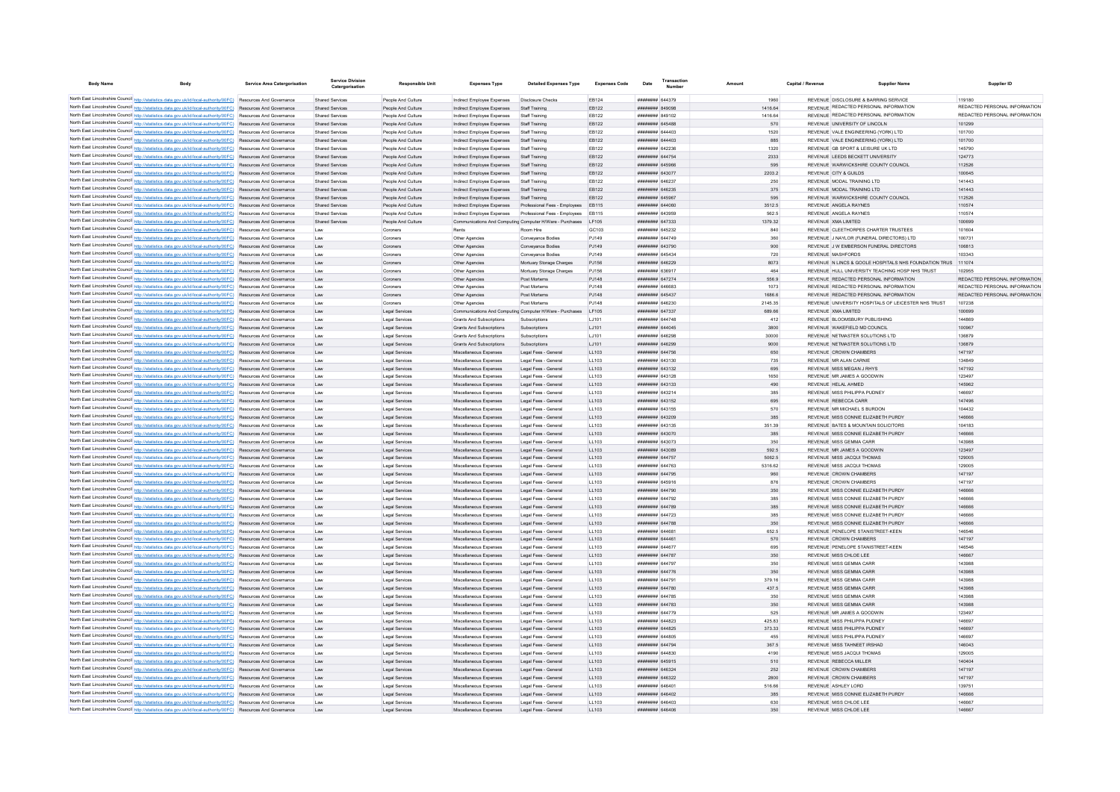| <b>Body Name</b> |                                                                                                                                                                                                                                    | Service Area Catergorisation | Service Division<br>Catergorisation       | Responsible Unit                         | <b>Expenses Type</b>                                     | <b>Detailed Expenses Type</b>                                               | <b>Expenses Code</b> | Date                                 | <b>Transactio</b><br>Number | Amoun            | Capital / Revenue | <b>Supplier Nam</b>                                          | Supplier ID                             |
|------------------|------------------------------------------------------------------------------------------------------------------------------------------------------------------------------------------------------------------------------------|------------------------------|-------------------------------------------|------------------------------------------|----------------------------------------------------------|-----------------------------------------------------------------------------|----------------------|--------------------------------------|-----------------------------|------------------|-------------------|--------------------------------------------------------------|-----------------------------------------|
|                  |                                                                                                                                                                                                                                    |                              |                                           |                                          |                                                          |                                                                             |                      |                                      |                             |                  |                   | REVENUE DISCLOSURE & BARRING SERVICE                         |                                         |
|                  | North East Lincolnshire Council http://statistics.data.gov.uk/id/local-authority/00FC) Resources And Governance<br>North East Lincolnshire Council http://statistics.data.gov.uk/id/local-authority/00FC) Resources And Governance |                              | Shared Services<br><b>Shared Services</b> | People And Culture<br>People And Culture | Indirect Employee Expenses<br>Indirect Employee Expenses | Disclosure Checks<br>Staff Training                                         | FR124<br>EB122       | ######## 644379<br>######## 849098   |                             | 1960<br>1416.64  |                   | REVENUE REDACTED PERSONAL INFORMATION                        | 119180<br>REDACTED PERSONAL INFORMATION |
|                  | North East Lincolnshire Council http://statistics.data.gov.uk/id/local-authority/00FC) Resources And Governance                                                                                                                    |                              | <b>Shared Services</b>                    | People And Culture                       | Indirect Employee Expenses                               | Staff Training                                                              | EB122                | ######## 849102                      |                             | 1416.64          |                   | REVENUE REDACTED PERSONAL INFORMATION                        | REDACTED PERSONAL INFORMATION           |
|                  | North East Lincolnshire Council http://statistics.data.gov.uk/id/local-authority/00FC) Resources And Governance                                                                                                                    |                              | Shared Services                           | People And Culture                       | Indirect Employee Expenses                               | Staff Training                                                              | EB122                | ######## 645488                      |                             | 570              |                   | REVENUE UNIVERSITY OF LINCOLN                                | 101299                                  |
|                  | North East Lincolnshire Council http://statistics.data.gov.uk/id/local-authority/00FC) Resources And Governance                                                                                                                    |                              | Shared Services                           | People And Culture                       | Indirect Employee Expenses                               | Staff Training                                                              | EB122                | ######## 644403                      |                             | 1520             |                   | REVENUE VALE ENGINEERING (YORK) LTD                          | 101700                                  |
|                  | North East Lincolnshire Council http://statistics.data.gov.uk/id/local-authority/00FC) Resources And Governance                                                                                                                    |                              | <b>Shared Services</b>                    | People And Culture                       | Indirect Employee Expenses                               | Staff Training                                                              | EB122                | ######## 644403                      |                             | 885              |                   | REVENUE VALE ENGINEERING (YORK) LTD                          | 101700                                  |
|                  | North East Lincolnshire Council http://statistics.data.gov.uk/id/local-authority/00FC) Resources And Governance                                                                                                                    |                              | Shared Services                           | People And Culture                       | Indirect Employee Expenses                               | Staff Training                                                              | EB122                | ######## 642236                      |                             | 1320             |                   | REVENUE GB SPORT & LEISURE UK LTD                            | 145790                                  |
|                  | North East Lincolnshire Council http://statistics.data.gov.uk/id/local-authority/00FC) Resources And Governance                                                                                                                    |                              | <b>Shared Services</b>                    | People And Culture                       | Indirect Employee Expenses                               | Staff Training                                                              | EB122                | ######## 644754                      |                             | 2333             |                   | REVENUE LEEDS BECKETT UNIVERSITY                             | 124773                                  |
|                  | North East Lincolnshire Council http://statistics.data.gov.uk/id/local-authority/00FC) Resources And Governance                                                                                                                    |                              | <b>Shared Services</b>                    | People And Culture                       | Indirect Employee Expenses                               | Staff Training                                                              | EB122                | ######## 645966                      |                             | 595              |                   | REVENUE WARWICKSHIRE COUNTY COUNCIL                          | 112526                                  |
|                  | North East Lincolnshire Council http://statistics.data.gov.uk/id/local-authority/00FC) Resources And Governance                                                                                                                    |                              | <b>Shared Services</b>                    | People And Culture                       | Indirect Employee Expenses                               | Staff Training                                                              | EB122                | ######## 643077                      |                             | 2203.2           |                   | REVENUE CITY & GUILDS                                        | 100645                                  |
|                  | North East Lincolnshire Council http://statistics.data.gov.uk/id/local-authority/00FC)                                                                                                                                             | Resources And Governance     | <b>Shared Servicer</b>                    | People And Culture                       | Indirect Employee Expenses                               | Staff Training                                                              | EB122                | <b>иннинин</b> 646237                |                             | 250              |                   | REVENUE MODAL TRAINING LTD                                   | 141443                                  |
|                  | North East Lincolnshire Council http://statistics.data.gov.uk/id/local-authority/00FC) Resources And Governance                                                                                                                    |                              | <b>Shared Services</b>                    | People And Culture                       | Indirect Employee Expenses                               | Staff Training                                                              | EB122                | ####### 646235                       |                             | 375              |                   | REVENUE MODAL TRAINING LTD                                   | 141443                                  |
|                  | North East Lincolnshire Council http://statistics.data.gov.uk/id/local-authority/00FC) Resources And Governance                                                                                                                    |                              | <b>Shared Services</b>                    | People And Culture                       | Indirect Employee Expenses                               | Staff Training                                                              | EB122                | ######## 645967                      |                             | 595              |                   | REVENUE WARWICKSHIRE COUNTY COUNCIL                          | 112526                                  |
|                  | North East Lincolnshire Council http://statistics.data.gov.uk/id/local-authority/00FC) Resources And Governance                                                                                                                    |                              | Shared Services                           | People And Culture                       | Indirect Employee Expenses                               | Professional Fees - Employees                                               | FR115                | HUUUHUH 644060<br>####### 643959     |                             | 3512.5           |                   | REVENUE ANGELA RAYNES                                        | 110574                                  |
|                  | North East Lincolnshire Council http://statistics.data.gov.uk/id/local-authority/00FC) Resources And Governance                                                                                                                    |                              | Shared Services                           | People And Culture                       | Indirect Employee Expenses                               | Professional Fees - Employees EB115                                         |                      | ######## 647333                      |                             | 562.5<br>1379.32 |                   | REVENUE ANGELA RAYNES<br>REVENUE XMA LIMITED                 | 110574<br>100699                        |
|                  | North East Lincolnshire Council http://statistics.data.gov.uk/id/local-authority/00FC) Resources And Governance<br>North East Lincolnshire Council http://statistics.data.gov.uk/id/local-authority/00FC) Resources And Governance |                              | <b>Shared Services</b><br>Law             | People And Culture<br>Coroners           | Rents                                                    | Communications And Computing Computer H/Ware - Purchases LF105<br>Room Hire | GC103                | ######## 645232                      |                             | 840              |                   | REVENUE CLEETHORPES CHARTER TRUSTEES                         | 101604                                  |
|                  | North East Lincolnshire Council http://statistics.data.gov.uk/id/local-authority/00FC) Resources And Governance                                                                                                                    |                              | Law                                       | Coroners                                 | Other Agencies                                           | Conveyance Bodies                                                           | PJ149                | ######## 644749                      |                             | 360              |                   | REVENUE J NAYLOR (FUNERAL DIRECTORS) LTD                     | 100731                                  |
|                  | North East Lincolnshire Council http://statistics.data.gov.uk/id/local-authority/00FC) Resources And Governance                                                                                                                    |                              | Law                                       | Coroners                                 | Other Agencies                                           | Conveyance Bodies                                                           | PJ149                | ####### 643790                       |                             | 900              |                   | REVENUE J W EMBERSON FUNERAL DIRECTORS                       | 106813                                  |
|                  | North East Lincolnshire Council http://statistics.data.gov.uk/id/local-authority/00FC) Resources And Governance                                                                                                                    |                              | Law                                       | Coroners                                 | Other Agencies                                           | Conveyance Bodies                                                           | P.1149               | <b><i>HHHHHHH</i></b> 645434         |                             | 720              |                   | <b>REVENUE MASHEORDS</b>                                     | 103343                                  |
|                  | North East Lincolnshire Council http://statistics.data.gov.uk/id/local-authority/00FC) Resources And Governance                                                                                                                    |                              | Law                                       | Coroners                                 | Other Agencies                                           | Mortuary Storage Charges                                                    | PJ156                | ######## 646229                      |                             | 8073             |                   | REVENUE N LINCS & GOOLE HOSPITALS NHS FOUNDATION TRUS 111074 |                                         |
|                  | North East Lincolnshire Council http://statistics.data.gov.uk/id/local-authority/00FC) Resources And Governance                                                                                                                    |                              | Law                                       | Coroners                                 | Other Agencies                                           | Mortuary Storage Charges                                                    | PJ156                | ######## 636917                      |                             | 464              |                   | REVENUE HULL UNIVERSITY TEACHING HOSP NHS TRUST              | 102955                                  |
|                  | North East Lincolnshire Council http://statistics.data.gov.uk/id/local-authority/00FC)                                                                                                                                             | Resources And Governance     | Law                                       | Coroners                                 | Other Agencies                                           | Post Mortems                                                                | PJ148                | ######## 647274                      |                             | 556.9            |                   | REVENUE REDACTED PERSONAL INFORMATION                        | REDACTED PERSONAL INFORMATION           |
|                  | North East Lincolnshire Council http://statistics.data.gov.uk/id/local-authority/00FC)                                                                                                                                             | Resources And Governance     | Law                                       | Coroners                                 | Other Agencies                                           | Post Mortems                                                                | PJ148                | ######## 646683                      |                             | 1073             |                   | REVENUE REDACTED PERSONAL INFORMATION                        | REDACTED PERSONAL INFORMATION           |
|                  | North East Lincolnshire Council http://statistics.data.gov.uk/id/local-authority/00FC).                                                                                                                                            | Resources And Governance     | Law                                       | Coroners                                 | Other Agencies                                           | Post Mortems                                                                | PJ148                | ####### 645437                       |                             | 1686.6           |                   | REVENUE REDACTED PERSONAL INFORMATION                        | REDACTED PERSONAL INFORMATION           |
|                  | North East Lincolnshire Council http://statistics.data.gov.uk/id/local-authority/00FC) Resources And Governance                                                                                                                    |                              | Law                                       | Coroners                                 | Other Agencies                                           | Post Mortems                                                                | P.1148               | HUHHHHH 646230                       |                             | 2145.35          |                   | REVENUE UNIVERSITY HOSPITALS OF LEICESTER NHS TRUST          | 107238                                  |
|                  | North East Lincolnshire Council http://statistics.data.gov.uk/id/local-authority/00FC) Resources And Governance                                                                                                                    |                              | Law                                       | Legal Services                           |                                                          | Communications And Computing Computer H/Ware - Purchases LF105              |                      | ######## 647337                      |                             | 689.66           |                   | REVENUE XMA LIMITED                                          | 100699                                  |
|                  | North East Lincolnshire Council http://statistics.data.gov.uk/id/local-authority/00FC) Resources And Governance                                                                                                                    |                              | Law                                       | Legal Services                           | Grants And Subscriptions                                 | Subscriptions                                                               | 1.1101               | <b>HHHHHHH</b> 644748                |                             | 412              |                   | REVENUE BLOOMSBURY PUBLISHING                                | 144869                                  |
|                  | North East Lincolnshire Council http://statistics.data.gov.uk/id/local-authority/00FC) Resources And Governance                                                                                                                    |                              | Law                                       | Legal Services                           | Grants And Subscriptions                                 | Subscriptions                                                               | LJ101                | ####### 644045                       |                             | 3800             |                   | REVENUE WAKEFIELD MD COUNCIL                                 | 100967                                  |
|                  | North East Lincolnshire Council http://statistics.data.gov.uk/id/local-authority/00FC) Resources And Governance                                                                                                                    |                              | Law                                       | Legal Services                           | <b>Grants And Subscriptions</b>                          | Subscriptions                                                               | LJ101                | ######## 646298                      |                             | 30000            |                   | REVENUE NETMASTER SOLUTIONS LTD                              | 136879                                  |
|                  | North East Lincolnshire Council http://statistics.data.gov.uk/id/local-authority/00FC) Resources And Governance                                                                                                                    |                              | Law                                       | Legal Services                           | <b>Grants And Subscriptions</b>                          | Subscriptions                                                               | LJ101                | ######## 646299                      |                             | 9000             |                   | REVENUE NETMASTER SOLUTIONS LTD                              | 136879                                  |
|                  | North East Lincolnshire Council http://statistics.data.gov.uk/id/local-authority/00FC) Resources And Governance<br>North East Lincolnshire Council http://statistics.data.gov.uk/id/local-authority/00FC) Resources And Governance |                              | Law<br>Law                                | Legal Services<br>Legal Services         | Miscellaneous Expenses<br>Miscellaneous Expenses         | Legal Fees - General<br>Legal Fees - General                                | LL103<br>LL103       | ######## 644756<br>######## 643130   |                             | 650<br>735       |                   | REVENUE CROWN CHAMBERS<br>REVENUE MR ALAN CARNIE             | 147197<br>134849                        |
|                  | North East Lincolnshire Council http://statistics.data.gov.uk/id/local-authority/00FC) Resources And Governance                                                                                                                    |                              | Law                                       | Legal Services                           | Miscellaneous Expenses                                   | Legal Fees - General                                                        | LL103                | ######## 643132                      |                             | 695              |                   | REVENUE MISS MEGAN J RHYS                                    | 147192                                  |
|                  | North East Lincolnshire Council http://statistics.data.gov.uk/id/local-authority/00FC) Resources And Governance                                                                                                                    |                              | Law                                       | Legal Services                           | Miscellaneous Expenses                                   | Legal Fees - General                                                        | LL103                | ####### 643128                       |                             | 1650             |                   | REVENUE MR JAMES A GOODWIN                                   | 123497                                  |
|                  | North East Lincolnshire Council http://statistics.data.gov.uk/id/local-authority/00FC)                                                                                                                                             | Resources And Governance     | Law                                       | Legal Services                           | Miscellaneous Expenses                                   | Legal Fees - General                                                        | LL103                | ######## 643133                      |                             | 490              |                   | REVENUE HELAL AHMED                                          | 145962                                  |
|                  | North East Lincolnshire Council http://statistics.data.gov.uk/id/local-authority/00FC)                                                                                                                                             | Resources And Governance     | Law                                       | Legal Services                           | Miscellaneous Expenses                                   | Legal Fees - General                                                        | LL103                | ####### 643214                       |                             | 385              |                   | REVENUE MISS PHILIPPA PUDNEY                                 | 146697                                  |
|                  | North East Lincolnshire Council http://statistics.data.gov.uk/id/local-authority/00FC)                                                                                                                                             | Resources And Governance     | Law                                       | Legal Services                           | Miscellaneous Expenses                                   | Legal Fees - General                                                        | LL103                | ####### 643152                       |                             | 695              |                   | REVENUE REBECCA CARR                                         | 147496                                  |
|                  | North East Lincolnshire Council http://statistics.data.gov.uk/id/local-authority/00FC)                                                                                                                                             | Resources And Governance     | Law                                       | Legal Services                           | Miscellaneous Expenses                                   | Legal Fees - General                                                        | LL103                | ####### 643155                       |                             | 570              |                   | REVENUE MR MICHAEL S BURDON                                  | 104432                                  |
|                  | North East Lincolnshire Council http://statistics.data.gov.uk/id/local-authority/00FC) Resources And Governance                                                                                                                    |                              | Law                                       | Legal Services                           | Miscellaneous Expenses                                   | Legal Fees - General                                                        | LL103                | ######## 643209                      |                             | 385              |                   | REVENUE MISS CONNIE ELIZABETH PURDY                          | 146666                                  |
|                  | North East Lincolnshire Council http://statistics.data.gov.uk/id/local-authority/00FC) Resources And Governance                                                                                                                    |                              | Law                                       | Legal Services                           | Miscellaneous Expenses                                   | Legal Fees - General                                                        | 11.103               | ####### 643135                       |                             | 35139            |                   | REVENUE BATES & MOUNTAIN SOLICITORS                          | 104183                                  |
|                  | North East Lincolnshire Council http://statistics.data.gov.uk/id/local-authority/00FC) Resources And Governance                                                                                                                    |                              | Law                                       | Legal Services                           | Miscellaneous Expenses                                   | Legal Fees - General                                                        | LL103                | ####### 643070                       |                             | 385              |                   | REVENUE MISS CONNIE ELIZABETH PURDY                          | 146666                                  |
|                  | North East Lincolnshire Council http://statistics.data.gov.uk/id/local-authority/00FC) Resources And Governance                                                                                                                    |                              | Law                                       | Legal Services                           | Miscellaneous Expenses                                   | Legal Fees - General                                                        | LL103                | ######## 643073                      |                             | 350              |                   | REVENUE MISS GEMMA CARR                                      | 143988                                  |
|                  | North East Lincolnshire Council http://statistics.data.gov.uk/id/local-authority/00FC) Resources And Governance                                                                                                                    |                              | Law                                       | Legal Services                           | Miscellaneous Expenses                                   | Legal Fees - General                                                        | LL103                | ######## 643089                      |                             | 592.5            |                   | REVENUE MR JAMES A GOODWIN                                   | 123497                                  |
|                  | North East Lincolnshire Council http://statistics.data.gov.uk/id/local-authority/00FC) Resources And Governance                                                                                                                    |                              | Law                                       | Legal Services                           | Miscellaneous Expenses                                   | Legal Fees - General                                                        | LL103                | ######## 644757                      |                             | 5062.5           |                   | REVENUE MISS JACQUI THOMAS                                   | 129005                                  |
|                  | North East Lincolnshire Council http://statistics.data.gov.uk/id/local-authority/00FC) Resources And Governance                                                                                                                    |                              | Law                                       | Legal Services                           | Miscellaneous Expenses                                   | Legal Fees - General                                                        | LL103                | ######## 644763                      |                             | 5316.62          |                   | REVENUE MISS JACQUI THOMAS                                   | 129005                                  |
|                  | North East Lincolnshire Council http://statistics.data.gov.uk/id/local-authority/00FC) Resources And Governance<br>North East Lincolnshire Council http://statistics.data.gov.uk/id/local-authority/00FC) Resources And Governance |                              | Law                                       | Legal Services                           | Miscellaneous Expenses                                   | Legal Fees - General                                                        | LL103                | ######## 644795                      |                             | 960<br>876       |                   | REVENUE CROWN CHAMBERS<br>REVENUE CROWN CHAMBERS             | 147197<br>147197                        |
|                  | North East Lincolnshire Council http://statistics.data.gov.uk/id/local-authority/00FC)                                                                                                                                             | Resources And Governance     | Law<br>Law                                | Legal Services<br>Legal Services         | Miscellaneous Expenses<br>Miscellaneous Expenses         | Legal Fees - General<br>Legal Fees - General                                | LL103<br>LL103       | ######## 645916<br>######## 644790   |                             | 350              |                   | REVENUE MISS CONNIE ELIZABETH PURDY                          | 146666                                  |
|                  | North East Lincolnshire Council http://statistics.data.gov.uk/id/local-authority/00FC)                                                                                                                                             | Resources And Governance     | Law                                       | Legal Services                           | Miscellaneous Expenses                                   | Legal Fees - General                                                        | LL103                | ######## 644792                      |                             | 385              |                   | REVENUE MISS CONNIE ELIZABETH PURDY                          | 146666                                  |
|                  | North East Lincolnshire Council http://statistics.data.gov.uk/id/local-authority/00FC)                                                                                                                                             | Resources And Governance     | Law                                       | Legal Services                           | Miscellaneous Expenses                                   | Legal Fees - General                                                        | LL103                | ######## 644789                      |                             | 385              |                   | REVENUE MISS CONNIE ELIZABETH PURDY                          | 146666                                  |
|                  | North East Lincolnshire Council http://statistics.data.gov.uk/id/local-authority/00FC) Resources And Governance                                                                                                                    |                              | Law                                       | Legal Services                           | Miscellaneous Expenses                                   | Legal Fees - General                                                        | LL103                | <b><i><u>########</u> 644723</i></b> |                             | 385              |                   | REVENUE MISS CONNIE ELIZABETH PURDY                          | 146666                                  |
|                  | North East Lincolnshire Council http://statistics.data.gov.uk/id/local-authority/00FC) Resources And Governance                                                                                                                    |                              | Law                                       | Legal Services                           | Miscellaneous Expenses                                   | Legal Fees - General                                                        | LL103                | <b>######## 644788</b>               |                             | 350              |                   | REVENUE MISS CONNIE ELIZABETH PURDY                          | 146666                                  |
|                  | North East Lincolnshire Council http://statistics.data.gov.uk/id/local-authority/00FC) Resources And Governance                                                                                                                    |                              | Law                                       | Legal Services                           | Miscellaneous Expenses                                   | Legal Fees - General                                                        | LL103                | ######## 644681                      |                             | 652.5            |                   | REVENUE PENELOPE STANISTREET-KEEN                            | 146546                                  |
|                  | North East Lincolnshire Council http://statistics.data.gov.uk/id/local-authority/00FC) Resources And Governance                                                                                                                    |                              | Law                                       | Legal Services                           | Miscellaneous Expenses                                   | Legal Fees - General                                                        | LL103                | ####### 644461                       |                             | 570              |                   | REVENUE CROWN CHAMBERS                                       | 147197                                  |
|                  | North East Lincolnshire Council http://statistics.data.gov.uk/id/local-authority/00FC) Resources And Governance                                                                                                                    |                              | Law                                       | Legal Services                           | Miscellaneous Expenses                                   | Legal Fees - General                                                        | LL103                | ######## 644677                      |                             | 695              |                   | REVENUE PENELOPE STANISTREET-KEEN                            | 146546                                  |
|                  | North East Lincolnshire Council http://statistics.data.gov.uk/id/local-authority/00FC) Resources And Governance                                                                                                                    |                              | Law                                       | Legal Services                           | Miscellaneous Expenses                                   | Legal Fees - General                                                        | LL103                | ######## 644787                      |                             | 350              |                   | REVENUE MISS CHLOE LEE                                       | 146667                                  |
|                  | North East Lincolnshire Council http://statistics.data.gov.uk/id/local-authority/00FC) Resources And Governance                                                                                                                    |                              | Law                                       | Legal Services                           | Miscellaneous Expenses                                   | Legal Fees - General                                                        | LL103                | ######## 644797                      |                             | 350              |                   | REVENUE MISS GEMMA CARR                                      | 143988                                  |
|                  | North East Lincolnshire Council http://statistics.data.gov.uk/id/local-authority/00FC) Resources And Governance                                                                                                                    |                              | Law                                       | Legal Services                           | Miscellaneous Expenses                                   | Legal Fees - General                                                        | LL103                | ######## 644776                      |                             | 350              |                   | REVENUE MISS GEMMA CARR                                      | 143988                                  |
|                  | North East Lincolnshire Council http://statistics.data.gov.uk/id/local-authority/00FC) Resources And Governance                                                                                                                    |                              | Law                                       | Legal Services                           | Miscellaneous Expenses                                   | Legal Fees - General                                                        | 11.103               | <b>######## 644791</b>               |                             | 379.16           |                   | REVENUE MISS GEMMA CARR                                      | 143988                                  |
|                  | North East Lincolnshire Council http://statistics.data.gov.uk/id/local-authority/00FC) Resources And Governance                                                                                                                    |                              | Law                                       | Legal Services                           | Miscellaneous Expenses                                   | Legal Fees - General                                                        | LL103                | ######## 644780                      |                             | 437.5            |                   | REVENUE MISS GEMMA CARR                                      | 143988                                  |
|                  | North East Lincolnshire Council http://statistics.data.gov.uk/id/local-authority/00FC) Resources And Governance                                                                                                                    |                              | Law                                       | Legal Services                           | Miscellaneous Expenses                                   | Legal Fees - General                                                        | LL103                | ####### 644785                       |                             | 350              |                   | REVENUE MISS GEMMA CARR                                      | 143988                                  |
|                  | North East Lincolnshire Council http://statistics.data.gov.uk/id/local-authority/00FC)                                                                                                                                             | Resources And Governance     | Law                                       | Legal Services                           | Miscellaneous Expenses                                   | Legal Fees - General                                                        | LL103                | ######## 644783                      |                             | 350              |                   | REVENUE MISS GEMMA CARR                                      | 143988                                  |
|                  | North East Lincolnshire Council http://statistics.data.gov.uk/id/local-authority/00FC)                                                                                                                                             | Resources And Governance     | Law                                       | Legal Services                           | Miscellaneous Expenses                                   | Legal Fees - General                                                        | LL103                | ######## 644779                      |                             | 525              |                   | REVENUE MR JAMES A GOODWIN                                   | 123497                                  |
|                  | North East Lincolnshire Council http://statistics.data.gov.uk/id/local-authority/00FC) Resources And Governance<br>North East Lincolnshire Council http://statistics.data.gov.uk/id/local-authority/00FC) Resources And Governance |                              | Law<br>Law                                | Legal Service<br>Legal Services          | Miscellaneous Expenses<br>Miscellaneous Expenses         | Legal Fees - Genera<br>Legal Fees - General                                 | LL103<br>LL103       | ####### 644823<br>####### 644825     |                             | 425.83<br>373.33 |                   | REVENUE MISS PHILIPPA PUDNEY<br>REVENUE MISS PHILIPPA PUDNEY | 146697<br>146697                        |
|                  | North East Lincolnshire Council http://statistics.data.gov.uk/id/local-authority/00FC) Resources And Governance                                                                                                                    |                              | Law                                       | Legal Services                           | Miscellaneous Expenses                                   | Legal Fees - General                                                        | LL103                | ######## 644805                      |                             | 455              |                   | REVENUE MISS PHILIPPA PUDNEY                                 | 146697                                  |
|                  | North East Lincolnshire Council http://statistics.data.gov.uk/id/local-authority/00FC) Resources And Governance                                                                                                                    |                              | Law                                       | Legal Services                           | Miscellaneous Expenses                                   | Legal Fees - General                                                        | LL103                | ######## 644794                      |                             | 367.5            |                   | REVENUE MISS TAHNEET IRSHAD                                  | 146043                                  |
|                  | North East Lincolnshire Council http://statistics.data.gov.uk/id/local-authority/00FC) Resources And Governance                                                                                                                    |                              | Law                                       | Legal Services                           | Miscellaneous Expenses                                   | Legal Fees - General                                                        | LL103                | ######## 644830                      |                             | 4190             |                   | REVENUE MISS JACQUI THOMAS                                   | 129005                                  |
|                  | North East Lincolnshire Council http://statistics.data.gov.uk/id/local-authority/00FC) Resources And Governance                                                                                                                    |                              | Law                                       | Legal Services                           | Miscellaneous Expenses                                   | Legal Fees - Genera                                                         | LL103                | ######## 645915                      |                             | 510              |                   | REVENUE REBECCA MILLER                                       | 140404                                  |
|                  | North East Lincolnshire Council http://statistics.data.gov.uk/id/local-authority/00FC) Resources And Governance                                                                                                                    |                              | Law                                       | Legal Services                           | Miscellaneous Expenses                                   | Legal Fees - General                                                        | LL103                | ######## 646324                      |                             | 252              |                   | REVENUE CROWN CHAMBERS                                       | 147197                                  |
|                  | North East Lincolnshire Council http://statistics.data.gov.uk/id/local-authority/00FC) Resources And Governance                                                                                                                    |                              | Law                                       | Legal Services                           | Miscellaneous Expenses                                   | Legal Fees - General                                                        | LL103                | ######## 646322                      |                             | 2800             |                   | REVENUE CROWN CHAMBERS                                       | 147197                                  |
|                  | North East Lincolnshire Council http://statistics.data.gov.uk/id/local-authority/00FC) Resources And Governance                                                                                                                    |                              | <b>Law</b>                                | Legal Services                           | Miscellaneous Expenses                                   | Legal Fees - General                                                        | 11.103               | ######## 646401                      |                             | 516.66           |                   | REVENUE ASHLEY LORD                                          | 139751                                  |
|                  | North East Lincolnshire Council http://statistics.data.gov.uk/id/local-authority/00FC) Resources And Governance                                                                                                                    |                              | Law                                       | Legal Services                           | Miscellaneous Expenses                                   | Legal Fees - General                                                        | 11103                | ######## 646402                      |                             | 385              |                   | REVENUE MISS CONNIE ELIZABETH PURDY                          | 146666                                  |
|                  | North East Lincolnshire Council http://statistics.data.gov.uk/id/local-authority/00FC) Resources And Governance                                                                                                                    |                              | Law                                       | Legal Services                           | Miscellaneous Expenses                                   | Legal Fees - General                                                        | LL103                | ####### 646403                       |                             | 630              |                   | REVENUE MISS CHLOE LEE                                       | 146667                                  |
|                  | North East Lincolnshire Council http://statistics.data.gov.uk/id/local-authority/00FC) Resources And Governance                                                                                                                    |                              | Law                                       | Legal Service                            | Miscellaneous Expenses                                   | Legal Fees - Genera                                                         | LL103                | ######## 646406                      |                             | 350              |                   | REVENUE MISS CHLOE LEE                                       | 146667                                  |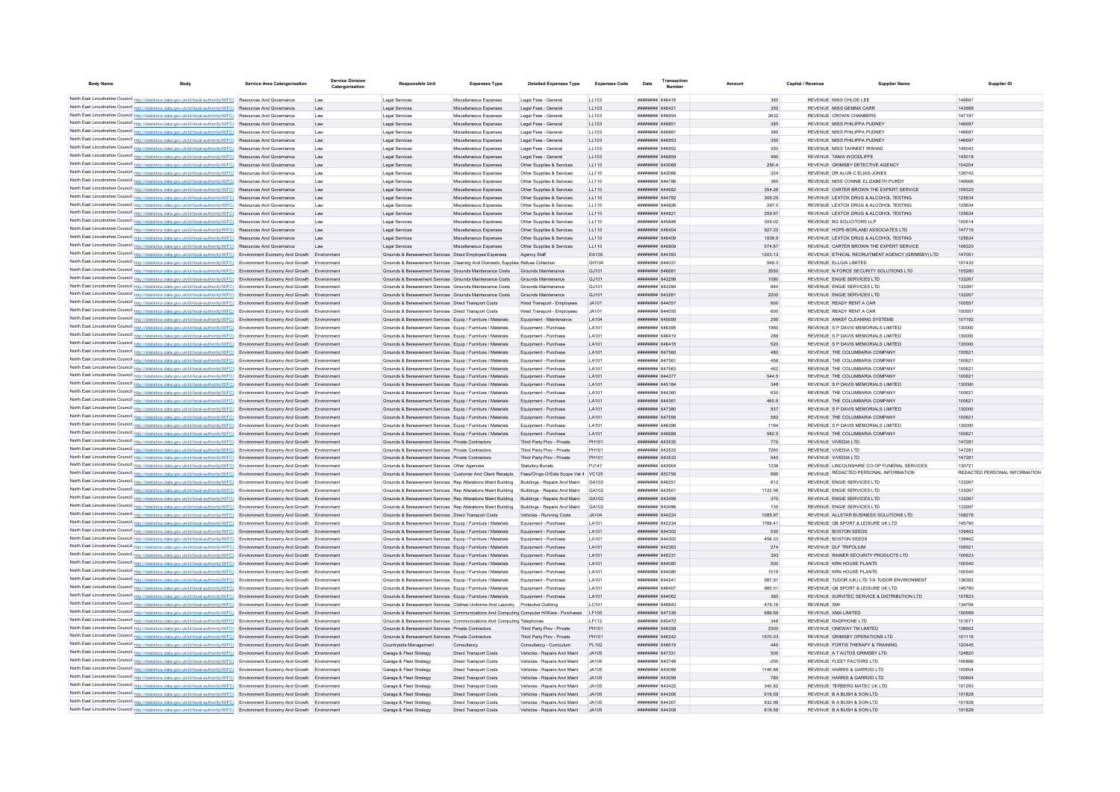| <b>Body Name</b> | <b>Body</b>                                                                                                                                                                                                                                                            | <b>Service Area Catergorisation</b> | <b>Service Division</b><br>Catergorisation | <b>Responsible Unit</b>                                                                                                                     | <b>Expenses Type</b>                             | <b>Detailed Expenses Type</b>                                | <b>Expenses Code</b>  | Date                                     | Transactic<br><b>Number</b> |                 | Capital / Revenue  | Supplier Name                                                                    |                  | Supplier ID                   |
|------------------|------------------------------------------------------------------------------------------------------------------------------------------------------------------------------------------------------------------------------------------------------------------------|-------------------------------------|--------------------------------------------|---------------------------------------------------------------------------------------------------------------------------------------------|--------------------------------------------------|--------------------------------------------------------------|-----------------------|------------------------------------------|-----------------------------|-----------------|--------------------|----------------------------------------------------------------------------------|------------------|-------------------------------|
|                  |                                                                                                                                                                                                                                                                        |                                     |                                            |                                                                                                                                             |                                                  |                                                              |                       |                                          |                             |                 |                    |                                                                                  |                  |                               |
|                  | North East Lincolnshire Council http://statistics.data.gov.uk/id/local-authority/00FC) Resources And Governance<br>North East Lincolnshire Council http://statistics.data.gov.uk/id/local-authority/00FC) Resources And Governance                                     |                                     |                                            | Legal Services<br>Legal Services                                                                                                            | Miscellaneous Expenses<br>Miscellaneous Expenses | Legal Fees - General                                         | LL103<br>11103        | <b>HUMHHHH</b> GARA16<br>######## 646421 |                             | 385<br>350      |                    | REVENUE MISS CHLOF LEE<br>REVENUE MISS GEMMA CARR                                | 146667<br>143988 |                               |
|                  | North East Lincolnshire Council http://statistics.data.gov.uk/id/local-authority/00FC) Resources And Governance                                                                                                                                                        |                                     | Law<br>Law                                 | Legal Services                                                                                                                              | Miscellaneous Expenses                           | Legal Fees - General<br>Legal Fees - General                 | 11.103                | ######## 646854                          |                             | 2632            |                    | REVENUE CROWN CHAMBERS                                                           | 147197           |                               |
|                  | North East Lincolnshire Council http://statistics.data.gov.uk/id/local-authority/00FC) Resources And Governance                                                                                                                                                        |                                     | Law                                        | Legal Services                                                                                                                              | Miscellaneous Expenses                           | Legal Fees - General                                         | LL103                 | ######## 646851                          |                             | 385             |                    | REVENUE MISS PHILIPPA PUDNEY                                                     | 146697           |                               |
|                  | North East Lincolnshire Council http://statistics.data.gov.uk/id/local-authority/00FC) Resources And Governance                                                                                                                                                        |                                     | Law                                        | Legal Services                                                                                                                              | Miscellaneous Expenses                           | Legal Fees - General                                         | LL103                 | ####### 64686                            |                             | 385             |                    | REVENUE MISS PHILIPPA PUDNEY                                                     | 146697           |                               |
|                  | North East Lincolnshire Council http://statistics.data.gov.uk/id/local-authority/00FC) Resources And Governance                                                                                                                                                        |                                     | Law                                        | Legal Services                                                                                                                              | Miscellaneous Expenses                           | Legal Fees - General                                         | LL103                 | ######## 646853                          |                             | 350             |                    | REVENUE MISS PHILIPPA PUDNEY                                                     | 146697           |                               |
|                  | North East Lincolnshire Council http://statistics.data.gov.uk/id/local-authority/00FC) Resources And Governance                                                                                                                                                        |                                     | Law                                        | Legal Services                                                                                                                              | Miscellaneous Expenses                           | Legal Fees - General                                         | LL103                 | ######## 646852                          |                             | 350             |                    | REVENUE MISS TAHNEET IRSHAD                                                      | 146043           |                               |
|                  | North East Lincolnshire Council http://statistics.data.gov.uk/id/local-authority/00FC) Resources And Governance                                                                                                                                                        |                                     | Law                                        | Legal Services                                                                                                                              | Miscellaneous Expenses                           | Legal Fees - General                                         | LL103                 | ####### 646859                           |                             | 490             |                    | REVENUE TANIA WOODLIFFE                                                          | 145018           |                               |
|                  | North East Lincolnshire Council http://statistics.data.gov.uk/id/local-authority/00FC) Resources And Governance                                                                                                                                                        |                                     | Law                                        | Legal Services                                                                                                                              | Miscellaneous Expenses                           | Other Supplies & Services                                    | LL110                 | ######## 643068                          |                             | 250.4           |                    | REVENUE GRIMSBY DETECTIVE AGENCY                                                 | 104254           |                               |
|                  | North East Lincolnshire Council http://statistics.data.gov.uk/id/local-authority/00FC) Resources And Governance                                                                                                                                                        |                                     | Law                                        | Legal Services                                                                                                                              | Miscellaneous Expenses                           | Other Supplies & Services                                    | LL110                 | ######## 643066                          |                             | 324             |                    | REVENUE DR ALUN C ELIAS-JONES                                                    | 136743           |                               |
|                  | North East Lincolnshire Council http://statistics.data.gov.uk/id/local-authority/00FC) Resources And Governance<br>North East Lincolnshire Council http://statistics.data.gov.uk/id/local-authority/00FC)                                                              | Resources And Governance            | Law<br>Law                                 | Legal Services<br>Legal Services                                                                                                            | Miscellaneous Expenses<br>Miscellaneous Expenses | Other Supplies & Services<br>Other Supplies & Services       | LL110<br>LL110        | ######## 644786<br>######## 644682       |                             | 385<br>354.26   |                    | REVENUE MISS CONNIE ELIZABETH PURDY<br>REVENUE CARTER BROWN THE EXPERT SERVICE   | 146666<br>106320 |                               |
|                  | North East Lincolnshire Council http://statistics.data.gov.uk/id/local-authority/00FC)                                                                                                                                                                                 | Resources And Governance            | Law                                        | Legal Services                                                                                                                              | Miscellaneous Expenses                           | Other Supplies & Services                                    | LL110                 | ######## 644782                          |                             | 306.25          |                    | REVENUE LEXTOX DRUG & ALCOHOL TESTING                                            | 125634           |                               |
|                  | North East Lincolnshire Council http://statistics.data.gov.uk/id/local-authority/00FC) Resources And Governance                                                                                                                                                        |                                     | Law                                        | Legal Services                                                                                                                              | Miscellaneous Expenses                           | Other Supplies & Services                                    | 11110                 | <b>HHHHHHH</b> 644826                    |                             | 297.5           |                    | REVENUE LEXTOX DRUG & ALCOHOL TESTING                                            | 125634           |                               |
|                  | North East Lincolnshire Council http://statistics.data.gov.uk/id/local-authority/00FC) Resources And Governance                                                                                                                                                        |                                     | Law                                        | Legal Services                                                                                                                              | Miscellaneous Expenses                           | Other Sunnlies & Services                                    | 11110                 | <b>####### 644821</b>                    |                             | 259.97          |                    | REVENUE LEXTOX DRUG & ALCOHOL TESTING                                            | 125634           |                               |
|                  | North East Lincolnshire Council http://statistics.data.gov.uk/id/local-authority/00FC) Resources And Governance                                                                                                                                                        |                                     | Law                                        | Legal Services                                                                                                                              | Miscellaneous Expenses                           | Other Sunnlies & Services                                    | 11110                 | ####### 645846                           |                             | 306.02          |                    | REVENUE BG SOLICITORS LLP                                                        | 100514           |                               |
|                  | North East Lincolnshire Council http://statistics.data.gov.uk/id/local-authority/00FC) Resources And Governance                                                                                                                                                        |                                     | Law                                        | Legal Services                                                                                                                              | Miscellaneous Expenses                           | Other Supplies & Services                                    | LL110                 | ####### 646404                           |                             | 927.23          |                    | REVENUE HOPE-BORLAND ASSOCIATES LTD                                              | 147716           |                               |
|                  | North East Lincolnshire Council http://statistics.data.gov.uk/id/local-authority/00FC) Resources And Governance                                                                                                                                                        |                                     | Law                                        | Legal Services                                                                                                                              | Miscellaneous Expenses                           | Other Supplies & Services                                    | LL110                 | ######## 646409                          |                             | 1009.9          |                    | REVENUE LEXTOX DRUG & ALCOHOL TESTING                                            | 125634           |                               |
|                  | North East Lincolnshire Council http://statistics.data.gov.uk/id/local-authority/00FC) Resources And Governance                                                                                                                                                        |                                     | Law                                        | Legal Services                                                                                                                              | Miscellaneous Expenses                           | Other Supplies & Services                                    | LL110                 | ######## 646809                          |                             | 574.87          |                    | REVENUE CARTER BROWN THE EXPERT SERVICE                                          | 106320           |                               |
|                  | North East Lincolnshire Council http://statistics.data.gov.uk/id/local-authority/00FC) Environment Economy And Growth Environment                                                                                                                                      |                                     |                                            | Grounds & Bereavement Services Direct Employee Expenses                                                                                     |                                                  | Agency Staff                                                 | EA105<br>GH104        | ######## 644393<br>######## 644031       |                             | 1203.13<br>5493 |                    | REVENUE ETHICAL RECRUITMENT AGENCY (GRIMSBY) LTD<br>REVENUE ELLGIA LIMITED       | 147051<br>101433 |                               |
|                  | North East Lincolnshire Council http://statistics.data.gov.uk/id/local-authority/00FC) Environment Economy And Growth Environment<br>North East Lincolnshire Council http://statistics.data.gov.uk/id/local-authority/00FC) Environment Economy And Growth Environment |                                     |                                            | Grounds & Bereavement Services Cleaning And Domestic Supplies Refuse Collection<br>Grounds & Bereavement Services Grounds Maintenance Costs |                                                  | Grounds Maintenance                                          | G.1101                | ######## 646681                          |                             | 3550            |                    | REVENUE N-FORCE SECURITY SOLUTIONS LTD                                           | 105280           |                               |
|                  | North East Lincolnshire Council http://statistics.data.gov.uk/id/local-authority/00FC) Environment Economy And Growth Environment                                                                                                                                      |                                     |                                            | Grounds & Bereavement Services Grounds Maintenance Costs                                                                                    |                                                  | Grounds Maintenance                                          | GJ101                 | ######## 643299                          |                             | 1080            |                    | REVENUE ENGIE SERVICES LTD                                                       | 133267           |                               |
|                  | North East Lincolnshire Council http://statistics.data.gov.uk/id/local-authority/00FC) Environment Economy And Growth Environment                                                                                                                                      |                                     |                                            | Grounds & Bereavement Services Grounds Maintenance Costs                                                                                    |                                                  | Grounds Maintenance                                          | GJ101                 | ####### 643284                           |                             | 840             |                    | REVENUE ENGIE SERVICES LTD                                                       | 133267           |                               |
|                  | North East Lincolnshire Council http://statistics.data.gov.uk/id/local-authority/00FC) Environment Economy And Growth Environment                                                                                                                                      |                                     |                                            | Grounds & Bereavement Services Grounds Maintenance Costs                                                                                    |                                                  | Grounds Maintenance                                          | GJ101                 | ######## 64328                           |                             | 2200            |                    | REVENUE ENGIE SERVICES LTD                                                       | 133267           |                               |
|                  | North East Lincolnshire Council http://statistics.data.gov.uk/id/local-authority/00FC) Environment Economy And Growth Environment                                                                                                                                      |                                     |                                            | Grounds & Bereavement Services Direct Transport Costs                                                                                       |                                                  | <b>Hired Transport - Employees</b>                           | JA101                 | ######## 644057                          |                             | 600             |                    | REVENUE READY RENT A CAR                                                         | 100557           |                               |
|                  | North East Lincolnshire Council http://statistics.data.gov.uk/id/local-authority/00FC) Environment Economy And Growth Environment                                                                                                                                      |                                     |                                            | Grounds & Bereavement Services Direct Transport Costs                                                                                       |                                                  | Hired Transport - Employees                                  | JAA101                | ######## 644055                          |                             | 600             |                    | REVENUE READY RENT A CAR                                                         | 100557           |                               |
|                  | North East Lincolnshire Council http://statistics.data.gov.uk/id/local-authority/00FC) Environment Economy And Growth Environment                                                                                                                                      |                                     |                                            | Grounds & Bereavement Services Equip / Furniture / Materials                                                                                |                                                  | Equipment - Maintenance                                      | LA104                 | ######## 645699                          |                             | 295             |                    | REVENUE ANKEF CLEANING SYSTEMS                                                   | 101192           |                               |
|                  | North East Lincolnshire Council http://statistics.data.gov.uk/id/local-authority/00FC) Environment Economy And Growth Environment                                                                                                                                      |                                     |                                            | Grounds & Bereavement Services Equip / Furniture / Materials                                                                                |                                                  | Equipment - Purchase                                         | LA101                 | ######## 646395                          |                             | 1980            |                    | REVENUE S P DAVIS MEMORIALS LIMITED                                              | 130000           |                               |
|                  | North East Lincolnshire Council http://statistics.data.gov.uk/id/local-authority/00FC) Environment Economy And Growth Environment                                                                                                                                      |                                     |                                            | Grounds & Bereavement Services Equip / Furniture / Materials                                                                                |                                                  | Equipment - Purchase                                         | LA101                 | ######## 646419                          |                             | 288             |                    | REVENUE S P DAVIS MEMORIALS LIMITED                                              | 130000           |                               |
|                  | North East Lincolnshire Council http://statistics.data.gov.uk/id/local-authority/00FC) Environment Economy And Growth Environment                                                                                                                                      |                                     |                                            | Grounds & Bereavement Services Equip / Furniture / Materials                                                                                |                                                  | Equipment - Purchase                                         | LA101                 | ######## 646418                          |                             | 520             |                    | REVENUE S P DAVIS MEMORIALS LIMITED                                              | 130000           |                               |
|                  | North East Lincolnshire Council http://statistics.data.gov.uk/id/local-authority/00FC) Environment Economy And Growth Environment<br>North East Lincolnshire Council http://statistics.data.gov.uk/id/local-authority/00FC) Environment Economy And Growth Environment |                                     |                                            | Grounds & Bereavement Services Equip / Furniture / Materials<br>Grounds & Bereavement Services Equip / Furniture / Materials                |                                                  | Equipment - Purchase<br>Equipment - Purchase                 | LA101<br>LA101        | ######## 647560<br>####### 647561        |                             | 480<br>456      |                    | REVENUE THE COLUMBARIA COMPANY<br>REVENUE THE COLUMBARIA COMPANY                 | 100621<br>100621 |                               |
|                  | North East Lincolnshire Council http://statistics.data.gov.uk/id/local-authority/00FC) Environment Economy And Growth Environment                                                                                                                                      |                                     |                                            | Grounds & Bereavement Services Equip / Furniture / Materials                                                                                |                                                  | Equipment - Purchase                                         | LA101                 | ######## 647563                          |                             | 462             |                    | REVENUE THE COLUMBARIA COMPANY                                                   | 100621           |                               |
|                  | North East Lincolnshire Council http://statistics.data.gov.uk/id/local-authority/00FC) Environment Economy And Growth Environment                                                                                                                                      |                                     |                                            | Grounds & Bereavement Services Equip / Furniture / Materials                                                                                |                                                  | Foujoment - Purchase                                         | <b>LA101</b>          | <b>######## 644377</b>                   |                             | 544.5           |                    | REVENUE THE COLUMBARIA COMPANY                                                   | 100621           |                               |
|                  | North East Lincolnshire Council http://statistics.data.gov.uk/id/local-authority/00FC) Environment Economy And Growth Environment                                                                                                                                      |                                     |                                            | Grounds & Bereavement Services Equip / Furniture / Materials                                                                                |                                                  | Equipment - Purchase                                         | LA101                 | <b>####### 645184</b>                    |                             | 348             |                    | REVENUE S P DAVIS MEMORIALS LIMITED                                              | 130000           |                               |
|                  | North East Lincolnshire Council http://statistics.data.gov.uk/id/local-authority/00FC) Environment Economy And Growth Environment                                                                                                                                      |                                     |                                            | Grounds & Bereavement Services Equip / Furniture / Materials                                                                                |                                                  | Foujnment - Purchase                                         | LA101                 | 036144 Hannung                           |                             | 630             |                    | REVENUE THE COLUMBARIA COMPANY                                                   | 100621           |                               |
|                  | North East Lincolnshire Council http://statistics.data.gov.uk/id/local-authority/00FC) Environment Economy And Growth Environment                                                                                                                                      |                                     |                                            | Grounds & Bereavement Services Equip / Furniture / Materials                                                                                |                                                  | Equipment - Purchase                                         | LA101                 | ######## 644361                          |                             | 460.5           |                    | REVENUE THE COLUMBARIA COMPANY                                                   | 100621           |                               |
|                  | North East Lincolnshire Council http://statistics.data.gov.uk/id/local-authority/00FC) Environment Economy And Growth Environment                                                                                                                                      |                                     |                                            | Grounds & Bereavement Services Equip / Furniture / Materials                                                                                |                                                  | Equipment - Purchase                                         | LA101                 | ######## 647380                          |                             | 837             |                    | REVENUE S P DAVIS MEMORIALS LIMITED                                              | 130000           |                               |
|                  | North East Lincolnshire Council http://statistics.data.gov.uk/id/local-authority/00FC) Environment Economy And Growth Environment                                                                                                                                      |                                     |                                            | Grounds & Bereavement Services Equip / Furniture / Materials                                                                                |                                                  | Equipment - Purchase                                         | LA101                 | <b>####### 647556</b>                    |                             | 582             |                    | REVENUE THE COLUMBARIA COMPANY                                                   | 100621           |                               |
|                  | North East Lincolnshire Council http://statistics.data.gov.uk/id/local-authority/00FC) Environment Economy And Growth Environment<br>North East Lincolnshire Council http://statistics.data.gov.uk/id/local-authority/00FC) Environment Economy And Growth Environment |                                     |                                            | Grounds & Bereavement Services Equip / Furniture / Materials                                                                                |                                                  | Foujoment - Purchase                                         | <b>LA101</b><br>LA101 | ######## 646396<br>######## 646688       |                             | 1194<br>582.5   |                    | REVENUE S P DAVIS MEMORIALS LIMITED<br>REVENUE THE COLUMBARIA COMPANY            | 130000<br>100621 |                               |
|                  | North East Lincolnshire Council http://statistics.data.gov.uk/id/local-authority/00FC) Environment Economy And Growth Environment                                                                                                                                      |                                     |                                            | Grounds & Bereavement Services Equip / Furniture / Materials<br>Grounds & Bereavement Services Private Contractors                          |                                                  | Equipment - Purchase<br>Third Party Prov - Private           | PH101                 | ######## 643535                          |                             | 775             |                    | REVENUE VIVEDIA LTD                                                              | 147281           |                               |
|                  | North East Lincolnshire Council http://statistics.data.gov.uk/id/local-authority/00FC) Environment Economy And Growth Environment                                                                                                                                      |                                     |                                            | Grounds & Bereavement Services Private Contractors                                                                                          |                                                  | Third Party Prov - Private                                   | PH101                 | ######## 643533                          |                             | 7260            |                    | REVENUE VIVEDIA LTD                                                              | 147281           |                               |
|                  | North East Lincolnshire Council http://statistics.data.gov.uk/id/local-authority/00FC) Environment Economy And Growth Environment                                                                                                                                      |                                     |                                            | Grounds & Bereavement Services Private Contractors                                                                                          |                                                  | Third Party Prov - Private                                   | PH101                 | ######## 643533                          |                             | 540             |                    | REVENUE VIVEDIA LTD                                                              | 147281           |                               |
|                  | North East Lincolnshire Council http://statistics.data.gov.uk/id/local-authority/00FC) Environment Economy And Growth Environment                                                                                                                                      |                                     |                                            | Grounds & Bereavement Services Other Agencies                                                                                               |                                                  | <b>Statutory Burials</b>                                     | PJ147                 | ######## 643904                          |                             | 1236            |                    | REVENUE LINCOLNSHIRE CO-OP FUNERAL SERVICES                                      | 130721           |                               |
|                  | North East Lincolnshire Council http://statistics.data.gov.uk/id/local-authority/00FC) Environment Economy And Growth Environment                                                                                                                                      |                                     |                                            | Grounds & Bereavement Services Customer And Client Receipts                                                                                 |                                                  | Fees/Chrgs-O/Side Scope Vat 4 VC125                          |                       | ######## 853756                          |                             | 995             |                    | REVENUE REDACTED PERSONAL INFORMATION                                            |                  | REDACTED PERSONAL INFORMATION |
|                  | North East Lincolnshire Council http://statistics.data.gov.uk/id/local-authority/00FC) Environment Economy And Growth Environment                                                                                                                                      |                                     |                                            | Grounds & Bereavement Services Rep Alterations Maint Building                                                                               |                                                  | Buildings - Repairs And Maint GA102                          |                       | ######## 646251                          |                             | 812             |                    | REVENUE ENGIE SERVICES LTD                                                       | 133267           |                               |
|                  | North East Lincolnshire Council http://statistics.data.gov.uk/id/local-authority/00FC) Environment Economy And Growth Environment                                                                                                                                      |                                     |                                            | Grounds & Bereavement Services Rep Alterations Maint Building                                                                               |                                                  | Buildings - Repairs And Maint                                | GA102                 | ######## 643501                          |                             | 1122.56         |                    | REVENUE ENGIE SERVICES LTD                                                       | 133267           |                               |
|                  | North East Lincolnshire Council http://statistics.data.gov.uk/id/local-authority/00FC) Environment Economy And Growth Environment                                                                                                                                      |                                     |                                            | Grounds & Bereavement Services Rep Alterations Maint Building                                                                               |                                                  | Buildings - Repairs And Maint GA102                          |                       | ######## 643499                          |                             | 370             |                    | REVENUE ENGIE SERVICES LTD                                                       | 133267           |                               |
|                  | North East Lincolnshire Council http://statistics.data.gov.uk/id/local-authority/00FC) Environment Economy And Growth Environment<br>North East Lincolnshire Council http://statistics.data.gov.uk/id/local-authority/00FC) Environment Economy And Growth Environment |                                     |                                            | Grounds & Bereavement Services Rep Alterations Maint Building<br>Grounds & Bereavement Services Direct Transport Costs                      |                                                  | Buildings - Repairs And Maint<br>Vehicles - Running Costs    | GA102<br>JA104        | ######## 643496<br><b>НИНИНИН</b> 644224 |                             | 735<br>108597   |                    | REVENUE ENGIE SERVICES LTD<br>REVENUE ALLSTAR BUSINESS SOLUTIONS LTD             | 133267<br>108278 |                               |
|                  | North East Lincolnshire Council http://statistics.data.gov.uk/id/local-authority/00FC) Environment Economy And Growth Environment                                                                                                                                      |                                     |                                            | Grounds & Bereavement Services Equip / Furniture / Materials                                                                                |                                                  | Equipment - Purchase                                         | LA101                 | нининин влоозл                           |                             | 1769.41         |                    | REVENUE GB SPORT & LEISURE UK LTD                                                | 145790           |                               |
|                  | North East Lincolnshire Council http://statistics.data.gov.uk/id/local-authority/00FC) Environment Economy And Growth Environment                                                                                                                                      |                                     |                                            | Grounds & Bereavement Services Fouin / Furniture / Materials                                                                                |                                                  | Foujoment - Purchase                                         | <b>LA101</b>          | ######## 644302                          |                             | 530             |                    | REVENUE BOSTON SEEDS                                                             | 139462           |                               |
|                  | North East Lincolnshire Council http://statistics.data.gov.uk/id/local-authority/00FC) Environment Economy And Growth Environment                                                                                                                                      |                                     |                                            | Grounds & Bereavement Services Equip / Furniture / Materials                                                                                |                                                  | Foujoment - Purchase                                         | <b>LA101</b>          | ######## 644302                          |                             | 458.33          |                    | <b>REVENUE BOSTON SEEDS</b>                                                      | 139462           |                               |
|                  | North East Lincolnshire Council http://statistics.data.gov.uk/id/local-authority/00FC) Environment Economy And Growth Environment                                                                                                                                      |                                     |                                            | Grounds & Bereavement Services Equip / Furniture / Materials                                                                                |                                                  | Foujoment - Purchase                                         | LA101                 | ######## 642363                          |                             | 274             |                    | REVENUE DI E TRIFOLIUM                                                           | 109921           |                               |
|                  | North East Lincolnshire Council http://statistics.data.gov.uk/id/local-authority/00FC) Environment Economy And Growth Environment                                                                                                                                      |                                     |                                            | Grounds & Bereavement Services Equip / Furniture / Materials                                                                                |                                                  | Equipment - Purchase                                         | LA101                 | ######## 645231                          |                             | 393             |                    | REVENUE RAINER SECURITY PRODUCTS LTD                                             | 100623           |                               |
|                  | North East Lincolnshire Council http://statistics.data.gov.uk/id/local-authority/00FC) Environment Economy And Growth Environment                                                                                                                                      |                                     |                                            | Grounds & Bereavement Services Equip / Furniture / Materials                                                                                |                                                  | Equipment - Purchase                                         | LA101                 | ######## 644080                          |                             | 500             |                    | REVENUE KRN HOUSE PLANTS                                                         | 100540           |                               |
|                  | North East Lincolnshire Council http://statistics.data.gov.uk/id/local-authority/00FC) Environment Economy And Growth Environment                                                                                                                                      |                                     |                                            | Grounds & Bereavement Services Equip / Furniture / Materials                                                                                |                                                  | Equipment - Purchase                                         | LA101                 | ######## 644080                          |                             | 1015            |                    | REVENUE KRN HOUSE PLANTS                                                         | 100540           |                               |
|                  | North East Lincolnshire Council http://statistics.data.gov.uk/id/local-authority/00FC) Environment Economy And Growth Environment                                                                                                                                      |                                     |                                            | Grounds & Bereavement Services Equip / Furniture / Materials                                                                                |                                                  | Equipment - Purchase                                         | LA101                 | <b>######## 644241</b>                   |                             | 567.91          |                    | REVENUE TUDOR (UK) LTD T/A TUDOR ENVIRONMENT                                     | 138362           |                               |
|                  | North East Lincolnshire Council http://statistics.data.gov.uk/id/local-authority/00FC) Environment Economy And Growth Environment                                                                                                                                      |                                     |                                            | Grounds & Bereavement Services Equip / Furniture / Materials                                                                                |                                                  | Equipment - Purchase                                         | LA101<br>LA101        | ####### 646407                           |                             | 965.01          |                    | REVENUE GB SPORT & LEISURE UK LTD<br>REVENUE SURVITEC SERVICE & DISTRIBUTION LTD | 145790<br>107823 |                               |
|                  | North East Lincolnshire Council http://statistics.data.gov.uk/id/local-authority/00FC) Environment Economy And Growth Environment<br>North East Lincolnshire Council http://statistics.data.gov.uk/id/local-authority/00FC) Environment Economy And Growth Environment |                                     |                                            | Grounds & Bereavement Services Equip / Furniture / Materials<br>Grounds & Bereavement Services Clothes Uniforms And Laundry                 |                                                  | Equipment - Purchase<br>Protective Clothing                  | LC101                 | ######## 644062<br>######## 646843       |                             | 360<br>476.16   | <b>REVENUE SMI</b> |                                                                                  | 134794           |                               |
|                  | North East Lincolnshire Council http://statistics.data.gov.uk/id/local-authority/00FC) Environment Economy And Growth Environment                                                                                                                                      |                                     |                                            | Grounds & Bereavement Services Communications And Computing Computer H/Ware - Purchases                                                     |                                                  |                                                              | LF105                 | ######## 647336                          |                             | 689.66          |                    | REVENUE XMA LIMITED                                                              | 100699           |                               |
|                  | North East Lincolnshire Council http://statistics.data.gov.uk/id/local-authority/00FC) Environment Economy And Growth Environment                                                                                                                                      |                                     |                                            | Grounds & Bereavement Services Communications And Computing Telephones                                                                      |                                                  |                                                              | LF112                 | ####### 645472                           |                             | 348             |                    | REVENUE RADPHONE LTD                                                             | 101671           |                               |
|                  | North East Lincolnshire Council http://statistics.data.gov.uk/id/local-authority/00FC) Environment Economy And Growth Environment                                                                                                                                      |                                     |                                            | Grounds & Bereavement Services Private Contractors                                                                                          |                                                  | Third Party Prov - Private                                   | PH101                 | ####### 646258                           |                             | 2300            |                    | REVENUE ONEWAY TM LIMITED.                                                       | 128602           |                               |
|                  | North East Lincolnshire Council http://statistics.data.gov.uk/id/local-authority/00FC) Environment Economy And Growth Environment                                                                                                                                      |                                     |                                            | Grounds & Bereavement Services Private Contractors                                                                                          |                                                  | Third Party Prov - Private                                   | PH101                 | ######## 646242                          |                             | 1570.03         |                    | REVENUE GRIMSBY OPERATIONS LTD                                                   | 101116           |                               |
|                  | North East Lincolnshire Council http://statistics.data.gov.uk/id/local-authority/00FC) Environment Economy And Growth Environment                                                                                                                                      |                                     |                                            | Countryside Management                                                                                                                      | Consultancy                                      | Consultancy - Curriculum                                     | PL102                 | ######## 646619                          |                             | 440             |                    | REVENUE FORTIS THERAPY & TRAINING                                                | 120445           |                               |
|                  | North East Lincolnshire Council http://statistics.data.gov.uk/id/local-authority/00FC) Environment Economy And Growth Environment                                                                                                                                      |                                     |                                            | Garage & Fleet Strategy                                                                                                                     | Direct Transport Costs                           | Vehicles - Repairs And Maint                                 | JA105                 | ######## 647331                          |                             | 500             |                    | REVENUE A T AUTOS GRIMSBY LTD                                                    | 124820           |                               |
|                  | North East Lincolnshire Council http://statistics.data.gov.uk/id/local-authority/00FC) Environment Economy And Growth Environment                                                                                                                                      |                                     |                                            | Garage & Fleet Strategy                                                                                                                     | <b>Direct Transport Costs</b>                    | Vehicles - Repairs And Maint                                 | JA105                 | ######## 643748                          |                             | $-250$          |                    | REVENUE FLEET FACTORS LTD                                                        | 100886           |                               |
|                  | North East Lincolnshire Council http://statistics.data.gov.uk/id/local-authority/00FC) Environment Economy And Growth Environment                                                                                                                                      |                                     |                                            | Garage & Fleet Strategy<br>Garage & Fleet Strategy                                                                                          | Direct Transport Costs                           | Vehicles - Repairs And Maint                                 | JA105<br>JA105        | ######## 643099<br>######## 643098       |                             | 1145.86         |                    | REVENUE HARRIS & GARROD LTD<br>REVENUE HARRIS & GARROD LTD                       | 100604<br>100604 |                               |
|                  | North East Lincolnshire Council http://statistics.data.gov.uk/id/local-authority/00FC) Environment Economy And Growth Environment<br>North East Lincolnshire Council http://statistics.data.gov.uk/id/local-authority/00FC) Environment Economy And Growth Environment |                                     |                                            | Garage & Fleet Strategy                                                                                                                     | Direct Transport Costs<br>Direct Transport Costs | Vehicles - Repairs And Maint<br>Vehicles - Renairs And Maint | 14105                 | <b>НИМИНИН</b> 643422                    |                             | 780<br>340.82   |                    | REVENUE TERRERG MATEC UK LTD                                                     | 101293           |                               |
|                  | North East Lincolnshire Council http://statistics.data.gov.uk/id/local-authority/00FC) Environment Economy And Growth Environment                                                                                                                                      |                                     |                                            | Garage & Fleet Strategy                                                                                                                     | Direct Transport Costs                           | Vehicles - Repairs And Maint                                 | JA105                 | ######## 644306                          |                             | 619.59          |                    | REVENUE B A BUSH & SON LTD.                                                      | 101828           |                               |
|                  | North East Lincolnshire Council http://statistics.data.gov.uk/id/local-authority/00FC) Environment Economy And Growth Environment                                                                                                                                      |                                     |                                            | Garage & Fleet Strategy                                                                                                                     | <b>Direct Transport Costs</b>                    | Vehicles - Repairs And Maint                                 | JA105                 | <b>########</b> 644307                   |                             | 832.96          |                    | REVENUE B A BUSH & SON LTD                                                       | 101828           |                               |
|                  | North East Lincolnshire Council http://statistics.data.gov.uk/id/local-authority/00FC) Environment Economy And Growth                                                                                                                                                  |                                     |                                            | Garage & Fleet Strategy                                                                                                                     | <b>Direct Transport Costs</b>                    | Vehicles - Repairs And Maint                                 | JA105                 | ######## 644308                          |                             | 619.59          |                    | REVENUE B A BUSH & SON LTD                                                       | 101828           |                               |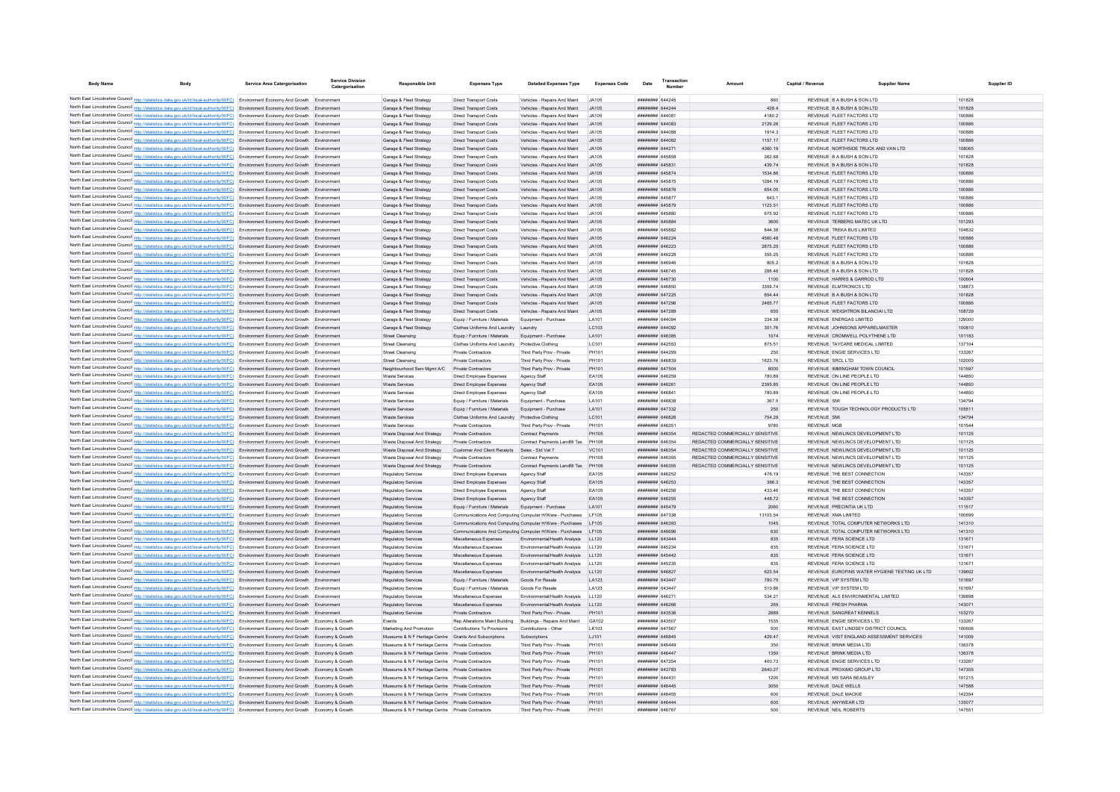| <b>Body Name</b><br>Body                                                                                                                                                                                                                                               | <b>Service Area Catergorisation</b> | <b>Service Division</b><br>Catergorisation | <b>Responsible Unit</b>                                | <b>Expenses Type</b>                                            | <b>Detailed Expenses Type</b>                                      | <b>Expenses Code</b> | Transactio<br>Date<br>Number                   | Amoun                           | Capital / Revenue                                      | <b>Supplier Name</b>                          | Supplier ID      |
|------------------------------------------------------------------------------------------------------------------------------------------------------------------------------------------------------------------------------------------------------------------------|-------------------------------------|--------------------------------------------|--------------------------------------------------------|-----------------------------------------------------------------|--------------------------------------------------------------------|----------------------|------------------------------------------------|---------------------------------|--------------------------------------------------------|-----------------------------------------------|------------------|
|                                                                                                                                                                                                                                                                        |                                     |                                            |                                                        |                                                                 |                                                                    |                      |                                                |                                 |                                                        |                                               |                  |
| North East Lincolnshire Council http://statistics.data.gov.uk/id/local-authority/00FC) Environment Economy And Growth Environment                                                                                                                                      |                                     |                                            | Garage & Fleet Strategy                                | <b>Direct Transport Costs</b>                                   | Vehicles - Repairs And Maint JA105                                 |                      | <b>HHHHHHH</b> 644245                          | 860                             | REVENUE B A BUSH & SON LTD                             |                                               | 101828           |
| North East Lincolnshire Council http://statistics.data.gov.uk/id/local-authority/00FC) Environment Economy And Growth Environment                                                                                                                                      |                                     |                                            | Garage & Fleet Strategy                                | <b>Direct Transport Costs</b>                                   | Vehicles - Renairs And Maint  JA105                                |                      | <b>######## 644244</b>                         | 428.4                           | REVENUE B A BUSH & SON LTD                             |                                               | 101828           |
| North East Lincolnshire Council http://statistics.data.gov.uk/id/local-authority/00FC) Environment Economy And Growth Environment                                                                                                                                      |                                     |                                            | Garage & Fleet Strategy                                | <b>Direct Transport Costs</b>                                   | Vehicles - Renairs And Maint  JA105                                |                      | ######## 644081<br>######## 644083             | 41802<br>2129.26                | REVENUE ELEFT FACTORS LTD<br>REVENUE FLEET FACTORS LTD |                                               | 100886           |
| North East Lincolnshire Council http://statistics.data.gov.uk/id/local-authority/00FC) Environment Economy And Growth Environment<br>North East Lincolnshire Council http://statistics.data.gov.uk/id/local-authority/00FC) Environment Economy And Growth Environment |                                     |                                            | Garage & Fleet Strategy<br>Garage & Fleet Strategy     | <b>Direct Transport Costs</b><br><b>Direct Transport Costs</b>  | Vehicles - Repairs And Maint JA105<br>Vehicles - Repairs And Maint | JA105                | ######## 644088                                | 1914.3                          | REVENUE FLEET FACTORS LTD                              |                                               | 100886<br>100886 |
| North East Lincolnshire Council http://statistics.data.gov.uk/id/local-authority/00FC) Environment Economy And Growth Environment                                                                                                                                      |                                     |                                            | Garage & Fleet Strategy                                | <b>Direct Transport Costs</b>                                   | Vehicles - Repairs And Maint JA105                                 |                      | ######## 644082                                | 1157.17                         | REVENUE FLEET FACTORS LTD                              |                                               | 100886           |
| North East Lincolnshire Council http://statistics.data.gov.uk/id/local-authority/00FC) Environment Economy And Growth Environment                                                                                                                                      |                                     |                                            | Garage & Fleet Strategy                                | <b>Direct Transport Costs</b>                                   | Vehicles - Repairs And Maint JA105                                 |                      | ####### 644271                                 | 4360.19                         |                                                        | REVENUE NORTHSIDE TRUCK AND VAN LTD           | 108065           |
| North East Lincolnshire Council http://statistics.data.gov.uk/id/local-authority/00FC) Environment Economy And Growth Environment                                                                                                                                      |                                     |                                            | Garage & Fleet Strategy                                | <b>Direct Transport Costs</b>                                   | Vehicles - Repairs And Maint                                       | JA105                | ####### 645858                                 | 262.68                          | REVENUE B A BUSH & SON LTD                             |                                               | 101828           |
| North East Lincolnshire Council http://statistics.data.gov.uk/id/local-authority/00FC) Environment Economy And Growth Environment                                                                                                                                      |                                     |                                            | Garage & Fleet Strategy                                | <b>Direct Transport Costs</b>                                   | Vehicles - Repairs And Maint                                       | JA105                | ######## 645831                                | 439.74                          | REVENUE B A BUSH & SON LTD                             |                                               | 101828           |
| North East Lincolnshire Council http://statistics.data.gov.uk/id/local-authority/00FC) Environment Economy And Growth Environment                                                                                                                                      |                                     |                                            | Garage & Fleet Strategy                                | <b>Direct Transport Costs</b>                                   | Vehicles - Repairs And Maint                                       | .14105               | ######## 645874                                | 1534.86                         | REVENUE FLEET FACTORS LTD                              |                                               | 100886           |
| North East Lincolnshire Council http://statistics.data.gov.uk/id/local-authority/00FC) Environment Economy And Growth Environment                                                                                                                                      |                                     |                                            | Garage & Fleet Strategy                                | Direct Transport Costs                                          | Vehicles - Repairs And Maint                                       | JA105                | ####### 645875                                 | 1284.19                         | REVENUE FLEET FACTORS LTD                              |                                               | 100886           |
| North East Lincolnshire Council http://statistics.data.gov.uk/id/local-authority/00FC) Environment Economy And Growth Environment                                                                                                                                      |                                     |                                            | Garage & Fleet Strategy                                | Direct Transport Costs                                          | Vehicles - Repairs And Maint                                       | JA105                | ######## 645876                                | 654.05                          | REVENUE FLEET FACTORS LTD                              |                                               | 100886           |
| North East Lincolnshire Council http://statistics.data.gov.uk/id/local-authority/00FC) Environment Economy And Growth Environment                                                                                                                                      |                                     |                                            | Garage & Fleet Strategy                                | <b>Direct Transport Costs</b>                                   | Vehicles - Repairs And Maint                                       | JA105                | <b>########</b> 645877                         | 643.1                           | REVENUE ELEFT FACTORS LTD                              |                                               | 100886           |
| North East Lincolnshire Council http://statistics.data.gov.uk/id/local-authority/00FC) Environment Economy And Growth Environment                                                                                                                                      |                                     |                                            | Garage & Fleet Strategy                                | <b>Direct Transport Costs</b>                                   | Vehicles - Repairs And Maint                                       | 14105                | <b>HUBBERN GASSTO</b>                          | 1123.51                         | REVENUE ELEFT FACTORS LTD                              |                                               | 100886           |
| North East Lincolnshire Council http://statistics.data.gov.uk/id/local-authority/00FC) Environment Economy And Growth Environment                                                                                                                                      |                                     |                                            | Garane & Fleet Strategy                                | Direct Transport Costs                                          | Vehicles - Renairs And Maint                                       | JA105                | ####### 645880                                 | 675.92                          | REVENUE ELEFT FACTORS LTD                              |                                               | 100886           |
| North East Lincolnshire Council http://statistics.data.gov.uk/id/local-authority/00FC) Environment Economy And Growth Environment                                                                                                                                      |                                     |                                            | Garage & Fleet Strategy                                | Direct Transport Costs                                          | Vehicles - Renairs And Maint                                       | .14105               | ####### 645884                                 | 3600                            | REVENUE TERRERG MATEC UK I TD                          |                                               | 101293           |
| North East Lincolnshire Council http://statistics.data.gov.uk/id/local-authority/00FC) Environment Economy And Growth Environment                                                                                                                                      |                                     |                                            | Garage & Fleet Strategy                                | Direct Transport Costs                                          | Vehicles - Repairs And Maint                                       | JA105                | ######## 645882                                | 844.38                          | REVENUE TREKA BUS LIMITED                              |                                               | 104832           |
| North East Lincolnshire Council http://statistics.data.gov.uk/id/local-authority/00FC) Environment Economy And Growth Environment                                                                                                                                      |                                     |                                            | Garage & Fleet Strategy                                | <b>Direct Transport Costs</b>                                   | Vehicles - Repairs And Maint                                       | JA105                | ######## 646224                                | 4560.48                         | REVENUE FLEET FACTORS LTD                              |                                               | 100886           |
| North East Lincolnshire Council http://statistics.data.gov.uk/id/local-authority/00FC) Environment Economy And Growth Environment                                                                                                                                      |                                     |                                            | Garage & Fleet Strategy                                | <b>Direct Transport Costs</b>                                   | Vehicles - Repairs And Maint                                       | JA105                | ######## 646223                                | 2875.25                         | REVENUE FLEET FACTORS LTD                              |                                               | 100886           |
| North East Lincolnshire Council http://statistics.data.gov.uk/id/local-authority/00FC) Environment Economy And Growth Environment                                                                                                                                      |                                     |                                            | Garage & Fleet Strategy                                | <b>Direct Transport Costs</b>                                   | Vehicles - Repairs And Maint                                       | JA105                | ######## 646228                                | 355.25                          | REVENUE FLEET FACTORS LTD                              |                                               | 100886           |
| North East Lincolnshire Council http://statistics.data.gov.uk/id/local-authority/00FC) Environment Economy And Growth Environment                                                                                                                                      |                                     |                                            | Garage & Fleet Strategy                                | <b>Direct Transport Costs</b>                                   | Vehicles - Repairs And Maint                                       | JA105                | ######## 646946                                | 805.2                           | REVENUE B A BUSH & SON LTD.                            |                                               | 101828           |
| North East Lincolnshire Council http://statistics.data.gov.uk/id/local-authority/00FC) Environment Economy And Growth Environment                                                                                                                                      |                                     |                                            | Garage & Fleet Strategy                                | <b>Direct Transport Costs</b>                                   | Vehicles - Repairs And Maint                                       | JA105                | ######## 646745                                | 288 48                          | REVENUE B A BUSH & SON LTD.                            |                                               | 101828           |
| North East Lincolnshire Council http://statistics.data.gov.uk/id/local-authority/00FC) Environment Economy And Growth Environment                                                                                                                                      |                                     |                                            | Garage & Fleet Strategy                                | <b>Direct Transport Costs</b>                                   | Vehicles - Repairs And Maint                                       | JA105                | ######## 646730                                | 1100                            | REVENUE HARRIS & GARROD LTD                            |                                               | 100604           |
| North East Lincolnshire Council http://statistics.data.gov.uk/id/local-authority/00FC) Environment Economy And Growth Environment                                                                                                                                      |                                     |                                            | Garage & Fleet Strategy                                | <b>Direct Transport Costs</b>                                   | Vehicles - Repairs And Maint                                       | JA105                | ####### 646850                                 | 3359.74                         | REVENUE ELMTRONICS LTD                                 |                                               | 138873           |
| North East Lincolnshire Council http://statistics.data.gov.uk/id/local-authority/00FC) Environment Economy And Growth Environment                                                                                                                                      |                                     |                                            | Garage & Fleet Strategy                                | <b>Direct Transport Costs</b>                                   | Vehicles - Repairs And Maint                                       | JA105                | ######## 647225                                | 654.44                          | REVENUE B A BUSH & SON LTD                             |                                               | 101828           |
| North East Lincolnshire Council http://statistics.data.gov.uk/id/local-authority/00FC) Environment Economy And Growth Environment                                                                                                                                      |                                     |                                            | Garage & Fleet Strategy                                | Direct Transport Costs                                          | Vehicles - Repairs And Maint                                       | JA105                | ######## 647296                                | 2465.77                         | REVENUE FLEET FACTORS LTD                              |                                               | 100886           |
| North East Lincolnshire Council http://statistics.data.gov.uk/id/local-authority/00FC) Environment Economy And Growth Environment                                                                                                                                      |                                     |                                            | Garage & Fleet Strategy                                | <b>Direct Transport Costs</b>                                   | Vehicles - Repairs And Maint                                       | JA105                | ####### 647289                                 | 655                             |                                                        | REVENUE WEIGHTRON BILANCIALLTD                | 108729           |
| North East Lincolnshire Council http://statistics.data.gov.uk/id/local-authority/00FC) Environment Economy And Growth Environment                                                                                                                                      |                                     |                                            | Garage & Fleet Strategy                                | Equip / Fumiture / Materials                                    | Equipment - Purchase                                               | I A101               | ######## 644094                                | 334.38                          | REVENUE ENFRGAS LIMITED                                |                                               | 129000           |
| North East Lincolnshire Council http://statistics.data.gov.uk/id/local-authority/00FC) Environment Economy And Growth Environment                                                                                                                                      |                                     |                                            | Garage & Fleet Strategy                                | Clothes Uniforms And Laundry Laundry                            |                                                                    | LC103                | ######## 644092                                | 301.76                          |                                                        | REVENUE JOHNSONS APPARELMASTER                | 100810           |
| North East Lincolnshire Council http://statistics.data.gov.uk/id/local-authority/00FC) Environment Economy And Growth Environment                                                                                                                                      |                                     |                                            | Street Cleansing                                       | Equip / Furniture / Materials                                   | Equipment - Purchase                                               | LA101                | ######## 646385                                | 1074                            |                                                        | REVENUE CROMWELL POLYTHENE LTD                | 101183           |
| North East Lincolnshire Council http://statistics.data.gov.uk/id/local-authority/00FC) Environment Economy And Growth Environment                                                                                                                                      |                                     |                                            | Street Cleansing                                       | Clothes Uniforms And Laundry Protective Clothing                |                                                                    | LC101                | ######## 642553                                | 875.51                          |                                                        | REVENUE TAYCARE MEDICAL LIMITED               | 137104           |
| North East Lincolnshire Council http://statistics.data.gov.uk/id/local-authority/00FC) Environment Economy And Growth Environment                                                                                                                                      |                                     |                                            | <b>Street Cleansing</b>                                | Private Contractors                                             | Third Party Prov - Private                                         | PH101                | ####### 644299                                 | 250                             | REVENUE ENGIE SERVICES LTD                             |                                               | 133267           |
| North East Lincolnshire Council http://statistics.data.gov.uk/id/local-authority/00FC) Environment Economy And Growth Environment                                                                                                                                      |                                     |                                            | Street Cleansing                                       | Private Contractors                                             | Third Party Prov - Private                                         | <b>PH101</b>         | PERADA BREEZER                                 | 1623.76                         | REVENUE SRCLLTD                                        |                                               | 102009           |
| North East Lincolnshire Council http://statistics.data.gov.uk/id/local-authority/00FC) Environment Economy And Growth Environment                                                                                                                                      |                                     |                                            | Neighbourhood Serv Mgmt A/C Private Contractors        |                                                                 | Third Party Prov - Private                                         | PH101                | ######## 647504                                | 6000                            |                                                        | REVENUE IMMINGHAM TOWN COUNCIL                | 101597           |
| North East Lincolnshire Council http://statistics.data.gov.uk/id/local-authority/00FC) Environment Economy And Growth Environment                                                                                                                                      |                                     |                                            | Waste Services                                         | Direct Employee Expenses                                        | Agency Staff                                                       | FA105                | ######## 646259                                | 780.89                          | REVENUE ON LINE PEOPLE LTD                             |                                               | 144850           |
| North East Lincolnshire Council http://statistics.data.gov.uk/id/local-authority/00FC) Environment Economy And Growth Environment                                                                                                                                      |                                     |                                            | <b>Waste Services</b>                                  | Direct Employee Expenses                                        | Agency Staff                                                       | EA105                | ######## 646261                                | 2395.85                         | REVENUE ON LINE PEOPLE LTD                             |                                               | 144850           |
| North East Lincolnshire Council http://statistics.data.gov.uk/id/local-authority/00FC) Environment Economy And Growth Environment                                                                                                                                      |                                     |                                            | Waste Services                                         | Direct Employee Expenses                                        | Agency Staff                                                       | FA105                | ####### 646841                                 | 780.89                          | REVENUE ON LINE PEOPLE LTD                             |                                               | 144850           |
| North East Lincolnshire Council http://statistics.data.gov.uk/id/local-authority/00FC) Environment Economy And Growth Environment                                                                                                                                      |                                     |                                            | Waste Services                                         | Equip / Furniture / Materials                                   | Equipment - Purchase                                               | <b>LA101</b>         | ######## 646838                                | 367.5                           | <b>REVENUE SM</b>                                      |                                               | 134794           |
| North East Lincolnshire Council http://statistics.data.gov.uk/id/local-authority/00FC) Environment Economy And Growth Environment                                                                                                                                      |                                     |                                            | <b>Waste Services</b>                                  | Equip / Furniture / Materials                                   | Equipment - Purchase                                               | LA101                | <b>иннинин</b> 647332                          | 250                             |                                                        | REVENUE TOUGH TECHNOLOGY PRODUCTS LTD         | 105511           |
| North East Lincolnshire Council http://statistics.data.gov.uk/id/local-authority/00FC) Environment Economy And Growth Environment                                                                                                                                      |                                     |                                            | <b>Waste Services</b>                                  | Clothes Uniforms And Laundry Protective Clothing                |                                                                    | LC101                | ####### 646826                                 | 754.29                          | <b>REVENUE SMI</b>                                     |                                               | 134794           |
| North East Lincolnshire Council http://statistics.data.gov.uk/id/local-authority/00FC) Environment Economy And Growth Environment                                                                                                                                      |                                     |                                            | Waste Services                                         | Private Contractors                                             | Third Party Prov - Private                                         | PH101                | ######## 646351                                | 9780                            | <b>REVENUE MGB</b>                                     |                                               | 101544           |
| North East Lincolnshire Council http://statistics.data.gov.uk/id/local-authority/00FC) Environment Economy And Growth Environment                                                                                                                                      |                                     |                                            | Waste Disposal And Strategy                            | Private Contractors                                             | Contract Payments                                                  | PH105                | ####### 646354                                 | REDACTED COMMERCIALLY SENSITIVE |                                                        | REVENUE NEWLINCS DEVELOPMENT LTD              | 101125           |
| North East Lincolnshire Council http://statistics.data.gov.uk/id/local-authority/00FC) Environment Economy And Growth Environment                                                                                                                                      |                                     |                                            | Waste Disposal And Strategy                            | Private Contractors                                             | Contract Payments Landfill Tax PH106                               |                      | ####### 646354                                 | REDACTED COMMERCIALLY SENSITIVE |                                                        | REVENUE NEWLINCS DEVELOPMENT LTD              | 101125           |
| North East Lincolnshire Council http://statistics.data.gov.uk/id/local-authority/00FC) Environment Economy And Growth Environment                                                                                                                                      |                                     |                                            | Waste Disposal And Strategy                            | Customer And Client Receipts Sales - Std Vat 7                  |                                                                    | VC101                | ######## 646354                                | REDACTED COMMERCIALLY SENSITIVE |                                                        | REVENUE NEWLINCS DEVELOPMENT LTD              | 101125           |
| North East Lincolnshire Council http://statistics.data.gov.uk/id/local-authority/00FC) Environment Economy And Growth Environment                                                                                                                                      |                                     |                                            | Waste Disposal And Strategy                            | Private Contractors                                             | Contract Payments                                                  | PH105                | ####### 646355                                 | REDACTED COMMERCIALLY SENSITIVE |                                                        | REVENUE NEWLINCS DEVELOPMENT LTD              | 101125           |
| North East Lincolnshire Council http://statistics.data.gov.uk/id/local-authority/00FC) Environment Economy And Growth Environment                                                                                                                                      |                                     |                                            | Waste Disposal And Strategy                            | Private Contractors                                             | Contract Payments Landfill Tax PH106                               |                      | ####### 646355                                 | REDACTED COMMERCIALLY SENSITIVE |                                                        | REVENUE NEWLINCS DEVELOPMENT LTD              | 101125           |
| North East Lincolnshire Council http://statistics.data.gov.uk/id/local-authority/00FC) Environment Economy And Growth Environment                                                                                                                                      |                                     |                                            | Regulatory Services                                    | Direct Employee Expenses                                        | Agency Staff                                                       | EA105                | <b>иннинин</b> 646252                          | 476.19                          | REVENUE THE BEST CONNECTION                            |                                               | 143357           |
| North East Lincolnshire Council http://statistics.data.gov.uk/id/local-authority/00FC) Environment Economy And Growth Environment                                                                                                                                      |                                     |                                            | Regulatory Services                                    | Direct Employee Expenses                                        | Agency Staff                                                       | EA105                | ######## 646253                                | 366.3                           | REVENUE THE BEST CONNECTION                            |                                               | 143357           |
| North East Lincolnshire Council http://statistics.data.gov.uk/id/local-authority/00FC) Environment Economy And Growth Environment                                                                                                                                      |                                     |                                            | Regulatory Services                                    | Direct Employee Expenses                                        | Agency Staff                                                       | EA105                | ####### 646256                                 | 433.46                          | REVENUE THE BEST CONNECTION                            |                                               | 143357           |
| North East Lincolnshire Council http://statistics.data.gov.uk/id/local-authority/00FC) Environment Economy And Growth Environment                                                                                                                                      |                                     |                                            | Regulatory Services                                    | Direct Employee Expenses                                        | Agency Staff                                                       | EA105                | ######## 646255                                | 448.72                          | REVENUE THE BEST CONNECTION                            |                                               | 143357           |
| North East Lincolnshire Council http://statistics.data.gov.uk/id/local-authority/00FC) Environment Economy And Growth Environment                                                                                                                                      |                                     |                                            | <b>Regulatory Services</b>                             | Equip / Furniture / Materials                                   | Equipment - Purchase                                               | LA101                | ####### 645479<br><b><i>HHHHHHH 647338</i></b> | 2060                            | REVENUE PRECINTIA UK LTD<br>REVENUE YMA LIMITED        |                                               | 111517<br>100699 |
| North East Lincolnshire Council http://statistics.data.gov.uk/id/local-authority/00FC) Environment Economy And Growth Environment                                                                                                                                      |                                     |                                            | Regulatory Services                                    | Communications And Computing Computer H/Ware - Purchases   F105 | Communications And Computing Computer H/Ware - Purchases LF105     |                      | FOFALA MINIMUM                                 | 13103.54                        |                                                        | REVENUE TOTAL COMPUTER NETWORKS LTD           |                  |
| North East Lincolnshire Council http://statistics.data.gov.uk/id/local-authority/00FC) Environment Economy And Growth Environment<br>North East Lincolnshire Council http://statistics.data.gov.uk/id/local-authority/00FC) Environment Economy And Growth Environment |                                     |                                            | Regulatory Services                                    | Communications And Computing Computer H/Ware - Purchases   F105 |                                                                    |                      | BRANA BERWEEK                                  | 1045<br>630                     |                                                        | REVENUE TOTAL COMPUTER NETWORKS LTD           | 141310<br>141310 |
| North East Lincolnshire Council http://statistics.data.gov.uk/id/local-authority/00FC) Environment Economy And Growth Environment                                                                                                                                      |                                     |                                            | Regulatory Services<br><b>Requlatory Services</b>      | Miscellaneous Expenses                                          | Environmental/Health Analysis LL120                                |                      | ######## 643444                                | 835                             | REVENUE FERA SCIENCE LTD                               |                                               | 131671           |
| North East Lincolnshire Council http://statistics.data.gov.uk/id/local-authority/00FC) Environment Economy And Growth Environment                                                                                                                                      |                                     |                                            | Regulatory Services                                    | Miscellaneous Expenses                                          | Fnyironmental/Health Analysis   11120                              |                      | ######## 645234                                | 835                             | REVENUE FERA SCIENCE LTD                               |                                               | 131671           |
| North East Lincolnshire Council http://statistics.data.gov.uk/id/local-authority/00FC) Environment Economy And Growth Environment                                                                                                                                      |                                     |                                            | Regulatory Services                                    | Miscellaneous Expenses                                          | Environmental/Health Analysis LL120                                |                      | ######## 645442                                | 835                             | REVENUE FERA SCIENCE LTD                               |                                               | 131671           |
| North East Lincolnshire Council http://statistics.data.gov.uk/id/local-authority/00FC) Environment Economy And Growth Environment                                                                                                                                      |                                     |                                            | Regulatory Services                                    | Miscellaneous Expenses                                          | Environmental/Health Analysis   LL120                              |                      | ######## 645235                                | 835                             | REVENUE FERA SCIENCE LTD                               |                                               | 131671           |
| North East Lincolnshire Council http://statistics.data.gov.uk/id/local-authority/00FC) Environment Economy And Growth Environment                                                                                                                                      |                                     |                                            | Regulatory Services                                    | Miscellaneous Expenses                                          | Environmental/Health Analysis LL120                                |                      | ######## 646827                                | 623.54                          |                                                        | REVENUE EUROFINS WATER HYGIENE TESTING UK LTD | 139602           |
| North East Lincolnshire Council http://statistics.data.gov.uk/id/local-authority/00FC) Environment Economy And Growth Environment                                                                                                                                      |                                     |                                            | Regulatory Services                                    | Equip / Furniture / Materials                                   | Goods For Resale                                                   | I A123               | <b>######## 643447</b>                         | 780.75                          | REVENUE VIP SYSTEM ITD                                 |                                               | 101697           |
| North East Lincolnshire Council http://statistics.data.gov.uk/id/local-authority/00FC) Environment Economy And Growth Environment                                                                                                                                      |                                     |                                            | Regulatory Services                                    | Equip / Furniture / Materials                                   | Goods For Resale                                                   | LA123                | ######## 643447                                | 510.86                          | REVENUE VIP SYSTEM LTD                                 |                                               | 101697           |
| North East Lincolnshire Council http://statistics.data.gov.uk/id/local-authority/00FC) Environment Economy And Growth Environment                                                                                                                                      |                                     |                                            | <b>Regulatory Services</b>                             | Miscellaneous Expenses                                          | Environmental/Health Analysis LL120                                |                      | ######## 646271                                | 534.21                          |                                                        | REVENUE ALS ENVIRONMENTAL LIMITED             | 139898           |
| North East Lincolnshire Council http://statistics.data.gov.uk/id/local-authority/00FC) Environment Economy And Growth Environment                                                                                                                                      |                                     |                                            | Regulatory Services                                    | Miscellaneous Expenses                                          | Environmental/Health Analysis                                      | LL120                | ####### 646266                                 | 265                             | REVENUE FRESH PHARMA                                   |                                               | 143071           |
| North East Lincolnshire Council http://statistics.data.gov.uk/id/local-authority/00FC) Environment Economy And Growth Environment                                                                                                                                      |                                     |                                            | Regulatory Services                                    | Private Contractors                                             | Third Party Prov - Private                                         | PH101                | ######## 643536                                | 2889                            | REVENUE SANGREAT KENNELS                               |                                               | 103270           |
| North East Lincolnshire Council http://statistics.data.gov.uk/id/local-authority/00FC) Environment Economy And Growth Economy & Growth                                                                                                                                 |                                     |                                            | Events                                                 | Rep Alterations Maint Building                                  | Buildings - Repairs And Maint                                      | GA102                | ####### 643507                                 | 1535                            | REVENUE ENGIE SERVICES LTD                             |                                               | 133267           |
| North East Lincolnshire Council http://statistics.data.gov.uk/id/local-authority/00FC) Environment Economy And Growth Economy & Growth                                                                                                                                 |                                     |                                            | Marketing And Promotion                                | Contributions To Provisions                                     | Contributions - Other                                              | 1 K103               | <b>########</b> 647567                         | 500                             |                                                        | REVENUE FAST LINDSEY DISTRICT COUNCIL         | 100606           |
| North East Lincolnshire Council http://statistics.data.gov.uk/id/local-authority/00FC) Environment Economy And Growth Economy & Growth                                                                                                                                 |                                     |                                            | Museums & N F Heritage Centre Grants And Subscriptions |                                                                 | Subscriptions                                                      | LJ101                | ######## 646845                                | 429.47                          |                                                        | REVENUE VISIT ENGLAND ASSESSMENT SERVICES     | 141009           |
| North East Lincolnshire Council http://statistics.data.gov.uk/id/local-authority/00FC) Environment Economy And Growth Economy & Growth                                                                                                                                 |                                     |                                            | Museums & N F Heritage Centre Private Contractors      |                                                                 | Third Party Prov - Private                                         | PH101                | ######## 646449                                | 350                             | REVENUE BRINK MEDIA LTD                                |                                               | 136378           |
| North East Lincolnshire Council http://statistics.data.gov.uk/id/local-authority/00FC) Environment Economy And Growth Economy & Growth                                                                                                                                 |                                     |                                            | Museums & N F Heritage Centre Private Contractors      |                                                                 | Third Party Prov - Private                                         | PH101                | ######## 646447                                | 1350                            | REVENUE BRINK MEDIA LTD                                |                                               | 136378           |
| North East Lincolnshire Council http://statistics.data.gov.uk/id/local-authority/00FC) Environment Economy And Growth Economy & Growth                                                                                                                                 |                                     |                                            | Museums & N F Heritage Centre Private Contractors      |                                                                 | Third Party Prov - Private                                         | PH101                | ######## 647254                                | 400.73                          | REVENUE ENGIE SERVICES LTD                             |                                               | 133267           |
| North East Lincolnshire Council http://statistics.data.gov.uk/id/local-authority/00FC) Environment Economy And Growth Economy & Growth                                                                                                                                 |                                     |                                            | Museums & N F Heritage Centre Private Contractors      |                                                                 | Third Party Prov - Private                                         | PH101                | ######## 643783                                | 2640.27                         | REVENUE PROXIMO GROUP LTD                              |                                               | 147355           |
| North East Lincolnshire Council http://statistics.data.gov.uk/id/local-authority/00FC) Environment Economy And Growth Economy & Growth                                                                                                                                 |                                     |                                            | Museums & N F Heritage Centre Private Contractors      |                                                                 | Third Party Prov - Private                                         | <b>PH101</b>         | ####### 644431                                 | 1200                            | REVENUE MS SARA BEASLEY                                |                                               | 101215           |
| North East Lincolnshire Council http://statistics.data.gov.uk/id/local-authority/00FC) Environment Economy And Growth Economy & Growth                                                                                                                                 |                                     |                                            | Museums & N F Heritage Centre Private Contractors      |                                                                 | Third Party Prov - Private                                         | PH101                | ######## 646445                                | 3050                            | REVENUE DALE WELLS                                     |                                               | 147588           |
| North East Lincolnshire Council http://statistics.data.gov.uk/id/local-authority/00FC) Environment Economy And Growth Economy & Growth                                                                                                                                 |                                     |                                            | Museums & N F Heritage Centre Private Contractors      |                                                                 | Third Party Prov - Private                                         | PH101                | ######## 646455                                | 600                             | REVENUE DALE MACKIE                                    |                                               | 142354           |
| North East Lincolnshire Council http://statistics.data.gov.uk/id/local-authority/00FC) Environment Economy And Growth Economy & Growth                                                                                                                                 |                                     |                                            | Museums & N F Heritage Centre Private Contractors      |                                                                 | Third Party Prov - Private                                         | PH101                | ######## 646444                                | 600                             | REVENUE ANYWEAR LTD                                    |                                               | 135077           |
| North East Lincolnshire Council http://statistics.data.gov.uk/id/local-authority/00FC) Environment Economy And Growth Economy & Growth                                                                                                                                 |                                     |                                            | Museums & N F Heritage Centre Private Contractors      |                                                                 | Third Party Prov - Private                                         | PH101                | <b>иннинин 646767</b>                          | 500                             | REVENUE NEIL ROBERTS                                   |                                               | 147551           |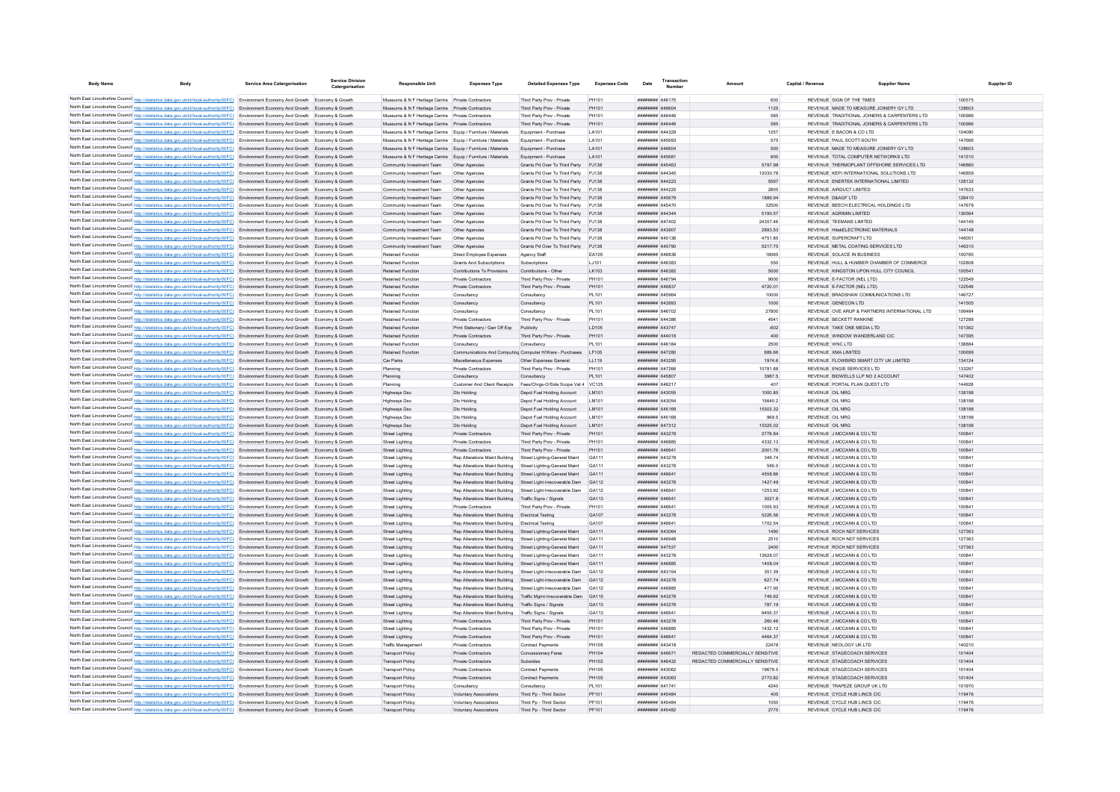| <b>Body Name</b>                                                                                                                       | Body | <b>Service Area Catergorisation</b> | <b>Service Division</b><br>Catergorisation | Responsible Unit                                            | <b>Expenses Type</b>                                         | <b>Detailed Expenses Type</b>                                       | <b>Expenses Code</b> | <b>Transaction</b><br>Date<br>Number |                                 | Capital / Revenue | <b>Supplier Nam</b>                           | Supplier ID |  |
|----------------------------------------------------------------------------------------------------------------------------------------|------|-------------------------------------|--------------------------------------------|-------------------------------------------------------------|--------------------------------------------------------------|---------------------------------------------------------------------|----------------------|--------------------------------------|---------------------------------|-------------------|-----------------------------------------------|-------------|--|
|                                                                                                                                        |      |                                     |                                            |                                                             |                                                              |                                                                     |                      |                                      |                                 |                   |                                               |             |  |
| North East Lincolnshire Council http://statistics.data.gov.uk/id/local-authority/00FC) Environment Economy And Growth Economy & Growth |      |                                     |                                            | Museums & N F Heritage Centre Private Contractors           |                                                              | Third Party Prov - Private                                          | PH101                | ####### 646175                       | 600                             |                   | REVENUE SIGN OF THE TIMES                     | 100575      |  |
| North East Lincolnshire Council http://statistics.data.gov.uk/id/local-authority/00FC) Environment Economy And Growth Economy & Growth |      |                                     |                                            | Museums & N F Heritage Centre Private Contractors           |                                                              | Third Party Prov - Private                                          | PH101                | ####### 646604                       | 1125                            |                   | REVENUE MADE TO MEASURE JOINERY GY LTD        | 128603      |  |
| North East Lincolnshire Council http://statistics.data.gov.uk/id/local-authority/00FC) Environment Economy And Growth Economy & Growth |      |                                     |                                            | Museums & N F Heritage Centre Private Contractors           |                                                              | Third Party Prov - Private                                          | PH101                | ####### 646446                       | 585                             |                   | REVENUE TRADITIONAL JOINERS & CARPENTERS LTD  | 100986      |  |
| North East Lincolnshire Council http://statistics.data.gov.uk/id/local-authority/00FC) Environment Economy And Growth Economy & Growth |      |                                     |                                            | Museums & N F Heritage Centre Private Contractors           |                                                              | Third Party Prov - Private                                          | PH101                | ######## 646446                      | 585                             |                   | REVENUE TRADITIONAL JOINERS & CARPENTERS LTD  | 100986      |  |
| North East Lincolnshire Council http://statistics.data.gov.uk/id/local-authority/00FC) Environment Economy And Growth Economy & Growth |      |                                     |                                            | Museums & N F Heritage Centre Equip / Furniture / Materials |                                                              | Equipment - Purchase                                                | LA101                | ######## 644329                      | 1257                            |                   | REVENUE E BACON & CO LTD                      | 104090      |  |
| North East Lincolnshire Council http://statistics.data.gov.uk/id/local-authority/00FC) Environment Economy And Growth Economy & Growth |      |                                     |                                            | Museums & N F Heritage Centre Equip / Furniture / Materials |                                                              | Equipment - Purchase                                                | LA101                | ####### 645693                       | 575                             |                   | REVENUE PAUL SCOTT-SOUTH                      | 147666      |  |
| North East Lincolnshire Council http://statistics.data.gov.uk/id/local-authority/00FC) Environment Economy And Growth Economy & Growth |      |                                     |                                            | Museums & N F Heritage Centre Equip / Furniture / Materials |                                                              | Equipment - Purchase                                                | LA101                | ######## 646604                      | 500                             |                   | REVENUE MADE TO MEASURE JOINERY GY LTD        | 128603      |  |
| North East Lincolnshire Council http://statistics.data.gov.uk/id/local-authority/00FC) Environment Economy And Growth Economy & Growth |      |                                     |                                            | Museums & N F Heritage Centre Equip / Furniture / Materials |                                                              | Equipment - Purchase                                                | LA101                | ######## 645681                      | 600                             |                   | REVENUE TOTAL COMPUTER NETWORKS LTD           | 141310      |  |
| North East Lincolnshire Council http://statistics.data.gov.uk/id/local-authority/00FC) Environment Economy And Growth Economy & Growth |      |                                     |                                            | Community Investment Team Other Agencies                    |                                                              | Grants Pd Over To Third Party PJ138                                 |                      | ######## 645463                      | 5797.98                         |                   | REVENUE THERMOPLANT OFFSHORE SERVICES LTD     | 146860      |  |
| North East Lincolnshire Council http://statistics.data.gov.uk/id/local-authority/00FC) Environment Economy And Growth Economy & Growth |      |                                     |                                            | Community Investment Team                                   | Other Anencies                                               | Grants Pd Over To Third Party PJ138                                 |                      | <b>####### 644345</b>                | 12030.78                        |                   | REVENUE KEPLINTERNATIONAL SOLUTIONS LTD       | 146859      |  |
| North East Lincolnshire Council http://statistics.data.gov.uk/id/local-authority/00FC) Environment Economy And Growth Economy & Growth |      |                                     |                                            | Community Investment Team                                   | Other Agencies                                               | Grants Pd Over To Third Party                                       |                      | ####### 644223                       | 5597                            |                   | REVENUE ENERTEK INTERNATIONAL LIMITED         | 128132      |  |
| North East Lincolnshire Council http://statistics.data.gov.uk/id/local-authority/00FC) Environment Economy And Growth Economy & Growth |      |                                     |                                            | Community Investment Team                                   | Other Agencies                                               | Grants Pd Over To Third Party PJ138                                 |                      | <b>иннинин</b> 644225                | 2805                            |                   | REVENUE AIRDUCT LIMITED                       | 147633      |  |
| North East Lincolnshire Council http://statistics.data.gov.uk/id/local-authority/00FC) Environment Economy And Growth Economy & Growth |      |                                     |                                            | Community Investment Team                                   | Other Agencies                                               | Grants Pd Over To Third Party PJ138                                 |                      | ####### 645679                       | 1886.94                         |                   | REVENUE D&AGE LTD                             | 128410      |  |
| North East Lincolnshire Council http://statistics.data.gov.uk/id/local-authority/00FC) Environment Economy And Growth Economy & Growth |      |                                     |                                            | Community Investment Team                                   | Other Anencies                                               | Grants Pd Over To Third Party P.I138                                |                      | ######## 645470                      | 32500                           |                   | REVENUE BEECH ELECTRICAL HOLDINGS LTD.        | 147679      |  |
| North East Lincolnshire Council http://statistics.data.gov.uk/id/local-authority/00FC) Environment Economy And Growth Economy & Growth |      |                                     |                                            | Community Investment Team                                   | Other Agencies                                               | Grants Pd Over To Third Party PJ138                                 |                      | ######## 644344                      | 5190.57                         |                   | REVENUE AGRIMIN LIMITED                       | 130564      |  |
| North East Lincolnshire Council http://statistics.data.gov.uk/id/local-authority/00FC) Environment Economy And Growth Economy & Growth |      |                                     |                                            | Community Investment Team                                   | Other Agencies                                               | Grants Pd Over To Third Party PJ138                                 |                      | <b>####### 647402</b>                | 24357.46                        |                   | REVENUE TEEMANS LIMITED                       | 144145      |  |
| North East Lincolnshire Council http://statistics.data.gov.uk/id/local-authority/00FC) Environment Economy And Growth Economy & Growth |      |                                     |                                            | Community Investment Team                                   | Other Agencies                                               | Grants Pd Over To Third Party PJ138                                 |                      | ######## 643907                      | 2893.53                         |                   | REVENUE HitekELECTRONIC MATERIALS             | 144148      |  |
| North East Lincolnshire Council http://statistics.data.gov.uk/id/local-authority/00FC) Environment Economy And Growth Economy & Growth |      |                                     |                                            | Community Investment Team                                   | Other Agencies                                               | Grants Pd Over To Third Party PJ138                                 |                      | ####### 645136                       | 4751.85                         |                   | REVENUE SUPERCRAFT LTD                        | 146051      |  |
| North East Lincolnshire Council http://statistics.data.gov.uk/id/local-authority/00FC) Environment Economy And Growth Economy & Growth |      |                                     |                                            | Community Investment Team                                   | Other Agencies                                               | Grants Pd Over To Third Party PJ138                                 |                      | ######## 645790                      | 5217.75                         |                   | REVENUE METAL COATING SERVICES LTD            | 146310      |  |
| North East Lincolnshire Council http://statistics.data.gov.uk/id/local-authority/00FC) Environment Economy And Growth Economy & Growth |      |                                     |                                            | Retained Function                                           | Direct Employee Expenses                                     | Agency Staff                                                        | FA105                | ####### 646836                       | 16065                           |                   | REVENUE SOLACE IN BUSINESS                    | 100785      |  |
| North East Lincolnshire Council http://statistics.data.gov.uk/id/local-authority/00FC) Environment Economy And Growth Economy & Growth |      |                                     |                                            | Retained Function                                           | <b>Grants And Subscriptions</b>                              | Subscriptions                                                       | LJ101                | ######## 646383                      | 550                             |                   | REVENUE HULL & HUMBER CHAMBER OF COMMERCE     | 102808      |  |
| North East Lincolnshire Council http://statistics.data.gov.uk/id/local-authority/00FC) Environment Economy And Growth Economy & Growth |      |                                     |                                            | Retained Function                                           | Contributions To Provisions                                  | Contributions - Other                                               | LK103                | ######## 646382                      | 5000                            |                   | REVENUE KINGSTON UPON HULL CITY COUNCIL       | 100541      |  |
| North East Lincolnshire Council http://statistics.data.gov.uk/id/local-authority/00FC) Environment Economy And Growth Economy & Growth |      |                                     |                                            | <b>Retained Function</b>                                    | Private Contractors                                          | Third Party Prov - Private                                          | PH101                | ####### 646794                       | 9000                            |                   | REVENUE E-FACTOR (NEL LTD)                    | 122549      |  |
| North East Lincolnshire Council http://statistics.data.gov.uk/id/local-authority/00FC) Environment Economy And Growth Economy & Growth |      |                                     |                                            | Retained Function                                           | Private Contractors                                          | Third Party Prov - Private                                          | PH101                | ####### 646837                       | 4720.01                         |                   | REVENUE E-FACTOR (NEL LTD)                    | 122549      |  |
| North East Lincolnshire Council http://statistics.data.gov.uk/id/local-authority/00FC) Environment Economy And Growth Economy & Growth |      |                                     |                                            | Retained Functio                                            | Consultancy                                                  | Consultancy                                                         | PL101                | ####### 645964                       | 10000                           |                   | REVENUE BRADSHAW COMMUNICATIONS LTD           | 146727      |  |
| North East Lincolnshire Council http://statistics.data.gov.uk/id/local-authority/00FC) Environment Economy And Growth Economy & Growth |      |                                     |                                            | <b>Retained Function</b>                                    | Consultancy                                                  | Consultancy                                                         | PL101                | ######## 643993                      | 1000                            |                   | REVENUE GENECON LTD.                          | 141505      |  |
| North East Lincolnshire Council http://statistics.data.gov.uk/id/local-authority/00FC) Environment Economy And Growth Economy & Growth |      |                                     |                                            | Retained Function                                           | Consultancy                                                  | Consultancy                                                         | PI 101               | ######## 646702                      | 27800                           |                   | REVENUE OVE ARUP & PARTNERS INTERNATIONAL LTD | 106464      |  |
| North East Lincolnshire Council http://statistics.data.gov.uk/id/local-authority/00FC) Environment Economy And Growth Economy & Growth |      |                                     |                                            | <b>Retained Function</b>                                    | Private Contractors                                          | Third Party Prov - Private                                          | PH101                | ####### 644386                       | 4541                            |                   | REVENUE RECKETT RANKINE                       | 127288      |  |
| North East Lincolnshire Council http://statistics.data.gov.uk/id/local-authority/00FC) Environment Economy And Growth Economy & Growth |      |                                     |                                            | Retained Function                                           | Print Stationery / Gen Off Exp Publicity                     |                                                                     | LD105                | ######## 643747                      | $-602$                          |                   | REVENUE TAKE ONE MEDIA LTD                    | 101362      |  |
| North East Lincolnshire Council http://statistics.data.gov.uk/id/local-authority/00FC) Environment Economy And Growth Economy & Growth |      |                                     |                                            | Retained Function                                           | Private Contractors                                          | Third Party Prov - Private                                          | PH101                | ######## 644018                      | 400                             |                   | REVENUE WINDOW WANDERLAND CIC                 | 147395      |  |
| North East Lincolnshire Council http://statistics.data.gov.uk/id/local-authority/00FC) Environment Economy And Growth Economy & Growth |      |                                     |                                            | <b>Retained Function</b>                                    | Consultancy                                                  | Consultancy                                                         | PL101                | ######## 646184                      | 2500                            |                   | REVENUE WNC LTD                               | 138884      |  |
| North East Lincolnshire Council http://statistics.data.gov.uk/id/local-authority/00FC) Environment Economy And Growth Economy & Growth |      |                                     |                                            | <b>Retained Function</b>                                    |                                                              | Communications And Computing Computer H/Ware - Purchases            | LF105                | ######## 647280                      | 689.66                          |                   | REVENUE XMA LIMITED                           | 100699      |  |
| North East Lincolnshire Council http://statistics.data.gov.uk/id/local-authority/00FC) Environment Economy And Growth Economy & Growth |      |                                     |                                            | Car Parks                                                   | Miscellaneous Expenses                                       | Other Expenses General                                              | LL119                | ######## 643295                      | 1974.6                          |                   | REVENUE FLOWBIRD SMART CITY UK LIMITED        | 134124      |  |
| North East Lincolnshire Council http://statistics.data.gov.uk/id/local-authority/00FC) Environment Economy And Growth Economy & Growth |      |                                     |                                            | Planning                                                    | Private Contractors                                          | Third Party Prov - Private                                          | PH101                | ####### 647266                       | 10781.88                        |                   | REVENUE ENGIE SERVICES LTD                    | 133267      |  |
| North East Lincolnshire Council http://statistics.data.gov.uk/id/local-authority/00FC) Environment Economy And Growth Economy & Growth |      |                                     |                                            | Planning                                                    | Consultancy                                                  | Consultancy                                                         | PL101                | ######## 645807                      | 3987.5                          |                   | REVENUE BIDWELLS LLP NO 2 ACCOUNT             | 147402      |  |
| North East Lincolnshire Council http://statistics.data.gov.uk/id/local-authority/00FC) Environment Economy And Growth Economy & Growth |      |                                     |                                            | Planning                                                    | <b>Customer And Client Receipts</b>                          | Fees/Chrgs-O/Side Scope Vat 4 VC125                                 |                      | ####### 646217                       | 407                             |                   | REVENUE PORTAL PLAN QUEST LTD                 | 144928      |  |
| North East Lincolnshire Council http://statistics.data.gov.uk/id/local-authority/00FC) Environment Economy And Growth Economy & Growth |      |                                     |                                            | <b>Highways Dso</b>                                         | Dlo Holding                                                  | Depot Fuel Holding Account                                          | LM101                | ######## 643055                      | 1000.85                         |                   | REVENUE OIL NRG                               | 138198      |  |
| North East Lincolnshire Council http://statistics.data.gov.uk/id/local-authority/00FC) Environment Economy And Growth                  |      |                                     |                                            | lighways Dsc                                                | Dlo Holding                                                  | Depot Fuel Holding Account                                          | LM101                | ######## 643054                      | 15640.2                         |                   | <b>REVENUE OIL NRC</b>                        | 138198      |  |
| North East Lincolnshire Council http://statistics.data.gov.uk/id/local-authority/00FC) Environment Economy And Growth Economy & Growth |      |                                     |                                            | <b>Highways Dsc</b>                                         | Dlo Holding                                                  | Depot Fuel Holding Account                                          | LM101                | ####### 645169                       | 15303.32                        |                   | REVENUE OIL NRG                               | 138198      |  |
| North East Lincolnshire Council http://statistics.data.gov.uk/id/local-authority/00FC) Environment Economy And Growth Economy & Growth |      |                                     |                                            | <b>Highways Dsc</b>                                         | Dlo Holding                                                  | Depot Fuel Holding Account                                          | <b>IM101</b>         | <b><i>HHHHHHH 645168</i></b>         | 969.5                           |                   | REVENUE OIL NRG                               | 138198      |  |
| North East Lincolnshire Council http://statistics.data.gov.uk/id/local-authority/00FC) Environment Economy And Growth Economy & Growth |      |                                     |                                            | Highways Dso                                                | Dio Holding                                                  | Denot Fuel Holding Account                                          | <b>IM101</b>         | <b>иннинин</b> 647312                | 15325.02                        |                   | REVENUE OIL NRG                               | 138198      |  |
| North East Lincolnshire Council http://statistics.data.gov.uk/id/local-authority/00FC) Environment Economy And Growth Economy & Growth |      |                                     |                                            | Street Lighting                                             | Private Contractors                                          | Third Party Prov - Private                                          | PH101                | ######## 643278                      | 2778.84                         |                   | REVENUE J MCCANN & CO LTD                     | 100841      |  |
| North East Lincolnshire Council http://statistics.data.gov.uk/id/local-authority/00FC) Environment Economy And Growth Economy & Growth |      |                                     |                                            | Street Lighting                                             | Private Contractors                                          | Third Party Prov - Private                                          | PH101                | ######## 646885                      | 4332.13                         |                   | REVENUE J MCCANN & CO LTD                     | 100841      |  |
| North East Lincolnshire Council http://statistics.data.gov.uk/id/local-authority/00FC) Environment Economy And Growth Economy & Growth |      |                                     |                                            | Street Lighting                                             | Private Contractors                                          | Third Party Prov - Private                                          | PH101                | ######## 646641                      | 2001.76                         |                   | REVENUE J MCCANN & CO LTD                     | 100841      |  |
| North East Lincolnshire Council http://statistics.data.gov.uk/id/local-authority/00FC) Environment Economy And Growth Economy & Growth |      |                                     |                                            | Street Lighting                                             | Rep Alterations Maint Building                               | Street Lighting-General Maint                                       | GA111                | ######## 643278                      | 346.74                          |                   | REVENUE J MCCANN & CO LTD                     | 100841      |  |
| North East Lincolnshire Council http://statistics.data.gov.uk/id/local-authority/00FC) Environment Economy And Growth Economy & Growth |      |                                     |                                            | Street Lighting                                             | Rep Alterations Maint Building Street Lighting-General Maint |                                                                     | GA111                | ######## 643278                      | 565.5                           |                   | REVENUE J MCCANN & CO LTD                     | 100841      |  |
| North East Lincolnshire Council http://statistics.data.gov.uk/id/local-authority/00FC) Environment Economy And Growth Economy & Growth |      |                                     |                                            | Street Lighting                                             | Ren Alterations Maint Building                               | Street Lighting-General Maint                                       | GA111                | ######## 646641                      | 4558 86                         |                   | REVENUE J MCCANN & CO LTD                     | 100841      |  |
| North East Lincolnshire Council http://statistics.data.gov.uk/id/local-authority/00FC) Environment Economy And Growth Economy & Growth |      |                                     |                                            | Street Lighting                                             | Rep Alterations Maint Building                               | Street Light-Irrecoverable Dam GA112                                |                      | ######## 643278                      | 1427.49                         |                   | REVENUE J MCCANN & CO LTD                     | 100841      |  |
| North East Lincolnshire Council http://statistics.data.gov.uk/id/local-authority/00FC) Environment Economy And Growth Economy & Growth |      |                                     |                                            | Street Lighting                                             | Rep Alterations Maint Building                               | Street Light-Irrecoverable Dam                                      | GA112                | ####### 64664                        | 1253.92                         |                   | REVENUE J MCCANN & CO LTD                     | 100841      |  |
| North East Lincolnshire Council http://statistics.data.gov.uk/id/local-authority/00FC) Environment Economy And Growth Economy & Growth |      |                                     |                                            | <b>Street Lighting</b>                                      | Rep Alterations Maint Building                               | Traffic Signs / Signals                                             | GA113                | ####### 646641                       | 3021.8                          |                   | REVENUE J MCCANN & CO LTD                     | 100841      |  |
| North East Lincolnshire Council http://statistics.data.gov.uk/id/local-authority/00FC) Environment Economy And Growth Economy & Growth |      |                                     |                                            | Street Lighting                                             | Private Contractors                                          | Third Party Prov - Private                                          | PH101                | BASS BREEZE                          | 1005.93                         |                   | REVENUE J MCCANN & CO LTD                     | 100841      |  |
| North East Lincolnshire Council http://statistics.data.gov.uk/id/local-authority/00FC) Environment Economy And Growth Economy & Growth |      |                                     |                                            | <b>Street Lighting</b>                                      | Rep Alterations Maint Building                               | Electrical Testing                                                  | GA107                | <b>инивнин</b> 643278                | 5226.56                         |                   | REVENUE J MCCANN & CO LTD                     | 100841      |  |
| North East Lincolnshire Council http://statistics.data.gov.uk/id/local-authority/00FC) Environment Economy And Growth Economy & Growth |      |                                     |                                            | Street Lighting                                             | Ren Alterations Maint Building                               | Electrical Testing                                                  | GA107                |                                      | 1702.54                         |                   | REVENUE J MCCANN & CO LTD                     | 100841      |  |
| North East Lincolnshire Council http://statistics.data.gov.uk/id/local-authority/00FC) Environment Economy And Growth Economy & Growth |      |                                     |                                            | Street Lighting                                             |                                                              | Rep Alterations Maint Building Street Lighting-General Maint GA111  |                      | ######## 643064                      | 1490                            |                   | REVENUE ROCH NDT SERVICES                     | 127363      |  |
| North East Lincolnshire Council http://statistics.data.gov.uk/id/local-authority/00FC) Environment Economy And Growth Economy & Growth |      |                                     |                                            | Street Lighting                                             |                                                              | Rep Alterations Maint Building Street Lighting-General Maint        | GA111                | ######## 646948                      | 2510                            |                   | REVENUE ROCH NDT SERVICES                     | 127363      |  |
| North East Lincolnshire Council http://statistics.data.gov.uk/id/local-authority/00FC) Environment Economy And Growth Economy & Growth |      |                                     |                                            | Street Lighting                                             |                                                              | Rep Alterations Maint Building Street Lighting-General Maint GA111  |                      | ######## 647537                      | 2400                            |                   | REVENUE ROCH NDT SERVICES                     | 127363      |  |
| North East Lincolnshire Council http://statistics.data.gov.uk/id/local-authority/00FC) Environment Economy And Growth Economy & Growth |      |                                     |                                            | Street Lighting                                             |                                                              | Rep Alterations Maint Building Street Lighting-General Maint GA111  |                      | ######## 643278                      | 13628.07                        |                   | REVENUE J MCCANN & CO LTD                     | 100841      |  |
| North East Lincolnshire Council http://statistics.data.gov.uk/id/local-authority/00FC) Environment Economy And Growth Economy & Growth |      |                                     |                                            | Street Lighting                                             |                                                              | Rep Alterations Maint Building Street Lighting-General Maint GA111  |                      | ######## 646885                      | 1408.04                         |                   | REVENUE J MCCANN & CO LTD                     | 100841      |  |
| North East Lincolnshire Council http://statistics.data.gov.uk/id/local-authority/00FC) Environment Economy And Growth Economy & Growth |      |                                     |                                            | Street Lighting                                             |                                                              | Rep Alterations Maint Building Street Light-Irrecoverable Dam GA112 |                      | ######## 643154                      | 351.39                          |                   | REVENUE J MCCANN & CO LTD                     | 100841      |  |
| North East Lincolnshire Council http://statistics.data.gov.uk/id/local-authority/00FC) Environment Economy And Growth Economy & Growth |      |                                     |                                            | Street Lighting                                             |                                                              | Rep Alterations Maint Building Street Light-Irrecoverable Dam GA112 |                      | <b>####### 643278</b>                | 62774                           |                   | REVENUE J MCCANN & CO LTD                     | 100841      |  |
| North East Lincolnshire Council http://statistics.data.gov.uk/id/local-authority/00FC) Environment Economy And Growth Economy & Growth |      |                                     |                                            | Street Lighting                                             | Rep Alterations Maint Building                               | Street Light-Irrecoverable Dam GA112                                |                      | HUUUHU 646885                        | 47795                           |                   | REVENUE J MCCANN & CO LTD                     | 100841      |  |
| North East Lincolnshire Council http://statistics.data.gov.uk/id/local-authority/00FC) Environment Economy And Growth Economy & Growth |      |                                     |                                            | Street Lighting                                             |                                                              | Rep Alterations Maint Building Traffic Momt-Irrecoverable Dam GA115 |                      | ######## 643278                      | 749.62                          |                   | REVENUE J MCCANN & CO LTD                     | 100841      |  |
| North East Lincolnshire Council http://statistics.data.gov.uk/id/local-authority/00FC) Environment Economy And Growth Economy & Growth |      |                                     |                                            | Street Lighting                                             | Rep Alterations Maint Building                               | Traffic Signs / Signals                                             | GA113                | ######## 643278                      | 787.19                          |                   | REVENUE J MCCANN & CO LTD                     | 100841      |  |
| North East Lincolnshire Council http://statistics.data.gov.uk/id/local-authority/00FC) Environment Economy And Growth Economy & Growth |      |                                     |                                            | Street Lighting                                             | Rep Alterations Maint Building Traffic Signs / Signals       |                                                                     | GA113                | ######## 646641                      | 9455.37                         |                   | REVENUE J MCCANN & CO LTD                     | 100841      |  |
| North East Lincolnshire Council http://statistics.data.gov.uk/id/local-authority/00FC) Environment Economy And Growth Economy & Growth |      |                                     |                                            | Street Lighting                                             | Private Contractors                                          | Third Party Prov - Private                                          | PH101                | ######## 643278                      | 260.46                          |                   | REVENUE J MCCANN & CO LTD                     | 100841      |  |
| North East Lincolnshire Council http://statistics.data.gov.uk/id/local-authority/00FC) Environment Economy And Growth Economy & Growth |      |                                     |                                            | Street Lighting                                             | Private Contractors                                          | Third Party Prov - Private                                          | PH101                | <b>HUUHUH 646885</b>                 | 1432.12                         |                   | REVENUE J MCCANN & CO LTD                     | 100841      |  |
| North East Lincolnshire Council http://statistics.data.gov.uk/id/local-authority/00FC) Environment Economy And Growth Economy & Growth |      |                                     |                                            | Street Lighting                                             | <b>Private Contractors</b>                                   | Third Party Prov - Private                                          | PH101                | ######## 646641                      | 4464.37                         |                   | REVENUE J MCCANN & CO LTD                     | 100841      |  |
| North East Lincolnshire Council http://statistics.data.gov.uk/id/local-authority/00FC) Environment Economy And Growth Economy & Growth |      |                                     |                                            | Traffic Management                                          | Private Contractors                                          | Contract Payments                                                   | PH105                | ######## 643418                      | 22478                           |                   | REVENUE NEOLOGY UK LTD                        | 140210      |  |
| North East Lincolnshire Council http://statistics.data.gov.uk/id/local-authority/00FC) Environment Economy And Growth Economy & Growth |      |                                     |                                            | <b>Transport Policy</b>                                     | Private Contractors                                          | Concessionary Fares                                                 | <b>PH104</b>         | ######## 646671                      | REDACTED COMMERCIALLY SENSITIVE |                   | REVENUE STAGECOACH SERVICES                   | 101404      |  |
| North East Lincolnshire Council http://statistics.data.gov.uk/id/local-authority/00FC) Environment Economy And Growth Economy & Growth |      |                                     |                                            | <b>Transport Policy</b>                                     | Private Contractors                                          | Subsidies                                                           | PH102                | ####### 646432                       | REDACTED COMMERCIALLY SENSITIVE |                   | REVENUE STAGECOACH SERVICES                   | 101404      |  |
| North East Lincolnshire Council http://statistics.data.gov.uk/id/local-authority/00FC) Environment Economy And Growth Economy & Growth |      |                                     |                                            | <b>Transport Policy</b>                                     | Private Contractors                                          | Contract Payments                                                   | PH105                | ######## 643062                      | 19679.5                         |                   | REVENUE STAGECOACH SERVICES                   | 101404      |  |
| North East Lincolnshire Council http://statistics.data.gov.uk/id/local-authority/00FC) Environment Economy And Growth Economy & Growth |      |                                     |                                            | <b>Transport Policy</b>                                     | Private Contractors                                          | Contract Payments                                                   | PH105                | ######## 643063                      | 2770.82                         |                   | REVENUE STAGECOACH SERVICES                   | 101404      |  |
| North East Lincolnshire Council http://statistics.data.gov.uk/id/local-authority/00FC) Environment Economy And Growth Economy & Growth |      |                                     |                                            | <b>Transport Policy</b>                                     | Consultancy                                                  | Consultancy                                                         | PI 101               | <b>HHHHHHH</b> 641741                | 4240                            |                   | REVENUE TRAPEZE GROUP UK LTD                  | 101970      |  |
| North East Lincolnshire Council http://statistics.data.gov.uk/id/local-authority/00FC) Environment Economy And Growth Economy & Growth |      |                                     |                                            | <b>Transport Policy</b>                                     | <b>Voluntary Associations</b>                                | Third Pp - Third Sector                                             | PF101                | ######## 645484                      | 405                             |                   | REVENUE CYCLE HUB LINCS CIC.                  | 119476      |  |
| North East Lincolnshire Council http://statistics.data.gov.uk/id/local-authority/00FC) Environment Economy And Growth Economy & Growth |      |                                     |                                            | <b>Transport Policy</b>                                     | <b>Voluntary Associations</b>                                | Third Pp - Third Sector                                             | PF101                | <b>########</b> 645484               | 1050                            |                   | REVENUE CYCLE HUB LINCS CIC                   | 119476      |  |
| North East Lincolnshire Council http://statistics.data.gov.uk/id/local-authority/00FC) Environment Economy And Growth Economy & Growth |      |                                     |                                            | <b>Transport Policy</b>                                     | <b>Voluntary Associations</b>                                | Third Pp - Third Sector                                             | PF101                | ####### 645482                       | 2775                            |                   | REVENUE CYCLE HUB LINCS CIC                   | 119476      |  |
|                                                                                                                                        |      |                                     |                                            |                                                             |                                                              |                                                                     |                      |                                      |                                 |                   |                                               |             |  |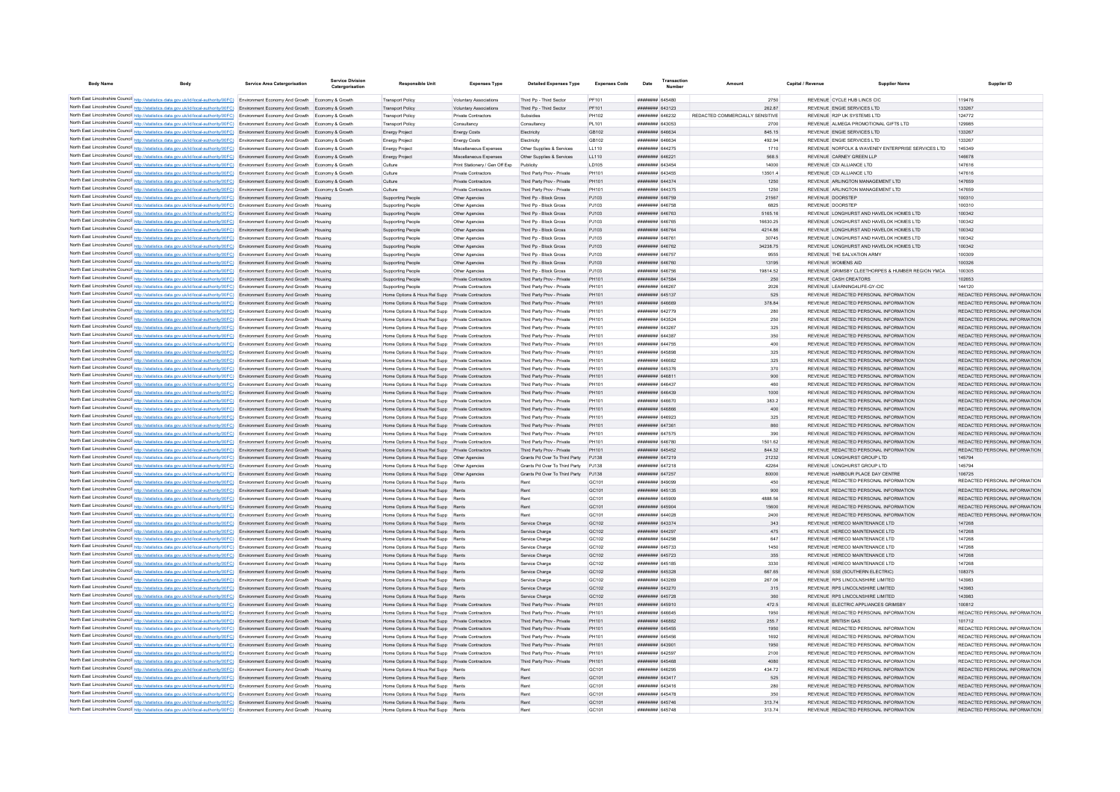| <b>Body Name</b> |                                                                                                                                                                                                                                                                                  | <b>Service Area Catergorisation</b> | Service Division<br>Catergorisation | <b>Responsible Unit</b>                                                                              | <b>Expenses Type</b>                                  | <b>Detailed Expenses Type</b>                            | <b>Expenses Code</b> | Date                                                   | <b>Transactio</b><br>Number |                                 | Capital / Revenue | <b>Supplier Nam</b>                                                            | Supplier ID                                                    |
|------------------|----------------------------------------------------------------------------------------------------------------------------------------------------------------------------------------------------------------------------------------------------------------------------------|-------------------------------------|-------------------------------------|------------------------------------------------------------------------------------------------------|-------------------------------------------------------|----------------------------------------------------------|----------------------|--------------------------------------------------------|-----------------------------|---------------------------------|-------------------|--------------------------------------------------------------------------------|----------------------------------------------------------------|
|                  | North East Lincolnshire Council http://statistics.data.gov.uk/id/local-authority/00FC) Environment Economy And Growth Economy & Growth                                                                                                                                           |                                     |                                     | <b>Transport Policy</b>                                                                              | Voluntary Associations                                | Third Po - Third Sector                                  | PF101                | ######## 645480                                        |                             | 2750                            |                   | REVENUE CYCLE HUB LINCS CIC                                                    | 119476                                                         |
|                  | North East Lincolnshire Council http://statistics.data.gov.uk/id/local-authority/00FC) Environment Economy And Growth Economy & Growth                                                                                                                                           |                                     |                                     | <b>Transport Policy</b>                                                                              | Voluntary Associations                                | Third Pp - Third Sector                                  | PF101                | ######## 643123                                        |                             | 262.87                          |                   | REVENUE ENGIE SERVICES LTD                                                     | 133267                                                         |
|                  | North East Lincolnshire Council http://statistics.data.gov.uk/id/local-authority/00FC) Environment Economy And Growth Economy & Growth                                                                                                                                           |                                     |                                     | <b>Transport Policy</b>                                                                              | Private Contractors                                   | Subsidies                                                | PH102                | ######## 646232                                        |                             | REDACTED COMMERCIALLY SENSITIVE |                   | REVENUE R2P UK SYSTEMS LTD                                                     | 124772                                                         |
|                  | North East Lincolnshire Council http://statistics.data.gov.uk/id/local-authority/00FC) Environment Economy And Growth Economy & Growth                                                                                                                                           |                                     |                                     | <b>Transport Policy</b>                                                                              | Consultancy                                           | Consultancy                                              | PL101                | ####### 643053                                         |                             | 2700                            |                   | REVENUE ALMEGA PROMOTIONAL GIFTS LTD                                           | 129985                                                         |
|                  | North East Lincolnshire Council http://statistics.data.gov.uk/id/local-authority/00FC) Environment Economy And Growth Economy & Growth                                                                                                                                           |                                     |                                     | Energy Project                                                                                       | <b>Energy Costs</b>                                   | Electricity                                              | GB102                | ######## 646634                                        |                             | 845.15                          |                   | REVENUE ENGIE SERVICES LTD                                                     | 133267                                                         |
|                  | North East Lincolnshire Council http://statistics.data.gov.uk/id/local-authority/00FC) Environment Economy And Growth Economy & Growth                                                                                                                                           |                                     |                                     | Energy Project                                                                                       | <b>Energy Costs</b>                                   | Electricity                                              | GB102                | ####### 646634                                         |                             | 492.94                          |                   | REVENUE ENGIE SERVICES LTD                                                     | 133267                                                         |
|                  | North East Lincolnshire Council http://statistics.data.gov.uk/id/local-authority/00FC) Environment Economy And Growth Economy & Growth                                                                                                                                           |                                     |                                     | Energy Project                                                                                       | Miscellaneous Expenses                                | Other Supplies & Services                                | LL110                | ######## 644275                                        |                             | 1710                            |                   | REVENUE NORFOLK & WAVENEY ENTERPRISE SERVICES LTD                              | 145349                                                         |
|                  | North East Lincolnshire Council http://statistics.data.gov.uk/id/local-authority/00FC) Environment Economy And Growth Economy & Growth                                                                                                                                           |                                     |                                     | Energy Project                                                                                       | Miscellaneous Expenses                                | Other Supplies & Services                                | LL110                | ######## 646221                                        |                             | 568.5                           |                   | REVENUE CARNEY GREEN LLP                                                       | 146678                                                         |
|                  | North East Lincolnshire Council http://statistics.data.gov.uk/id/local-authority/00FC) Environment Economy And Growth Economy & Growth                                                                                                                                           |                                     |                                     | Culture                                                                                              | Print Stationery / Gen Off Exp<br>Private Contractors | Publicity                                                | LD105<br>PH101       | ######## 643454<br><b><i><u>HHHHHHH</u></i></b> 643455 |                             | 14000                           |                   | REVENUE CDI ALLIANCE LTD<br>REVENUE CDI ALLIANCE LTD                           | 147616<br>147616                                               |
|                  | North East Lincolnshire Council http://statistics.data.gov.uk/id/local-authority/00FC) Environment Economy And Growth Economy & Growth<br>North East Lincolnshire Council http://statistics.data.gov.uk/id/local-authority/00FC) Environment Economy And Growth Economy & Growth |                                     |                                     | Culture<br>Culture                                                                                   | Private Contractors                                   | Third Party Prov - Private<br>Third Party Prov - Private | PH101                | ######## 644374                                        |                             | 13501.4<br>1250                 |                   | REVENUE ARLINGTON MANAGEMENT LTD                                               | 147659                                                         |
|                  | North East Lincolnshire Council http://statistics.data.gov.uk/id/local-authority/00FC) Environment Economy And Growth Economy & Growth                                                                                                                                           |                                     |                                     | Culture                                                                                              | Private Contractors                                   | Third Party Prov - Private                               | PH101                | ####### 644375                                         |                             | 1250                            |                   | REVENUE ARLINGTON MANAGEMENT LTD                                               | 147659                                                         |
|                  | North East Lincolnshire Council http://statistics.data.gov.uk/id/local-authority/00FC) Environment Economy And Growth Housing                                                                                                                                                    |                                     |                                     | Supporting People                                                                                    | Other Agencies                                        | Third Pp - Block Gross                                   | PJ103                | ####### 646759                                         |                             | 21567                           |                   | REVENUE DOORSTEP                                                               | 100310                                                         |
|                  | North East Lincolnshire Council http://statistics.data.gov.uk/id/local-authority/00FC) Environment Economy And Growth Housing                                                                                                                                                    |                                     |                                     | Supporting People                                                                                    | Other Anencies                                        | Third Pn - Block Gross                                   | P.1103               | ######## 646758                                        |                             | 6825                            |                   | <b>REVENUE DOORSTEP</b>                                                        | 100310                                                         |
|                  | North East Lincolnshire Council http://statistics.data.gov.uk/id/local-authority/00FC) Environment Economy And Growth Housing                                                                                                                                                    |                                     |                                     | Supporting People                                                                                    | Other Agencies                                        | Third Po - Block Gross                                   | PJ103                | ######## 646763                                        |                             | 5165.16                         |                   | REVENUE LONGHURST AND HAVELOK HOMES LTD                                        | 100342                                                         |
|                  | North East Lincolnshire Council http://statistics.data.gov.uk/id/local-authority/00FC) Environment Economy And Growth Housing                                                                                                                                                    |                                     |                                     | Supporting People                                                                                    | Other Agencies                                        | Third Pp - Block Gross                                   | PJ103                | ######## 646765                                        |                             | 16630.25                        |                   | REVENUE LONGHURST AND HAVELOK HOMES LTD.                                       | 100342                                                         |
|                  | North East Lincolnshire Council http://statistics.data.gov.uk/id/local-authority/00FC) Environment Economy And Growth Housing                                                                                                                                                    |                                     |                                     | Supporting People                                                                                    | Other Agencies                                        | Third Pp - Block Gross                                   | PJ103                | ######## 646764                                        |                             | 4214.86                         |                   | REVENUE LONGHURST AND HAVELOK HOMES LTD                                        | 100342                                                         |
|                  | North East Lincolnshire Council http://statistics.data.gov.uk/id/local-authority/00FC) Environment Economy And Growth Housing                                                                                                                                                    |                                     |                                     | Supporting People                                                                                    | Other Agencies                                        | Third Pp - Block Gross                                   | PJ103                | ######## 646761                                        |                             | 30745                           |                   | REVENUE LONGHURST AND HAVELOK HOMES LTD                                        | 100342                                                         |
|                  | North East Lincolnshire Council http://statistics.data.gov.uk/id/local-authority/00FC) Environment Economy And Growth Housing                                                                                                                                                    |                                     |                                     | <b>Supporting People</b>                                                                             | Other Agencies                                        | Third Pp - Block Gross                                   | PJ103<br>P.1103      | ####### 646762<br><b>####### 646757</b>                |                             | 34238.75<br>9555                |                   | REVENUE LONGHURST AND HAVELOK HOMES LTD<br>REVENUE THE SALVATION ARMY          | 100342<br>100309                                               |
|                  | North East Lincolnshire Council http://statistics.data.gov.uk/id/local-authority/00FC) Environment Economy And Growth Housing<br>North East Lincolnshire Council http://statistics.data.gov.uk/id/local-authority/00FC) Environment Economy And Growth Housing                   |                                     |                                     | Supporting People<br><b>Supporting People</b>                                                        | Other Agencies<br>Other Agencies                      | Third Pp - Block Gross<br>Third Pp - Block Gross         | PJ103                | ######## 646760                                        |                             | 13195                           |                   | REVENUE WOMENS AID                                                             | 100326                                                         |
|                  | North East Lincolnshire Council http://statistics.data.gov.uk/id/local-authority/00FC) Environment Economy And Growth Housing                                                                                                                                                    |                                     |                                     | Supporting People                                                                                    | Other Agencies                                        | Third Pp - Block Gross                                   | PJ103                | ######## 646756                                        |                             | 19814.52                        |                   | REVENUE GRIMSBY CLEETHORPES & HUMBER REGION YMCA                               | 100305                                                         |
|                  | North East Lincolnshire Council http://statistics.data.gov.uk/id/local-authority/00FC) Environment Economy And Growth Housing                                                                                                                                                    |                                     |                                     | <b>Supporting People</b>                                                                             | Private Contractors                                   | Third Party Prov - Private                               | PH101                | ######## 647584                                        |                             | 250                             |                   | REVENUE CASH CREATORS                                                          | 102653                                                         |
|                  | North East Lincolnshire Council http://statistics.data.gov.uk/id/local-authority/00FC) Environment Economy And Growth Housing                                                                                                                                                    |                                     |                                     | <b>Supporting People</b>                                                                             | Private Contractors                                   | Third Party Prov - Private                               | PH101                | ######## 646267                                        |                             | 2026                            |                   | REVENUE LEARNING4LIFE-GY-CIC                                                   | 144120                                                         |
|                  | North East Lincolnshire Council http://statistics.data.gov.uk/id/local-authority/00FC) Environment Economy And Growth Housing                                                                                                                                                    |                                     |                                     | Home Options & Hous Rel Supp Private Contractors                                                     |                                                       | Third Party Prov - Private                               | PH101                | ######## 645137                                        |                             | 525                             |                   | REVENUE REDACTED PERSONAL INFORMATION                                          | REDACTED PERSONAL INFORMATION                                  |
|                  | North East Lincolnshire Council http://statistics.data.gov.uk/id/local-authority/00FC) Environment Economy And Growth Housing                                                                                                                                                    |                                     |                                     | Home Options & Hous Rel Supp Private Contractors                                                     |                                                       | Third Party Prov - Private                               | PH101                | HHHHHHH RARRRO                                         |                             | 378.84                          |                   | REVENUE REDACTED PERSONAL INFORMATION                                          | REDACTED PERSONAL INFORMATION                                  |
|                  | North East Lincolnshire Council http://statistics.data.gov.uk/id/local-authority/00FC) Environment Economy And Growth Housing                                                                                                                                                    |                                     |                                     | Home Ontions & Hous Rel Supp Private Contractors                                                     |                                                       | Third Party Prov - Private                               | PH101                | ####### 642779                                         |                             | 280                             |                   | REVENUE REDACTED PERSONAL INFORMATION                                          | REDACTED PERSONAL INFORMATION                                  |
|                  | North East Lincolnshire Council http://statistics.data.gov.uk/id/local-authority/00FC) Environment Economy And Growth Housing                                                                                                                                                    |                                     |                                     | Home Ontions & Hous Rel Supp Private Contractors                                                     |                                                       | Third Party Prov - Private                               | PH101                | ####### 643524                                         |                             | 250                             |                   | REVENUE REDACTED PERSONAL INFORMATION                                          | REDACTED PERSONAL INFORMATION                                  |
|                  | North East Lincolnshire Council http://statistics.data.gov.uk/id/local-authority/00FC) Environment Economy And Growth Housing                                                                                                                                                    |                                     |                                     | Home Options & Hous Rel Supp Private Contractors                                                     |                                                       | Third Party Prov - Private                               | PH101                | ####### 643267                                         |                             | 325                             |                   | REVENUE REDACTED PERSONAL INFORMATION                                          | REDACTED PERSONAL INFORMATION                                  |
|                  | North East Lincolnshire Council http://statistics.data.gov.uk/id/local-authority/00FC) Environment Economy And Growth Housing                                                                                                                                                    |                                     |                                     | Home Options & Hous Rel Supp Private Contractors                                                     |                                                       | Third Party Prov - Private                               | PH101                | ######## 644387                                        |                             | 350                             |                   | REVENUE REDACTED PERSONAL INFORMATION                                          | REDACTED PERSONAL INFORMATION                                  |
|                  | North East Lincolnshire Council http://statistics.data.gov.uk/id/local-authority/00FC) Environment Economy And Growth Housing                                                                                                                                                    |                                     |                                     | Home Options & Hous Rel Supp Private Contractors                                                     |                                                       | Third Party Prov - Private                               | PH101                | ####### 644755                                         |                             | 400                             |                   | REVENUE REDACTED PERSONAL INFORMATION                                          | REDACTED PERSONAL INFORMATION                                  |
|                  | North East Lincolnshire Council http://statistics.data.gov.uk/id/local-authority/00FC) Environment Economy And Growth Housing<br>North East Lincolnshire Council http://statistics.data.gov.uk/id/local-authority/00FC) Environment Economy And Growth Housing                   |                                     |                                     | Home Options & Hous Rel Supp Private Contractors<br>Home Options & Hous Rel Supp Private Contractors |                                                       | Third Party Prov - Private<br>Third Party Prov - Private | PH101<br>PH101       | ######## 645898<br>HHHHHHH 646682                      |                             | 325<br>325                      |                   | REVENUE REDACTED PERSONAL INFORMATION<br>REVENUE REDACTED PERSONAL INFORMATION | REDACTED PERSONAL INFORMATION<br>REDACTED PERSONAL INFORMATION |
|                  | North East Lincolnshire Council http://statistics.data.gov.uk/id/local-authority/00FC) Environment Economy And Growth Housing                                                                                                                                                    |                                     |                                     | Home Options & Hous Rel Supp Private Contractors                                                     |                                                       | Third Party Prov - Private                               | PH101                | ####### 645376                                         |                             | 370                             |                   | REVENUE REDACTED PERSONAL INFORMATION                                          | REDACTED PERSONAL INFORMATION                                  |
|                  | North East Lincolnshire Council http://statistics.data.gov.uk/id/local-authority/00FC) Environment Economy And Growth Housing                                                                                                                                                    |                                     |                                     | Home Options & Hous Rel Supp Private Contractors                                                     |                                                       | Third Party Prov - Private                               | PH101                | ####### 646811                                         |                             | 900                             |                   | REVENUE REDACTED PERSONAL INFORMATION                                          | REDACTED PERSONAL INFORMATION                                  |
|                  | North East Lincolnshire Council http://statistics.data.gov.uk/id/local-authority/00FC) Environment Economy And Growth Housing                                                                                                                                                    |                                     |                                     |                                                                                                      |                                                       | Third Party Prov - Private                               | PH101                | ####### 646437                                         |                             | 460                             |                   | REVENUE REDACTED PERSONAL INFORMATION                                          | REDACTED PERSONAL INFORMATION                                  |
|                  | North East Lincolnshire Council http://statistics.data.gov.uk/id/local-authority/00FC) Environment Economy And Growth Housing                                                                                                                                                    |                                     |                                     | Home Options & Hous Rel Supp Private Contractors                                                     |                                                       | Third Party Prov - Private                               | PH101                | ######## 646439                                        |                             | 1000                            |                   | REVENUE REDACTED PERSONAL INFORMATION                                          | REDACTED PERSONAL INFORMATION                                  |
|                  | North East Lincolnshire Council http://statistics.data.gov.uk/id/local-authority/00FC) Environment Economy And Growth                                                                                                                                                            |                                     |                                     | Home Options & Hous Rel Supp Private Contractors                                                     |                                                       | Third Party Prov - Private                               | PH101                | ######## 646670                                        |                             | 383.2                           |                   | REVENUE REDACTED PERSONAL INFORMATION                                          | REDACTED PERSONAL INFORMATION                                  |
|                  | North East Lincolnshire Council http://statistics.data.gov.uk/id/local-authority/00FC) Environment Economy And Growth Housing                                                                                                                                                    |                                     |                                     | Home Options & Hous Rel Supp Private Contractors                                                     |                                                       | Third Party Prov - Private                               | PH101                | BARABA BERREE                                          |                             | 400                             |                   | REVENUE REDACTED PERSONAL INFORMATION                                          | REDACTED PERSONAL INFORMATION                                  |
|                  | North East Lincolnshire Council http://statistics.data.gov.uk/id/local-authority/00FC) Environment Economy And Growth Housing                                                                                                                                                    |                                     |                                     | Home Options & Hous Rel Supp Private Contractors                                                     |                                                       | Third Party Prov - Private                               | PH101                | FCORA BREEZE                                           |                             | 325                             |                   | REVENUE REDACTED PERSONAL INFORMATION                                          | REDACTED PERSONAL INFORMATION                                  |
|                  | North East Lincolnshire Council http://statistics.data.gov.uk/id/local-authority/00FC) Environment Economy And Growth Housing                                                                                                                                                    |                                     |                                     | Home Ontions & Hous Rel Supp Private Contractors                                                     |                                                       | Third Party Prov - Private                               | PH101                | ####### 647361<br>######## 647575                      |                             | 860                             |                   | REVENUE REDACTED PERSONAL INFORMATION<br>REVENUE REDACTED PERSONAL INFORMATION | REDACTED PERSONAL INFORMATION                                  |
|                  | North East Lincolnshire Council http://statistics.data.gov.uk/id/local-authority/00FC) Environment Economy And Growth Housing                                                                                                                                                    |                                     |                                     | Home Options & Hous Rel Supp Private Contractors<br>Home Options & Hous Rel Supp Private Contractors |                                                       | Third Party Prov - Private<br>Third Party Prov - Private | PH101<br>PH101       | ######## 646780                                        |                             | 390<br>1501.62                  |                   | REVENUE REDACTED PERSONAL INFORMATION                                          | REDACTED PERSONAL INFORMATION<br>REDACTED PERSONAL INFORMATION |
|                  | North East Lincolnshire Council http://statistics.data.gov.uk/id/local-authority/00FC) Environment Economy And Growth Housing<br>North East Lincolnshire Council http://statistics.data.gov.uk/id/local-authority/00FC) Environment Economy And Growth Housing                   |                                     |                                     | Home Options & Hous Rel Supp Private Contractors                                                     |                                                       | Third Party Prov - Private                               | PH101                | ######## 645452                                        |                             | 844.32                          |                   | REVENUE REDACTED PERSONAL INFORMATION                                          | REDACTED PERSONAL INFORMATION                                  |
|                  | North East Lincolnshire Council http://statistics.data.gov.uk/id/local-authority/00FC) Environment Economy And Growth Housing                                                                                                                                                    |                                     |                                     |                                                                                                      |                                                       | Grants Pd Over To Third Party PJ138                      |                      | ######## 647219                                        |                             | 21232                           |                   | REVENUE LONGHURST GROUP LTD                                                    | 145794                                                         |
|                  | North East Lincolnshire Council http://statistics.data.gov.uk/id/local-authority/00FC) Environment Economy And Growth Housing                                                                                                                                                    |                                     |                                     |                                                                                                      |                                                       | Grants Pd Over To Third Party PJ138                      |                      | ######## 647218                                        |                             | 42264                           |                   | REVENUE LONGHURST GROUP LTD                                                    | 145794                                                         |
|                  | North East Lincolnshire Council http://statistics.data.gov.uk/id/local-authority/00FC) Environment Economy And Growth Housing                                                                                                                                                    |                                     |                                     |                                                                                                      |                                                       | Grants Pd Over To Third Party PJ138                      |                      | <b>######## 647257</b>                                 |                             | 80000                           |                   | REVENUE HARBOUR PLACE DAY CENTRE                                               | 106725                                                         |
|                  | North East Lincolnshire Council http://statistics.data.gov.uk/id/local-authority/00FC) Environment Economy And Growth Housing                                                                                                                                                    |                                     |                                     | Home Options & Hous Rel Supp Rents                                                                   |                                                       | Rent                                                     | GC101                | ####### 849099                                         |                             | 450                             |                   | REVENUE REDACTED PERSONAL INFORMATION                                          | REDACTED PERSONAL INFORMATION                                  |
|                  | North East Lincolnshire Council http://statistics.data.gov.uk/id/local-authority/00FC) Environment Economy And Growth Housing                                                                                                                                                    |                                     |                                     | Home Options & Hous Rel Supp Rents                                                                   |                                                       | Rent                                                     | GC101                | ######## 645135                                        |                             | 900                             |                   | REVENUE REDACTED PERSONAL INFORMATION                                          | REDACTED PERSONAL INFORMATION                                  |
|                  | North East Lincolnshire Council http://statistics.data.gov.uk/id/local-authority/00FC) Environment Economy And Growth Housing                                                                                                                                                    |                                     |                                     | Home Options & Hous Rel Supp Rents                                                                   |                                                       | Rent                                                     | GC101                | ####### 645909                                         |                             | 4888.56                         |                   | REVENUE REDACTED PERSONAL INFORMATION                                          | REDACTED PERSONAL INFORMATION                                  |
|                  | North East Lincolnshire Council http://statistics.data.gov.uk/id/local-authority/00FC) Environment Economy And Growth Housing                                                                                                                                                    |                                     |                                     | Home Options & Hous Rel Supp Rents                                                                   |                                                       | Rent                                                     | GC101                | ######## 645904                                        |                             | 15600                           |                   | REVENUE REDACTED PERSONAL INFORMATION                                          | REDACTED PERSONAL INFORMATION                                  |
|                  | North East Lincolnshire Council http://statistics.data.gov.uk/id/local-authority/00FC) Environment Economy And Growth Housing                                                                                                                                                    |                                     |                                     | Home Options & Hous Rel Supp Rents                                                                   |                                                       | Rent                                                     | GC101                | ####### 644028                                         |                             | 2400                            |                   | REVENUE REDACTED PERSONAL INFORMATION                                          | REDACTED PERSONAL INFORMATION                                  |
|                  | North East Lincolnshire Council http://statistics.data.gov.uk/id/local-authority/00FC) Environment Economy And Growth Housing<br>North East Lincolnshire Council http://statistics.data.gov.uk/id/local-authority/00FC) Environment Economy And Growth Housing                   |                                     |                                     | Home Options & Hous Rel Supp Rents<br>Home Options & Hous Rel Supp Rents                             |                                                       | Service Charge<br>Service Charge                         | GC102<br>GC102       | <b>########</b> 643374<br>######## 644297              |                             | 343<br>475                      |                   | REVENUE HERECO MAINTENANCE LTD.<br>REVENUE HERECO MAINTENANCE LTD              | 147268<br>147268                                               |
|                  | North East Lincolnshire Council http://statistics.data.gov.uk/id/local-authority/00FC) Environment Economy And Growth Housing                                                                                                                                                    |                                     |                                     | Home Options & Hous Rel Supp Rents                                                                   |                                                       | Service Charge                                           | GC102                | ######## 644298                                        |                             | 647                             |                   | REVENUE HERECO MAINTENANCE LTD                                                 | 147268                                                         |
|                  | North East Lincolnshire Council http://statistics.data.gov.uk/id/local-authority/00FC) Environment Economy And Growth Housing                                                                                                                                                    |                                     |                                     | Home Options & Hous Rel Supp Rents                                                                   |                                                       | Service Charge                                           | GC102                | ######## 645733                                        |                             | 1450                            |                   | REVENUE HERECO MAINTENANCE LTD                                                 | 147268                                                         |
|                  | North East Lincolnshire Council http://statistics.data.gov.uk/id/local-authority/00FC) Environment Economy And Growth Housing                                                                                                                                                    |                                     |                                     | Home Options & Hous Rel Supp Rents                                                                   |                                                       | Service Charge                                           | GC102                | ######## 645723                                        |                             | 355                             |                   | REVENUE HERECO MAINTENANCE LTD                                                 | 147268                                                         |
|                  | North East Lincolnshire Council http://statistics.data.gov.uk/id/local-authority/00FC) Environment Economy And Growth Housing                                                                                                                                                    |                                     |                                     | Home Options & Hous Rel Supp Rents                                                                   |                                                       | Service Charge                                           | GC102                | ####### 645185                                         |                             | 3330                            |                   | REVENUE HERECO MAINTENANCE LTD                                                 | 147268                                                         |
|                  | North East Lincolnshire Council http://statistics.data.gov.uk/id/local-authority/00FC) Environment Economy And Growth Housing                                                                                                                                                    |                                     |                                     | Home Options & Hous Rel Supp Rents                                                                   |                                                       | Service Charge                                           | GC102                | ######## 645328                                        |                             | 667.65                          |                   | REVENUE SSE (SOUTHERN ELECTRIC)                                                | 108375                                                         |
|                  | North East Lincolnshire Council http://statistics.data.gov.uk/id/local-authority/00FC) Environment Economy And Growth Housing                                                                                                                                                    |                                     |                                     | Home Ontions & Hous Rel Supp Rents                                                                   |                                                       | Service Charge                                           | GC <sub>102</sub>    | ######## 643269                                        |                             | 267.06                          |                   | REVENUE RPS LINCOLNSHIRE LIMITED                                               | 143983                                                         |
|                  | North East Lincolnshire Council http://statistics.data.gov.uk/id/local-authority/00FC) Environment Economy And Growth Housing                                                                                                                                                    |                                     |                                     | Home Options & Hous Rel Supp Rents                                                                   |                                                       | Service Charge                                           | GC <sub>102</sub>    | ######## 643270                                        |                             | 315                             |                   | REVENUE RPS LINCOLNSHIRE LIMITED                                               | 143983                                                         |
|                  | North East Lincolnshire Council http://statistics.data.gov.uk/id/local-authority/00FC) Environment Economy And Growth Housing                                                                                                                                                    |                                     |                                     | Home Options & Hous Rel Supp Rents                                                                   |                                                       | Service Charge                                           | GC <sub>102</sub>    | ######## 645728                                        |                             | 360                             |                   | REVENUE RPS LINCOLNSHIRE LIMITED                                               | 143983                                                         |
|                  | North East Lincolnshire Council http://statistics.data.gov.uk/id/local-authority/00FC) Environment Economy And Growth Housing                                                                                                                                                    |                                     |                                     | Home Options & Hous Rel Supp Private Contractors                                                     |                                                       | Third Party Prov - Private                               | PH101                | ######## 645910                                        |                             | 472.5                           |                   | REVENUE ELECTRIC APPLIANCES GRIMSBY                                            | 100812                                                         |
|                  | North East Lincolnshire Council http://statistics.data.gov.uk/id/local-authority/00FC) Environment Economy And Growth Housing                                                                                                                                                    |                                     |                                     | Home Options & Hous Rel Supp Private Contractors                                                     |                                                       | Third Party Prov - Private                               | PH101                | ####### 646645<br>CRANA HERRHER                        |                             | 1950                            |                   | REVENUE REDACTED PERSONAL INFORMATION                                          | REDACTED PERSONAL INFORMATION<br>101712                        |
|                  | North East Lincolnshire Council http://statistics.data.gov.uk/id/local-authority/00FC) Environment Economy And Growth Housing<br>North East Lincolnshire Council http://statistics.data.gov.uk/id/local-authority/00FC) Environment Economy And Growth Housing                   |                                     |                                     | Home Options & Hous Rel Supp Private Contractors<br>Home Options & Hous Rel Supp Private Contractors |                                                       | Third Party Prov - Private<br>Third Party Prov - Private | PH101<br>PH101       | ####### 645455                                         |                             | 255.7<br>1950                   |                   | <b>REVENUE BRITISH GAS</b><br>REVENUE REDACTED PERSONAL INFORMATION            | REDACTED PERSONAL INFORMATION                                  |
|                  | North East Lincolnshire Council http://statistics.data.gov.uk/id/local-authority/00FC) Environment Economy And Growth Housing                                                                                                                                                    |                                     |                                     | Home Options & Hous Rel Supp Private Contractors                                                     |                                                       | Third Party Prov - Private                               | PH101                | ######## 645456                                        |                             | 1692                            |                   | REVENUE REDACTED PERSONAL INFORMATION                                          | REDACTED PERSONAL INFORMATION                                  |
|                  | North East Lincolnshire Council http://statistics.data.gov.uk/id/local-authority/00FC) Environment Economy And Growth Housing                                                                                                                                                    |                                     |                                     | Home Options & Hous Rel Supp Private Contractors                                                     |                                                       | Third Party Prov - Private                               | PH101                | ######## 643901                                        |                             | 1950                            |                   | REVENUE REDACTED PERSONAL INFORMATION                                          | REDACTED PERSONAL INFORMATION                                  |
|                  | North East Lincolnshire Council http://statistics.data.gov.uk/id/local-authority/00FC) Environment Economy And Growth Housing                                                                                                                                                    |                                     |                                     | Home Options & Hous Rel Supp Private Contractors                                                     |                                                       | Third Party Prov - Private                               | PH101                | ######## 642597                                        |                             | 2100                            |                   | REVENUE REDACTED PERSONAL INFORMATION                                          | REDACTED PERSONAL INFORMATION                                  |
|                  | North East Lincolnshire Council http://statistics.data.gov.uk/id/local-authority/00FC) Environment Economy And Growth Housing                                                                                                                                                    |                                     |                                     | Home Options & Hous Rel Supp Private Contractors                                                     |                                                       | Third Party Prov - Private                               | PH101                | ######## 645468                                        |                             | 4080                            |                   | REVENUE REDACTED PERSONAL INFORMATION                                          | REDACTED PERSONAL INFORMATION                                  |
|                  | North East Lincolnshire Council http://statistics.data.gov.uk/id/local-authority/00FC) Environment Economy And Growth Housing                                                                                                                                                    |                                     |                                     | Home Options & Hous Rel Supp Rent                                                                    |                                                       | Rent                                                     | GC101                | ######## 646295                                        |                             | 434.72                          |                   | REVENUE REDACTED PERSONAL INFORMATION                                          | REDACTED PERSONAL INFORMATION                                  |
|                  | North East Lincolnshire Council http://statistics.data.gov.uk/id/local-authority/00FC) Environment Economy And Growth Housing                                                                                                                                                    |                                     |                                     | Home Options & Hous Rel Supp Rents                                                                   |                                                       | Rent                                                     | GC101                | ######## 643417                                        |                             | 525                             |                   | REVENUE REDACTED PERSONAL INFORMATION                                          | REDACTED PERSONAL INFORMATION                                  |
|                  | North East Lincolnshire Council http://statistics.data.gov.uk/id/local-authority/00FC) Environment Economy And Growth Housing                                                                                                                                                    |                                     |                                     | Home Options & Hous Rel Supp Rents                                                                   |                                                       | Rent                                                     | GC <sub>101</sub>    | ######## 643416                                        |                             | 280                             |                   | REVENUE REDACTED PERSONAL INFORMATION                                          | REDACTED PERSONAL INFORMATION                                  |
|                  | North East Lincolnshire Council http://statistics.data.gov.uk/id/local-authority/00FC) Environment Economy And Growth Housing                                                                                                                                                    |                                     |                                     | Home Ontions & Hous Rel Supp Rents                                                                   |                                                       | Rent                                                     | GC <sub>101</sub>    | <b>######## 645478</b>                                 |                             | 350                             |                   | REVENUE REDACTED PERSONAL INFORMATION<br>REVENUE REDACTED PERSONAL INFORMATION | REDACTED PERSONAL INFORMATION<br>REDACTED PERSONAL INFORMATION |
|                  | North East Lincolnshire Council http://statistics.data.gov.uk/id/local-authority/00FC) Environment Economy And Growth Housing<br>North East Lincolnshire Council http://statistics.data.gov.uk/id/local-authority/00FC) Environment Economy And Growth                           |                                     |                                     | Home Options & Hous Rel Supp Rents<br>Home Options & Hous Rel Supp Rent                              |                                                       | Rent                                                     | GC101<br>GC101       | <b>####### 645746</b><br>######## 645748               |                             | 313.74<br>313.74                |                   | REVENUE REDACTED PERSONAL INFORMATION                                          | REDACTED PERSONAL INFORMATION                                  |
|                  |                                                                                                                                                                                                                                                                                  |                                     |                                     |                                                                                                      |                                                       |                                                          |                      |                                                        |                             |                                 |                   |                                                                                |                                                                |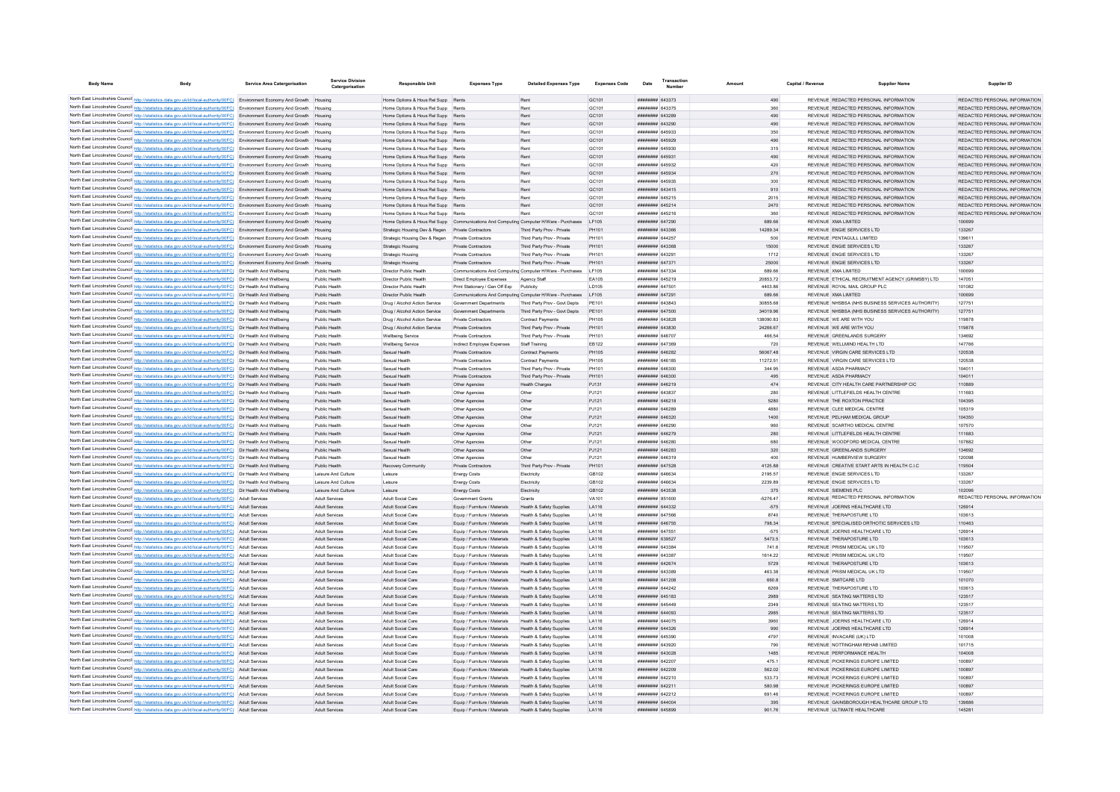| <b>Body Name</b><br>Body                                                                                                                                                                                                           | <b>Service Area Catergorisation</b> | Service Division<br>Catergorisation  | Responsible Uni                                                                       | <b>Expenses Type</b>                       | <b>Detailed Expenses Type</b>                            | <b>Expenses Code</b> | Date                               | <u>Lransactic</u><br>Number | Amount     | Capital / Revenue | <b>Supplier Nam</b>                                                   | Supplier ID                   |
|------------------------------------------------------------------------------------------------------------------------------------------------------------------------------------------------------------------------------------|-------------------------------------|--------------------------------------|---------------------------------------------------------------------------------------|--------------------------------------------|----------------------------------------------------------|----------------------|------------------------------------|-----------------------------|------------|-------------------|-----------------------------------------------------------------------|-------------------------------|
| North East Lincolnshire Council http://statistics.data.gov.uk/id/local-authority/00FC) Environment Economy And Growth Housing                                                                                                      |                                     |                                      | Home Ontions & Hous Rel Supp Rents                                                    |                                            | Rent                                                     | GC <sub>101</sub>    | ######## 643373                    |                             | 490        |                   | REVENUE REDACTED PERSONAL INFORMATION                                 | REDACTED PERSONAL INFORMATION |
| North East Lincolnshire Council http://statistics.data.gov.uk/id/local-authority/00FC) Environment Economy And Growth Housing                                                                                                      |                                     |                                      | Home Options & Hous Rel Supp Rents                                                    |                                            | Rent                                                     | GC101                | ######## 643375                    |                             | 360        |                   | REVENUE REDACTED PERSONAL INFORMATION                                 | REDACTED PERSONAL INFORMATION |
| North East Lincolnshire Council http://statistics.data.gov.uk/id/local-authority/00FC) Environment Economy And Growth Housing                                                                                                      |                                     |                                      | Home Options & Hous Rel Supp Rents                                                    |                                            | Rent                                                     | GC101                | ####### 643289                     |                             | 490        |                   | REVENUE REDACTED PERSONAL INFORMATION                                 | REDACTED PERSONAL INFORMATION |
| North East Lincolnshire Council http://statistics.data.gov.uk/id/local-authority/00FC) Environment Economy And Growth Housing                                                                                                      |                                     |                                      | Home Options & Hous Rel Supp Rents                                                    |                                            | Rent                                                     | GC101                | ######## 643290                    |                             | 490        |                   | REVENUE REDACTED PERSONAL INFORMATION                                 | REDACTED PERSONAL INFORMATION |
| North East Lincolnshire Council http://statistics.data.gov.uk/id/local-authority/00FC) Environment Economy And Growth Housing                                                                                                      |                                     |                                      | Home Options & Hous Rel Supp Rents                                                    |                                            | Rent                                                     | GC101                | ######## 645933                    |                             | 350        |                   | REVENUE REDACTED PERSONAL INFORMATION                                 | REDACTED PERSONAL INFORMATION |
| North East Lincolnshire Council http://statistics.data.gov.uk/id/local-authority/00FC) Environment Economy And Growth Housing                                                                                                      |                                     |                                      | Home Options & Hous Rel Supp Rents                                                    |                                            | Rent                                                     | GC101                | ####### 645929                     |                             | 490        |                   | REVENUE REDACTED PERSONAL INFORMATION                                 | REDACTED PERSONAL INFORMATION |
| North East Lincolnshire Council http://statistics.data.gov.uk/id/local-authority/00FC) Environment Economy And Growth Housing                                                                                                      |                                     |                                      | Home Options & Hous Rel Supp Rents                                                    |                                            | Rent                                                     | GC101                | ######## 645930                    |                             | 315        |                   | REVENUE REDACTED PERSONAL INFORMATION                                 | REDACTED PERSONAL INFORMATION |
| North East Lincolnshire Council http://statistics.data.gov.uk/id/local-authority/00FC) Environment Economy And Growth Housing                                                                                                      |                                     |                                      | Home Options & Hous Rel Supp Rents                                                    |                                            | Rent                                                     | GC101                | ######## 645931                    |                             | 490        |                   | REVENUE REDACTED PERSONAL INFORMATION                                 | REDACTED PERSONAL INFORMATION |
| North East Lincolnshire Council http://statistics.data.gov.uk/id/local-authority/00FC) Environment Economy And Growth Housing                                                                                                      |                                     |                                      | Home Options & Hous Rel Supp Rents                                                    |                                            | Rent                                                     | GC101                | ######## 645932                    |                             | 420        |                   | REVENUE REDACTED PERSONAL INFORMATION                                 | REDACTED PERSONAL INFORMATION |
| North East Lincolnshire Council http://statistics.data.gov.uk/id/local-authority/00FC) Environment Economy And Growth Housing                                                                                                      |                                     |                                      | Home Options & Hous Rel Supp Rents                                                    |                                            | Rent                                                     | GC101                | ######## 645934                    |                             | 270        |                   | REVENUE REDACTED PERSONAL INFORMATION                                 | REDACTED PERSONAL INFORMATION |
| North East Lincolnshire Council http://statistics.data.gov.uk/id/local-authority/00FC) Environment Economy And Growth                                                                                                              |                                     |                                      | Home Options & Hous Rel Supp Rents                                                    |                                            | Rent                                                     | GC101                | ######## 645935                    |                             | 300        |                   | REVENUE REDACTED PERSONAL INFORMATION                                 | REDACTED PERSONAL INFORMATION |
| North East Lincolnshire Council http://statistics.data.gov.uk/id/local-authority/00FC) Environment Economy And Growth Housing                                                                                                      |                                     |                                      | Home Options & Hous Rel Supp Rents                                                    |                                            | Rent                                                     | GC101                | <b>######## 643415</b>             |                             | 910        |                   | REVENUE REDACTED PERSONAL INFORMATION                                 | REDACTED PERSONAL INFORMATION |
| North East Lincolnshire Council http://statistics.data.gov.uk/id/local-authority/00FC) Environment Economy And Growth Housing                                                                                                      |                                     |                                      | Home Options & Hous Rel Supp Rents                                                    |                                            | Rent                                                     | GC101                | <b>иннинин</b> 645215              |                             | 2015       |                   | REVENUE REDACTED PERSONAL INFORMATION                                 | REDACTED PERSONAL INFORMATION |
| North East Lincolnshire Council http://statistics.data.gov.uk/id/local-authority/00FC) Environment Economy And Growth Housing                                                                                                      |                                     |                                      | Home Ontions & Hous Rel Supp Rents                                                    |                                            | Rent                                                     | GC <sub>101</sub>    | <b>иннинин</b> 645214              |                             | 2470       |                   | REVENUE REDACTED PERSONAL INFORMATION                                 | REDACTED PERSONAL INFORMATION |
| North East Lincolnshire Council http://statistics.data.gov.uk/id/local-authority/00FC) Environment Economy And Growth Housing                                                                                                      |                                     |                                      | Home Options & Hous Rel Supp Rents                                                    |                                            |                                                          | GC <sub>101</sub>    | <b>иннинин</b> 645216              |                             | 360        |                   | REVENUE REDACTED PERSONAL INFORMATION                                 | REDACTED PERSONAL INFORMATION |
| North East Lincolnshire Council http://statistics.data.gov.uk/id/local-authority/00FC) Environment Economy And Growth Housing                                                                                                      |                                     |                                      | Home Options & Hous Rel Supp Communications And Computing Computer H/Ware - Purchases |                                            |                                                          | I F105               | ######## 647290                    |                             | 689.66     |                   | REVENUE XMA LIMITED                                                   | 100699                        |
| North East Lincolnshire Council http://statistics.data.gov.uk/id/local-authority/00FC) Environment Economy And Growth Housing                                                                                                      |                                     |                                      | Strategic Housing Dev & Regen Private Contractors                                     |                                            | Third Party Prov - Private                               | PH101                | ######## 643366                    |                             | 14289.34   |                   | REVENUE ENGIE SERVICES LTD                                            | 133267                        |
| North East Lincolnshire Council http://statistics.data.gov.uk/id/local-authority/00FC) Environment Economy And Growth Housing                                                                                                      |                                     |                                      | Strategic Housing Dev & Regen                                                         | Private Contractors                        | Third Party Prov - Private                               | PH101                | ####### 644257                     |                             | 500        |                   | REVENUE PENTAGULL LIMITED                                             | 139611                        |
| North East Lincolnshire Council http://statistics.data.gov.uk/id/local-authority/00FC) Environment Economy And Growth Housing                                                                                                      |                                     |                                      | <b>Strategic Housing</b>                                                              | Private Contractors                        | Third Party Prov - Private                               | PH101                | ######## 643368                    |                             | 15000      |                   | REVENUE ENGIE SERVICES LTD                                            | 133267                        |
| North East Lincolnshire Council http://statistics.data.gov.uk/id/local-authority/00FC) Environment Economy And Growth Housing                                                                                                      |                                     |                                      | Strategic Housing                                                                     | Private Contractors                        | Third Party Prov - Private                               | PH101                | ####### 643291                     |                             | 1712       |                   | REVENUE ENGIE SERVICES LTD                                            | 133267                        |
| North East Lincolnshire Council http://statistics.data.gov.uk/id/local-authority/00FC) Environment Economy And Growth Housing                                                                                                      |                                     |                                      | <b>Strategic Housing</b>                                                              | Private Contractors                        | Third Party Prov - Private                               | PH101                | ######## 647371                    |                             | 25000      |                   | REVENUE ENGIE SERVICES LTD                                            | 133267                        |
| North East Lincolnshire Council http://statistics.data.gov.uk/id/local-authority/00FC) Dir Health And Wellbeing                                                                                                                    |                                     | Public Health                        | Director Public Health                                                                |                                            | Communications And Computing Computer H/Ware - Purchases | LF105                | ######## 647334                    |                             | 689.66     |                   | REVENUE XMA LIMITED                                                   | 100699                        |
| North East Lincolnshire Council http://statistics.data.gov.uk/id/local-authority/00FC) Dir Health And Wellbeing                                                                                                                    |                                     | Public Health                        | Director Public Health                                                                | Direct Employee Expenses                   | Agency Staff                                             | EA105                | ####### 645219                     |                             | 20853.72   |                   | REVENUE ETHICAL RECRUITMENT AGENCY (GRIMSBY) LTD                      | 147051                        |
| North East Lincolnshire Council http://statistics.data.gov.uk/id/local-authority/00FC) Dir Health And Wellbeing                                                                                                                    |                                     | Public Health                        | Director Public Healt                                                                 | Print Stationery / Gen Off Exp             |                                                          | LD105                | ######## 64750                     |                             | 4403.86    |                   | REVENUE ROYAL MAIL GROUP PLC                                          | 101082                        |
| North East Lincolnshire Council http://statistics.data.gov.uk/id/local-authority/00FC) Dir Health And Wellbeing                                                                                                                    |                                     | Public Health                        | Director Public Health                                                                |                                            | Communications And Computing Computer H/Ware - Purchases | LF105                | ####### 647291                     |                             | 689.66     |                   | REVENUE XMA LIMITED                                                   | 100699                        |
| North East Lincolnshire Council http://statistics.data.gov.uk/id/local-authority/00FC) Dir Health And Wellbeing                                                                                                                    |                                     | Public Health                        | Drug / Alcohol Action Service                                                         | <b>Government Denartments</b>              | Third Party Prov - Govt Depts                            | <b>PE101</b>         | FAREAS MHHHHHH                     |                             | 30855.68   |                   | REVENUE NHSBSA (NHS BUSINESS SERVICES AUTHORITY)                      | 127751                        |
| North East Lincolnshire Council http://statistics.data.gov.uk/id/local-authority/00FC) Dir Health And Wellbeing                                                                                                                    |                                     | Public Health                        | Drug / Alcohol Action Service                                                         | Government Denartments                     | Third Party Prov - Govt Depts                            | PF101                | ######## 647500                    |                             | 34019.96   |                   | REVENUE NHSBSA (NHS BUSINESS SERVICES AUTHORITY)                      | 127751                        |
| North East Lincolnshire Council http://statistics.data.gov.uk/id/local-authority/00FC) Dir Health And Wellbeing                                                                                                                    |                                     | Public Health                        | Drug / Alcohol Action Service                                                         | Private Contractors                        | Contract Payments                                        | PH105                | ####### 643828                     |                             | 138090.83  |                   | REVENUE WE ARE WITH YOU                                               | 119878                        |
| North East Lincolnshire Council http://statistics.data.gov.uk/id/local-authority/00FC) Dir Health And Wellbeing                                                                                                                    |                                     | Public Health                        | Drug / Alcohol Action Service                                                         | <b>Private Contractors</b>                 | Third Party Prov - Private                               | PH101                | ######## 643830                    |                             | 24266.67   |                   | REVENUE WE ARE WITH YOU                                               | 119878                        |
| North East Lincolnshire Council http://statistics.data.gov.uk/id/local-authority/00FC) Dir Health And Wellbeing                                                                                                                    |                                     | Public Health                        | Wellbeing Service                                                                     | Private Contractors                        | Third Party Prov - Private                               | PH101                | ######## 646707                    |                             | 466.54     |                   | REVENUE GREENLANDS SURGERY                                            | 134692                        |
| North East Lincolnshire Council http://statistics.data.gov.uk/id/local-authority/00FC) Dir Health And Wellbeing                                                                                                                    |                                     | Public Health                        | Wellbeing Service                                                                     | Indirect Employee Expenses                 | Staff Training                                           | EB122                | ######## 647369                    |                             | 720        |                   | REVENUE WELLMIND HEALTH LTD                                           | 147766                        |
| North East Lincolnshire Council http://statistics.data.gov.uk/id/local-authority/00FC) Dir Health And Wellbeing                                                                                                                    |                                     | Public Health                        | Sexual Health                                                                         | Private Contractors                        | Contract Payments                                        | PH105                | ######## 646282                    |                             | 56067.48   |                   | REVENUE VIRGIN CARE SERVICES LTD                                      | 120538                        |
| North East Lincolnshire Council http://statistics.data.gov.uk/id/local-authority/00FC) Dir Health And Wellbeing                                                                                                                    |                                     | Public Health                        | Sexual Health                                                                         | Private Contractors                        | Contract Payments                                        | <b>PH105</b>         | ####### 646185                     |                             | 11272.51   |                   | REVENUE VIRGIN CARE SERVICES LTD                                      | 120538                        |
| North East Lincolnshire Council http://statistics.data.gov.uk/id/local-authority/00FC) Dir Health And Wellbeing                                                                                                                    |                                     | Public Health                        | Sexual Health                                                                         | Private Contractors                        | Third Party Prov - Private                               | PH101                | 646300                             |                             | 344.95     |                   | REVENUE ASDA PHARMACY                                                 | 104011                        |
| North East Lincolnshire Council http://statistics.data.gov.uk/id/local-authority/00FC) Dir Health And Wellbeing                                                                                                                    |                                     | Public Health                        | Sexual Health                                                                         | <b>Private Contractors</b>                 | Third Party Prov - Private                               | PH101                | ######## 646300                    |                             | 495        |                   | REVENUE ASDA PHARMACY                                                 | 104011                        |
| North East Lincolnshire Council http://statistics.data.gov.uk/id/local-authority/00FC) Dir Health And Wellbeing                                                                                                                    |                                     | Public Health                        | Sexual Health                                                                         | Other Agencies                             | <b>Health Charges</b>                                    | PJ131                | ####### 646219                     |                             | 474        |                   | REVENUE CITY HEALTH CARE PARTNERSHIP CIC                              | 110889                        |
| North East Lincolnshire Council http://statistics.data.gov.uk/id/local-authority/00FC) Dir Health And Wellbeing                                                                                                                    |                                     | Public Health                        | Sexual Health                                                                         | Other Agencies                             | Other                                                    | PJ121                | ####### 643837                     |                             | 280        |                   | REVENUE LITTLEFIELDS HEALTH CENTRE                                    | 111683                        |
| North East Lincolnshire Council http://statistics.data.gov.uk/id/local-authority/00FC) Dir Health And Wellbeing                                                                                                                    |                                     | Public Health                        | Sexual Health                                                                         | Other Agencies                             | Other                                                    | PJ121                | ####### 646218                     |                             | 5280       |                   | REVENUE THE ROXTON PRACTICE                                           | 104395                        |
| North East Lincolnshire Council http://statistics.data.gov.uk/id/local-authority/00FC) Dir Health And Wellbeing                                                                                                                    |                                     | Public Health                        | Sexual Health                                                                         | Other Agencies                             | Other                                                    | PJ121                | ####### 646289                     |                             | 4880       |                   | REVENUE CLEE MEDICAL CENTRE                                           | 105319                        |
| North East Lincolnshire Council http://statistics.data.gov.uk/id/local-authority/00FC) Dir Health And Wellbeing                                                                                                                    |                                     | Public Health                        | Sexual Health                                                                         | Other Agencies                             | Other                                                    | PJ121                | BRAND BREEZE                       |                             | 1400       |                   | REVENUE PELHAM MEDICAL GROUP                                          | 104350                        |
| North East Lincolnshire Council http://statistics.data.gov.uk/id/local-authority/00FC) Dir Health And Wellbeing                                                                                                                    |                                     | Public Health                        | Sexual Health                                                                         | Other Agencies                             | Other                                                    | P.1121               | 646290 Banneran<br>######## 646279 |                             | 960        |                   | REVENUE SCARTHO MEDICAL CENTRE                                        | 107570                        |
| North East Lincolnshire Council http://statistics.data.gov.uk/id/local-authority/00FC) Dir Health And Wellbeing                                                                                                                    |                                     | Public Health                        | Sexual Health                                                                         | Other Agencies                             | Other                                                    | PJ121                | <b>иннинин</b> 646280              |                             | 280        |                   | REVENUE LITTLEFIELDS HEALTH CENTRE<br>REVENUE WOODFORD MEDICAL CENTRE | 111683                        |
| North East Lincolnshire Council http://statistics.data.gov.uk/id/local-authority/00FC) Dir Health And Wellbeing<br>North East Lincolnshire Council http://statistics.data.gov.uk/id/local-authority/00FC) Dir Health And Wellbeing |                                     | Public Health<br>Public Health       | Sexual Health<br>Sexual Health                                                        | Other Agencies<br>Other Agencies           | Other<br>Other                                           | PJ121<br>PJ121       | ######## 646283                    |                             | 680<br>320 |                   | REVENUE GREENLANDS SURGERY                                            | 107882<br>134692              |
| North East Lincolnshire Council http://statistics.data.gov.uk/id/local-authority/00FC) Dir Health And Wellbeing                                                                                                                    |                                     | Public Health                        | Sexual Health                                                                         | Other Agencies                             | Other                                                    | PJ121                | HHHHHHH 646319                     |                             | 400        |                   | REVENUE HUMBERVIEW SURGERY                                            | 120098                        |
| North East Lincolnshire Council http://statistics.data.gov.uk/id/local-authority/00FC) Dir Health And Wellbeing                                                                                                                    |                                     |                                      |                                                                                       |                                            |                                                          | PH101                | ######## 647528                    |                             | 4125.88    |                   | REVENUE CREATIVE START ARTS IN HEALTH C.I.C.                          | 119504                        |
| North East Lincolnshire Council http://statistics.data.gov.uk/id/local-authority/00FC) Dir Health And Wellbeing                                                                                                                    |                                     | Public Health<br>Leisure And Culture | Recovery Community<br>Leisure                                                         | Private Contractors<br><b>Energy Costs</b> | Third Party Prov - Private<br>Flectricity                | GR102                | ######## 646634                    |                             | 2195.57    |                   | REVENUE ENGIE SERVICES LTD                                            | 133267                        |
| North East Lincolnshire Council http://statistics.data.gov.uk/id/local-authority/00FC) Dir Health And Wellbeing                                                                                                                    |                                     | Leisure And Culture                  | Leisure                                                                               | <b>Energy Costs</b>                        | Electricity                                              | GB102                | ######## 646634                    |                             | 2239.89    |                   | REVENUE ENGIE SERVICES LTD                                            | 133267                        |
| North East Lincolnshire Council http://statistics.data.gov.uk/id/local-authority/00FC) Dir Health And Wellbeing                                                                                                                    |                                     | Leisure And Culture                  | Leisure                                                                               | <b>Energy Costs</b>                        | Electricity                                              | GB102                | ######## 643538                    |                             | 375        |                   | REVENUE SIEMENS PLC                                                   | 102096                        |
| North East Lincolnshire Council http://statistics.data.gov.uk/id/local-authority/00FC) Adult Services                                                                                                                              |                                     | Adult Services                       | Adult Social Care                                                                     | Government Grants                          | Grants                                                   | VA101                | ####### 851600                     |                             | $-5276.47$ |                   | REVENUE REDACTED PERSONAL INFORMATION                                 | REDACTED PERSONAL INFORMATION |
| North East Lincolnshire Council http://statistics.data.gov.uk/id/local-authority/00FC)                                                                                                                                             | Adult Services                      | Adult Services                       | Adult Social Care                                                                     | Equip / Furniture / Materials              | Health & Safety Supplies                                 | LA116                | ######## 644332                    |                             | $-575$     |                   | REVENUE JOERNS HEALTHCARE LTD                                         | 126914                        |
| North East Lincolnshire Council http://statistics.data.gov.uk/id/local-authority/00FC) Adult Services                                                                                                                              |                                     | Adult Services                       | Adult Social Care                                                                     | Equip / Furniture / Materials              | Health & Safety Supplies                                 | LA116                | <b>######## 647566</b>             |                             | 8740       |                   | REVENUE THERAPOSTURE LTD.                                             | 103613                        |
| North East Lincolnshire Council http://statistics.data.gov.uk/id/local-authority/00FC) Adult Services                                                                                                                              |                                     | Adult Services                       | Adult Social Care                                                                     | Equip / Furniture / Materials              | Health & Safety Supplies                                 | LA116                | ####### 646755                     |                             | 798.34     |                   | REVENUE SPECIALISED ORTHOTIC SERVICES LTD.                            | 110463                        |
| North East Lincolnshire Council http://statistics.data.gov.uk/id/local-authority/00FC) Adult Services                                                                                                                              |                                     | Adult Services                       | Adult Social Care                                                                     | Equip / Fumiture / Materials               | Health & Safety Supplies                                 | LA116                | ####### 647551                     |                             | $-575$     |                   | REVENUE JOERNS HEALTHCARE LTD                                         | 126914                        |
| North East Lincolnshire Council http://statistics.data.gov.uk/id/local-authority/00FC) Adult Services                                                                                                                              |                                     | Adult Services                       | Adult Social Care                                                                     | Equip / Furniture / Materials              | Health & Safety Supplies                                 | LA116                | ######## 639527                    |                             | 5473.5     |                   | REVENUE THERAPOSTURE LTD                                              | 103613                        |
| North East Lincolnshire Council http://statistics.data.gov.uk/id/local-authority/00FC) Adult Services                                                                                                                              |                                     | Adult Services                       | Adult Social Care                                                                     | Equip / Furniture / Materials              | Health & Safety Supplies                                 | LA116                | ######## 643384                    |                             | 741.6      |                   | REVENUE PRISM MEDICAL UK LTD                                          | 119507                        |
| North East Lincolnshire Council http://statistics.data.gov.uk/id/local-authority/00FC) Adult Services                                                                                                                              |                                     | Adult Services                       | Adult Social Care                                                                     | Equip / Furniture / Materials              | Health & Safety Supplies                                 | LA116                | ######## 643387                    |                             | 1614.22    |                   | REVENUE PRISM MEDICAL UK LTD                                          | 119507                        |
| North East Lincolnshire Council http://statistics.data.gov.uk/id/local-authority/00FC) Adult Services                                                                                                                              |                                     | Adult Services                       | Adult Social Care                                                                     | Equip / Furniture / Materials              | Health & Safety Supplies                                 | LA116                | ######## 642674                    |                             | 5729       |                   | REVENUE THERAPOSTURE LTD                                              | 103613                        |
| North East Lincolnshire Council http://statistics.data.gov.uk/id/local-authority/00FC) Adult Services                                                                                                                              |                                     | <b>Adult Services</b>                | Adult Social Care                                                                     | Equip / Furniture / Materials              | Health & Safety Supplies                                 | LA116                | ######## 643389                    |                             | 463.38     |                   | REVENUE PRISM MEDICAL UK LTD                                          | 119507                        |
| North East Lincolnshire Council http://statistics.data.gov.uk/id/local-authority/00FC) Adult Services                                                                                                                              |                                     | Adult Services                       | Adult Social Care                                                                     | Fouin / Fumiture / Materials               | Health & Safety Sunnlies                                 | <b>LA116</b>         | ######## 641208                    |                             | 660.8      |                   | REVENUE SMITCARE LTD                                                  | 101070                        |
| North East Lincolnshire Council http://statistics.data.gov.uk/id/local-authority/00FC) Adult Services                                                                                                                              |                                     | Adult Services                       | Adult Social Care                                                                     | Equip / Furniture / Materials              | <b>Health &amp; Safety Supplies</b>                      | LA116                | ######## 644242                    |                             | 6269       |                   | REVENUE THERAPOSTURE LTD                                              | 103613                        |
| North East Lincolnshire Council http://statistics.data.gov.uk/id/local-authority/00FC) Adult Services                                                                                                                              |                                     | Adult Services                       | Adult Social Care                                                                     | Equip / Furniture / Materials              | Health & Safety Supplies                                 | LA116                | ######## 645183                    |                             | 2989       |                   | REVENUE SEATING MATTERS LTD                                           | 123517                        |
| North East Lincolnshire Council http://statistics.data.gov.uk/id/local-authority/00FC)                                                                                                                                             | Adult Services                      | Adult Service                        | <b>Adult Social Care</b>                                                              | Equip / Furniture / Materials              | Health & Safety Supplies                                 | LA116                | ######## 645449                    |                             | 2349       |                   | REVENUE SEATING MATTERS LTD                                           | 123517                        |
| North East Lincolnshire Council http://statistics.data.gov.uk/id/local-authority/00FC)                                                                                                                                             | <b>Adult Services</b>               | Adult Service                        | Adult Social Care                                                                     | Equip / Fumiture / Materials               | <b>Health &amp; Safety Supplies</b>                      | LA116                | ######## 644093                    |                             | 2985       |                   | REVENUE SEATING MATTERS LTD                                           | 123517                        |
| North East Lincolnshire Council http://statistics.data.gov.uk/id/local-authority/00FC)                                                                                                                                             | Adult Services                      | Adult Service                        | Adult Social Care                                                                     | Equip / Furniture / Materials              | <b>Health &amp; Safety Supplies</b>                      | LA116                | ######## 644075                    |                             | 3960       |                   | REVENUE JOERNS HEALTHCARE LTD                                         | 126914                        |
| North East Lincolnshire Council http://statistics.data.gov.uk/id/local-authority/00FC) Adult Services                                                                                                                              |                                     | Adult Services                       | Adult Social Care                                                                     | Equip / Furniture / Materials              | Health & Safety Supplies                                 | LA116                | <b>иннинин</b> 644326              |                             | 990        |                   | REVENUE JOERNS HEALTHCARE LTD                                         | 126914                        |
| North East Lincolnshire Council http://statistics.data.gov.uk/id/local-authority/00FC) Adult Services                                                                                                                              |                                     | Adult Services                       | Adult Social Care                                                                     | Equip / Fumiture / Materials               | Health & Safety Supplies                                 | LA116                | ######## 645390                    |                             | 4797       |                   | REVENUE INVACARE (UK) LTD                                             | 101008                        |
| North East Lincolnshire Council http://statistics.data.gov.uk/id/local-authority/00FC) Adult Services                                                                                                                              |                                     | Adult Services                       | Adult Social Care                                                                     | Equip / Furniture / Materials              | Health & Safety Supplies                                 | LA116                | ######## 643920                    |                             | 790        |                   | REVENUE NOTTINGHAM REHAB LIMITED                                      | 101715                        |
| North East Lincolnshire Council http://statistics.data.gov.uk/id/local-authority/00FC) Adult Services                                                                                                                              |                                     | Adult Services                       | Adult Social Care                                                                     | Equip / Furniture / Materials              | Health & Safety Supplies                                 | LA116                | ######## 643028                    |                             | 1485       |                   | REVENUE PERFORMANCE HEALTH                                            | 104008                        |
| North East Lincolnshire Council http://statistics.data.gov.uk/id/local-authority/00FC) Adult Services                                                                                                                              |                                     | Adult Services                       | Adult Social Care                                                                     | Equip / Furniture / Materials              | <b>Health &amp; Safety Supplies</b>                      | LA116                | ######## 642207                    |                             | 475.1      |                   | REVENUE PICKERINGS EUROPE LIMITED                                     | 100897                        |
| North East Lincolnshire Council http://statistics.data.gov.uk/id/local-authority/00FC) Adult Services                                                                                                                              |                                     | Adult Services                       | Adult Social Care                                                                     | Equip / Furniture / Materials              | Health & Safety Supplies                                 | LA116                | ######## 642209                    |                             | 562.02     |                   | REVENUE PICKERINGS EUROPE LIMITED                                     | 100897                        |
| North East Lincolnshire Council http://statistics.data.gov.uk/id/local-authority/00FC) Adult Services                                                                                                                              |                                     | Adult Services                       | Adult Social Care                                                                     | Equip / Furniture / Materials              | <b>Health &amp; Safety Supplies</b>                      | LA116                | <b>НИНИНИН</b> 642210              |                             | 533.73     |                   | REVENUE PICKERINGS EUROPE LIMITED                                     | 100897                        |
| North East Lincolnshire Council http://statistics.data.gov.uk/id/local-authority/00FC) Adult Services                                                                                                                              |                                     | Adult Services                       | Adult Social Care                                                                     | Equip / Fumiture / Materials               | Health & Safety Supplies                                 | <b>LA116</b>         | <b>НИМИНИН</b> 642211              |                             | 580.98     |                   | REVENUE PICKERINGS EUROPE LIMITED                                     | 100897                        |
| North East Lincolnshire Council http://statistics.data.gov.uk/id/local-authority/00FC) Adult Services                                                                                                                              |                                     | Adult Services                       | Adult Social Care                                                                     | Fouin / Furniture / Materials              | Health & Safety Sunnlies                                 | <b>LA116</b>         | <b>НИНИНИН 642212</b>              |                             | 691.46     |                   | REVENUE PICKERINGS EUROPE LIMITED                                     | 100897                        |
| North East Lincolnshire Council http://statistics.data.gov.uk/id/local-authority/00FC) Adult Services                                                                                                                              |                                     | Adult Services                       | Adult Social Care                                                                     | Equip / Furniture / Materials              | <b>Health &amp; Safety Supplies</b>                      | LA116                | ######## 644004                    |                             | 395        |                   | REVENUE GAINSBOROUGH HEALTHCARE GROUP LTD                             | 139886                        |
| North East Lincolnshire Council http://statistics.data.gov.uk/id/local-authority/00FC)                                                                                                                                             | Adult Services                      | Adult Service                        | <b>Adult Social Care</b>                                                              | Equip / Furniture / Materials              | Health & Safety Supplies                                 | LA116                | ######## 64589                     |                             | 901.76     |                   | REVENUE ULTIMATE HEALTHCARE                                           | 145281                        |